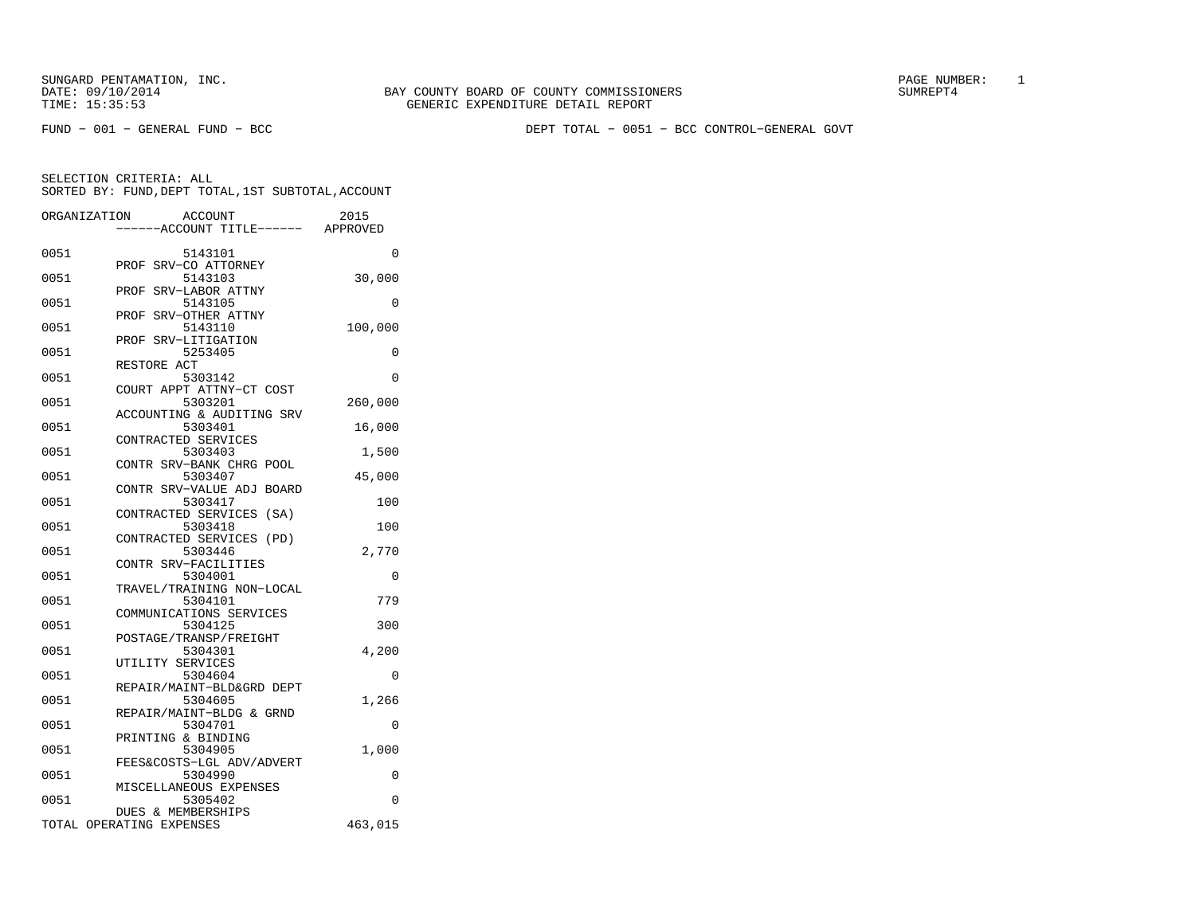FUND − 001 − GENERAL FUND − BCC DEPT TOTAL − 0051 − BCC CONTROL−GENERAL GOVT

|      | ORGANIZATION<br>ACCOUNT              | 2015     |
|------|--------------------------------------|----------|
|      | ---ACCOUNT TITLE------ APPROVED      |          |
| 0051 | 5143101                              | 0        |
|      | PROF<br>SRV-CO ATTORNEY              |          |
| 0051 | 5143103                              | 30,000   |
|      | PROF<br>SRV-LABOR ATTNY              |          |
| 0051 | 5143105                              | 0        |
| 0051 | SRV-OTHER ATTNY<br>PROF<br>5143110   | 100,000  |
|      | SRV-LITIGATION<br>PROF               |          |
| 0051 | 5253405                              | 0        |
|      | RESTORE ACT                          |          |
| 0051 | 5303142                              | 0        |
|      | COURT APPT ATTNY-CT COST             |          |
| 0051 | 5303201                              | 260,000  |
|      | ACCOUNTING & AUDITING SRV            |          |
| 0051 | 5303401                              | 16,000   |
|      | CONTRACTED SERVICES                  |          |
| 0051 | 5303403<br>CONTR SRV-BANK CHRG POOL  | 1,500    |
| 0051 | 5303407                              | 45,000   |
|      | CONTR SRV-VALUE ADJ BOARD            |          |
| 0051 | 5303417                              | 100      |
|      | CONTRACTED SERVICES (SA)             |          |
| 0051 | 5303418                              | 100      |
|      | CONTRACTED SERVICES (PD)             |          |
| 0051 | 5303446                              | 2,770    |
|      | CONTR SRV-FACILITIES                 |          |
| 0051 | 5304001                              | 0        |
| 0051 | TRAVEL/TRAINING NON-LOCAL<br>5304101 | 779      |
|      | COMMUNICATIONS SERVICES              |          |
| 0051 | 5304125                              | 300      |
|      | POSTAGE/TRANSP/FREIGHT               |          |
| 0051 | 5304301                              | 4,200    |
|      | UTILITY SERVICES                     |          |
| 0051 | 5304604                              | 0        |
|      | REPAIR/MAINT-BLD&GRD DEPT            |          |
| 0051 | 5304605                              | 1,266    |
| 0051 | REPAIR/MAINT-BLDG & GRND<br>5304701  | 0        |
|      | PRINTING & BINDING                   |          |
| 0051 | 5304905                              | 1,000    |
|      | FEES&COSTS-LGL ADV/ADVERT            |          |
| 0051 | 5304990                              | 0        |
|      | MISCELLANEOUS EXPENSES               |          |
| 0051 | 5305402                              | $\Omega$ |
|      | DUES & MEMBERSHIPS                   |          |
|      | TOTAL OPERATING EXPENSES             | 463,015  |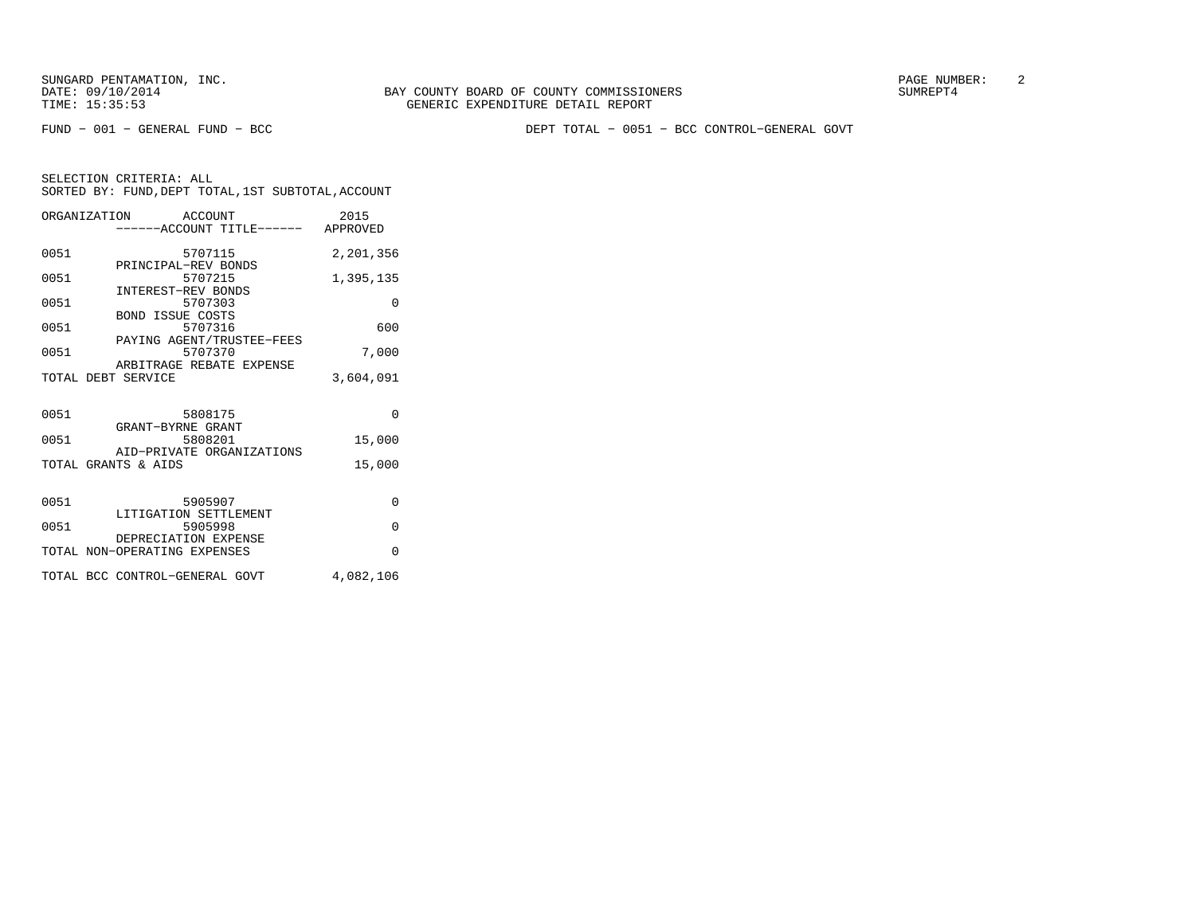FUND − 001 − GENERAL FUND − BCC DEPT TOTAL − 0051 − BCC CONTROL−GENERAL GOVT

|      | ORGANIZATION ACCOUNT<br>-----ACCOUNT TITLE------ APPROVED | 2015      |
|------|-----------------------------------------------------------|-----------|
| 0051 | 5707115<br>PRINCIPAL-REV BONDS                            | 2,201,356 |
| 0051 | 5707215                                                   | 1,395,135 |
| 0051 | <b>INTEREST-REV BONDS</b><br>5707303                      | $\Omega$  |
| 0051 | <b>BOND ISSUE COSTS</b><br>5707316                        | 600       |
| 0051 | PAYING AGENT/TRUSTEE-FEES<br>5707370                      | 7,000     |
|      | ARBITRAGE REBATE EXPENSE<br>TOTAL DEBT SERVICE            | 3,604,091 |
| 0051 | 5808175<br>GRANT-BYRNE GRANT                              | $\Omega$  |
| 0051 | 5808201                                                   | 15,000    |
|      | AID-PRIVATE ORGANIZATIONS<br>TOTAL GRANTS & AIDS          | 15,000    |
| 0051 | 5905907<br>LITIGATION SETTLEMENT                          | $\Omega$  |
| 0051 | 5905998                                                   | $\Omega$  |
|      | DEPRECIATION EXPENSE<br>TOTAL NON-OPERATING EXPENSES      | $\Omega$  |
|      | TOTAL BCC CONTROL-GENERAL GOVT                            | 4,082,106 |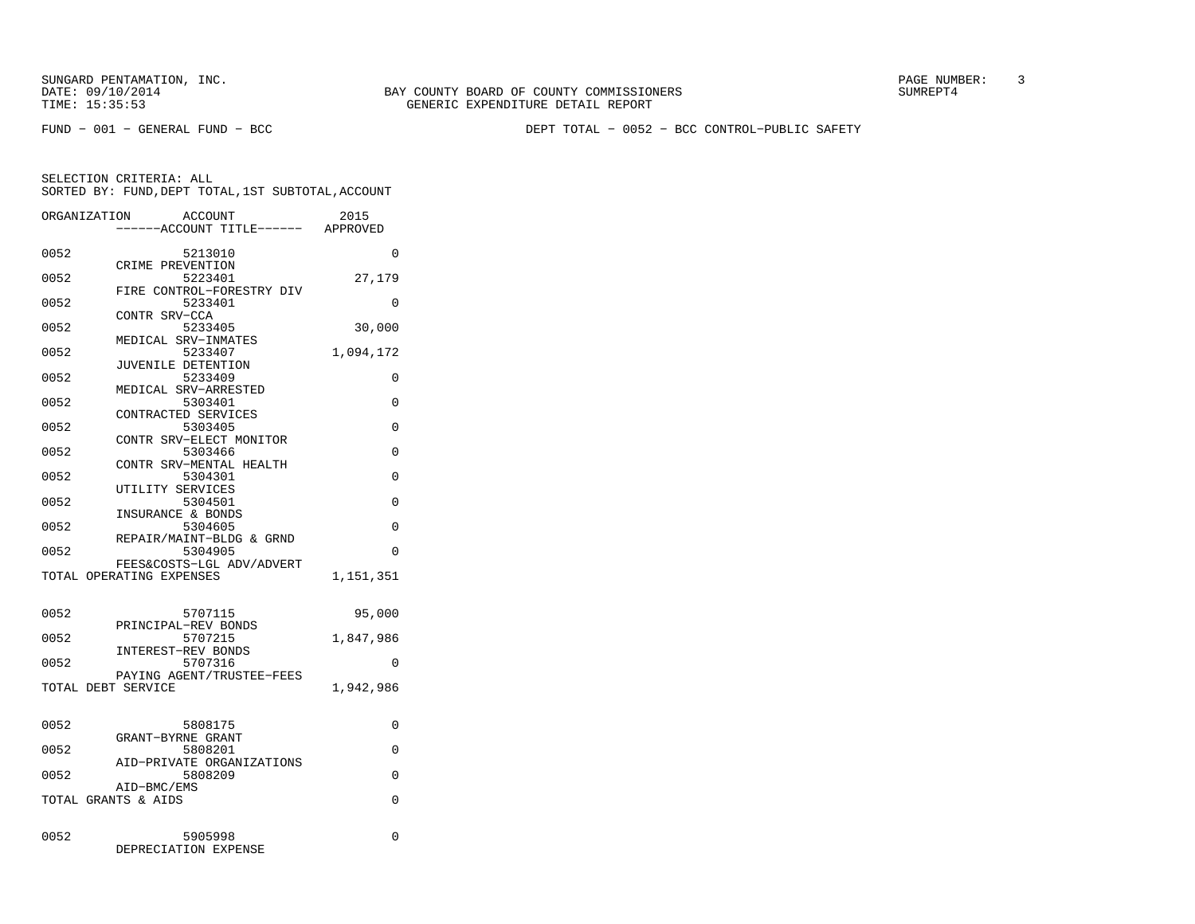FUND − 001 − GENERAL FUND − BCC DEPT TOTAL − 0052 − BCC CONTROL−PUBLIC SAFETY

|      | ORGANIZATION<br>ACCOUNT<br>---ACCOUNT TITLE------ | 2015<br>APPROVED |
|------|---------------------------------------------------|------------------|
| 0052 | 5213010                                           | $\Omega$         |
| 0052 | CRIME PREVENTION<br>5223401                       | 27,179           |
| 0052 | FIRE CONTROL-FORESTRY DIV<br>5233401              | 0                |
| 0052 | CONTR SRV-CCA<br>5233405                          | 30,000           |
| 0052 | MEDICAL SRV-INMATES<br>5233407                    | 1,094,172        |
| 0052 | JUVENILE DETENTION<br>5233409                     | 0                |
| 0052 | MEDICAL SRV-ARRESTED<br>5303401                   | 0                |
| 0052 | CONTRACTED SERVICES<br>5303405                    | $\Omega$         |
| 0052 | CONTR SRV-ELECT MONITOR<br>5303466                | 0                |
|      | CONTR SRV-MENTAL HEALTH                           |                  |
| 0052 | 5304301<br>UTILITY SERVICES                       | 0                |
| 0052 | 5304501<br>INSURANCE & BONDS                      | 0                |
| 0052 | 5304605<br>REPAIR/MAINT-BLDG & GRND               | 0                |
| 0052 | 5304905<br>FEES&COSTS-LGL ADV/ADVERT              | 0                |
|      | TOTAL OPERATING EXPENSES                          | 1,151,351        |
| 0052 | 5707115                                           | 95,000           |
| 0052 | PRINCIPAL-REV BONDS<br>5707215                    |                  |
|      | INTEREST-REV BONDS                                | 1,847,986        |
| 0052 | 5707316<br>PAYING AGENT/TRUSTEE-FEES              | 0                |
|      | TOTAL DEBT SERVICE                                | 1,942,986        |
| 0052 | 5808175                                           | 0                |
| 0052 | GRANT-BYRNE GRANT<br>5808201                      | 0                |
| 0052 | AID-PRIVATE ORGANIZATIONS<br>5808209              | 0                |
|      | AID-BMC/EMS<br>TOTAL GRANTS & AIDS                | $\Omega$         |
|      |                                                   |                  |
| 0052 | 5905998<br>DEPRECIATION EXPENSE                   | 0                |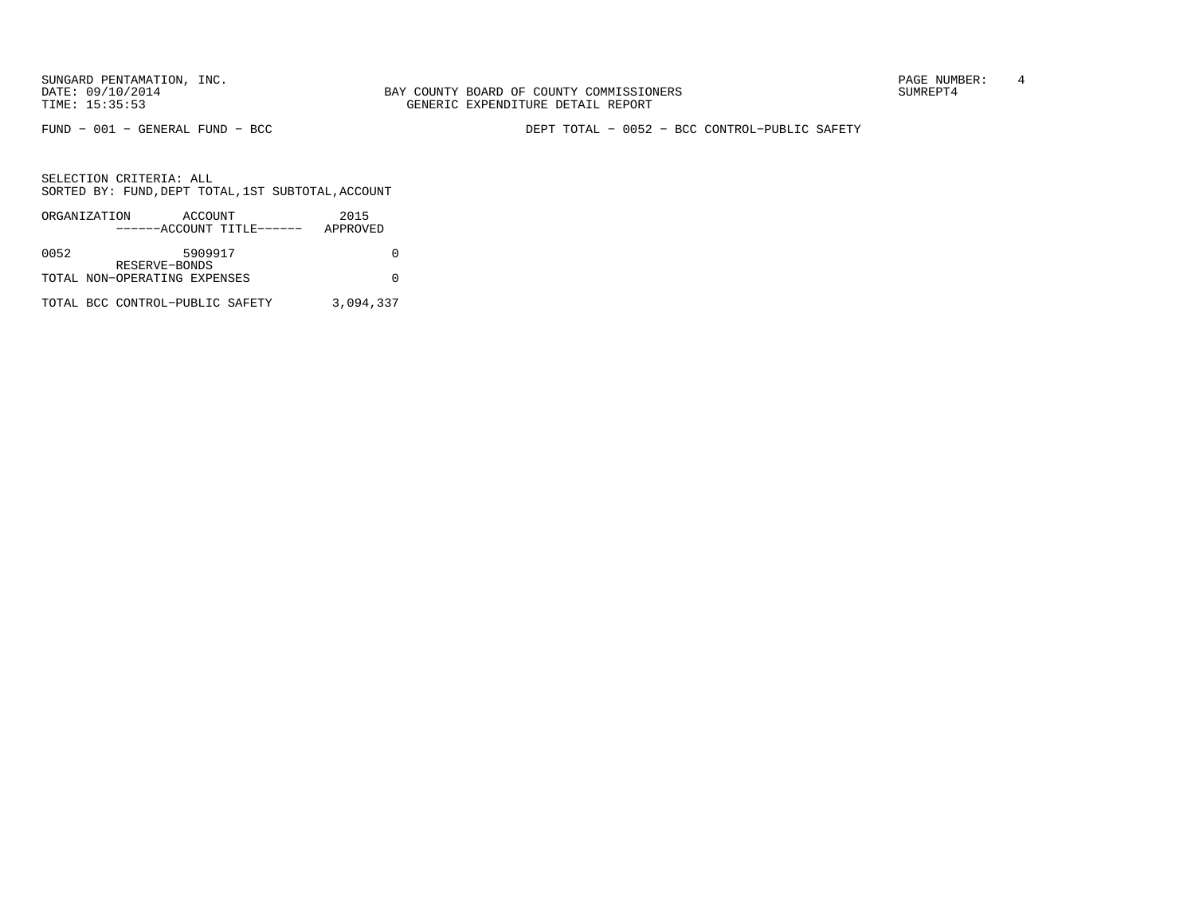FUND − 001 − GENERAL FUND − BCC DEPT TOTAL − 0052 − BCC CONTROL−PUBLIC SAFETY

|      | ORGANIZATION                    | ACCOUNT       |                           | 2015      |
|------|---------------------------------|---------------|---------------------------|-----------|
|      |                                 |               | ------ACCOUNT TITLE------ | APPROVED  |
|      |                                 |               |                           |           |
| 0052 |                                 | 5909917       |                           |           |
|      |                                 | RESERVE-BONDS |                           |           |
|      | TOTAL NON-OPERATING EXPENSES    |               |                           |           |
|      |                                 |               |                           |           |
|      | TOTAL BCC CONTROL-PUBLIC SAFETY |               |                           | 3,094,337 |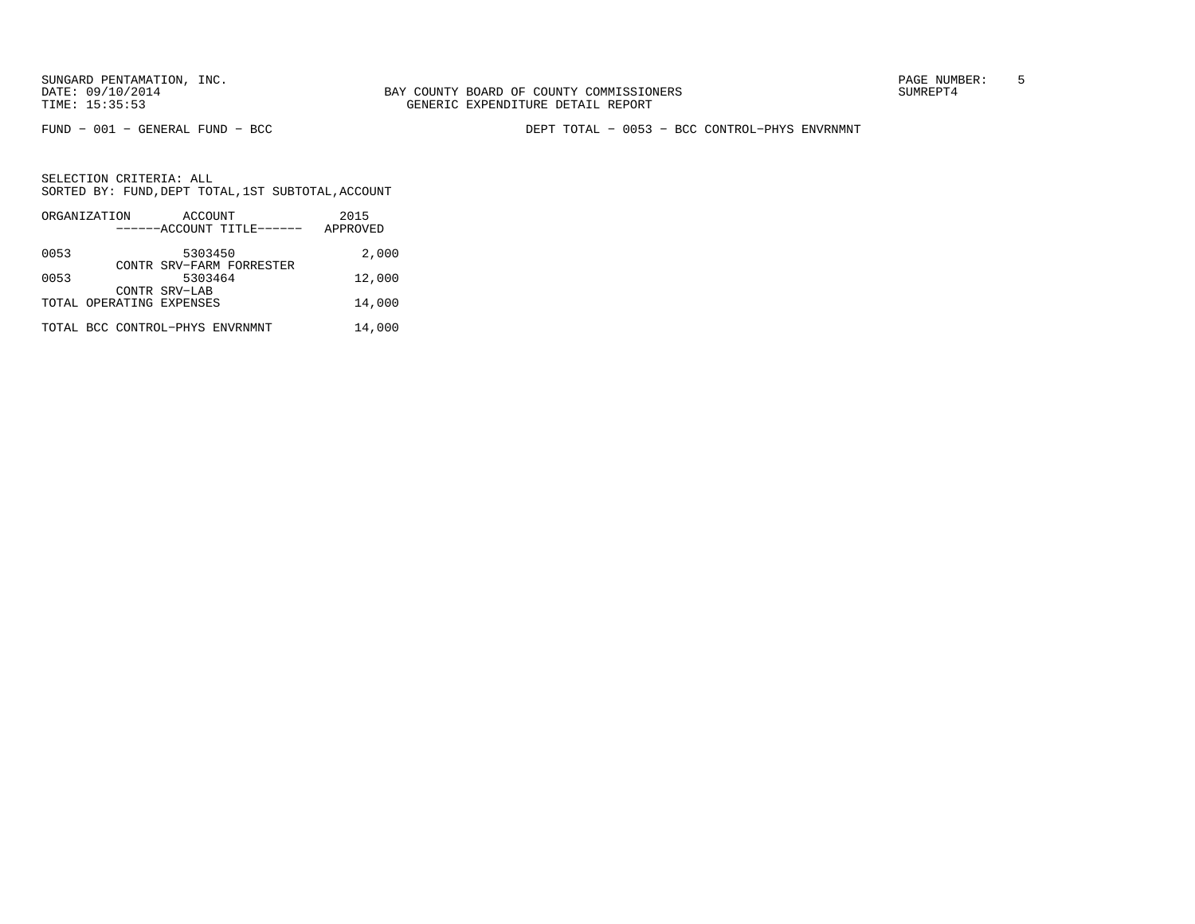FUND − 001 − GENERAL FUND − BCC DEPT TOTAL − 0053 − BCC CONTROL−PHYS ENVRNMNT

|      | ORGANIZATION                    | ACCOUNT       |                           | 2015     |
|------|---------------------------------|---------------|---------------------------|----------|
|      |                                 |               | ------ACCOUNT TITLE------ | APPROVED |
| 0053 |                                 | 5303450       |                           | 2,000    |
| 0053 |                                 | 5303464       | CONTR SRV-FARM FORRESTER  | 12,000   |
|      |                                 | CONTR SRV-LAB |                           |          |
|      | TOTAL OPERATING EXPENSES        |               |                           | 14,000   |
|      | TOTAL BCC CONTROL-PHYS ENVRNMNT |               |                           | 14,000   |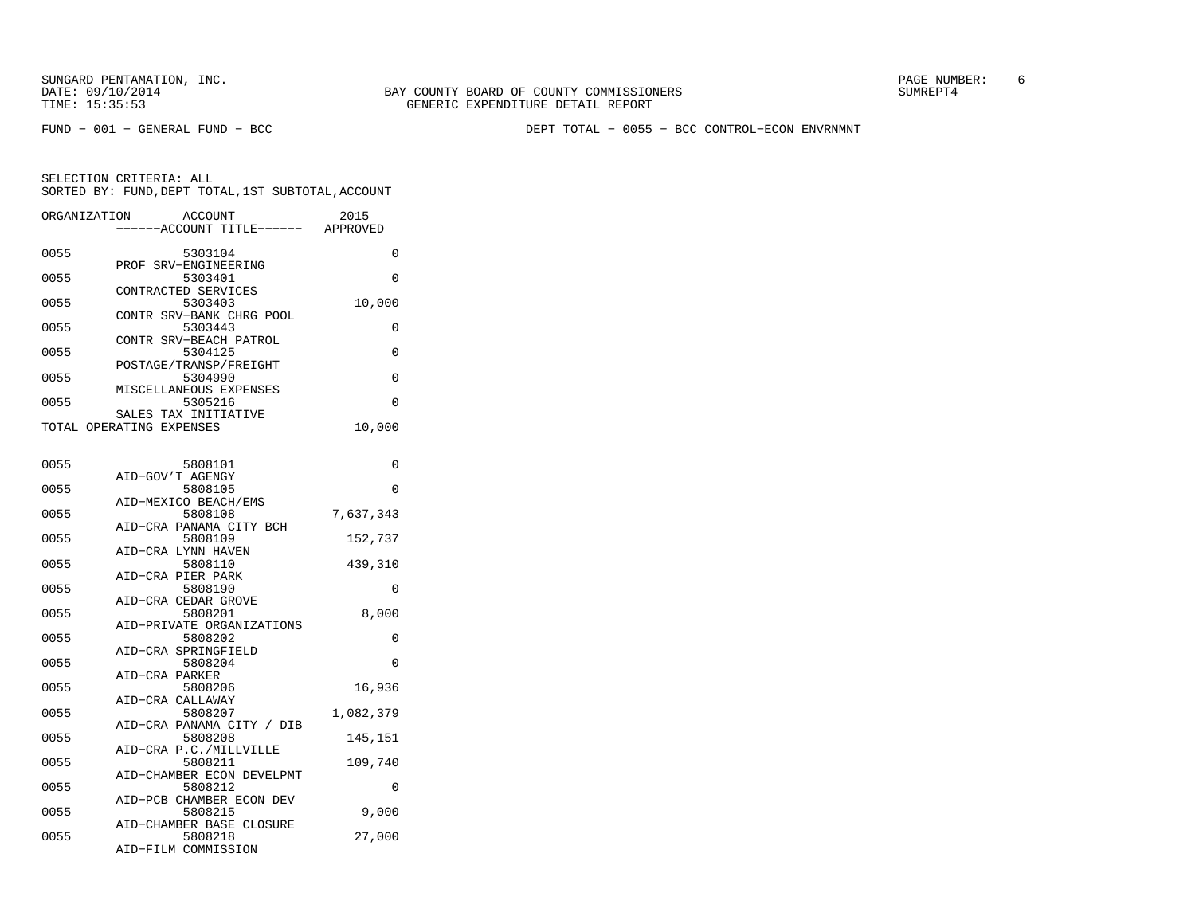FUND − 001 − GENERAL FUND − BCC DEPT TOTAL − 0055 − BCC CONTROL−ECON ENVRNMNT

| ORGANIZATION             |                | <b>ACCOUNT</b><br>---ACCOUNT TITLE------ APPROVED         | 2015      |
|--------------------------|----------------|-----------------------------------------------------------|-----------|
| 0055                     |                | 5303104<br>PROF SRV-ENGINEERING                           | 0         |
| 0055                     |                | 5303401<br>CONTRACTED SERVICES                            | $\Omega$  |
| 0055                     |                | 5303403                                                   | 10,000    |
| 0055                     |                | CONTR SRV-BANK CHRG POOL<br>5303443                       | 0         |
| 0055                     |                | CONTR SRV-BEACH PATROL<br>5304125                         | 0         |
| 0055                     |                | POSTAGE/TRANSP/FREIGHT<br>5304990                         | 0         |
| 0055                     |                | MISCELLANEOUS EXPENSES<br>5305216<br>SALES TAX INITIATIVE | 0         |
| TOTAL OPERATING EXPENSES |                |                                                           | 10,000    |
| 0055                     |                | 5808101                                                   | 0         |
| 0055                     |                | AID-GOV'T AGENGY<br>5808105                               | 0         |
| 0055                     |                | AID-MEXICO BEACH/EMS<br>5808108                           | 7,637,343 |
| 0055                     |                | AID-CRA PANAMA CITY BCH<br>5808109                        | 152,737   |
| 0055                     |                | AID-CRA LYNN HAVEN<br>5808110                             | 439,310   |
| 0055                     |                | AID-CRA PIER PARK<br>5808190                              | 0         |
| 0055                     |                | AID-CRA CEDAR GROVE<br>5808201                            | 8,000     |
| 0055                     |                | AID-PRIVATE ORGANIZATIONS<br>5808202                      | 0         |
| 0055                     | AID-CRA PARKER | AID-CRA SPRINGFIELD<br>5808204                            | $\Omega$  |
| 0055                     |                | 5808206<br>AID-CRA CALLAWAY                               | 16,936    |
| 0055                     |                | 5808207<br>AID-CRA PANAMA CITY / DIB                      | 1,082,379 |
| 0055                     |                | 5808208<br>AID-CRA P.C./MILLVILLE                         | 145,151   |
| 0055                     |                | 5808211<br>AID-CHAMBER ECON DEVELPMT                      | 109,740   |
| 0055                     |                | 5808212<br>AID-PCB CHAMBER ECON DEV                       | 0         |
| 0055                     |                | 5808215<br>AID-CHAMBER BASE CLOSURE                       | 9,000     |
| 0055                     |                | 5808218<br>AID-FILM COMMISSION                            | 27,000    |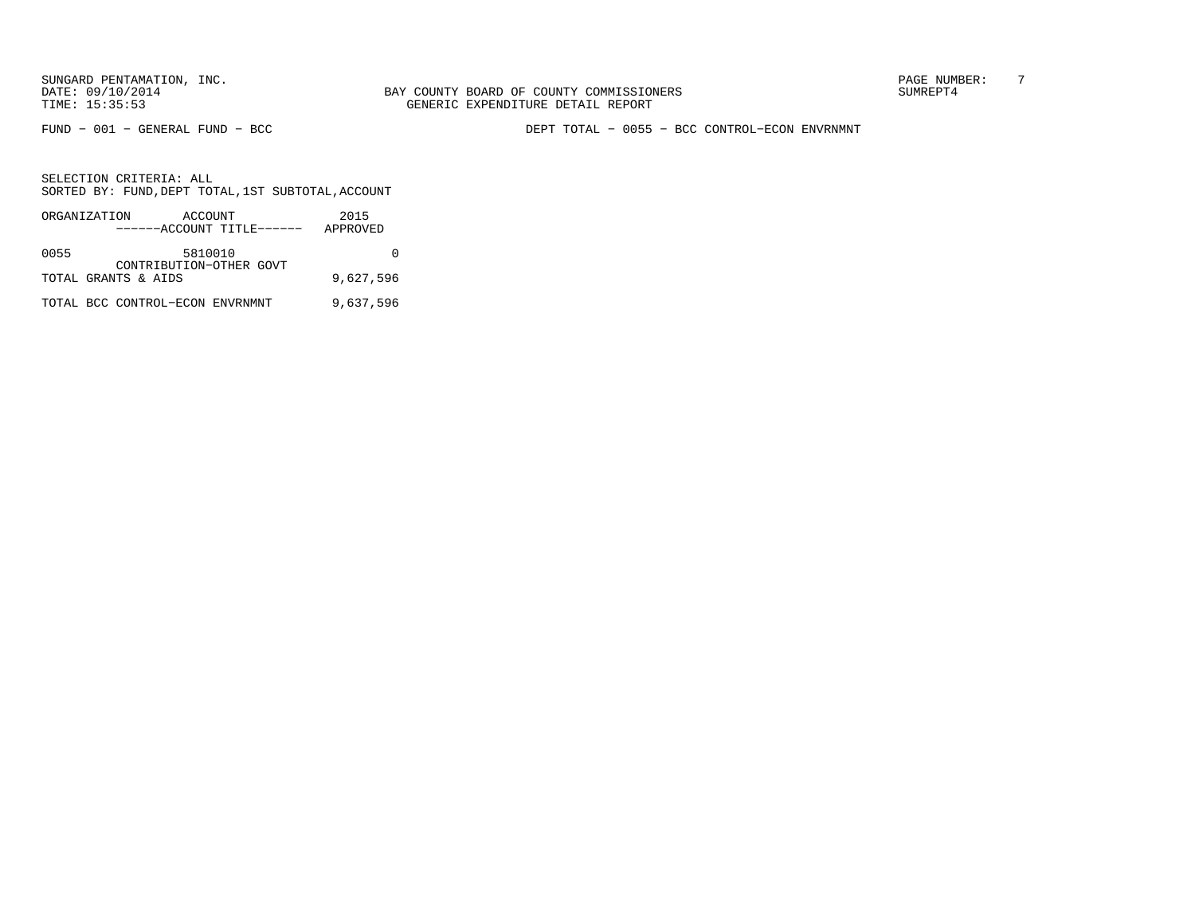BAY COUNTY BOARD OF COUNTY COMMISSIONERS TIME: 15:35:53 GENERIC EXPENDITURE DETAIL REPORT

FUND − 001 − GENERAL FUND − BCC DEPT TOTAL − 0055 − BCC CONTROL−ECON ENVRNMNT

|      | ORGANIZATION                    | ACCOUNT | ------ACCOUNT TITLE------ | 2015<br>APPROVED |
|------|---------------------------------|---------|---------------------------|------------------|
| 0055 |                                 | 5810010 | CONTRIBUTION-OTHER GOVT   |                  |
|      | TOTAL GRANTS & AIDS             |         |                           | 9,627,596        |
|      | TOTAL BCC CONTROL-ECON ENVRNMNT |         |                           | 9,637,596        |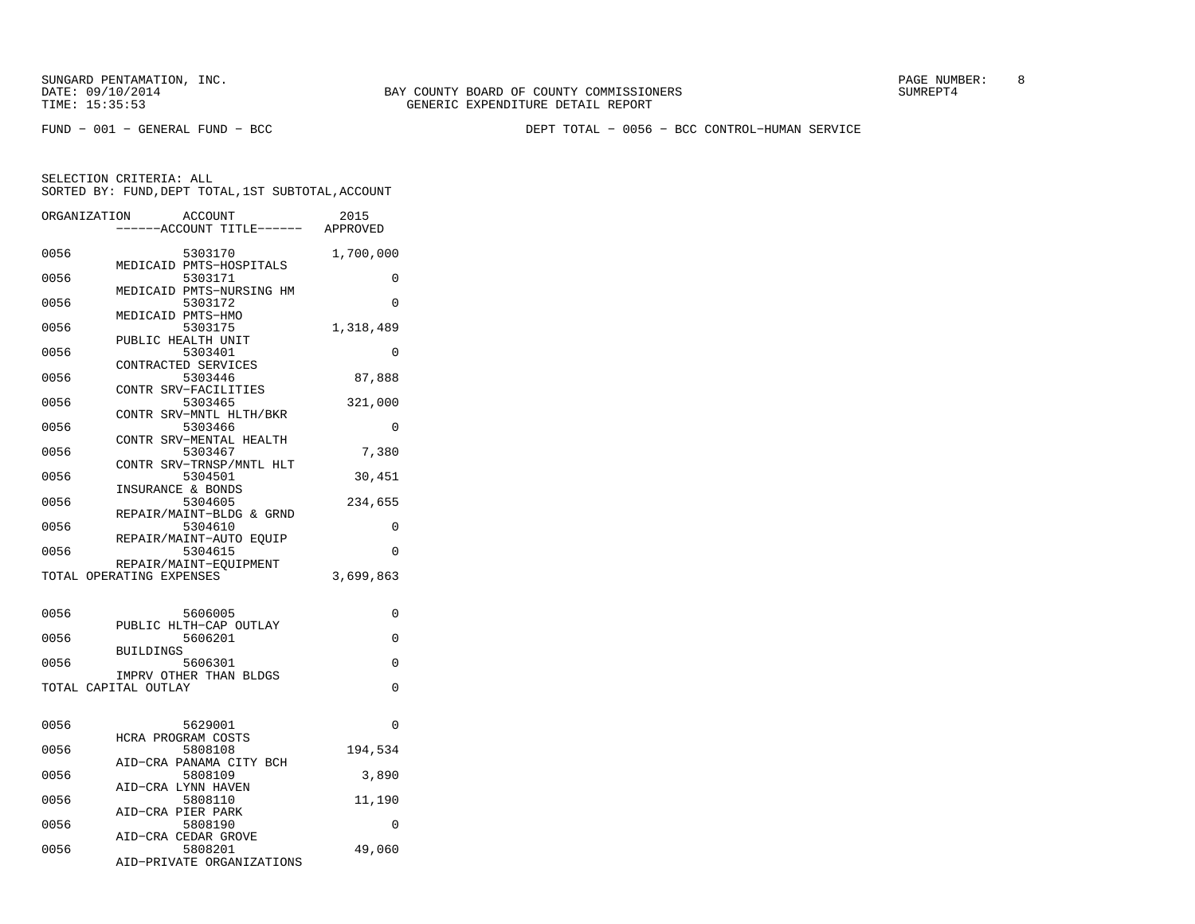SUNGARD PENTAMATION, INC. SUNGARD OF COUNTY BOARD OF COUNTY COMMISSIONERS SUNGARD PAGE NUMBER: 8

FUND − 001 − GENERAL FUND − BCC DEPT TOTAL − 0056 − BCC CONTROL−HUMAN SERVICE

|      | ORGANIZATION             | <b>ACCOUNT</b><br>---ACCOUNT TITLE------ APPROVED | 2015      |
|------|--------------------------|---------------------------------------------------|-----------|
|      |                          |                                                   |           |
| 0056 |                          | 5303170<br>MEDICAID PMTS-HOSPITALS                | 1,700,000 |
| 0056 |                          | 5303171                                           | 0         |
| 0056 |                          | MEDICAID PMTS-NURSING HM<br>5303172               | $\Omega$  |
| 0056 | MEDICAID PMTS-HMO        | 5303175                                           | 1,318,489 |
| 0056 | PUBLIC HEALTH UNIT       | 5303401                                           | 0         |
| 0056 | CONTRACTED SERVICES      | 5303446                                           | 87,888    |
| 0056 | CONTR SRV-FACILITIES     | 5303465                                           | 321,000   |
| 0056 |                          | CONTR SRV-MNTL HLTH/BKR<br>5303466                | 0         |
|      |                          | CONTR SRV-MENTAL HEALTH                           |           |
| 0056 |                          | 5303467<br>CONTR SRV-TRNSP/MNTL HLT               | 7,380     |
| 0056 | INSURANCE & BONDS        | 5304501                                           | 30,451    |
| 0056 |                          | 5304605<br>REPAIR/MAINT-BLDG & GRND               | 234,655   |
| 0056 |                          | 5304610<br>REPAIR/MAINT-AUTO EQUIP                | 0         |
| 0056 |                          | 5304615                                           | $\Omega$  |
|      | TOTAL OPERATING EXPENSES | REPAIR/MAINT-EQUIPMENT                            | 3,699,863 |
|      |                          |                                                   |           |
| 0056 |                          | 5606005                                           | $\Omega$  |
| 0056 |                          | PUBLIC HLTH-CAP OUTLAY<br>5606201                 | $\Omega$  |
| 0056 | <b>BUILDINGS</b>         | 5606301                                           | $\Omega$  |
|      | TOTAL CAPITAL OUTLAY     | IMPRV OTHER THAN BLDGS                            | $\Omega$  |
|      |                          |                                                   |           |
| 0056 |                          | 5629001                                           | 0         |
| 0056 | HCRA PROGRAM COSTS       | 5808108                                           | 194,534   |
| 0056 |                          | AID-CRA PANAMA CITY BCH<br>5808109                | 3,890     |
| 0056 | AID-CRA LYNN HAVEN       | 5808110                                           | 11,190    |
| 0056 | AID-CRA PIER PARK        | 5808190                                           | 0         |
| 0056 | AID-CRA CEDAR GROVE      | 5808201                                           | 49,060    |
|      |                          | AID-PRIVATE ORGANIZATIONS                         |           |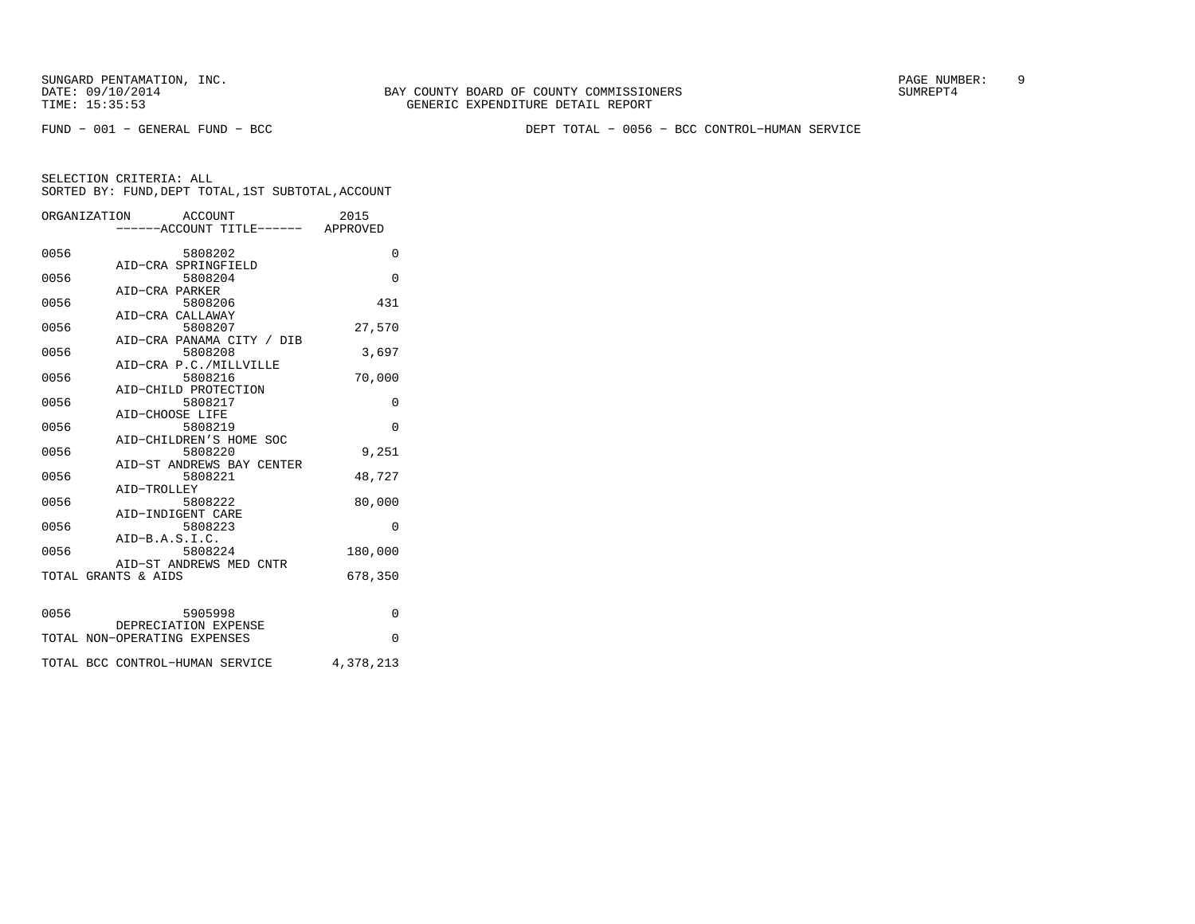FUND − 001 − GENERAL FUND − BCC DEPT TOTAL − 0056 − BCC CONTROL−HUMAN SERVICE

|      | ORGANIZATION ACCOUNT              | 2015      |
|------|-----------------------------------|-----------|
|      | -----ACCOUNT TITLE------ APPROVED |           |
| 0056 | 5808202                           | $\Omega$  |
|      | AID-CRA SPRINGFIELD               |           |
| 0056 | 5808204                           | $\Omega$  |
|      | AID-CRA PARKER                    |           |
| 0056 | 5808206                           | 431       |
|      | AID-CRA CALLAWAY<br>5808207       |           |
| 0056 | AID-CRA PANAMA CITY / DIB         | 27,570    |
| 0056 | 5808208                           | 3,697     |
|      | AID-CRA P.C./MILLVILLE            |           |
| 0056 | 5808216                           | 70,000    |
|      | AID-CHILD PROTECTION              |           |
| 0056 | 5808217                           | 0         |
|      | AID-CHOOSE LIFE                   |           |
| 0056 | 5808219                           | $\Omega$  |
|      | AID-CHILDREN'S HOME SOC           |           |
| 0056 | 5808220                           | 9,251     |
|      | AID-ST ANDREWS BAY CENTER         |           |
| 0056 | 5808221                           | 48,727    |
|      | AID-TROLLEY                       |           |
| 0056 | 5808222                           | 80,000    |
|      | AID-INDIGENT CARE                 |           |
| 0056 | 5808223                           | $\Omega$  |
|      | $AID-B.A.S.I.C.$                  |           |
| 0056 | 5808224                           | 180,000   |
|      | AID-ST ANDREWS MED CNTR           |           |
|      | TOTAL GRANTS & AIDS               | 678,350   |
|      |                                   |           |
| 0056 | 5905998                           | $\Omega$  |
|      | DEPRECIATION EXPENSE              |           |
|      | TOTAL NON-OPERATING EXPENSES      | $\Omega$  |
|      |                                   |           |
|      | TOTAL BCC CONTROL-HUMAN SERVICE   | 4,378,213 |
|      |                                   |           |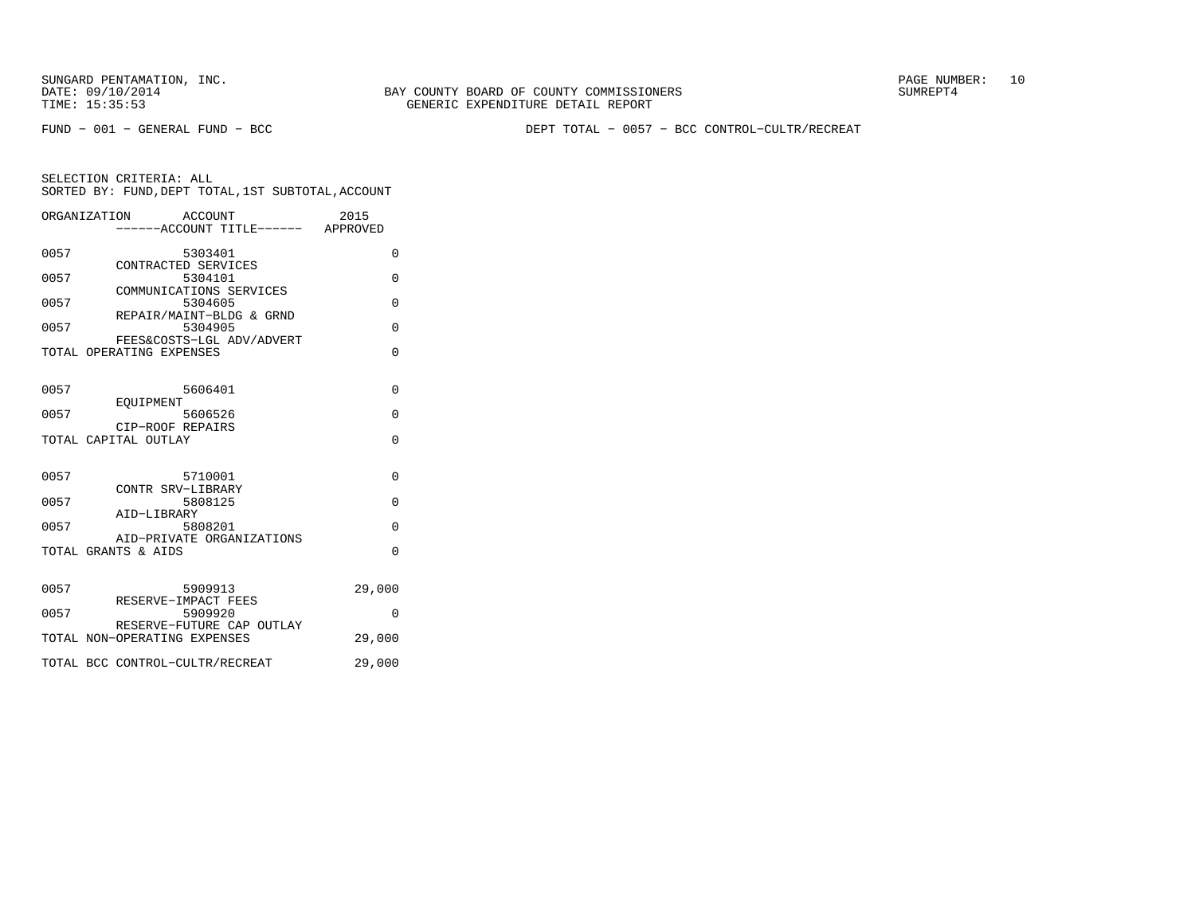FUND − 001 − GENERAL FUND − BCC DEPT TOTAL − 0057 − BCC CONTROL−CULTR/RECREAT

|      | ORGANIZATION<br>ACCOUNT                  | ----ACCOUNT TITLE------ APPROVED | 2015     |
|------|------------------------------------------|----------------------------------|----------|
| 0057 | 5303401<br>CONTRACTED SERVICES           |                                  | $\Omega$ |
| 0057 | 5304101<br>COMMUNICATIONS SERVICES       |                                  | 0        |
| 0057 | 5304605<br>REPAIR/MAINT-BLDG & GRND      |                                  | 0        |
| 0057 | 5304905<br>FEES&COSTS-LGL ADV/ADVERT     |                                  | $\Omega$ |
|      | TOTAL OPERATING EXPENSES                 |                                  | $\Omega$ |
| 0057 | 5606401                                  |                                  | $\Omega$ |
| 0057 | EOUIPMENT<br>5606526<br>CIP-ROOF REPAIRS |                                  | $\Omega$ |
|      | TOTAL CAPITAL OUTLAY                     |                                  | $\Omega$ |
| 0057 | 5710001<br>CONTR SRV-LIBRARY             |                                  | $\Omega$ |
| 0057 | 5808125<br>AID-LIBRARY                   |                                  | $\Omega$ |
| 0057 | 5808201<br>AID-PRIVATE ORGANIZATIONS     |                                  | $\Omega$ |
|      | TOTAL GRANTS & AIDS                      |                                  | $\Omega$ |
| 0057 | 5909913<br>RESERVE-IMPACT FEES           |                                  | 29,000   |
| 0057 | 5909920<br>RESERVE-FUTURE CAP OUTLAY     |                                  | $\Omega$ |
|      | TOTAL NON-OPERATING EXPENSES             |                                  | 29,000   |
|      | TOTAL BCC CONTROL-CULTR/RECREAT          |                                  | 29,000   |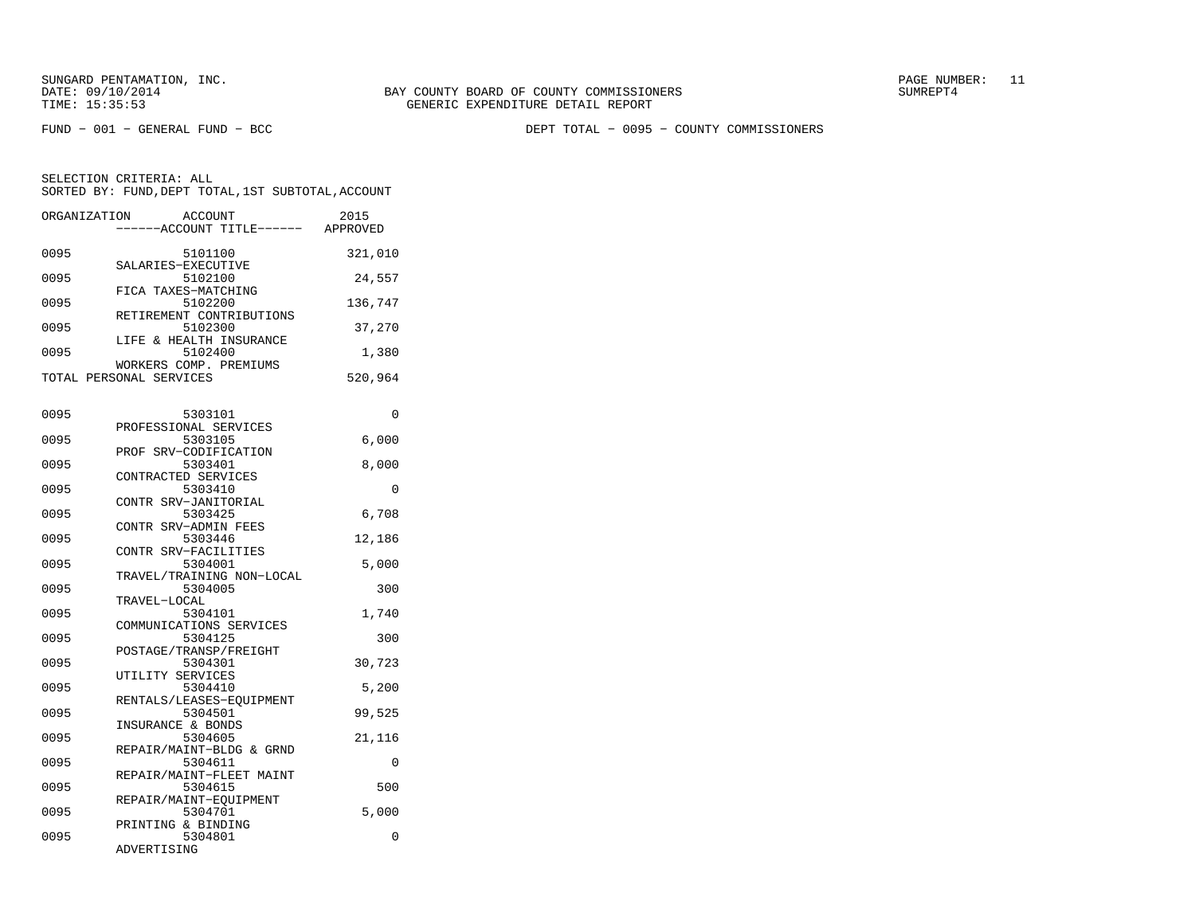FUND − 001 − GENERAL FUND − BCC DEPT TOTAL − 0095 − COUNTY COMMISSIONERS

SELECTION CRITERIA: ALL SORTED BY: FUND,DEPT TOTAL,1ST SUBTOTAL,ACCOUNTORGANIZATION ACCOUNT 2015

| ORGANIZATION |                         | ACCOUNT |                                   | 2015     |
|--------------|-------------------------|---------|-----------------------------------|----------|
|              |                         |         | -----ACCOUNT TITLE------ APPROVED |          |
| 0095         |                         | 5101100 |                                   | 321,010  |
|              | SALARIES-EXECUTIVE      |         |                                   |          |
| 0095         |                         | 5102100 |                                   | 24,557   |
|              | FICA TAXES-MATCHING     |         |                                   |          |
| 0095         |                         | 5102200 |                                   | 136,747  |
|              |                         |         | RETIREMENT CONTRIBUTIONS          |          |
| 0095         |                         | 5102300 |                                   | 37,270   |
|              | LIFE & HEALTH INSURANCE |         |                                   |          |
| 0095         | WORKERS COMP. PREMIUMS  | 5102400 |                                   | 1,380    |
|              | TOTAL PERSONAL SERVICES |         |                                   | 520,964  |
|              |                         |         |                                   |          |
|              |                         |         |                                   |          |
| 0095         |                         | 5303101 |                                   | 0        |
|              | PROFESSIONAL SERVICES   |         |                                   |          |
| 0095         |                         | 5303105 |                                   | 6,000    |
|              | PROF SRV-CODIFICATION   |         |                                   |          |
| 0095         |                         | 5303401 |                                   | 8,000    |
| 0095         | CONTRACTED SERVICES     | 5303410 |                                   | $\Omega$ |
|              | CONTR SRV-JANITORIAL    |         |                                   |          |
| 0095         |                         | 5303425 |                                   | 6,708    |
|              | CONTR SRV-ADMIN FEES    |         |                                   |          |
| 0095         |                         | 5303446 |                                   | 12,186   |
|              | CONTR SRV-FACILITIES    |         |                                   |          |
| 0095         |                         | 5304001 |                                   | 5,000    |
|              |                         |         | TRAVEL/TRAINING NON-LOCAL         |          |
| 0095         |                         | 5304005 |                                   | 300      |
| 0095         | TRAVEL-LOCAL            | 5304101 |                                   | 1,740    |
|              |                         |         | COMMUNICATIONS SERVICES           |          |
| 0095         |                         | 5304125 |                                   | 300      |
|              | POSTAGE/TRANSP/FREIGHT  |         |                                   |          |
| 0095         |                         | 5304301 |                                   | 30,723   |
|              | UTILITY SERVICES        |         |                                   |          |
| 0095         |                         | 5304410 |                                   | 5,200    |
|              |                         |         | RENTALS/LEASES-EQUIPMENT          |          |
| 0095         | INSURANCE & BONDS       | 5304501 |                                   | 99,525   |
| 0095         |                         | 5304605 |                                   | 21,116   |
|              |                         |         | REPAIR/MAINT-BLDG & GRND          |          |
| 0095         |                         | 5304611 |                                   | 0        |
|              |                         |         | REPAIR/MAINT-FLEET MAINT          |          |
| 0095         |                         | 5304615 |                                   | 500      |
|              | REPAIR/MAINT-EQUIPMENT  |         |                                   |          |
| 0095         |                         | 5304701 |                                   | 5,000    |
| 0095         | PRINTING & BINDING      | 5304801 |                                   | 0        |
|              | ADVERTISING             |         |                                   |          |
|              |                         |         |                                   |          |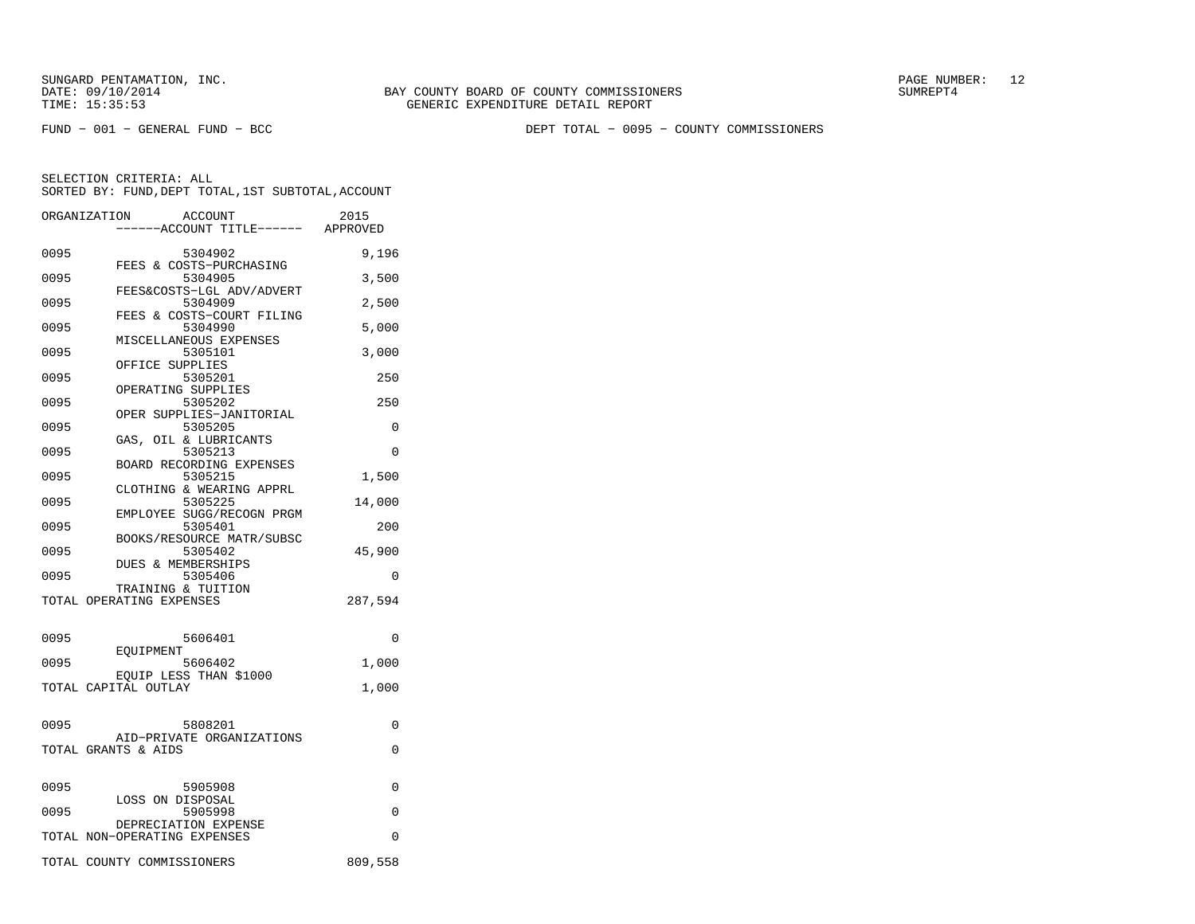FUND − 001 − GENERAL FUND − BCC DEPT TOTAL − 0095 − COUNTY COMMISSIONERS

|      | ORGANIZATION<br><b>ACCOUNT</b><br>---ACCOUNT TITLE------ APPROVED | 2015    |
|------|-------------------------------------------------------------------|---------|
| 0095 | 5304902                                                           | 9,196   |
| 0095 | FEES & COSTS-PURCHASING<br>5304905                                | 3,500   |
| 0095 | FEES&COSTS-LGL ADV/ADVERT<br>5304909                              | 2,500   |
| 0095 | FEES & COSTS-COURT FILING<br>5304990<br>MISCELLANEOUS EXPENSES    | 5,000   |
| 0095 | 5305101<br>OFFICE SUPPLIES                                        | 3,000   |
| 0095 | 5305201<br>OPERATING SUPPLIES                                     | 250     |
| 0095 | 5305202<br>OPER SUPPLIES-JANITORIAL                               | 250     |
| 0095 | 5305205<br>GAS, OIL & LUBRICANTS                                  | 0       |
| 0095 | 5305213<br>BOARD RECORDING EXPENSES                               | 0       |
| 0095 | 5305215<br>CLOTHING & WEARING APPRL                               | 1,500   |
| 0095 | 5305225<br>EMPLOYEE SUGG/RECOGN PRGM                              | 14,000  |
| 0095 | 5305401<br>BOOKS/RESOURCE MATR/SUBSC                              | 200     |
| 0095 | 5305402<br>DUES & MEMBERSHIPS                                     | 45,900  |
| 0095 | 5305406<br>TRAINING & TUITION                                     | 0       |
|      | TOTAL OPERATING EXPENSES                                          | 287,594 |
| 0095 | 5606401<br>EOUIPMENT                                              | 0       |
| 0095 | 5606402<br>EOUIP LESS THAN \$1000                                 | 1,000   |
|      | TOTAL CAPITAL OUTLAY                                              | 1,000   |
| 0095 | 5808201                                                           | 0       |
|      | AID-PRIVATE ORGANIZATIONS<br>TOTAL GRANTS & AIDS                  | 0       |
| 0095 | 5905908                                                           | 0       |
| 0095 | LOSS ON DISPOSAL<br>5905998                                       | 0       |
|      | DEPRECIATION EXPENSE<br>TOTAL NON-OPERATING EXPENSES              | 0       |
|      | TOTAL COUNTY COMMISSIONERS                                        | 809,558 |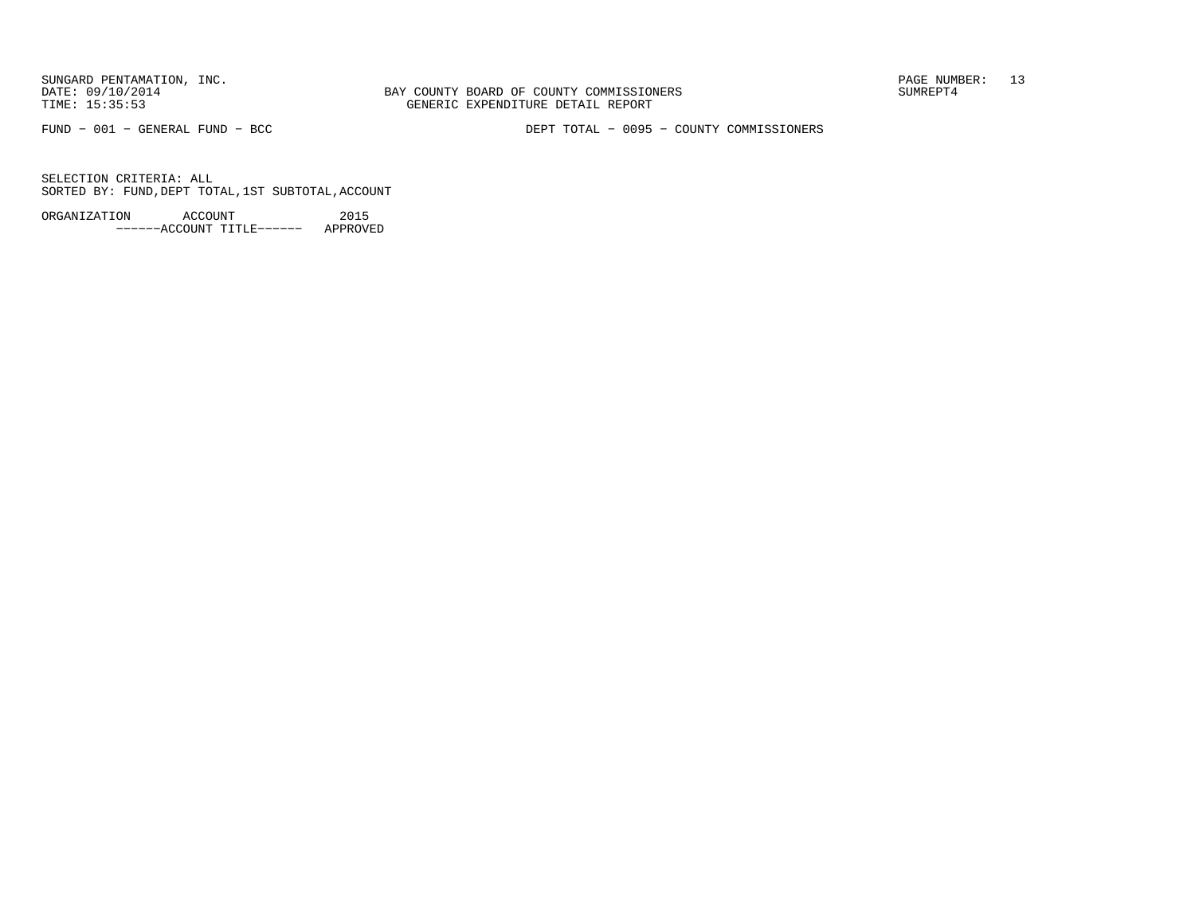BAY COUNTY BOARD OF COUNTY COMMISSIONERS TIME: 15:35:53 GENERIC EXPENDITURE DETAIL REPORT

FUND − 001 − GENERAL FUND − BCC DEPT TOTAL − 0095 − COUNTY COMMISSIONERS

SELECTION CRITERIA: ALLSORTED BY: FUND,DEPT TOTAL,1ST SUBTOTAL,ACCOUNT

ORGANIZATION ACCOUNT 2015−−−−−−ACCOUNT TITLE−−−−−− APPROVED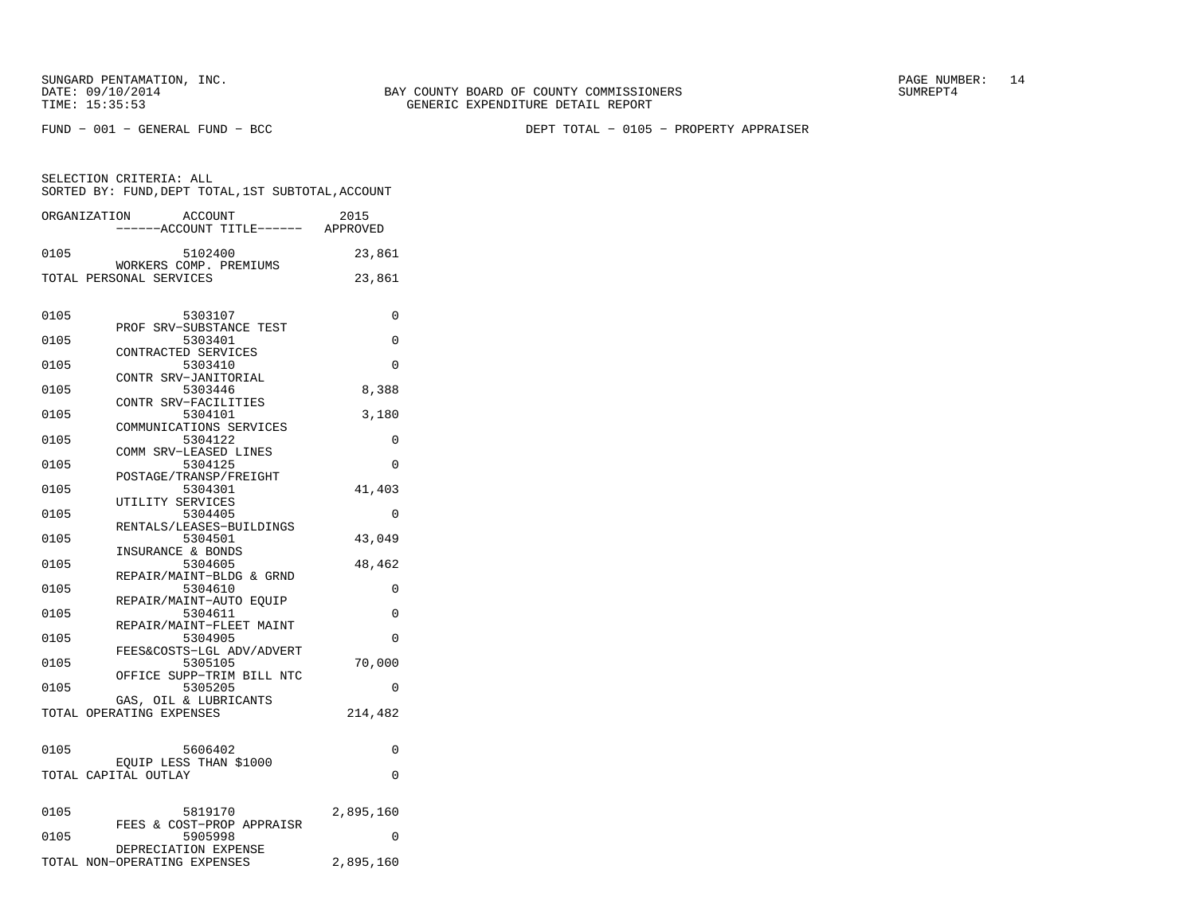FUND − 001 − GENERAL FUND − BCC DEPT TOTAL − 0105 − PROPERTY APPRAISER

| ORGANIZATION | <b>ACCOUNT</b>                                    | 2015      |
|--------------|---------------------------------------------------|-----------|
|              | ----ACCOUNT TITLE------ APPROVED                  |           |
|              |                                                   |           |
| 0105         | 5102400                                           | 23,861    |
|              | WORKERS COMP. PREMIUMS<br>TOTAL PERSONAL SERVICES | 23,861    |
|              |                                                   |           |
|              |                                                   |           |
| 0105         | 5303107                                           | 0         |
|              | PROF SRV-SUBSTANCE TEST                           |           |
| 0105         | 5303401                                           | 0         |
|              | CONTRACTED SERVICES                               |           |
| 0105         | 5303410                                           | 0         |
| 0105         | CONTR SRV-JANITORIAL<br>5303446                   | 8,388     |
|              | CONTR SRV-FACILITIES                              |           |
| 0105         | 5304101                                           | 3,180     |
|              | COMMUNICATIONS SERVICES                           |           |
| 0105         | 5304122                                           | 0         |
|              | COMM SRV-LEASED LINES                             |           |
| 0105         | 5304125                                           | 0         |
|              | POSTAGE/TRANSP/FREIGHT                            |           |
| 0105         | 5304301<br>UTILITY SERVICES                       | 41,403    |
| 0105         | 5304405                                           | 0         |
|              | RENTALS/LEASES-BUILDINGS                          |           |
| 0105         | 5304501                                           | 43,049    |
|              | INSURANCE & BONDS                                 |           |
| 0105         | 5304605                                           | 48,462    |
|              | REPAIR/MAINT-BLDG & GRND                          |           |
| 0105         | 5304610                                           | 0         |
|              | REPAIR/MAINT-AUTO EQUIP                           |           |
| 0105         | 5304611<br>REPAIR/MAINT-FLEET MAINT               | 0         |
| 0105         | 5304905                                           | $\Omega$  |
|              | FEES&COSTS-LGL ADV/ADVERT                         |           |
| 0105         | 5305105                                           | 70,000    |
|              | OFFICE SUPP-TRIM BILL NTC                         |           |
| 0105         | 5305205                                           | $\Omega$  |
|              | GAS, OIL & LUBRICANTS                             |           |
|              | TOTAL OPERATING EXPENSES                          | 214,482   |
|              |                                                   |           |
| 0105         | 5606402                                           | 0         |
|              | EQUIP LESS THAN \$1000                            |           |
|              | TOTAL CAPITAL OUTLAY                              | $\Omega$  |
|              |                                                   |           |
|              |                                                   |           |
| 0105         | 5819170                                           | 2,895,160 |
| 0105         | FEES & COST-PROP APPRAISR<br>5905998              | $\Omega$  |
|              | DEPRECIATION EXPENSE                              |           |
|              | TOTAL NON-OPERATING EXPENSES                      | 2,895,160 |
|              |                                                   |           |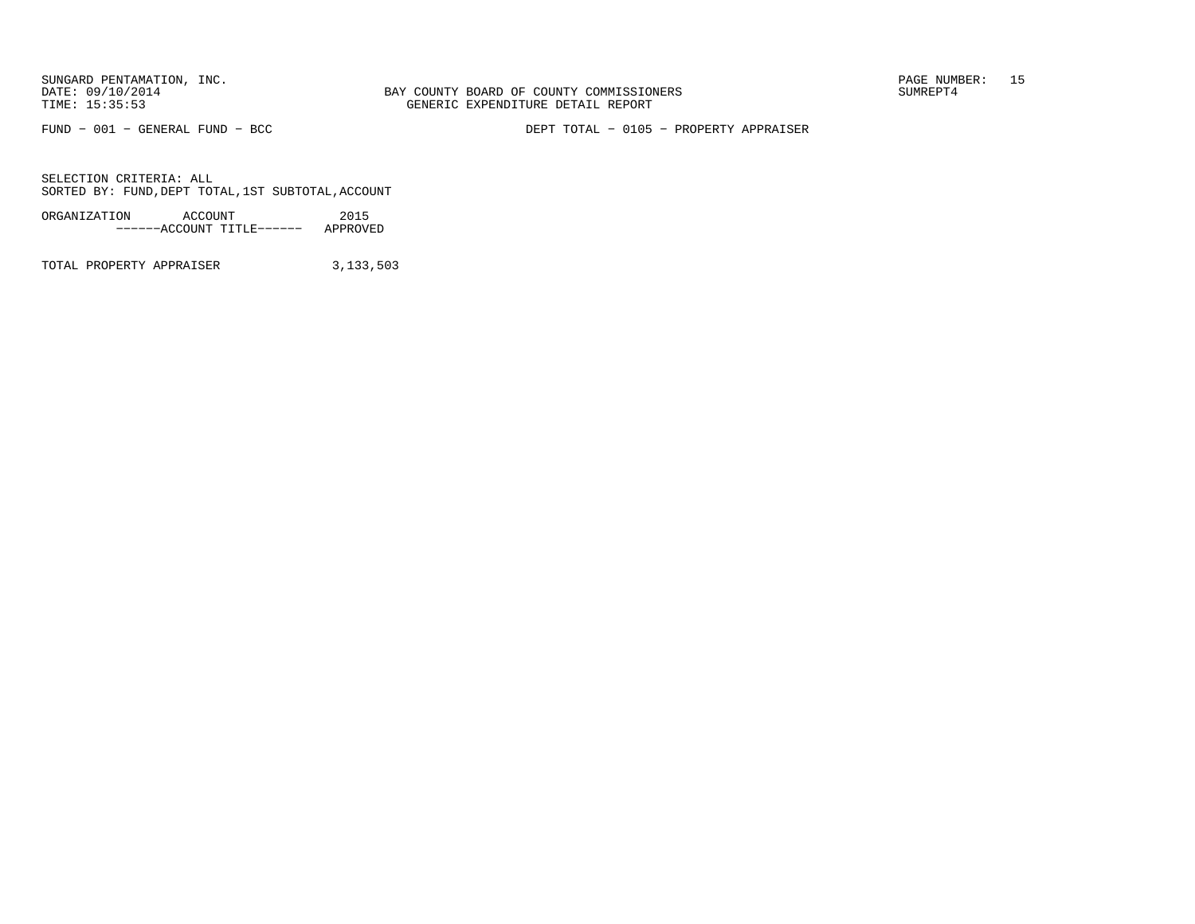BAY COUNTY BOARD OF COUNTY COMMISSIONERS TIME: 15:35:53 GENERIC EXPENDITURE DETAIL REPORT

FUND − 001 − GENERAL FUND − BCC DEPT TOTAL − 0105 − PROPERTY APPRAISER

SELECTION CRITERIA: ALLSORTED BY: FUND,DEPT TOTAL,1ST SUBTOTAL,ACCOUNT

ORGANIZATION ACCOUNT 2015−−−−−−ACCOUNT TITLE−−−−−− APPROVED

TOTAL PROPERTY APPRAISER 3,133,503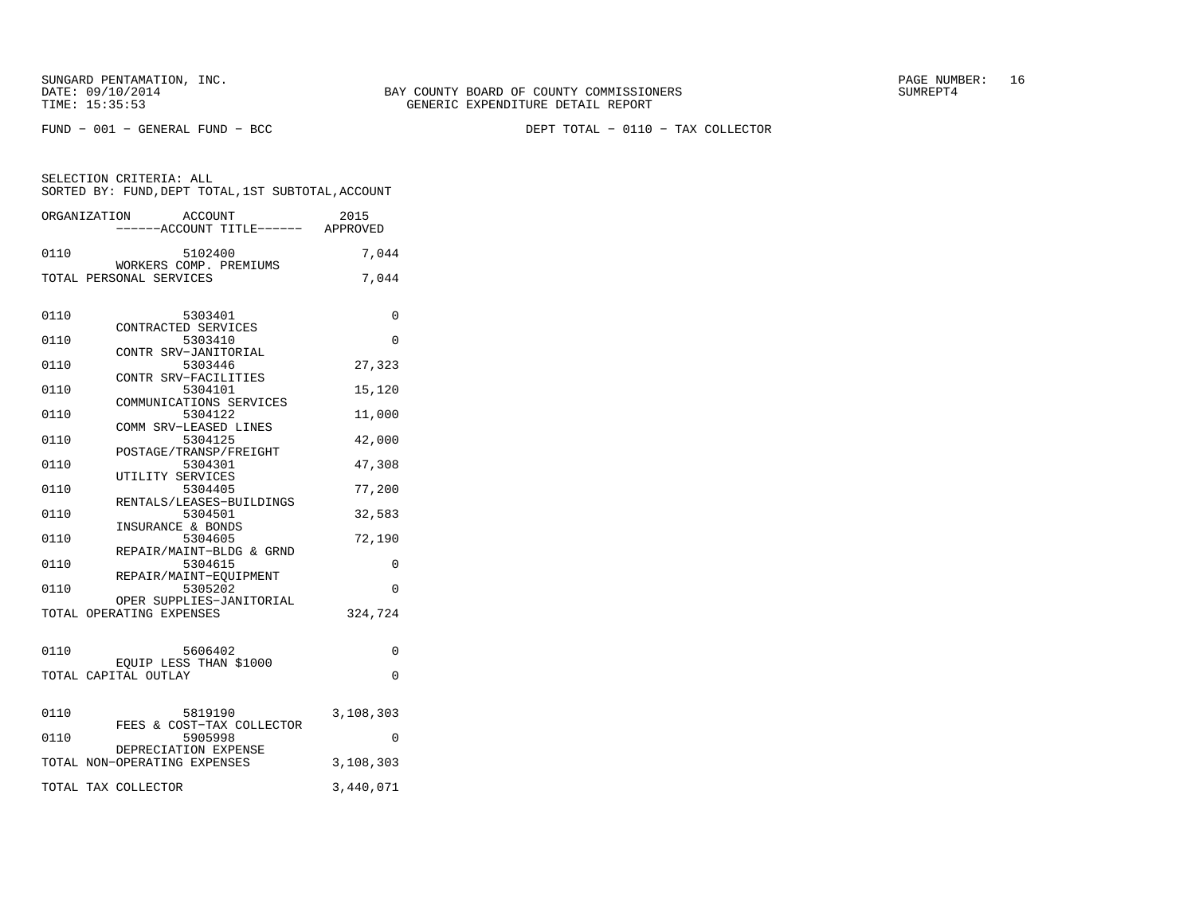FUND − 001 − GENERAL FUND − BCC DEPT TOTAL − 0110 − TAX COLLECTOR

| ORGANIZATION        | <b>ACCOUNT</b><br>----ACCOUNT TITLE------ APPROVED      | 2015      |
|---------------------|---------------------------------------------------------|-----------|
| 0110                | 5102400<br>WORKERS COMP. PREMIUMS                       | 7,044     |
|                     | TOTAL PERSONAL SERVICES                                 | 7,044     |
| 0110                | 5303401                                                 | 0         |
| 0110                | CONTRACTED SERVICES<br>5303410                          | 0         |
| 0110                | CONTR SRV-JANITORIAL<br>5303446<br>CONTR SRV-FACILITIES | 27,323    |
| 0110                | 5304101<br>COMMUNICATIONS SERVICES                      | 15,120    |
| 0110                | 5304122<br>COMM SRV-LEASED LINES                        | 11,000    |
| 0110                | 5304125<br>POSTAGE/TRANSP/FREIGHT                       | 42,000    |
| 0110                | 5304301<br>UTILITY SERVICES                             | 47,308    |
| 0110                | 5304405<br>RENTALS/LEASES-BUILDINGS                     | 77,200    |
| 0110                | 5304501<br>INSURANCE & BONDS                            | 32,583    |
| 0110                | 5304605<br>REPAIR/MAINT-BLDG & GRND                     | 72,190    |
| 0110                | 5304615<br>REPAIR/MAINT-EOUIPMENT                       | 0         |
| 0110                | 5305202<br>OPER SUPPLIES-JANITORIAL                     | 0         |
|                     | TOTAL OPERATING EXPENSES                                | 324,724   |
| 0110                | 5606402                                                 | 0         |
|                     | EOUIP LESS THAN \$1000<br>TOTAL CAPITAL OUTLAY          | $\Omega$  |
|                     |                                                         |           |
| 0110                | 5819190<br>FEES & COST-TAX COLLECTOR                    | 3,108,303 |
| 0110                | 5905998<br>DEPRECIATION EXPENSE                         | $\Omega$  |
|                     | TOTAL NON-OPERATING EXPENSES                            | 3,108,303 |
| TOTAL TAX COLLECTOR |                                                         | 3,440,071 |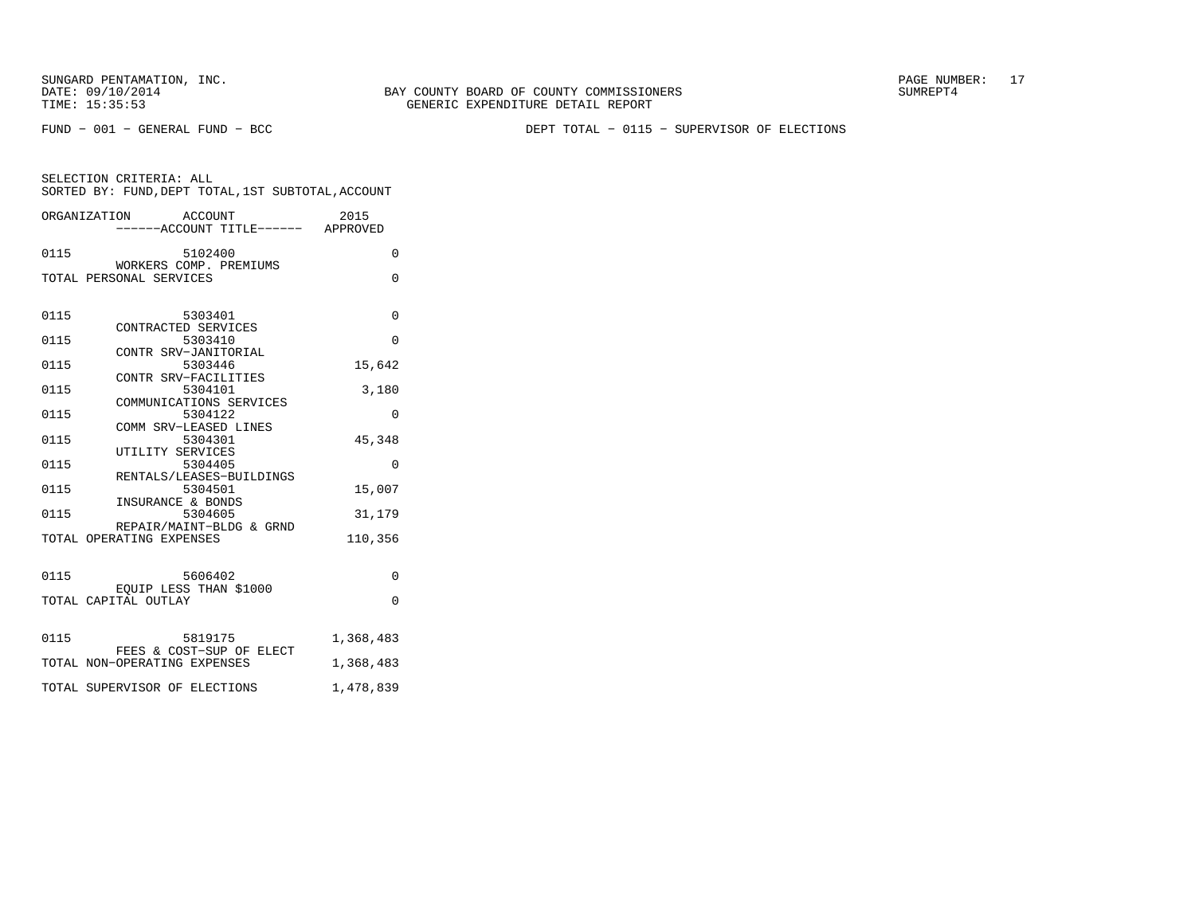BAY COUNTY BOARD OF COUNTY COMMISSIONERS TIME: 15:35:53 GENERIC EXPENDITURE DETAIL REPORT

FUND − 001 − GENERAL FUND − BCC DEPT TOTAL − 0115 − SUPERVISOR OF ELECTIONS

| SELECTION CRITERIA: ALL                            |  |
|----------------------------------------------------|--|
| SORTED BY: FUND, DEPT TOTAL, 1ST SUBTOTAL, ACCOUNT |  |

|      | ORGANIZATION ACCOUNT<br>------ACCOUNT TITLE------ APPROVED | 2015      |
|------|------------------------------------------------------------|-----------|
| 0115 | 5102400                                                    | $\Omega$  |
|      | WORKERS COMP. PREMIUMS<br>TOTAL PERSONAL SERVICES          | $\Omega$  |
| 0115 | 5303401                                                    | 0         |
| 0115 | CONTRACTED SERVICES<br>5303410                             | $\Omega$  |
| 0115 | CONTR SRV-JANITORIAL<br>5303446                            | 15,642    |
| 0115 | CONTR SRV-FACILITIES<br>5304101                            | 3,180     |
| 0115 | COMMUNICATIONS SERVICES<br>5304122                         | 0         |
| 0115 | COMM SRV-LEASED LINES<br>5304301                           | 45,348    |
| 0115 | UTILITY SERVICES<br>5304405                                | $\Omega$  |
| 0115 | RENTALS/LEASES-BUILDINGS<br>5304501                        | 15,007    |
| 0115 | INSURANCE & BONDS<br>5304605                               | 31,179    |
|      | REPAIR/MAINT-BLDG & GRND<br>TOTAL OPERATING EXPENSES       | 110,356   |
| 0115 | 5606402                                                    | 0         |
|      | EQUIP LESS THAN \$1000<br>TOTAL CAPITAL OUTLAY             | $\Omega$  |
|      |                                                            |           |
| 0115 | 5819175<br>FEES & COST-SUP OF ELECT                        | 1,368,483 |
|      | TOTAL NON-OPERATING EXPENSES                               | 1,368,483 |
|      | TOTAL SUPERVISOR OF ELECTIONS                              | 1,478,839 |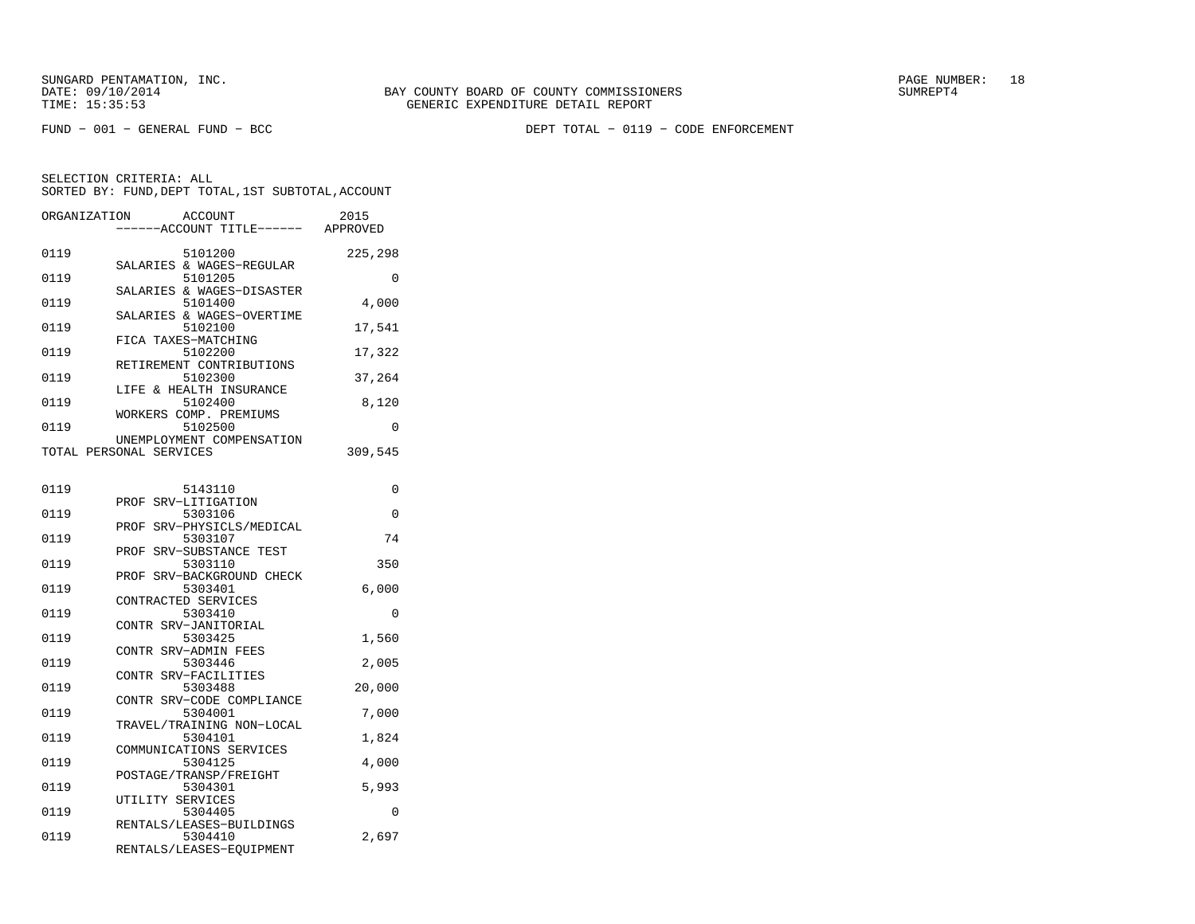FUND − 001 − GENERAL FUND − BCC DEPT TOTAL − 0119 − CODE ENFORCEMENT

| ORGANIZATION | <b>ACCOUNT</b>               | 2015     |
|--------------|------------------------------|----------|
|              | -----ACCOUNT TITLE------     | APPROVED |
| 0119         | 5101200                      | 225,298  |
|              | SALARIES & WAGES-REGULAR     |          |
| 0119         | 5101205                      | 0        |
|              | SALARIES & WAGES-DISASTER    |          |
| 0119         | 5101400                      | 4,000    |
|              | SALARIES & WAGES-OVERTIME    |          |
| 0119         | 5102100                      | 17,541   |
|              | FICA TAXES-MATCHING          |          |
| 0119         | 5102200                      |          |
|              |                              | 17,322   |
|              | RETIREMENT CONTRIBUTIONS     |          |
| 0119         | 5102300                      | 37,264   |
|              | LIFE & HEALTH INSURANCE      |          |
| 0119         | 5102400                      | 8,120    |
|              | WORKERS COMP. PREMIUMS       |          |
| 0119         | 5102500                      | $\Omega$ |
|              | UNEMPLOYMENT COMPENSATION    |          |
|              | TOTAL PERSONAL SERVICES      | 309,545  |
|              |                              |          |
| 0119         | 5143110                      | 0        |
|              | PROF SRV-LITIGATION          |          |
| 0119         | 5303106                      | $\Omega$ |
|              | SRV-PHYSICLS/MEDICAL<br>PROF |          |
| 0119         | 5303107                      | 74       |
|              | SRV-SUBSTANCE TEST<br>PROF   |          |
| 0119         | 5303110                      | 350      |
|              | SRV-BACKGROUND CHECK<br>PROF |          |
| 0119         | 5303401                      | 6,000    |
|              | CONTRACTED SERVICES          |          |
| 0119         | 5303410                      | 0        |
|              | CONTR SRV-JANITORIAL         |          |
| 0119         | 5303425                      | 1,560    |
|              | CONTR SRV-ADMIN FEES         |          |
| 0119         | 5303446                      | 2,005    |
|              | CONTR SRV-FACILITIES         |          |
| 0119         | 5303488                      | 20,000   |
|              | CONTR SRV-CODE COMPLIANCE    |          |
| 0119         | 5304001                      | 7,000    |
|              | TRAVEL/TRAINING NON-LOCAL    |          |
| 0119         | 5304101                      | 1,824    |
|              | COMMUNICATIONS SERVICES      |          |
| 0119         | 5304125                      | 4,000    |
|              | POSTAGE/TRANSP/FREIGHT       |          |
| 0119         | 5304301                      | 5,993    |
|              | UTILITY SERVICES             |          |
| 0119         | 5304405                      | 0        |
|              | RENTALS/LEASES-BUILDINGS     |          |
| 0119         | 5304410                      | 2,697    |
|              | RENTALS/LEASES-EQUIPMENT     |          |
|              |                              |          |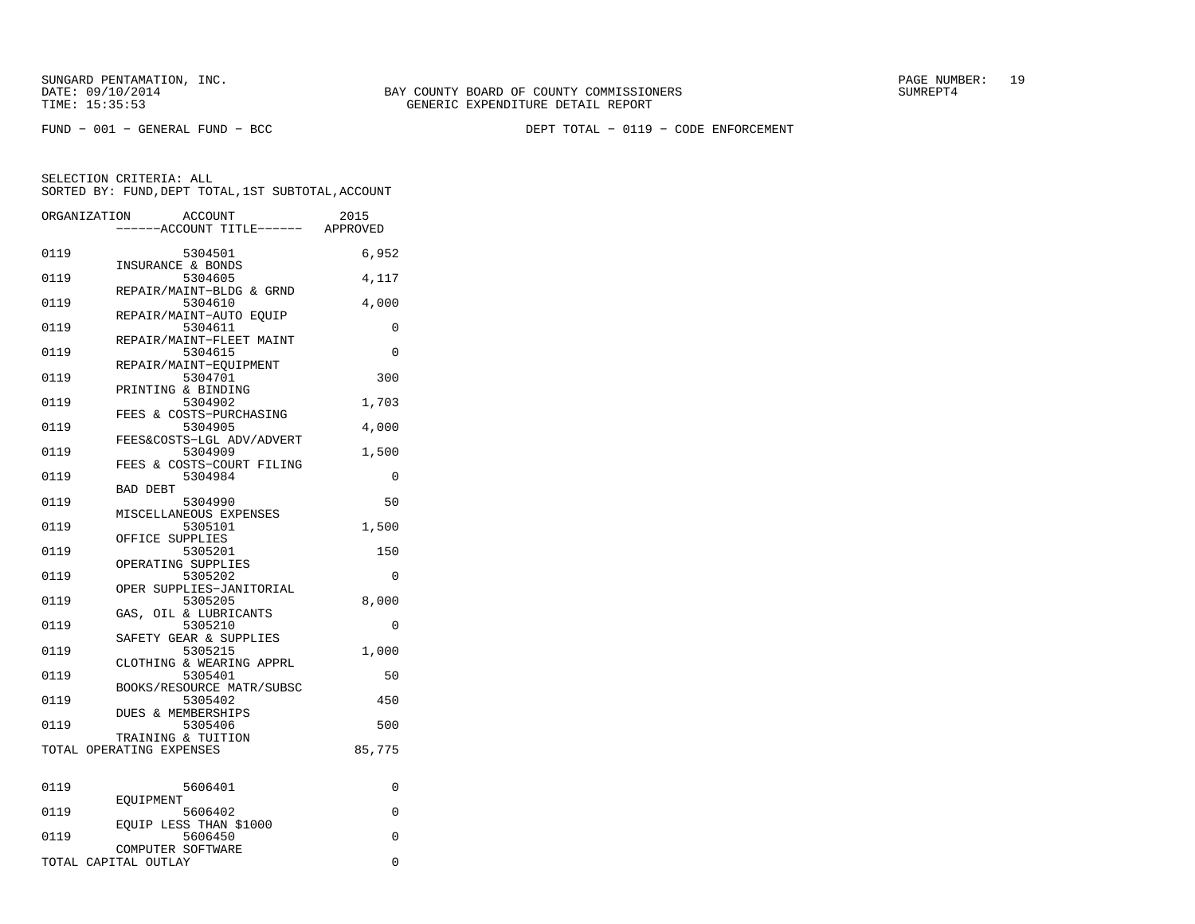FUND − 001 − GENERAL FUND − BCC DEPT TOTAL − 0119 − CODE ENFORCEMENT

| ORGANIZATION | ACCOUNT<br>---ACCOUNT TITLE------ APPROVED     | 2015   |
|--------------|------------------------------------------------|--------|
| 0119         | 5304501<br>INSURANCE & BONDS                   | 6,952  |
| 0119         | 5304605                                        | 4,117  |
| 0119         | REPAIR/MAINT-BLDG & GRND<br>5304610            | 4,000  |
| 0119         | REPAIR/MAINT-AUTO EQUIP<br>5304611             | 0      |
| 0119         | REPAIR/MAINT-FLEET MAINT<br>5304615            | 0      |
| 0119         | REPAIR/MAINT-EQUIPMENT<br>5304701              | 300    |
| 0119         | PRINTING & BINDING<br>5304902                  | 1,703  |
| 0119         | FEES & COSTS-PURCHASING<br>5304905             | 4,000  |
| 0119         | FEES&COSTS-LGL ADV/ADVERT<br>5304909           | 1,500  |
| 0119         | FEES & COSTS-COURT FILING<br>5304984           | 0      |
| 0119         | <b>BAD DEBT</b><br>5304990                     | 50     |
| 0119         | MISCELLANEOUS EXPENSES<br>5305101              | 1,500  |
| 0119         | OFFICE SUPPLIES<br>5305201                     | 150    |
| 0119         | OPERATING SUPPLIES<br>5305202                  | 0      |
| 0119         | OPER SUPPLIES-JANITORIAL<br>5305205            | 8,000  |
| 0119         | GAS, OIL & LUBRICANTS<br>5305210               | 0      |
| 0119         | SAFETY GEAR & SUPPLIES<br>5305215              | 1,000  |
| 0119         | CLOTHING & WEARING APPRL<br>5305401            | 50     |
| 0119         | BOOKS/RESOURCE MATR/SUBSC<br>5305402           | 450    |
| 0119         | DUES & MEMBERSHIPS<br>5305406                  | 500    |
|              | TRAINING & TUITION<br>TOTAL OPERATING EXPENSES | 85,775 |
|              |                                                |        |
| 0119         | 5606401                                        | 0      |
| 0119         | EOUIPMENT<br>5606402                           | 0      |
| 0119         | EQUIP LESS THAN \$1000<br>5606450              | 0      |
|              | COMPUTER SOFTWARE<br>TOTAL CAPITAL OUTLAY      | 0      |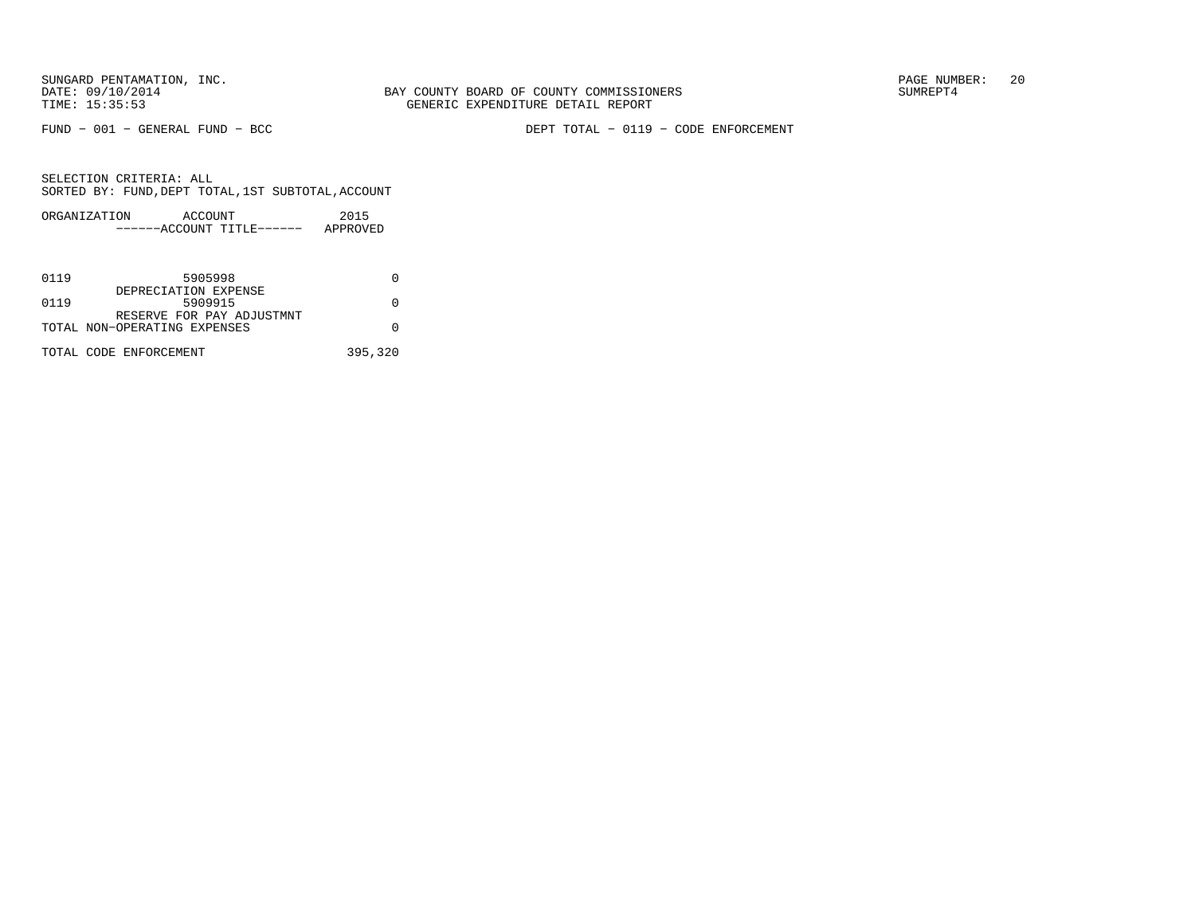FUND − 001 − GENERAL FUND − BCC DEPT TOTAL − 0119 − CODE ENFORCEMENT

| ORGANIZATION | ACCOUNT |                       | 2015     |
|--------------|---------|-----------------------|----------|
|              |         | $---ACCOINT TITLE---$ | APPROVED |

| 0119 | 5905998                         |         |
|------|---------------------------------|---------|
| 0119 | DEPRECIATION EXPENSE<br>5909915 |         |
|      | RESERVE FOR PAY ADJUSTMNT       |         |
|      | TOTAL NON-OPERATING EXPENSES    |         |
|      | TOTAL CODE ENFORCEMENT          | 395,320 |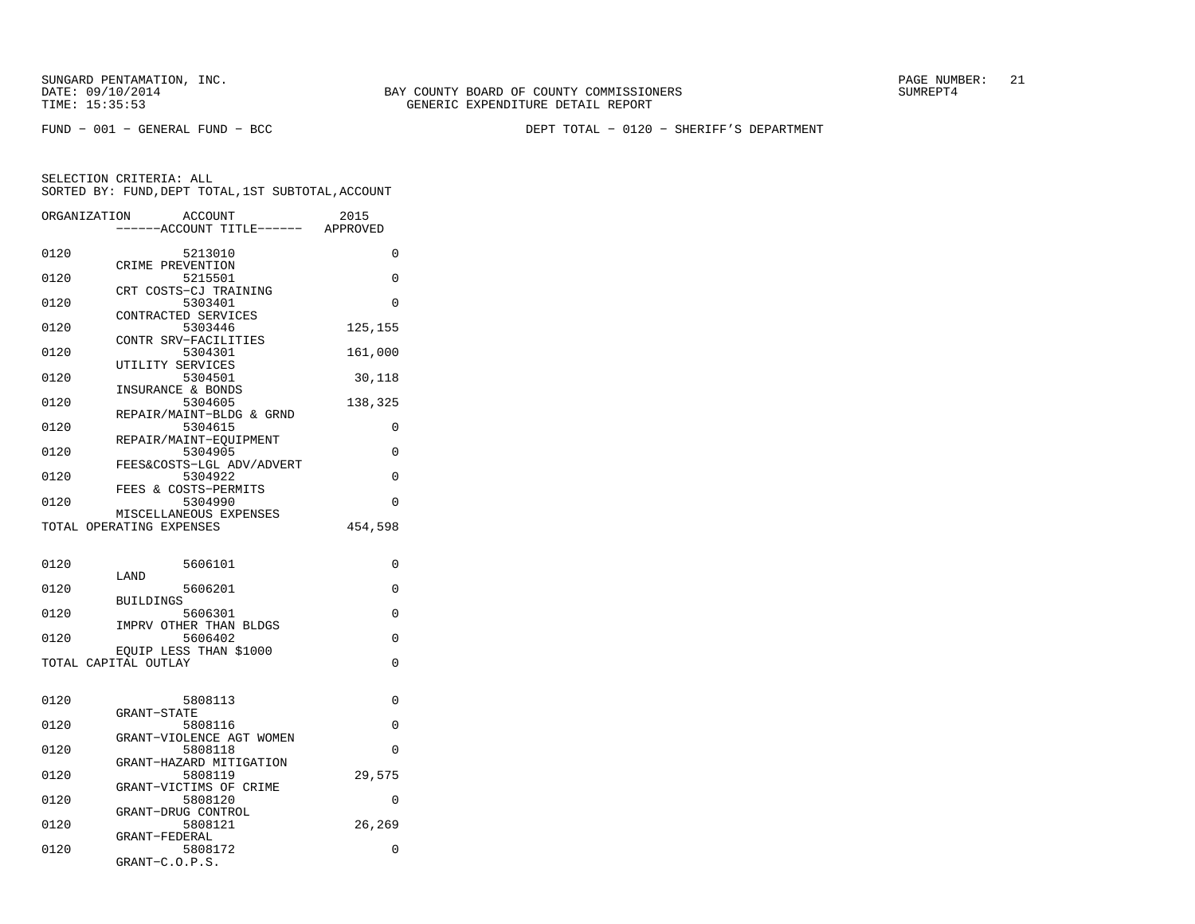FUND − 001 − GENERAL FUND − BCC DEPT TOTAL − 0120 − SHERIFF'S DEPARTMENT

| ORGANIZATION | <b>ACCOUNT</b>                                     | 2015     |
|--------------|----------------------------------------------------|----------|
|              | --ACCOUNT TITLE------ APPROVED                     |          |
| 0120         | 5213010                                            | 0        |
|              | CRIME PREVENTION                                   |          |
| 0120         | 5215501<br>CRT COSTS-CJ TRAINING                   | 0        |
| 0120         | 5303401                                            | $\Omega$ |
|              | CONTRACTED SERVICES                                |          |
| 0120         | 5303446                                            | 125,155  |
| 0120         | CONTR SRV-FACILITIES<br>5304301                    | 161,000  |
|              | UTILITY SERVICES                                   |          |
| 0120         | 5304501                                            | 30,118   |
| 0120         | INSURANCE & BONDS<br>5304605                       | 138,325  |
|              | REPAIR/MAINT-BLDG & GRND                           |          |
| 0120         | 5304615                                            | 0        |
|              | REPAIR/MAINT-EQUIPMENT                             |          |
| 0120         | 5304905<br>FEES&COSTS-LGL ADV/ADVERT               | 0        |
| 0120         | 5304922                                            | 0        |
|              | FEES & COSTS-PERMITS                               |          |
| 0120         | 5304990                                            | 0        |
|              | MISCELLANEOUS EXPENSES<br>TOTAL OPERATING EXPENSES | 454,598  |
|              |                                                    |          |
|              |                                                    |          |
| 0120         | 5606101<br>LAND                                    | 0        |
| 0120         | 5606201                                            | 0        |
|              | <b>BUILDINGS</b>                                   |          |
| 0120         | 5606301<br>IMPRV OTHER THAN BLDGS                  | 0        |
| 0120         | 5606402                                            | 0        |
|              | EOUIP LESS THAN \$1000                             |          |
|              | TOTAL CAPITAL OUTLAY                               | $\Omega$ |
|              |                                                    |          |
| 0120         | 5808113                                            | 0        |
|              | GRANT-STATE                                        |          |
| 0120         | 5808116<br>GRANT-VIOLENCE AGT WOMEN                | $\Omega$ |
| 0120         | 5808118                                            | $\Omega$ |
|              | GRANT-HAZARD MITIGATION                            |          |
| 0120         | 5808119                                            | 29,575   |
| 0120         | GRANT-VICTIMS OF CRIME<br>5808120                  | 0        |
|              | GRANT-DRUG CONTROL                                 |          |
| 0120         | 5808121                                            | 26,269   |
| 0120         | GRANT-FEDERAL<br>5808172                           | 0        |
|              | GRANT-C.O.P.S.                                     |          |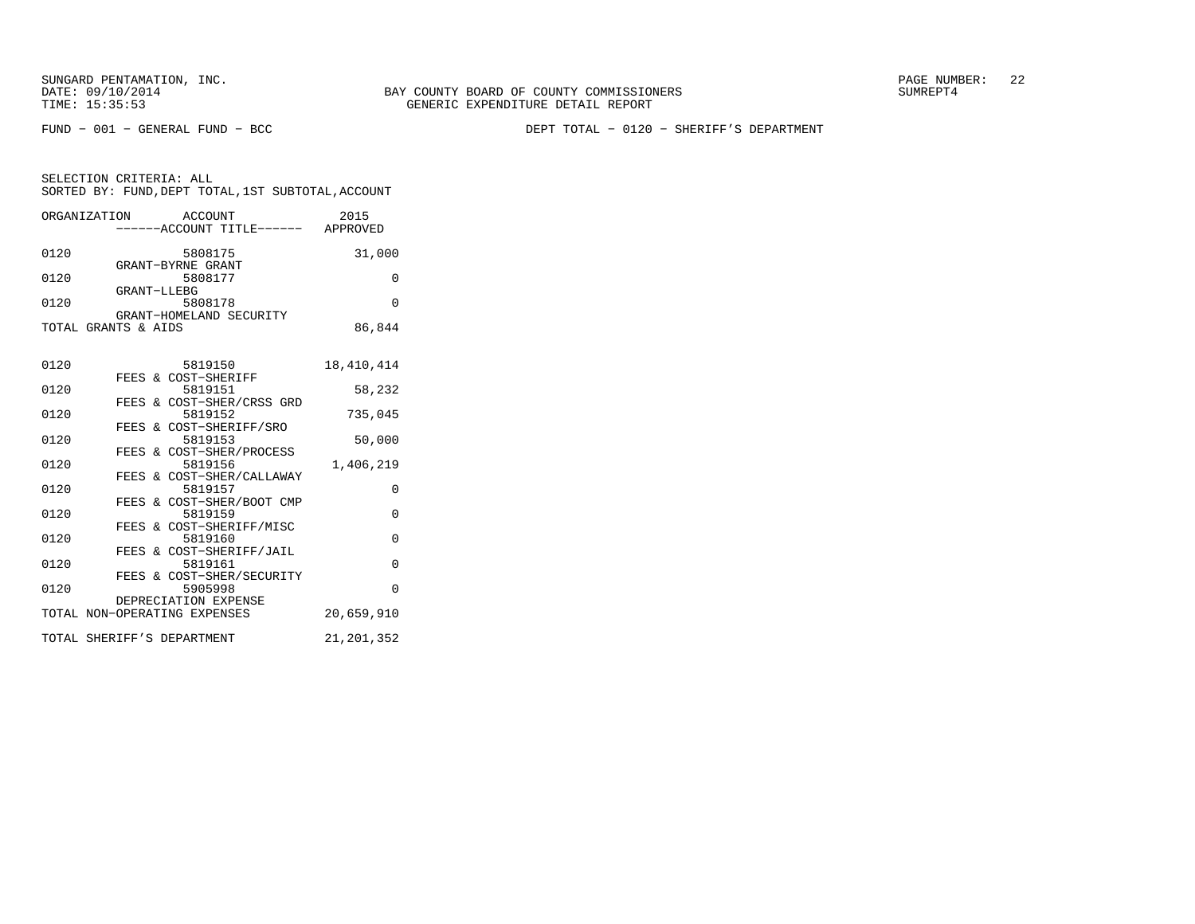BAY COUNTY BOARD OF COUNTY COMMISSIONERS TIME: 15:35:53 GENERIC EXPENDITURE DETAIL REPORT

FUND − 001 − GENERAL FUND − BCC DEPT TOTAL − 0120 − SHERIFF'S DEPARTMENT

|      | ORGANIZATION               | ACCOUNT                             | 2015         |
|------|----------------------------|-------------------------------------|--------------|
|      |                            | -----ACCOUNT TITLE------ APPROVED   |              |
| 0120 |                            | 5808175                             | 31,000       |
|      |                            | GRANT-BYRNE GRANT                   |              |
| 0120 |                            | 5808177                             | 0            |
|      | GRANT-LLEBG                |                                     |              |
| 0120 |                            | 5808178                             | $\Omega$     |
|      |                            | GRANT-HOMELAND SECURITY             |              |
|      | TOTAL GRANTS & AIDS        |                                     | 86,844       |
|      |                            |                                     |              |
| 0120 |                            | 5819150                             | 18, 410, 414 |
|      |                            | FEES & COST-SHERIFF                 |              |
| 0120 |                            | 5819151                             | 58,232       |
|      |                            | FEES & COST-SHER/CRSS GRD           |              |
| 0120 |                            | 5819152                             | 735,045      |
| 0120 |                            | FEES & COST-SHERIFF/SRO<br>5819153  |              |
|      |                            | FEES & COST-SHER/PROCESS            | 50,000       |
| 0120 |                            | 5819156                             | 1,406,219    |
|      |                            | FEES & COST-SHER/CALLAWAY           |              |
| 0120 |                            | 5819157                             | 0            |
|      |                            | FEES & COST-SHER/BOOT CMP           |              |
| 0120 |                            | 5819159                             | $\Omega$     |
|      |                            | FEES & COST-SHERIFF/MISC            |              |
| 0120 |                            | 5819160                             | 0            |
| 0120 |                            | FEES & COST-SHERIFF/JAIL<br>5819161 | $\Omega$     |
|      |                            | FEES & COST-SHER/SECURITY           |              |
| 0120 |                            | 5905998                             | $\Omega$     |
|      |                            | DEPRECIATION EXPENSE                |              |
|      |                            | TOTAL NON-OPERATING EXPENSES        | 20,659,910   |
|      |                            |                                     |              |
|      | TOTAL SHERIFF'S DEPARTMENT |                                     | 21,201,352   |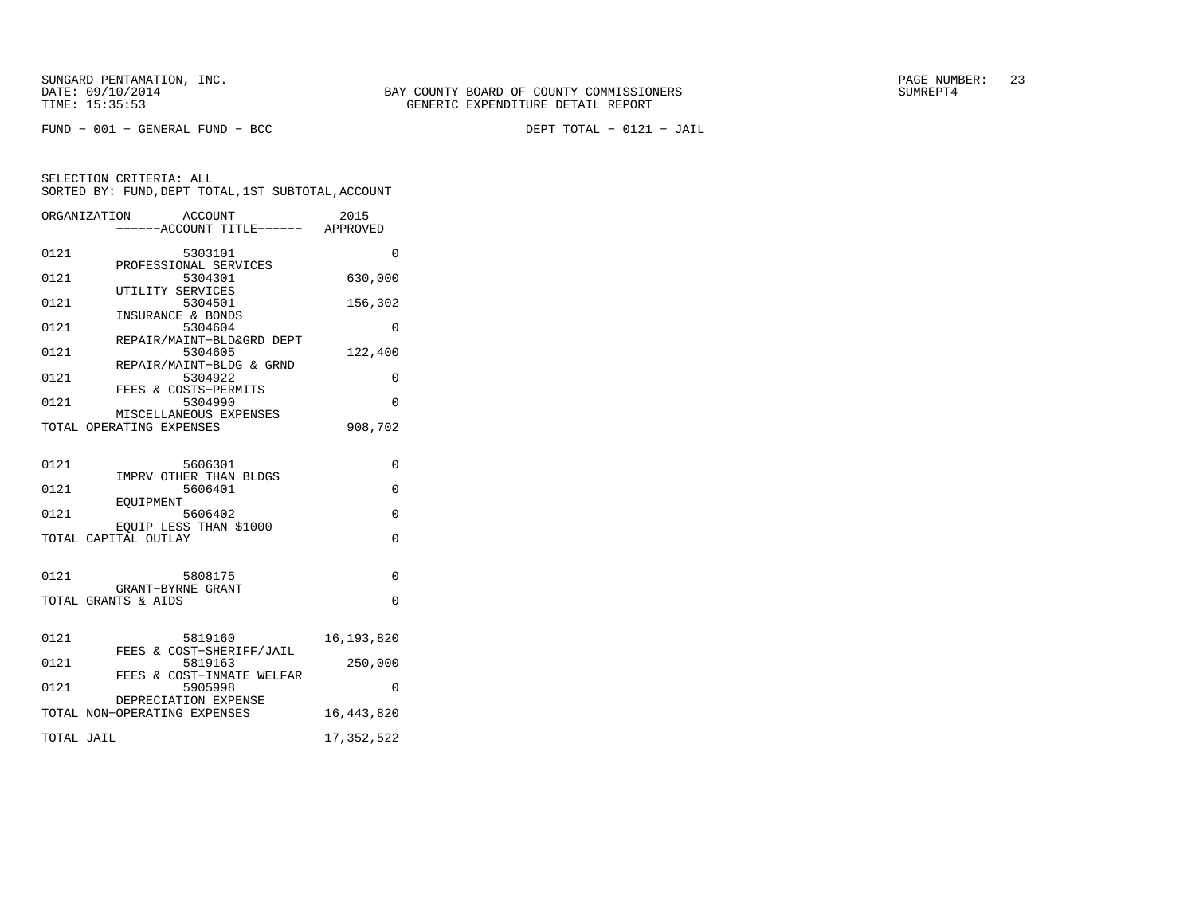FUND − 001 − GENERAL FUND − BCC DEPT TOTAL − 0121 − JAIL

|            | ORGANIZATION<br><b>ACCOUNT</b><br>-----ACCOUNT TITLE------ APPROVED | 2015         |
|------------|---------------------------------------------------------------------|--------------|
| 0121       | 5303101<br>PROFESSIONAL SERVICES                                    | $\Omega$     |
| 0121       | 5304301<br>UTILITY SERVICES                                         | 630,000      |
| 0121       | 5304501<br>INSURANCE & BONDS                                        | 156,302      |
| 0121       | 5304604<br>REPAIR/MAINT-BLD&GRD DEPT                                | 0            |
| 0121       | 5304605<br>REPAIR/MAINT-BLDG & GRND                                 | 122,400      |
| 0121       | 5304922<br>FEES & COSTS-PERMITS                                     | 0            |
| 0121       | 5304990                                                             | $\Omega$     |
|            | MISCELLANEOUS EXPENSES<br>TOTAL OPERATING EXPENSES                  | 908,702      |
| 0121       | 5606301<br>IMPRV OTHER THAN BLDGS                                   | 0            |
| 0121       | 5606401                                                             | 0            |
| 0121       | EOUIPMENT<br>5606402                                                | 0            |
|            | EQUIP LESS THAN \$1000<br>TOTAL CAPITAL OUTLAY                      | $\Omega$     |
| 0121       | 5808175<br>GRANT-BYRNE GRANT                                        | $\Omega$     |
|            | TOTAL GRANTS & AIDS                                                 | $\Omega$     |
| 0121       | 5819160<br>FEES & COST-SHERIFF/JAIL                                 | 16, 193, 820 |
| 0121       | 5819163<br>FEES & COST-INMATE WELFAR                                | 250,000      |
| 0121       | 5905998<br>DEPRECIATION EXPENSE                                     | 0            |
|            | TOTAL NON-OPERATING EXPENSES                                        | 16,443,820   |
| TOTAL JAIL |                                                                     | 17, 352, 522 |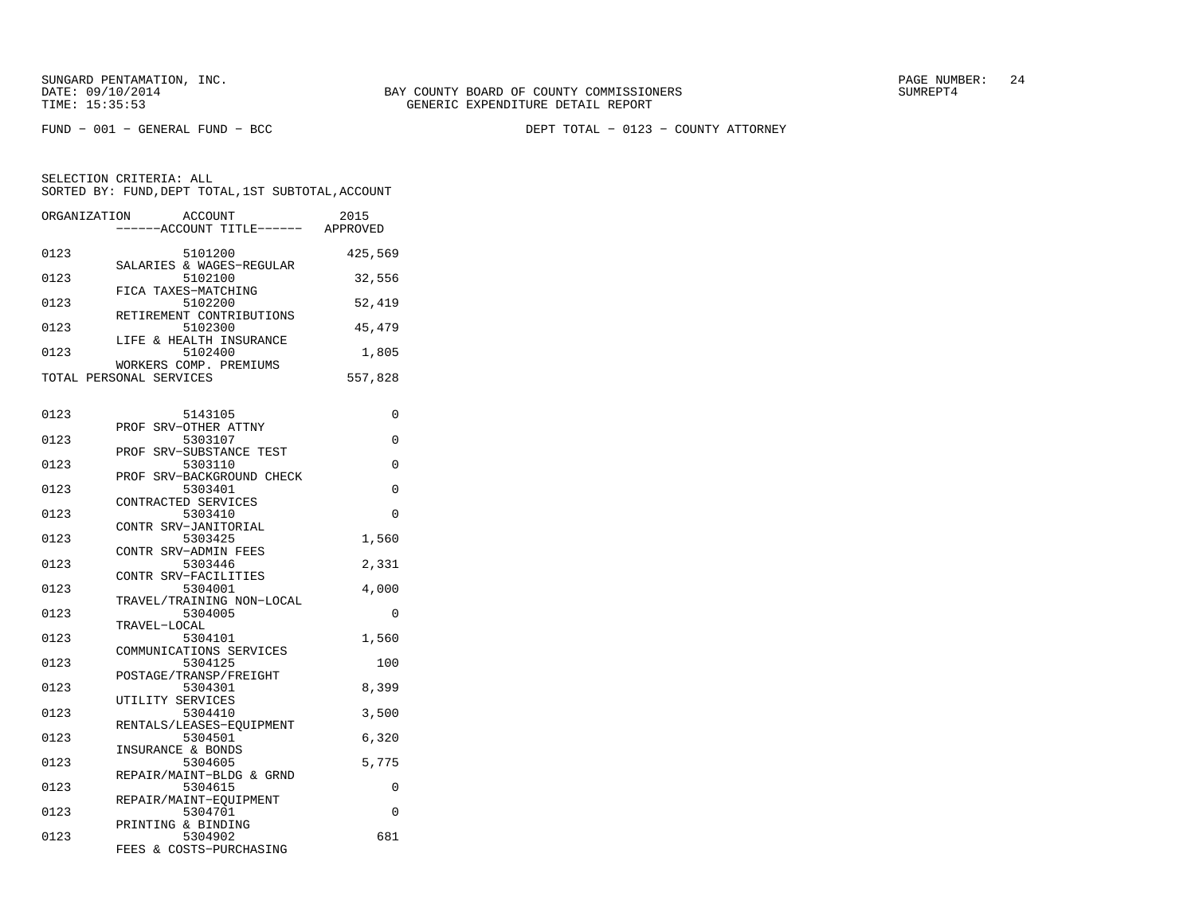FUND − 001 − GENERAL FUND − BCC DEPT TOTAL − 0123 − COUNTY ATTORNEY

| ORGANIZATION | <b>ACCOUNT</b><br>----ACCOUNT TITLE------ APPROVED | 2015     |
|--------------|----------------------------------------------------|----------|
| 0123         | 5101200                                            | 425,569  |
| 0123         | SALARIES & WAGES-REGULAR<br>5102100                | 32,556   |
| 0123         | FICA TAXES-MATCHING<br>5102200                     | 52,419   |
| 0123         | RETIREMENT CONTRIBUTIONS<br>5102300                | 45,479   |
| 0123         | LIFE & HEALTH INSURANCE<br>5102400                 | 1,805    |
|              | WORKERS COMP. PREMIUMS<br>TOTAL PERSONAL SERVICES  | 557,828  |
| 0123         | 5143105                                            | 0        |
|              | PROF SRV-OTHER ATTNY                               |          |
| 0123         | 5303107                                            | 0        |
| 0123         | PROF SRV-SUBSTANCE TEST<br>5303110                 | 0        |
| 0123         | PROF SRV-BACKGROUND CHECK<br>5303401               | 0        |
| 0123         | CONTRACTED SERVICES<br>5303410                     | $\Omega$ |
| 0123         | CONTR SRV-JANITORIAL<br>5303425                    | 1,560    |
| 0123         | CONTR SRV-ADMIN FEES<br>5303446                    | 2,331    |
| 0123         | CONTR SRV-FACILITIES<br>5304001                    | 4,000    |
| 0123         | TRAVEL/TRAINING NON-LOCAL<br>5304005               | $\Omega$ |
| 0123         | TRAVEL-LOCAL<br>5304101<br>COMMUNICATIONS SERVICES | 1,560    |
| 0123         | 5304125<br>POSTAGE/TRANSP/FREIGHT                  | 100      |
| 0123         | 5304301<br>UTILITY SERVICES                        | 8,399    |
| 0123         | 5304410<br>RENTALS/LEASES-EQUIPMENT                | 3,500    |
| 0123         | 5304501<br>INSURANCE & BONDS                       | 6,320    |
| 0123         | 5304605<br>REPAIR/MAINT-BLDG & GRND                | 5,775    |
| 0123         | 5304615<br>REPAIR/MAINT-EOUIPMENT                  | 0        |
| 0123         | 5304701<br>PRINTING & BINDING                      | 0        |
| 0123         | 5304902<br>FEES & COSTS-PURCHASING                 | 681      |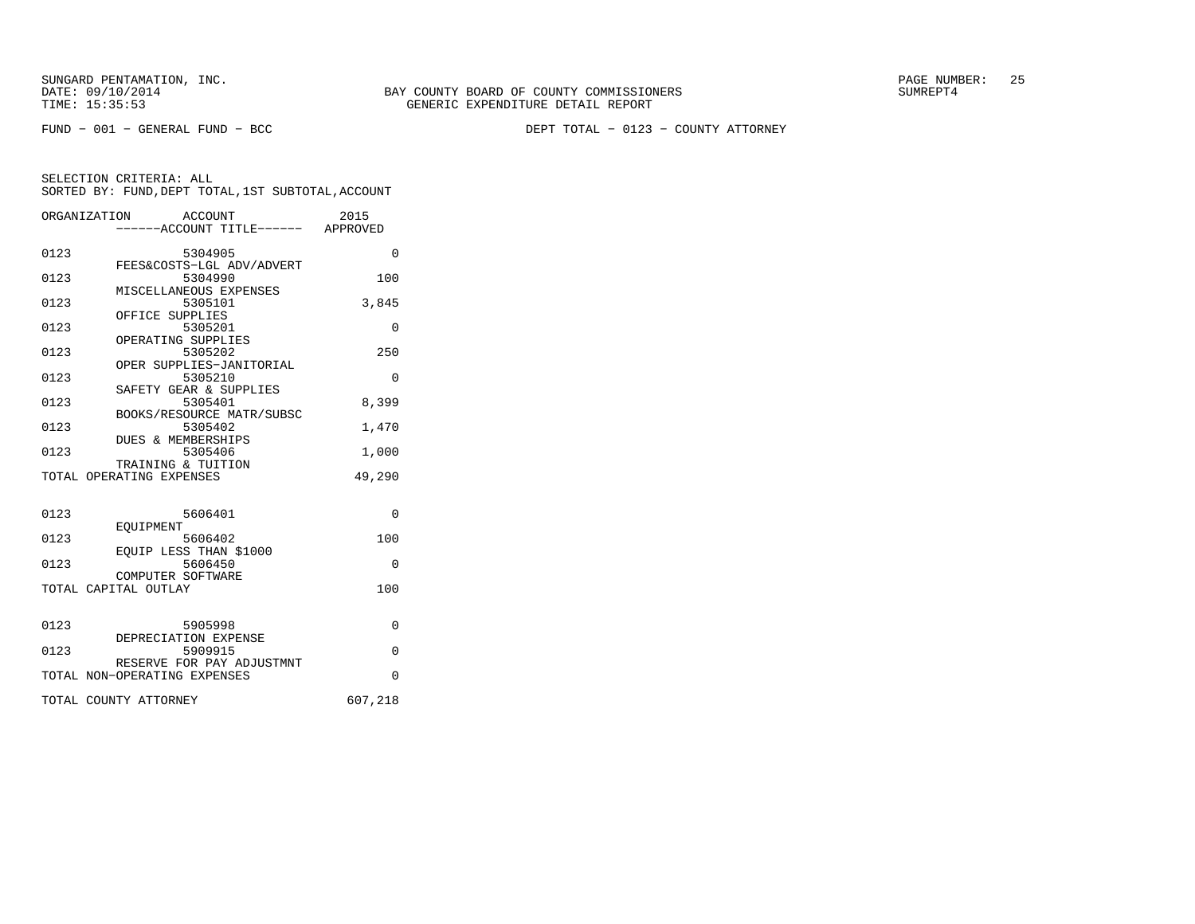FUND − 001 − GENERAL FUND − BCC DEPT TOTAL − 0123 − COUNTY ATTORNEY

|      | ORGANIZATION<br>ACCOUNT<br>------ACCOUNT TITLE------ APPROVED | 2015     |
|------|---------------------------------------------------------------|----------|
| 0123 | 5304905<br>FEES&COSTS-LGL ADV/ADVERT                          | $\Omega$ |
| 0123 | 5304990<br>MISCELLANEOUS EXPENSES                             | 100      |
| 0123 | 5305101<br>OFFICE SUPPLIES                                    | 3,845    |
| 0123 | 5305201<br>OPERATING SUPPLIES                                 | $\Omega$ |
| 0123 | 5305202<br>OPER SUPPLIES-JANITORIAL                           | 250      |
| 0123 | 5305210<br>SAFETY GEAR & SUPPLIES                             | 0        |
| 0123 | 5305401<br>BOOKS/RESOURCE MATR/SUBSC                          | 8,399    |
| 0123 | 5305402<br>DUES & MEMBERSHIPS                                 | 1,470    |
| 0123 | 5305406<br>TRAINING & TUITION                                 | 1,000    |
|      | TOTAL OPERATING EXPENSES                                      | 49,290   |
| 0123 | 5606401<br>EOUIPMENT                                          | $\Omega$ |
| 0123 | 5606402<br>EOUIP LESS THAN \$1000                             | 100      |
| 0123 | 5606450<br>COMPUTER SOFTWARE                                  | 0        |
|      | TOTAL CAPITAL OUTLAY                                          | 100      |
| 0123 | 5905998                                                       | $\Omega$ |
| 0123 | DEPRECIATION EXPENSE<br>5909915                               | $\Omega$ |
|      | RESERVE FOR PAY ADJUSTMNT<br>TOTAL NON-OPERATING EXPENSES     | $\Omega$ |
|      | TOTAL COUNTY ATTORNEY                                         | 607,218  |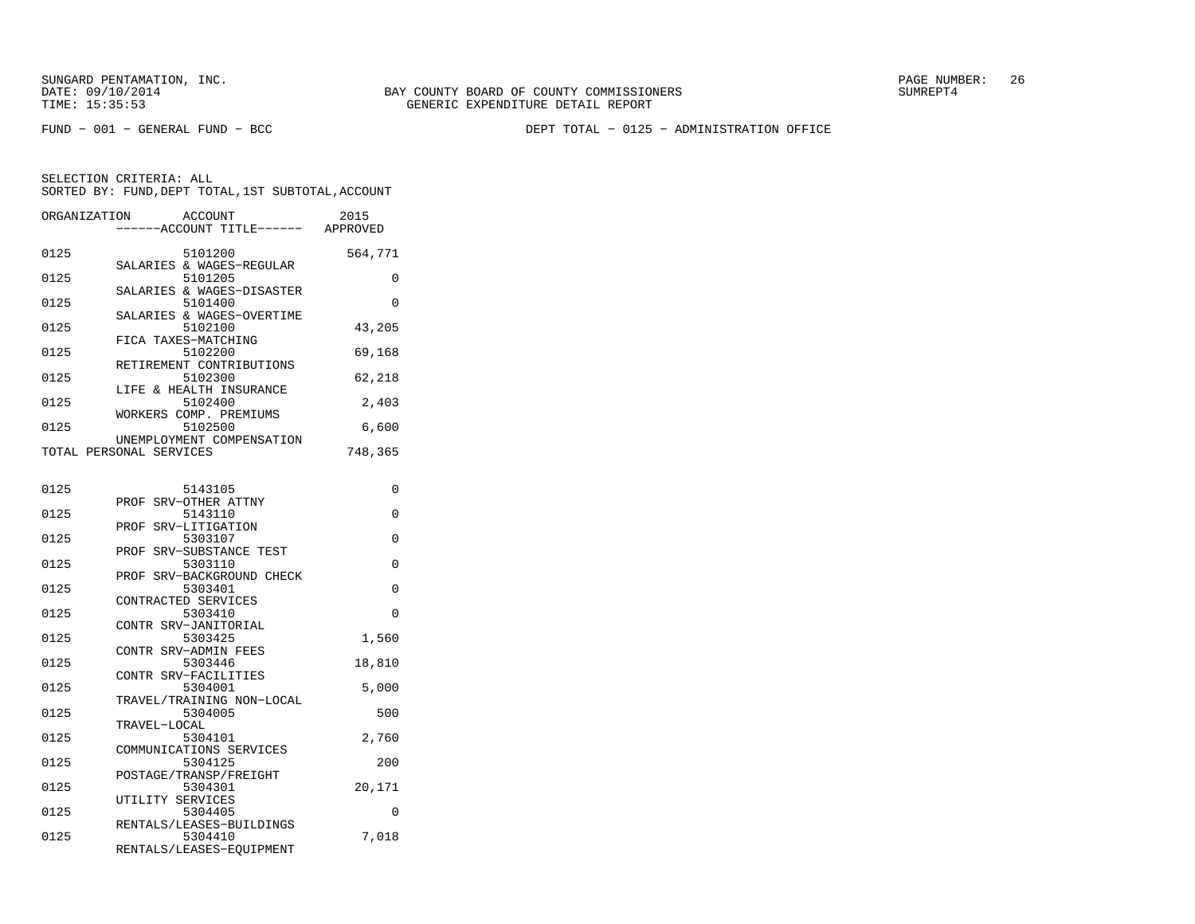FUND − 001 − GENERAL FUND − BCC DEPT TOTAL − 0125 − ADMINISTRATION OFFICE

| ORGANIZATION | <b>ACCOUNT</b>                  | 2015     |
|--------------|---------------------------------|----------|
|              | ----ACCOUNT TITLE------         | APPROVED |
|              |                                 |          |
| 0125         | 5101200                         | 564,771  |
|              | SALARIES & WAGES-REGULAR        |          |
| 0125         | 5101205                         | 0        |
|              | SALARIES & WAGES-DISASTER       |          |
| 0125         | 5101400                         | $\Omega$ |
|              | SALARIES & WAGES-OVERTIME       |          |
| 0125         | 5102100<br>FICA TAXES-MATCHING  | 43,205   |
| 0125         | 5102200                         | 69,168   |
|              | RETIREMENT CONTRIBUTIONS        |          |
| 0125         | 5102300                         | 62,218   |
|              | LIFE & HEALTH INSURANCE         |          |
| 0125         | 5102400                         | 2,403    |
|              | WORKERS COMP. PREMIUMS          |          |
| 0125         | 5102500                         | 6,600    |
|              | UNEMPLOYMENT COMPENSATION       |          |
|              | TOTAL PERSONAL SERVICES         | 748,365  |
|              |                                 |          |
|              |                                 |          |
| 0125         | 5143105                         | 0        |
|              | PROF SRV-OTHER ATTNY            |          |
| 0125         | 5143110                         | 0        |
|              | PROF<br>SRV-LITIGATION          |          |
| 0125         | 5303107                         | 0        |
|              | SRV-SUBSTANCE TEST<br>PROF      |          |
| 0125         | 5303110<br>SRV-BACKGROUND CHECK | 0        |
| 0125         | PROF<br>5303401                 | 0        |
|              | CONTRACTED SERVICES             |          |
| 0125         | 5303410                         | $\Omega$ |
|              | CONTR SRV-JANITORIAL            |          |
| 0125         | 5303425                         | 1,560    |
|              | CONTR SRV-ADMIN FEES            |          |
| 0125         | 5303446                         | 18,810   |
|              | CONTR SRV-FACILITIES            |          |
| 0125         | 5304001                         | 5,000    |
|              | TRAVEL/TRAINING NON-LOCAL       |          |
| 0125         | 5304005                         | 500      |
|              | TRAVEL-LOCAL                    |          |
| 0125         | 5304101                         | 2,760    |
|              | COMMUNICATIONS SERVICES         |          |
| 0125         | 5304125                         | 200      |
|              | POSTAGE/TRANSP/FREIGHT          |          |
| 0125         | 5304301                         | 20,171   |
| 0125         | UTILITY SERVICES<br>5304405     | 0        |
|              | RENTALS/LEASES-BUILDINGS        |          |
| 0125         | 5304410                         | 7,018    |
|              | RENTALS/LEASES-EQUIPMENT        |          |
|              |                                 |          |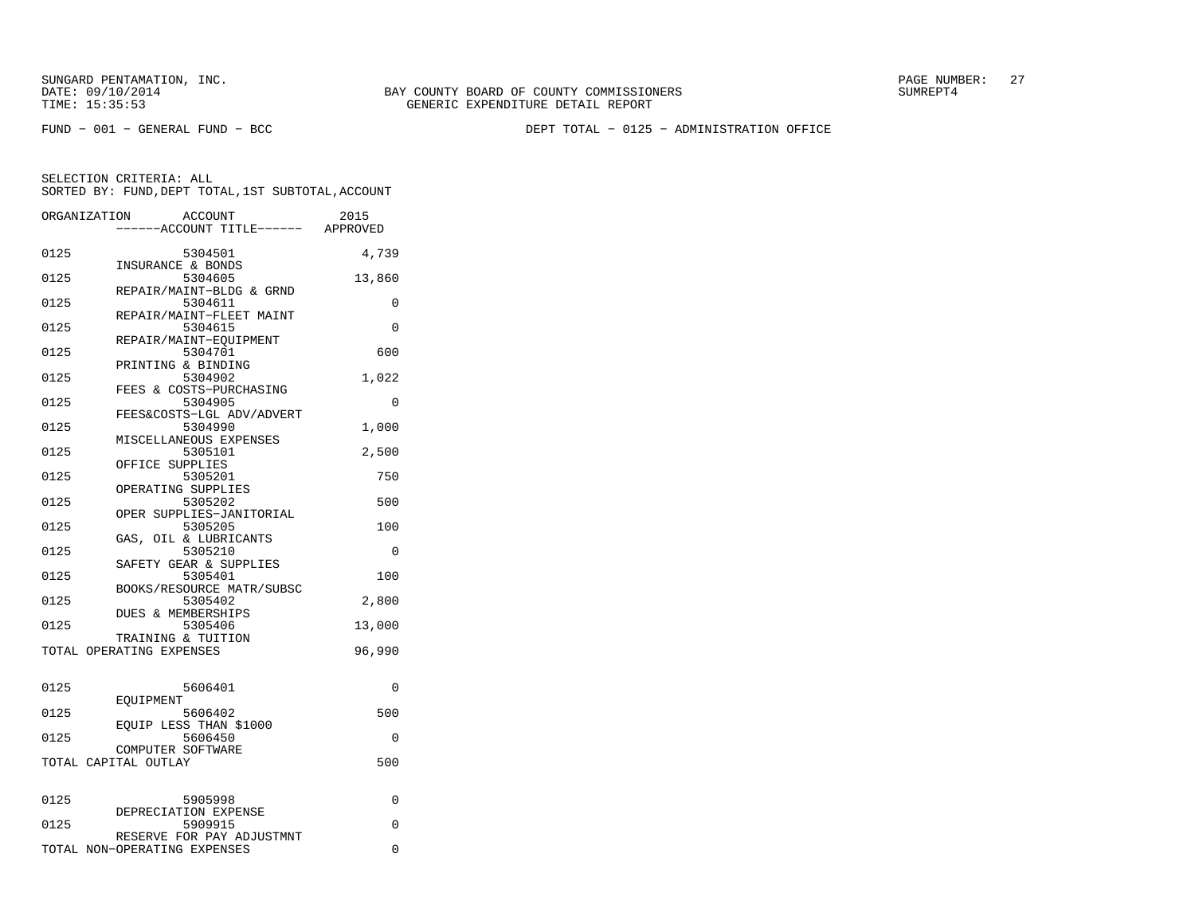FUND − 001 − GENERAL FUND − BCC DEPT TOTAL − 0125 − ADMINISTRATION OFFICE

|      | ORGANIZATION<br>ACCOUNT<br>----ACCOUNT TITLE------ APPROVED   | 2015     |
|------|---------------------------------------------------------------|----------|
| 0125 | 5304501                                                       | 4,739    |
| 0125 | INSURANCE & BONDS<br>5304605                                  | 13,860   |
| 0125 | REPAIR/MAINT-BLDG & GRND<br>5304611                           | 0        |
| 0125 | REPAIR/MAINT-FLEET MAINT<br>5304615<br>REPAIR/MAINT-EOUIPMENT | $\Omega$ |
| 0125 | 5304701<br>PRINTING & BINDING                                 | 600      |
| 0125 | 5304902<br>FEES & COSTS-PURCHASING                            | 1,022    |
| 0125 | 5304905<br>FEES&COSTS-LGL ADV/ADVERT                          | 0        |
| 0125 | 5304990<br>MISCELLANEOUS EXPENSES                             | 1,000    |
| 0125 | 5305101<br>OFFICE SUPPLIES                                    | 2,500    |
| 0125 | 5305201<br>OPERATING SUPPLIES                                 | 750      |
| 0125 | 5305202<br>OPER SUPPLIES-JANITORIAL                           | 500      |
| 0125 | 5305205<br>GAS, OIL & LUBRICANTS                              | 100      |
| 0125 | 5305210<br>SAFETY GEAR & SUPPLIES                             | $\Omega$ |
| 0125 | 5305401<br>BOOKS/RESOURCE MATR/SUBSC                          | 100      |
| 0125 | 5305402<br>DUES & MEMBERSHIPS                                 | 2,800    |
| 0125 | 5305406<br>TRAINING & TUITION                                 | 13,000   |
|      | TOTAL OPERATING EXPENSES                                      | 96,990   |
| 0125 | 5606401                                                       | 0        |
| 0125 | EOUIPMENT<br>5606402                                          | 500      |
| 0125 | EQUIP LESS THAN \$1000<br>5606450                             | 0        |
|      | COMPUTER SOFTWARE<br>TOTAL CAPITAL OUTLAY                     | 500      |
| 0125 | 5905998                                                       | 0        |
| 0125 | DEPRECIATION EXPENSE<br>5909915                               | $\Omega$ |
|      | RESERVE FOR PAY ADJUSTMNT<br>TOTAL NON-OPERATING EXPENSES     | $\Omega$ |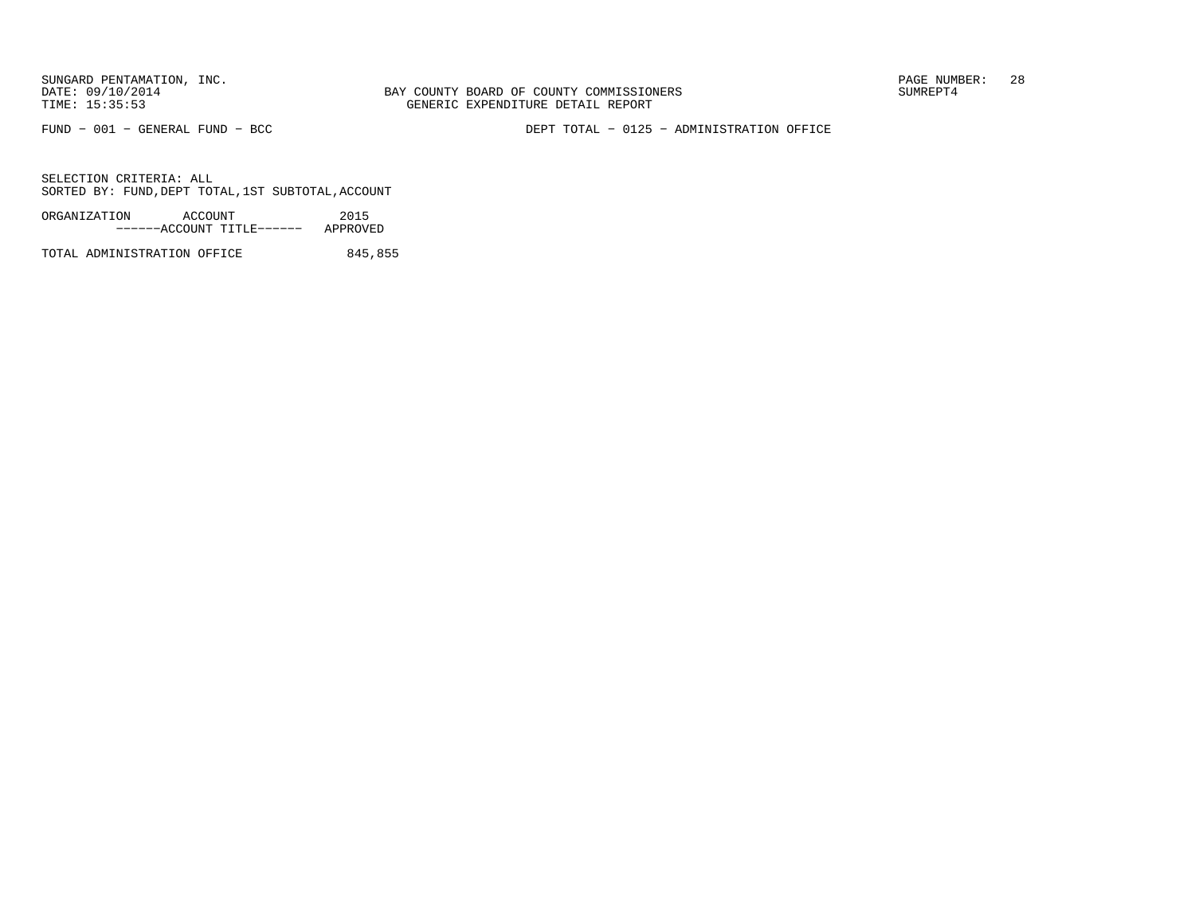BAY COUNTY BOARD OF COUNTY COMMISSIONERS TIME: 15:35:53 GENERIC EXPENDITURE DETAIL REPORT

FUND − 001 − GENERAL FUND − BCC DEPT TOTAL − 0125 − ADMINISTRATION OFFICE

SELECTION CRITERIA: ALLSORTED BY: FUND,DEPT TOTAL,1ST SUBTOTAL,ACCOUNT

ORGANIZATION ACCOUNT 2015−−−−−−ACCOUNT TITLE−−−−−− APPROVED

TOTAL ADMINISTRATION OFFICE 845,855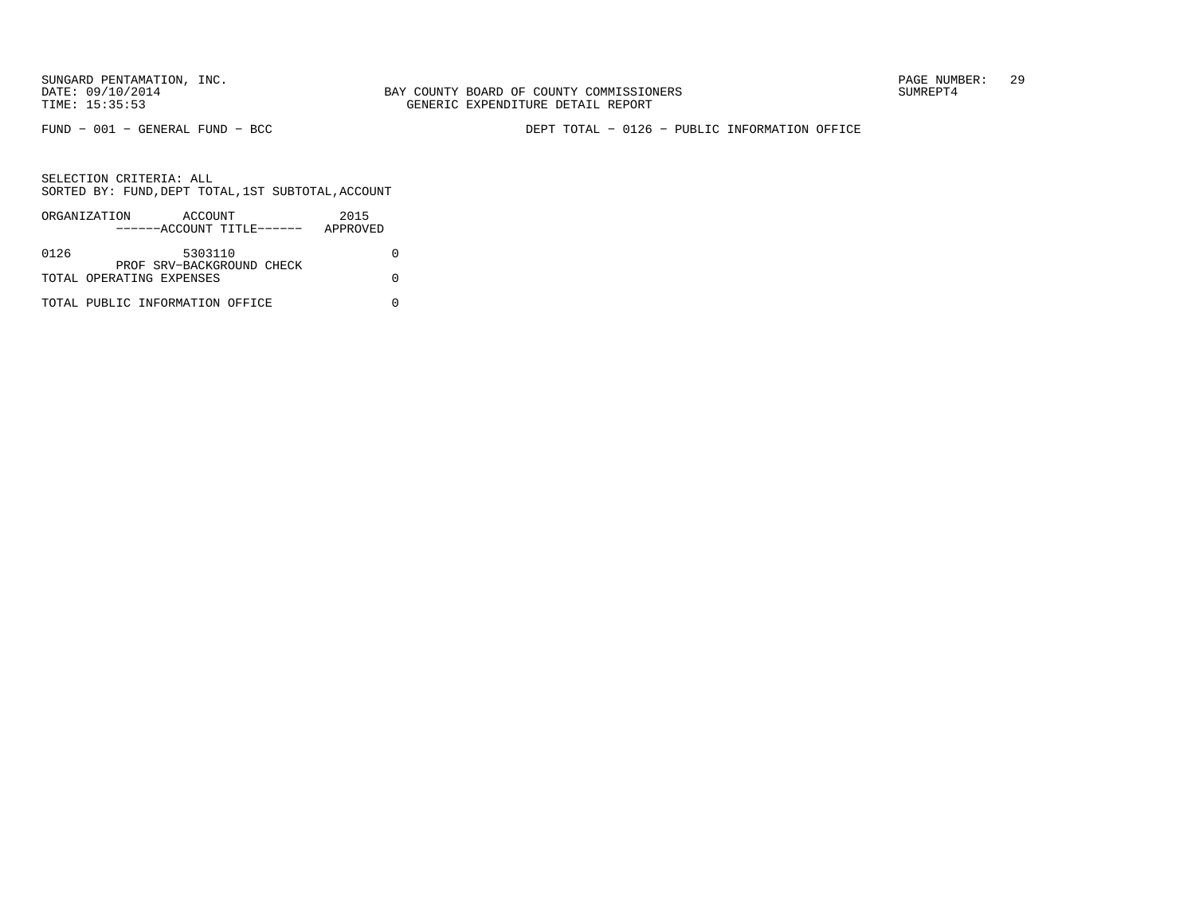SUNGARD PENTAMATION, INC.<br>DATE: 09/10/2014 SUMRER: 29

FUND − 001 − GENERAL FUND − BCC DEPT TOTAL − 0126 − PUBLIC INFORMATION OFFICE

|      | ORGANIZATION<br>ACCOUNT         | 2015     |
|------|---------------------------------|----------|
|      | ------ACCOUNT TITLE------       | APPROVED |
|      |                                 |          |
| 0126 | 5303110                         |          |
|      | PROF SRV-BACKGROUND CHECK       |          |
|      | TOTAL OPERATING EXPENSES        |          |
|      |                                 |          |
|      | TOTAL PUBLIC INFORMATION OFFICE |          |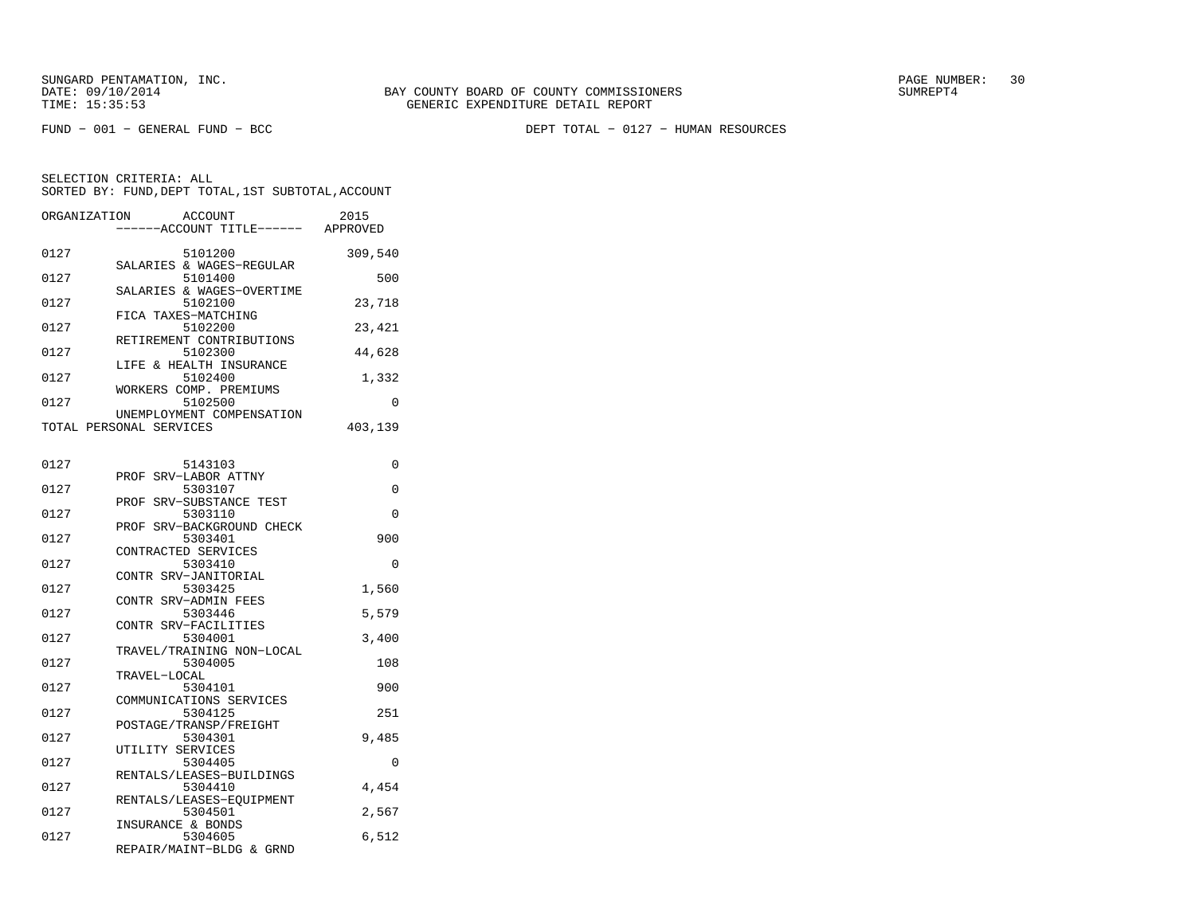FUND − 001 − GENERAL FUND − BCC DEPT TOTAL − 0127 − HUMAN RESOURCES

| ORGANIZATION | <b>ACCOUNT</b><br>------ACCOUNT TITLE------ APPROVED            | 2015     |
|--------------|-----------------------------------------------------------------|----------|
| 0127         | 5101200                                                         | 309,540  |
| 0127         | SALARIES & WAGES-REGULAR<br>5101400                             | 500      |
| 0127         | SALARIES & WAGES-OVERTIME<br>5102100                            | 23,718   |
| 0127         | FICA TAXES-MATCHING<br>5102200                                  | 23,421   |
| 0127         | RETIREMENT CONTRIBUTIONS<br>5102300<br>LIFE & HEALTH INSURANCE  | 44,628   |
| 0127         | 5102400<br>WORKERS COMP. PREMIUMS                               | 1,332    |
| 0127         | 5102500<br>UNEMPLOYMENT COMPENSATION                            | 0        |
|              | TOTAL PERSONAL SERVICES                                         | 403,139  |
| 0127         | 5143103                                                         | 0        |
| 0127         | PROF SRV-LABOR ATTNY<br>5303107                                 | $\Omega$ |
| 0127         | SRV-SUBSTANCE TEST<br>PROF<br>5303110                           | 0        |
| 0127         | PROF SRV-BACKGROUND CHECK<br>5303401                            | 900      |
| 0127         | CONTRACTED SERVICES<br>5303410                                  | 0        |
| 0127         | CONTR SRV-JANITORIAL<br>5303425                                 | 1,560    |
| 0127         | CONTR SRV-ADMIN FEES<br>5303446                                 | 5,579    |
| 0127         | CONTR SRV-FACILITIES<br>5304001                                 | 3,400    |
| 0127         | TRAVEL/TRAINING NON-LOCAL<br>5304005                            | 108      |
| 0127         | TRAVEL-LOCAL<br>5304101                                         | 900      |
| 0127         | COMMUNICATIONS SERVICES<br>5304125                              | 251      |
| 0127         | POSTAGE/TRANSP/FREIGHT<br>5304301                               | 9,485    |
| 0127         | UTILITY SERVICES<br>5304405                                     | $\Omega$ |
| 0127         | RENTALS/LEASES-BUILDINGS<br>5304410<br>RENTALS/LEASES-EOUIPMENT | 4,454    |
| 0127         | 5304501<br>INSURANCE & BONDS                                    | 2,567    |
| 0127         | 5304605<br>REPAIR/MAINT-BLDG & GRND                             | 6,512    |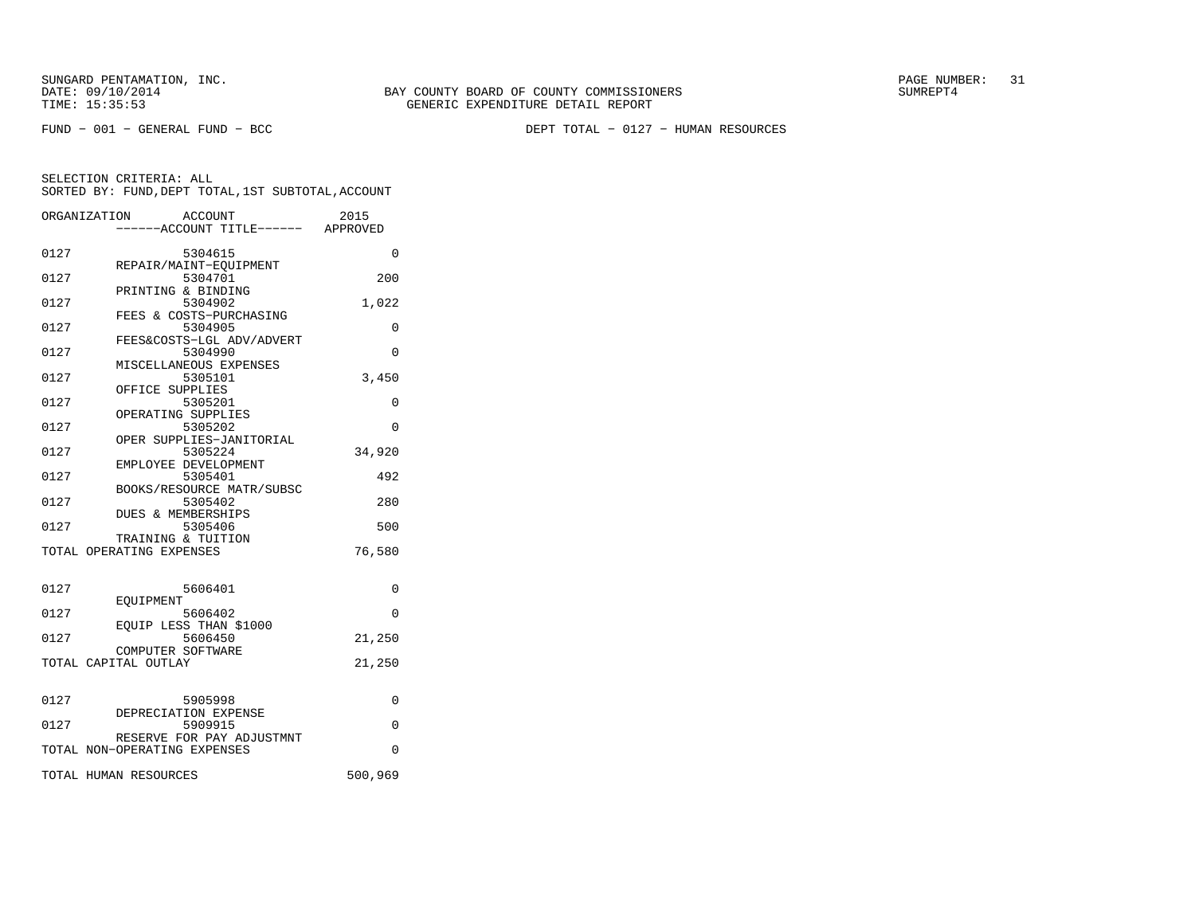FUND − 001 − GENERAL FUND − BCC DEPT TOTAL − 0127 − HUMAN RESOURCES

|      | ORGANIZATION<br><b>ACCOUNT</b>      | 2015     |
|------|-------------------------------------|----------|
|      | ----ACCOUNT TITLE------ APPROVED    |          |
| 0127 | 5304615                             | $\Omega$ |
|      | REPAIR/MAINT-EQUIPMENT              |          |
| 0127 | 5304701                             | 200      |
| 0127 | PRINTING & BINDING<br>5304902       | 1,022    |
|      | FEES & COSTS-PURCHASING             |          |
| 0127 | 5304905                             | $\Omega$ |
|      | FEES&COSTS-LGL ADV/ADVERT           |          |
| 0127 | 5304990                             | $\Omega$ |
|      | MISCELLANEOUS EXPENSES              |          |
| 0127 | 5305101                             | 3,450    |
|      | OFFICE SUPPLIES                     |          |
| 0127 | 5305201                             | 0        |
|      | OPERATING SUPPLIES                  |          |
| 0127 | 5305202                             | $\Omega$ |
| 0127 | OPER SUPPLIES-JANITORIAL<br>5305224 | 34,920   |
|      | EMPLOYEE DEVELOPMENT                |          |
| 0127 | 5305401                             | 492      |
|      | BOOKS/RESOURCE MATR/SUBSC           |          |
| 0127 | 5305402                             | 280      |
|      | DUES & MEMBERSHIPS                  |          |
| 0127 | 5305406                             | 500      |
|      | TRAINING & TUITION                  |          |
|      | TOTAL OPERATING EXPENSES            | 76,580   |
|      |                                     |          |
| 0127 | 5606401                             | 0        |
|      | EOUIPMENT                           |          |
| 0127 | 5606402                             | $\Omega$ |
|      | EQUIP LESS THAN \$1000              |          |
| 0127 | 5606450                             | 21,250   |
|      | COMPUTER SOFTWARE                   |          |
|      | TOTAL CAPITAL OUTLAY                | 21,250   |
|      |                                     |          |
|      |                                     |          |
| 0127 | 5905998<br>DEPRECIATION EXPENSE     | 0        |
| 0127 | 5909915                             | 0        |
|      | RESERVE FOR PAY ADJUSTMNT           |          |
|      | TOTAL NON-OPERATING EXPENSES        | 0        |
|      |                                     |          |
|      | TOTAL HUMAN RESOURCES               | 500,969  |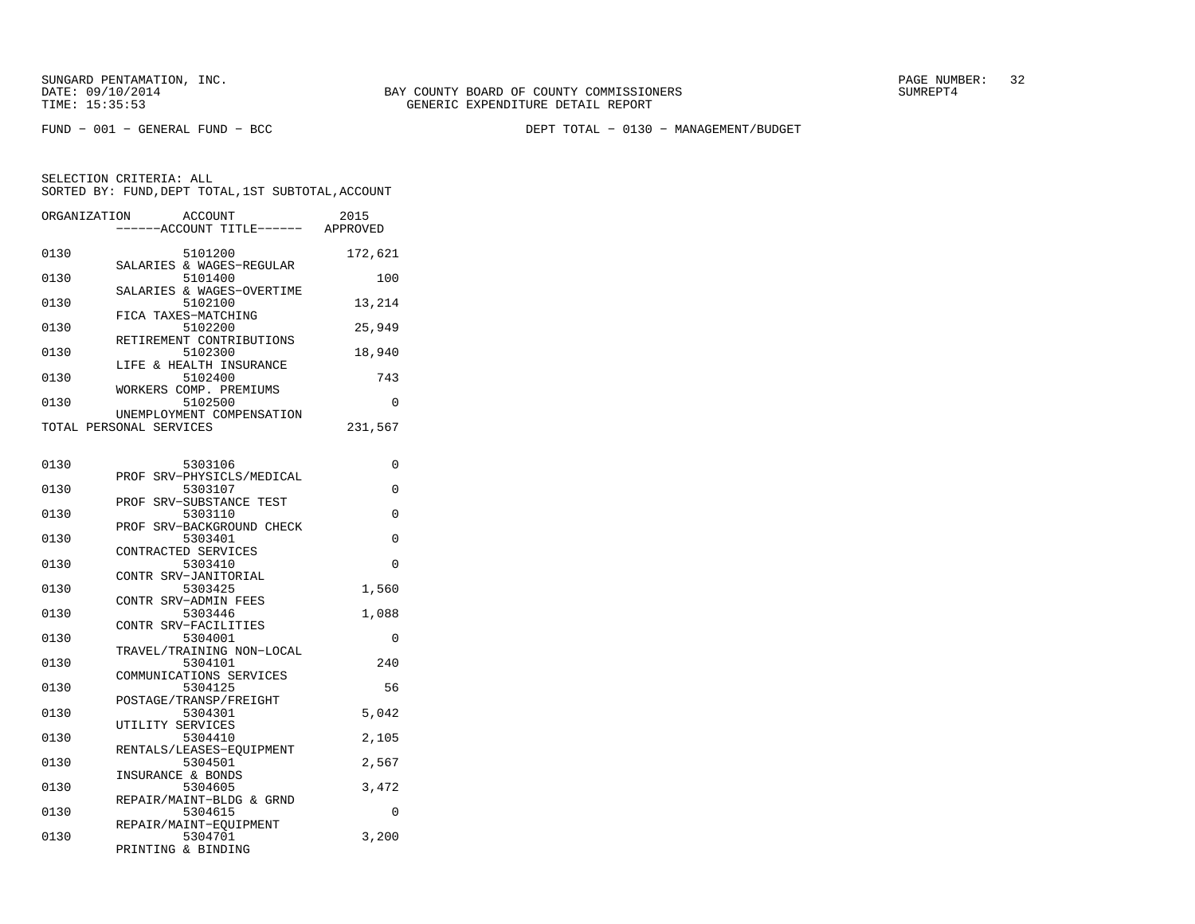FUND − 001 − GENERAL FUND − BCC DEPT TOTAL − 0130 − MANAGEMENT/BUDGET

SELECTION CRITERIA: ALLSORTED BY: FUND,DEPT TOTAL,1ST SUBTOTAL,ACCOUNT

| ORGANIZATION | <b>ACCOUNT</b><br>----ACCOUNT TITLE------ APPROVED   | 2015     |
|--------------|------------------------------------------------------|----------|
| 0130         | 5101200                                              | 172,621  |
| 0130         | SALARIES & WAGES-REGULAR<br>5101400                  | 100      |
| 0130         | SALARIES & WAGES-OVERTIME<br>5102100                 | 13,214   |
| 0130         | FICA TAXES-MATCHING<br>5102200                       | 25,949   |
| 0130         | RETIREMENT CONTRIBUTIONS<br>5102300                  | 18,940   |
| 0130         | LIFE & HEALTH INSURANCE<br>5102400                   | 743      |
| 0130         | WORKERS COMP. PREMIUMS<br>5102500                    | 0        |
|              | UNEMPLOYMENT COMPENSATION<br>TOTAL PERSONAL SERVICES | 231,567  |
|              |                                                      |          |
| 0130         | 5303106<br>SRV-PHYSICLS/MEDICAL<br>PROF              | 0        |
| 0130         | 5303107<br>SRV-SUBSTANCE TEST<br>PROF                | 0        |
| 0130         | 5303110<br>SRV-BACKGROUND CHECK<br>PROF              | 0        |
| 0130         | 5303401                                              | $\Omega$ |
| 0130         | CONTRACTED SERVICES<br>5303410                       | 0        |
| 0130         | CONTR SRV-JANITORIAL<br>5303425                      | 1,560    |
| 0130         | CONTR SRV-ADMIN FEES<br>5303446                      | 1,088    |
| 0130         | CONTR SRV-FACILITIES<br>5304001                      | 0        |
| 0130         | TRAVEL/TRAINING NON-LOCAL<br>5304101                 | 240      |
|              | COMMUNICATIONS SERVICES                              |          |
| 0130         | 5304125<br>POSTAGE/TRANSP/FREIGHT                    | 56       |
| 0130         | 5304301<br>UTILITY SERVICES                          | 5,042    |
| 0130         | 5304410<br>RENTALS/LEASES-EQUIPMENT                  | 2,105    |
| 0130         | 5304501<br>INSURANCE & BONDS                         | 2,567    |
| 0130         | 5304605<br>REPAIR/MAINT-BLDG & GRND                  | 3,472    |
| 0130         | 5304615                                              | 0        |

 REPAIR/MAINT−EQUIPMENT0130 5304701 3,200

PRINTING & BINDING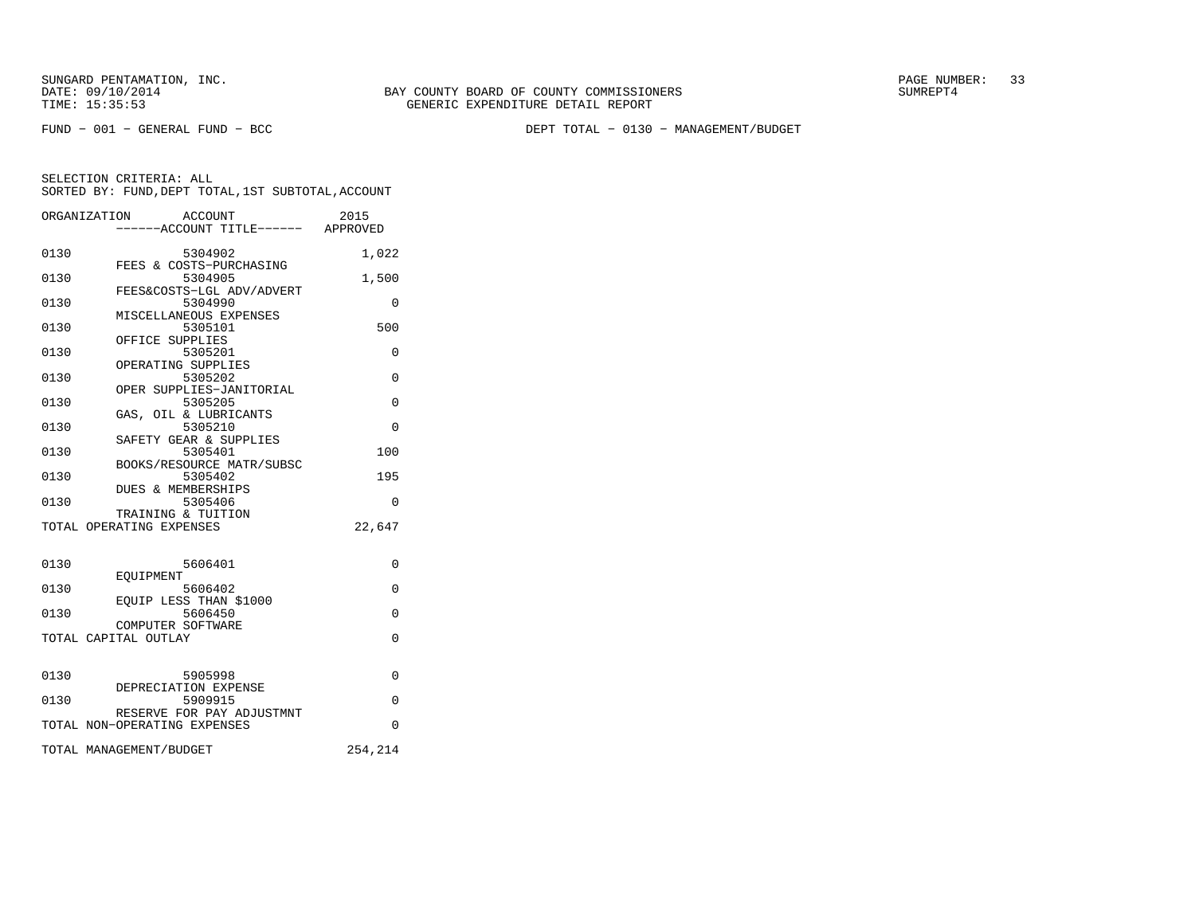FUND − 001 − GENERAL FUND − BCC DEPT TOTAL − 0130 − MANAGEMENT/BUDGET

|      | ORGANIZATION<br>ACCOUNT                                   | 2015        |
|------|-----------------------------------------------------------|-------------|
|      | -----ACCOUNT TITLE------ APPROVED                         |             |
| 0130 | 5304902<br>FEES & COSTS-PURCHASING                        | 1,022       |
| 0130 | 5304905                                                   | 1,500       |
| 0130 | FEES&COSTS-LGL ADV/ADVERT<br>5304990                      | $\Omega$    |
| 0130 | MISCELLANEOUS EXPENSES<br>5305101                         | 500         |
| 0130 | OFFICE SUPPLIES<br>5305201                                | 0           |
|      | OPERATING SUPPLIES<br>5305202                             |             |
| 0130 | OPER SUPPLIES-JANITORIAL                                  | $\Omega$    |
| 0130 | 5305205<br>GAS, OIL & LUBRICANTS                          | $\Omega$    |
| 0130 | 5305210<br>SAFETY GEAR & SUPPLIES                         | $\Omega$    |
| 0130 | 5305401                                                   | 100         |
| 0130 | BOOKS/RESOURCE MATR/SUBSC<br>5305402                      | 195         |
| 0130 | DUES & MEMBERSHIPS<br>5305406                             | $\Omega$    |
|      | TRAINING & TUITION<br>TOTAL OPERATING EXPENSES            | 22,647      |
|      |                                                           |             |
| 0130 | 5606401                                                   | 0           |
| 0130 | <b>EOUIPMENT</b><br>5606402                               | $\mathbf 0$ |
| 0130 | EQUIP LESS THAN \$1000<br>5606450                         | $\Omega$    |
|      | COMPUTER SOFTWARE<br>TOTAL CAPITAL OUTLAY                 | $\Omega$    |
|      |                                                           |             |
| 0130 | 5905998                                                   | $\Omega$    |
| 0130 | DEPRECIATION EXPENSE<br>5909915                           | $\Omega$    |
|      | RESERVE FOR PAY ADJUSTMNT<br>TOTAL NON-OPERATING EXPENSES | $\Omega$    |
|      | TOTAL MANAGEMENT/BUDGET                                   | 254,214     |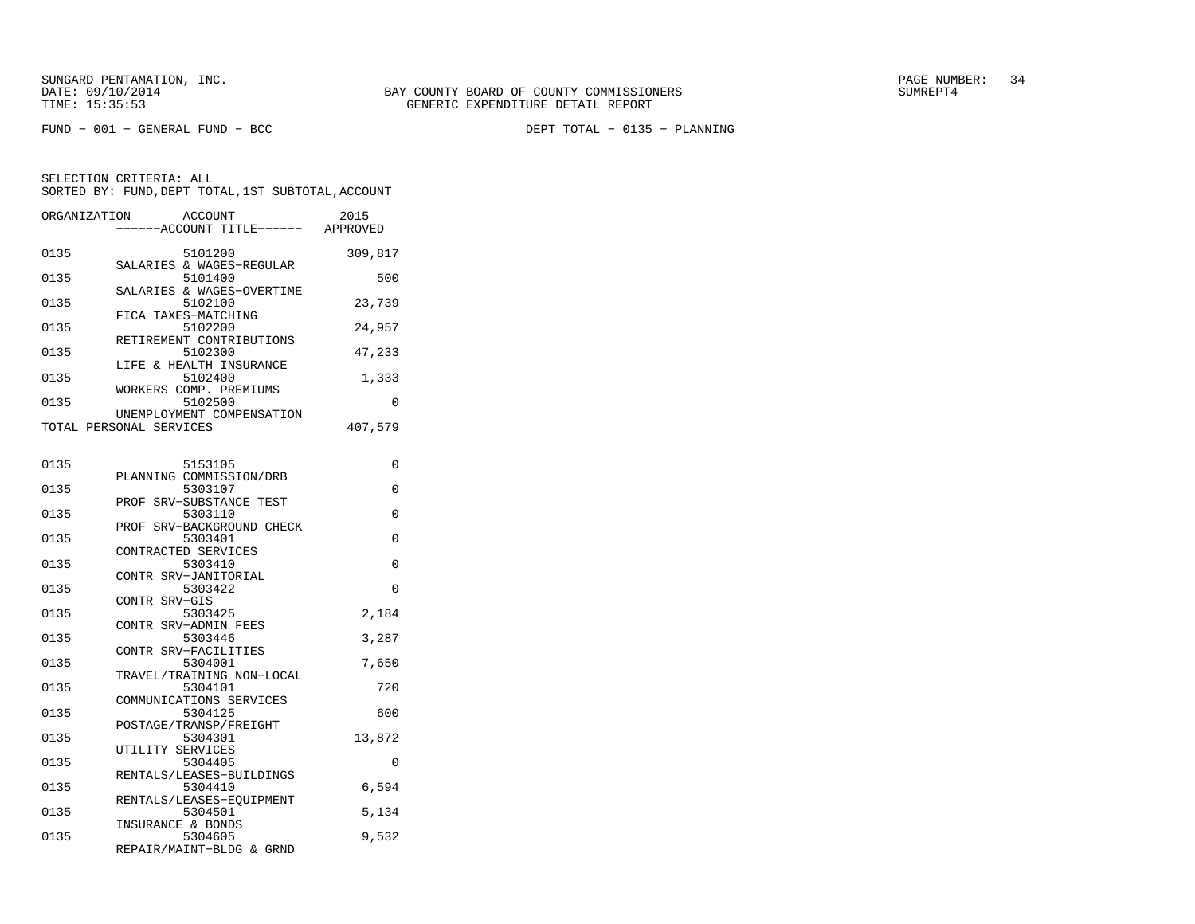SELECTION CRITERIA: ALLSORTED BY: FUND,DEPT TOTAL,1ST SUBTOTAL,ACCOUNT

| ORGANIZATION | ACCOUNT<br>------ACCOUNT TITLE------ APPROVED        | 2015     |
|--------------|------------------------------------------------------|----------|
| 0135         | 5101200                                              | 309,817  |
| 0135         | SALARIES & WAGES-REGULAR<br>5101400                  | 500      |
| 0135         | SALARIES & WAGES-OVERTIME<br>5102100                 | 23,739   |
| 0135         | FICA TAXES-MATCHING<br>5102200                       | 24,957   |
| 0135         | RETIREMENT CONTRIBUTIONS<br>5102300                  | 47,233   |
| 0135         | LIFE & HEALTH INSURANCE<br>5102400                   | 1,333    |
| 0135         | WORKERS COMP. PREMIUMS<br>5102500                    | $\Omega$ |
|              | UNEMPLOYMENT COMPENSATION<br>TOTAL PERSONAL SERVICES | 407,579  |
|              |                                                      |          |
| 0135         | 5153105<br>PLANNING COMMISSION/DRB                   | $\Omega$ |
| 0135         | 5303107                                              | $\Omega$ |
| 0135         | PROF SRV-SUBSTANCE TEST<br>5303110                   | $\Omega$ |
| 0135         | PROF SRV-BACKGROUND CHECK<br>5303401                 | $\Omega$ |
| 0135         | CONTRACTED SERVICES<br>5303410                       | $\Omega$ |
| 0135         | CONTR SRV-JANITORIAL<br>5303422                      | $\Omega$ |
|              | CONTR SRV-GIS                                        |          |
| 0135         | 5303425                                              | 2,184    |

| 5303425                     | 2,184                                                                                                                                                                                                                                                                                                                       |
|-----------------------------|-----------------------------------------------------------------------------------------------------------------------------------------------------------------------------------------------------------------------------------------------------------------------------------------------------------------------------|
| CONTR SRV-ADMIN FEES        |                                                                                                                                                                                                                                                                                                                             |
|                             | 3,287                                                                                                                                                                                                                                                                                                                       |
|                             |                                                                                                                                                                                                                                                                                                                             |
|                             | 7,650                                                                                                                                                                                                                                                                                                                       |
|                             |                                                                                                                                                                                                                                                                                                                             |
|                             | 720                                                                                                                                                                                                                                                                                                                         |
|                             |                                                                                                                                                                                                                                                                                                                             |
|                             | 600                                                                                                                                                                                                                                                                                                                         |
|                             |                                                                                                                                                                                                                                                                                                                             |
|                             | 13,872                                                                                                                                                                                                                                                                                                                      |
|                             |                                                                                                                                                                                                                                                                                                                             |
|                             | O                                                                                                                                                                                                                                                                                                                           |
|                             |                                                                                                                                                                                                                                                                                                                             |
|                             | 6,594                                                                                                                                                                                                                                                                                                                       |
|                             |                                                                                                                                                                                                                                                                                                                             |
|                             | 5,134                                                                                                                                                                                                                                                                                                                       |
|                             |                                                                                                                                                                                                                                                                                                                             |
| $\sim$ $\sim$ $\sim$ $\sim$ | 9,532                                                                                                                                                                                                                                                                                                                       |
|                             | CONTR SRV-GIS<br>5303446<br>CONTR SRV-FACILITIES<br>5304001<br>TRAVEL/TRAINING NON-LOCAL<br>5304101<br>COMMUNICATIONS SERVICES<br>5304125<br>POSTAGE/TRANSP/FREIGHT<br>5304301<br>UTILITY SERVICES<br>5304405<br>RENTALS/LEASES-BUILDINGS<br>5304410<br>RENTALS/LEASES-EOUIPMENT<br>5304501<br>INSURANCE & BONDS<br>5304605 |

REPAIR/MAINT−BLDG & GRND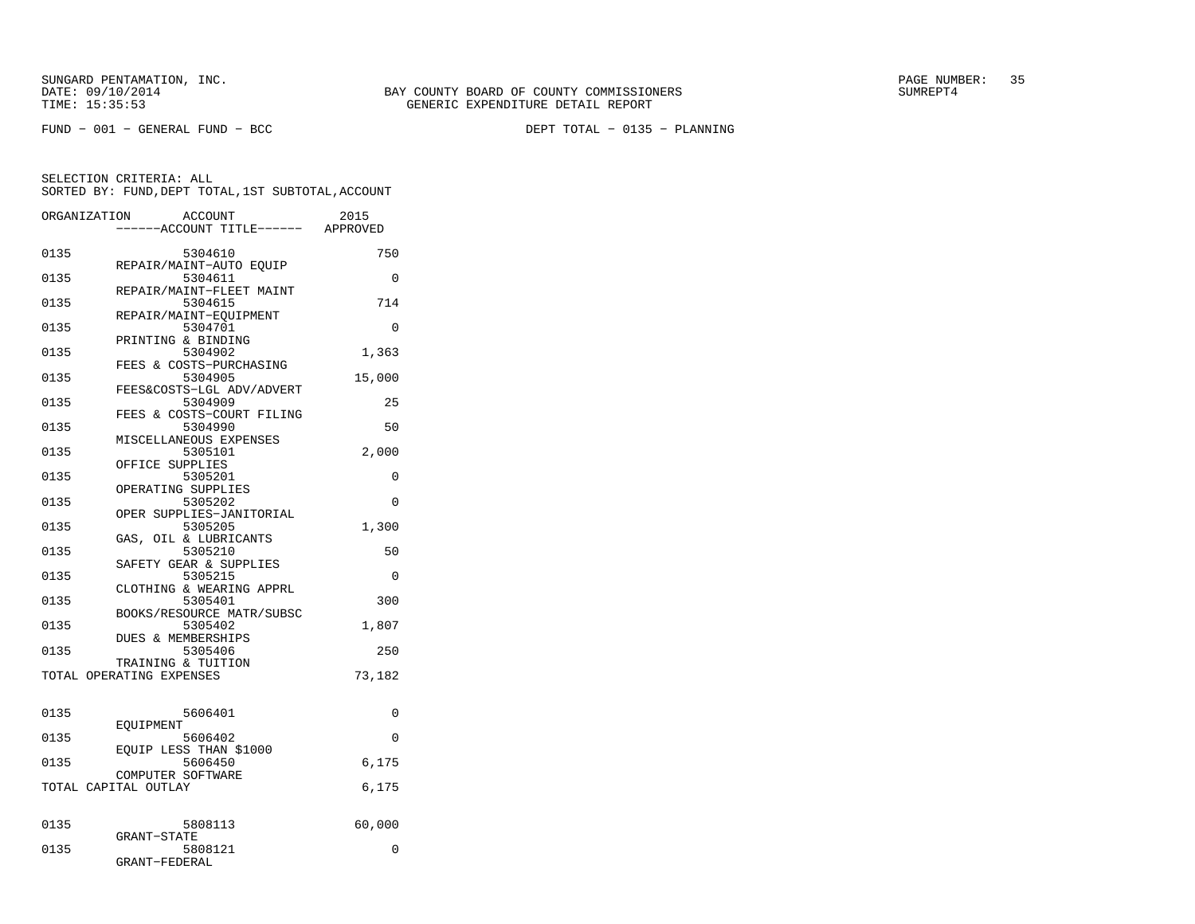| ORGANIZATION |                                           | <b>ACCOUNT</b><br>---ACCOUNT TITLE------ APPROVED | 2015     |
|--------------|-------------------------------------------|---------------------------------------------------|----------|
| 0135         |                                           | 5304610<br>REPAIR/MAINT-AUTO EQUIP                | 750      |
| 0135         |                                           | 5304611<br>REPAIR/MAINT-FLEET MAINT               | $\Omega$ |
| 0135         |                                           | 5304615<br>REPAIR/MAINT-EQUIPMENT                 | 714      |
| 0135         |                                           | 5304701<br>PRINTING & BINDING                     | 0        |
| 0135         |                                           | 5304902<br>FEES & COSTS-PURCHASING                | 1,363    |
| 0135         |                                           | 5304905<br>FEES&COSTS-LGL ADV/ADVERT              | 15,000   |
| 0135         |                                           | 5304909<br>FEES & COSTS-COURT FILING              | 25       |
| 0135         |                                           | 5304990                                           | 50       |
| 0135         |                                           | MISCELLANEOUS EXPENSES<br>5305101                 | 2,000    |
| 0135         | OFFICE SUPPLIES                           | 5305201                                           | 0        |
| 0135         |                                           | OPERATING SUPPLIES<br>5305202                     | $\Omega$ |
| 0135         |                                           | OPER SUPPLIES-JANITORIAL<br>5305205               | 1,300    |
| 0135         |                                           | GAS, OIL & LUBRICANTS<br>5305210                  | 50       |
| 0135         |                                           | SAFETY GEAR & SUPPLIES<br>5305215                 | $\Omega$ |
| 0135         |                                           | CLOTHING & WEARING APPRL<br>5305401               | 300      |
| 0135         |                                           | BOOKS/RESOURCE MATR/SUBSC<br>5305402              | 1,807    |
| 0135         |                                           | <b>DUES &amp; MEMBERSHIPS</b><br>5305406          | 250      |
|              | TOTAL OPERATING EXPENSES                  | TRAINING & TUITION                                | 73,182   |
| 0135         |                                           | 5606401                                           | 0        |
| 0135         | EOUIPMENT                                 | 5606402                                           | $\Omega$ |
| 0135         |                                           | EOUIP LESS THAN \$1000<br>5606450                 | 6,175    |
|              | COMPUTER SOFTWARE<br>TOTAL CAPITAL OUTLAY |                                                   | 6,175    |
|              |                                           |                                                   |          |
| 0135         | <b>GRANT-STATE</b>                        | 5808113                                           | 60,000   |
| 0135         | GRANT-FEDERAL                             | 5808121                                           | 0        |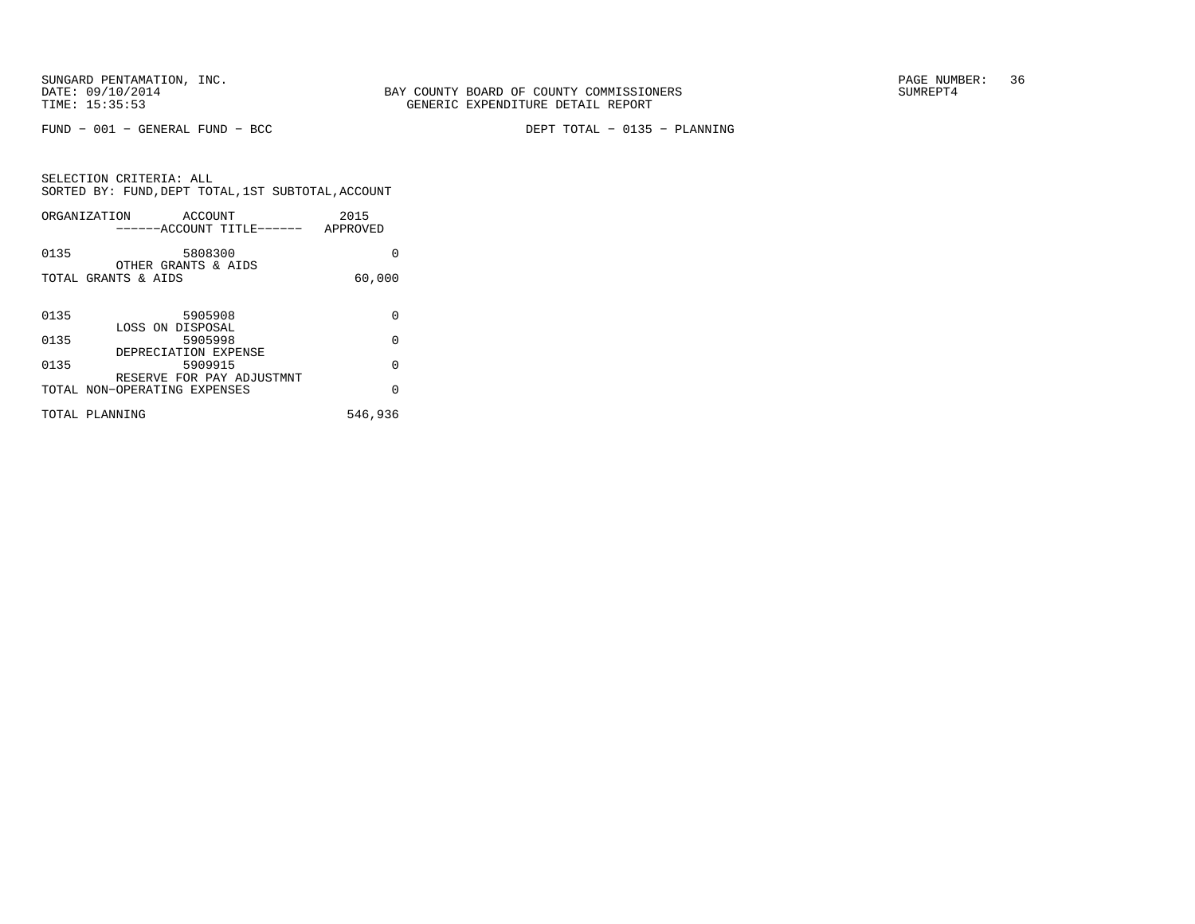FUND − 001 − GENERAL FUND − BCC DEPT TOTAL − 0135 − PLANNING

SELECTION CRITERIA: ALL SORTED BY: FUND,DEPT TOTAL,1ST SUBTOTAL,ACCOUNTORGANIZATION ACCOUNT

|      | ORGANIZATION<br>ACCOUN'I'<br>------ACCOUNT TITLE------ APPROVED | 2015     |
|------|-----------------------------------------------------------------|----------|
| 0135 | 5808300<br>OTHER GRANTS & AIDS                                  | 0        |
|      | TOTAL GRANTS & AIDS                                             | 60,000   |
| 0135 | 5905908                                                         | 0        |
| 0135 | LOSS ON DISPOSAL<br>5905998                                     | $\Omega$ |
| 0135 | DEPRECIATION EXPENSE<br>5909915                                 | $\Omega$ |
|      | RESERVE FOR PAY ADJUSTMNT<br>TOTAL NON-OPERATING EXPENSES       | 0        |
|      | TOTAL PLANNING                                                  | 546,936  |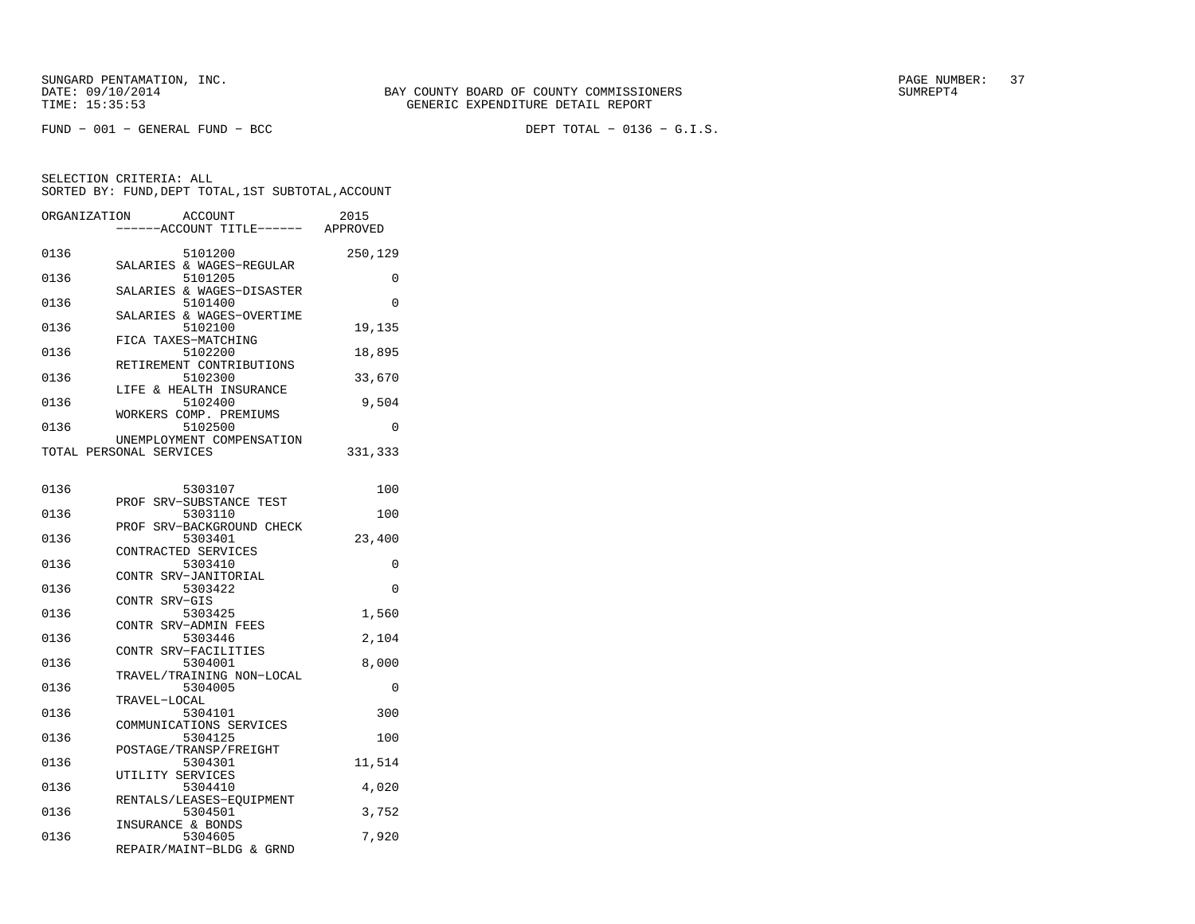| ORGANIZATION |                         | ACCOUNT<br>---ACCOUNT TITLE------ APPROVED | 2015     |
|--------------|-------------------------|--------------------------------------------|----------|
|              |                         |                                            |          |
| 0136         |                         | 5101200                                    | 250,129  |
|              |                         | SALARIES & WAGES-REGULAR                   |          |
| 0136         |                         | 5101205                                    | $\Omega$ |
|              |                         | SALARIES & WAGES-DISASTER                  |          |
| 0136         |                         | 5101400                                    | $\Omega$ |
| 0136         |                         | SALARIES & WAGES-OVERTIME<br>5102100       | 19,135   |
|              | FICA TAXES-MATCHING     |                                            |          |
| 0136         |                         | 5102200                                    | 18,895   |
|              |                         | RETIREMENT CONTRIBUTIONS                   |          |
| 0136         |                         | 5102300                                    | 33,670   |
|              |                         | LIFE & HEALTH INSURANCE                    |          |
| 0136         |                         | 5102400                                    | 9,504    |
|              |                         | WORKERS COMP. PREMIUMS                     |          |
| 0136         |                         | 5102500                                    | 0        |
|              |                         | UNEMPLOYMENT COMPENSATION                  |          |
|              | TOTAL PERSONAL SERVICES |                                            | 331,333  |
|              |                         |                                            |          |
|              |                         |                                            |          |
| 0136         |                         | 5303107                                    | 100      |
| 0136         |                         | PROF SRV-SUBSTANCE TEST<br>5303110         | 100      |
|              |                         | PROF SRV-BACKGROUND CHECK                  |          |
| 0136         |                         | 5303401                                    | 23,400   |
|              | CONTRACTED SERVICES     |                                            |          |
| 0136         |                         | 5303410                                    | 0        |
|              |                         | CONTR SRV-JANITORIAL                       |          |
| 0136         |                         | 5303422                                    | $\Omega$ |
|              | CONTR SRV-GIS           |                                            |          |
| 0136         |                         | 5303425                                    | 1,560    |
|              |                         | CONTR SRV-ADMIN FEES                       |          |
| 0136         |                         | 5303446                                    | 2,104    |
|              |                         | CONTR SRV-FACILITIES                       |          |
| 0136         |                         | 5304001                                    | 8,000    |
|              |                         | TRAVEL/TRAINING NON-LOCAL                  |          |
| 0136         |                         | 5304005                                    | 0        |
|              | TRAVEL-LOCAL            |                                            |          |
| 0136         |                         | 5304101                                    | 300      |
| 0136         |                         | COMMUNICATIONS SERVICES<br>5304125         | 100      |
|              |                         | POSTAGE/TRANSP/FREIGHT                     |          |
| 0136         |                         | 5304301                                    | 11,514   |
|              | UTILITY SERVICES        |                                            |          |
| 0136         |                         | 5304410                                    | 4,020    |
|              |                         | RENTALS/LEASES-EOUIPMENT                   |          |
| 0136         |                         | 5304501                                    | 3,752    |
|              | INSURANCE & BONDS       |                                            |          |
| 0136         |                         | 5304605                                    | 7,920    |
|              |                         | REPAIR/MAINT-BLDG & GRND                   |          |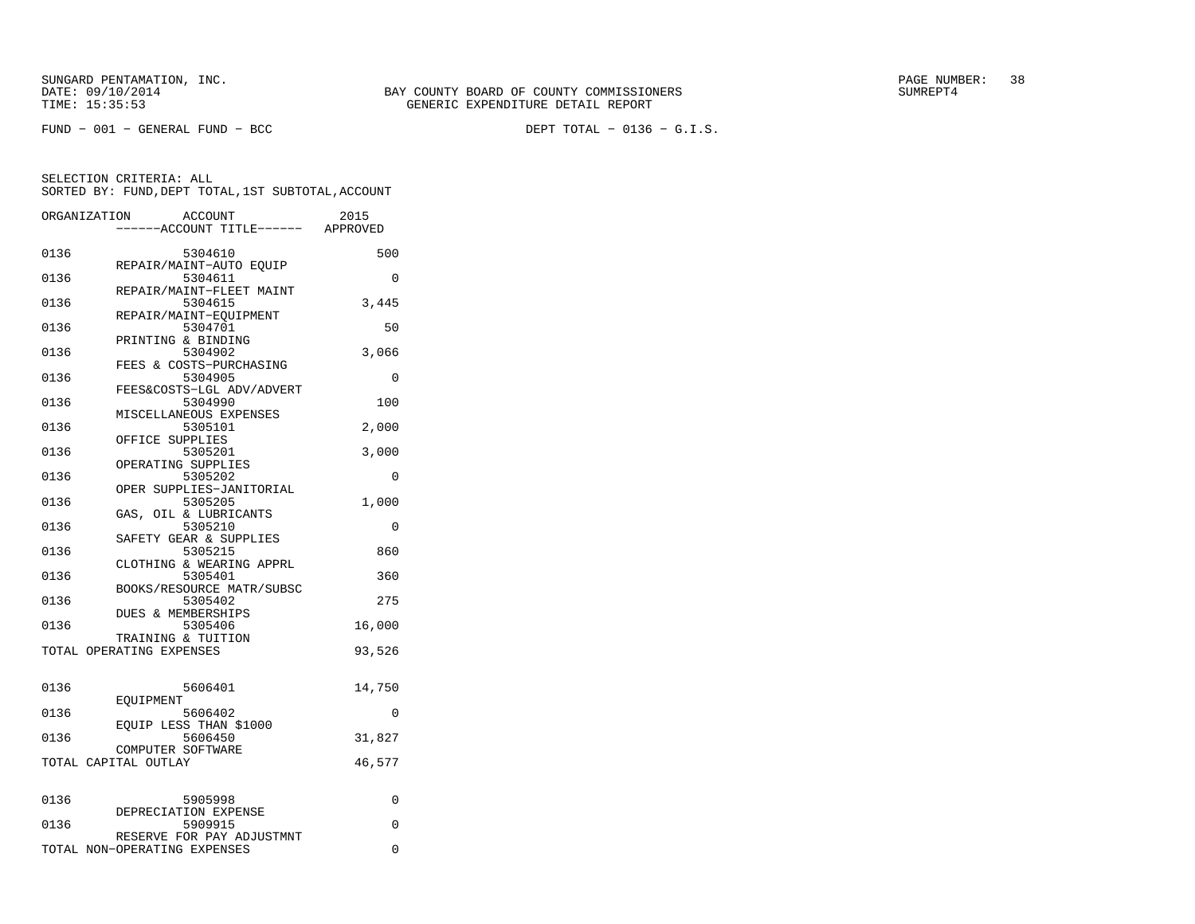SUNGARD PENTAMATION, INC.<br>DATE: 09/10/2014 SUMRER: 38 SUNG BAY COUNTY BOARD OF COUNTY COMMISSIONERS

|      | ORGANIZATION<br><b>ACCOUNT</b><br>------ACCOUNT TITLE------ APPROVED | 2015   |
|------|----------------------------------------------------------------------|--------|
| 0136 | 5304610                                                              | 500    |
| 0136 | REPAIR/MAINT-AUTO EQUIP<br>5304611                                   | 0      |
| 0136 | REPAIR/MAINT-FLEET MAINT<br>5304615                                  | 3,445  |
| 0136 | REPAIR/MAINT-EQUIPMENT<br>5304701                                    | 50     |
| 0136 | PRINTING & BINDING<br>5304902                                        | 3,066  |
| 0136 | FEES & COSTS-PURCHASING<br>5304905                                   | 0      |
| 0136 | FEES&COSTS-LGL ADV/ADVERT<br>5304990                                 | 100    |
| 0136 | MISCELLANEOUS EXPENSES<br>5305101                                    | 2,000  |
| 0136 | OFFICE SUPPLIES<br>5305201                                           | 3,000  |
| 0136 | OPERATING SUPPLIES<br>5305202                                        | 0      |
| 0136 | OPER SUPPLIES-JANITORIAL<br>5305205                                  | 1,000  |
| 0136 | GAS, OIL & LUBRICANTS<br>5305210                                     | 0      |
| 0136 | SAFETY GEAR & SUPPLIES<br>5305215                                    | 860    |
| 0136 | CLOTHING & WEARING APPRL<br>5305401                                  | 360    |
| 0136 | BOOKS/RESOURCE MATR/SUBSC<br>5305402                                 | 275    |
| 0136 | <b>DUES &amp; MEMBERSHIPS</b><br>5305406                             | 16,000 |
|      | TRAINING & TUITION<br>TOTAL OPERATING EXPENSES                       | 93,526 |
|      |                                                                      |        |
| 0136 | 5606401<br>EOUIPMENT                                                 | 14,750 |
| 0136 | 5606402<br>EOUIP LESS THAN \$1000                                    | 0      |
| 0136 | 5606450<br>COMPUTER SOFTWARE                                         | 31,827 |
|      | TOTAL CAPITAL OUTLAY                                                 | 46,577 |
| 0136 | 5905998                                                              | 0      |
| 0136 | DEPRECIATION EXPENSE<br>5909915                                      | 0      |
|      | RESERVE FOR PAY ADJUSTMNT<br>TOTAL NON-OPERATING EXPENSES            | 0      |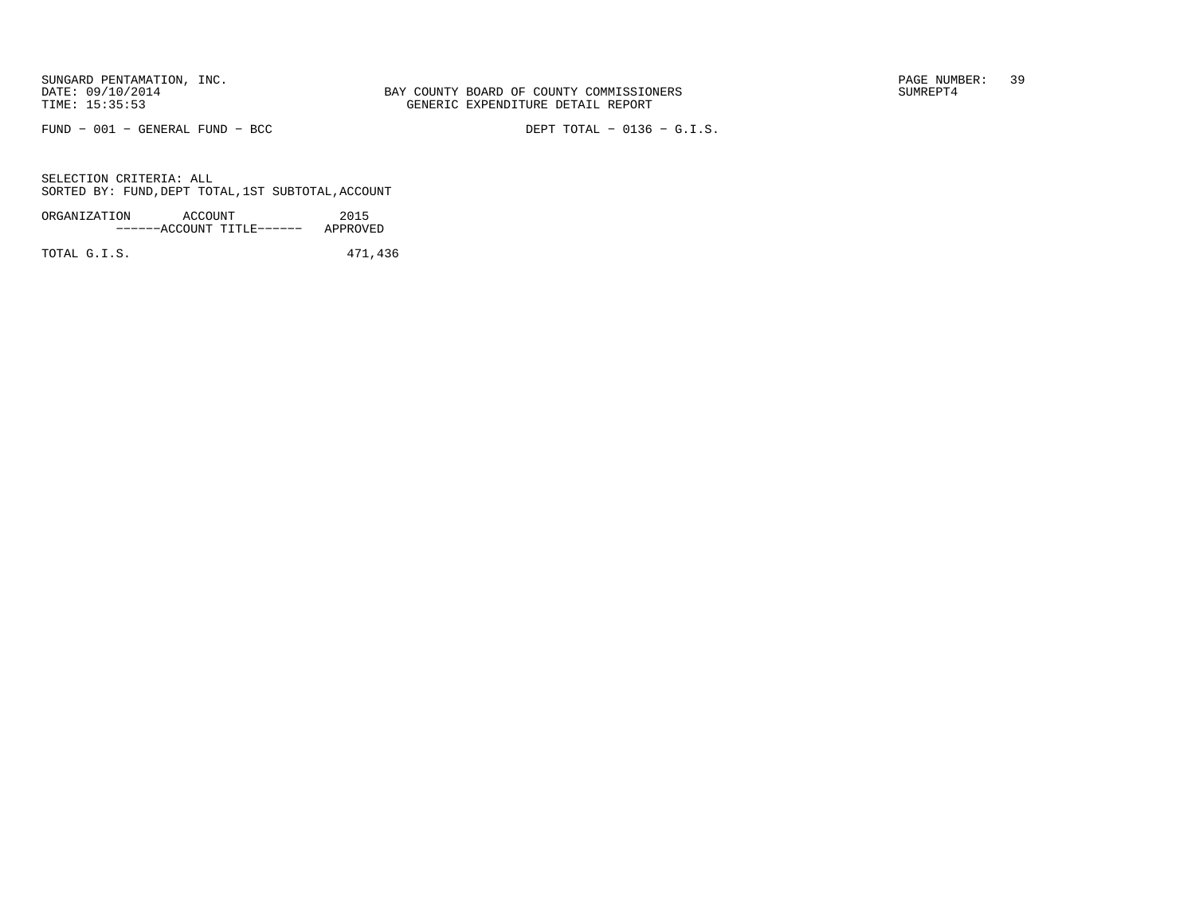SUNGARD PENTAMATION, INC.<br>DATE: 09/10/2014 SUMRER: 39

FUND − 001 − GENERAL FUND − BCC DEPT TOTAL − 0136 − G.I.S.

SELECTION CRITERIA: ALLSORTED BY: FUND,DEPT TOTAL,1ST SUBTOTAL,ACCOUNT

| ORGANIZATION | ACCOUNT |                           | 2015     |
|--------------|---------|---------------------------|----------|
|              |         | ------ACCOUNT TITLE------ | APPROVED |
|              |         |                           |          |

TOTAL G.I.S. 471,436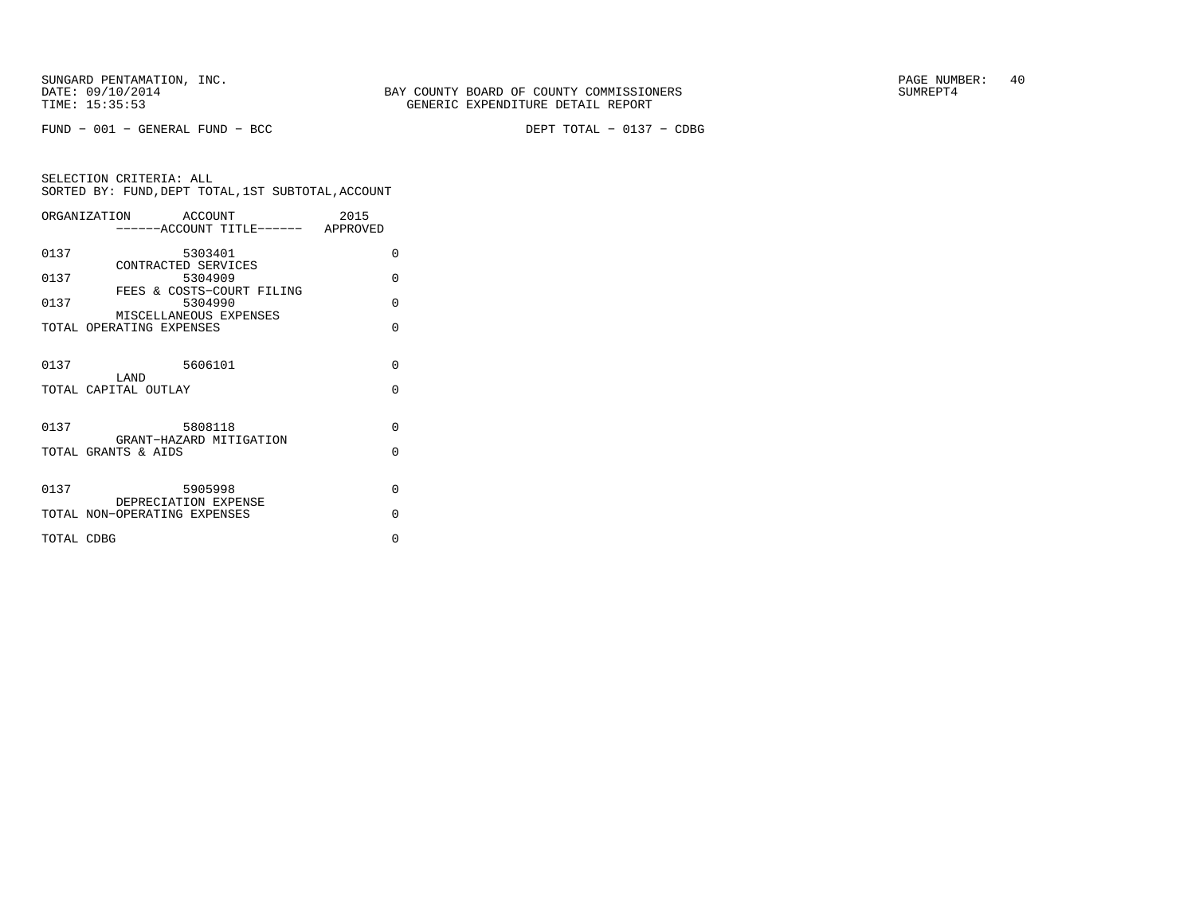FUND − 001 − GENERAL FUND − BCC DEPT TOTAL − 0137 − CDBG

|            | ORGANIZATION                                         | <b>ACCOUNT</b> | -----ACCOUNT TITLE------ APPROVED | 2015 |          |
|------------|------------------------------------------------------|----------------|-----------------------------------|------|----------|
|            |                                                      |                |                                   |      |          |
| 0137       |                                                      | 5303401        |                                   |      | $\Omega$ |
| 0137       | CONTRACTED SERVICES                                  | 5304909        |                                   |      | $\Omega$ |
| 0137       |                                                      | 5304990        | FEES & COSTS-COURT FILING         |      | $\Omega$ |
|            | MISCELLANEOUS EXPENSES                               |                |                                   |      |          |
|            | TOTAL OPERATING EXPENSES                             |                |                                   |      | $\Omega$ |
|            |                                                      |                |                                   |      |          |
| 0137       | LAND                                                 | 5606101        |                                   |      | $\Omega$ |
|            | TOTAL CAPITAL OUTLAY                                 |                |                                   |      | $\Omega$ |
|            |                                                      |                |                                   |      |          |
| 0137       |                                                      | 5808118        |                                   |      | $\Omega$ |
|            | GRANT-HAZARD MITIGATION<br>TOTAL GRANTS & AIDS       |                |                                   |      | $\Omega$ |
|            |                                                      |                |                                   |      |          |
| 0137       |                                                      | 5905998        |                                   |      | $\Omega$ |
|            | DEPRECIATION EXPENSE<br>TOTAL NON-OPERATING EXPENSES |                |                                   |      | $\Omega$ |
|            |                                                      |                |                                   |      |          |
| TOTAL CDBG |                                                      |                |                                   |      | $\Omega$ |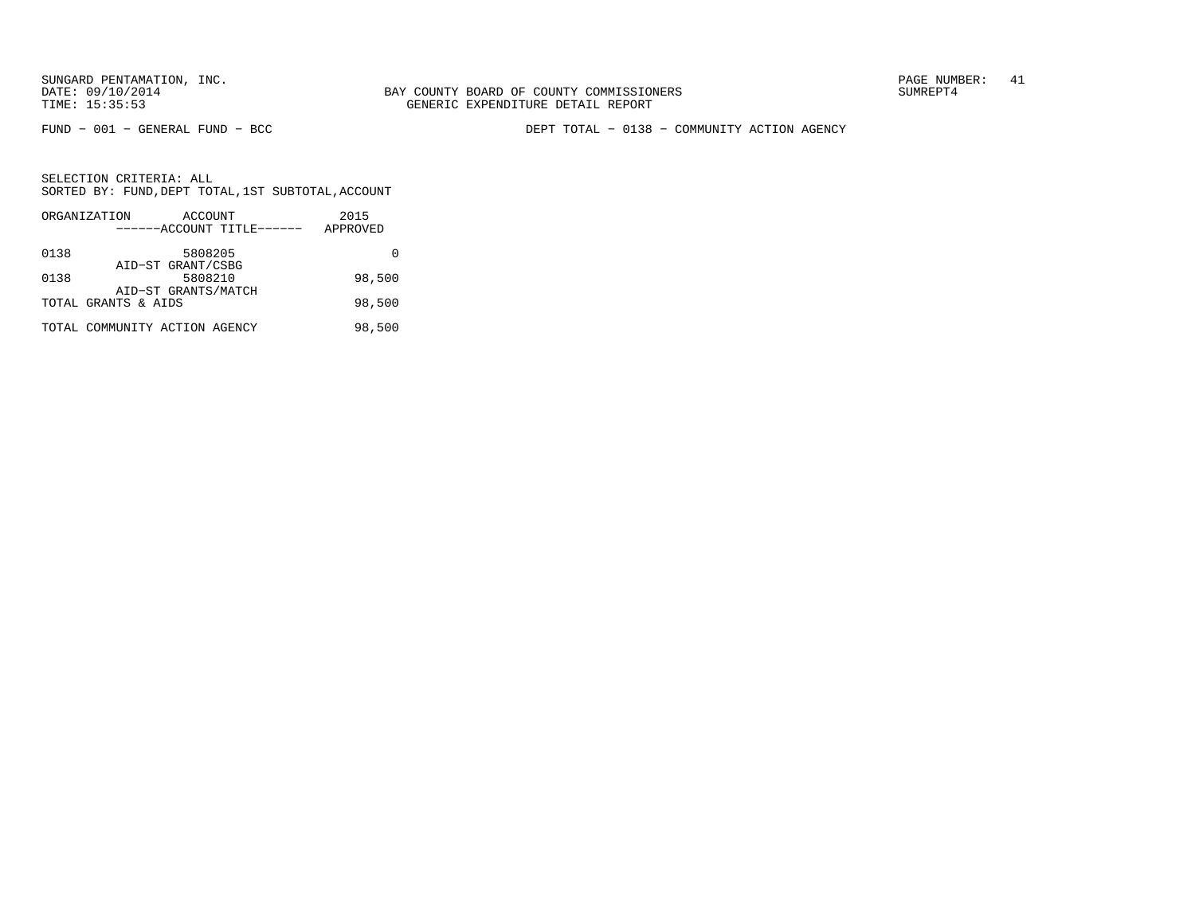BAY COUNTY BOARD OF COUNTY COMMISSIONERS TIME: 15:35:53 GENERIC EXPENDITURE DETAIL REPORT

FUND − 001 − GENERAL FUND − BCC DEPT TOTAL − 0138 − COMMUNITY ACTION AGENCY

|      | ORGANIZATION                  | ACCOUNT             |                           | 2015     |
|------|-------------------------------|---------------------|---------------------------|----------|
|      |                               |                     | ------ACCOUNT TITLE------ | APPROVED |
| 0138 |                               | 5808205             |                           |          |
|      |                               | AID-ST GRANT/CSBG   |                           |          |
| 0138 |                               | 5808210             |                           | 98,500   |
|      |                               | AID-ST GRANTS/MATCH |                           |          |
|      | TOTAL GRANTS & AIDS           |                     |                           | 98,500   |
|      | TOTAL COMMUNITY ACTION AGENCY |                     |                           | 98,500   |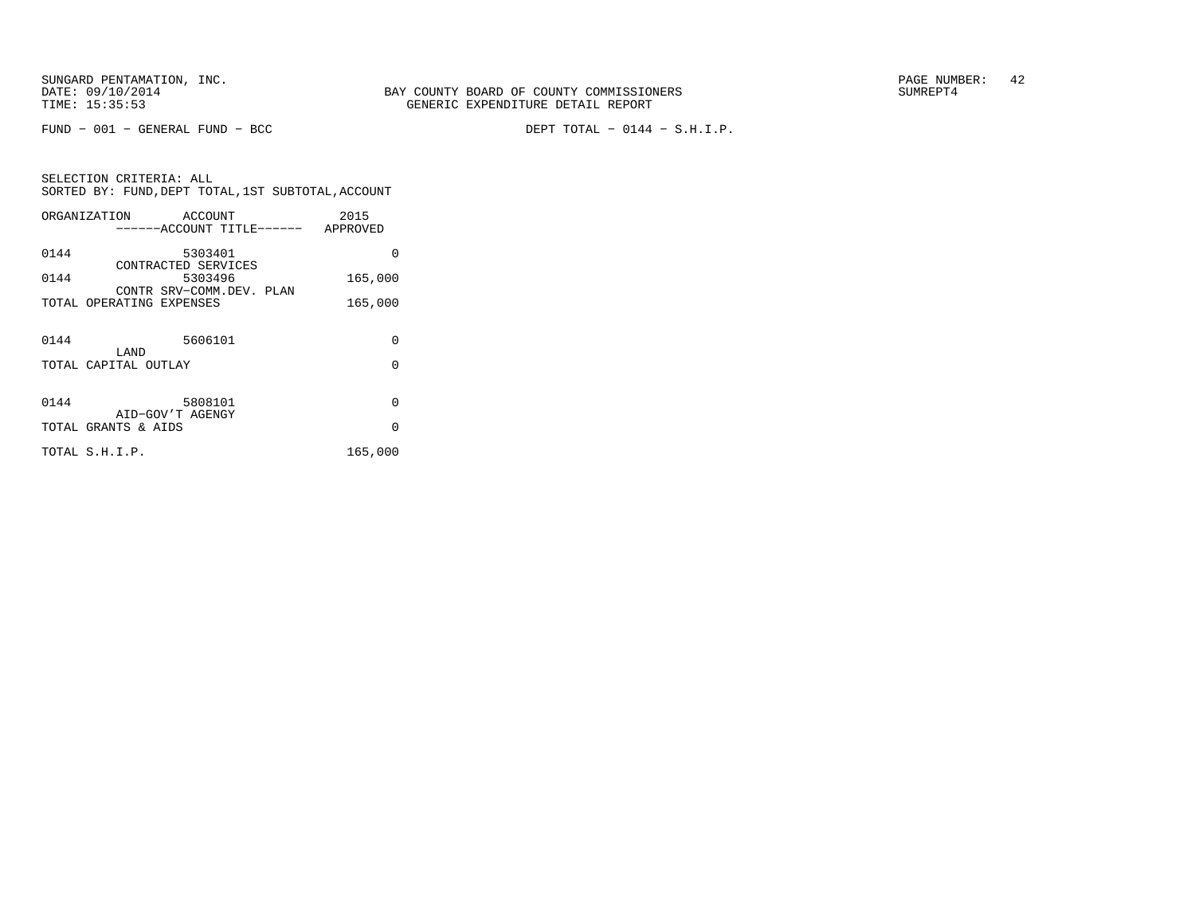FUND − 001 − GENERAL FUND − BCC DEPT TOTAL − 0144 − S.H.I.P.

SELECTION CRITERIA: ALL SORTED BY: FUND,DEPT TOTAL,1ST SUBTOTAL,ACCOUNTORGANIZATION ACCOUNT 2015

|      | ------ACCOUNT TITLE------ APPROVED                   |                      |
|------|------------------------------------------------------|----------------------|
| 0144 | 5303401                                              | 0                    |
| 0144 | CONTRACTED SERVICES<br>5303496                       | 165,000              |
|      | CONTR SRV-COMM.DEV. PLAN<br>TOTAL OPERATING EXPENSES | 165,000              |
| 0144 | 5606101<br>LAND<br>TOTAL CAPITAL OUTLAY              | 0<br>$\Omega$        |
| 0144 | 5808101<br>AID-GOV'T AGENGY<br>TOTAL GRANTS & AIDS   | $\Omega$<br>$\Omega$ |
|      | TOTAL S.H.I.P.                                       | 165,000              |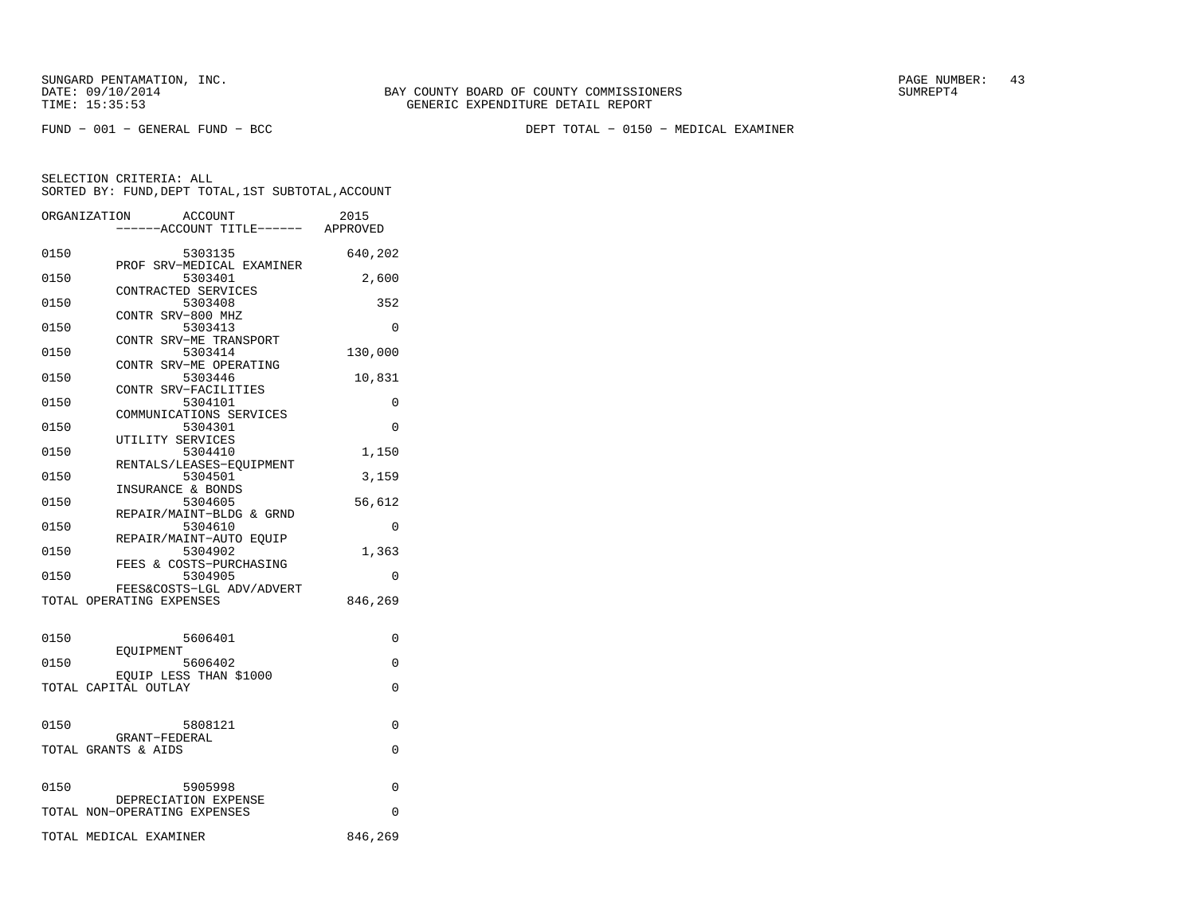FUND − 001 − GENERAL FUND − BCC DEPT TOTAL − 0150 − MEDICAL EXAMINER

|      | ORGANIZATION<br>ACCOUNT<br>---ACCOUNT TITLE------ APPROVED | 2015     |
|------|------------------------------------------------------------|----------|
| 0150 | 5303135                                                    | 640,202  |
| 0150 | PROF SRV-MEDICAL EXAMINER<br>5303401                       | 2,600    |
| 0150 | CONTRACTED SERVICES<br>5303408                             | 352      |
| 0150 | CONTR SRV-800 MHZ<br>5303413                               | $\Omega$ |
| 0150 | CONTR SRV-ME TRANSPORT<br>5303414                          | 130,000  |
| 0150 | CONTR SRV-ME OPERATING<br>5303446                          | 10,831   |
| 0150 | CONTR SRV-FACILITIES<br>5304101                            | 0        |
| 0150 | COMMUNICATIONS SERVICES<br>5304301                         | $\Omega$ |
| 0150 | UTILITY SERVICES<br>5304410                                | 1,150    |
| 0150 | RENTALS/LEASES-EQUIPMENT<br>5304501                        | 3,159    |
| 0150 | INSURANCE & BONDS<br>5304605                               | 56,612   |
| 0150 | REPAIR/MAINT-BLDG & GRND<br>5304610                        | 0        |
| 0150 | REPAIR/MAINT-AUTO EOUIP<br>5304902                         | 1,363    |
| 0150 | FEES & COSTS-PURCHASING<br>5304905                         | $\Omega$ |
|      | FEES&COSTS-LGL ADV/ADVERT<br>TOTAL OPERATING EXPENSES      | 846,269  |
|      |                                                            |          |
| 0150 | 5606401<br>EOUIPMENT                                       | 0        |
| 0150 | 5606402<br>EOUIP LESS THAN \$1000                          | 0        |
|      | TOTAL CAPITAL OUTLAY                                       | 0        |
| 0150 | 5808121                                                    | 0        |
|      | GRANT-FEDERAL<br>TOTAL GRANTS & AIDS                       | 0        |
|      |                                                            |          |
| 0150 | 5905998<br>DEPRECIATION EXPENSE                            | 0        |
|      | TOTAL NON-OPERATING EXPENSES                               | 0        |
|      | TOTAL MEDICAL EXAMINER                                     | 846,269  |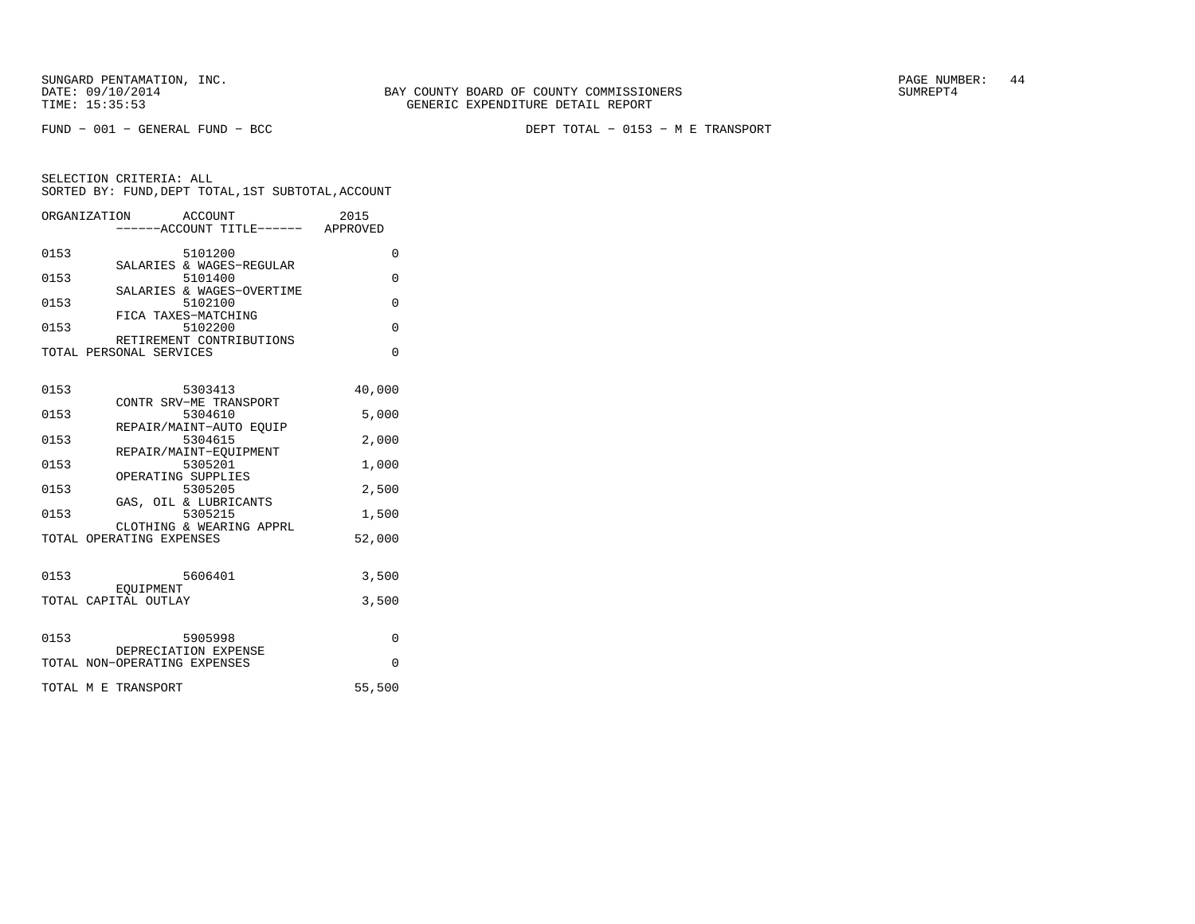FUND − 001 − GENERAL FUND − BCC DEPT TOTAL − 0153 − M E TRANSPORT

| ORGANIZATION                 | ACCOUNT                           | -----ACCOUNT TITLE------ APPROVED | 2015     |
|------------------------------|-----------------------------------|-----------------------------------|----------|
| 0153                         | 5101200                           |                                   | 0        |
| 0153                         | 5101400                           | SALARIES & WAGES-REGULAR          | $\Omega$ |
| 0153                         | 5102100                           | SALARIES & WAGES-OVERTIME         | $\Omega$ |
| 0153                         | FICA TAXES-MATCHING<br>5102200    |                                   | $\Omega$ |
| TOTAL PERSONAL SERVICES      |                                   | RETIREMENT CONTRIBUTIONS          | $\Omega$ |
| 0153                         |                                   | 5303413                           | 40,000   |
| 0153                         | CONTR SRV-ME TRANSPORT<br>5304610 |                                   | 5,000    |
| 0153                         | 5304615                           | REPAIR/MAINT-AUTO EOUIP           | 2,000    |
| 0153                         | REPAIR/MAINT-EOUIPMENT<br>5305201 |                                   | 1,000    |
| 0153                         | OPERATING SUPPLIES<br>5305205     |                                   | 2,500    |
| 0153                         | GAS, OIL & LUBRICANTS<br>5305215  |                                   | 1,500    |
| TOTAL OPERATING EXPENSES     |                                   | CLOTHING & WEARING APPRL          | 52,000   |
| 0153                         | 5606401                           |                                   | 3,500    |
| TOTAL CAPITAL OUTLAY         | EOUIPMENT                         |                                   | 3,500    |
|                              |                                   |                                   |          |
| 0153                         | 5905998<br>DEPRECIATION EXPENSE   |                                   | $\Omega$ |
| TOTAL NON-OPERATING EXPENSES |                                   |                                   | $\Omega$ |
| TOTAL M E TRANSPORT          |                                   |                                   | 55,500   |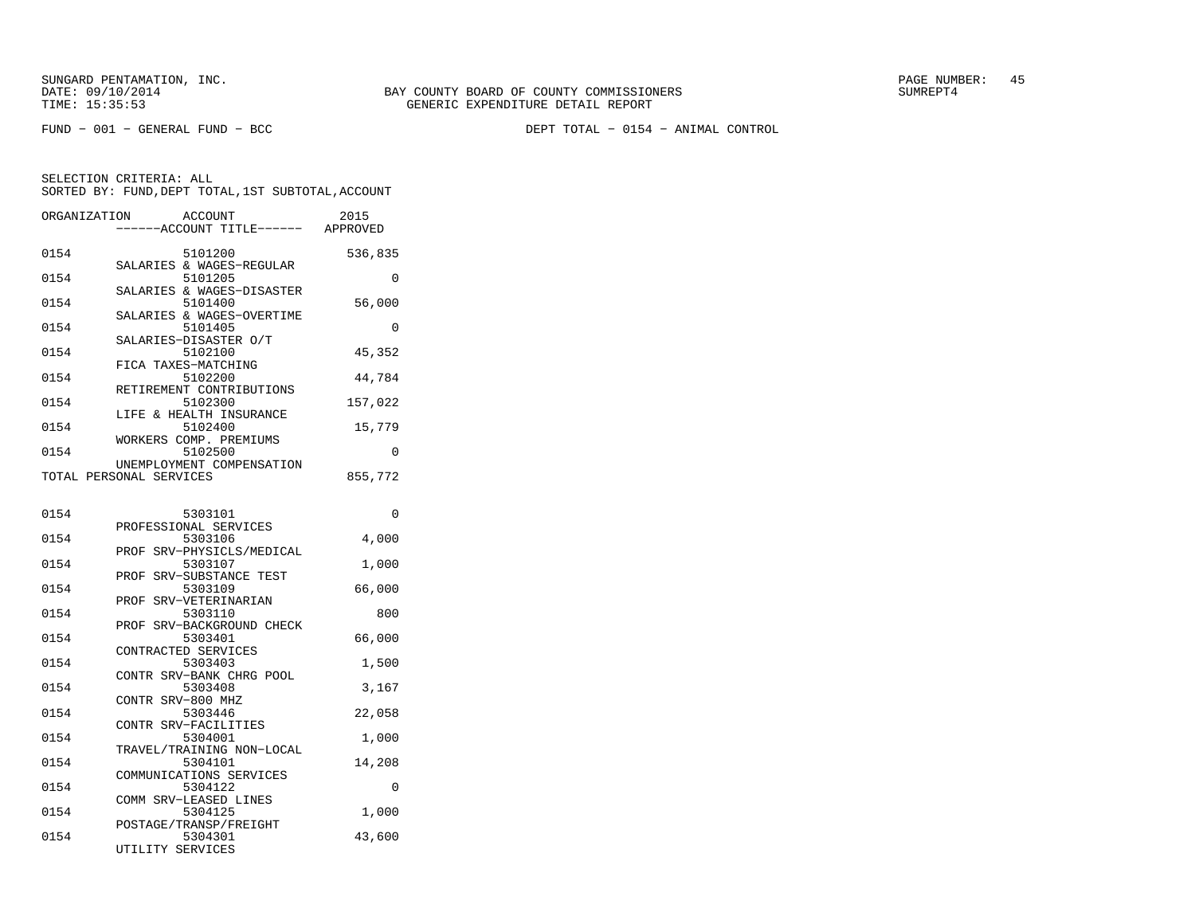FUND − 001 − GENERAL FUND − BCC DEPT TOTAL − 0154 − ANIMAL CONTROL

| 0154<br>5101200<br>536,835<br>SALARIES & WAGES-REGULAR                  |   |
|-------------------------------------------------------------------------|---|
| 0154<br>5101205                                                         | 0 |
| SALARIES & WAGES-DISASTER<br>0154<br>5101400<br>56,000                  |   |
| SALARIES & WAGES-OVERTIME<br>0154<br>5101405                            | 0 |
| SALARIES-DISASTER O/T<br>45,352<br>0154<br>5102100                      |   |
| FICA TAXES-MATCHING<br>5102200<br>0154<br>44,784                        |   |
| RETIREMENT CONTRIBUTIONS<br>0154<br>5102300<br>157,022                  |   |
| LIFE & HEALTH INSURANCE<br>0154<br>5102400<br>15,779                    |   |
| WORKERS COMP. PREMIUMS<br>5102500<br>0154                               | 0 |
| UNEMPLOYMENT COMPENSATION<br>TOTAL PERSONAL SERVICES<br>855,772         |   |
| 0154<br>5303101                                                         | 0 |
| PROFESSIONAL SERVICES<br>0154<br>4,000<br>5303106                       |   |
| SRV-PHYSICLS/MEDICAL<br>PROF<br>0154<br>5303107<br>1,000                |   |
| PROF SRV-SUBSTANCE TEST<br>0154<br>5303109<br>66,000                    |   |
| PROF SRV-VETERINARIAN<br>5303110<br>0154<br>800                         |   |
| PROF SRV-BACKGROUND CHECK<br>0154<br>5303401<br>66,000                  |   |
| CONTRACTED SERVICES<br>0154<br>5303403<br>1,500                         |   |
| CONTR SRV-BANK CHRG POOL<br>0154<br>5303408<br>3,167                    |   |
| CONTR SRV-800 MHZ<br>0154<br>5303446<br>22,058                          |   |
| CONTR SRV-FACILITIES<br>5304001<br>0154<br>1,000                        |   |
| TRAVEL/TRAINING NON-LOCAL<br>0154<br>5304101<br>14,208                  |   |
| COMMUNICATIONS SERVICES<br>0154<br>5304122                              | 0 |
| COMM SRV-LEASED LINES<br>0154<br>5304125<br>1,000                       |   |
| POSTAGE/TRANSP/FREIGHT<br>0154<br>43,600<br>5304301<br>UTILITY SERVICES |   |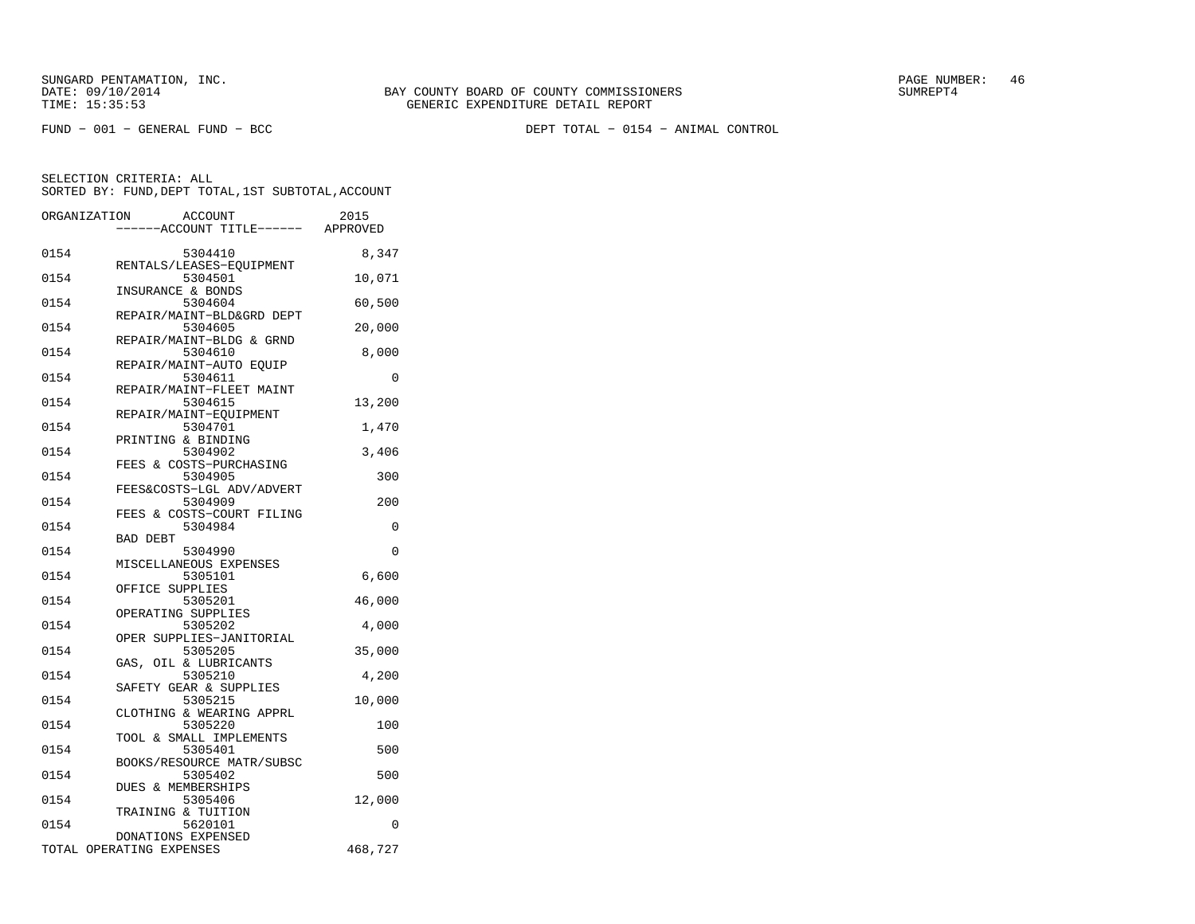FUND − 001 − GENERAL FUND − BCC DEPT TOTAL − 0154 − ANIMAL CONTROL

|      | <b>ACCOUNT</b><br>ORGANIZATION<br>---ACCOUNT TITLE------ APPROVED | 2015     |
|------|-------------------------------------------------------------------|----------|
| 0154 | 5304410                                                           | 8,347    |
| 0154 | RENTALS/LEASES-EQUIPMENT<br>5304501                               | 10,071   |
| 0154 | INSURANCE & BONDS<br>5304604                                      | 60,500   |
| 0154 | REPAIR/MAINT-BLD&GRD DEPT<br>5304605                              | 20,000   |
| 0154 | REPAIR/MAINT-BLDG & GRND<br>5304610                               | 8,000    |
| 0154 | REPAIR/MAINT-AUTO EQUIP<br>5304611                                | 0        |
| 0154 | REPAIR/MAINT-FLEET MAINT<br>5304615                               | 13,200   |
| 0154 | REPAIR/MAINT-EQUIPMENT<br>5304701                                 | 1,470    |
| 0154 | PRINTING & BINDING<br>5304902                                     | 3,406    |
| 0154 | FEES & COSTS-PURCHASING<br>5304905                                | 300      |
| 0154 | FEES&COSTS-LGL ADV/ADVERT<br>5304909                              | 200      |
| 0154 | FEES & COSTS-COURT FILING<br>5304984                              | 0        |
| 0154 | <b>BAD DEBT</b><br>5304990                                        | 0        |
| 0154 | MISCELLANEOUS EXPENSES<br>5305101                                 | 6,600    |
| 0154 | OFFICE SUPPLIES<br>5305201                                        | 46,000   |
| 0154 | OPERATING SUPPLIES<br>5305202                                     | 4,000    |
| 0154 | OPER SUPPLIES-JANITORIAL<br>5305205                               | 35,000   |
| 0154 | GAS, OIL & LUBRICANTS<br>5305210<br>SAFETY GEAR & SUPPLIES        | 4,200    |
| 0154 | 5305215<br>CLOTHING & WEARING APPRL                               | 10,000   |
| 0154 | 5305220<br>TOOL & SMALL IMPLEMENTS                                | 100      |
| 0154 | 5305401<br>BOOKS/RESOURCE MATR/SUBSC                              | 500      |
| 0154 | 5305402<br>DUES & MEMBERSHIPS                                     | 500      |
| 0154 | 5305406<br>TRAINING & TUITION                                     | 12,000   |
| 0154 | 5620101<br>DONATIONS EXPENSED                                     | $\Omega$ |
|      | TOTAL OPERATING EXPENSES                                          | 468,727  |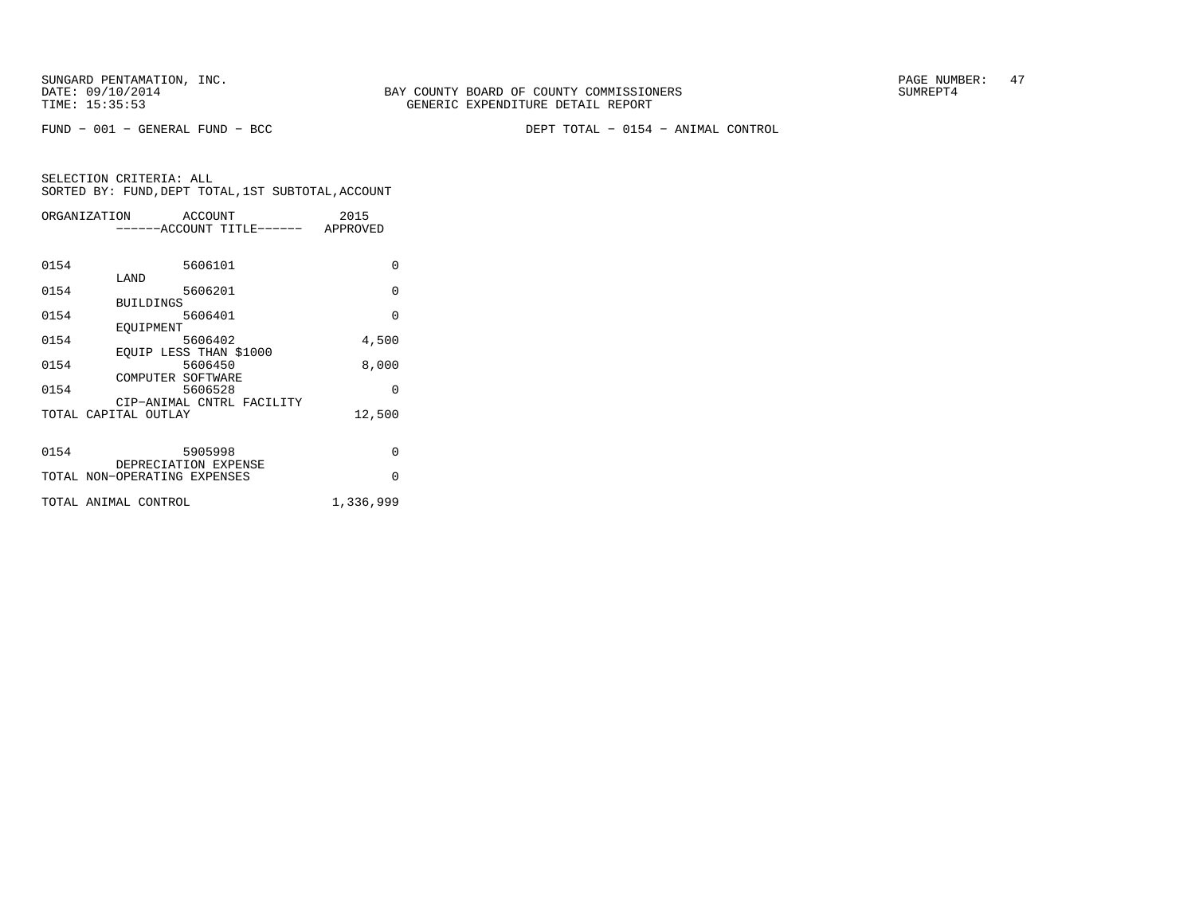FUND − 001 − GENERAL FUND − BCC DEPT TOTAL − 0154 − ANIMAL CONTROL

| ORGANIZATION |                              | ACCOUNT |                           | 2015      |
|--------------|------------------------------|---------|---------------------------|-----------|
|              |                              |         | -----ACCOUNT TITLE------  | APPROVED  |
|              |                              |         |                           |           |
|              |                              |         |                           |           |
| 0154         |                              | 5606101 |                           | $\Omega$  |
|              | LAND                         |         |                           |           |
| 0154         |                              | 5606201 |                           | $\Omega$  |
|              | <b>BUILDINGS</b>             |         |                           |           |
| 0154         |                              | 5606401 |                           | $\Omega$  |
|              | EOUIPMENT                    |         |                           |           |
| 0154         |                              | 5606402 |                           | 4,500     |
|              | EOUIP LESS THAN \$1000       |         |                           |           |
| 0154         |                              | 5606450 |                           | 8,000     |
|              | COMPUTER SOFTWARE            |         |                           |           |
| 0154         |                              | 5606528 |                           | O         |
|              |                              |         | CIP-ANIMAL CNTRL FACILITY |           |
|              | TOTAL CAPITAL OUTLAY         |         |                           | 12,500    |
|              |                              |         |                           |           |
|              |                              |         |                           |           |
| 0154         |                              | 5905998 |                           | $\Omega$  |
|              | DEPRECIATION EXPENSE         |         |                           |           |
|              | TOTAL NON-OPERATING EXPENSES |         |                           | $\Omega$  |
|              | TOTAL ANIMAL CONTROL         |         |                           |           |
|              |                              |         |                           | 1,336,999 |
|              |                              |         |                           |           |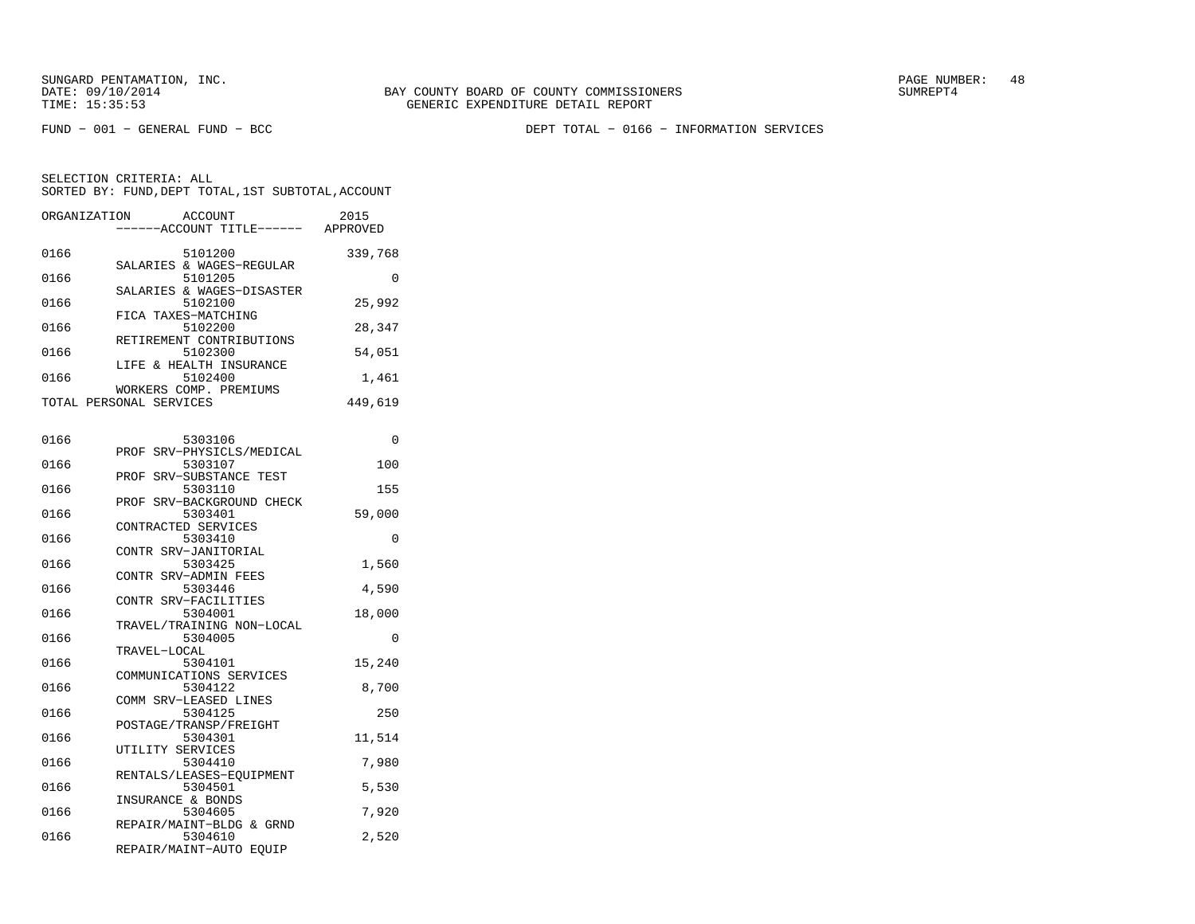FUND − 001 − GENERAL FUND − BCC DEPT TOTAL − 0166 − INFORMATION SERVICES

| ORGANIZATION | ACCOUNT<br>------ACCOUNT TITLE------              | 2015<br>APPROVED |
|--------------|---------------------------------------------------|------------------|
| 0166         | 5101200                                           | 339,768          |
| 0166         | SALARIES & WAGES-REGULAR<br>5101205               | O                |
| 0166         | SALARIES & WAGES-DISASTER<br>5102100              | 25,992           |
| 0166         | FICA TAXES-MATCHING<br>5102200                    | 28,347           |
| 0166         | RETIREMENT CONTRIBUTIONS<br>5102300               | 54,051           |
| 0166         | LIFE & HEALTH INSURANCE<br>5102400                | 1,461            |
|              | WORKERS COMP. PREMIUMS<br>TOTAL PERSONAL SERVICES | 449,619          |

| 0166 | 5303106                              | 0        |
|------|--------------------------------------|----------|
|      | PROF SRV-PHYSICLS/MEDICAL            |          |
| 0166 | 5303107                              | 100      |
|      | PROF SRV-SUBSTANCE TEST              |          |
| 0166 | 5303110                              | 155      |
|      | PROF SRV-BACKGROUND CHECK            |          |
| 0166 | 5303401                              | 59,000   |
|      | CONTRACTED SERVICES                  |          |
| 0166 | 5303410                              | $\Omega$ |
|      | CONTR SRV-JANITORIAL                 |          |
| 0166 | 5303425                              | 1,560    |
|      | CONTR SRV-ADMIN FEES                 |          |
| 0166 | 5303446                              | 4,590    |
| 0166 | CONTR SRV-FACILITIES<br>5304001      |          |
|      |                                      | 18,000   |
| 0166 | TRAVEL/TRAINING NON-LOCAL<br>5304005 | $\Omega$ |
|      | TRAVEL-LOCAL                         |          |
| 0166 | 5304101                              | 15,240   |
|      | COMMUNICATIONS SERVICES              |          |
| 0166 | 5304122                              | 8,700    |
|      | COMM SRV-LEASED LINES                |          |
| 0166 | 5304125                              | 250      |
|      | POSTAGE/TRANSP/FREIGHT               |          |
| 0166 | 5304301                              | 11,514   |
|      | UTILITY SERVICES                     |          |
| 0166 | 5304410                              | 7,980    |
|      | RENTALS/LEASES-EQUIPMENT             |          |
| 0166 | 5304501                              | 5,530    |
|      | INSURANCE & BONDS                    |          |
| 0166 | 5304605                              | 7,920    |
|      | REPAIR/MAINT-BLDG & GRND             |          |
| 0166 | 5304610                              | 2,520    |
|      | REPAIR/MAINT-AUTO EQUIP              |          |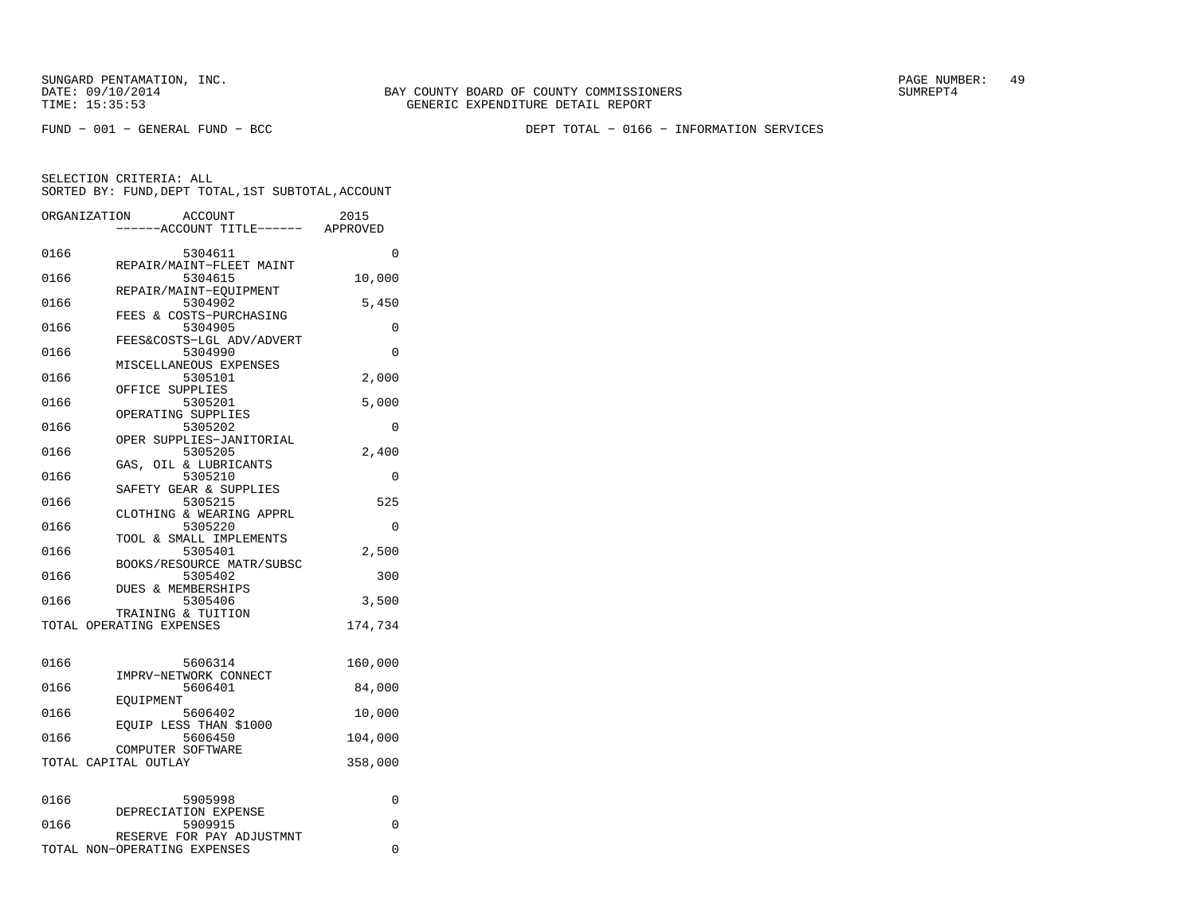SUNGARD PENTAMATION, INC.<br>DATE: 09/10/2014 SUMRER: 49

FUND − 001 − GENERAL FUND − BCC DEPT TOTAL − 0166 − INFORMATION SERVICES

|      | ORGANIZATION<br>ACCOUNT<br>----ACCOUNT TITLE------ APPROVED | 2015     |
|------|-------------------------------------------------------------|----------|
| 0166 | 5304611                                                     | 0        |
| 0166 | REPAIR/MAINT-FLEET MAINT<br>5304615                         | 10,000   |
| 0166 | REPAIR/MAINT-EOUIPMENT<br>5304902                           | 5,450    |
| 0166 | FEES & COSTS-PURCHASING<br>5304905                          | 0        |
| 0166 | FEES&COSTS-LGL ADV/ADVERT<br>5304990                        | 0        |
| 0166 | MISCELLANEOUS EXPENSES<br>5305101                           | 2,000    |
| 0166 | OFFICE SUPPLIES<br>5305201                                  | 5,000    |
| 0166 | OPERATING SUPPLIES<br>5305202                               | 0        |
| 0166 | OPER SUPPLIES-JANITORIAL<br>5305205                         | 2,400    |
| 0166 | OIL & LUBRICANTS<br>GAS,<br>5305210                         | 0        |
| 0166 | SAFETY GEAR & SUPPLIES<br>5305215                           | 525      |
|      | CLOTHING & WEARING APPRL                                    |          |
| 0166 | 5305220<br>TOOL & SMALL IMPLEMENTS                          | $\Omega$ |
| 0166 | 5305401<br>BOOKS/RESOURCE MATR/SUBSC                        | 2,500    |
| 0166 | 5305402<br><b>DUES &amp; MEMBERSHIPS</b>                    | 300      |
| 0166 | 5305406<br>TRAINING & TUITION                               | 3,500    |
|      | TOTAL OPERATING EXPENSES                                    | 174,734  |
| 0166 | 5606314                                                     | 160,000  |
| 0166 | IMPRV-NETWORK CONNECT<br>5606401                            | 84,000   |
| 0166 | EQUIPMENT<br>5606402                                        | 10,000   |
| 0166 | EQUIP LESS THAN \$1000<br>5606450                           | 104,000  |
|      | COMPUTER SOFTWARE<br>TOTAL CAPITAL OUTLAY                   | 358,000  |
|      |                                                             |          |
| 0166 | 5905998<br>DEPRECIATION EXPENSE                             | 0        |
| 0166 | 5909915<br>RESERVE FOR PAY ADJUSTMNT                        | 0        |
|      | TOTAL NON-OPERATING EXPENSES                                | 0        |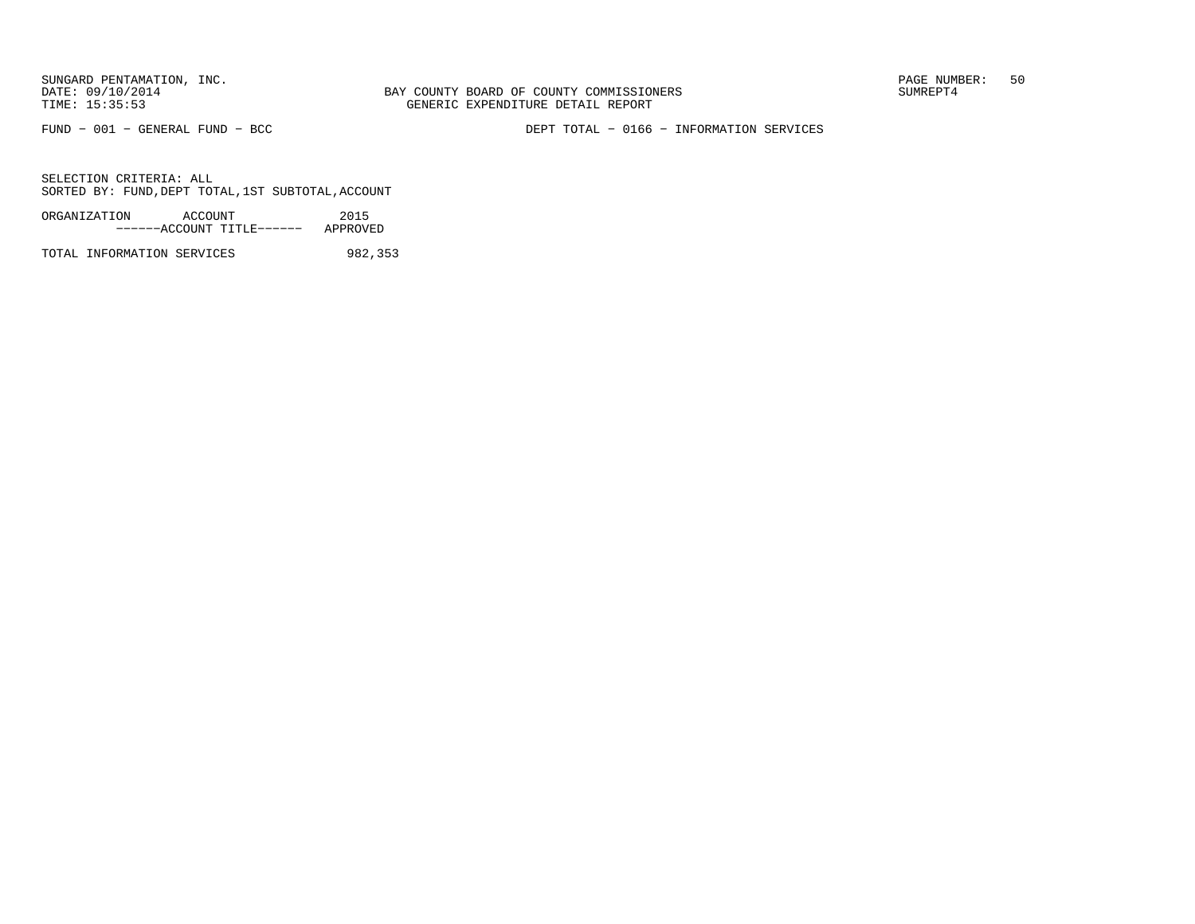BAY COUNTY BOARD OF COUNTY COMMISSIONERS TIME: 15:35:53 GENERIC EXPENDITURE DETAIL REPORT

FUND − 001 − GENERAL FUND − BCC DEPT TOTAL − 0166 − INFORMATION SERVICES

SELECTION CRITERIA: ALLSORTED BY: FUND,DEPT TOTAL,1ST SUBTOTAL,ACCOUNT

ORGANIZATION ACCOUNT 2015−−−−−−ACCOUNT TITLE−−−−−− APPROVED

TOTAL INFORMATION SERVICES 982,353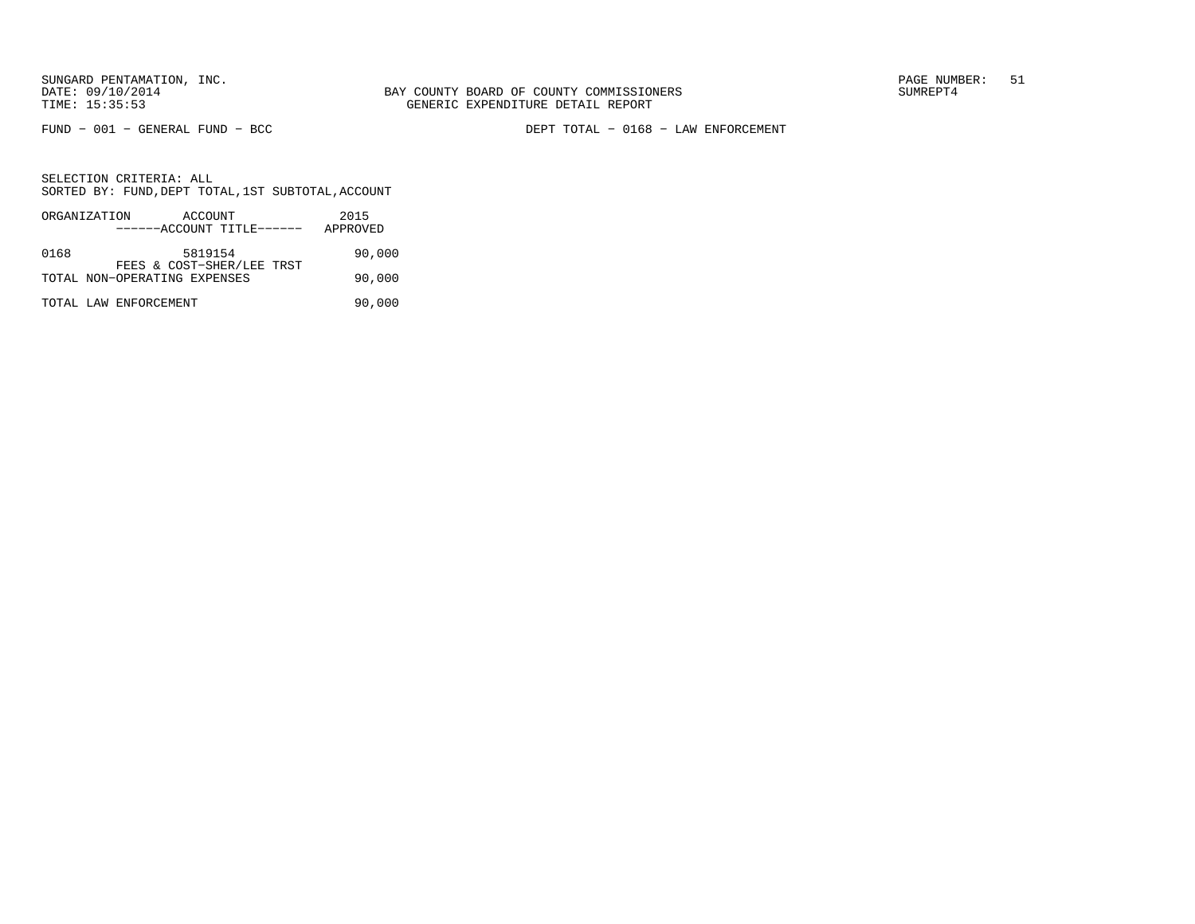FUND − 001 − GENERAL FUND − BCC DEPT TOTAL − 0168 − LAW ENFORCEMENT

|      | ORGANIZATION          | ACCOUNT<br>------ACCOUNT TITLE------ |  | 2015<br>APPROVED |        |
|------|-----------------------|--------------------------------------|--|------------------|--------|
|      |                       |                                      |  |                  |        |
| 0168 |                       | 5819154<br>FEES & COST-SHER/LEE TRST |  |                  | 90,000 |
|      |                       | TOTAL NON-OPERATING EXPENSES         |  |                  | 90,000 |
|      | TOTAL LAW ENFORCEMENT |                                      |  |                  | 90,000 |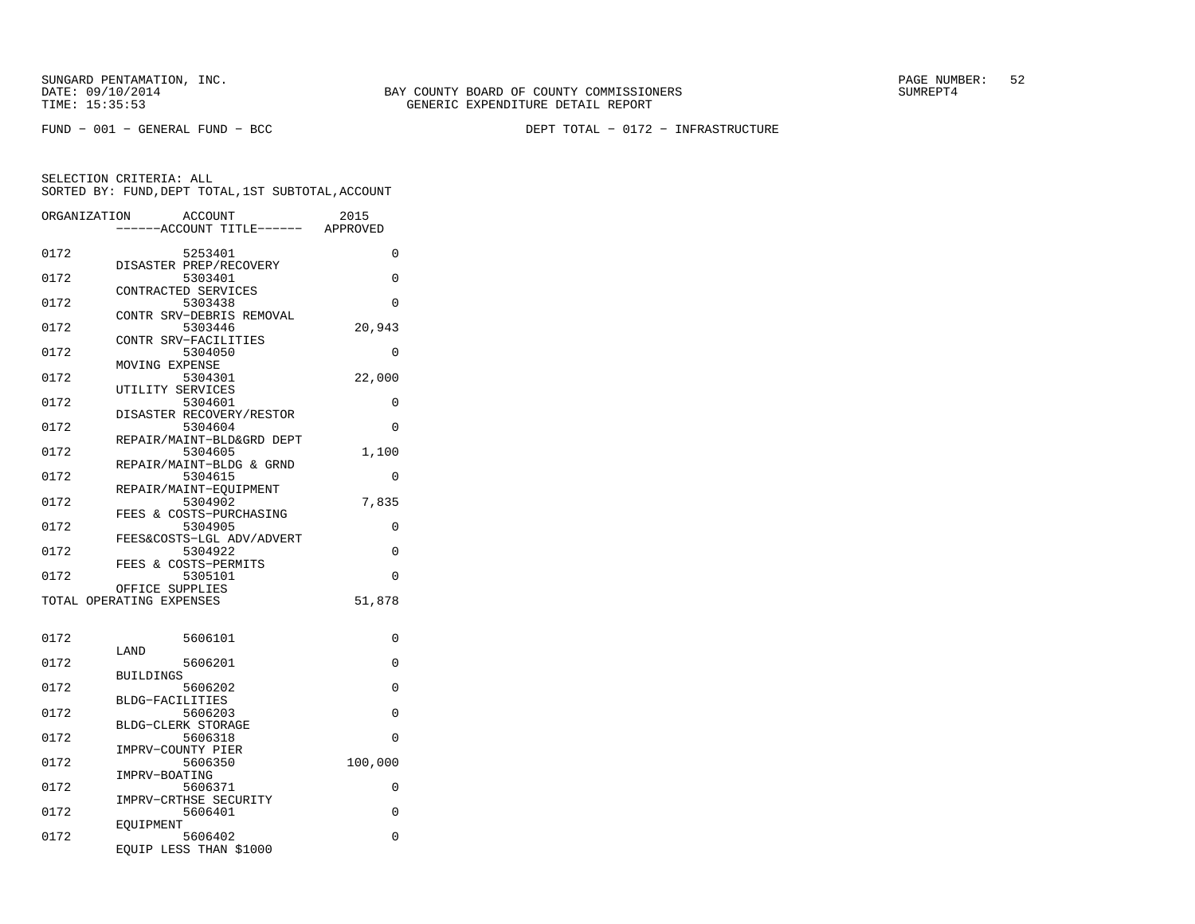FUND − 001 − GENERAL FUND − BCC DEPT TOTAL − 0172 − INFRASTRUCTURE

| ORGANIZATION |                          | <b>ACCOUNT</b>                      | 2015     |
|--------------|--------------------------|-------------------------------------|----------|
|              |                          | ---ACCOUNT TITLE------ APPROVED     |          |
| 0172         |                          | 5253401                             | 0        |
|              |                          | DISASTER PREP/RECOVERY              |          |
| 0172         |                          | 5303401                             | 0        |
| 0172         | CONTRACTED SERVICES      | 5303438                             | 0        |
|              |                          | CONTR SRV-DEBRIS REMOVAL            |          |
| 0172         |                          | 5303446                             | 20,943   |
|              |                          | CONTR SRV-FACILITIES                |          |
| 0172         | MOVING EXPENSE           | 5304050                             | $\Omega$ |
| 0172         |                          | 5304301                             | 22,000   |
|              | UTILITY SERVICES         |                                     |          |
| 0172         |                          | 5304601                             | 0        |
| 0172         |                          | DISASTER RECOVERY/RESTOR<br>5304604 | 0        |
|              |                          | REPAIR/MAINT-BLD&GRD DEPT           |          |
| 0172         |                          | 5304605                             | 1,100    |
|              |                          | REPAIR/MAINT-BLDG & GRND            |          |
| 0172         |                          | 5304615                             | 0        |
| 0172         |                          | REPAIR/MAINT-EOUIPMENT<br>5304902   | 7,835    |
|              |                          | FEES & COSTS-PURCHASING             |          |
| 0172         |                          | 5304905                             | 0        |
|              |                          | FEES&COSTS-LGL ADV/ADVERT           |          |
| 0172         |                          | 5304922                             | $\Omega$ |
| 0172         |                          | FEES & COSTS-PERMITS<br>5305101     | 0        |
|              | OFFICE SUPPLIES          |                                     |          |
|              | TOTAL OPERATING EXPENSES |                                     | 51,878   |
|              |                          |                                     |          |
| 0172         |                          | 5606101                             | 0        |
|              | LAND                     |                                     |          |
| 0172         |                          | 5606201                             | 0        |
|              | <b>BUILDINGS</b>         |                                     |          |
| 0172         | BLDG-FACILITIES          | 5606202                             | 0        |
| 0172         |                          | 5606203                             | 0        |
|              | BLDG-CLERK STORAGE       |                                     |          |
| 0172         |                          | 5606318                             | 0        |
| 0172         | IMPRV-COUNTY PIER        | 5606350                             | 100,000  |
|              | IMPRV-BOATING            |                                     |          |
| 0172         |                          | 5606371                             | 0        |
|              |                          | IMPRV-CRTHSE SECURITY               |          |
| 0172         |                          | 5606401                             | 0        |
| 0172         | EOUIPMENT                | 5606402                             | 0        |
|              |                          | EQUIP LESS THAN \$1000              |          |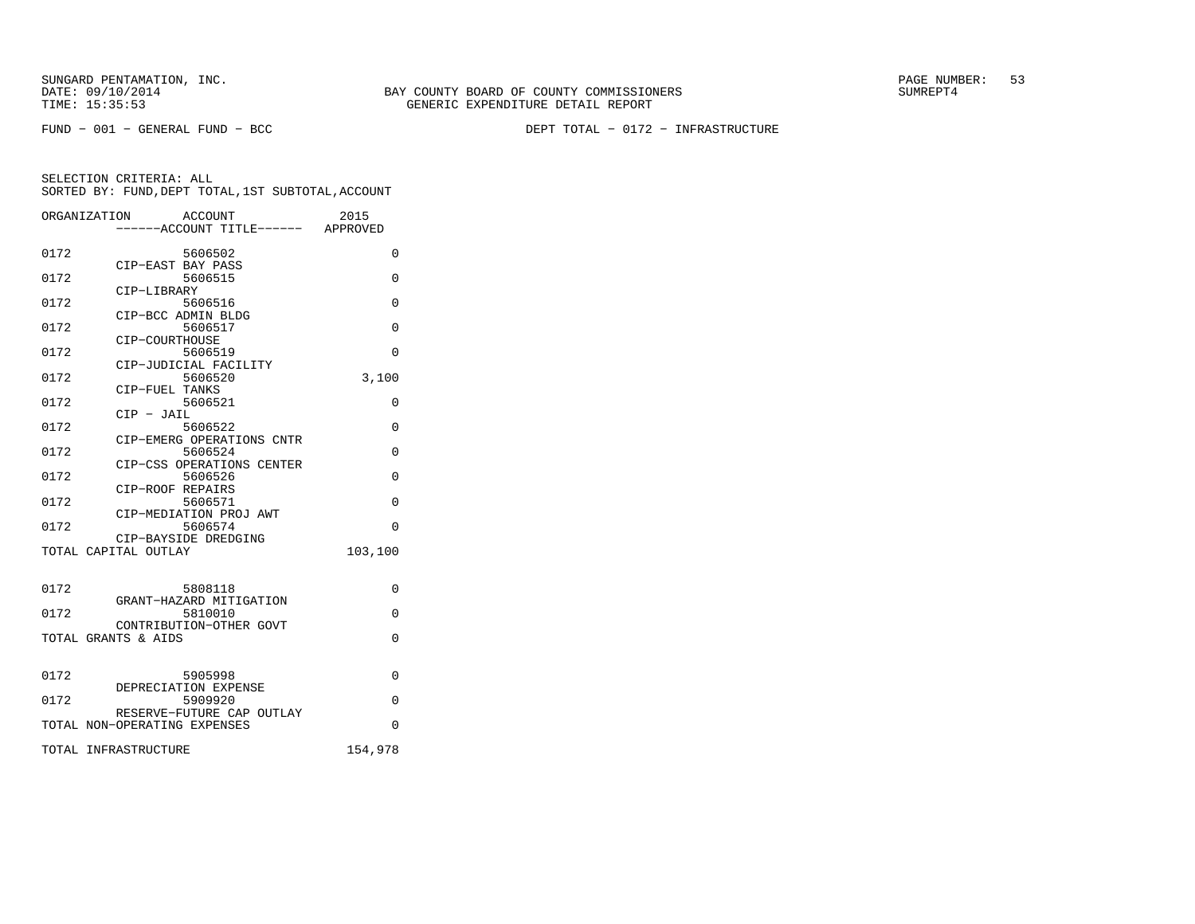SUNGARD PENTAMATION, INC.<br>DATE: 09/10/2014 SUMRER: 53

FUND − 001 − GENERAL FUND − BCC DEPT TOTAL − 0172 − INFRASTRUCTURE

|      | ORGANIZATION<br>ACCOUNT                                   | 2015    |
|------|-----------------------------------------------------------|---------|
|      | ------ACCOUNT TITLE------ APPROVED                        |         |
| 0172 | 5606502<br>CIP-EAST BAY PASS                              | 0       |
| 0172 | 5606515                                                   | 0       |
| 0172 | CIP-LIBRARY<br>5606516                                    | 0       |
| 0172 | CIP-BCC ADMIN BLDG<br>5606517                             | 0       |
| 0172 | CIP-COURTHOUSE<br>5606519                                 | 0       |
| 0172 | CIP-JUDICIAL FACILITY<br>5606520                          | 3,100   |
| 0172 | CIP-FUEL TANKS<br>5606521                                 | 0       |
| 0172 | CIP - JAIL<br>5606522                                     | 0       |
| 0172 | CIP-EMERG OPERATIONS CNTR<br>5606524                      | 0       |
| 0172 | CIP-CSS OPERATIONS CENTER<br>5606526                      | 0       |
| 0172 | CIP-ROOF REPAIRS<br>5606571                               | 0       |
| 0172 | CIP-MEDIATION PROJ AWT<br>5606574                         | 0       |
|      | CIP-BAYSIDE DREDGING<br>TOTAL CAPITAL OUTLAY              | 103,100 |
| 0172 | 5808118                                                   | 0       |
| 0172 | GRANT-HAZARD MITIGATION<br>5810010                        | 0       |
|      | CONTRIBUTION-OTHER GOVT<br>TOTAL GRANTS & AIDS            | 0       |
| 0172 | 5905998                                                   | 0       |
| 0172 | DEPRECIATION EXPENSE<br>5909920                           | 0       |
|      | RESERVE-FUTURE CAP OUTLAY<br>TOTAL NON-OPERATING EXPENSES | 0       |
|      | TOTAL INFRASTRUCTURE                                      | 154,978 |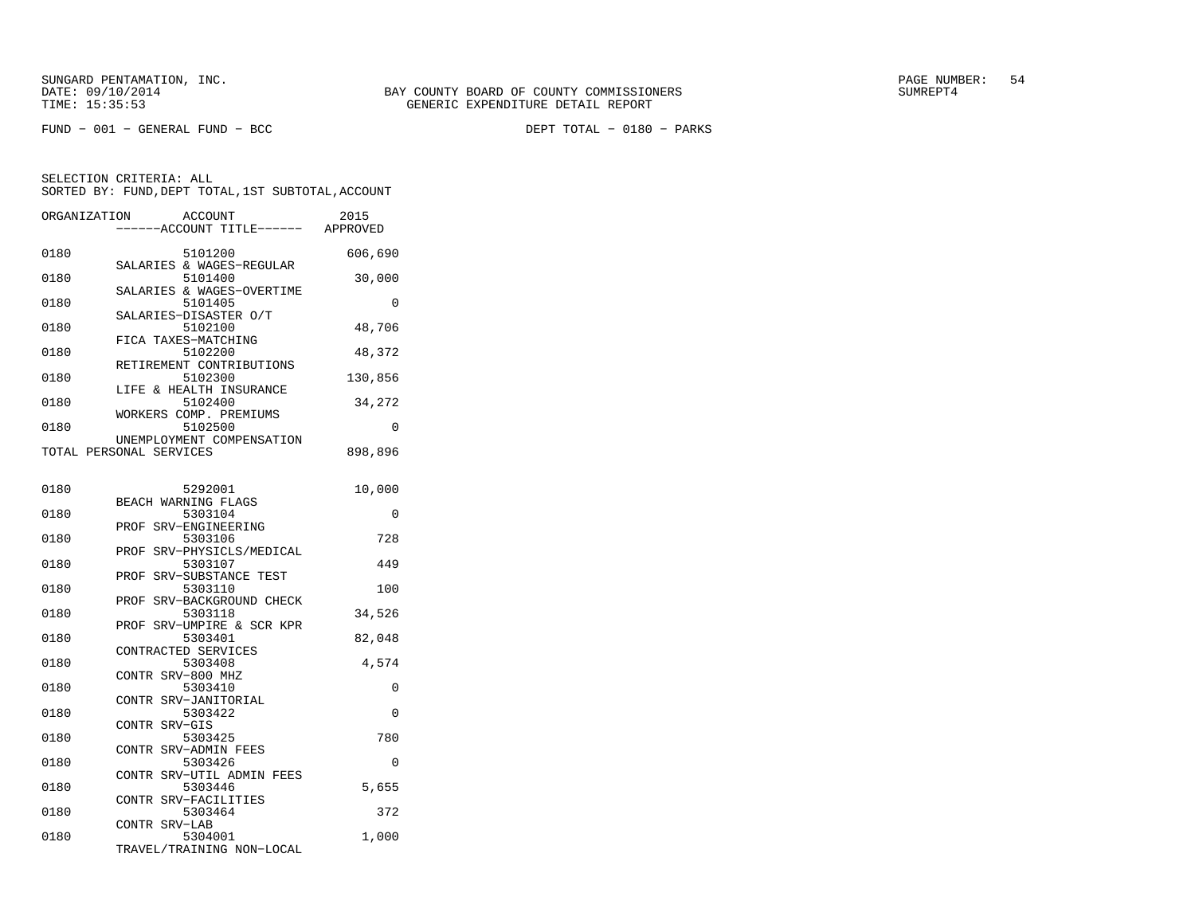| ORGANIZATION | <b>ACCOUNT</b><br>----ACCOUNT TITLE------ APPROVED             | 2015     |
|--------------|----------------------------------------------------------------|----------|
| 0180         | 5101200                                                        | 606,690  |
| 0180         | SALARIES & WAGES-REGULAR<br>5101400                            | 30,000   |
| 0180         | SALARIES & WAGES-OVERTIME<br>5101405                           | 0        |
| 0180         | SALARIES-DISASTER O/T<br>5102100                               | 48,706   |
| 0180         | FICA TAXES-MATCHING<br>5102200                                 | 48,372   |
| 0180         | RETIREMENT CONTRIBUTIONS<br>5102300                            | 130,856  |
| 0180         | LIFE & HEALTH INSURANCE<br>5102400                             | 34,272   |
| 0180         | WORKERS COMP. PREMIUMS<br>5102500<br>UNEMPLOYMENT COMPENSATION | $\Omega$ |
|              | TOTAL PERSONAL SERVICES                                        | 898,896  |
| 0180         | 5292001                                                        | 10,000   |
| 0180         | BEACH WARNING FLAGS<br>5303104                                 | 0        |
| 0180         | SRV-ENGINEERING<br>PROF<br>5303106                             | 728      |
| 0180         | SRV-PHYSICLS/MEDICAL<br>PROF<br>5303107                        | 449      |
| 0180         | PROF SRV-SUBSTANCE TEST<br>5303110                             | 100      |
| 0180         | SRV-BACKGROUND CHECK<br>PROF<br>5303118                        | 34,526   |
| 0180         | SRV-UMPIRE & SCR KPR<br>PROF<br>5303401                        | 82,048   |
| 0180         | CONTRACTED SERVICES<br>5303408                                 | 4,574    |
| 0180         | CONTR SRV-800 MHZ<br>5303410                                   | 0        |
| 0180         | SRV-JANITORIAL<br>CONTR<br>5303422                             | 0        |
| 0180         | SRV-GIS<br><b>CONTR</b><br>5303425                             | 780      |
| 0180         | CONTR SRV-ADMIN FEES<br>5303426                                | 0        |
| 0180         | CONTR SRV-UTIL ADMIN FEES<br>5303446                           | 5,655    |
| 0180         | SRV-FACILITIES<br>CONTR<br>5303464                             | 372      |
| 0180         | CONTR SRV-LAB<br>5304001                                       | 1,000    |
|              | TRAVEL/TRAINING NON-LOCAL                                      |          |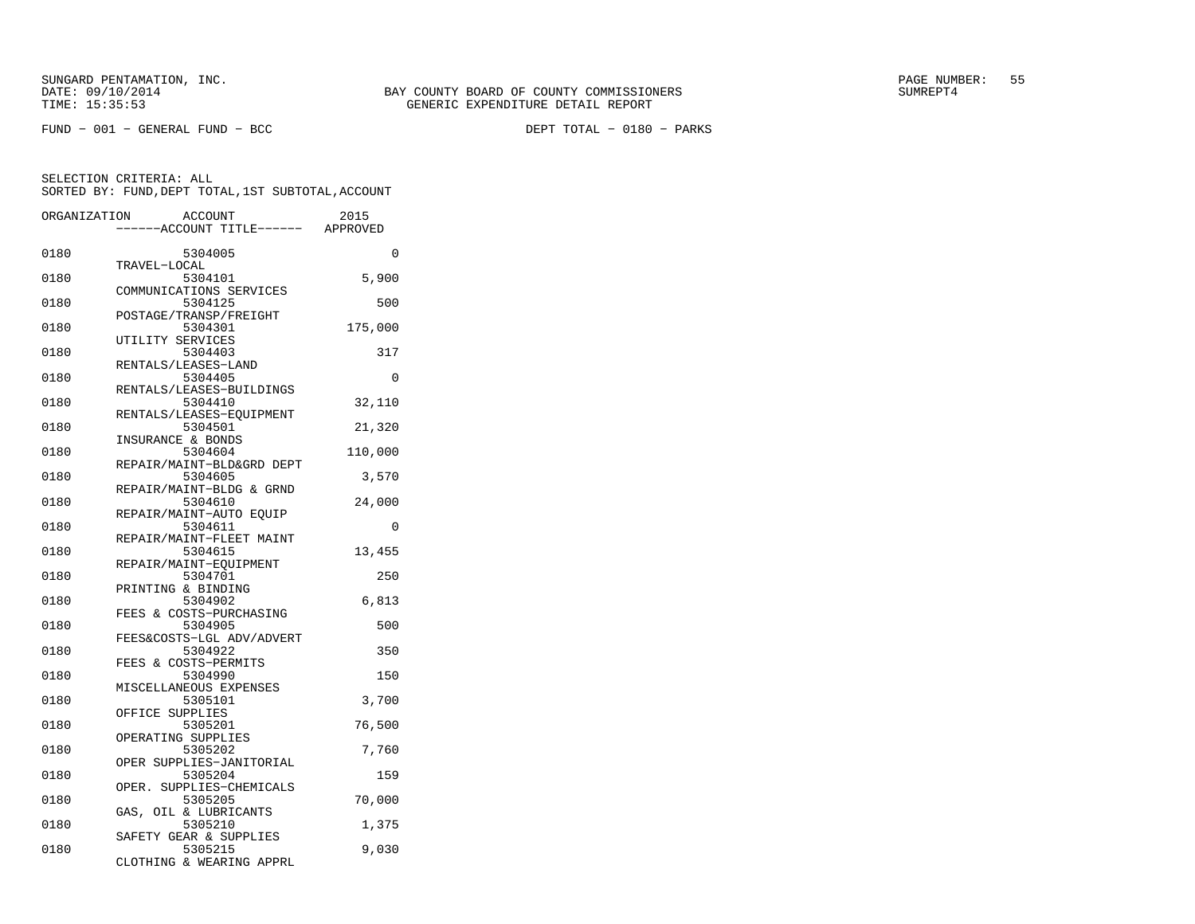SUNGARD PENTAMATION, INC.<br>DATE: 09/10/2014 SUMRER: 55 STATE: 09/10/2014 SUMRER: 55

| ORGANIZATION | <b>ACCOUNT</b><br>---ACCOUNT TITLE------ APPROVED             | 2015     |
|--------------|---------------------------------------------------------------|----------|
| 0180         | 5304005                                                       | 0        |
| 0180         | TRAVEL-LOCAL<br>5304101                                       | 5,900    |
| 0180         | COMMUNICATIONS SERVICES<br>5304125                            | 500      |
| 0180         | POSTAGE/TRANSP/FREIGHT<br>5304301                             | 175,000  |
| 0180         | UTILITY SERVICES<br>5304403                                   | 317      |
| 0180         | RENTALS/LEASES-LAND<br>5304405                                | $\Omega$ |
| 0180         | RENTALS/LEASES-BUILDINGS<br>5304410                           | 32,110   |
| 0180         | RENTALS/LEASES-EQUIPMENT<br>5304501                           | 21,320   |
| 0180         | INSURANCE & BONDS<br>5304604                                  | 110,000  |
| 0180         | REPAIR/MAINT-BLD&GRD DEPT<br>5304605                          | 3,570    |
| 0180         | REPAIR/MAINT-BLDG & GRND<br>5304610                           | 24,000   |
| 0180         | REPAIR/MAINT-AUTO EOUIP<br>5304611                            | 0        |
| 0180         | REPAIR/MAINT-FLEET MAINT<br>5304615                           | 13,455   |
| 0180         | REPAIR/MAINT-EQUIPMENT<br>5304701                             | 250      |
| 0180         | PRINTING & BINDING<br>5304902                                 | 6,813    |
| 0180         | FEES & COSTS-PURCHASING<br>5304905                            | 500      |
| 0180         | FEES&COSTS-LGL ADV/ADVERT<br>5304922                          | 350      |
| 0180         | FEES & COSTS-PERMITS<br>5304990                               | 150      |
| 0180         | MISCELLANEOUS EXPENSES<br>5305101                             | 3,700    |
| 0180         | OFFICE SUPPLIES<br>5305201                                    | 76,500   |
| 0180         | OPERATING SUPPLIES<br>5305202                                 | 7,760    |
| 0180         | OPER SUPPLIES-JANITORIAL<br>5305204                           | 159      |
| 0180         | SUPPLIES-CHEMICALS<br>OPER.<br>5305205                        | 70,000   |
| 0180         | GAS, OIL & LUBRICANTS<br>5305210                              | 1,375    |
| 0180         | SAFETY GEAR & SUPPLIES<br>5305215<br>CLOTHING & WEARING APPRL | 9,030    |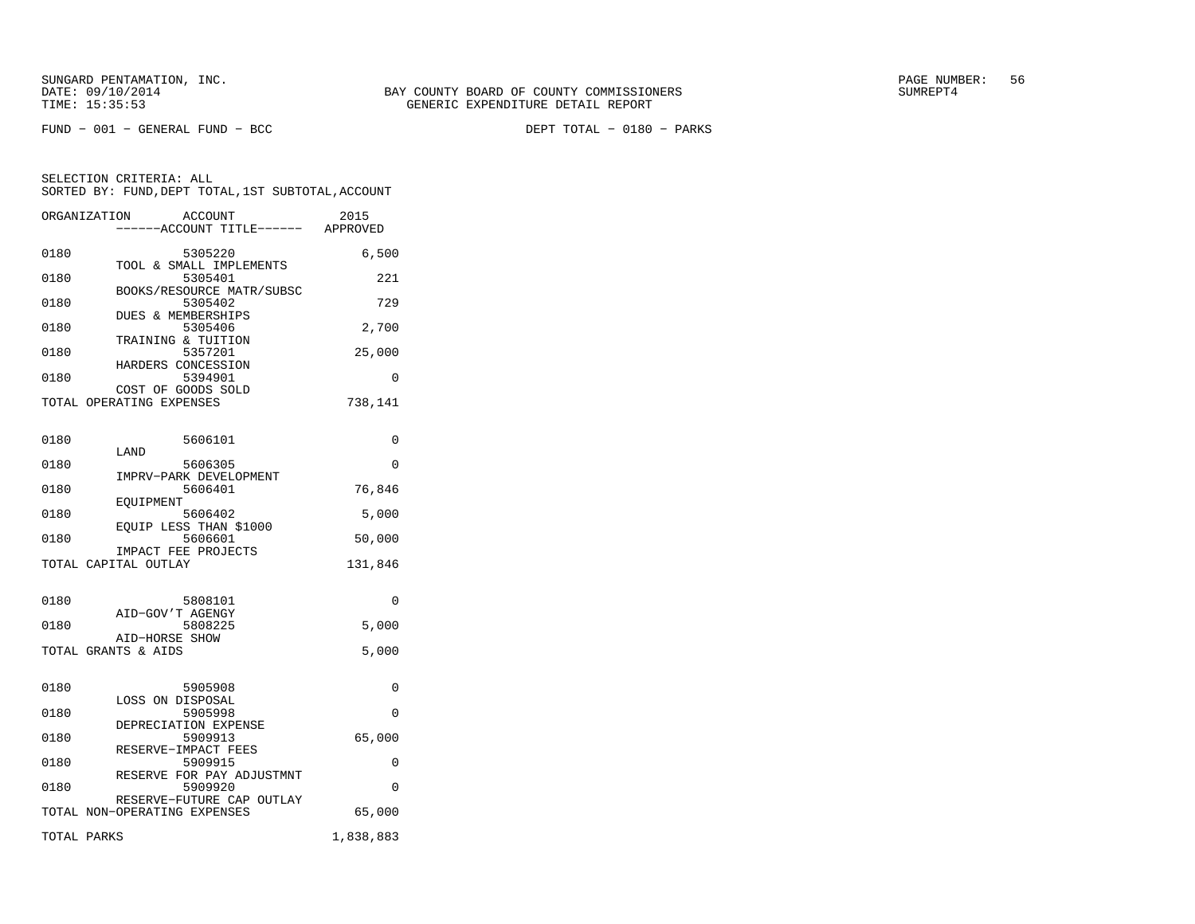FUND − 001 − GENERAL FUND − BCC DEPT TOTAL − 0180 − PARKS

SELECTION CRITERIA: ALL SORTED BY: FUND,DEPT TOTAL,1ST SUBTOTAL,ACCOUNTORGANIZATION ACCOUNT 2015

|      | -----ACCOUNT TITLE------                    | APPROVED  |
|------|---------------------------------------------|-----------|
| 0180 | 5305220                                     | 6,500     |
| 0180 | TOOL & SMALL IMPLEMENTS<br>5305401          | 221       |
| 0180 | BOOKS/RESOURCE MATR/SUBSC<br>5305402        | 729       |
| 0180 | <b>DUES &amp; MEMBERSHIPS</b><br>5305406    | 2,700     |
| 0180 | TRAINING & TUITION<br>5357201               | 25,000    |
| 0180 | HARDERS CONCESSION<br>5394901               | 0         |
|      | COST OF GOODS SOLD                          |           |
|      | TOTAL OPERATING EXPENSES                    | 738,141   |
| 0180 | 5606101                                     | 0         |
| 0180 | LAND<br>5606305                             | 0         |
|      | IMPRV-PARK DEVELOPMENT                      |           |
| 0180 | 5606401<br>EQUIPMENT                        | 76,846    |
| 0180 | 5606402                                     | 5,000     |
| 0180 | EOUIP LESS THAN \$1000<br>5606601           | 50,000    |
|      | IMPACT FEE PROJECTS<br>TOTAL CAPITAL OUTLAY | 131,846   |
|      |                                             |           |
| 0180 | 5808101                                     | 0         |
| 0180 | AID-GOV'T AGENGY<br>5808225                 | 5,000     |
|      | AID-HORSE SHOW<br>TOTAL GRANTS & AIDS       | 5,000     |
|      |                                             |           |
| 0180 | 5905908                                     | 0         |
| 0180 | LOSS ON DISPOSAL<br>5905998                 | 0         |
| 0180 | DEPRECIATION EXPENSE<br>5909913             | 65,000    |
| 0180 | RESERVE-IMPACT FEES<br>5909915              | 0         |
| 0180 | RESERVE FOR PAY ADJUSTMNT<br>5909920        | $\Omega$  |
|      | RESERVE-FUTURE CAP OUTLAY                   |           |
|      | TOTAL NON-OPERATING EXPENSES                | 65,000    |
|      | TOTAL PARKS                                 | 1,838,883 |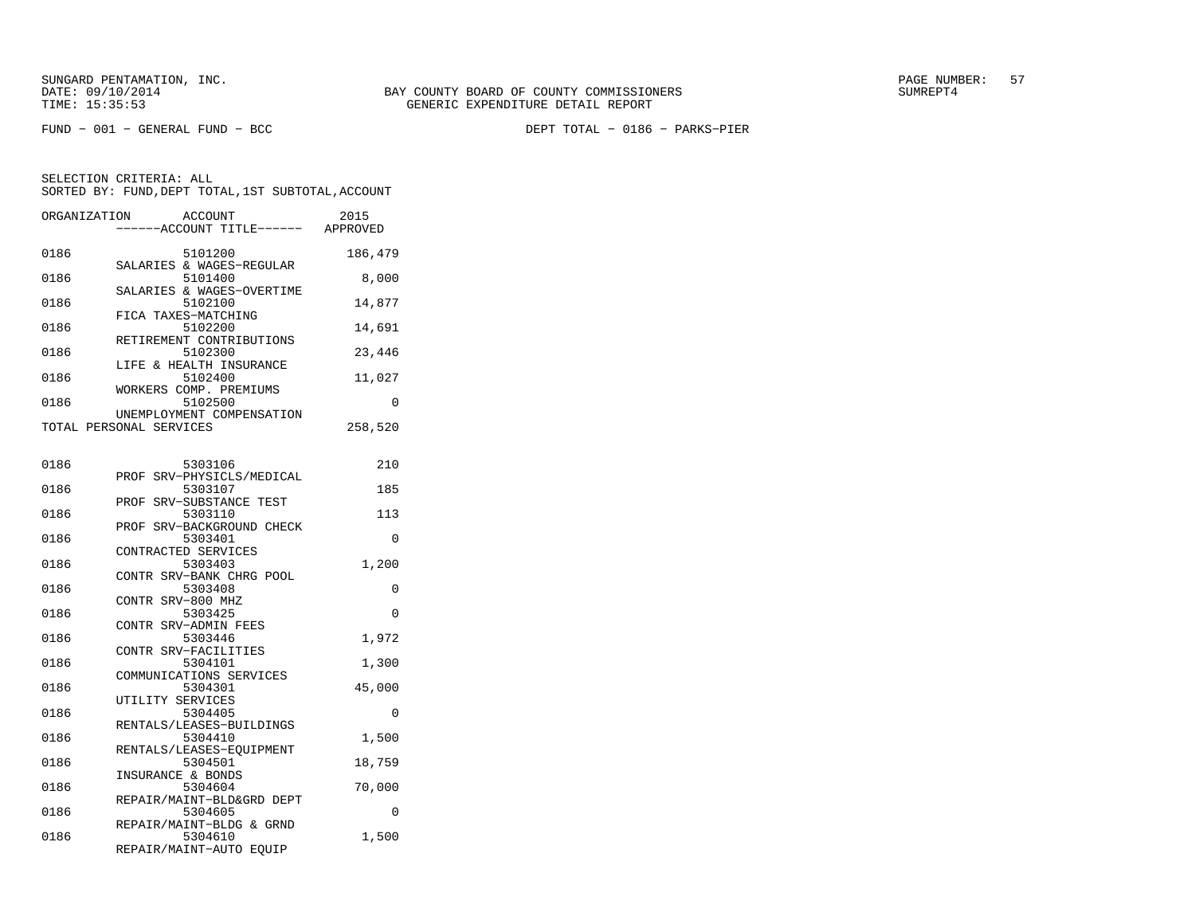FUND − 001 − GENERAL FUND − BCC DEPT TOTAL − 0186 − PARKS−PIER

| ORGANIZATION | ACCOUNT<br>---ACCOUNT TITLE------                    | 2015<br>APPROVED |
|--------------|------------------------------------------------------|------------------|
| 0186         | 5101200<br>SALARIES & WAGES-REGULAR                  | 186,479          |
| 0186         | 5101400<br>SALARIES & WAGES-OVERTIME                 | 8,000            |
| 0186         | 5102100<br>FICA TAXES-MATCHING                       | 14,877           |
| 0186         | 5102200                                              | 14,691           |
| 0186         | RETIREMENT CONTRIBUTIONS<br>5102300                  | 23,446           |
| 0186         | LIFE & HEALTH INSURANCE<br>5102400                   | 11,027           |
| 0186         | WORKERS COMP. PREMIUMS<br>5102500                    | 0                |
|              | UNEMPLOYMENT COMPENSATION<br>TOTAL PERSONAL SERVICES | 258,520          |
| 0186         | 5303106                                              | 210              |
| 0186         | PROF SRV-PHYSICLS/MEDICAL<br>5303107                 | 185              |
| 0186         | PROF<br>SRV-SUBSTANCE TEST<br>5303110                | 113              |
| 0186         | PROF SRV-BACKGROUND CHECK<br>5303401                 | 0                |
| 0186         | CONTRACTED SERVICES<br>5303403                       | 1,200            |
| 0186         | CONTR SRV-BANK CHRG POOL<br>5303408                  | 0                |
| 0186         | CONTR SRV-800 MHZ<br>5303425                         | $\Omega$         |
| 0186         | CONTR SRV-ADMIN FEES<br>5303446                      | 1,972            |
| 0186         | CONTR SRV-FACILITIES<br>5304101                      | 1,300            |
| 0186         | COMMUNICATIONS SERVICES<br>5304301                   | 45,000           |
| 0186         | UTILITY SERVICES<br>5304405                          | 0                |
| 0186         | RENTALS/LEASES-BUILDINGS<br>5304410                  | 1,500            |
| 0186         | RENTALS/LEASES-EQUIPMENT<br>5304501                  | 18,759           |
| 0186         | INSURANCE & BONDS<br>5304604                         | 70,000           |
| 0186         | REPAIR/MAINT-BLD&GRD DEPT<br>5304605                 | 0                |
| 0186         | REPAIR/MAINT-BLDG & GRND<br>5304610                  | 1,500            |
|              | REPAIR/MAINT-AUTO EQUIP                              |                  |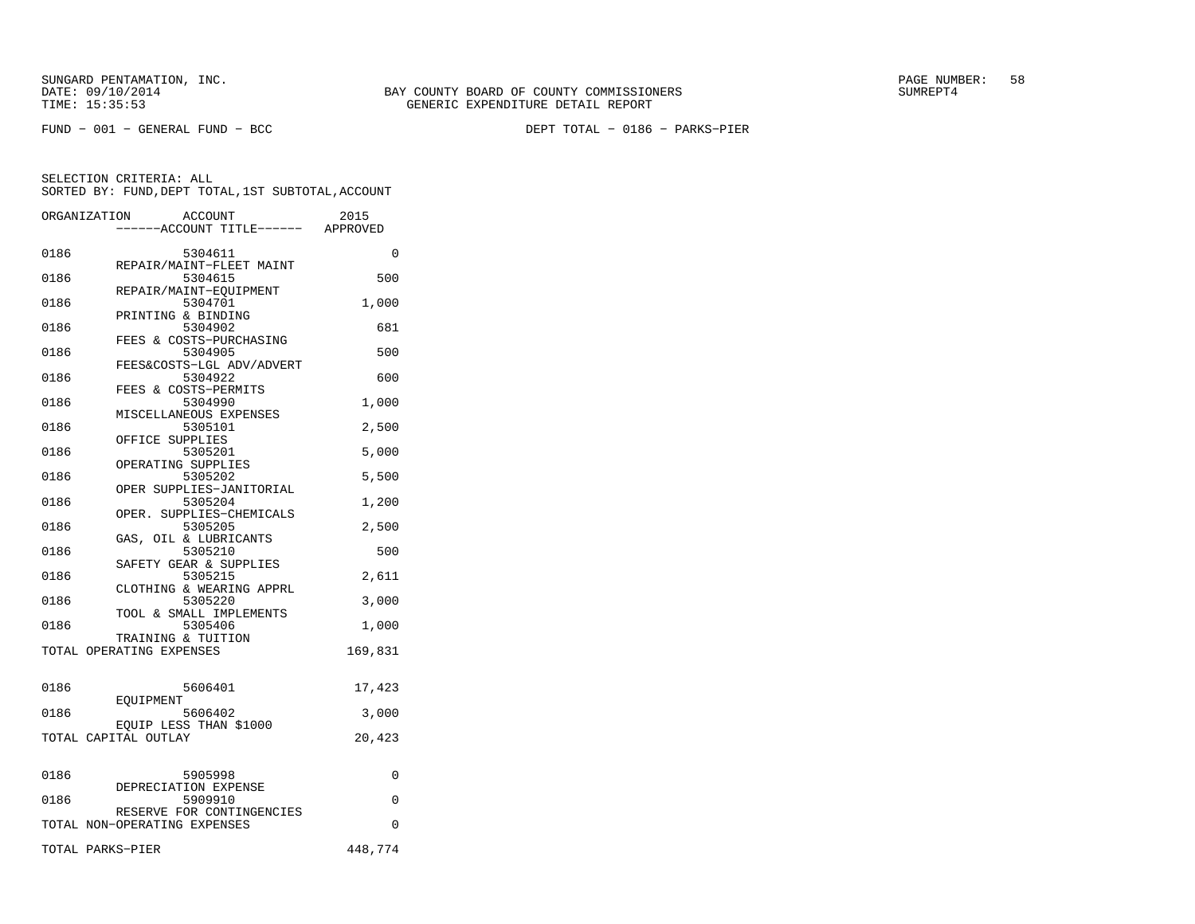SUNGARD PENTAMATION, INC.<br>DATE: 09/10/2014 SUMRER: 58 SUNG BAY COUNTY BOARD OF COUNTY COMMISSIONERS

|      | ORGANIZATION<br><b>ACCOUNT</b><br>----ACCOUNT TITLE------ APPROVED | 2015     |
|------|--------------------------------------------------------------------|----------|
| 0186 | 5304611                                                            | 0        |
| 0186 | REPAIR/MAINT-FLEET MAINT<br>5304615                                | 500      |
| 0186 | REPAIR/MAINT-EOUIPMENT<br>5304701                                  | 1,000    |
| 0186 | PRINTING & BINDING<br>5304902                                      | 681      |
| 0186 | FEES & COSTS-PURCHASING<br>5304905                                 | 500      |
| 0186 | FEES&COSTS-LGL ADV/ADVERT<br>5304922                               | 600      |
| 0186 | FEES & COSTS-PERMITS<br>5304990                                    | 1,000    |
| 0186 | MISCELLANEOUS EXPENSES<br>5305101                                  | 2,500    |
| 0186 | OFFICE SUPPLIES<br>5305201                                         | 5,000    |
| 0186 | OPERATING SUPPLIES<br>5305202                                      | 5,500    |
| 0186 | OPER SUPPLIES-JANITORIAL<br>5305204                                | 1,200    |
| 0186 | OPER. SUPPLIES-CHEMICALS<br>5305205                                | 2,500    |
| 0186 | GAS, OIL & LUBRICANTS<br>5305210                                   | 500      |
| 0186 | SAFETY GEAR & SUPPLIES<br>5305215                                  | 2,611    |
|      | CLOTHING & WEARING APPRL                                           |          |
| 0186 | 5305220<br>TOOL & SMALL IMPLEMENTS                                 | 3,000    |
| 0186 | 5305406<br>TRAINING & TUITION                                      | 1,000    |
|      | TOTAL OPERATING EXPENSES                                           | 169,831  |
| 0186 | 5606401                                                            | 17,423   |
| 0186 | EOUIPMENT<br>5606402                                               | 3,000    |
|      | EQUIP LESS THAN \$1000<br>TOTAL CAPITAL OUTLAY                     | 20,423   |
|      |                                                                    |          |
| 0186 | 5905998<br>DEPRECIATION EXPENSE                                    | 0        |
| 0186 | 5909910<br>RESERVE FOR CONTINGENCIES                               | $\Omega$ |
|      | TOTAL NON-OPERATING EXPENSES                                       | 0        |
|      | TOTAL PARKS-PIER                                                   | 448,774  |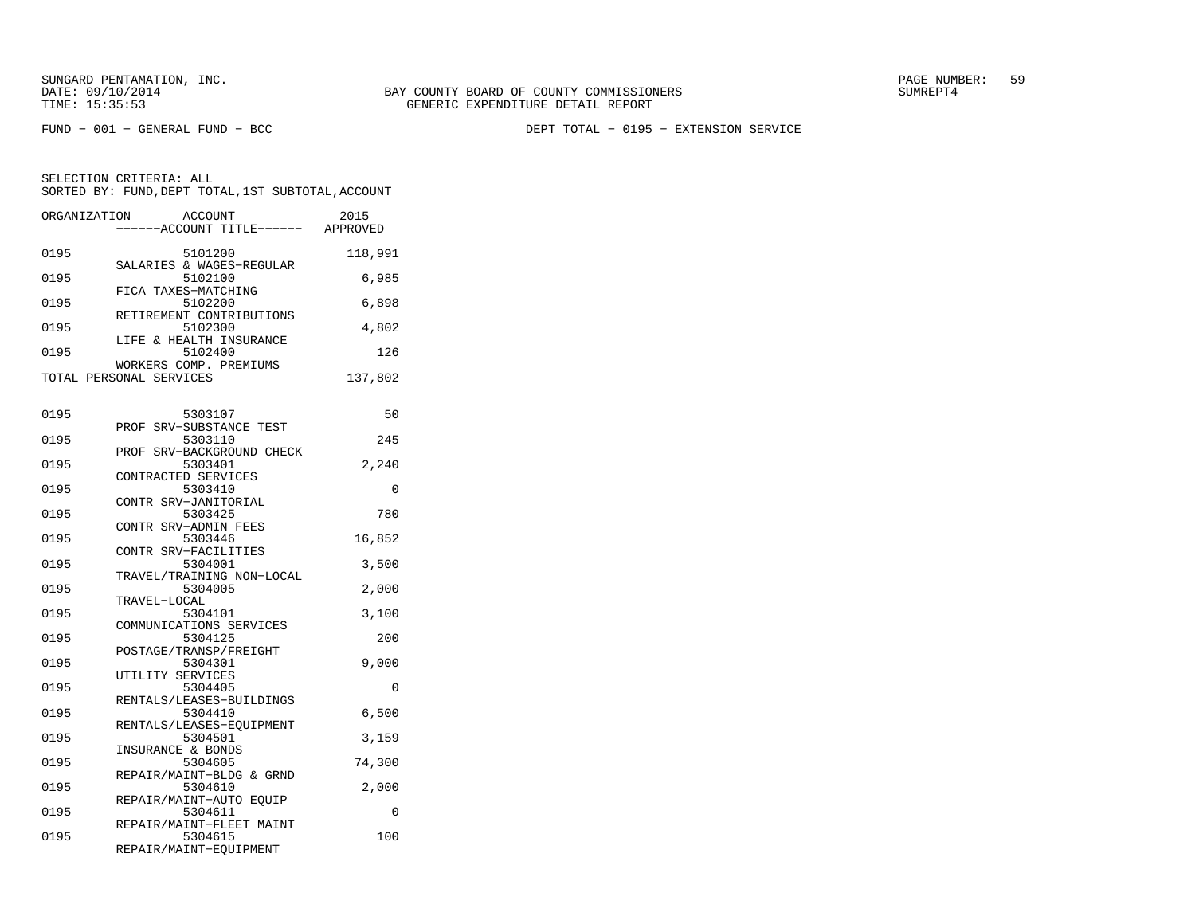SUNGARD PENTAMATION, INC.<br>DATE: 09/10/2014 SUMRER: 59 BAY COUNTY BOARD OF COUNTY COMMISSIONERS

SELECTION CRITERIA: ALL

FUND − 001 − GENERAL FUND − BCC DEPT TOTAL − 0195 − EXTENSION SERVICE

 SORTED BY: FUND,DEPT TOTAL,1ST SUBTOTAL,ACCOUNTORGANIZATION ACCOUNT 2015−−−−−−ACCOUNT TITLE−−−−−− APPROVED

| 0195 | 5101200                               | 118,991 |
|------|---------------------------------------|---------|
| 0195 | SALARIES & WAGES-REGULAR<br>5102100   | 6,985   |
| 0195 | FICA TAXES-MATCHING<br>5102200        | 6,898   |
| 0195 | RETIREMENT CONTRIBUTIONS<br>5102300   | 4,802   |
| 0195 | LIFE & HEALTH INSURANCE<br>5102400    | 126     |
|      | WORKERS COMP. PREMIUMS                |         |
|      | TOTAL PERSONAL SERVICES               | 137,802 |
| 0195 | 5303107                               | 50      |
| 0195 | SRV-SUBSTANCE TEST<br>PROF<br>5303110 | 245     |
|      | SRV-BACKGROUND CHECK<br>PROF          |         |
| 0195 | 5303401<br>CONTRACTED SERVICES        | 2,240   |
| 0195 | 5303410                               | 0       |
| 0195 | CONTR SRV-JANITORIAL<br>5303425       | 780     |
| 0195 | CONTR SRV-ADMIN FEES<br>5303446       | 16,852  |
|      | CONTR SRV-FACILITIES                  |         |
| 0195 | 5304001                               | 3,500   |
| 0195 | TRAVEL/TRAINING NON-LOCAL<br>5304005  | 2,000   |
|      | TRAVEL-LOCAL                          |         |
| 0195 | 5304101                               | 3,100   |
|      | COMMUNICATIONS SERVICES               |         |
| 0195 | 5304125                               | 200     |
| 0195 | POSTAGE/TRANSP/FREIGHT<br>5304301     | 9,000   |
|      | UTILITY SERVICES                      |         |
| 0195 | 5304405                               | 0       |
| 0195 | RENTALS/LEASES-BUILDINGS<br>5304410   | 6,500   |
| 0195 | RENTALS/LEASES-EQUIPMENT<br>5304501   | 3,159   |
|      | INSURANCE & BONDS                     |         |
| 0195 | 5304605<br>REPAIR/MAINT-BLDG & GRND   | 74,300  |
| 0195 | 5304610                               | 2,000   |
| 0195 | REPAIR/MAINT-AUTO EOUIP<br>5304611    | 0       |
|      | REPAIR/MAINT-FLEET MAINT              |         |
| 0195 | 5304615                               | 100     |
|      | REPAIR/MAINT-EQUIPMENT                |         |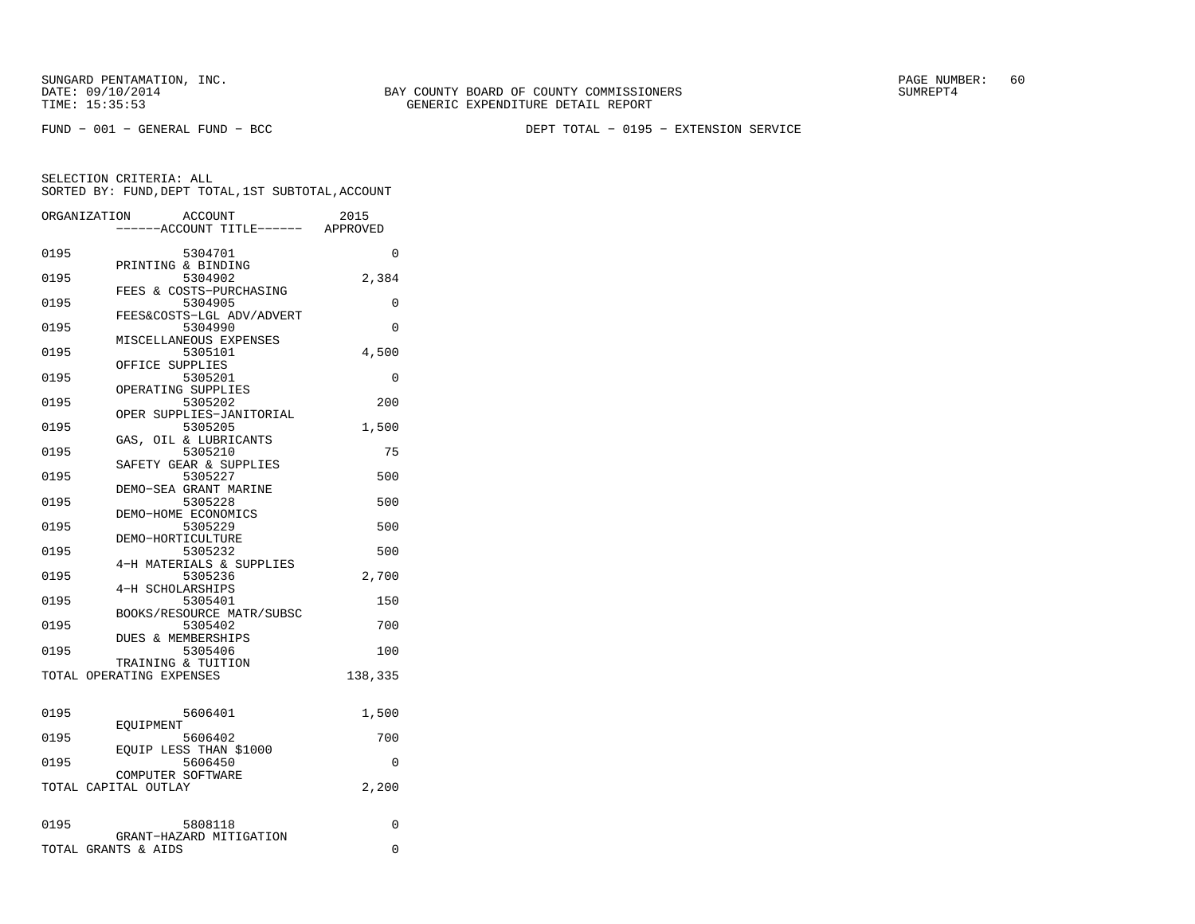SUNGARD PENTAMATION, INC.<br>DATE: 09/10/2014 SUMRER: 60 STATE: 09/10/2014 SUMRER: 60

FUND − 001 − GENERAL FUND − BCC DEPT TOTAL − 0195 − EXTENSION SERVICE

|      | ORGANIZATION<br><b>ACCOUNT</b>                 | 2015    |
|------|------------------------------------------------|---------|
|      | -----ACCOUNT TITLE------ APPROVED              |         |
| 0195 | 5304701                                        | 0       |
|      | PRINTING & BINDING                             |         |
| 0195 | 5304902                                        | 2,384   |
|      | FEES & COSTS-PURCHASING                        |         |
| 0195 | 5304905                                        | 0       |
|      | FEES&COSTS-LGL ADV/ADVERT                      |         |
| 0195 | 5304990<br>MISCELLANEOUS EXPENSES              | 0       |
| 0195 | 5305101                                        | 4,500   |
|      | OFFICE SUPPLIES                                |         |
| 0195 | 5305201                                        | 0       |
|      | OPERATING SUPPLIES                             |         |
| 0195 | 5305202                                        | 200     |
| 0195 | OPER SUPPLIES-JANITORIAL<br>5305205            | 1,500   |
|      | GAS, OIL & LUBRICANTS                          |         |
| 0195 | 5305210                                        | 75      |
|      | SAFETY GEAR & SUPPLIES                         |         |
| 0195 | 5305227                                        | 500     |
|      | DEMO-SEA GRANT MARINE                          |         |
| 0195 | 5305228<br>DEMO-HOME ECONOMICS                 | 500     |
| 0195 | 5305229                                        | 500     |
|      | DEMO-HORTICULTURE                              |         |
| 0195 | 5305232                                        | 500     |
|      | 4-H MATERIALS & SUPPLIES                       |         |
| 0195 | 5305236                                        | 2,700   |
| 0195 | 4-H SCHOLARSHIPS<br>5305401                    | 150     |
|      | BOOKS/RESOURCE MATR/SUBSC                      |         |
| 0195 | 5305402                                        | 700     |
|      | DUES & MEMBERSHIPS                             |         |
| 0195 | 5305406                                        | 100     |
|      | TRAINING & TUITION<br>TOTAL OPERATING EXPENSES |         |
|      |                                                | 138,335 |
|      |                                                |         |
| 0195 | 5606401<br>EOUIPMENT                           | 1,500   |
| 0195 | 5606402                                        | 700     |
|      | EQUIP LESS THAN \$1000                         |         |
| 0195 | 5606450                                        | 0       |
|      | COMPUTER SOFTWARE                              |         |
|      | TOTAL CAPITAL OUTLAY                           | 2,200   |
|      |                                                |         |
| 0195 | 5808118<br>GRANT-HAZARD MITIGATION             | 0       |
|      | TOTAL GRANTS & AIDS                            | 0       |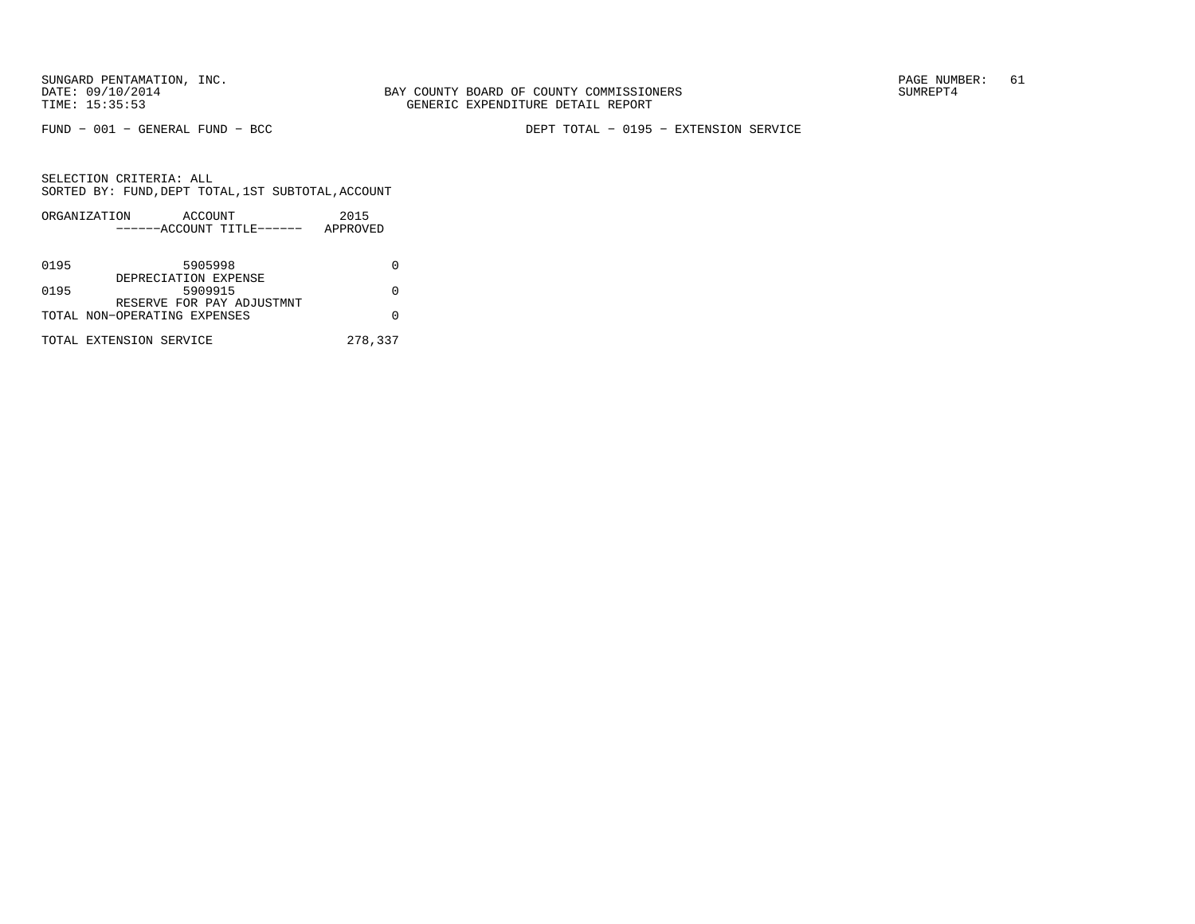FUND − 001 − GENERAL FUND − BCC DEPT TOTAL − 0195 − EXTENSION SERVICE

|      | ORGANIZATION                 | ACCOUNT | 2015     |  |
|------|------------------------------|---------|----------|--|
|      | ------ACCOUNT TITLE------    |         | APPROVED |  |
|      |                              |         |          |  |
| 0195 |                              | 5905998 |          |  |
|      | DEPRECIATION EXPENSE         |         |          |  |
| 0195 |                              | 5909915 |          |  |
|      | RESERVE FOR PAY ADJUSTMNT    |         |          |  |
|      | TOTAL NON-OPERATING EXPENSES |         |          |  |
|      |                              |         |          |  |
|      | TOTAL EXTENSION SERVICE      |         | 278,337  |  |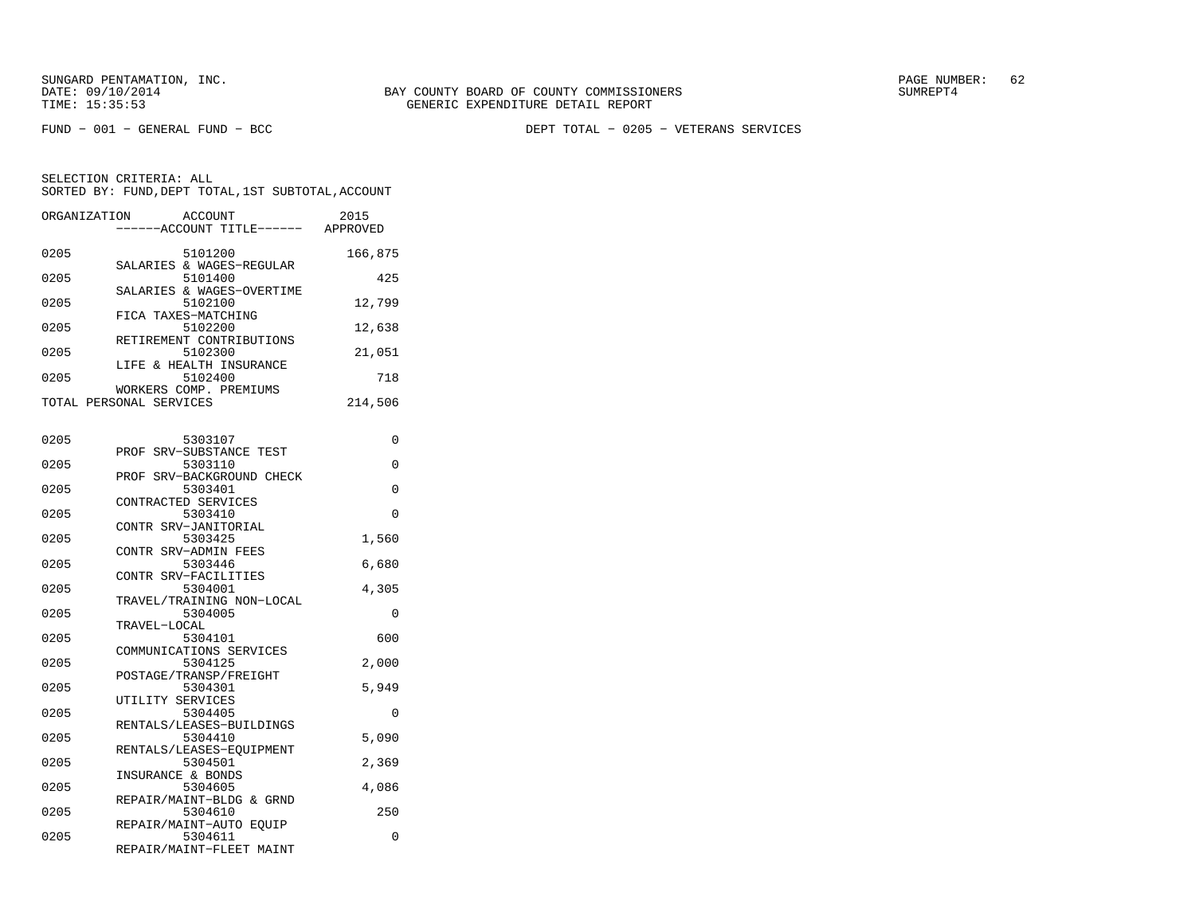FUND − 001 − GENERAL FUND − BCC DEPT TOTAL − 0205 − VETERANS SERVICES

| ORGANIZATION | <b>ACCOUNT</b><br>---ACCOUNT TITLE------             | 2015<br>APPROVED |
|--------------|------------------------------------------------------|------------------|
| 0205         | 5101200<br>SALARIES & WAGES-REGULAR                  | 166,875          |
| 0205         | 5101400<br>SALARIES & WAGES-OVERTIME                 | 425              |
| 0205         | 5102100<br>FICA TAXES-MATCHING                       | 12,799           |
| 0205         | 5102200<br>RETIREMENT CONTRIBUTIONS                  | 12,638           |
| 0205         | 5102300<br>LIFE & HEALTH INSURANCE                   | 21,051           |
| 0205         | 5102400<br>WORKERS COMP. PREMIUMS                    | 718              |
|              | TOTAL PERSONAL SERVICES                              | 214,506          |
| 0205         | 5303107                                              | 0                |
| 0205         | PROF<br>SRV-SUBSTANCE TEST<br>5303110                | 0                |
| 0205         | PROF SRV-BACKGROUND CHECK<br>5303401                 | 0                |
| 0205         | CONTRACTED SERVICES<br>5303410                       | $\Omega$         |
| 0205         | CONTR SRV-JANITORIAL<br>5303425                      | 1,560            |
| 0205         | CONTR SRV-ADMIN FEES<br>5303446                      | 6,680            |
| 0205         | CONTR SRV-FACILITIES<br>5304001                      | 4,305            |
| 0205         | TRAVEL/TRAINING NON-LOCAL<br>5304005<br>TRAVEL-LOCAL | $\Omega$         |
| 0205         | 5304101<br>COMMUNICATIONS SERVICES                   | 600              |
| 0205         | 5304125<br>POSTAGE/TRANSP/FREIGHT                    | 2,000            |
| 0205         | 5304301<br>UTILITY SERVICES                          | 5,949            |
| 0205         | 5304405<br>RENTALS/LEASES-BUILDINGS                  | 0                |
| 0205         | 5304410<br>RENTALS/LEASES-EQUIPMENT                  | 5,090            |
| 0205         | 5304501<br>INSURANCE & BONDS                         | 2,369            |
| 0205         | 5304605<br>REPAIR/MAINT-BLDG & GRND                  | 4,086            |
| 0205         | 5304610<br>REPAIR/MAINT-AUTO EQUIP                   | 250              |
| 0205         | 5304611<br>REPAIR/MAINT-FLEET MAINT                  | 0                |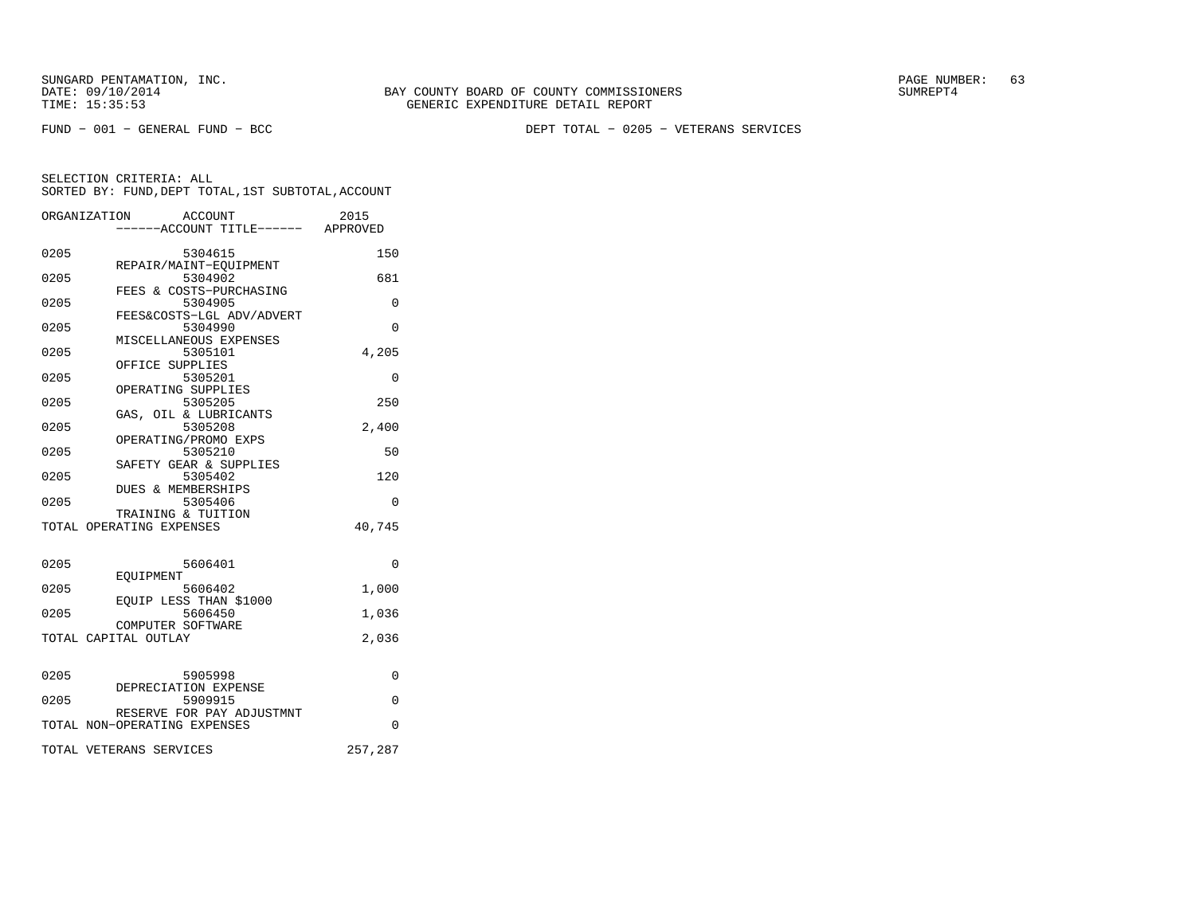SUNGARD PENTAMATION, INC.<br>DATE: 09/10/2014 SUMRER: 63 BAY COUNTY BOARD OF COUNTY COMMISSIONERS

FUND − 001 − GENERAL FUND − BCC DEPT TOTAL − 0205 − VETERANS SERVICES

|      | ORGANIZATION<br><b>ACCOUNT</b>           | 2015        |
|------|------------------------------------------|-------------|
|      | ----ACCOUNT TITLE------ APPROVED         |             |
| 0205 | 5304615                                  | 150         |
|      | REPAIR/MAINT-EQUIPMENT                   |             |
| 0205 | 5304902<br>FEES & COSTS-PURCHASING       | 681         |
| 0205 | 5304905                                  | $\Omega$    |
|      | FEES&COSTS-LGL ADV/ADVERT                |             |
| 0205 | 5304990<br>MISCELLANEOUS EXPENSES        | $\Omega$    |
| 0205 | 5305101                                  | 4,205       |
|      | OFFICE SUPPLIES                          |             |
| 0205 | 5305201<br>OPERATING SUPPLIES            | 0           |
| 0205 | 5305205                                  | 250         |
|      | GAS, OIL & LUBRICANTS                    |             |
| 0205 | 5305208                                  | 2,400       |
| 0205 | OPERATING/PROMO EXPS<br>5305210          | 50          |
|      | SAFETY GEAR & SUPPLIES                   |             |
| 0205 | 5305402                                  | 120         |
| 0205 | <b>DUES &amp; MEMBERSHIPS</b><br>5305406 |             |
|      | TRAINING & TUITION                       | 0           |
|      | TOTAL OPERATING EXPENSES                 | 40,745      |
|      |                                          |             |
| 0205 | 5606401                                  | $\Omega$    |
|      | EOUIPMENT                                |             |
| 0205 | 5606402                                  | 1,000       |
| 0205 | EOUIP LESS THAN \$1000<br>5606450        | 1,036       |
|      | COMPUTER SOFTWARE                        |             |
|      | TOTAL CAPITAL OUTLAY                     | 2,036       |
|      |                                          |             |
| 0205 | 5905998                                  | 0           |
|      | DEPRECIATION EXPENSE                     |             |
| 0205 | 5909915<br>RESERVE FOR PAY ADJUSTMNT     | $\mathbf 0$ |
|      | TOTAL NON-OPERATING EXPENSES             | $\Omega$    |
|      | TOTAL VETERANS SERVICES                  | 257,287     |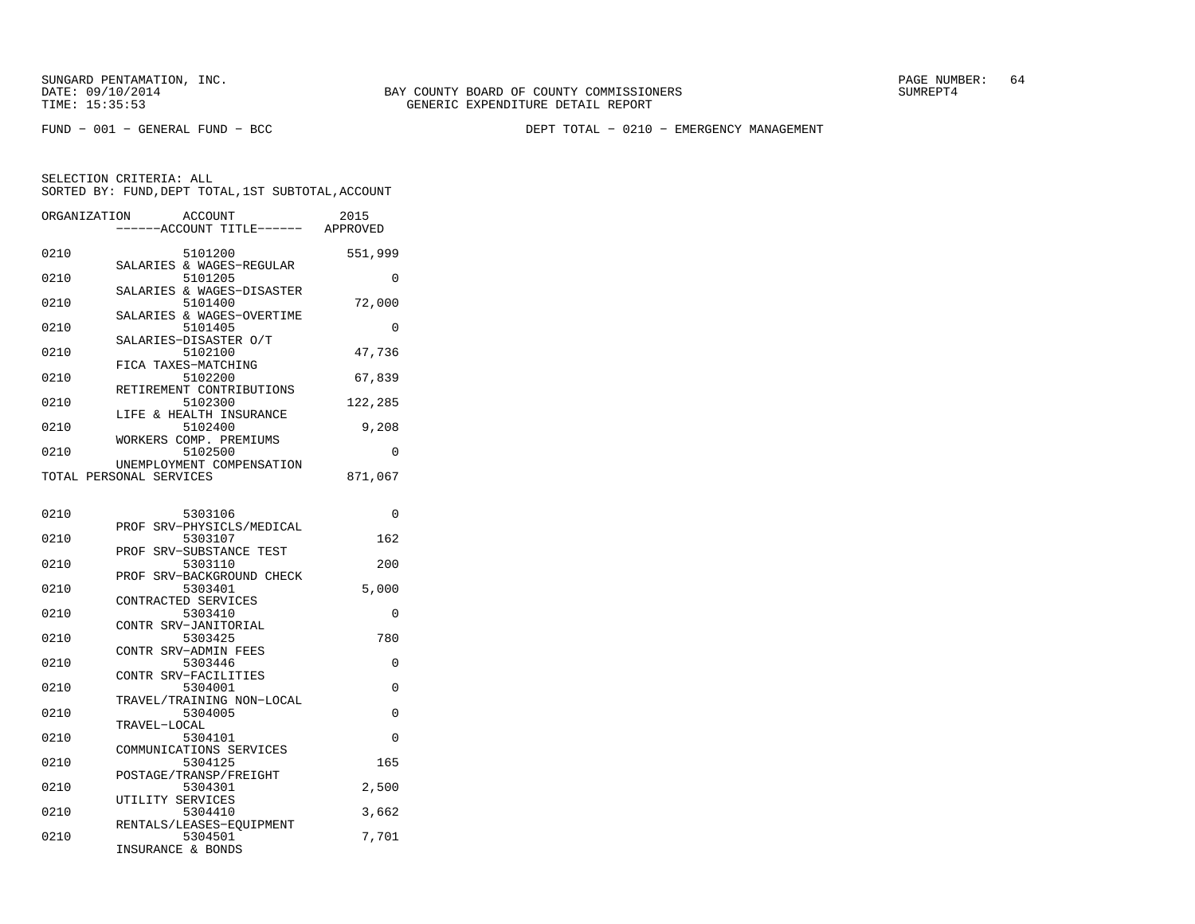FUND − 001 − GENERAL FUND − BCC DEPT TOTAL − 0210 − EMERGENCY MANAGEMENT

| ORGANIZATION | ACCOUNT                                              | ---ACCOUNT TITLE------ APPROVED | 2015     |
|--------------|------------------------------------------------------|---------------------------------|----------|
| 0210         | 5101200<br>SALARIES & WAGES-REGULAR                  |                                 | 551,999  |
| 0210         | 5101205                                              |                                 | $\Omega$ |
| 0210         | SALARIES & WAGES-DISASTER<br>5101400                 |                                 | 72,000   |
| 0210         | SALARIES & WAGES-OVERTIME<br>5101405                 |                                 | 0        |
| 0210         | SALARIES-DISASTER O/T<br>5102100                     |                                 | 47,736   |
| 0210         | FICA TAXES-MATCHING<br>5102200                       |                                 | 67,839   |
| 0210         | RETIREMENT CONTRIBUTIONS<br>5102300                  |                                 | 122,285  |
| 0210         | LIFE & HEALTH INSURANCE<br>5102400                   |                                 | 9,208    |
| 0210         | WORKERS COMP. PREMIUMS<br>5102500                    |                                 | 0        |
|              | UNEMPLOYMENT COMPENSATION<br>TOTAL PERSONAL SERVICES |                                 | 871,067  |
| 0210         | 5303106                                              |                                 | 0        |
| 0210         | PROF SRV-PHYSICLS/MEDICAL<br>5303107                 |                                 | 162      |
| 0210         | PROF<br>5303110                                      | SRV-SUBSTANCE TEST              | 200      |
| 0210         | PROF SRV-BACKGROUND CHECK<br>5303401                 |                                 | 5,000    |
| 0210         | CONTRACTED SERVICES<br>5303410                       |                                 | $\Omega$ |
| 0210         | CONTR SRV-JANITORIAL<br>5303425                      |                                 | 780      |
| 0210         | CONTR SRV-ADMIN FEES<br>5303446                      |                                 | $\Omega$ |
| 0210         | CONTR SRV-FACILITIES<br>5304001                      |                                 | 0        |
| 0210         | TRAVEL/TRAINING NON-LOCAL<br>5304005                 |                                 | 0        |
|              | TRAVEL-LOCAL                                         |                                 |          |
| 0210         | 5304101<br>COMMUNICATIONS SERVICES                   |                                 | 0        |
| 0210         | 5304125<br>POSTAGE/TRANSP/FREIGHT                    |                                 | 165      |
| 0210         | 5304301<br>UTILITY SERVICES                          |                                 | 2,500    |
| 0210         | 5304410<br>RENTALS/LEASES-EOUIPMENT                  |                                 | 3,662    |
| 0210         | 5304501<br>INSURANCE & BONDS                         |                                 | 7,701    |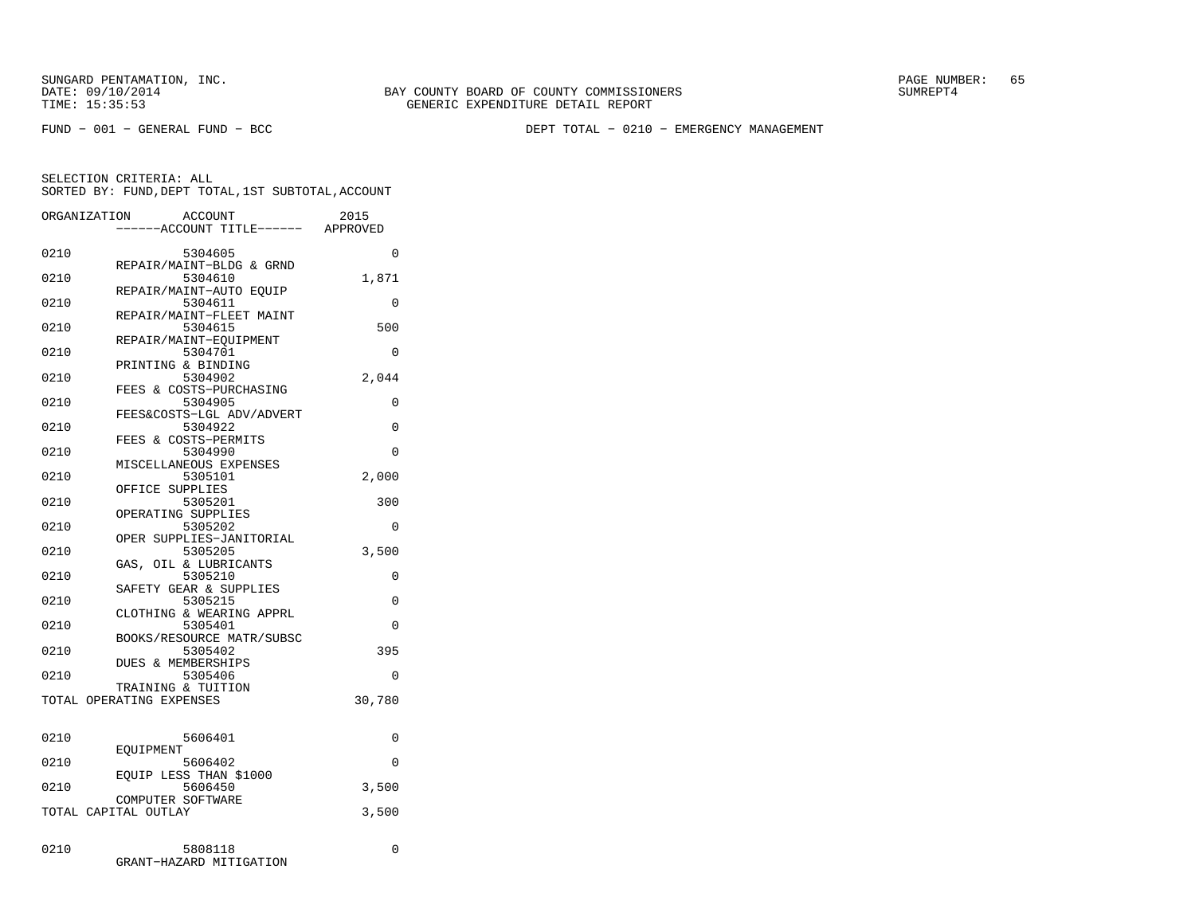FUND − 001 − GENERAL FUND − BCC DEPT TOTAL − 0210 − EMERGENCY MANAGEMENT

|      | ORGANIZATION                              | ACCOUNT<br>---ACCOUNT TITLE------ APPROVED                     | 2015     |
|------|-------------------------------------------|----------------------------------------------------------------|----------|
| 0210 |                                           | 5304605                                                        | 0        |
| 0210 |                                           | REPAIR/MAINT-BLDG & GRND<br>5304610<br>REPAIR/MAINT-AUTO EQUIP | 1,871    |
| 0210 |                                           | 5304611<br>REPAIR/MAINT-FLEET MAINT                            | 0        |
| 0210 |                                           | 5304615<br>REPAIR/MAINT-EOUIPMENT                              | 500      |
| 0210 | PRINTING & BINDING                        | 5304701                                                        | 0        |
| 0210 |                                           | 5304902<br>FEES & COSTS-PURCHASING                             | 2,044    |
| 0210 |                                           | 5304905<br>FEES&COSTS-LGL ADV/ADVERT                           | 0        |
| 0210 | FEES & COSTS-PERMITS                      | 5304922                                                        | 0        |
| 0210 |                                           | 5304990<br>MISCELLANEOUS EXPENSES                              | 0        |
| 0210 | OFFICE SUPPLIES                           | 5305101                                                        | 2,000    |
| 0210 | OPERATING SUPPLIES                        | 5305201                                                        | 300      |
| 0210 |                                           | 5305202<br>OPER SUPPLIES-JANITORIAL                            | 0        |
| 0210 |                                           | 5305205<br>GAS, OIL & LUBRICANTS                               | 3,500    |
| 0210 |                                           | 5305210<br>SAFETY GEAR & SUPPLIES                              | 0        |
| 0210 |                                           | 5305215<br>CLOTHING & WEARING APPRL                            | 0        |
| 0210 |                                           | 5305401<br>BOOKS/RESOURCE MATR/SUBSC                           | 0        |
| 0210 | <b>DUES &amp; MEMBERSHIPS</b>             | 5305402                                                        | 395      |
| 0210 | TRAINING & TUITION                        | 5305406                                                        | $\Omega$ |
|      | TOTAL OPERATING EXPENSES                  |                                                                | 30,780   |
| 0210 |                                           | 5606401                                                        | 0        |
| 0210 | EOUIPMENT                                 | 5606402                                                        | $\Omega$ |
| 0210 |                                           | EOUIP LESS THAN \$1000<br>5606450                              | 3,500    |
|      | COMPUTER SOFTWARE<br>TOTAL CAPITAL OUTLAY |                                                                | 3,500    |
| 0210 |                                           | 5808118<br>GRANT-HAZARD MITIGATION                             | 0        |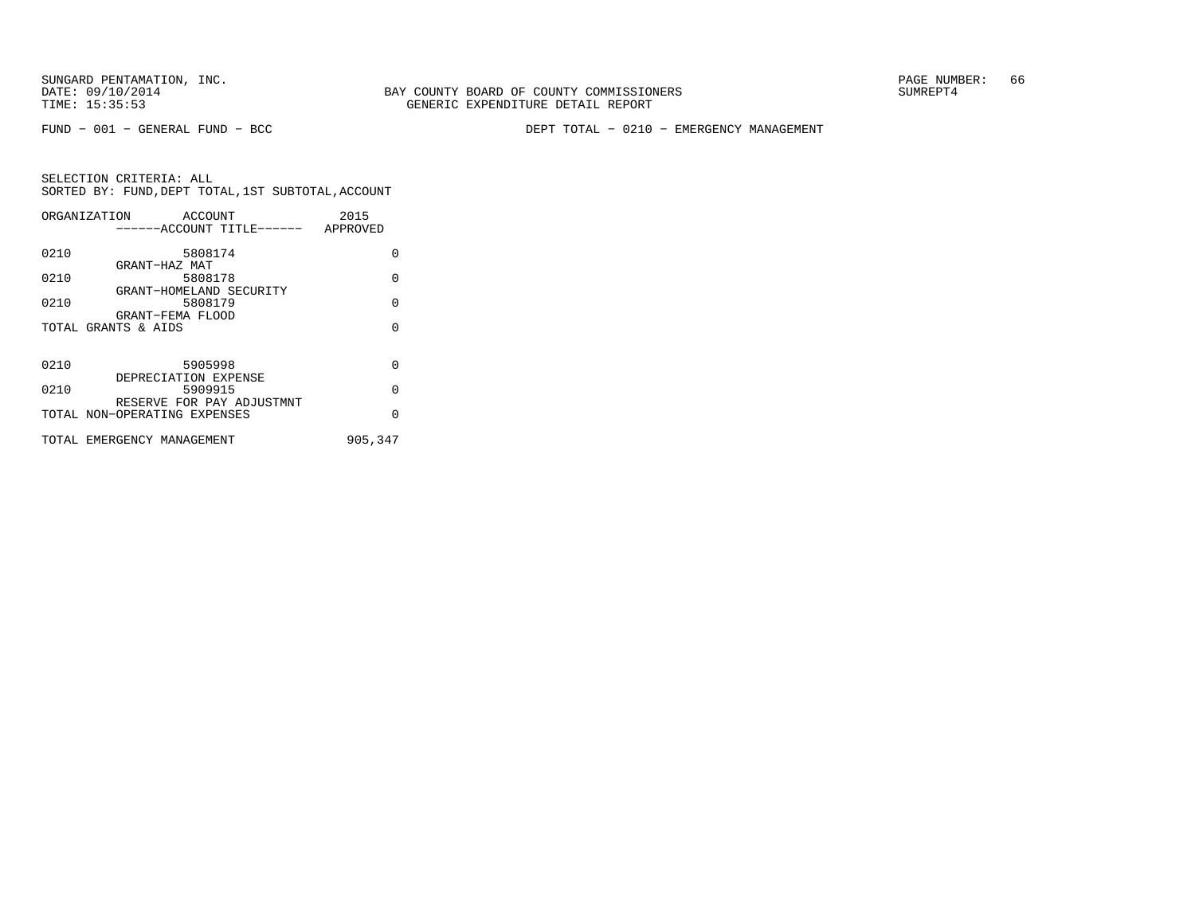SUNGARD PENTAMATION, INC.<br>DATE: 09/10/2014 SUMRER: 66 SUNTY BOARD OF COUNTY COMMISSIONERS

FUND − 001 − GENERAL FUND − BCC DEPT TOTAL − 0210 − EMERGENCY MANAGEMENT

|      | ORGANIZATION                 | ACCOUNT              |                                    | 2015    |          |
|------|------------------------------|----------------------|------------------------------------|---------|----------|
|      |                              |                      | ------ACCOUNT TITLE------ APPROVED |         |          |
|      |                              |                      |                                    |         |          |
| 0210 |                              | 5808174              |                                    |         | O        |
|      |                              | GRANT-HAZ MAT        |                                    |         |          |
| 0210 |                              | 5808178              |                                    |         | $\Omega$ |
|      |                              |                      | GRANT-HOMELAND SECURITY            |         |          |
| 0210 |                              | 5808179              |                                    |         | $\Omega$ |
|      |                              | GRANT-FEMA FLOOD     |                                    |         |          |
|      | TOTAL GRANTS & AIDS          |                      |                                    |         | $\Omega$ |
|      |                              |                      |                                    |         |          |
|      |                              |                      |                                    |         |          |
| 0210 |                              | 5905998              |                                    |         | $\Omega$ |
|      |                              | DEPRECIATION EXPENSE |                                    |         |          |
| 0210 |                              | 5909915              |                                    |         | $\Omega$ |
|      |                              |                      | RESERVE FOR PAY ADJUSTMNT          |         |          |
|      | TOTAL NON-OPERATING EXPENSES |                      |                                    |         | $\Omega$ |
|      |                              |                      |                                    |         |          |
|      | TOTAL EMERGENCY MANAGEMENT   |                      |                                    | 905,347 |          |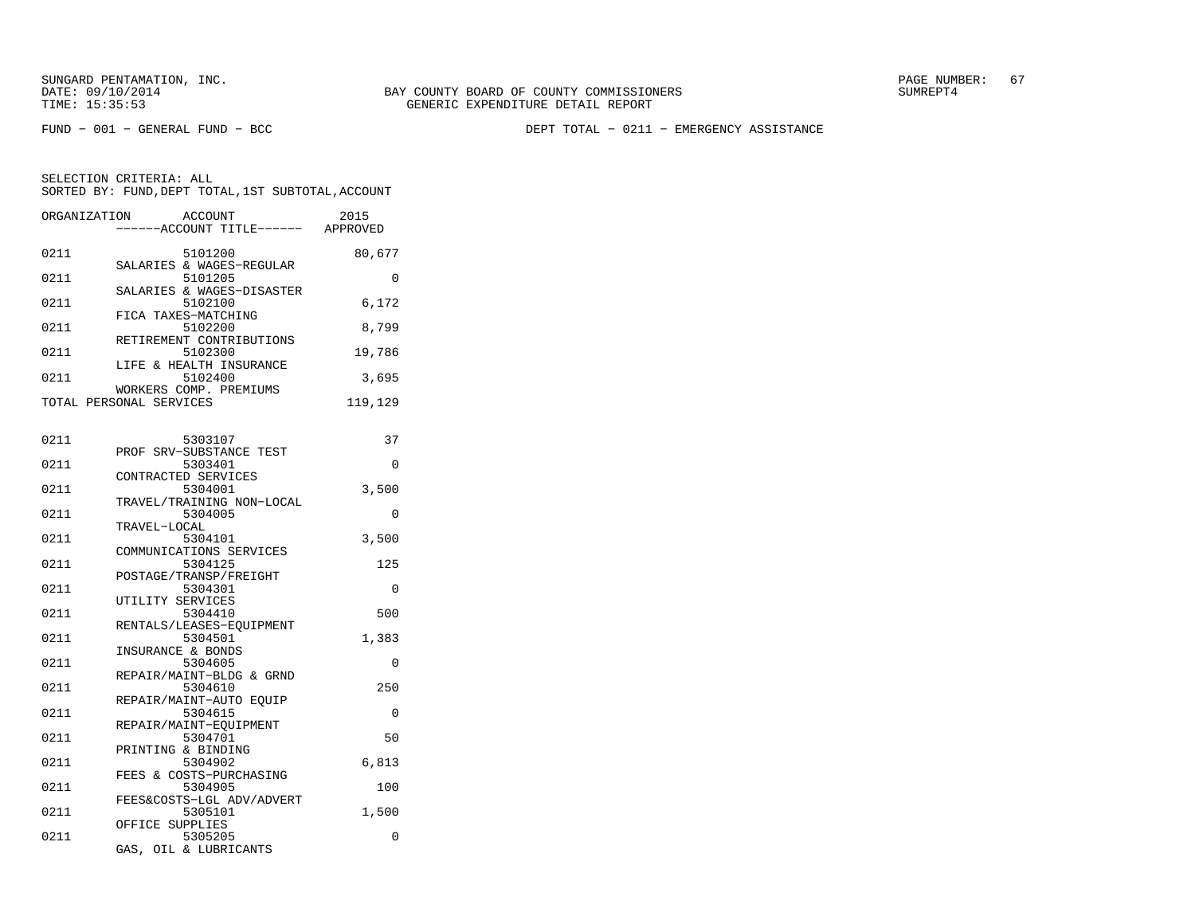FUND − 001 − GENERAL FUND − BCC DEPT TOTAL − 0211 − EMERGENCY ASSISTANCE

| ORGANIZATION | <b>ACCOUNT</b><br>---ACCOUNT TITLE------ APPROVED  | 2015     |
|--------------|----------------------------------------------------|----------|
| 0211         | 5101200<br>SALARIES & WAGES-REGULAR                | 80,677   |
| 0211         | 5101205<br>SALARIES & WAGES-DISASTER               | $\Omega$ |
| 0211         | 5102100<br>FICA TAXES-MATCHING                     | 6,172    |
| 0211         | 5102200<br>RETIREMENT CONTRIBUTIONS                | 8,799    |
| 0211         | 5102300<br>LIFE & HEALTH INSURANCE                 | 19,786   |
| 0211         | 5102400<br>WORKERS COMP. PREMIUMS                  | 3,695    |
|              | TOTAL PERSONAL SERVICES                            | 119,129  |
| 0211         | 5303107                                            | 37       |
| 0211         | PROF SRV-SUBSTANCE TEST<br>5303401                 | $\Omega$ |
| 0211         | CONTRACTED SERVICES<br>5304001                     | 3,500    |
| 0211         | TRAVEL/TRAINING NON-LOCAL<br>5304005               | $\Omega$ |
| 0211         | TRAVEL-LOCAL<br>5304101<br>COMMUNICATIONS SERVICES | 3,500    |
| 0211         | 5304125<br>POSTAGE/TRANSP/FREIGHT                  | 125      |
| 0211         | 5304301<br>UTILITY SERVICES                        | $\Omega$ |
| 0211         | 5304410<br>RENTALS/LEASES-EQUIPMENT                | 500      |
| 0211         | 5304501<br>INSURANCE & BONDS                       | 1,383    |
| 0211         | 5304605<br>REPAIR/MAINT-BLDG & GRND                | $\Omega$ |
| 0211         | 5304610<br>REPAIR/MAINT-AUTO EOUIP                 | 250      |
| 0211         | 5304615<br>REPAIR/MAINT-EOUIPMENT                  | 0        |
| 0211         | 5304701<br>PRINTING & BINDING                      | 50       |
| 0211         | 5304902<br>FEES & COSTS-PURCHASING                 | 6,813    |
| 0211         | 5304905<br>FEES&COSTS-LGL ADV/ADVERT               | 100      |
| 0211         | 5305101<br>OFFICE SUPPLIES                         | 1,500    |
| 0211         | 5305205<br>GAS, OIL & LUBRICANTS                   | 0        |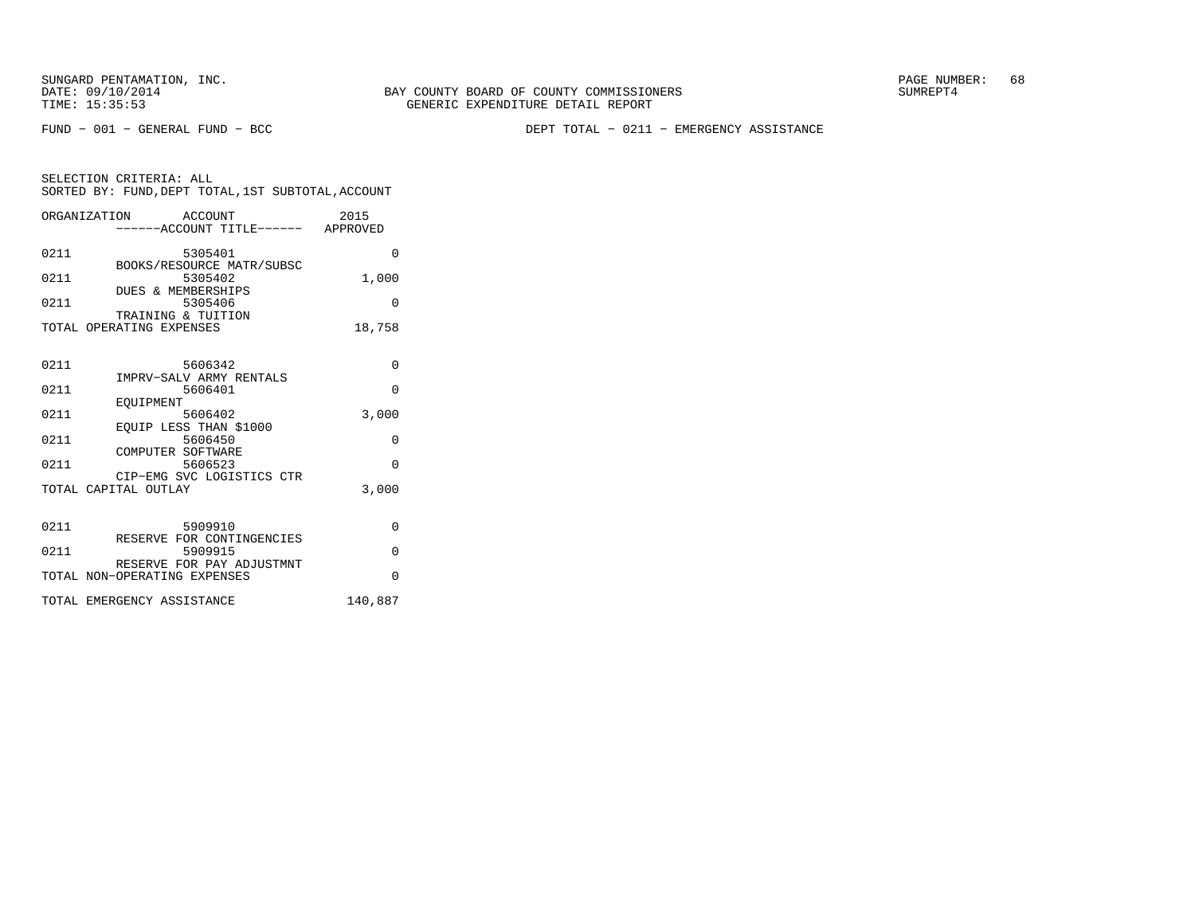FUND − 001 − GENERAL FUND − BCC DEPT TOTAL − 0211 − EMERGENCY ASSISTANCE

| SELECTION CRITERIA: ALL |                                                    |
|-------------------------|----------------------------------------------------|
|                         | SORTED BY: FUND, DEPT TOTAL, 1ST SUBTOTAL, ACCOUNT |

|      | ORGANIZATION ACCOUNT<br>------ACCOUNT TITLE------ APPROVED | 2015     |
|------|------------------------------------------------------------|----------|
| 0211 | 5305401<br>BOOKS/RESOURCE MATR/SUBSC                       | $\Omega$ |
| 0211 | 5305402<br><b>DUES &amp; MEMBERSHIPS</b>                   | 1,000    |
| 0211 | 5305406<br>TRAINING & TUITION                              | $\Omega$ |
|      | TOTAL OPERATING EXPENSES                                   | 18,758   |
| 0211 | 5606342                                                    | $\Omega$ |
| 0211 | IMPRV-SALV ARMY RENTALS<br>5606401                         | $\Omega$ |
| 0211 | EOUIPMENT<br>5606402<br>EQUIP LESS THAN \$1000             | 3,000    |
| 0211 | 5606450<br>COMPUTER SOFTWARE                               | 0        |
| 0211 | 5606523<br>CIP-EMG SVC LOGISTICS CTR                       | $\Omega$ |
|      | TOTAL CAPITAL OUTLAY                                       | 3,000    |
| 0211 | 5909910<br>RESERVE FOR CONTINGENCIES                       | 0        |
| 0211 | 5909915                                                    | $\Omega$ |
|      | RESERVE FOR PAY ADJUSTMNT<br>TOTAL NON-OPERATING EXPENSES  | $\Omega$ |
|      | TOTAL EMERGENCY ASSISTANCE                                 | 140,887  |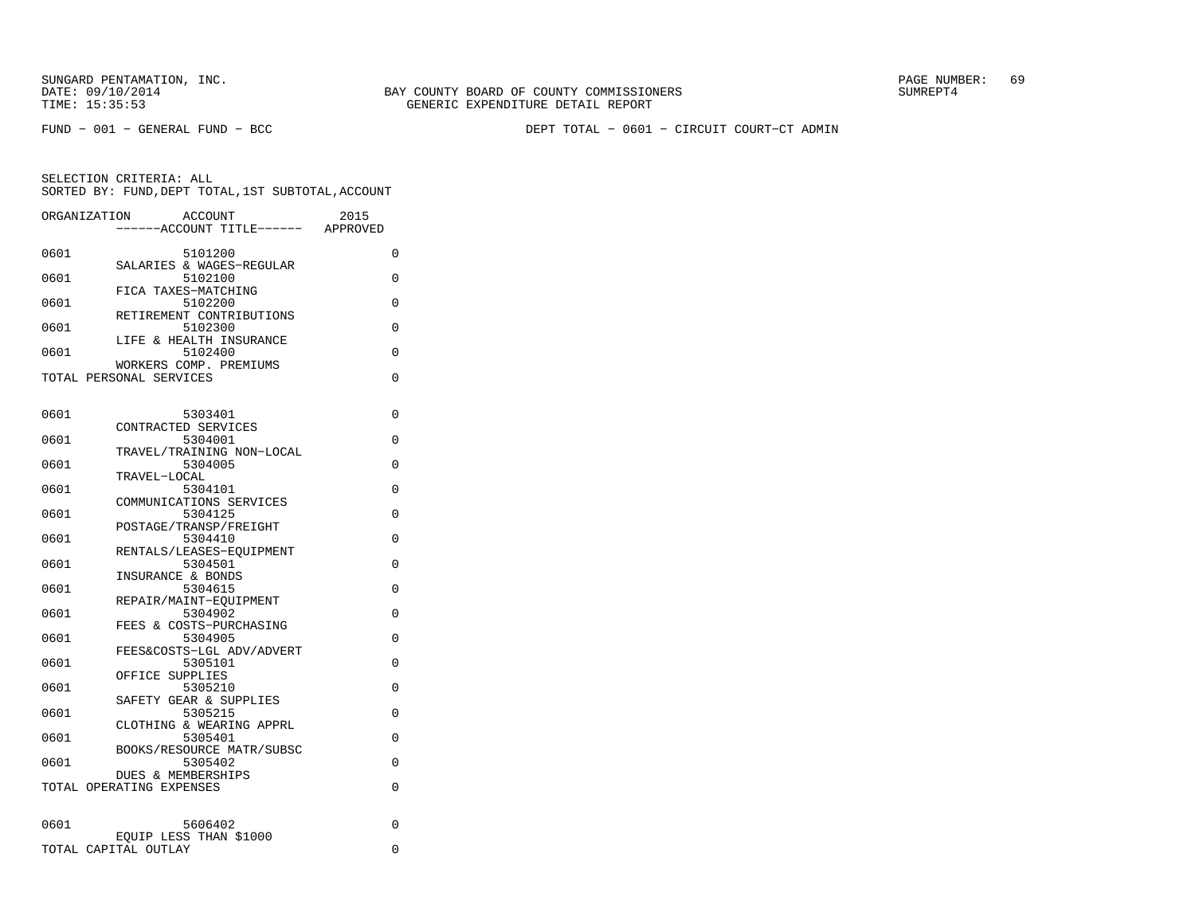SUNGARD PENTAMATION, INC.<br>DATE: 09/10/2014 SUMRER: 69 BAY COUNTY BOARD OF COUNTY COMMISSIONERS

FUND − 001 − GENERAL FUND − BCC DEPT TOTAL − 0601 − CIRCUIT COURT−CT ADMIN

|      | ORGANIZATION             | ACCOUNT                           |                           | 2015     |          |
|------|--------------------------|-----------------------------------|---------------------------|----------|----------|
|      |                          |                                   | -----ACCOUNT TITLE------  | APPROVED |          |
| 0601 |                          | 5101200                           |                           |          | 0        |
|      |                          |                                   | SALARIES & WAGES-REGULAR  |          |          |
| 0601 |                          | 5102100<br>FICA TAXES-MATCHING    |                           |          | $\Omega$ |
| 0601 |                          | 5102200                           |                           |          | $\Omega$ |
|      |                          |                                   | RETIREMENT CONTRIBUTIONS  |          |          |
| 0601 |                          | 5102300                           |                           |          | $\Omega$ |
| 0601 |                          | 5102400                           | LIFE & HEALTH INSURANCE   |          | 0        |
|      |                          | WORKERS COMP. PREMIUMS            |                           |          |          |
|      | TOTAL PERSONAL SERVICES  |                                   |                           |          | 0        |
|      |                          |                                   |                           |          |          |
| 0601 |                          | 5303401                           |                           |          | 0        |
|      |                          | CONTRACTED SERVICES               |                           |          |          |
| 0601 |                          | 5304001                           |                           |          | $\Omega$ |
|      |                          |                                   | TRAVEL/TRAINING NON-LOCAL |          |          |
| 0601 |                          | 5304005<br>TRAVEL-LOCAL           |                           |          | $\Omega$ |
| 0601 |                          | 5304101                           |                           |          | 0        |
|      |                          |                                   | COMMUNICATIONS SERVICES   |          |          |
| 0601 |                          | 5304125                           |                           |          | 0        |
| 0601 |                          | POSTAGE/TRANSP/FREIGHT<br>5304410 |                           |          | 0        |
|      |                          |                                   | RENTALS/LEASES-EOUIPMENT  |          |          |
| 0601 |                          | 5304501                           |                           |          | 0        |
|      |                          | INSURANCE & BONDS                 |                           |          |          |
| 0601 |                          | 5304615                           |                           |          | 0        |
| 0601 |                          | REPAIR/MAINT-EQUIPMENT<br>5304902 |                           |          | 0        |
|      |                          |                                   | FEES & COSTS-PURCHASING   |          |          |
| 0601 |                          | 5304905                           |                           |          | 0        |
| 0601 |                          |                                   | FEES&COSTS-LGL ADV/ADVERT |          |          |
|      |                          | 5305101<br>OFFICE SUPPLIES        |                           |          | $\Omega$ |
| 0601 |                          | 5305210                           |                           |          | 0        |
|      |                          | SAFETY GEAR & SUPPLIES            |                           |          |          |
| 0601 |                          | 5305215                           | CLOTHING & WEARING APPRL  |          | $\Omega$ |
| 0601 |                          | 5305401                           |                           |          | 0        |
|      |                          |                                   | BOOKS/RESOURCE MATR/SUBSC |          |          |
| 0601 |                          | 5305402                           |                           |          | $\Omega$ |
|      |                          | <b>DUES &amp; MEMBERSHIPS</b>     |                           |          |          |
|      | TOTAL OPERATING EXPENSES |                                   |                           |          | 0        |
|      |                          |                                   |                           |          |          |
| 0601 |                          | 5606402                           |                           |          | 0        |
|      |                          | EOUIP LESS THAN \$1000            |                           |          |          |
|      | TOTAL CAPITAL OUTLAY     |                                   |                           |          | 0        |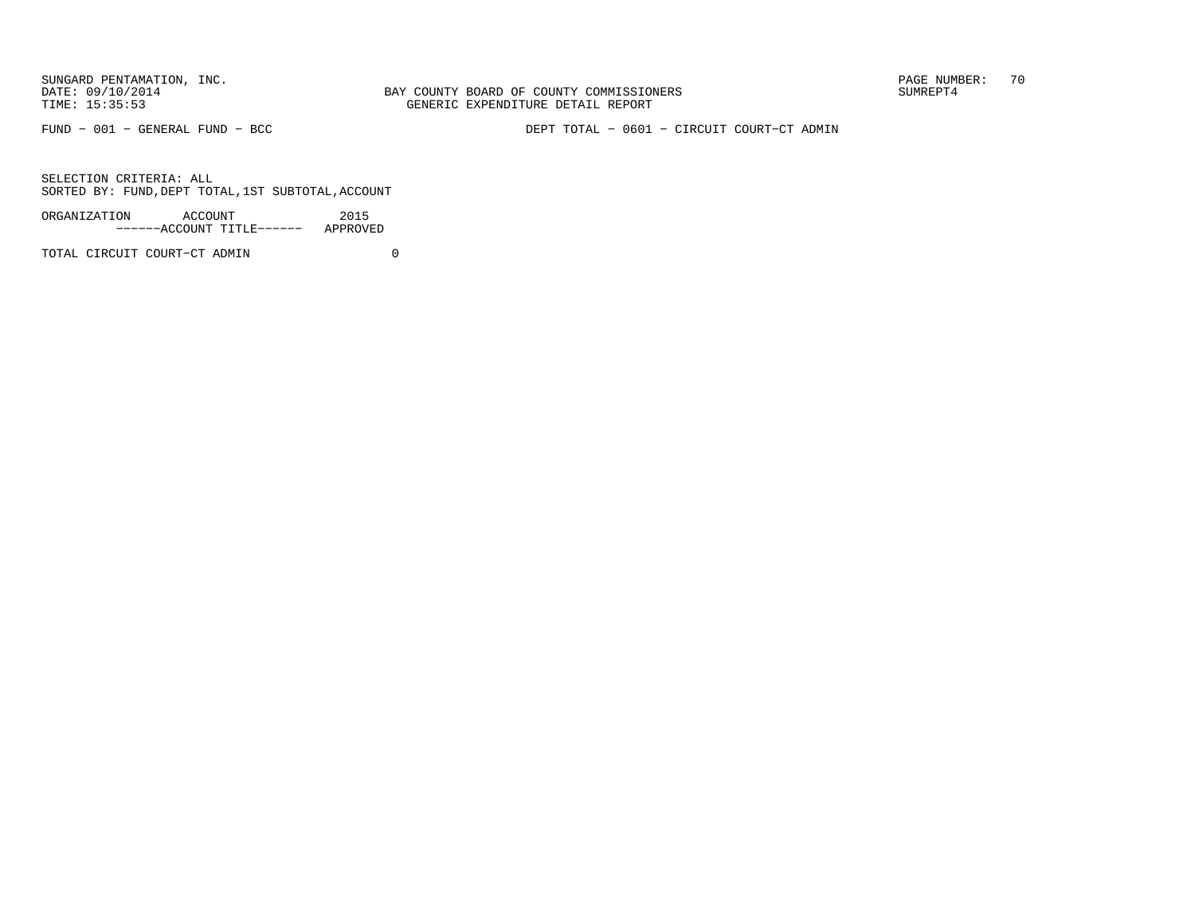BAY COUNTY BOARD OF COUNTY COMMISSIONERS TIME: 15:35:53 GENERIC EXPENDITURE DETAIL REPORT

FUND − 001 − GENERAL FUND − BCC DEPT TOTAL − 0601 − CIRCUIT COURT−CT ADMIN

SELECTION CRITERIA: ALLSORTED BY: FUND,DEPT TOTAL,1ST SUBTOTAL,ACCOUNT

| ORGANIZATION | ACCOUNT |                           | 2015     |
|--------------|---------|---------------------------|----------|
|              |         | ------ACCOUNT TITLE------ | APPROVED |

TOTAL CIRCUIT COURT−CT ADMIN 0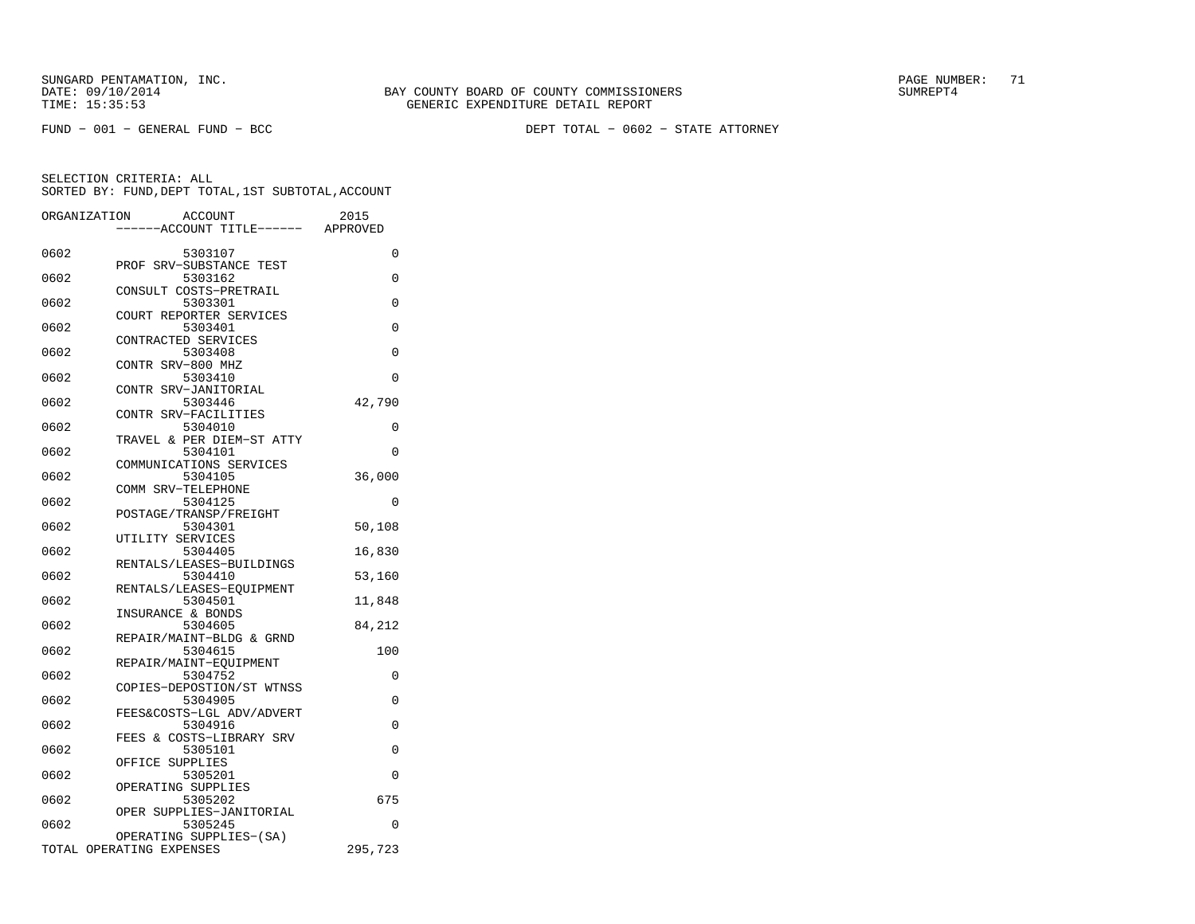FUND − 001 − GENERAL FUND − BCC DEPT TOTAL − 0602 − STATE ATTORNEY

|      | ORGANIZATION<br><b>ACCOUNT</b>     | 2015     |
|------|------------------------------------|----------|
|      | ---ACCOUNT TITLE------             | APPROVED |
|      |                                    |          |
| 0602 | 5303107                            | 0        |
|      | PROF SRV-SUBSTANCE TEST            |          |
| 0602 | 5303162                            | $\Omega$ |
|      | CONSULT COSTS-PRETRAIL             | $\Omega$ |
| 0602 | 5303301<br>COURT REPORTER SERVICES |          |
| 0602 | 5303401                            | 0        |
|      | CONTRACTED SERVICES                |          |
| 0602 | 5303408                            | 0        |
|      | CONTR SRV-800 MHZ                  |          |
| 0602 | 5303410                            | 0        |
|      | CONTR SRV-JANITORIAL               |          |
| 0602 | 5303446                            | 42,790   |
|      | CONTR SRV-FACILITIES               |          |
| 0602 | 5304010                            | 0        |
| 0602 | TRAVEL & PER DIEM-ST ATTY          | 0        |
|      | 5304101<br>COMMUNICATIONS SERVICES |          |
| 0602 | 5304105                            | 36,000   |
|      | COMM SRV-TELEPHONE                 |          |
| 0602 | 5304125                            | 0        |
|      | POSTAGE/TRANSP/FREIGHT             |          |
| 0602 | 5304301                            | 50,108   |
|      | UTILITY SERVICES                   |          |
| 0602 | 5304405                            | 16,830   |
|      | RENTALS/LEASES-BUILDINGS           |          |
| 0602 | 5304410                            | 53,160   |
|      | RENTALS/LEASES-EQUIPMENT           |          |
| 0602 | 5304501<br>INSURANCE & BONDS       | 11,848   |
| 0602 | 5304605                            | 84,212   |
|      | REPAIR/MAINT-BLDG & GRND           |          |
| 0602 | 5304615                            | 100      |
|      | REPAIR/MAINT-EOUIPMENT             |          |
| 0602 | 5304752                            | $\Omega$ |
|      | COPIES-DEPOSTION/ST WTNSS          |          |
| 0602 | 5304905                            | 0        |
|      | FEES&COSTS-LGL ADV/ADVERT          |          |
| 0602 | 5304916                            | 0        |
|      | FEES & COSTS-LIBRARY SRV           |          |
| 0602 | 5305101<br>OFFICE<br>SUPPLIES      | 0        |
| 0602 | 5305201                            | 0        |
|      | OPERATING SUPPLIES                 |          |
| 0602 | 5305202                            | 675      |
|      | OPER SUPPLIES-JANITORIAL           |          |
| 0602 | 5305245                            | 0        |
|      | OPERATING SUPPLIES-(SA)            |          |
|      | TOTAL OPERATING EXPENSES           | 295,723  |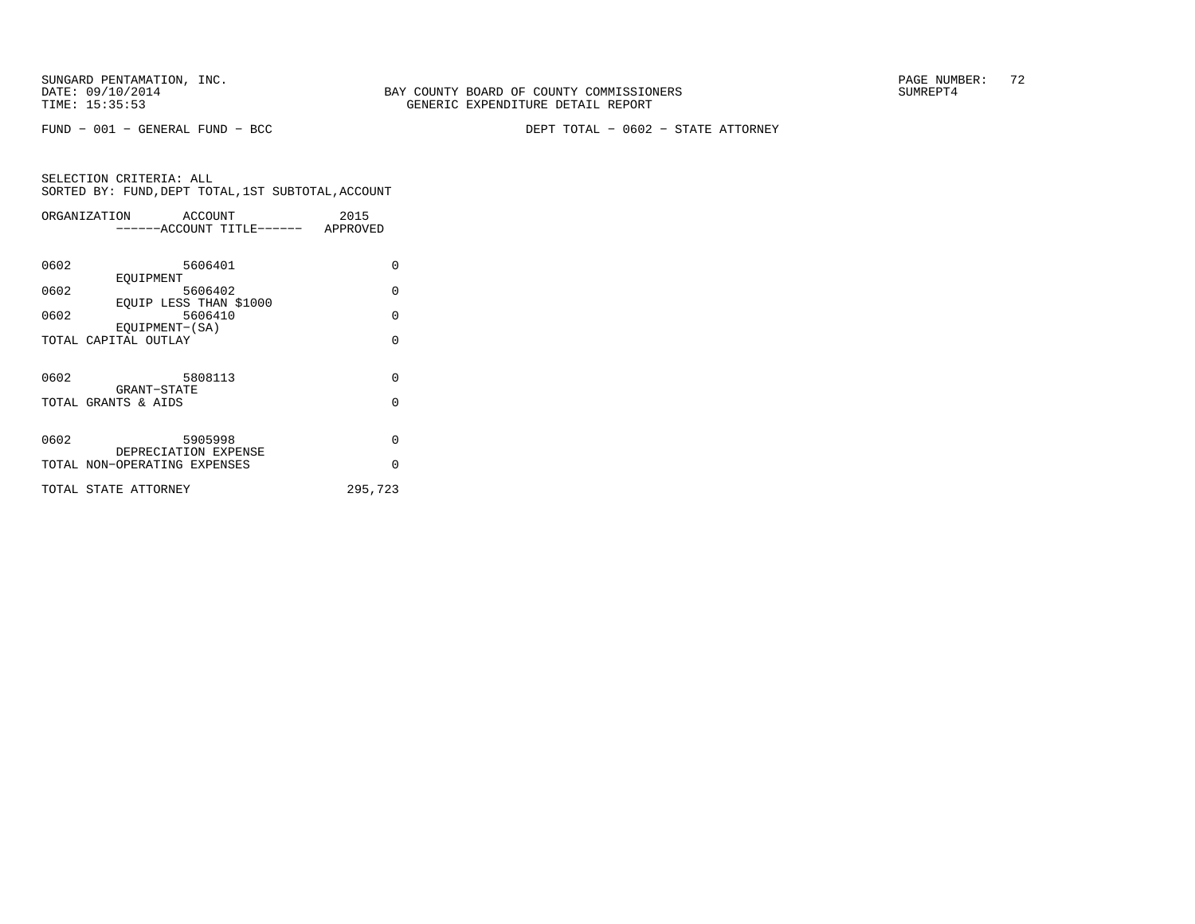FUND − 001 − GENERAL FUND − BCC DEPT TOTAL − 0602 − STATE ATTORNEY

| 2015                               |  |  |
|------------------------------------|--|--|
| ------ACCOUNT TITLE------ APPROVED |  |  |
|                                    |  |  |
| $\Omega$                           |  |  |
|                                    |  |  |
| $\Omega$                           |  |  |
|                                    |  |  |
| $\Omega$                           |  |  |
|                                    |  |  |
| $\Omega$                           |  |  |
|                                    |  |  |
| $\Omega$                           |  |  |
|                                    |  |  |
| $\Omega$                           |  |  |
|                                    |  |  |
|                                    |  |  |
| $\Omega$                           |  |  |
| $\Omega$                           |  |  |
|                                    |  |  |
| 295,723                            |  |  |
|                                    |  |  |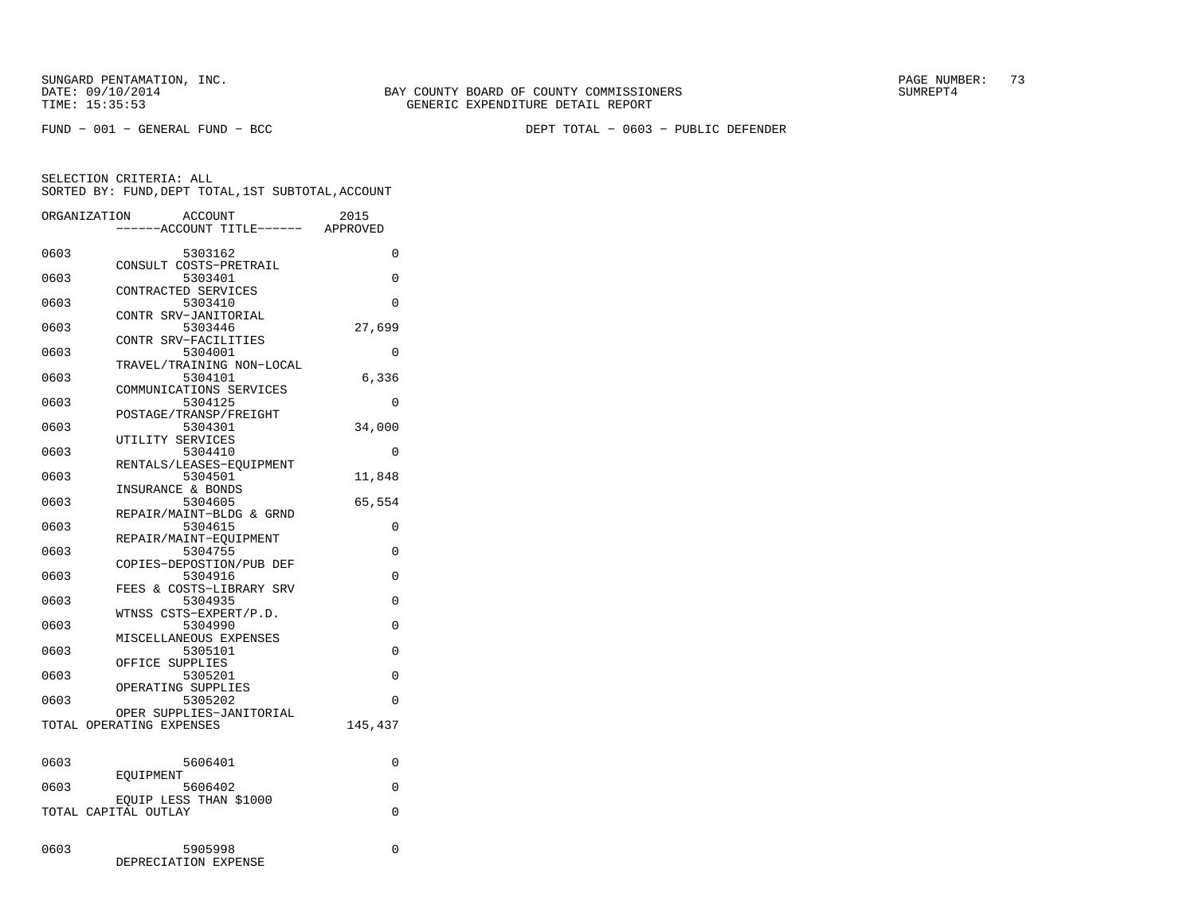FUND − 001 − GENERAL FUND − BCC DEPT TOTAL − 0603 − PUBLIC DEFENDER

|      | ORGANIZATION<br><b>ACCOUNT</b><br>---ACCOUNT TITLE------ | 2015<br>APPROVED |
|------|----------------------------------------------------------|------------------|
|      |                                                          |                  |
| 0603 | 5303162                                                  | 0                |
|      | CONSULT COSTS-PRETRAIL                                   |                  |
| 0603 | 5303401                                                  | 0                |
|      | CONTRACTED SERVICES                                      |                  |
| 0603 | 5303410                                                  | $\Omega$         |
| 0603 | CONTR SRV-JANITORIAL<br>5303446                          | 27,699           |
|      | CONTR SRV-FACILITIES                                     |                  |
| 0603 | 5304001                                                  | 0                |
|      | TRAVEL/TRAINING NON-LOCAL                                |                  |
| 0603 | 5304101                                                  | 6,336            |
|      | COMMUNICATIONS SERVICES                                  |                  |
| 0603 | 5304125                                                  | 0                |
|      | POSTAGE/TRANSP/FREIGHT                                   |                  |
| 0603 | 5304301                                                  | 34,000           |
|      | UTILITY SERVICES                                         |                  |
| 0603 | 5304410<br>RENTALS/LEASES-EQUIPMENT                      | 0                |
| 0603 | 5304501                                                  | 11,848           |
|      | INSURANCE & BONDS                                        |                  |
| 0603 | 5304605                                                  | 65,554           |
|      | REPAIR/MAINT-BLDG & GRND                                 |                  |
| 0603 | 5304615                                                  | 0                |
|      | REPAIR/MAINT-EOUIPMENT                                   |                  |
| 0603 | 5304755                                                  | 0                |
|      | COPIES-DEPOSTION/PUB DEF                                 |                  |
| 0603 | 5304916                                                  | 0                |
|      | FEES & COSTS-LIBRARY SRV                                 |                  |
| 0603 | 5304935<br>WTNSS CSTS-EXPERT/P.D.                        | 0                |
| 0603 | 5304990                                                  | 0                |
|      | MISCELLANEOUS EXPENSES                                   |                  |
| 0603 | 5305101                                                  | $\Omega$         |
|      | OFFICE SUPPLIES                                          |                  |
| 0603 | 5305201                                                  | 0                |
|      | OPERATING SUPPLIES                                       |                  |
| 0603 | 5305202                                                  | $\Omega$         |
|      | OPER SUPPLIES-JANITORIAL                                 |                  |
|      | TOTAL OPERATING EXPENSES                                 | 145,437          |
|      |                                                          |                  |
| 0603 | 5606401                                                  | 0                |
|      | EOUIPMENT                                                |                  |
| 0603 | 5606402                                                  | $\Omega$         |
|      | EQUIP LESS THAN \$1000                                   |                  |
|      | TOTAL CAPITAL OUTLAY                                     | $\Omega$         |
|      |                                                          |                  |
|      |                                                          |                  |
| 0603 | 5905998                                                  | 0                |
|      | DEPRECIATION EXPENSE                                     |                  |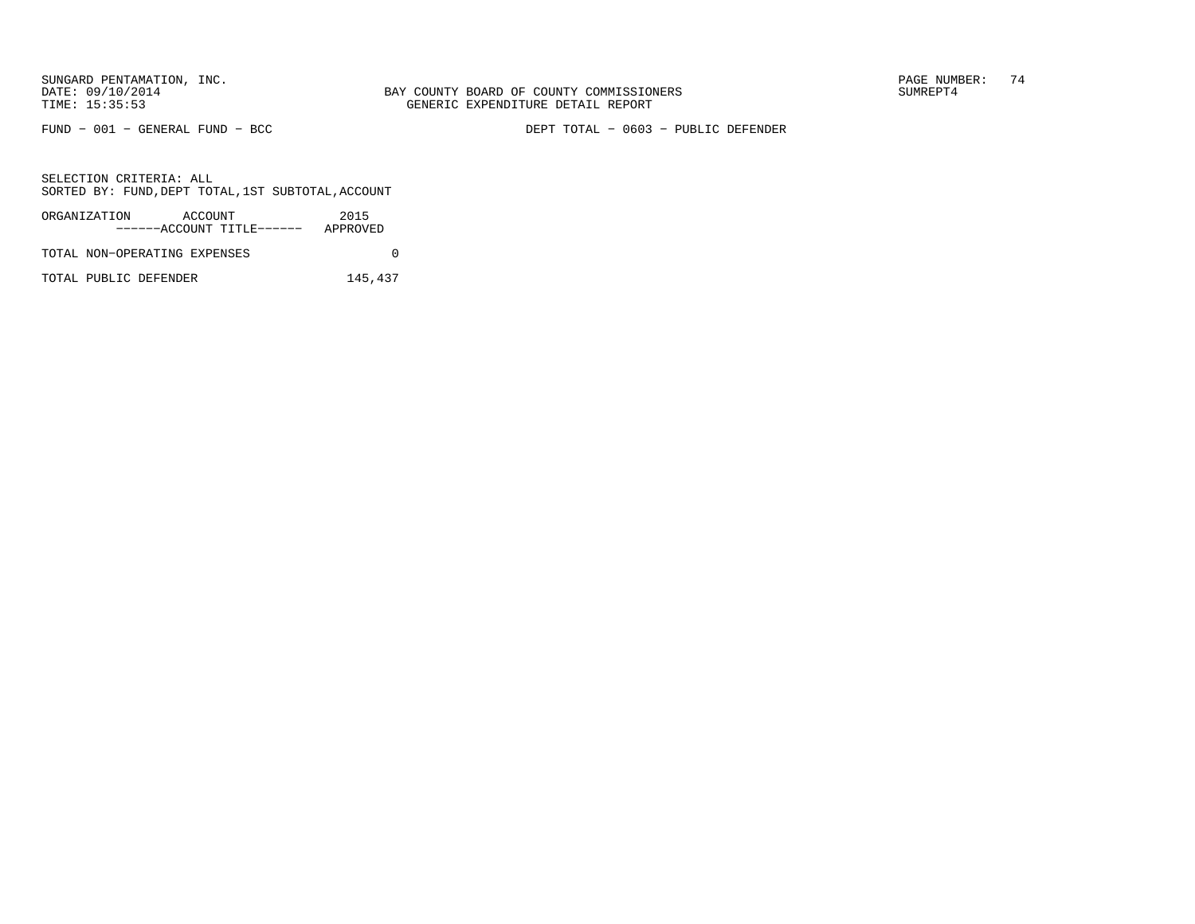FUND − 001 − GENERAL FUND − BCC DEPT TOTAL − 0603 − PUBLIC DEFENDER

SELECTION CRITERIA: ALLSORTED BY: FUND,DEPT TOTAL,1ST SUBTOTAL,ACCOUNT

| ORGANIZATION                 | ACCOUNT |                           | 2015     |  |
|------------------------------|---------|---------------------------|----------|--|
|                              |         | ------ACCOUNT TITLE------ | APPROVED |  |
| TOTAL NON-OPERATING EXPENSES |         |                           |          |  |

TOTAL PUBLIC DEFENDER 145,437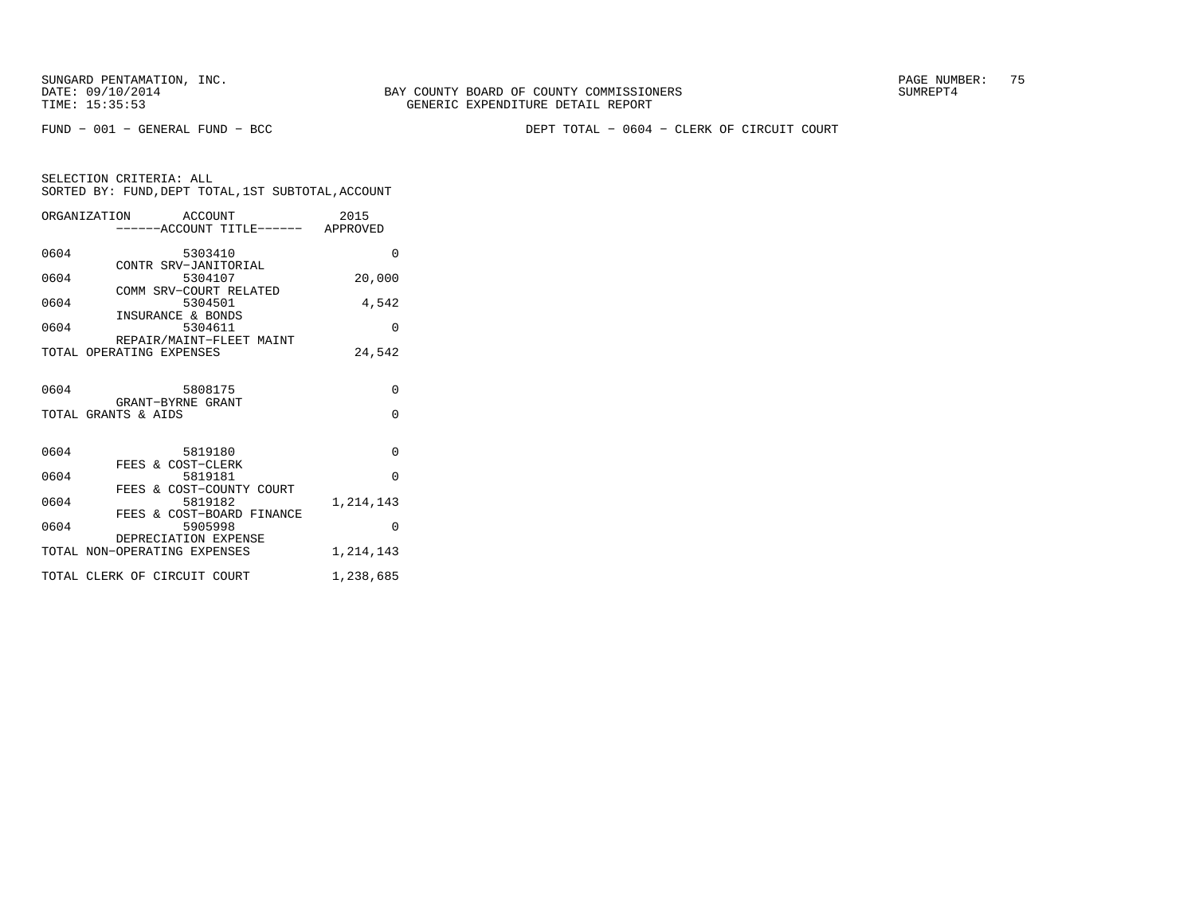FUND − 001 − GENERAL FUND − BCC DEPT TOTAL − 0604 − CLERK OF CIRCUIT COURT

| SELECTION CRITERIA: ALL |  |  |                                                 |  |
|-------------------------|--|--|-------------------------------------------------|--|
|                         |  |  | SORTED BY: FUND,DEPT TOTAL,1ST SUBTOTAL,ACCOUNT |  |

|      | ORGANIZATION ACCOUNT<br>-----ACCOUNT TITLE------ APPROVED | 2015      |
|------|-----------------------------------------------------------|-----------|
| 0604 | 5303410                                                   | $\Omega$  |
| 0604 | CONTR SRV-JANITORIAL<br>5304107                           | 20,000    |
| 0604 | COMM SRV-COURT RELATED<br>5304501                         | 4,542     |
| 0604 | INSURANCE & BONDS<br>5304611                              | $\Omega$  |
|      | REPAIR/MAINT-FLEET MAINT<br>TOTAL OPERATING EXPENSES      | 24,542    |
| 0604 | 5808175<br>GRANT-BYRNE GRANT                              | $\Omega$  |
|      | TOTAL GRANTS & AIDS                                       | $\Omega$  |
| 0604 | 5819180<br>FEES & COST-CLERK                              | $\Omega$  |
| 0604 | 5819181<br>FEES & COST-COUNTY COURT                       | $\Omega$  |
| 0604 | 5819182                                                   | 1,214,143 |
| 0604 | FEES & COST-BOARD FINANCE<br>5905998                      | $\Omega$  |
|      | DEPRECIATION EXPENSE<br>TOTAL NON-OPERATING EXPENSES      | 1,214,143 |
|      | TOTAL CLERK OF CIRCUIT COURT                              | 1,238,685 |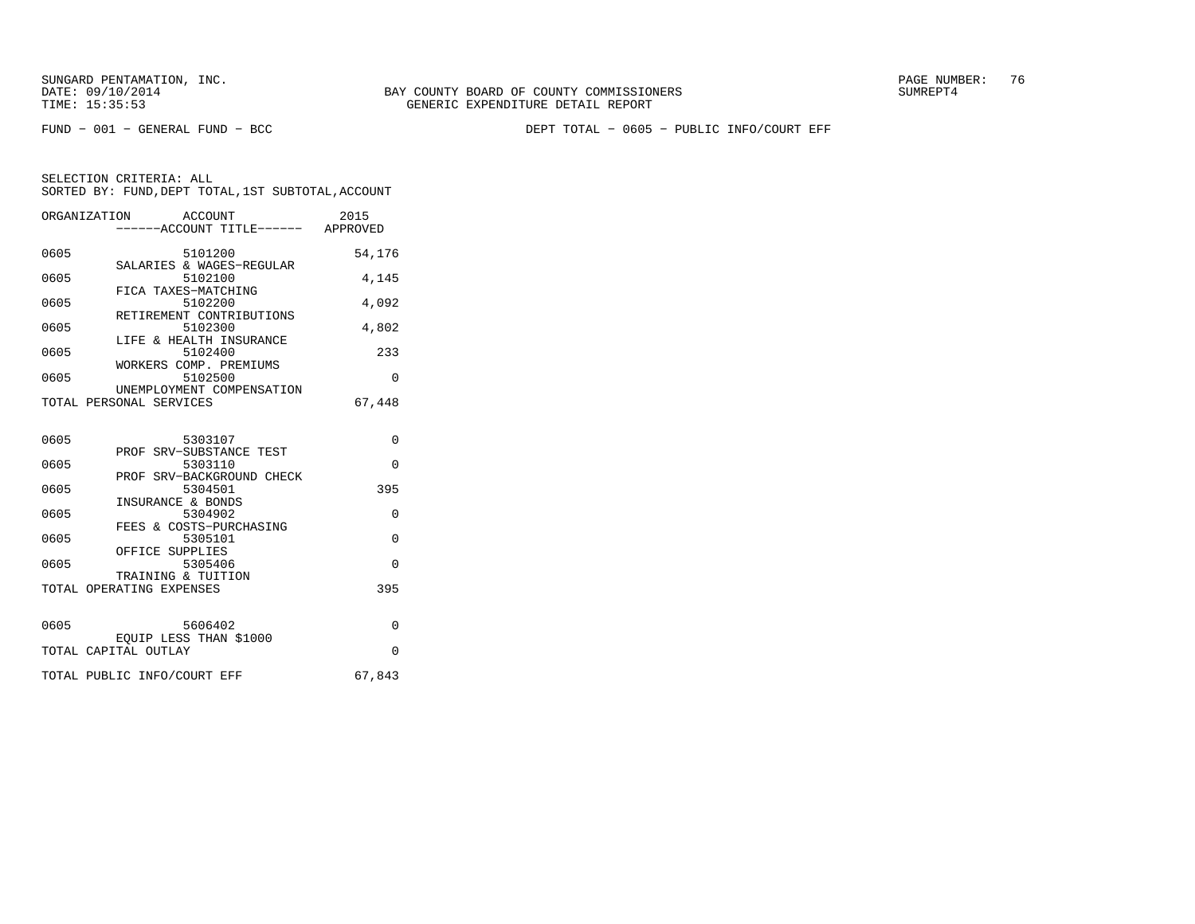FUND − 001 − GENERAL FUND − BCC DEPT TOTAL − 0605 − PUBLIC INFO/COURT EFF

| ORGANIZATION | ACCOUNT<br>------ACCOUNT TITLE------ APPROVED              | 2015     |
|--------------|------------------------------------------------------------|----------|
| 0605         | 5101200                                                    | 54,176   |
| 0605         | SALARIES & WAGES-REGULAR<br>5102100                        | 4,145    |
| 0605         | FICA TAXES-MATCHING<br>5102200<br>RETIREMENT CONTRIBUTIONS | 4,092    |
| 0605         | 5102300<br>LIFE & HEALTH INSURANCE                         | 4,802    |
| 0605         | 5102400<br>WORKERS COMP. PREMIUMS                          | 233      |
| 0605         | 5102500<br>UNEMPLOYMENT COMPENSATION                       | $\Omega$ |
|              | TOTAL PERSONAL SERVICES                                    | 67,448   |
| 0605         | 5303107                                                    | 0        |
| 0605         | PROF SRV-SUBSTANCE TEST<br>5303110                         | $\Omega$ |
| 0605         | PROF SRV-BACKGROUND CHECK<br>5304501                       | 395      |
| 0605         | INSURANCE & BONDS<br>5304902                               | $\Omega$ |
| 0605         | FEES & COSTS-PURCHASING<br>5305101                         | $\Omega$ |
| 0605         | OFFICE SUPPLIES<br>5305406<br>TRAINING & TUITION           | 0        |
|              | TOTAL OPERATING EXPENSES                                   | 395      |
| 0605         | 5606402                                                    | $\Omega$ |
|              | EOUIP LESS THAN \$1000<br>TOTAL CAPITAL OUTLAY             | $\Omega$ |
|              | TOTAL PUBLIC INFO/COURT EFF                                | 67,843   |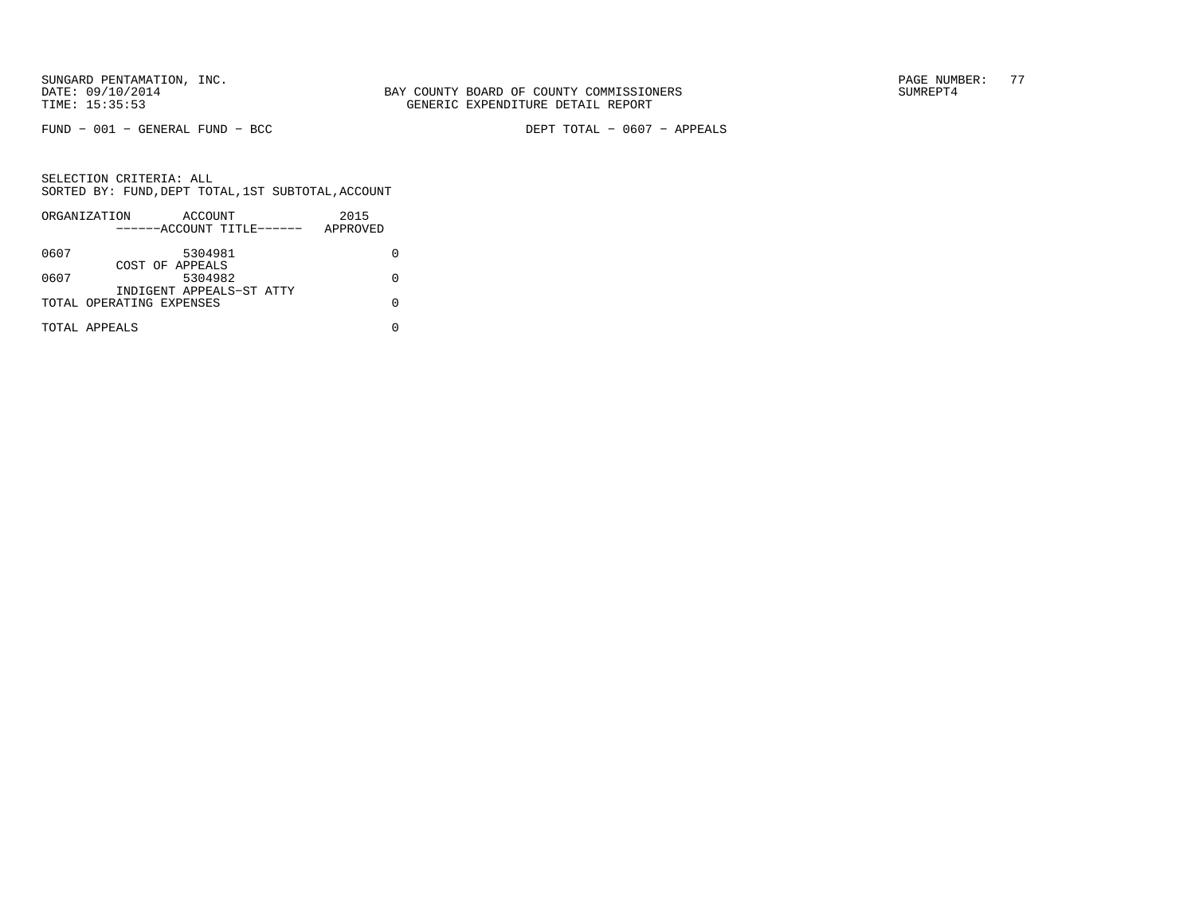FUND − 001 − GENERAL FUND − BCC DEPT TOTAL − 0607 − APPEALS

|      | ORGANIZATION              | ACCOUNT |  | 2015     |  |
|------|---------------------------|---------|--|----------|--|
|      | ------ACCOUNT TITLE------ |         |  | APPROVED |  |
| 0607 |                           | 5304981 |  |          |  |
|      | COST OF APPEALS           |         |  |          |  |
| 0607 |                           | 5304982 |  |          |  |
|      | INDIGENT APPEALS-ST ATTY  |         |  |          |  |
|      | TOTAL OPERATING EXPENSES  |         |  |          |  |
|      | TOTAL APPEALS             |         |  |          |  |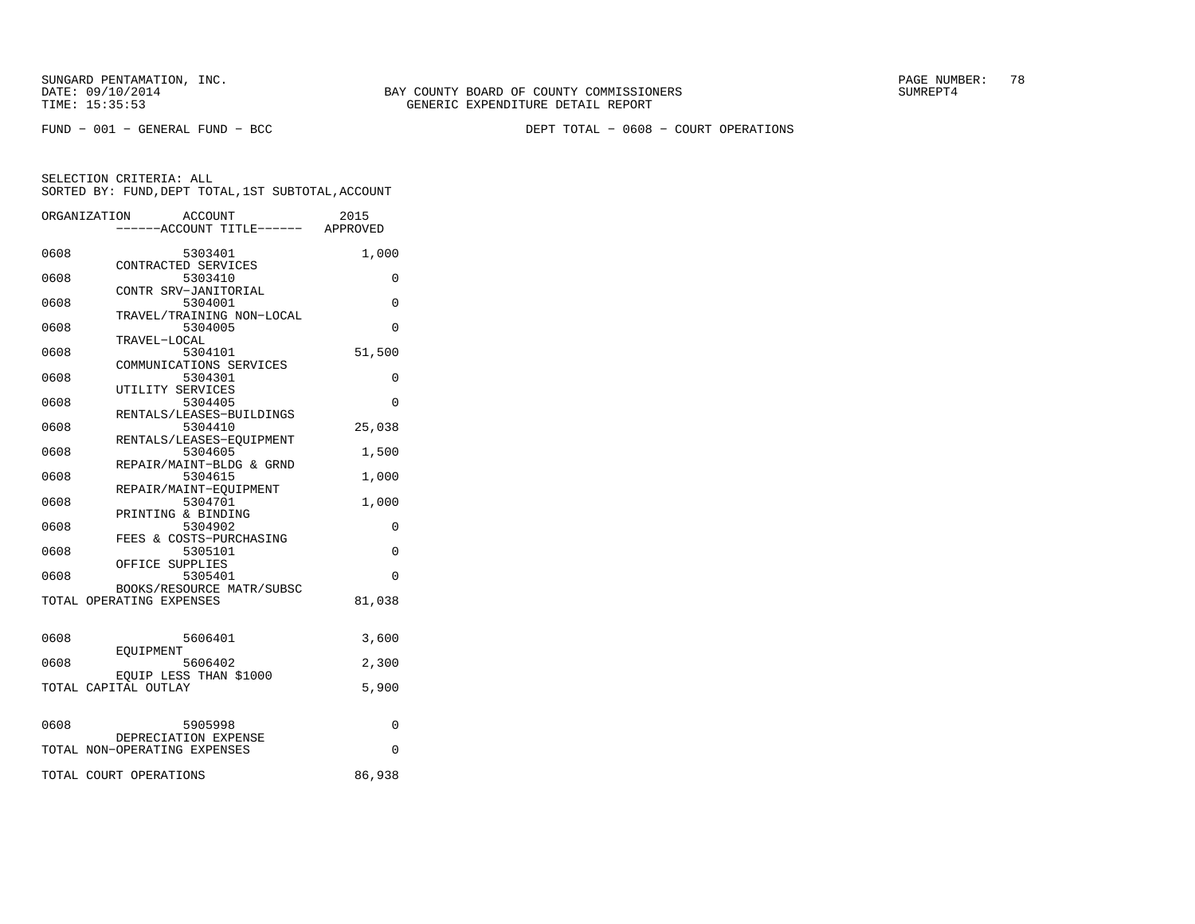FUND − 001 − GENERAL FUND − BCC DEPT TOTAL − 0608 − COURT OPERATIONS

|      | ORGANIZATION<br>ACCOUNT<br>----ACCOUNT TITLE------ APPROVED | 2015     |
|------|-------------------------------------------------------------|----------|
|      |                                                             |          |
| 0608 | 5303401                                                     | 1,000    |
|      | CONTRACTED SERVICES                                         |          |
| 0608 | 5303410                                                     | $\Omega$ |
|      | CONTR SRV-JANITORIAL                                        |          |
| 0608 | 5304001<br>TRAVEL/TRAINING NON-LOCAL                        | $\Omega$ |
| 0608 | 5304005                                                     | $\Omega$ |
|      | TRAVEL-LOCAL                                                |          |
| 0608 | 5304101                                                     | 51,500   |
|      | COMMUNICATIONS SERVICES                                     |          |
| 0608 | 5304301                                                     | 0        |
|      | UTILITY SERVICES                                            |          |
| 0608 | 5304405                                                     | $\Omega$ |
|      | RENTALS/LEASES-BUILDINGS                                    |          |
| 0608 | 5304410                                                     | 25,038   |
|      | RENTALS/LEASES-EOUIPMENT                                    |          |
| 0608 | 5304605                                                     | 1,500    |
|      | REPAIR/MAINT-BLDG & GRND                                    |          |
| 0608 | 5304615                                                     | 1,000    |
|      | REPAIR/MAINT-EOUIPMENT                                      |          |
| 0608 | 5304701                                                     | 1,000    |
|      | PRINTING & BINDING                                          |          |
| 0608 | 5304902                                                     | 0        |
|      | FEES & COSTS-PURCHASING                                     |          |
| 0608 | 5305101                                                     | $\Omega$ |
|      | OFFICE SUPPLIES                                             |          |
| 0608 | 5305401                                                     | $\Omega$ |
|      | BOOKS/RESOURCE MATR/SUBSC                                   |          |
|      | TOTAL OPERATING EXPENSES                                    | 81,038   |
|      |                                                             |          |
|      |                                                             |          |
| 0608 | 5606401                                                     | 3,600    |
|      | EOUIPMENT                                                   |          |
| 0608 | 5606402                                                     | 2,300    |
|      | EQUIP LESS THAN \$1000<br>TOTAL CAPITAL OUTLAY              | 5,900    |
|      |                                                             |          |
|      |                                                             |          |
| 0608 | 5905998                                                     | 0        |
|      | DEPRECIATION EXPENSE                                        |          |
|      | TOTAL NON-OPERATING EXPENSES                                | 0        |
|      |                                                             |          |
|      | TOTAL COURT OPERATIONS                                      | 86,938   |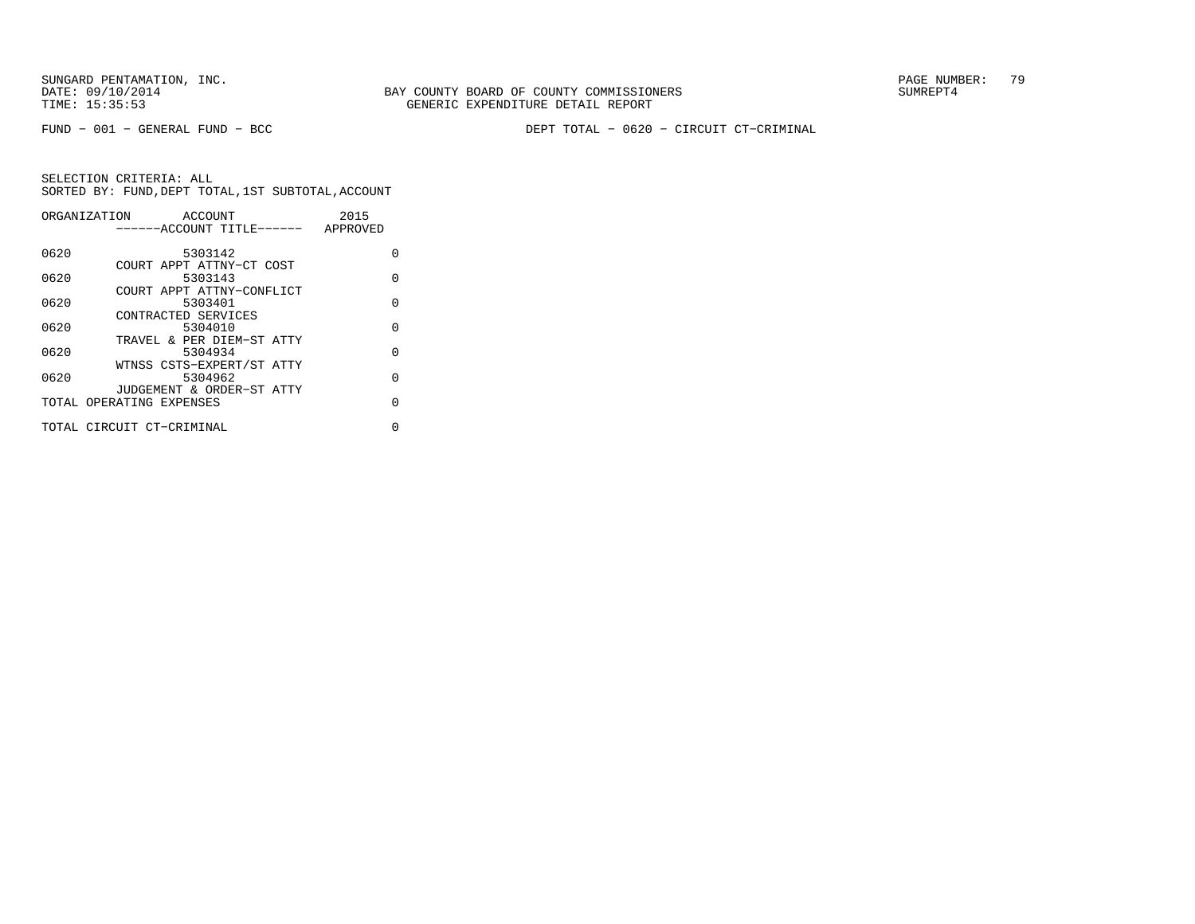FUND − 001 − GENERAL FUND − BCC DEPT TOTAL − 0620 − CIRCUIT CT−CRIMINAL

| ORGANIZATION | ACCOUNT                   | 2015     |
|--------------|---------------------------|----------|
|              | ------ACCOUNT TITLE------ | APPROVED |
|              |                           |          |
| 0620         | 5303142                   | O        |
|              | COURT APPT ATTNY-CT COST  |          |
| 0620         | 5303143                   | $\Omega$ |
|              | COURT APPT ATTNY-CONFLICT |          |
| 0620         | 5303401                   | O        |
|              | CONTRACTED SERVICES       |          |
| 0620         | 5304010                   | $\Omega$ |
|              | TRAVEL & PER DIEM-ST ATTY |          |
| 0620         | 5304934                   | $\Omega$ |
|              | WTNSS CSTS-EXPERT/ST ATTY |          |
| 0620         | 5304962                   | $\Omega$ |
|              | JUDGEMENT & ORDER-ST ATTY |          |
|              | TOTAL OPERATING EXPENSES  | $\Omega$ |
|              |                           |          |
|              | TOTAL CIRCUIT CT-CRIMINAL | 0        |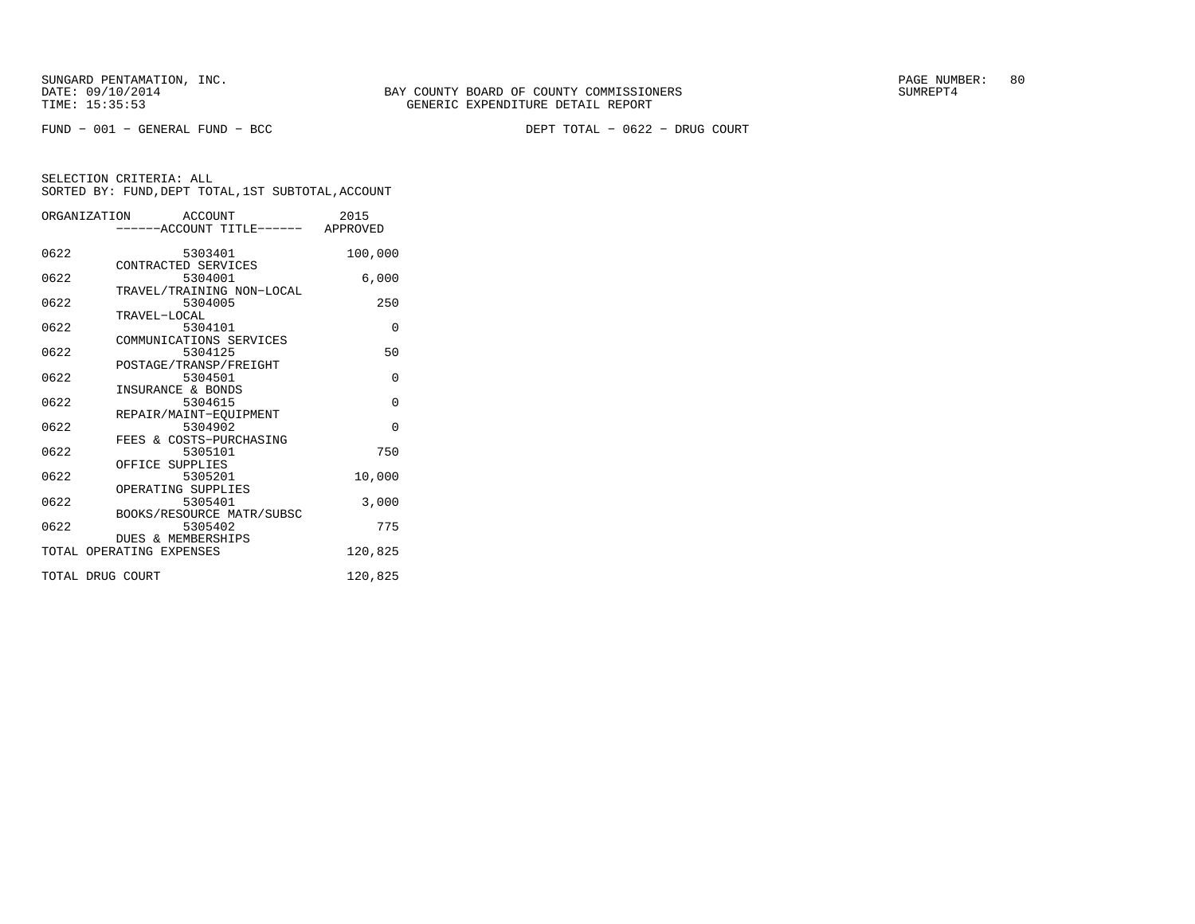|      | ORGANIZATION ACCOUNT<br>------ACCOUNT TITLE------ APPROVED | 2015     |
|------|------------------------------------------------------------|----------|
| 0622 | 5303401                                                    | 100,000  |
| 0622 | CONTRACTED SERVICES<br>5304001                             | 6,000    |
| 0622 | TRAVEL/TRAINING NON-LOCAL<br>5304005<br>TRAVEL-LOCAL       | 250      |
| 0622 | 5304101<br>COMMUNICATIONS SERVICES                         | $\Omega$ |
| 0622 | 5304125<br>POSTAGE/TRANSP/FREIGHT                          | 50       |
| 0622 | 5304501<br>INSURANCE & BONDS                               | $\Omega$ |
| 0622 | 5304615<br>REPAIR/MAINT-EOUIPMENT                          | $\Omega$ |
| 0622 | 5304902<br>FEES & COSTS-PURCHASING                         | $\Omega$ |
| 0622 | 5305101<br>OFFICE SUPPLIES                                 | 750      |
| 0622 | 5305201<br>OPERATING SUPPLIES                              | 10,000   |
| 0622 | 5305401<br>BOOKS/RESOURCE MATR/SUBSC                       | 3,000    |
| 0622 | 5305402<br>DUES & MEMBERSHIPS                              | 775      |
|      | TOTAL OPERATING EXPENSES                                   | 120,825  |
|      | TOTAL DRUG COURT                                           | 120,825  |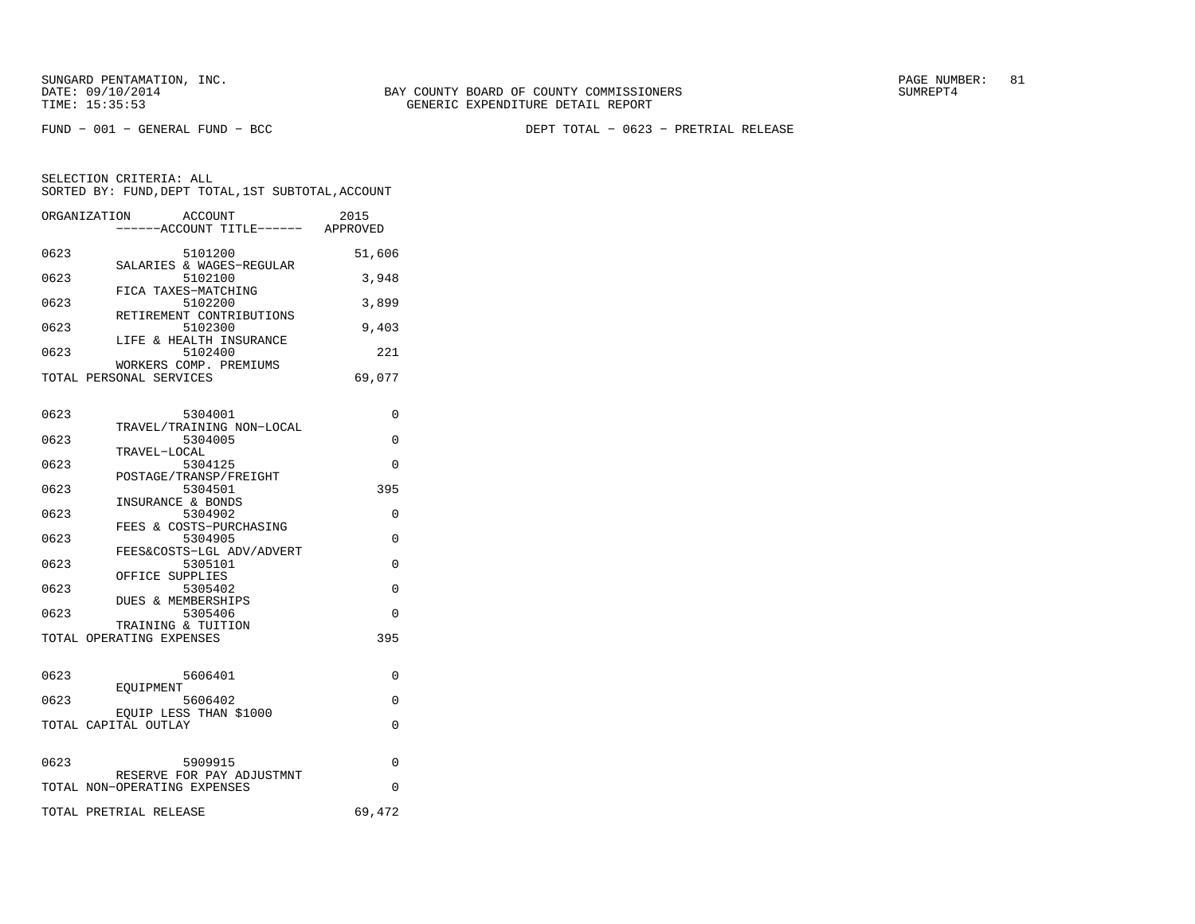FUND − 001 − GENERAL FUND − BCC DEPT TOTAL − 0623 − PRETRIAL RELEASE

| ORGANIZATION | ACCOUNT<br>----ACCOUNT TITLE------ APPROVED               | 2015     |
|--------------|-----------------------------------------------------------|----------|
|              |                                                           |          |
| 0623         | 5101200<br>SALARIES & WAGES-REGULAR                       | 51,606   |
| 0623         | 5102100                                                   | 3,948    |
| 0623         | FICA TAXES-MATCHING<br>5102200                            | 3,899    |
| 0623         | RETIREMENT CONTRIBUTIONS<br>5102300                       | 9,403    |
| 0623         | LIFE & HEALTH INSURANCE<br>5102400                        | 221      |
|              | WORKERS COMP. PREMIUMS                                    |          |
|              | TOTAL PERSONAL SERVICES                                   | 69,077   |
|              |                                                           |          |
| 0623         | 5304001<br>TRAVEL/TRAINING NON-LOCAL                      | 0        |
| 0623         | 5304005                                                   | 0        |
| 0623         | TRAVEL-LOCAL<br>5304125                                   | 0        |
| 0623         | POSTAGE/TRANSP/FREIGHT<br>5304501                         | 395      |
|              | INSURANCE & BONDS                                         |          |
| 0623         | 5304902<br>FEES & COSTS-PURCHASING                        | 0        |
| 0623         | 5304905                                                   | 0        |
| 0623         | FEES&COSTS-LGL ADV/ADVERT<br>5305101                      | 0        |
| 0623         | OFFICE SUPPLIES<br>5305402                                | 0        |
|              | DUES & MEMBERSHIPS                                        |          |
| 0623         | 5305406<br>TRAINING & TUITION                             | 0        |
|              | TOTAL OPERATING EXPENSES                                  | 395      |
|              |                                                           |          |
| 0623         | 5606401                                                   | 0        |
| 0623         | EOUIPMENT<br>5606402                                      | 0        |
|              | EOUIP LESS THAN \$1000<br>TOTAL CAPITAL OUTLAY            | 0        |
|              |                                                           |          |
| 0623         | 5909915                                                   | 0        |
|              | RESERVE FOR PAY ADJUSTMNT<br>TOTAL NON-OPERATING EXPENSES | $\Omega$ |
|              | TOTAL PRETRIAL RELEASE                                    | 69,472   |
|              |                                                           |          |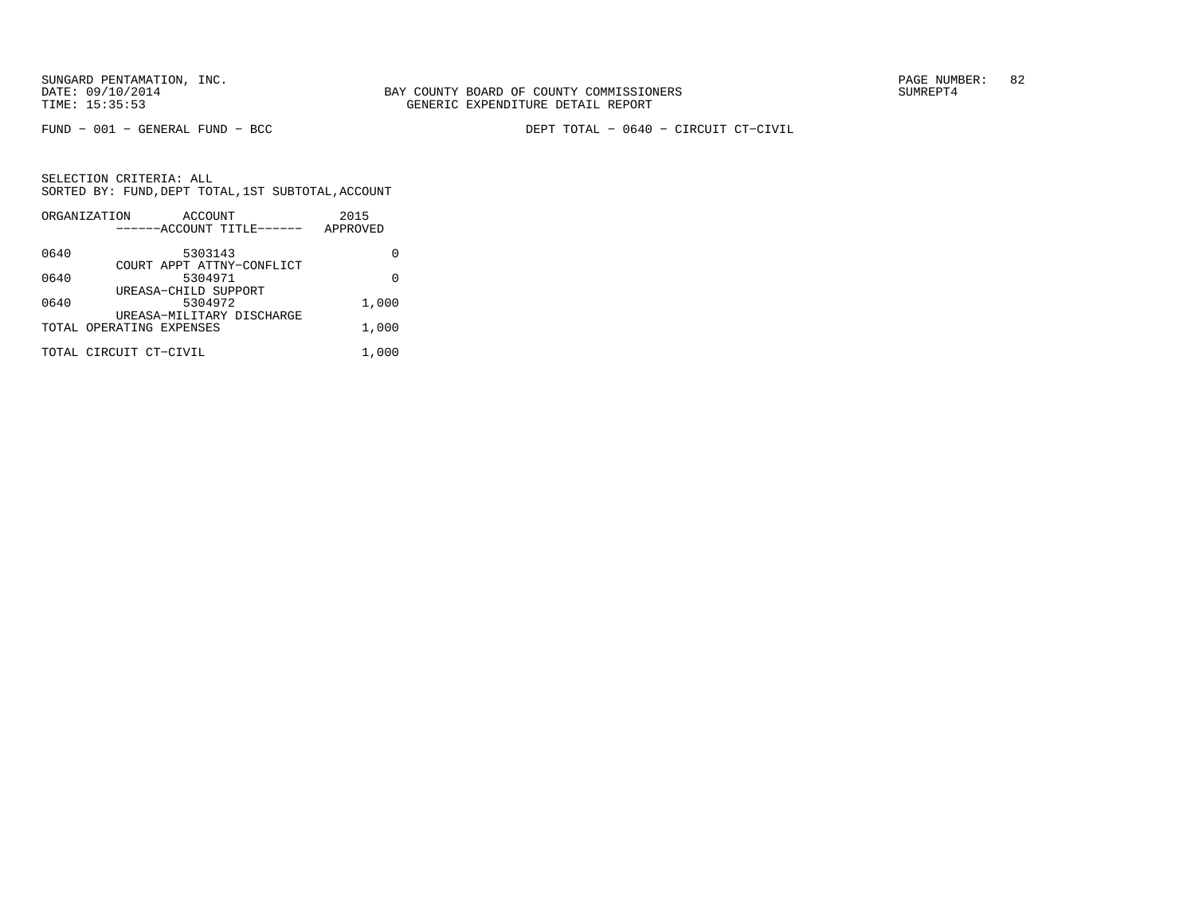FUND − 001 − GENERAL FUND − BCC DEPT TOTAL − 0640 − CIRCUIT CT−CIVIL

|      | ORGANIZATION             | ACCOUNT |                           | 2015     |
|------|--------------------------|---------|---------------------------|----------|
|      |                          |         | ------ACCOUNT TITLE------ | APPROVED |
| 0640 |                          | 5303143 |                           |          |
|      |                          |         | COURT APPT ATTNY-CONFLICT |          |
| 0640 |                          | 5304971 |                           | U        |
|      | UREASA-CHILD SUPPORT     |         |                           |          |
| 0640 |                          | 5304972 |                           | 1,000    |
|      |                          |         | UREASA-MILITARY DISCHARGE |          |
|      | TOTAL OPERATING EXPENSES |         |                           | 1,000    |
|      | TOTAL CIRCUIT CT-CIVIL   |         |                           | 1,000    |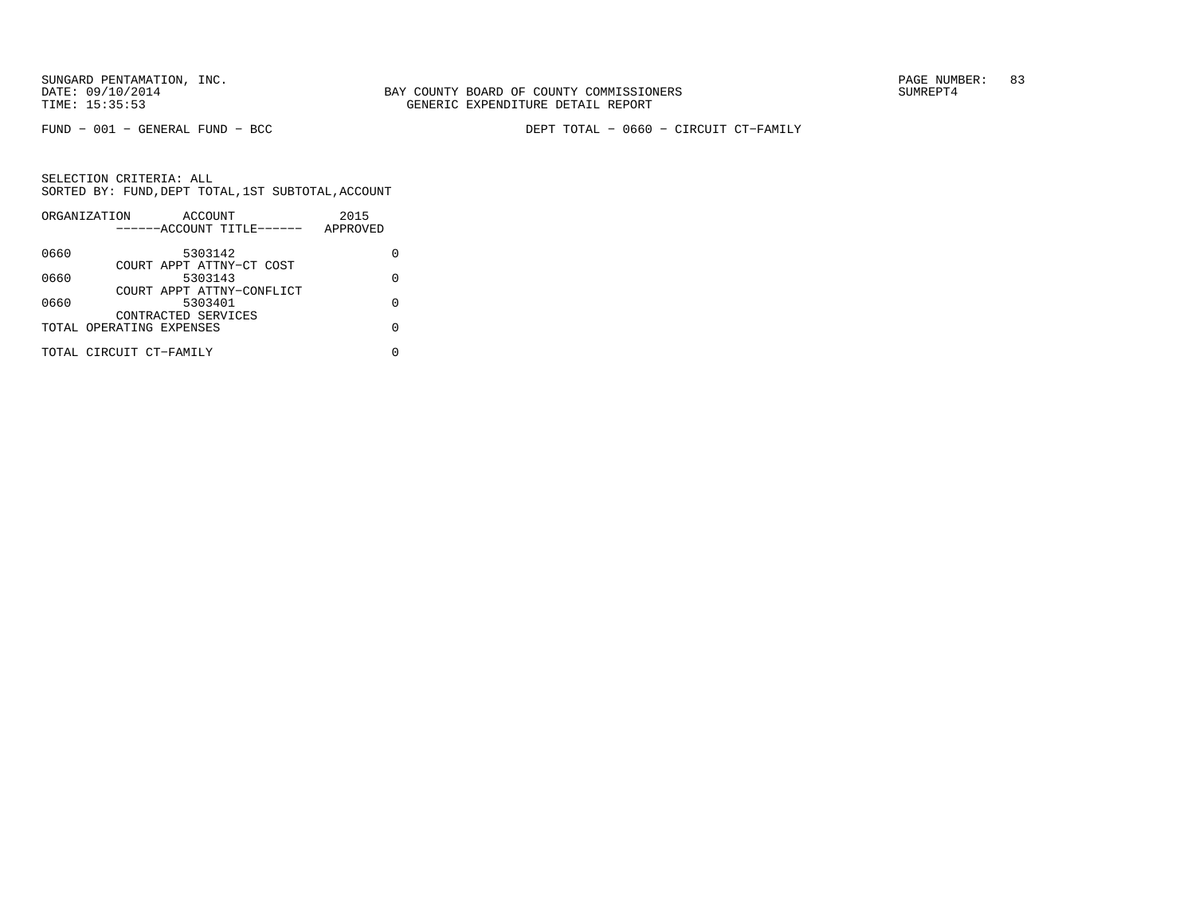FUND − 001 − GENERAL FUND − BCC DEPT TOTAL − 0660 − CIRCUIT CT−FAMILY

|      | ORGANIZATION             | ACCOUNT                   |  | 2015     |   |
|------|--------------------------|---------------------------|--|----------|---|
|      |                          | ------ACCOUNT TITLE------ |  | APPROVED |   |
| 0660 |                          | 5303142                   |  |          |   |
|      |                          | COURT APPT ATTNY-CT COST  |  |          |   |
| 0660 |                          | 5303143                   |  |          | U |
|      |                          | COURT APPT ATTNY-CONFLICT |  |          |   |
| 0660 |                          | 5303401                   |  |          | U |
|      |                          | CONTRACTED SERVICES       |  |          |   |
|      | TOTAL OPERATING EXPENSES |                           |  |          |   |
|      | TOTAL CIRCUIT CT-FAMILY  |                           |  |          |   |
|      |                          |                           |  |          |   |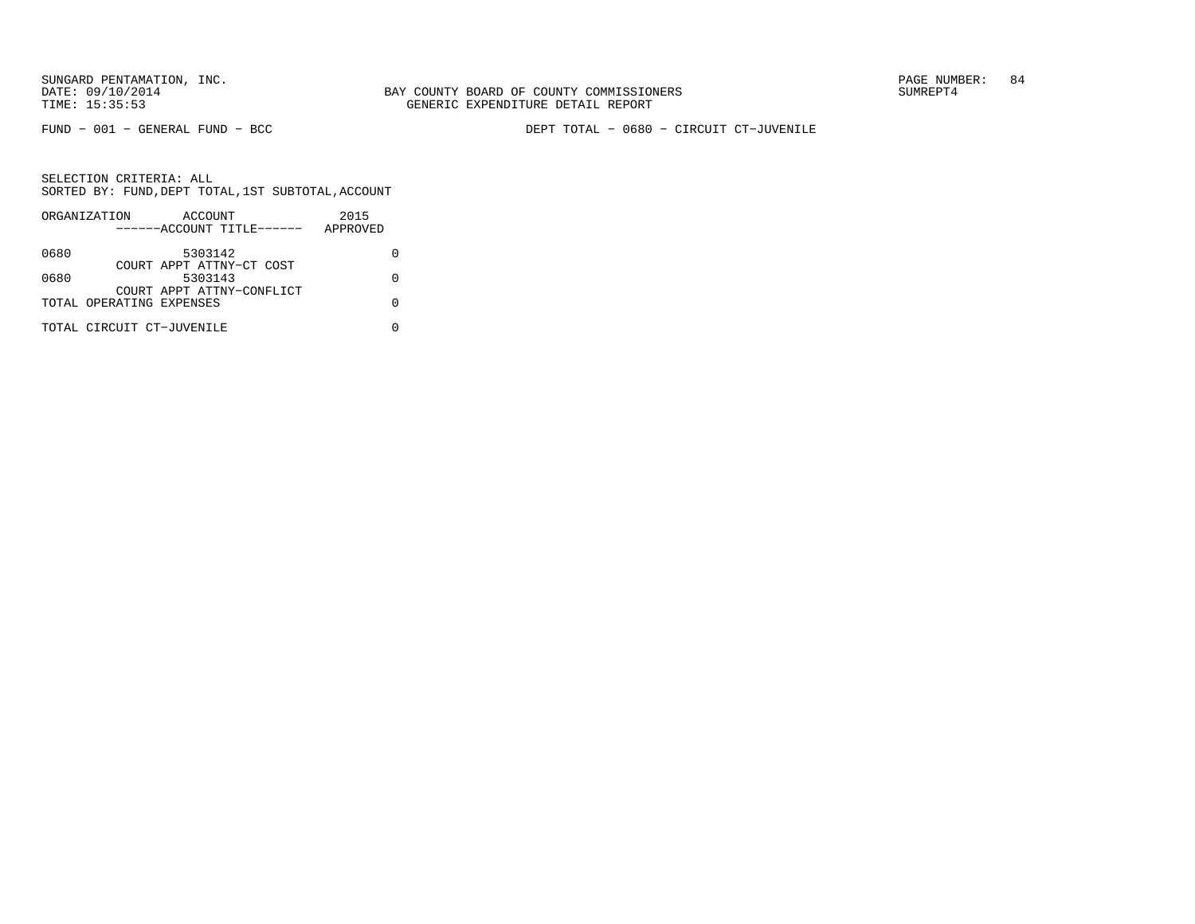FUND − 001 − GENERAL FUND − BCC DEPT TOTAL − 0680 − CIRCUIT CT−JUVENILE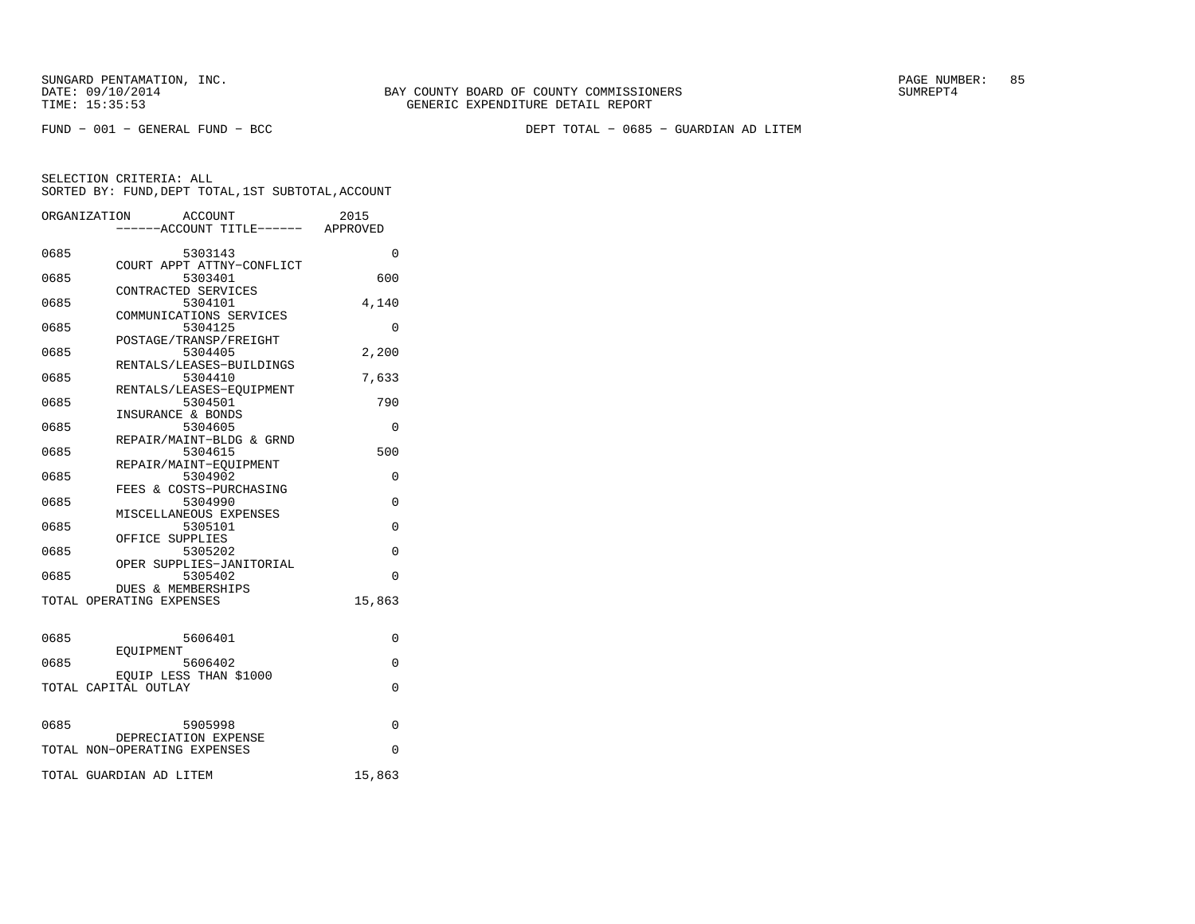FUND − 001 − GENERAL FUND − BCC DEPT TOTAL − 0685 − GUARDIAN AD LITEM

|      | ORGANIZATION<br><b>ACCOUNT</b><br>---ACCOUNT TITLE------ APPROVED | 2015     |
|------|-------------------------------------------------------------------|----------|
|      |                                                                   |          |
| 0685 | 5303143                                                           | $\Omega$ |
|      | COURT APPT ATTNY-CONFLICT                                         |          |
| 0685 | 5303401                                                           | 600      |
|      | CONTRACTED SERVICES                                               |          |
| 0685 | 5304101                                                           | 4,140    |
|      | COMMUNICATIONS SERVICES                                           |          |
| 0685 | 5304125                                                           | $\Omega$ |
| 0685 | POSTAGE/TRANSP/FREIGHT<br>5304405                                 | 2,200    |
|      | RENTALS/LEASES-BUILDINGS                                          |          |
| 0685 | 5304410                                                           | 7,633    |
|      | RENTALS/LEASES-EOUIPMENT                                          |          |
| 0685 | 5304501                                                           | 790      |
|      | INSURANCE & BONDS                                                 |          |
| 0685 | 5304605                                                           | 0        |
|      | REPAIR/MAINT-BLDG & GRND                                          |          |
| 0685 | 5304615                                                           | 500      |
|      | REPAIR/MAINT-EOUIPMENT                                            |          |
| 0685 | 5304902                                                           | 0        |
|      | FEES & COSTS-PURCHASING                                           |          |
| 0685 | 5304990                                                           | $\Omega$ |
|      | MISCELLANEOUS EXPENSES                                            |          |
| 0685 | 5305101                                                           | $\Omega$ |
|      | OFFICE SUPPLIES                                                   |          |
| 0685 | 5305202                                                           | $\Omega$ |
|      | OPER SUPPLIES-JANITORIAL                                          |          |
| 0685 | 5305402                                                           | $\Omega$ |
|      | DUES & MEMBERSHIPS                                                |          |
|      | TOTAL OPERATING EXPENSES                                          | 15,863   |
|      |                                                                   |          |
| 0685 | 5606401                                                           | 0        |
|      | EOUIPMENT                                                         |          |
| 0685 | 5606402                                                           | 0        |
|      | EQUIP LESS THAN \$1000                                            |          |
|      | TOTAL CAPITAL OUTLAY                                              | $\Omega$ |
|      |                                                                   |          |
|      |                                                                   |          |
| 0685 | 5905998                                                           | 0        |
|      | DEPRECIATION EXPENSE                                              |          |
|      | TOTAL NON-OPERATING EXPENSES                                      | 0        |
|      |                                                                   |          |
|      | TOTAL GUARDIAN AD LITEM                                           | 15,863   |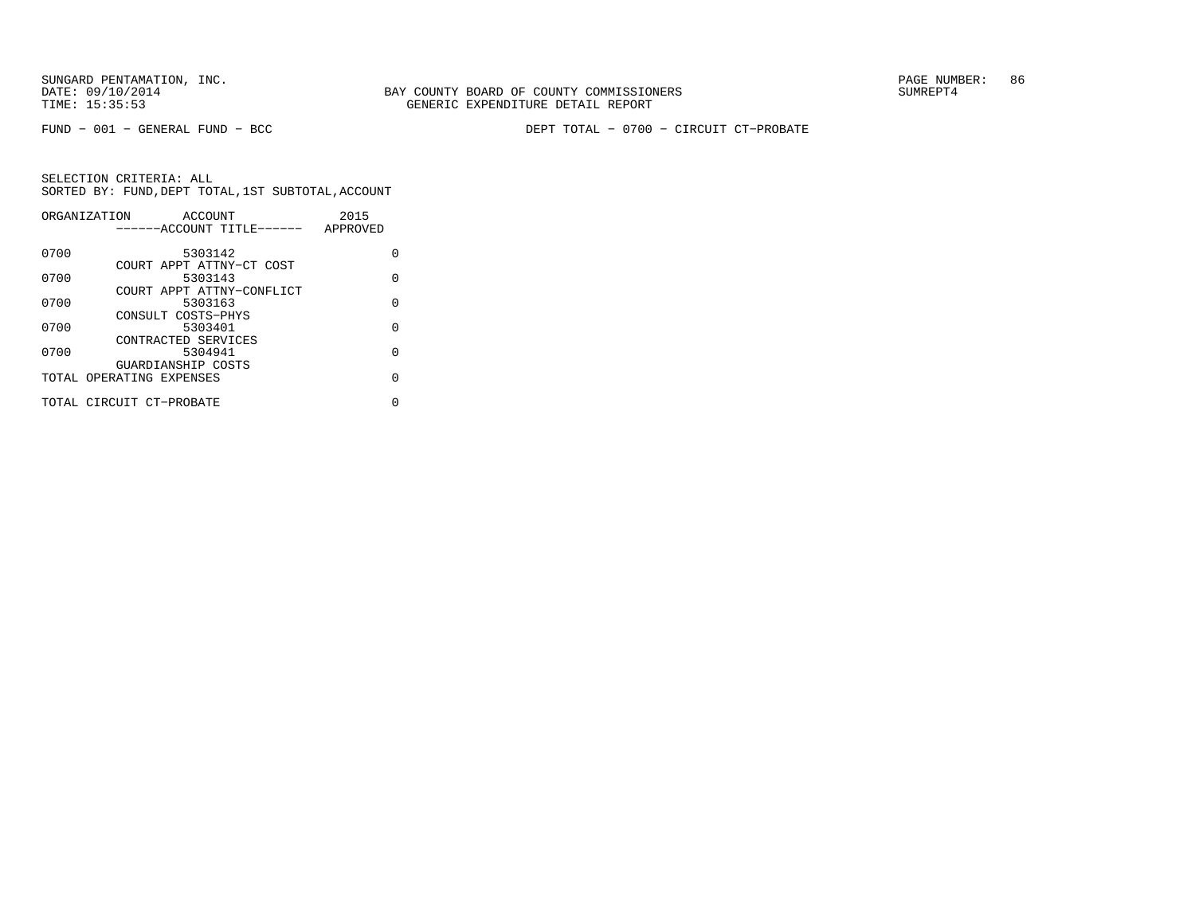FUND − 001 − GENERAL FUND − BCC DEPT TOTAL − 0700 − CIRCUIT CT−PROBATE

|      | ORGANIZATION<br>ACCOUNT                        | 2015     |
|------|------------------------------------------------|----------|
|      | ------ACCOUNT TITLE------                      | APPROVED |
| 0700 | 5303142                                        | U        |
| 0700 | COURT APPT ATTNY-CT COST<br>5303143            | O        |
| 0700 | COURT APPT ATTNY-CONFLICT<br>5303163           | $\Omega$ |
| 0700 | CONSULT COSTS-PHYS<br>5303401                  | O        |
|      | CONTRACTED SERVICES                            |          |
| 0700 | 5304941                                        | $\Omega$ |
|      | GUARDIANSHIP COSTS<br>TOTAL OPERATING EXPENSES | O        |
|      | TOTAL CIRCUIT CT-PROBATE                       | N        |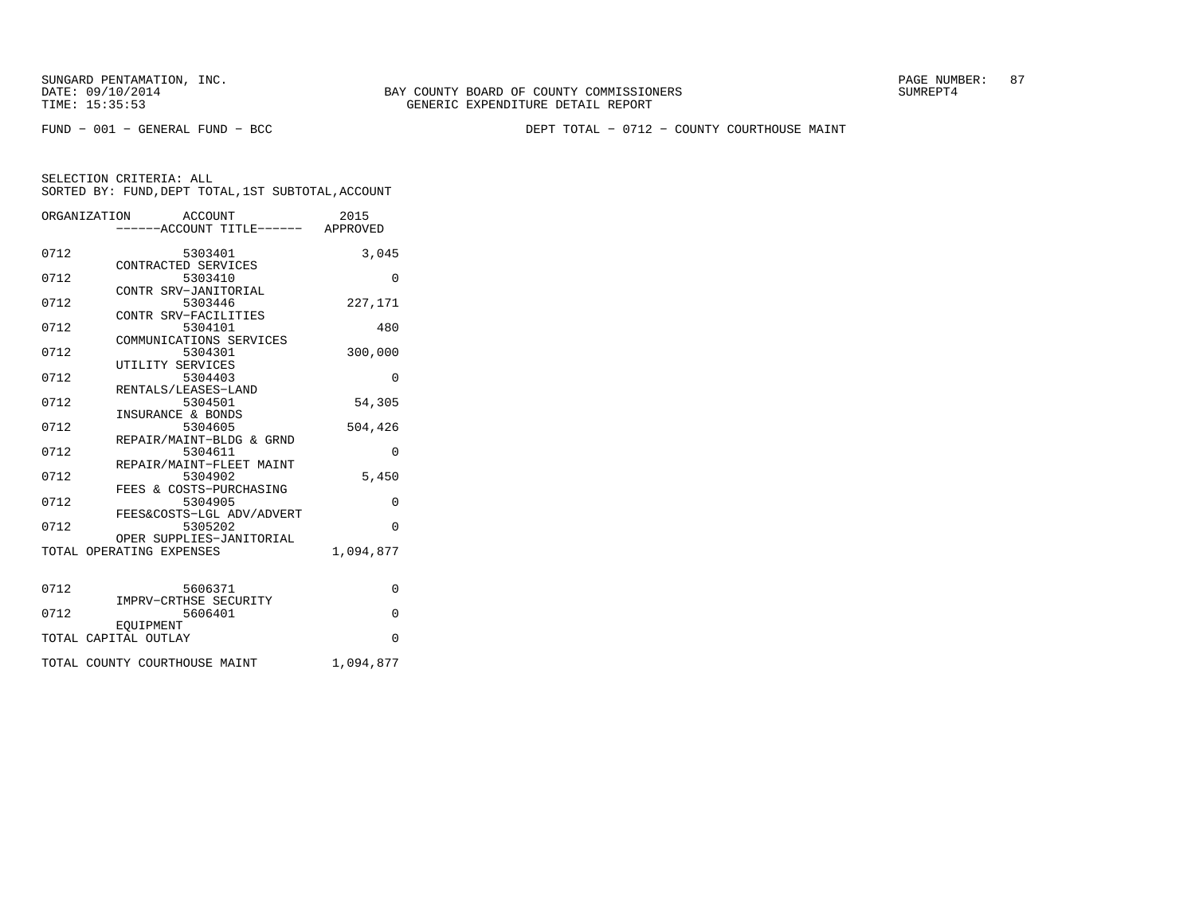FUND − 001 − GENERAL FUND − BCC DEPT TOTAL − 0712 − COUNTY COURTHOUSE MAINT

|      | ORGANIZATION<br>ACCOUNT<br>-----ACCOUNT TITLE------ APPROVED | 2015      |
|------|--------------------------------------------------------------|-----------|
| 0712 | 5303401                                                      | 3,045     |
| 0712 | CONTRACTED SERVICES<br>5303410                               | $\Omega$  |
| 0712 | CONTR SRV-JANITORIAL<br>5303446                              | 227,171   |
| 0712 | CONTR SRV-FACILITIES<br>5304101                              | 480       |
| 0712 | COMMUNICATIONS SERVICES<br>5304301                           | 300,000   |
| 0712 | UTILITY SERVICES<br>5304403                                  | $\Omega$  |
| 0712 | RENTALS/LEASES-LAND<br>5304501                               | 54,305    |
| 0712 | INSURANCE & BONDS<br>5304605                                 | 504,426   |
| 0712 | REPAIR/MAINT-BLDG & GRND<br>5304611                          | $\Omega$  |
| 0712 | REPAIR/MAINT-FLEET MAINT<br>5304902                          | 5,450     |
| 0712 | FEES & COSTS-PURCHASING<br>5304905                           | $\Omega$  |
| 0712 | FEES&COSTS-LGL ADV/ADVERT<br>5305202                         | $\Omega$  |
|      | OPER SUPPLIES-JANITORIAL<br>TOTAL OPERATING EXPENSES         | 1,094,877 |
|      |                                                              |           |
| 0712 | 5606371<br>IMPRV-CRTHSE SECURITY                             | 0         |
| 0712 | 5606401<br>EOUIPMENT                                         | $\Omega$  |
|      | TOTAL CAPITAL OUTLAY                                         | $\Omega$  |
|      | TOTAL COUNTY COURTHOUSE MAINT                                | 1,094,877 |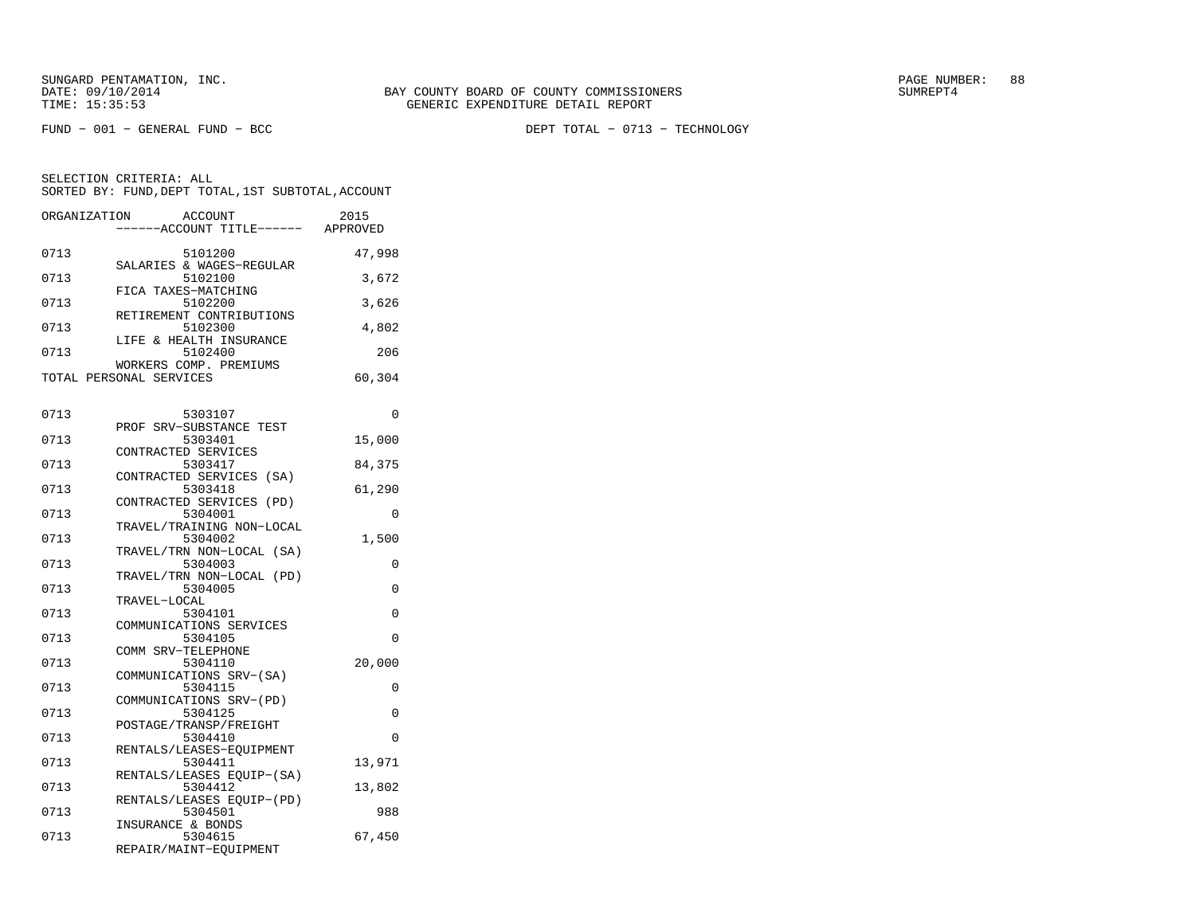FUND − 001 − GENERAL FUND − BCC DEPT TOTAL − 0713 − TECHNOLOGY

| ORGANIZATION | ACCOUNT                              | 2015     |
|--------------|--------------------------------------|----------|
|              | ---ACCOUNT TITLE------ APPROVED      |          |
| 0713         | 5101200                              | 47,998   |
| 0713         | SALARIES & WAGES-REGULAR<br>5102100  | 3,672    |
| 0713         | FICA TAXES-MATCHING<br>5102200       | 3,626    |
| 0713         | RETIREMENT CONTRIBUTIONS<br>5102300  | 4,802    |
|              | LIFE & HEALTH INSURANCE              |          |
| 0713         | 5102400<br>WORKERS COMP. PREMIUMS    | 206      |
|              | TOTAL PERSONAL SERVICES              | 60,304   |
| 0713         | 5303107                              | $\Omega$ |
|              | PROF SRV-SUBSTANCE TEST              |          |
| 0713         | 5303401                              | 15,000   |
|              | CONTRACTED SERVICES                  |          |
| 0713         | 5303417                              | 84,375   |
| 0713         | CONTRACTED SERVICES (SA)<br>5303418  | 61,290   |
| 0713         | CONTRACTED SERVICES (PD)<br>5304001  | 0        |
|              | TRAVEL/TRAINING NON-LOCAL            |          |
| 0713         | 5304002                              | 1,500    |
| 0713         | TRAVEL/TRN NON-LOCAL (SA)<br>5304003 | 0        |
| 0713         | TRAVEL/TRN NON-LOCAL (PD)<br>5304005 | 0        |
|              | TRAVEL-LOCAL                         |          |
| 0713         | 5304101                              | 0        |
|              | COMMUNICATIONS SERVICES              |          |
| 0713         | 5304105                              | 0        |
|              | COMM SRV-TELEPHONE                   |          |
| 0713         | 5304110<br>COMMUNICATIONS SRV-(SA)   | 20,000   |
| 0713         | 5304115                              | 0        |
|              | COMMUNICATIONS SRV-(PD)              |          |
| 0713         | 5304125                              | $\Omega$ |
| 0713         | POSTAGE/TRANSP/FREIGHT<br>5304410    | $\Omega$ |
|              | RENTALS/LEASES-EOUIPMENT             |          |
| 0713         | 5304411<br>RENTALS/LEASES EQUIP-(SA) | 13,971   |
| 0713         | 5304412                              | 13,802   |
| 0713         | RENTALS/LEASES EQUIP-(PD)<br>5304501 | 988      |
|              | INSURANCE & BONDS                    |          |
| 0713         | 5304615                              | 67,450   |
|              | REPAIR/MAINT-EQUIPMENT               |          |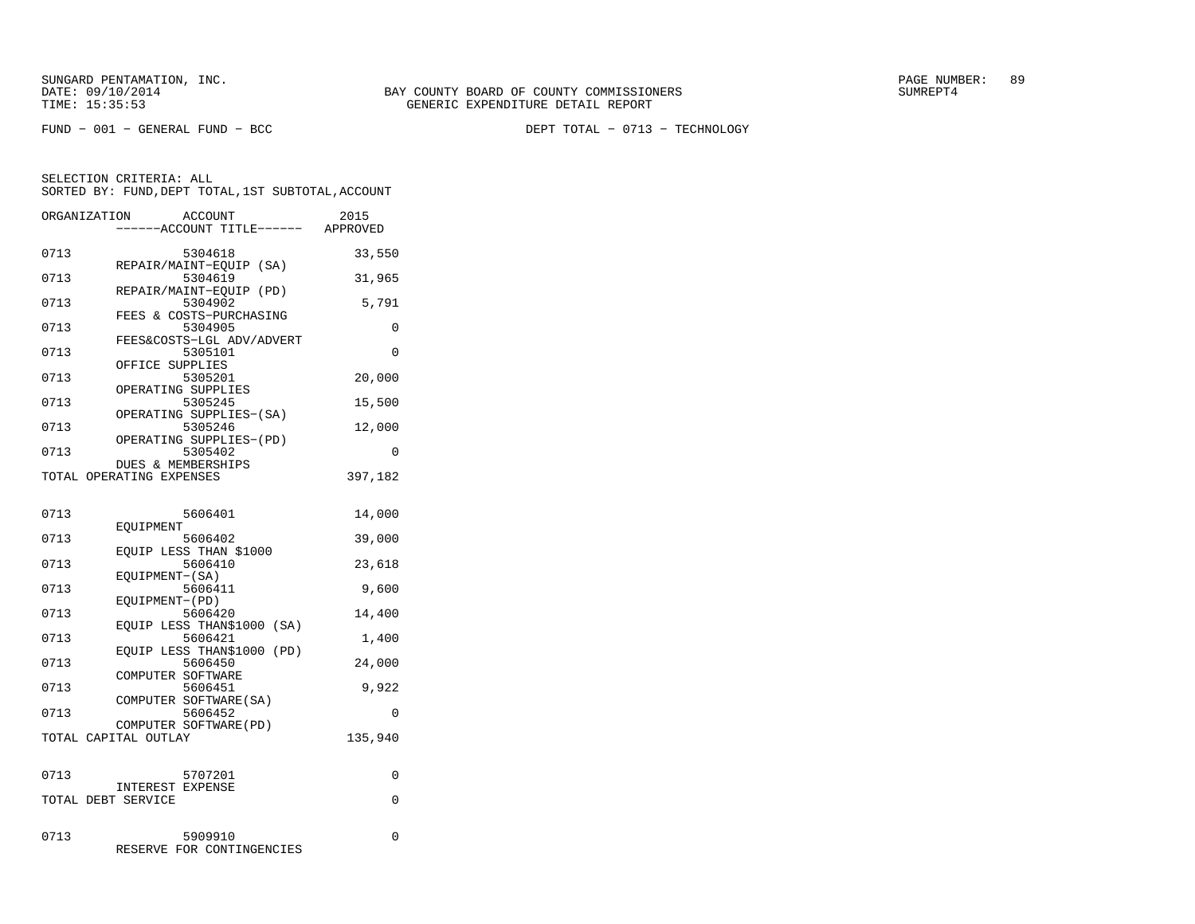FUND − 001 − GENERAL FUND − BCC DEPT TOTAL − 0713 − TECHNOLOGY

|      | ORGANIZATION<br><b>ACCOUNT</b>                 | 2015     |
|------|------------------------------------------------|----------|
|      | ---ACCOUNT TITLE------                         | APPROVED |
| 0713 | 5304618                                        | 33,550   |
| 0713 | REPAIR/MAINT-EQUIP (SA)<br>5304619             | 31,965   |
| 0713 | REPAIR/MAINT-EQUIP (PD)<br>5304902             | 5,791    |
| 0713 | FEES & COSTS-PURCHASING<br>5304905             | 0        |
| 0713 | FEES&COSTS-LGL ADV/ADVERT<br>5305101           | $\Omega$ |
| 0713 | OFFICE SUPPLIES<br>5305201                     | 20,000   |
|      | OPERATING SUPPLIES                             |          |
| 0713 | 5305245<br>OPERATING SUPPLIES-(SA)             | 15,500   |
| 0713 | 5305246<br>OPERATING SUPPLIES-(PD)             | 12,000   |
| 0713 | 5305402<br>DUES & MEMBERSHIPS                  | 0        |
|      | TOTAL OPERATING EXPENSES                       | 397,182  |
| 0713 | 5606401                                        | 14,000   |
| 0713 | EOUIPMENT<br>5606402                           | 39,000   |
| 0713 | EOUIP LESS THAN \$1000<br>5606410              |          |
|      | EQUIPMENT-(SA)                                 | 23,618   |
| 0713 | 5606411<br>EQUIPMENT-(PD)                      | 9,600    |
| 0713 | 5606420<br>EOUIP LESS THAN\$1000<br>(SA)       | 14,400   |
| 0713 | 5606421<br>EOUIP LESS THAN\$1000<br>(PD)       | 1,400    |
| 0713 | 5606450                                        | 24,000   |
| 0713 | COMPUTER SOFTWARE<br>5606451                   | 9,922    |
| 0713 | COMPUTER SOFTWARE(SA)<br>5606452               | 0        |
|      | COMPUTER SOFTWARE (PD)<br>TOTAL CAPITAL OUTLAY | 135,940  |
|      |                                                |          |
| 0713 | 5707201                                        | 0        |
|      | <b>INTEREST EXPENSE</b><br>TOTAL DEBT SERVICE  | 0        |
|      |                                                |          |
| 0713 | 5909910<br>FOR CONTINGENCIES<br>RESERVE        | 0        |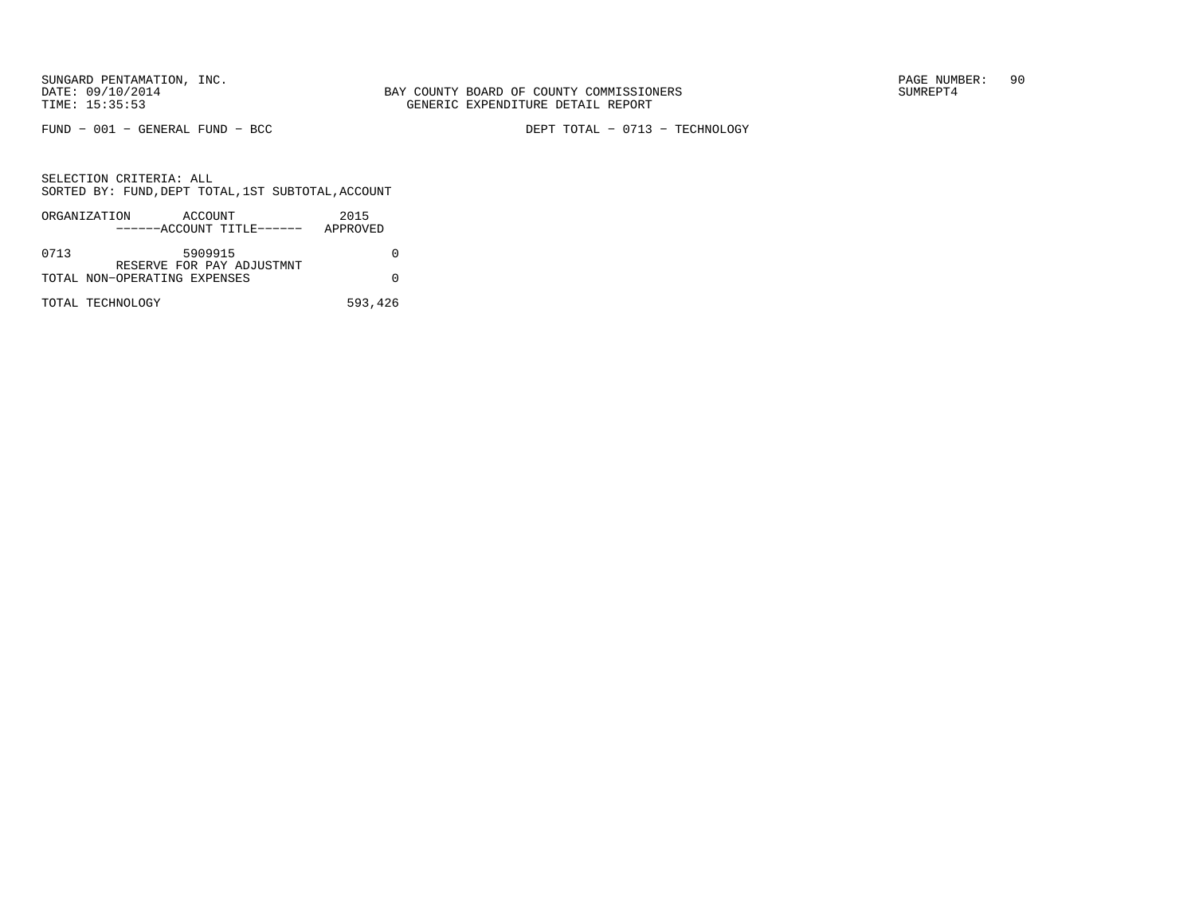FUND − 001 − GENERAL FUND − BCC DEPT TOTAL − 0713 − TECHNOLOGY

|      | ORGANIZATION<br>ACCOUNT      | 2015     |
|------|------------------------------|----------|
|      | ------ACCOUNT TITLE------    | APPROVED |
| 0713 | 5909915                      |          |
|      | RESERVE FOR PAY ADJUSTMNT    |          |
|      | TOTAL NON-OPERATING EXPENSES |          |
|      | TOTAL TECHNOLOGY             | 593,426  |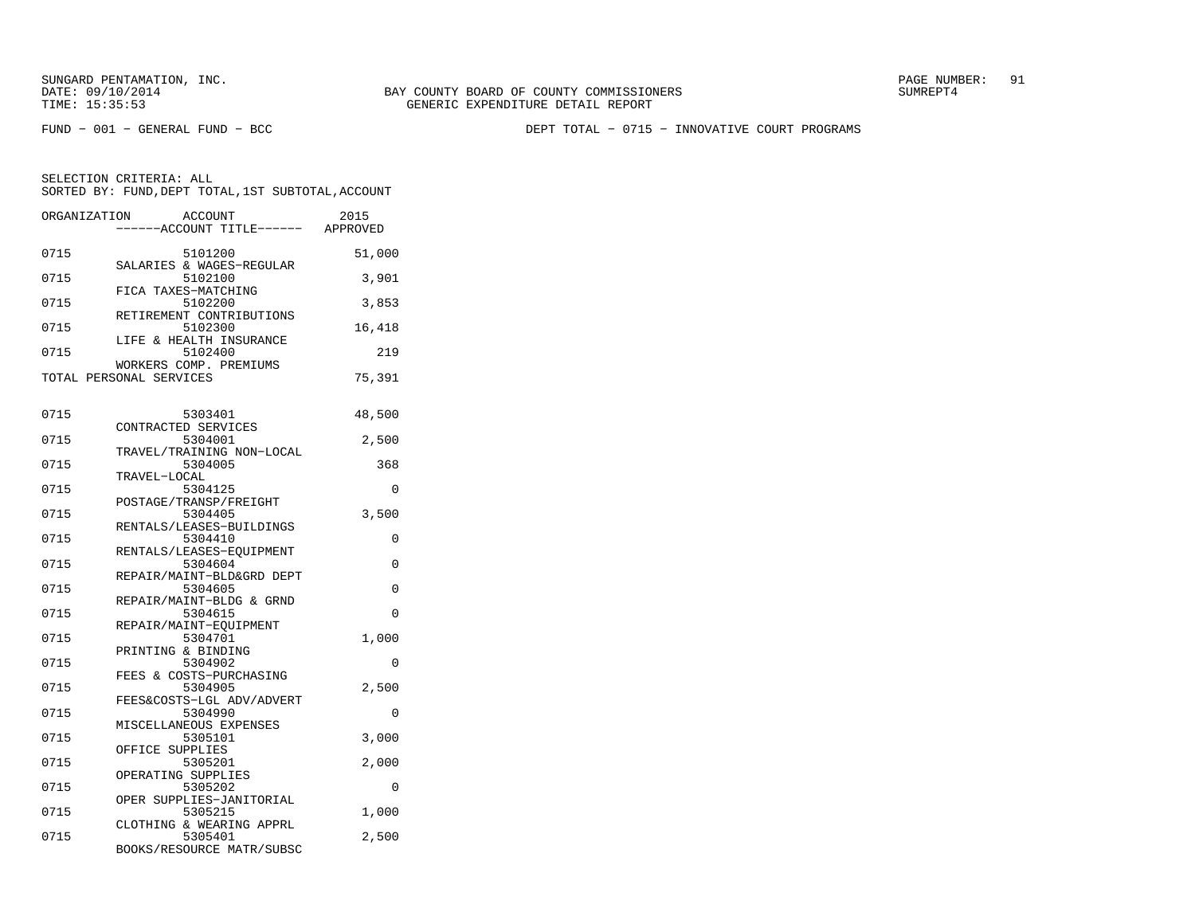FUND − 001 − GENERAL FUND − BCC DEPT TOTAL − 0715 − INNOVATIVE COURT PROGRAMS

| ORGANIZATION |                         | ACCOUNT<br>----ACCOUNT TITLE------ APPROVED | 2015     |
|--------------|-------------------------|---------------------------------------------|----------|
| 0715         |                         | 5101200<br>SALARIES & WAGES-REGULAR         | 51,000   |
| 0715         | FICA TAXES-MATCHING     | 5102100                                     | 3,901    |
| 0715         |                         | 5102200<br>RETIREMENT CONTRIBUTIONS         | 3,853    |
| 0715         |                         | 5102300<br>LIFE & HEALTH INSURANCE          | 16,418   |
| 0715         |                         | 5102400<br>WORKERS COMP. PREMIUMS           | 219      |
|              | TOTAL PERSONAL SERVICES |                                             | 75,391   |
| 0715         | CONTRACTED SERVICES     | 5303401                                     | 48,500   |
| 0715         |                         | 5304001<br>TRAVEL/TRAINING NON-LOCAL        | 2,500    |
| 0715         | TRAVEL-LOCAL            | 5304005                                     | 368      |
| 0715         |                         | 5304125<br>POSTAGE/TRANSP/FREIGHT           | 0        |
| 0715         |                         | 5304405<br>RENTALS/LEASES-BUILDINGS         | 3,500    |
| 0715         |                         | 5304410<br>RENTALS/LEASES-EQUIPMENT         | 0        |
| 0715         |                         | 5304604<br>REPAIR/MAINT-BLD&GRD DEPT        | 0        |
| 0715         |                         | 5304605<br>REPAIR/MAINT-BLDG & GRND         | $\Omega$ |
| 0715         |                         | 5304615<br>REPAIR/MAINT-EQUIPMENT           | 0        |
| 0715         | PRINTING & BINDING      | 5304701                                     | 1,000    |
| 0715         |                         | 5304902<br>FEES & COSTS-PURCHASING          | $\Omega$ |
| 0715         |                         | 5304905<br>FEES&COSTS-LGL ADV/ADVERT        | 2,500    |
| 0715         |                         | 5304990<br>MISCELLANEOUS EXPENSES           | 0        |
| 0715         | OFFICE SUPPLIES         | 5305101                                     | 3,000    |
| 0715         | OPERATING SUPPLIES      | 5305201                                     | 2,000    |
| 0715         |                         | 5305202<br>OPER SUPPLIES-JANITORIAL         | $\Omega$ |
| 0715         |                         | 5305215<br>CLOTHING & WEARING APPRL         | 1,000    |
| 0715         |                         | 5305401<br>BOOKS/RESOURCE MATR/SUBSC        | 2,500    |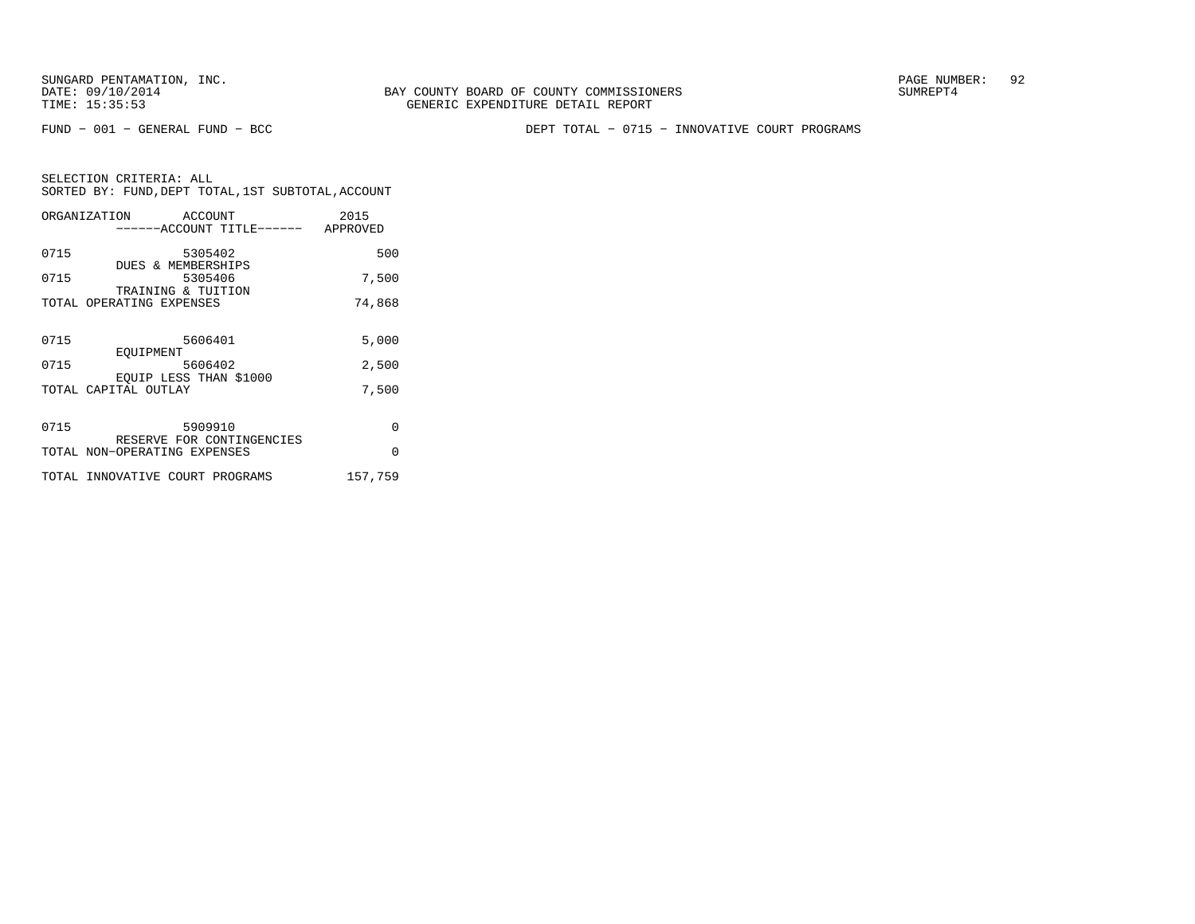FUND − 001 − GENERAL FUND − BCC DEPT TOTAL − 0715 − INNOVATIVE COURT PROGRAMS

|      | ORGANIZATION ACCOUNT               | 2015     |
|------|------------------------------------|----------|
|      | ------ACCOUNT TITLE------ APPROVED |          |
|      |                                    |          |
| 0715 | 5305402                            | 500      |
|      | DUES & MEMBERSHIPS                 |          |
| 0715 | 5305406                            | 7,500    |
|      | TRAINING & TUITION                 |          |
|      | TOTAL OPERATING EXPENSES           | 74,868   |
|      |                                    |          |
| 0715 | 5606401                            | 5,000    |
|      | EOUIPMENT                          |          |
| 0715 | 5606402                            | 2,500    |
|      | EOUIP LESS THAN \$1000             |          |
|      | TOTAL CAPITAL OUTLAY               | 7,500    |
|      |                                    |          |
|      |                                    |          |
| 0715 | 5909910                            | $\Omega$ |
|      | RESERVE FOR CONTINGENCIES          |          |
|      | TOTAL NON-OPERATING EXPENSES       | $\Omega$ |
|      |                                    |          |
|      | TOTAL INNOVATIVE COURT PROGRAMS    | 157.759  |
|      |                                    |          |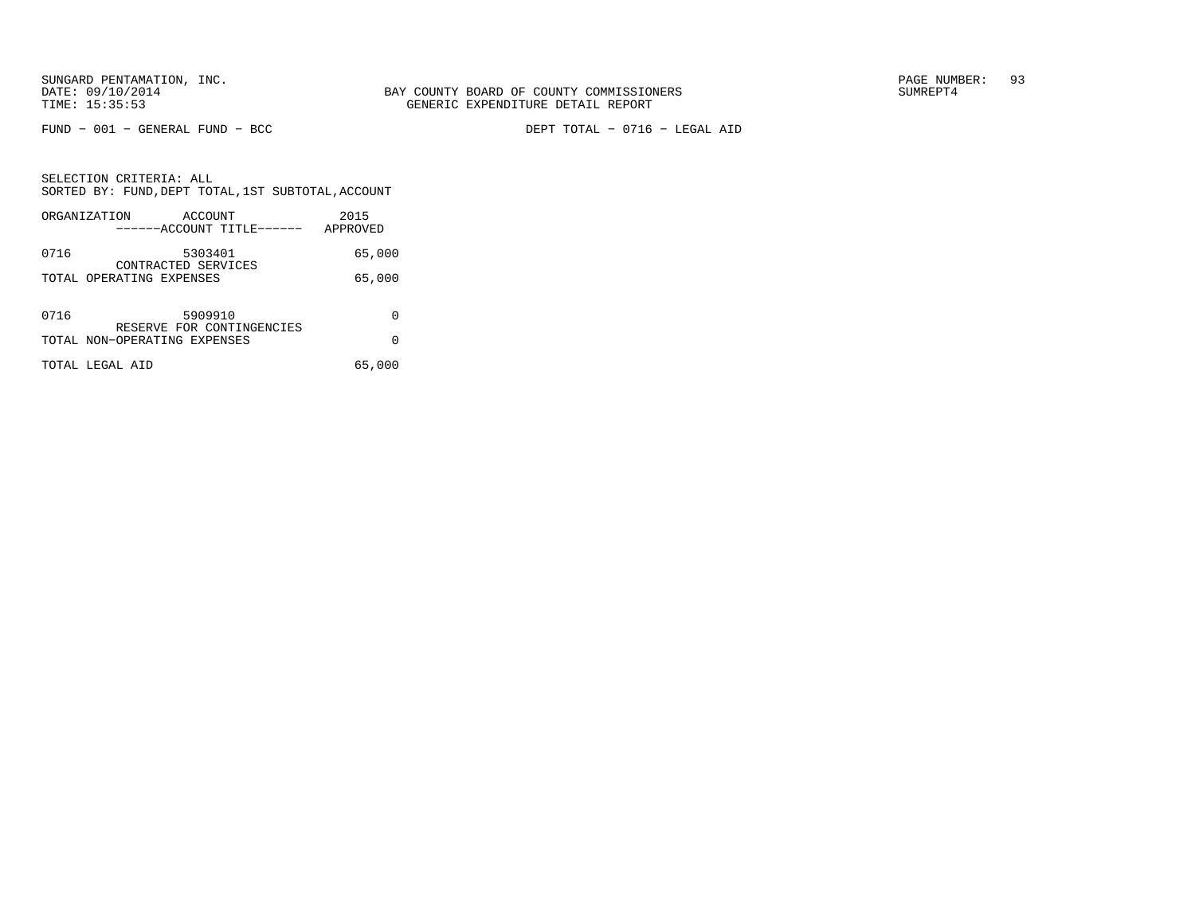FUND − 001 − GENERAL FUND − BCC DEPT TOTAL − 0716 − LEGAL AID

SELECTION CRITERIA: ALL SORTED BY: FUND,DEPT TOTAL,1ST SUBTOTAL,ACCOUNTORGANIZATION ACCOUNT 2015

|      | UNGANI LAHI IUN<br>$A \cup A \cup B$<br>------ACCOUNT TITLE------ | 2.01.3<br>APPROVED |
|------|-------------------------------------------------------------------|--------------------|
| 0716 | 5303401<br>CONTRACTED SERVICES                                    | 65,000             |
|      | TOTAL OPERATING EXPENSES                                          | 65,000             |
| 0716 | 5909910<br>RESERVE FOR CONTINGENCIES                              | 0                  |
|      | TOTAL NON-OPERATING EXPENSES                                      | O                  |
|      | TOTAL LEGAL AID                                                   | 65,000             |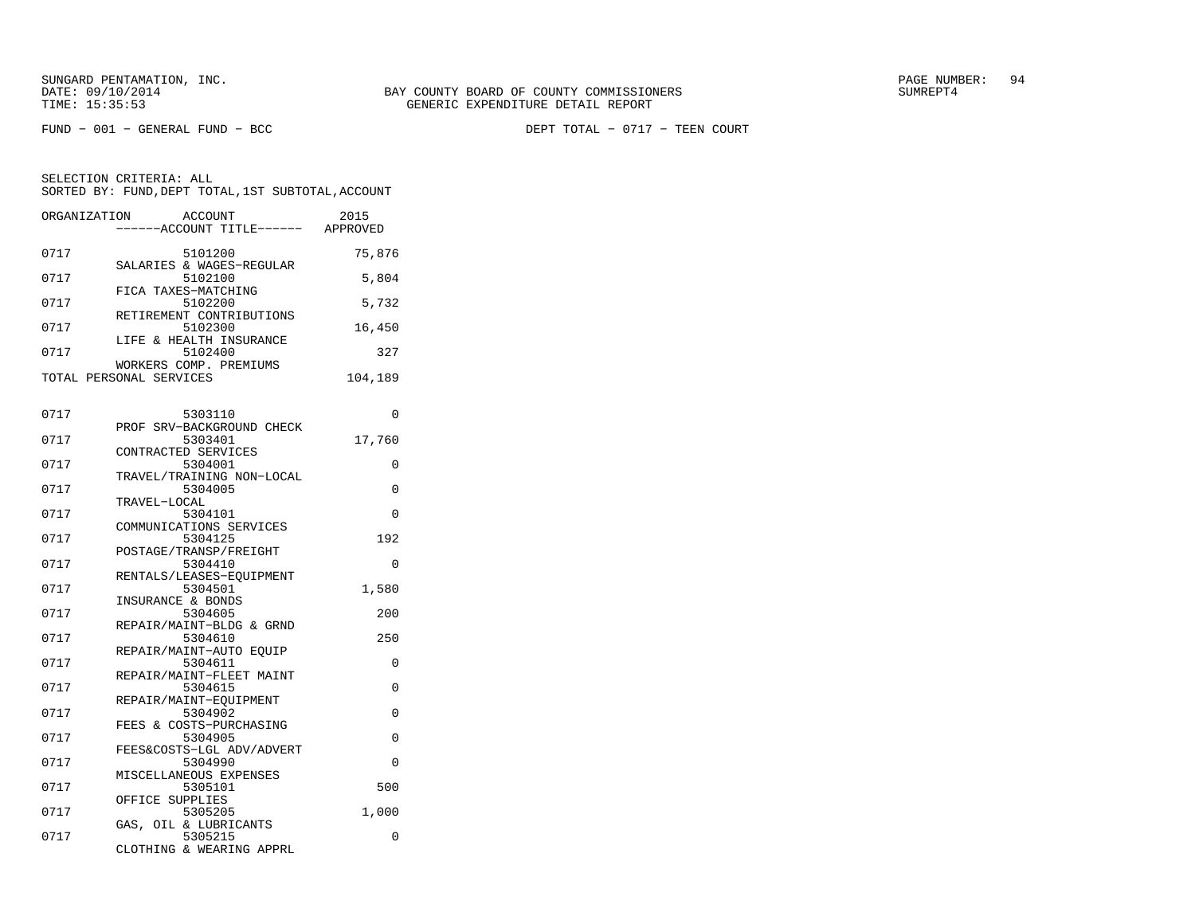FUND − 001 − GENERAL FUND − BCC DEPT TOTAL − 0717 − TEEN COURT

| ORGANIZATION<br><b>ACCOUNT</b> | 2015                                                                                                                                                                                                                                                                                                                                                                                                                                                                                                                                                                             |
|--------------------------------|----------------------------------------------------------------------------------------------------------------------------------------------------------------------------------------------------------------------------------------------------------------------------------------------------------------------------------------------------------------------------------------------------------------------------------------------------------------------------------------------------------------------------------------------------------------------------------|
|                                |                                                                                                                                                                                                                                                                                                                                                                                                                                                                                                                                                                                  |
|                                | 75,876                                                                                                                                                                                                                                                                                                                                                                                                                                                                                                                                                                           |
| SALARIES & WAGES-REGULAR       |                                                                                                                                                                                                                                                                                                                                                                                                                                                                                                                                                                                  |
| 5102100                        | 5,804                                                                                                                                                                                                                                                                                                                                                                                                                                                                                                                                                                            |
|                                |                                                                                                                                                                                                                                                                                                                                                                                                                                                                                                                                                                                  |
|                                | 5,732                                                                                                                                                                                                                                                                                                                                                                                                                                                                                                                                                                            |
|                                | 16,450                                                                                                                                                                                                                                                                                                                                                                                                                                                                                                                                                                           |
| LIFE & HEALTH INSURANCE        |                                                                                                                                                                                                                                                                                                                                                                                                                                                                                                                                                                                  |
| 5102400                        | 327                                                                                                                                                                                                                                                                                                                                                                                                                                                                                                                                                                              |
| WORKERS COMP. PREMIUMS         |                                                                                                                                                                                                                                                                                                                                                                                                                                                                                                                                                                                  |
|                                | 104,189                                                                                                                                                                                                                                                                                                                                                                                                                                                                                                                                                                          |
|                                |                                                                                                                                                                                                                                                                                                                                                                                                                                                                                                                                                                                  |
| 5303110                        | $\Omega$                                                                                                                                                                                                                                                                                                                                                                                                                                                                                                                                                                         |
| PROF SRV-BACKGROUND CHECK      |                                                                                                                                                                                                                                                                                                                                                                                                                                                                                                                                                                                  |
|                                | 17,760                                                                                                                                                                                                                                                                                                                                                                                                                                                                                                                                                                           |
|                                | 0                                                                                                                                                                                                                                                                                                                                                                                                                                                                                                                                                                                |
|                                |                                                                                                                                                                                                                                                                                                                                                                                                                                                                                                                                                                                  |
| 5304005                        | 0                                                                                                                                                                                                                                                                                                                                                                                                                                                                                                                                                                                |
| TRAVEL-LOCAL                   |                                                                                                                                                                                                                                                                                                                                                                                                                                                                                                                                                                                  |
| 5304101                        | $\Omega$                                                                                                                                                                                                                                                                                                                                                                                                                                                                                                                                                                         |
|                                |                                                                                                                                                                                                                                                                                                                                                                                                                                                                                                                                                                                  |
|                                | 192                                                                                                                                                                                                                                                                                                                                                                                                                                                                                                                                                                              |
|                                | 0                                                                                                                                                                                                                                                                                                                                                                                                                                                                                                                                                                                |
| RENTALS/LEASES-EOUIPMENT       |                                                                                                                                                                                                                                                                                                                                                                                                                                                                                                                                                                                  |
| 5304501                        | 1,580                                                                                                                                                                                                                                                                                                                                                                                                                                                                                                                                                                            |
|                                |                                                                                                                                                                                                                                                                                                                                                                                                                                                                                                                                                                                  |
|                                | 200                                                                                                                                                                                                                                                                                                                                                                                                                                                                                                                                                                              |
|                                | 250                                                                                                                                                                                                                                                                                                                                                                                                                                                                                                                                                                              |
| REPAIR/MAINT-AUTO EOUIP        |                                                                                                                                                                                                                                                                                                                                                                                                                                                                                                                                                                                  |
| 5304611                        | 0                                                                                                                                                                                                                                                                                                                                                                                                                                                                                                                                                                                |
|                                | 0                                                                                                                                                                                                                                                                                                                                                                                                                                                                                                                                                                                |
|                                |                                                                                                                                                                                                                                                                                                                                                                                                                                                                                                                                                                                  |
| 5304902                        | $\Omega$                                                                                                                                                                                                                                                                                                                                                                                                                                                                                                                                                                         |
| FEES & COSTS-PURCHASING        |                                                                                                                                                                                                                                                                                                                                                                                                                                                                                                                                                                                  |
| 5304905                        | 0                                                                                                                                                                                                                                                                                                                                                                                                                                                                                                                                                                                |
|                                | $\Omega$                                                                                                                                                                                                                                                                                                                                                                                                                                                                                                                                                                         |
|                                |                                                                                                                                                                                                                                                                                                                                                                                                                                                                                                                                                                                  |
| 5305101                        | 500                                                                                                                                                                                                                                                                                                                                                                                                                                                                                                                                                                              |
| OFFICE SUPPLIES                |                                                                                                                                                                                                                                                                                                                                                                                                                                                                                                                                                                                  |
| 5305205                        | 1,000                                                                                                                                                                                                                                                                                                                                                                                                                                                                                                                                                                            |
|                                | 0                                                                                                                                                                                                                                                                                                                                                                                                                                                                                                                                                                                |
|                                |                                                                                                                                                                                                                                                                                                                                                                                                                                                                                                                                                                                  |
|                                | ------ACCOUNT TITLE------ APPROVED<br>5101200<br>FICA TAXES-MATCHING<br>5102200<br>RETIREMENT CONTRIBUTIONS<br>5102300<br>TOTAL PERSONAL SERVICES<br>5303401<br>CONTRACTED SERVICES<br>5304001<br>TRAVEL/TRAINING NON-LOCAL<br>COMMUNICATIONS SERVICES<br>5304125<br>POSTAGE/TRANSP/FREIGHT<br>5304410<br>INSURANCE & BONDS<br>5304605<br>REPAIR/MAINT-BLDG & GRND<br>5304610<br>REPAIR/MAINT-FLEET MAINT<br>5304615<br>REPAIR/MAINT-EQUIPMENT<br>FEES&COSTS-LGL ADV/ADVERT<br>5304990<br>MISCELLANEOUS EXPENSES<br>GAS, OIL & LUBRICANTS<br>5305215<br>CLOTHING & WEARING APPRL |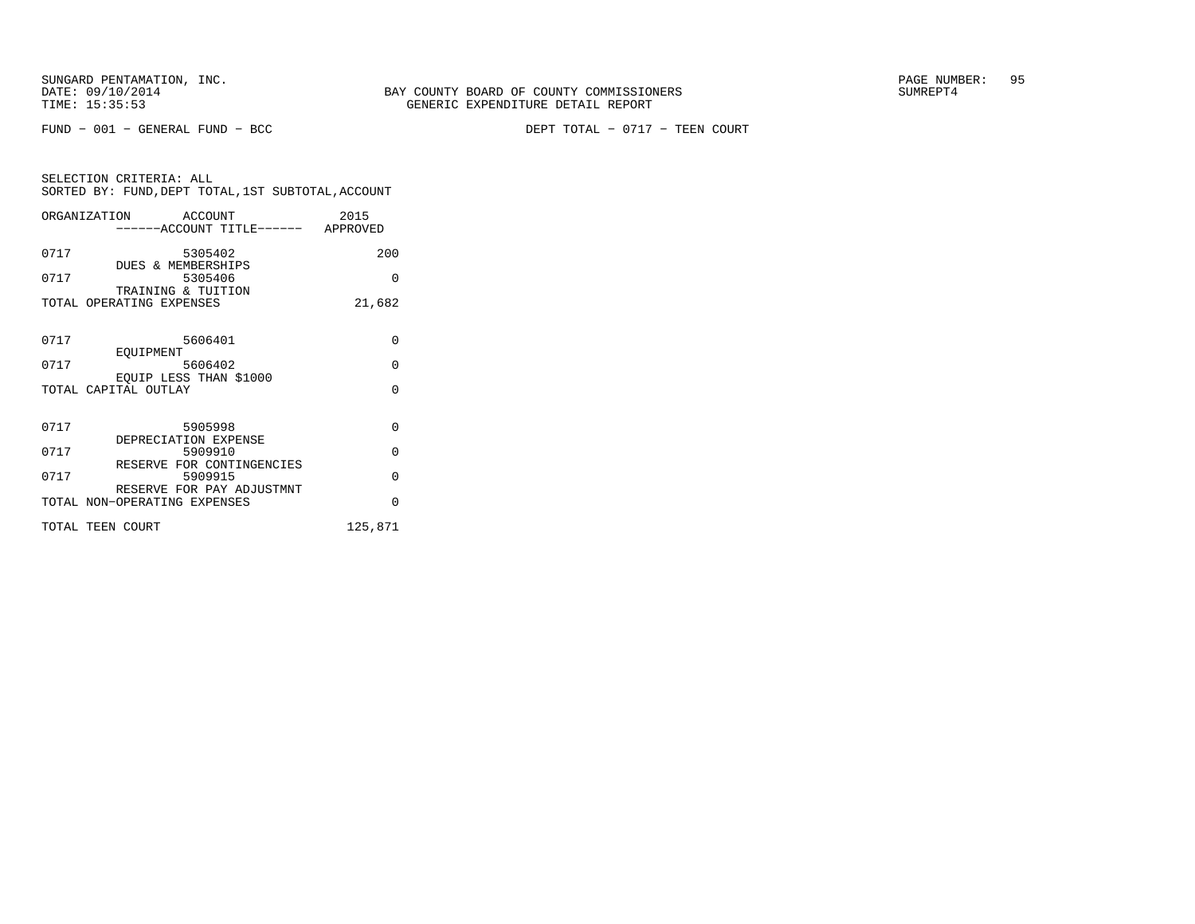FUND − 001 − GENERAL FUND − BCC DEPT TOTAL − 0717 − TEEN COURT

| SELECTION CRITERIA: ALL |  |  |                                                    |  |
|-------------------------|--|--|----------------------------------------------------|--|
|                         |  |  | SORTED BY: FUND, DEPT TOTAL, 1ST SUBTOTAL, ACCOUNT |  |

|                      | ORGANIZATION ACCOUNT                                      |                                    | 2015     |
|----------------------|-----------------------------------------------------------|------------------------------------|----------|
|                      |                                                           | ------ACCOUNT TITLE------ APPROVED |          |
| 0717                 | 5305402                                                   |                                    | 200      |
| 0717                 | DUES & MEMBERSHIPS<br>5305406                             |                                    | $\Omega$ |
|                      | TRAINING & TUITION<br>TOTAL OPERATING EXPENSES            |                                    | 21,682   |
|                      |                                                           |                                    |          |
| 0717                 | 5606401                                                   |                                    | $\Omega$ |
| 0717                 | EOUIPMENT<br>5606402                                      |                                    | $\Omega$ |
| TOTAL CAPITAL OUTLAY | EOUIP LESS THAN \$1000                                    |                                    | $\Omega$ |
|                      |                                                           |                                    |          |
| 0717                 | 5905998                                                   |                                    | $\Omega$ |
| 0717                 | DEPRECIATION EXPENSE<br>5909910                           |                                    | $\Omega$ |
| 0717                 | RESERVE FOR CONTINGENCIES<br>5909915                      |                                    | $\Omega$ |
|                      | RESERVE FOR PAY ADJUSTMNT<br>TOTAL NON-OPERATING EXPENSES |                                    | $\Omega$ |
|                      |                                                           |                                    |          |
| TOTAL TEEN COURT     |                                                           |                                    | 125,871  |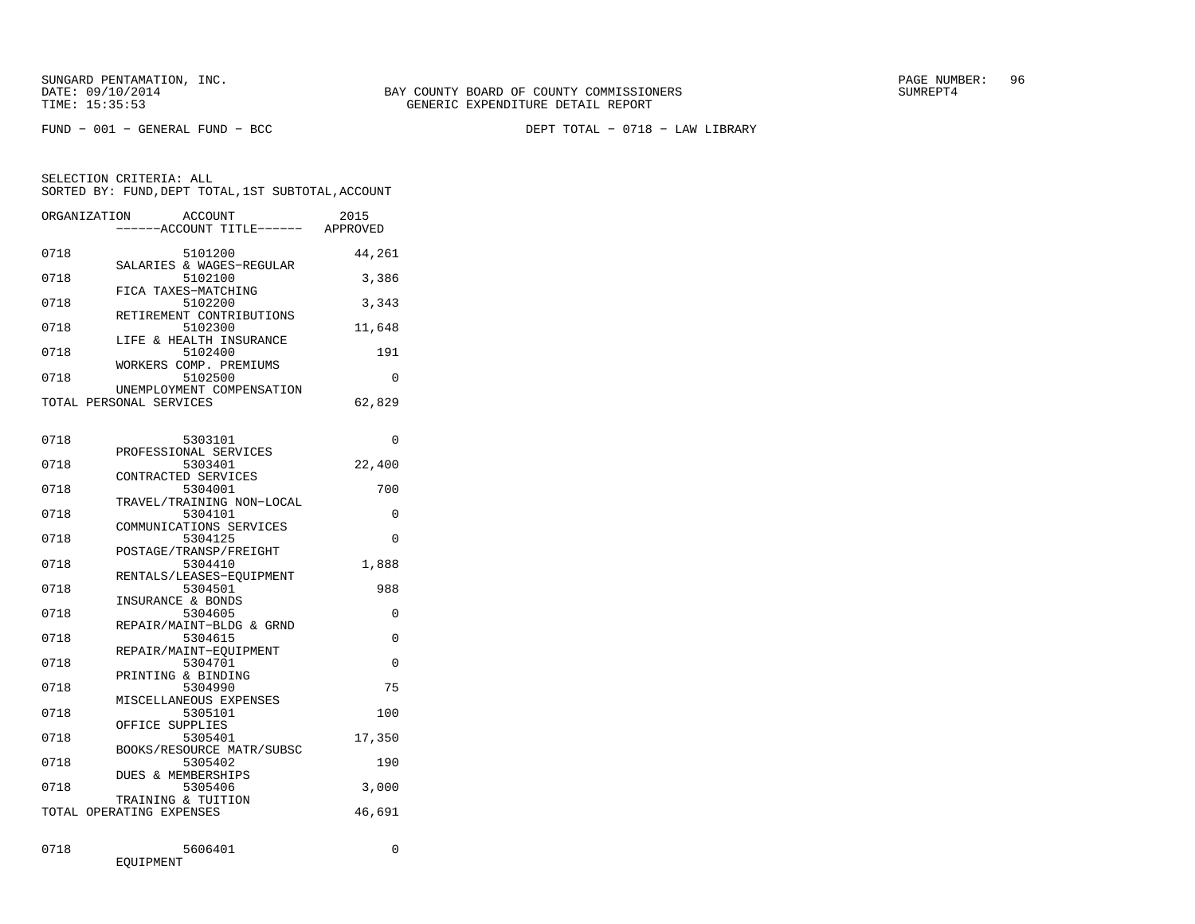FUND − 001 − GENERAL FUND − BCC DEPT TOTAL − 0718 − LAW LIBRARY

| ORGANIZATION | <b>ACCOUNT</b><br>----ACCOUNT TITLE------ APPROVED   | 2015     |
|--------------|------------------------------------------------------|----------|
| 0718         | 5101200<br>SALARIES & WAGES-REGULAR                  | 44,261   |
| 0718         | 5102100<br>FICA TAXES-MATCHING                       | 3,386    |
| 0718         | 5102200<br>RETIREMENT CONTRIBUTIONS                  | 3,343    |
| 0718         | 5102300<br>LIFE & HEALTH INSURANCE                   | 11,648   |
| 0718         | 5102400                                              | 191      |
| 0718         | WORKERS COMP. PREMIUMS<br>5102500                    | 0        |
|              | UNEMPLOYMENT COMPENSATION<br>TOTAL PERSONAL SERVICES | 62,829   |
| 0718         | 5303101                                              | $\Omega$ |
| 0718         | PROFESSIONAL SERVICES<br>5303401                     | 22,400   |
| 0718         | CONTRACTED SERVICES<br>5304001                       | 700      |
| 0718         | TRAVEL/TRAINING NON-LOCAL<br>5304101                 | 0        |
| 0718         | COMMUNICATIONS SERVICES<br>5304125                   | 0        |
| 0718         | POSTAGE/TRANSP/FREIGHT<br>5304410                    | 1,888    |
| 0718         | RENTALS/LEASES-EQUIPMENT<br>5304501                  | 988      |
| 0718         | INSURANCE & BONDS<br>5304605                         | $\Omega$ |
| 0718         | REPAIR/MAINT-BLDG & GRND<br>5304615                  | 0        |
| 0718         | REPAIR/MAINT-EQUIPMENT<br>5304701                    | 0        |
| 0718         | PRINTING & BINDING<br>5304990                        | 75       |
| 0718         | MISCELLANEOUS EXPENSES<br>5305101                    | 100      |
| 0718         | OFFICE SUPPLIES<br>5305401                           | 17,350   |
| 0718         | BOOKS/RESOURCE MATR/SUBSC<br>5305402                 | 190      |
| 0718         | DUES & MEMBERSHIPS<br>5305406                        | 3,000    |
|              | TRAINING & TUITION<br>TOTAL OPERATING EXPENSES       | 46,691   |
| 0718         | 5606401<br>EOUIPMENT                                 | 0        |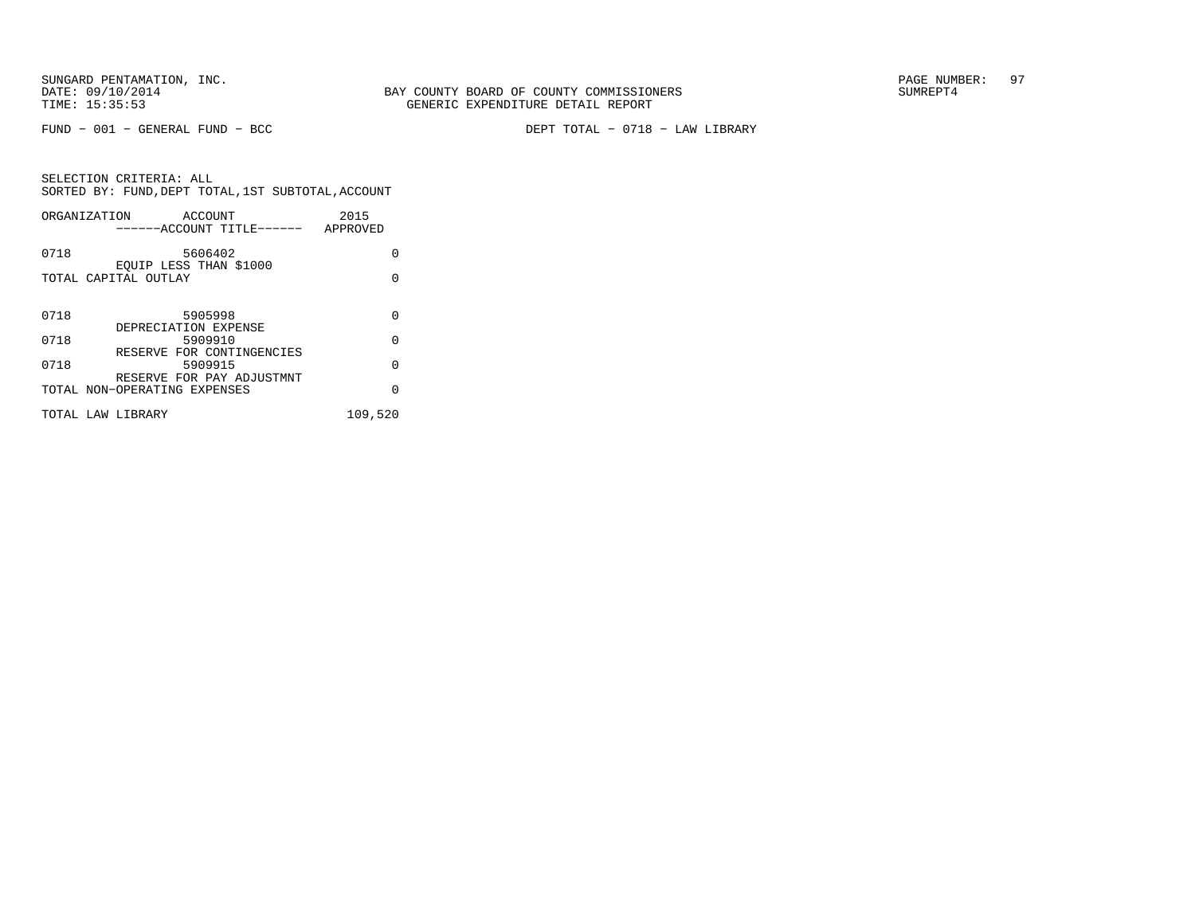FUND − 001 − GENERAL FUND − BCC DEPT TOTAL − 0718 − LAW LIBRARY

|      | ORGANIZATION<br>ACCOUNT<br>------ACCOUNT TITLE------      | 2015<br>APPROVED |
|------|-----------------------------------------------------------|------------------|
| 0718 | 5606402                                                   | U                |
|      | EOUIP LESS THAN \$1000<br>TOTAL CAPITAL OUTLAY            | U                |
| 0718 | 5905998<br>DEPRECIATION EXPENSE                           | U                |
| 0718 | 5909910                                                   | U                |
| 0718 | RESERVE FOR CONTINGENCIES<br>5909915                      | U                |
|      | RESERVE FOR PAY ADJUSTMNT<br>TOTAL NON-OPERATING EXPENSES | $\Omega$         |
|      | TOTAL LAW LIBRARY                                         | 109,520          |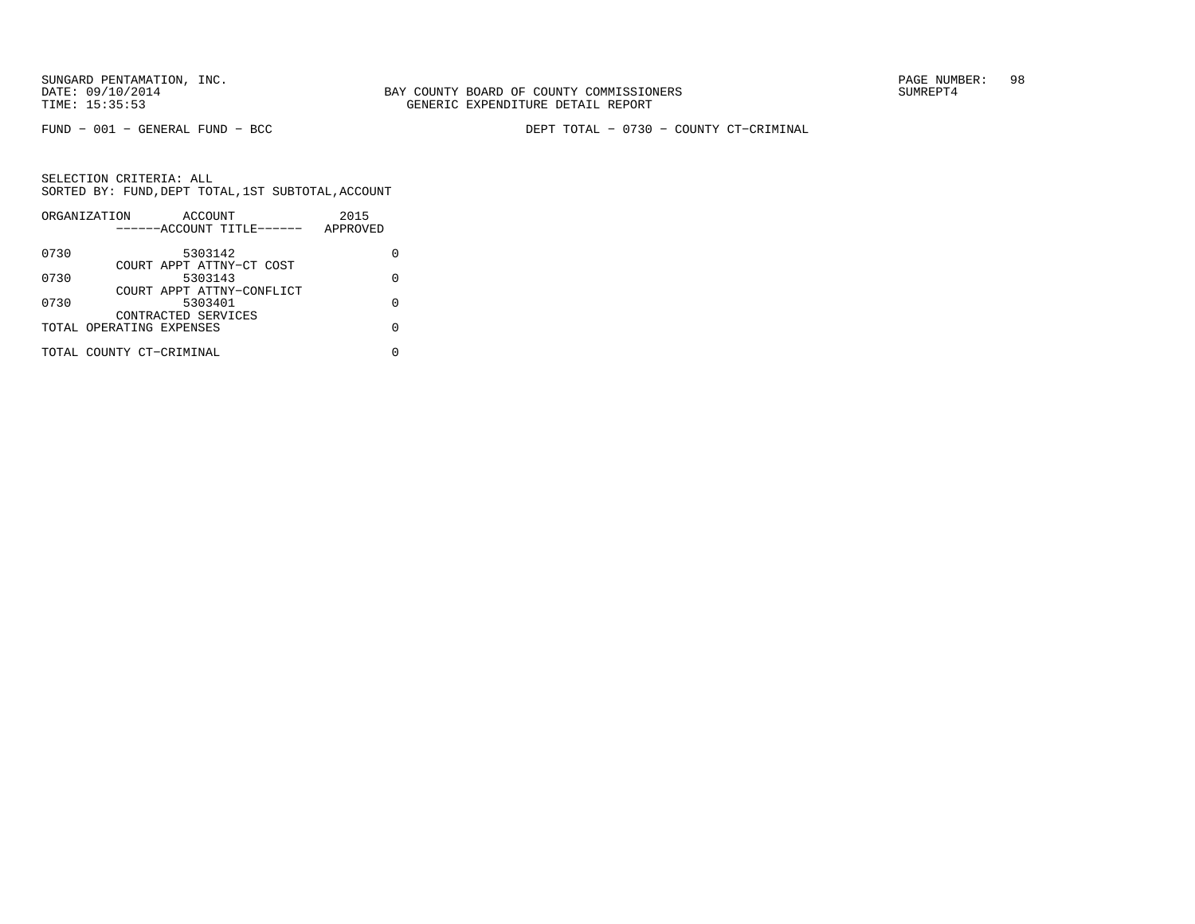SUNGARD PENTAMATION, INC.<br>DATE: 09/10/2014 SUMRER: 98 SUNTY BOARD OF COUNTY COMMISSIONERS

BAY COUNTY BOARD OF COUNTY COMMISSIONERS TIME: 15:35:53 GENERIC EXPENDITURE DETAIL REPORT

FUND − 001 − GENERAL FUND − BCC DEPT TOTAL − 0730 − COUNTY CT−CRIMINAL

| APPROVED |
|----------|
|          |
|          |
| O        |
|          |
|          |
|          |
|          |
|          |
|          |
| 2015     |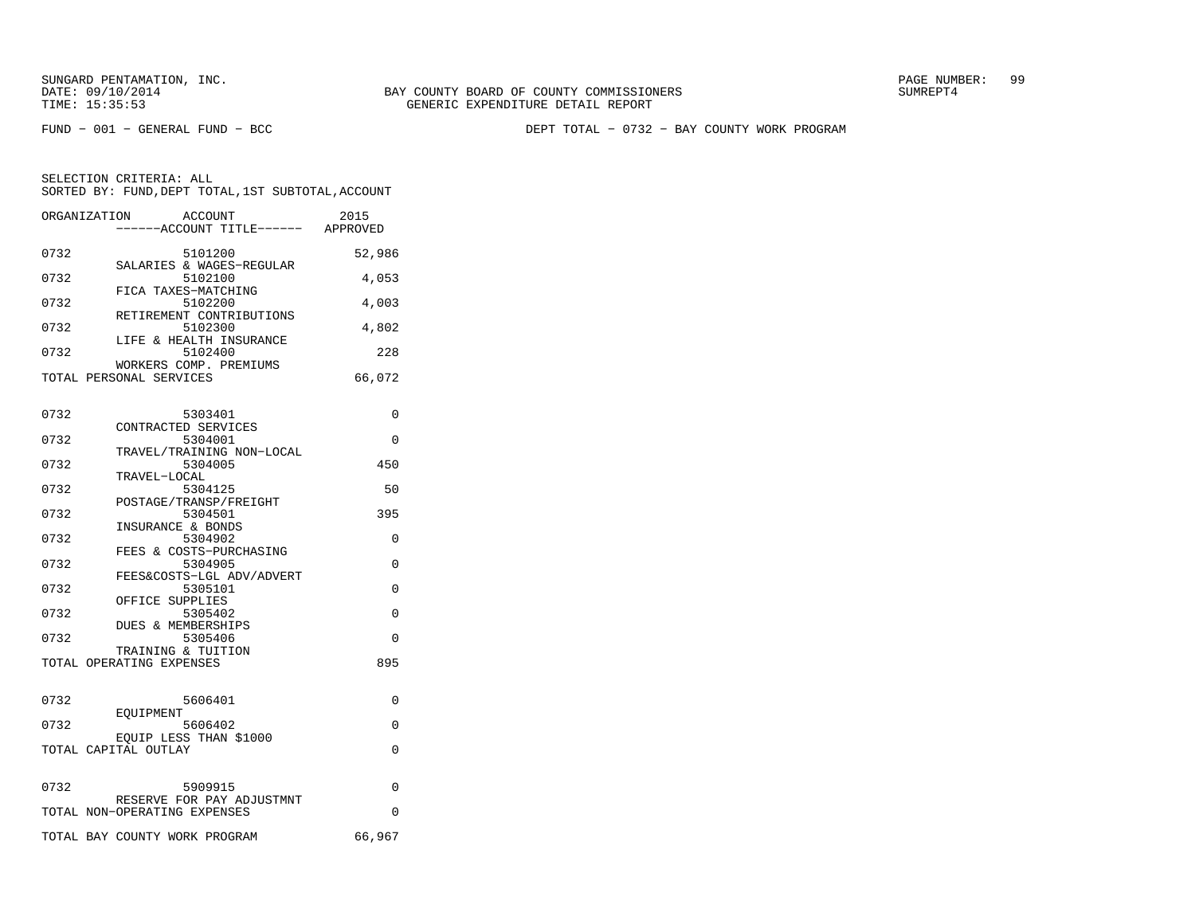FUND − 001 − GENERAL FUND − BCC DEPT TOTAL − 0732 − BAY COUNTY WORK PROGRAM

| ORGANIZATION             | ACCOUNT<br>----ACCOUNT TITLE------ APPROVED               | 2015     |
|--------------------------|-----------------------------------------------------------|----------|
| 0732                     | 5101200<br>SALARIES & WAGES-REGULAR                       | 52,986   |
| 0732                     | 5102100                                                   | 4,053    |
| 0732                     | FICA TAXES-MATCHING<br>5102200                            | 4,003    |
| 0732                     | RETIREMENT CONTRIBUTIONS<br>5102300                       | 4,802    |
| 0732                     | LIFE & HEALTH INSURANCE<br>5102400                        | 228      |
| TOTAL PERSONAL SERVICES  | WORKERS COMP. PREMIUMS                                    | 66,072   |
| 0732                     | 5303401                                                   | 0        |
| 0732                     | CONTRACTED SERVICES<br>5304001                            | $\Omega$ |
| 0732                     | TRAVEL/TRAINING NON-LOCAL<br>5304005                      | 450      |
| 0732                     | TRAVEL-LOCAL<br>5304125                                   | 50       |
| 0732                     | POSTAGE/TRANSP/FREIGHT<br>5304501                         | 395      |
| 0732                     | INSURANCE & BONDS<br>5304902                              | 0        |
| 0732                     | FEES & COSTS-PURCHASING<br>5304905                        | $\Omega$ |
| 0732                     | FEES&COSTS-LGL ADV/ADVERT<br>5305101                      | 0        |
| 0732                     | OFFICE SUPPLIES<br>5305402                                | 0        |
| 0732                     | <b>DUES &amp; MEMBERSHIPS</b><br>5305406                  | $\Omega$ |
| TOTAL OPERATING EXPENSES | TRAINING & TUITION                                        | 895      |
|                          |                                                           |          |
| 0732                     | 5606401<br>EOUIPMENT                                      | 0        |
| 0732                     | 5606402<br>EQUIP LESS THAN \$1000                         | 0        |
| TOTAL CAPITAL OUTLAY     |                                                           | 0        |
| 0732                     | 5909915                                                   | 0        |
|                          | RESERVE FOR PAY ADJUSTMNT<br>TOTAL NON-OPERATING EXPENSES | 0        |
|                          | TOTAL BAY COUNTY WORK PROGRAM                             | 66,967   |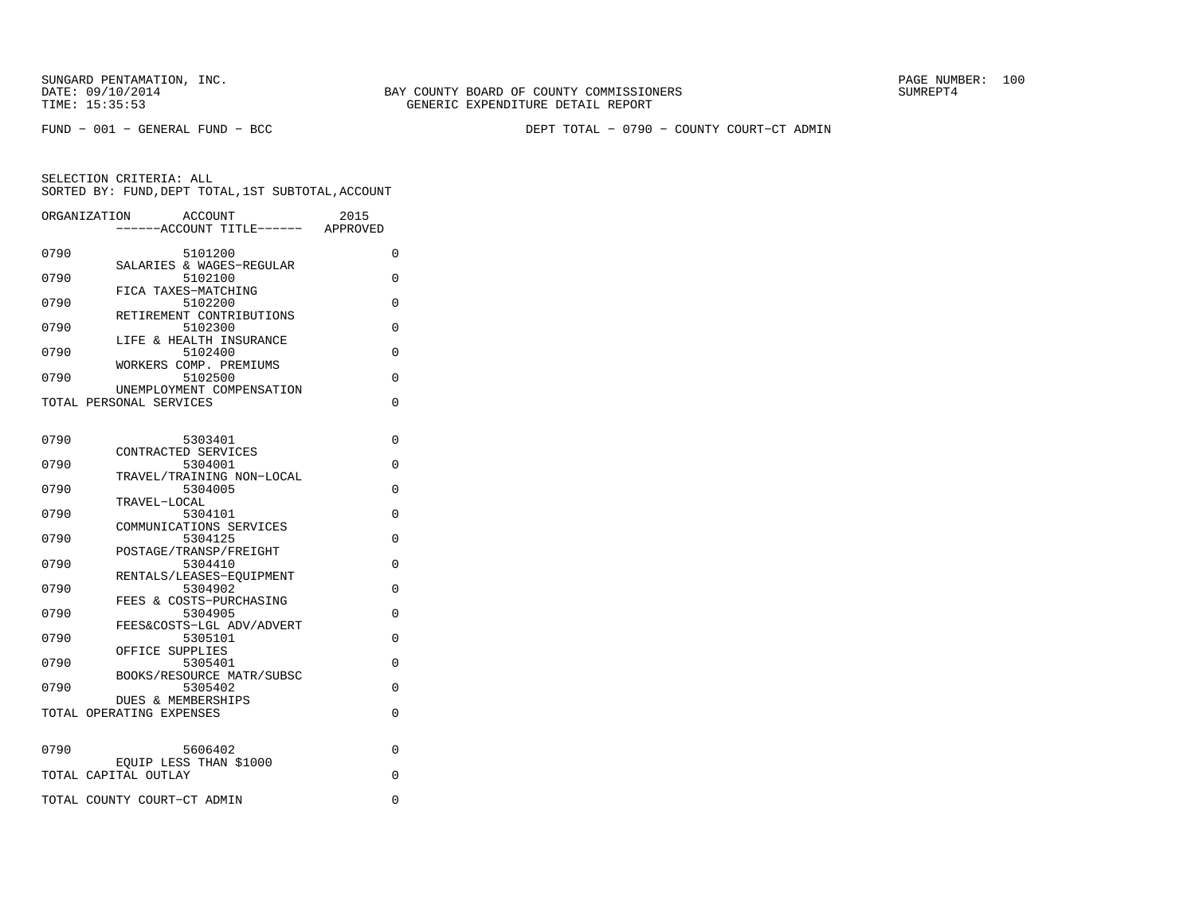FUND − 001 − GENERAL FUND − BCC DEPT TOTAL − 0790 − COUNTY COURT−CT ADMIN

| ORGANIZATION | <b>ACCOUNT</b><br>---ACCOUNT TITLE------ APPROVED | 2015 |
|--------------|---------------------------------------------------|------|
| 0790         | 5101200                                           | 0    |
| 0790         | SALARIES & WAGES-REGULAR<br>5102100               | 0    |
| 0790         | FICA TAXES-MATCHING<br>5102200                    | 0    |
| 0790         | RETIREMENT CONTRIBUTIONS<br>5102300               | 0    |
|              | LIFE & HEALTH INSURANCE                           |      |
| 0790         | 5102400<br>WORKERS COMP. PREMIUMS                 | 0    |
| 0790         | 5102500<br>UNEMPLOYMENT COMPENSATION              | 0    |
|              | TOTAL PERSONAL SERVICES                           | 0    |
|              |                                                   |      |
| 0790         | 5303401<br>CONTRACTED SERVICES                    | 0    |
| 0790         | 5304001                                           | 0    |
| 0790         | TRAVEL/TRAINING NON-LOCAL<br>5304005              | 0    |
|              | TRAVEL-LOCAL                                      |      |
| 0790         | 5304101<br>COMMUNICATIONS SERVICES                | 0    |
| 0790         | 5304125                                           | 0    |
| 0790         | POSTAGE/TRANSP/FREIGHT<br>5304410                 | 0    |
|              | RENTALS/LEASES-EOUIPMENT                          |      |
| 0790         | 5304902<br>FEES & COSTS-PURCHASING                | 0    |
| 0790         | 5304905<br>FEES&COSTS-LGL ADV/ADVERT              | 0    |
| 0790         | 5305101                                           | 0    |
| 0790         | OFFICE SUPPLIES<br>5305401                        | 0    |
| 0790         | BOOKS/RESOURCE MATR/SUBSC<br>5305402              | 0    |
|              | <b>DUES &amp; MEMBERSHIPS</b>                     |      |
|              | TOTAL OPERATING EXPENSES                          | 0    |
| 0790         | 5606402                                           | 0    |
|              | EQUIP LESS THAN \$1000                            |      |
|              | TOTAL CAPITAL OUTLAY                              | 0    |
|              | TOTAL COUNTY COURT-CT ADMIN                       | 0    |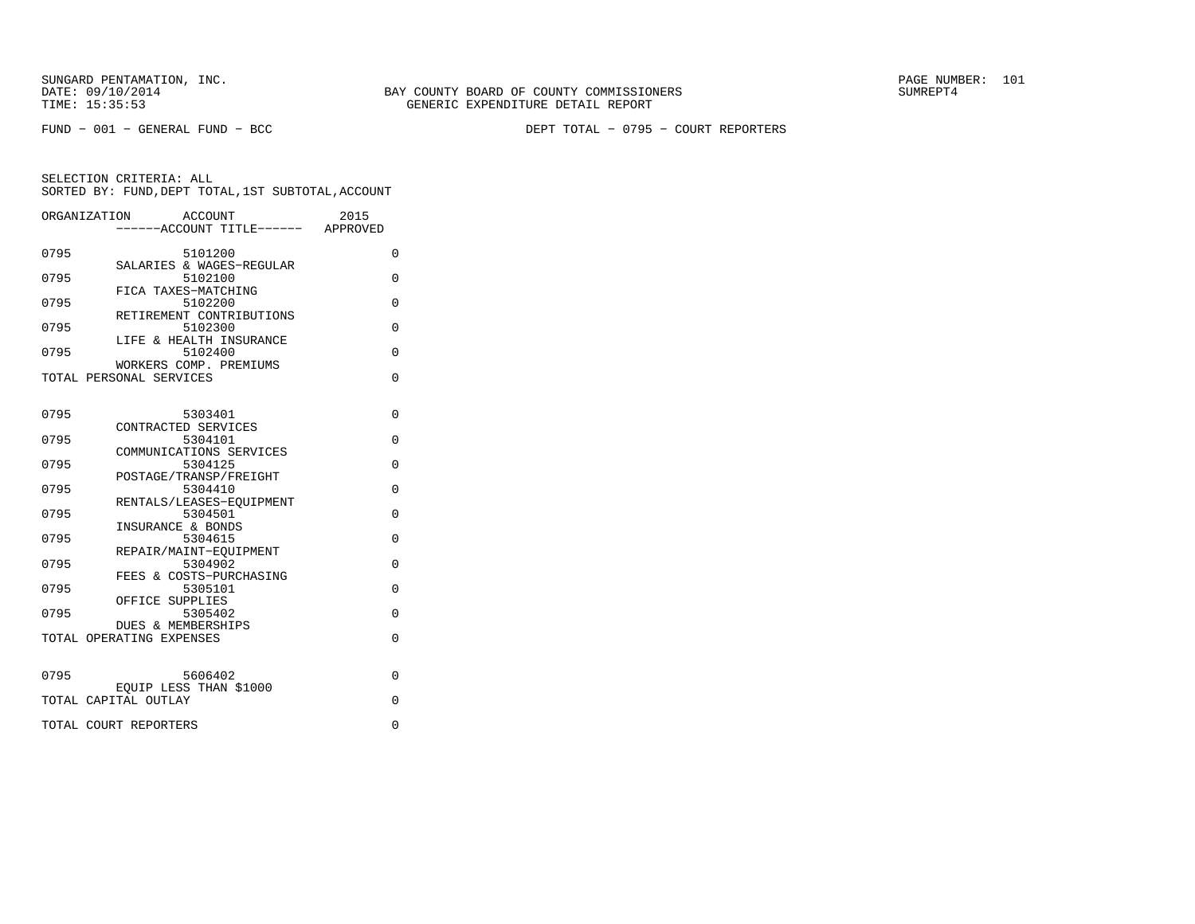FUND − 001 − GENERAL FUND − BCC DEPT TOTAL − 0795 − COURT REPORTERS

|      | ORGANIZATION<br>ACCOUNT                                   | 2015     |
|------|-----------------------------------------------------------|----------|
|      | ------ACCOUNT TITLE------ APPROVED                        |          |
| 0795 | 5101200<br>SALARIES & WAGES-REGULAR                       | 0        |
| 0795 | 5102100                                                   | $\Omega$ |
| 0795 | FICA TAXES-MATCHING<br>5102200                            | 0        |
| 0795 | RETIREMENT CONTRIBUTIONS<br>5102300                       | 0        |
| 0795 | LIFE & HEALTH INSURANCE<br>5102400                        | $\Omega$ |
|      | WORKERS COMP. PREMIUMS<br>TOTAL PERSONAL SERVICES         | $\Omega$ |
| 0795 | 5303401                                                   | $\Omega$ |
| 0795 | CONTRACTED SERVICES<br>5304101                            | $\Omega$ |
|      | COMMUNICATIONS SERVICES                                   |          |
| 0795 | 5304125<br>POSTAGE/TRANSP/FREIGHT                         | 0        |
| 0795 | 5304410<br>RENTALS/LEASES-EQUIPMENT                       | $\Omega$ |
| 0795 | 5304501<br>INSURANCE & BONDS                              | $\Omega$ |
| 0795 | 5304615                                                   | $\Omega$ |
| 0795 | REPAIR/MAINT-EOUIPMENT<br>5304902                         | $\Omega$ |
| 0795 | FEES & COSTS-PURCHASING<br>5305101                        | $\Omega$ |
| 0795 | OFFICE SUPPLIES<br>5305402                                | $\Omega$ |
|      | <b>DUES &amp; MEMBERSHIPS</b><br>TOTAL OPERATING EXPENSES | $\Omega$ |
|      |                                                           |          |
| 0795 | 5606402                                                   | $\Omega$ |
|      | EOUIP LESS THAN \$1000<br>TOTAL CAPITAL OUTLAY            | $\Omega$ |
|      | TOTAL COURT REPORTERS                                     | 0        |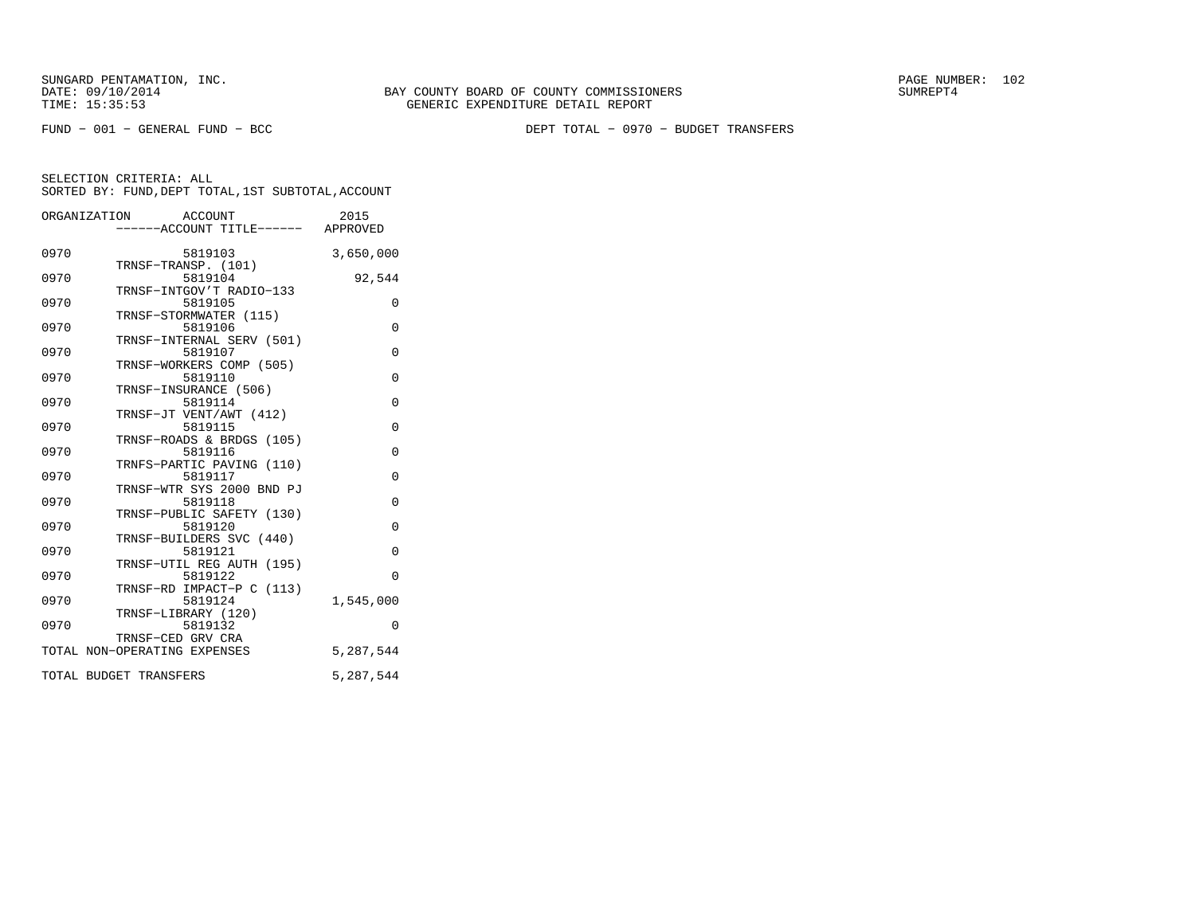FUND − 001 − GENERAL FUND − BCC DEPT TOTAL − 0970 − BUDGET TRANSFERS

| ORGANIZATION                 | ACCOUNT<br>-----ACCOUNT TITLE------ APPROVED                                                       | 2015                                                             |
|------------------------------|----------------------------------------------------------------------------------------------------|------------------------------------------------------------------|
| 0970                         | 5819103                                                                                            | 3,650,000                                                        |
| 0970                         | TRNSF-TRANSP. (101)<br>5819104                                                                     | 92,544                                                           |
| 0970                         | TRNSF-INTGOV'T RADIO-133<br>5819105                                                                | 0                                                                |
| 0970                         | TRNSF-STORMWATER (115)<br>5819106                                                                  | $\Omega$                                                         |
| 0970                         | TRNSF-INTERNAL SERV (501)<br>5819107                                                               | 0                                                                |
| 0970                         | TRNSF-WORKERS COMP (505)<br>5819110                                                                | $\Omega$                                                         |
| 0970                         | TRNSF-INSURANCE (506)<br>5819114                                                                   | $\Omega$                                                         |
| 0970                         | TRNSF-JT VENT/AWT (412)<br>5819115                                                                 | $\Omega$                                                         |
| 0970                         | TRNSF-ROADS & BRDGS (105)<br>5819116                                                               | $\overline{0}$                                                   |
| 0970                         | TRNFS-PARTIC PAVING (110)<br>5819117                                                               | 0                                                                |
| 0970                         | TRNSF-WTR SYS 2000 BND PJ<br>5819118                                                               | 0                                                                |
| 0970                         | TRNSF-PUBLIC SAFETY (130)<br>5819120                                                               | $\Omega$                                                         |
|                              | TRNSF-BUILDERS SVC (440)                                                                           |                                                                  |
|                              | TRNSF-UTIL REG AUTH (195)                                                                          |                                                                  |
|                              | TRNSF-RD IMPACT-P C (113)                                                                          |                                                                  |
|                              | TRNSF-LIBRARY (120)                                                                                |                                                                  |
|                              | TRNSF-CED GRV CRA                                                                                  |                                                                  |
|                              |                                                                                                    |                                                                  |
| 0970<br>0970<br>0970<br>0970 | 5819121<br>5819122<br>5819124<br>5819132<br>TOTAL NON-OPERATING EXPENSES<br>TOTAL BUDGET TRANSFERS | 0<br>$\Omega$<br>1,545,000<br>$\Omega$<br>5,287,544<br>5,287,544 |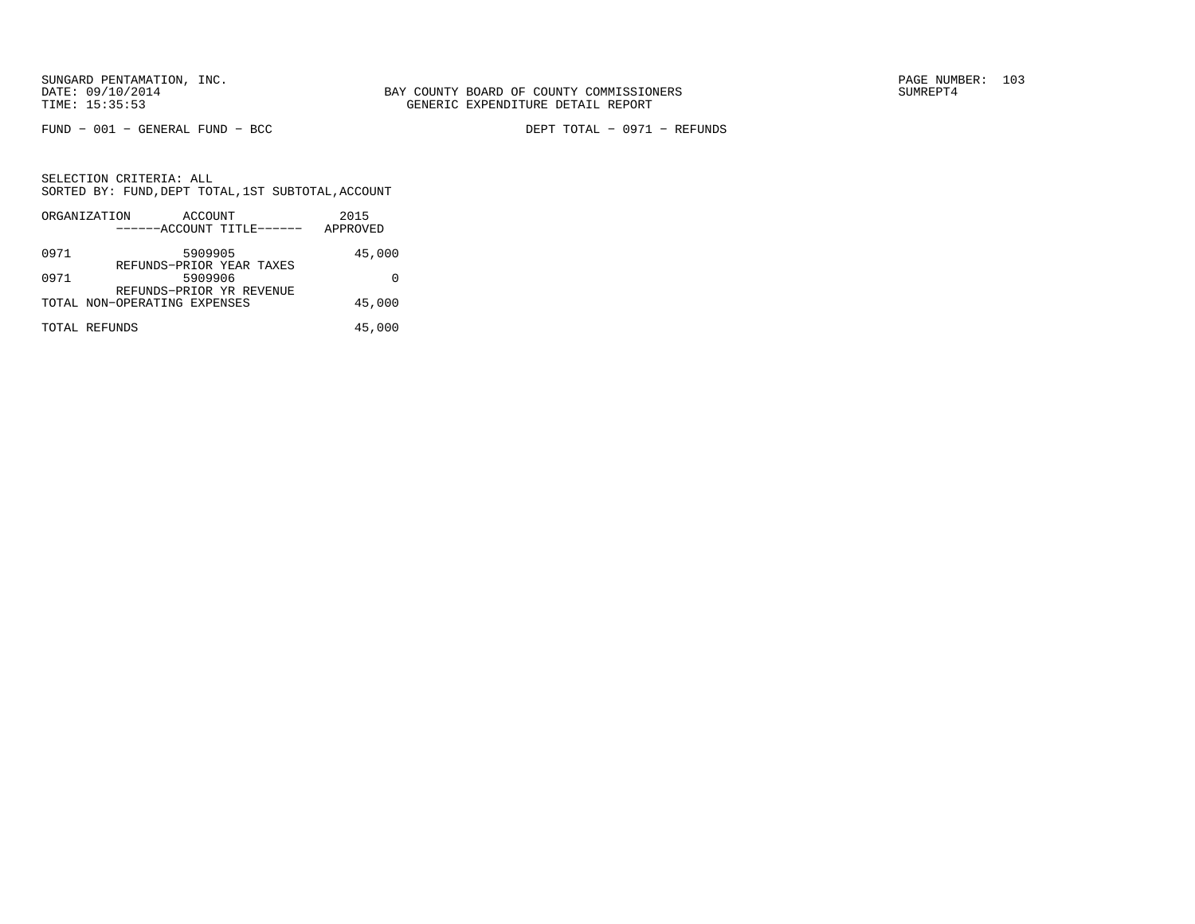FUND − 001 − GENERAL FUND − BCC DEPT TOTAL − 0971 − REFUNDS

|      | ORGANIZATION                 | ACCOUNT |                           | 2015     |
|------|------------------------------|---------|---------------------------|----------|
|      |                              |         | ------ACCOUNT TITLE------ | APPROVED |
| 0971 |                              | 5909905 | REFUNDS-PRIOR YEAR TAXES  | 45,000   |
| 0971 |                              | 5909906 | REFUNDS-PRIOR YR REVENUE  |          |
|      | TOTAL NON-OPERATING EXPENSES |         |                           | 45,000   |
|      | TOTAL REFUNDS                |         |                           | 45,000   |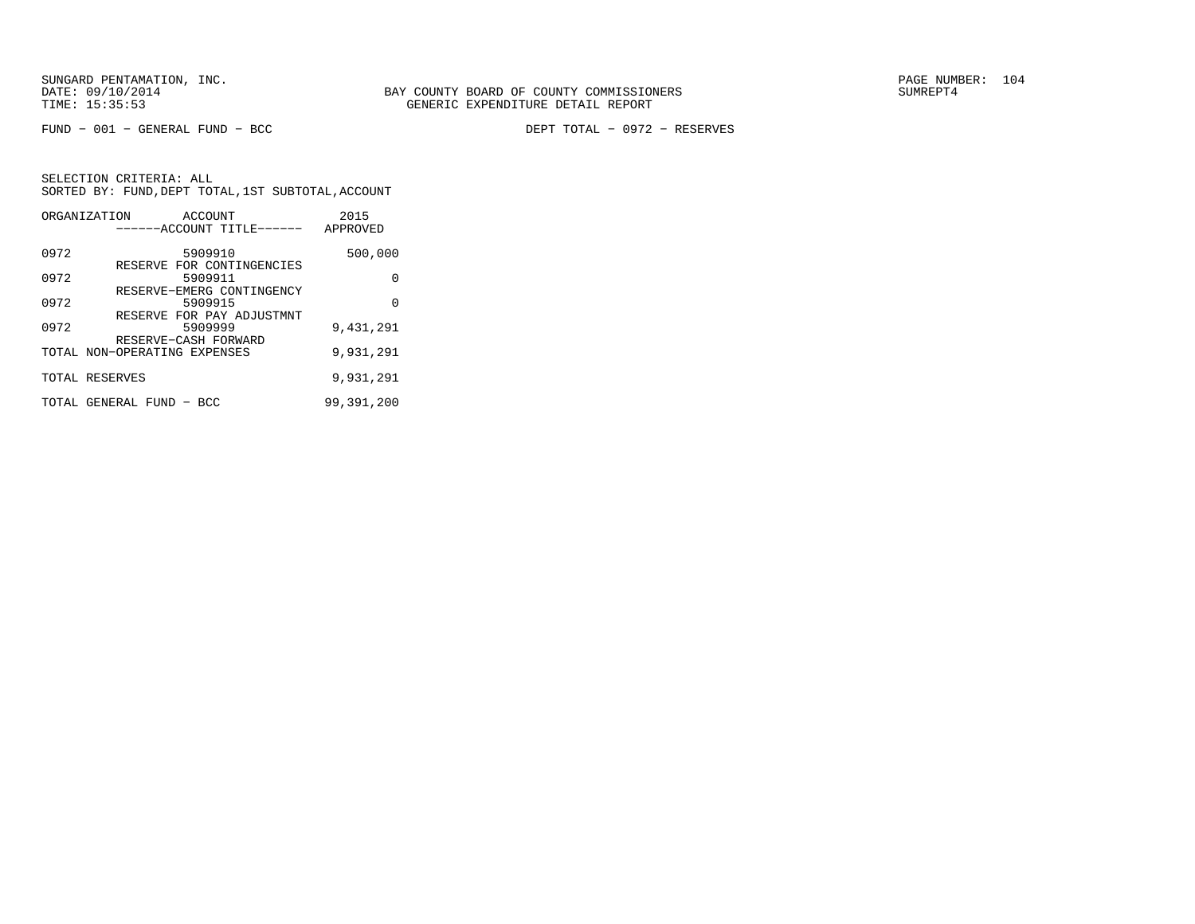|      | ORGANIZATION<br>ACCOUNT<br>------ACCOUNT TITLE------         | 2015<br>APPROVED |
|------|--------------------------------------------------------------|------------------|
| 0972 | 5909910                                                      | 500,000          |
| 0972 | RESERVE FOR CONTINGENCIES<br>5909911                         | 0                |
| 0972 | RESERVE-EMERG CONTINGENCY<br>5909915                         | 0                |
| 0972 | RESERVE FOR PAY ADJUSTMNT<br>5909999<br>RESERVE-CASH FORWARD | 9,431,291        |
|      | TOTAL NON-OPERATING EXPENSES                                 | 9,931,291        |
|      | TOTAL RESERVES                                               | 9,931,291        |
|      | TOTAL GENERAL FUND - BCC                                     | 99,391,200       |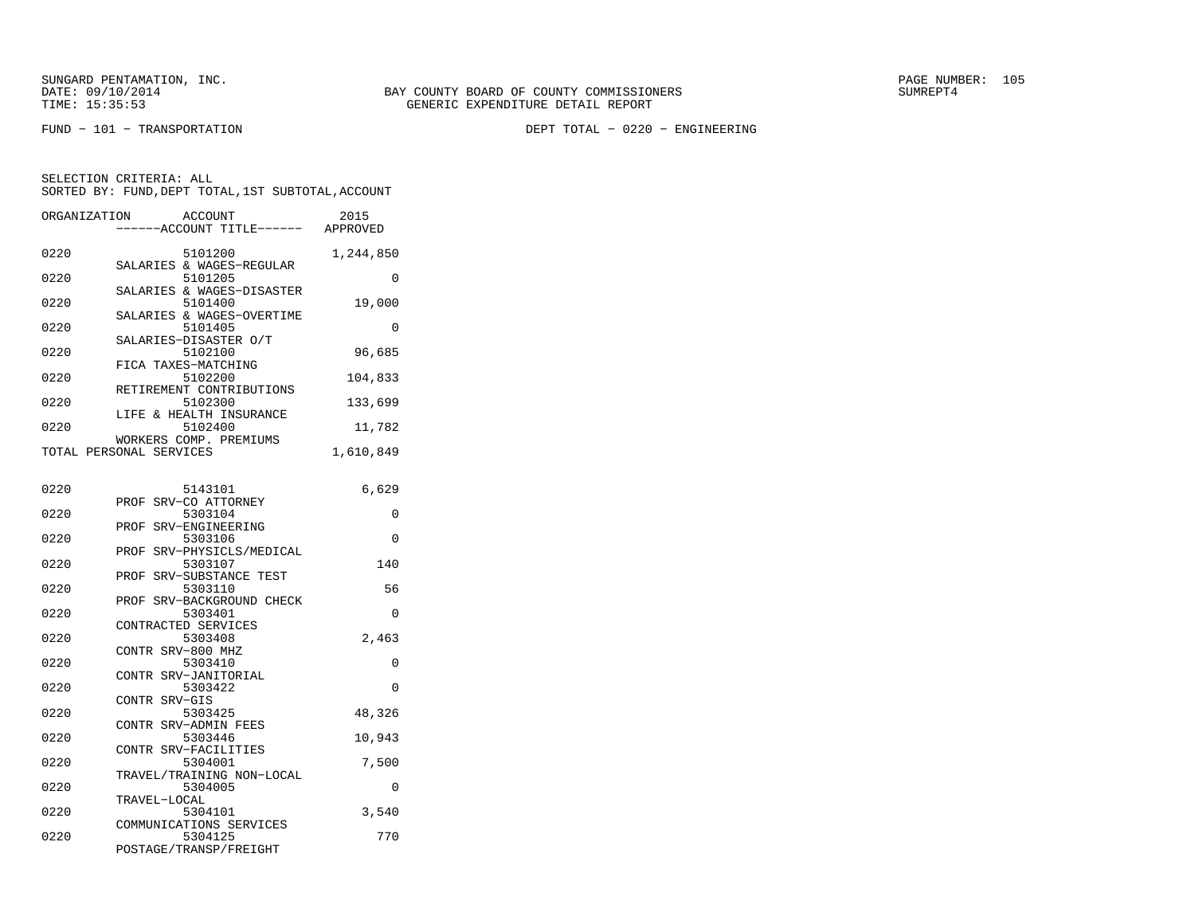FUND − 101 − TRANSPORTATION DEPT TOTAL − 0220 − ENGINEERING

| ORGANIZATION |                         | <b>ACCOUNT</b>                       | 2015      |
|--------------|-------------------------|--------------------------------------|-----------|
|              |                         | -----ACCOUNT TITLE------ APPROVED    |           |
|              |                         |                                      |           |
| 0220         |                         | 5101200                              | 1,244,850 |
|              |                         | SALARIES & WAGES-REGULAR             |           |
| 0220         |                         | 5101205                              | $\Omega$  |
| 0220         |                         | SALARIES & WAGES-DISASTER<br>5101400 | 19,000    |
|              |                         | SALARIES & WAGES-OVERTIME            |           |
| 0220         |                         | 5101405                              | $\Omega$  |
|              |                         | SALARIES-DISASTER O/T                |           |
| 0220         |                         | 5102100                              | 96,685    |
|              | FICA TAXES-MATCHING     |                                      |           |
| 0220         |                         | 5102200                              | 104,833   |
|              |                         | RETIREMENT CONTRIBUTIONS             |           |
| 0220         |                         | 5102300                              | 133,699   |
|              |                         | LIFE & HEALTH INSURANCE              |           |
| 0220         |                         | 5102400                              | 11,782    |
|              |                         | WORKERS COMP. PREMIUMS               |           |
|              | TOTAL PERSONAL SERVICES |                                      | 1,610,849 |
|              |                         |                                      |           |
|              |                         |                                      |           |
| 0220         |                         | 5143101                              | 6,629     |
|              | PROF SRV-CO ATTORNEY    |                                      |           |
| 0220         |                         | 5303104                              | 0         |
| 0220         | PROF                    | SRV-ENGINEERING<br>5303106           | $\Omega$  |
|              | PROF                    | SRV-PHYSICLS/MEDICAL                 |           |
| 0220         |                         | 5303107                              | 140       |
|              | PROF                    | SRV-SUBSTANCE TEST                   |           |
| 0220         |                         | 5303110                              | 56        |
|              |                         | PROF SRV-BACKGROUND CHECK            |           |
| 0220         |                         | 5303401                              | 0         |
|              | CONTRACTED SERVICES     |                                      |           |
| 0220         |                         | 5303408                              | 2,463     |
|              | CONTR SRV-800 MHZ       |                                      |           |
| 0220         |                         | 5303410                              | 0         |
|              | CONTR SRV-JANITORIAL    |                                      |           |
| 0220         |                         | 5303422                              | 0         |
|              | CONTR SRV-GIS           |                                      |           |
| 0220         |                         | 5303425                              | 48,326    |
|              | CONTR SRV-ADMIN FEES    |                                      |           |
| 0220         |                         | 5303446                              | 10,943    |
|              | CONTR SRV-FACILITIES    |                                      |           |
| 0220         |                         | 5304001                              | 7,500     |
|              |                         | TRAVEL/TRAINING NON-LOCAL            |           |
| 0220         |                         | 5304005                              | 0         |
|              | TRAVEL-LOCAL            |                                      |           |
| 0220         |                         | 5304101                              | 3,540     |
| 0220         |                         | COMMUNICATIONS SERVICES<br>5304125   | 770       |
|              |                         | POSTAGE/TRANSP/FREIGHT               |           |
|              |                         |                                      |           |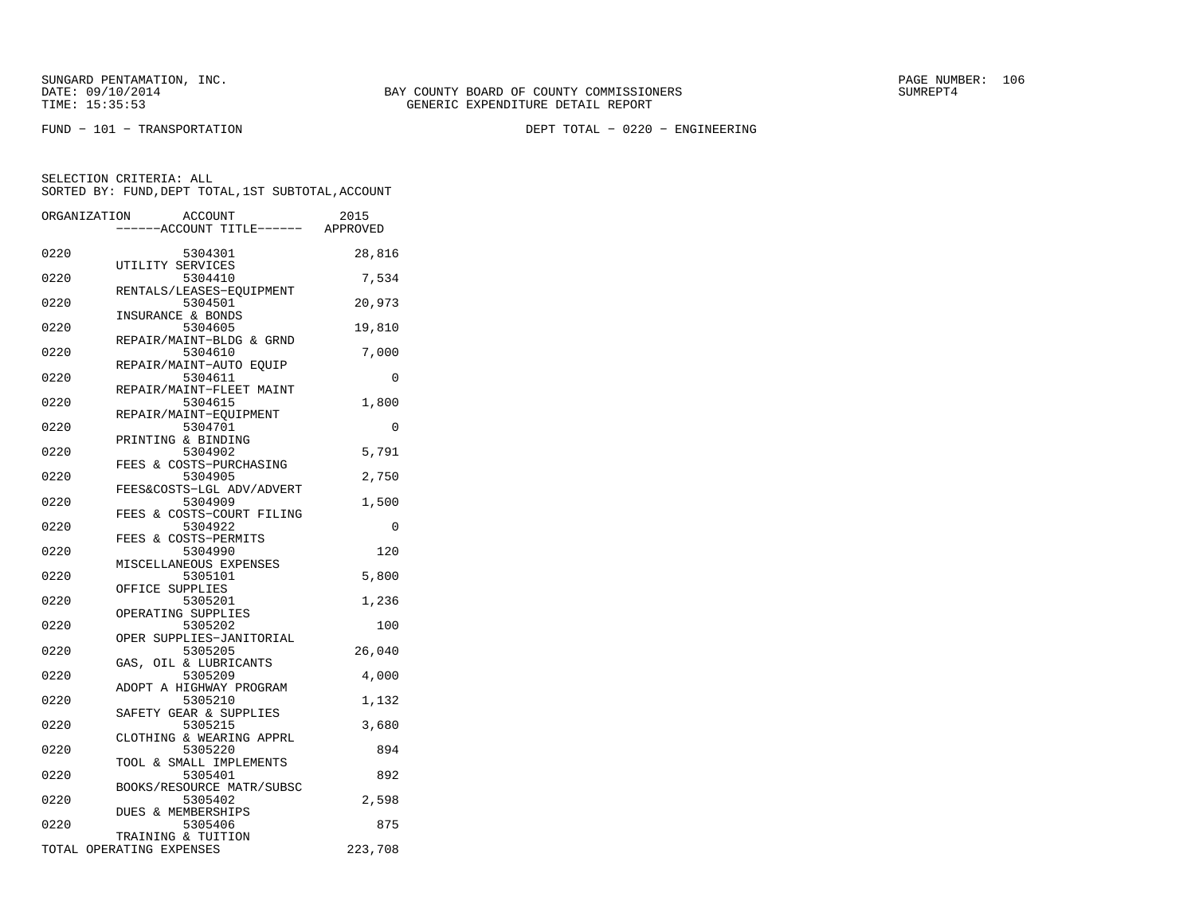FUND − 101 − TRANSPORTATION DEPT TOTAL − 0220 − ENGINEERING

|      | ORGANIZATION | <b>ACCOUNT</b>                |                           | 2015     |
|------|--------------|-------------------------------|---------------------------|----------|
|      |              |                               | ---ACCOUNT TITLE------    | APPROVED |
|      |              |                               |                           |          |
| 0220 |              | 5304301                       |                           | 28,816   |
|      |              | UTILITY SERVICES              |                           |          |
| 0220 |              | 5304410                       |                           | 7,534    |
| 0220 |              | 5304501                       | RENTALS/LEASES-EQUIPMENT  |          |
|      |              | INSURANCE & BONDS             |                           | 20,973   |
| 0220 |              | 5304605                       |                           | 19,810   |
|      |              |                               | REPAIR/MAINT-BLDG & GRND  |          |
| 0220 |              | 5304610                       |                           | 7,000    |
|      |              |                               | REPAIR/MAINT-AUTO EQUIP   |          |
| 0220 |              | 5304611                       |                           | 0        |
|      |              |                               | REPAIR/MAINT-FLEET MAINT  |          |
| 0220 |              | 5304615                       |                           | 1,800    |
|      |              | REPAIR/MAINT-EQUIPMENT        |                           |          |
| 0220 |              | 5304701                       |                           | $\Omega$ |
| 0220 |              | PRINTING & BINDING<br>5304902 |                           | 5,791    |
|      |              |                               | FEES & COSTS-PURCHASING   |          |
| 0220 |              | 5304905                       |                           | 2,750    |
|      |              |                               | FEES&COSTS-LGL ADV/ADVERT |          |
| 0220 |              | 5304909                       |                           | 1,500    |
|      | FEES         |                               | & COSTS-COURT FILING      |          |
| 0220 |              | 5304922                       |                           | 0        |
|      |              | FEES & COSTS-PERMITS          |                           |          |
| 0220 |              | 5304990                       |                           | 120      |
|      |              | MISCELLANEOUS EXPENSES        |                           |          |
| 0220 |              | 5305101                       |                           | 5,800    |
| 0220 |              | OFFICE SUPPLIES<br>5305201    |                           | 1,236    |
|      |              | OPERATING SUPPLIES            |                           |          |
| 0220 |              | 5305202                       |                           | 100      |
|      |              |                               | OPER SUPPLIES-JANITORIAL  |          |
| 0220 |              | 5305205                       |                           | 26,040   |
|      |              | GAS, OIL & LUBRICANTS         |                           |          |
| 0220 |              | 5305209                       |                           | 4,000    |
|      |              |                               | ADOPT A HIGHWAY PROGRAM   |          |
| 0220 |              | 5305210                       |                           | 1,132    |
| 0220 |              | SAFETY GEAR & SUPPLIES        |                           |          |
|      |              | 5305215                       | CLOTHING & WEARING APPRL  | 3,680    |
| 0220 |              | 5305220                       |                           | 894      |
|      |              |                               | TOOL & SMALL IMPLEMENTS   |          |
| 0220 |              | 5305401                       |                           | 892      |
|      |              |                               | BOOKS/RESOURCE MATR/SUBSC |          |
| 0220 |              | 5305402                       |                           | 2,598    |
|      |              | DUES & MEMBERSHIPS            |                           |          |
| 0220 |              | 5305406                       |                           | 875      |
|      |              | TRAINING & TUITION            |                           |          |
|      |              | TOTAL OPERATING EXPENSES      |                           | 223,708  |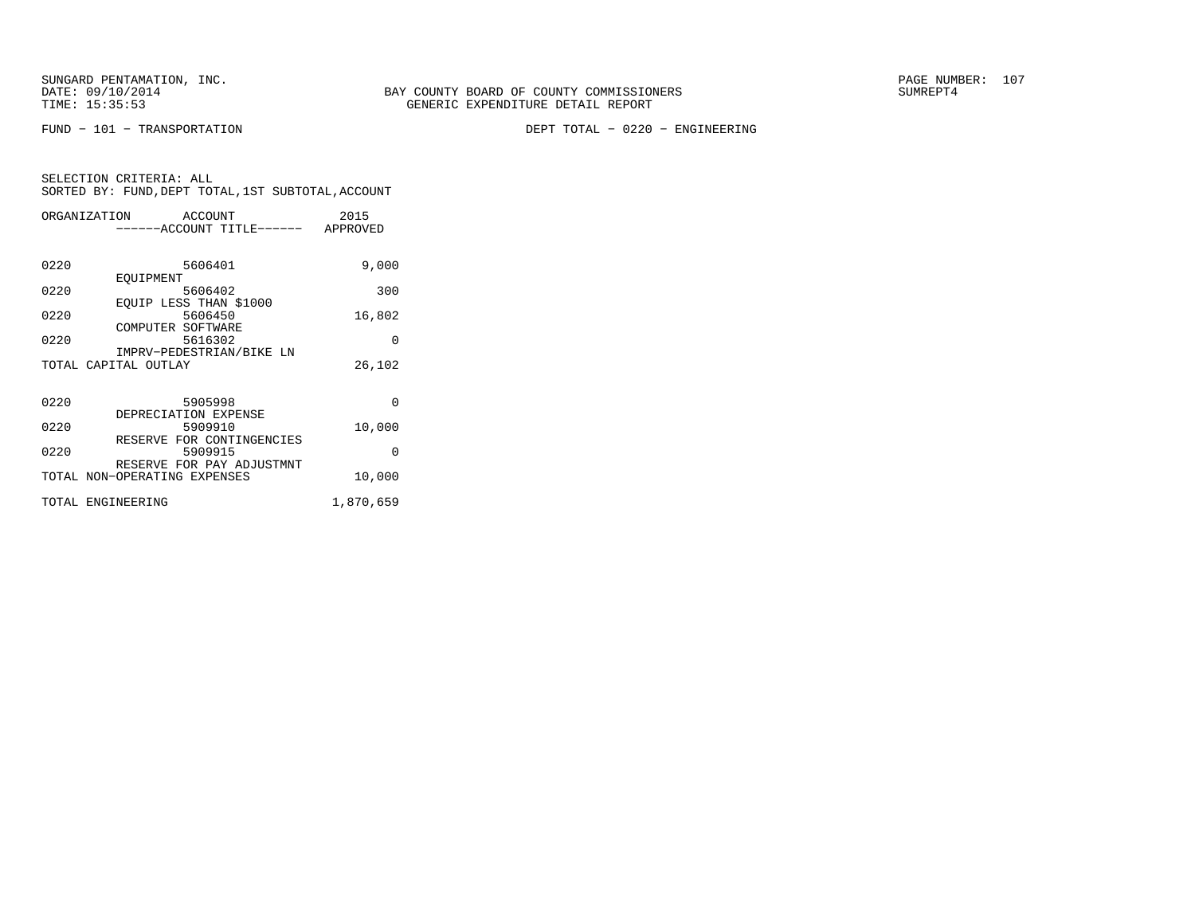FUND − 101 − TRANSPORTATION DEPT TOTAL − 0220 − ENGINEERING

| SELECTION CRITERIA: ALL |  |  |                                                    |  |
|-------------------------|--|--|----------------------------------------------------|--|
|                         |  |  | SORTED BY: FUND, DEPT TOTAL, 1ST SUBTOTAL, ACCOUNT |  |

|      | ORGANIZATION<br>ACCOUNT      | 2015      |
|------|------------------------------|-----------|
|      | ------ACCOUNT TITLE------    | APPROVED  |
|      |                              |           |
| 0220 | 5606401                      | 9,000     |
|      | EOUIPMENT                    |           |
| 0220 | 5606402                      | 300       |
|      | EOUIP LESS THAN \$1000       |           |
| 0220 | 5606450                      | 16,802    |
|      | COMPUTER SOFTWARE            |           |
| 0220 | 5616302                      | $\Omega$  |
|      | IMPRV-PEDESTRIAN/BIKE LN     |           |
|      | TOTAL CAPITAL OUTLAY         | 26,102    |
|      |                              |           |
| 0220 | 5905998                      | $\Omega$  |
|      | DEPRECIATION EXPENSE         |           |
| 0220 | 5909910                      | 10,000    |
|      | RESERVE FOR CONTINGENCIES    |           |
| 0220 | 5909915                      | $\Omega$  |
|      | RESERVE FOR PAY ADJUSTMNT    |           |
|      | TOTAL NON-OPERATING EXPENSES | 10,000    |
|      | TOTAL ENGINEERING            | 1,870,659 |
|      |                              |           |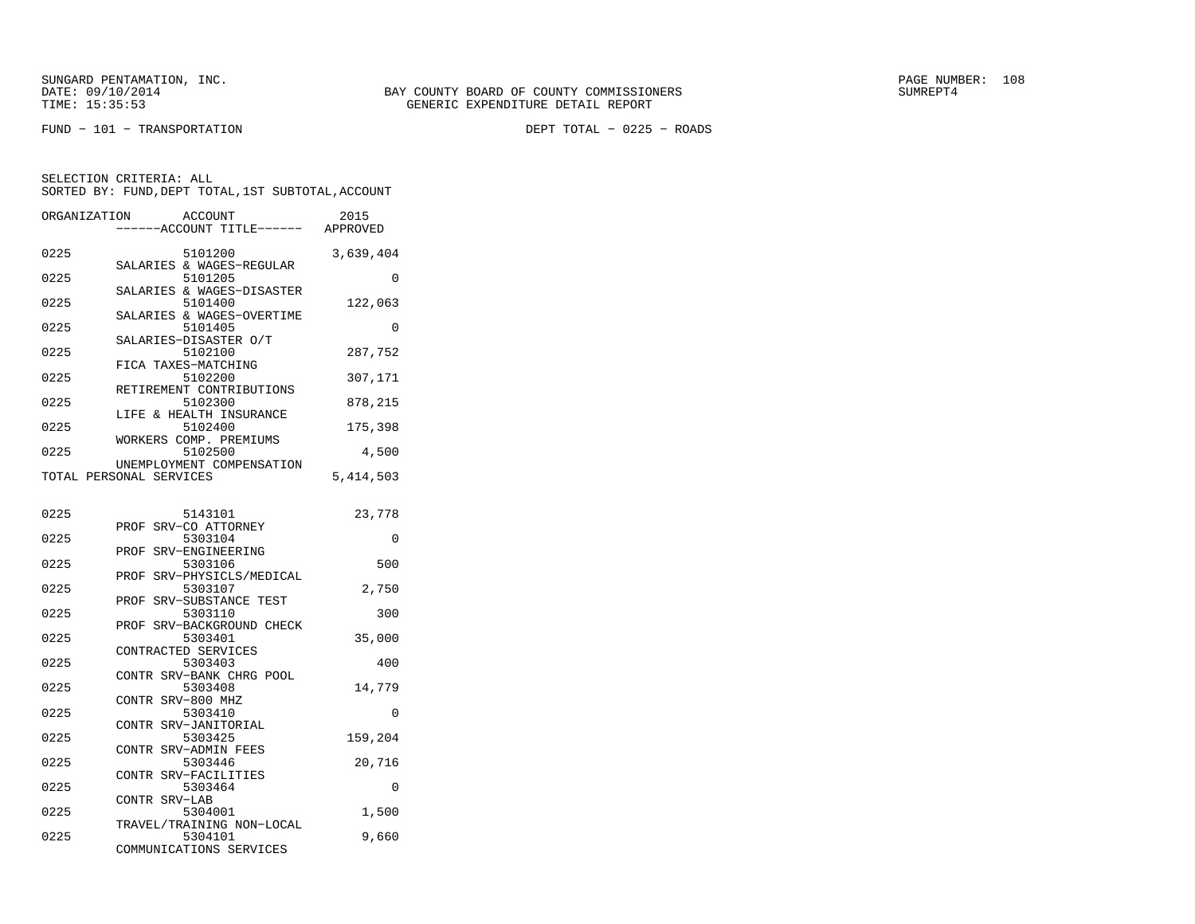FUND − 101 − TRANSPORTATION DEPT TOTAL − 0225 − ROADS

| ORGANIZATION | <b>ACCOUNT</b>                        |                      | 2015<br>APPROVED |
|--------------|---------------------------------------|----------------------|------------------|
|              | ---ACCOUNT TITLE------                |                      |                  |
| 0225         | 5101200                               |                      | 3,639,404        |
| 0225         | SALARIES & WAGES-REGULAR<br>5101205   |                      | $\Omega$         |
| 0225         | SALARIES & WAGES-DISASTER<br>5101400  |                      | 122,063          |
| 0225         | SALARIES & WAGES-OVERTIME<br>5101405  |                      | 0                |
| 0225         | SALARIES-DISASTER O/T<br>5102100      |                      | 287,752          |
| 0225         | FICA TAXES-MATCHING<br>5102200        |                      | 307,171          |
| 0225         | RETIREMENT CONTRIBUTIONS<br>5102300   |                      | 878,215          |
|              | LIFE & HEALTH INSURANCE               |                      |                  |
| 0225         | 5102400<br>WORKERS COMP. PREMIUMS     |                      | 175,398          |
| 0225         | 5102500<br>UNEMPLOYMENT COMPENSATION  |                      | 4,500            |
|              | TOTAL PERSONAL SERVICES               |                      | 5, 414, 503      |
| 0225         | 5143101                               |                      | 23,778           |
|              | PROF SRV-CO ATTORNEY                  |                      |                  |
| 0225         | 5303104<br>SRV-ENGINEERING<br>PROF    |                      | 0                |
| 0225         | 5303106                               |                      | 500              |
| 0225         | PROF<br>5303107                       | SRV-PHYSICLS/MEDICAL | 2,750            |
| 0225         | SRV-SUBSTANCE TEST<br>PROF<br>5303110 |                      | 300              |
| 0225         | PROF<br>5303401                       | SRV-BACKGROUND CHECK | 35,000           |
| 0225         | CONTRACTED SERVICES<br>5303403        |                      | 400              |
|              | CONTR SRV-BANK CHRG POOL              |                      |                  |
| 0225         | 5303408<br>CONTR SRV-800 MHZ          |                      | 14,779           |
| 0225         | 5303410<br>CONTR SRV-JANITORIAL       |                      | 0                |
| 0225         | 5303425                               |                      | 159,204          |
| 0225         | CONTR SRV-ADMIN FEES<br>5303446       |                      | 20,716           |
| 0225         | CONTR SRV-FACILITIES<br>5303464       |                      | 0                |
| 0225         | CONTR SRV-LAB<br>5304001              |                      | 1,500            |
| 0225         | TRAVEL/TRAINING NON-LOCAL             |                      |                  |
|              | 5304101<br>COMMUNICATIONS SERVICES    |                      | 9,660            |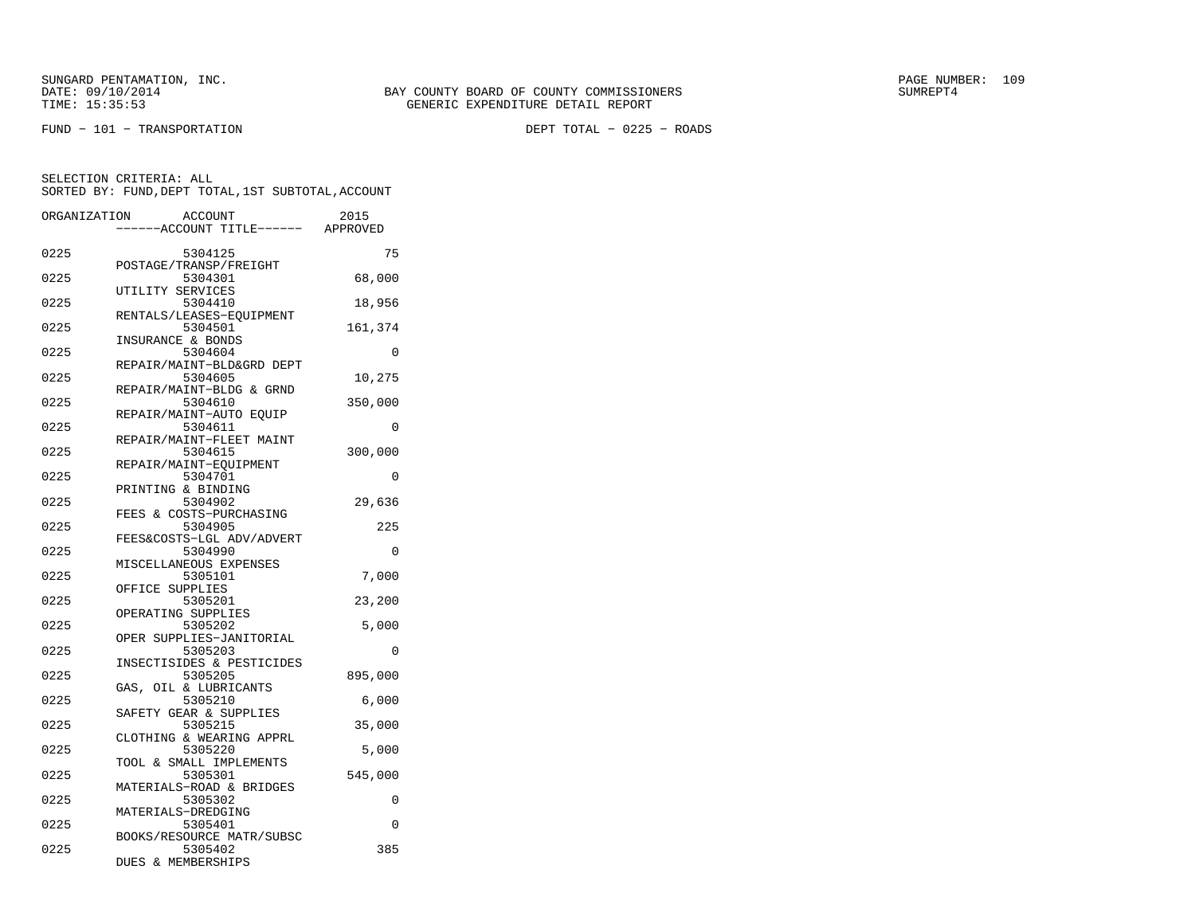FUND − 101 − TRANSPORTATION DEPT TOTAL − 0225 − ROADS

| ORGANIZATION | <b>ACCOUNT</b>                                                        | 2015     |
|--------------|-----------------------------------------------------------------------|----------|
|              | ----ACCOUNT TITLE------ APPROVED                                      |          |
| 0225         | 5304125                                                               | 75       |
| 0225         | POSTAGE/TRANSP/FREIGHT<br>5304301                                     | 68,000   |
| 0225         | UTILITY SERVICES<br>5304410                                           | 18,956   |
| 0225         | RENTALS/LEASES-EQUIPMENT<br>5304501                                   | 161,374  |
| 0225         | INSURANCE & BONDS<br>5304604                                          | $\Omega$ |
| 0225         | REPAIR/MAINT-BLD&GRD DEPT<br>5304605                                  | 10,275   |
| 0225         | REPAIR/MAINT-BLDG & GRND<br>5304610                                   | 350,000  |
|              | REPAIR/MAINT-AUTO EOUIP                                               |          |
| 0225         | 5304611<br>REPAIR/MAINT-FLEET MAINT                                   | $\Omega$ |
| 0225         | 5304615<br>REPAIR/MAINT-EQUIPMENT                                     | 300,000  |
| 0225         | 5304701<br>PRINTING & BINDING                                         | 0        |
| 0225         | 5304902<br>FEES & COSTS-PURCHASING                                    | 29,636   |
| 0225         | 5304905                                                               | 225      |
| 0225         | FEES&COSTS-LGL ADV/ADVERT<br>5304990                                  | 0        |
| 0225         | MISCELLANEOUS EXPENSES<br>5305101                                     | 7,000    |
| 0225         | OFFICE SUPPLIES<br>5305201                                            | 23,200   |
| 0225         | OPERATING SUPPLIES<br>5305202                                         | 5,000    |
| 0225         | OPER SUPPLIES-JANITORIAL<br>5305203                                   | $\Omega$ |
| 0225         | INSECTISIDES & PESTICIDES<br>5305205                                  | 895,000  |
|              | GAS, OIL & LUBRICANTS                                                 |          |
| 0225         | 5305210<br>SAFETY GEAR & SUPPLIES                                     | 6,000    |
| 0225         | 5305215<br>CLOTHING & WEARING APPRL                                   | 35,000   |
| 0225         | 5305220<br>TOOL & SMALL IMPLEMENTS                                    | 5,000    |
| 0225         | 5305301<br>MATERIALS-ROAD & BRIDGES                                   | 545,000  |
| 0225         | 5305302<br>MATERIALS-DREDGING                                         | 0        |
| 0225         | 5305401                                                               | 0        |
| 0225         | BOOKS/RESOURCE MATR/SUBSC<br>5305402<br><b>DUES &amp; MEMBERSHIPS</b> | 385      |
|              |                                                                       |          |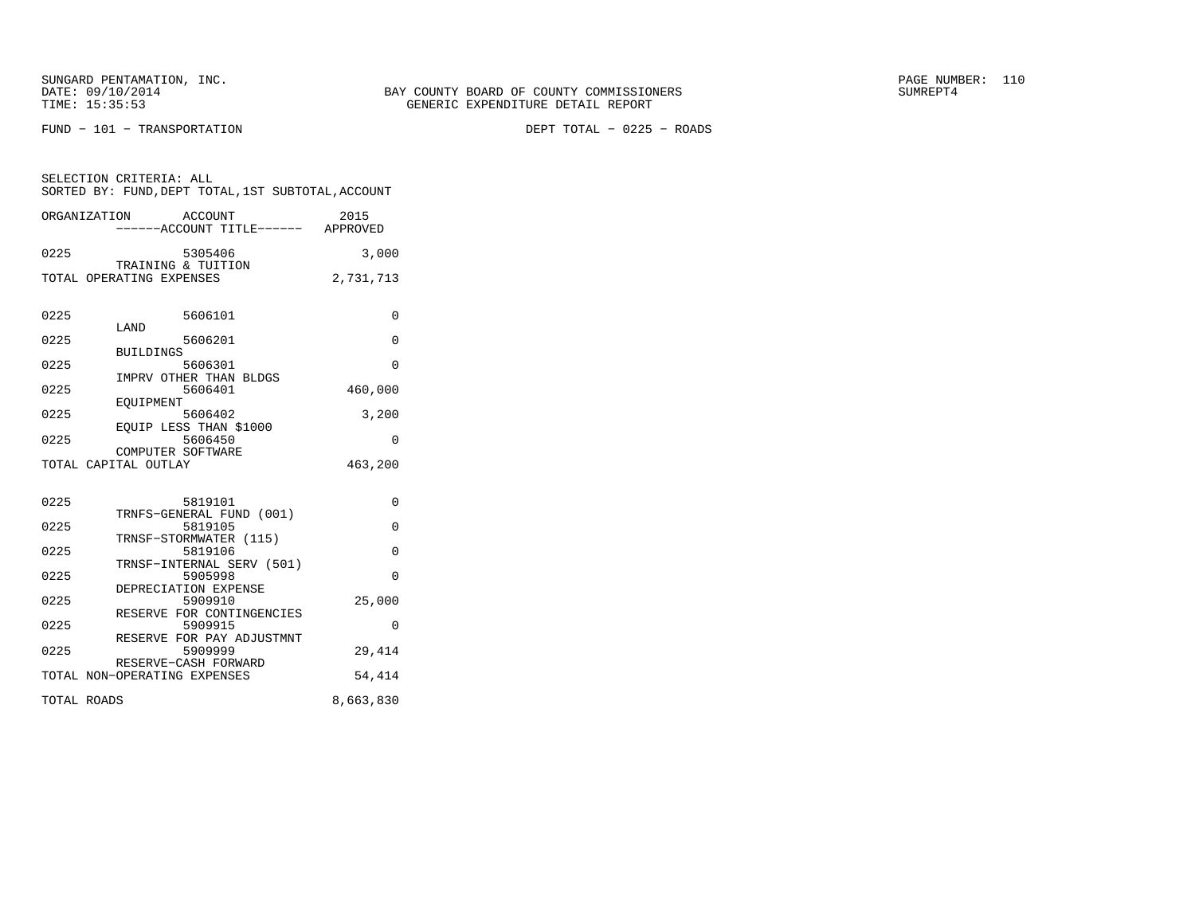SUNGARD PENTAMATION, INC.<br>
DATE: 09/10/2014 SUMREPT4

FUND − 101 − TRANSPORTATION DEPT TOTAL − 0225 − ROADS

| SELECTION CRITERIA: ALL | SORTED BY: FUND. DEPT TOTAL. 1ST SUBTOTAL. ACCOUNT |      |
|-------------------------|----------------------------------------------------|------|
| ORGANIZATION            | ACCOUNT                                            | 2015 |

|      | ------ACCOUNT TITLE------            | APPROVED  |
|------|--------------------------------------|-----------|
| 0225 | 5305406<br>TRAINING & TUITION        | 3,000     |
|      | TOTAL OPERATING EXPENSES             | 2,731,713 |
|      |                                      |           |
|      |                                      |           |
| 0225 | 5606101                              | 0         |
|      | LAND                                 |           |
| 0225 | 5606201<br><b>BUILDINGS</b>          | $\Omega$  |
| 0225 | 5606301                              | $\Omega$  |
|      | IMPRV OTHER THAN BLDGS               |           |
| 0225 | 5606401                              | 460,000   |
|      | EOUIPMENT                            |           |
| 0225 | 5606402                              | 3,200     |
| 0225 | EOUIP LESS THAN \$1000<br>5606450    | 0         |
|      | COMPUTER SOFTWARE                    |           |
|      | TOTAL CAPITAL OUTLAY                 | 463,200   |
|      |                                      |           |
|      |                                      |           |
| 0225 | 5819101                              | 0         |
|      | TRNFS-GENERAL FUND (001)             |           |
| 0225 | 5819105<br>TRNSF-STORMWATER (115)    | $\Omega$  |
| 0225 | 5819106                              | $\Omega$  |
|      | TRNSF-INTERNAL SERV (501)            |           |
| 0225 | 5905998                              | 0         |
|      | DEPRECIATION EXPENSE                 |           |
| 0225 | 5909910                              | 25,000    |
| 0225 | RESERVE FOR CONTINGENCIES<br>5909915 | $\Omega$  |
|      | RESERVE FOR PAY ADJUSTMNT            |           |
| 0225 | 5909999                              | 29,414    |
|      | RESERVE-CASH FORWARD                 |           |
|      | TOTAL NON-OPERATING EXPENSES         | 54,414    |
|      |                                      |           |
|      | TOTAL ROADS                          | 8,663,830 |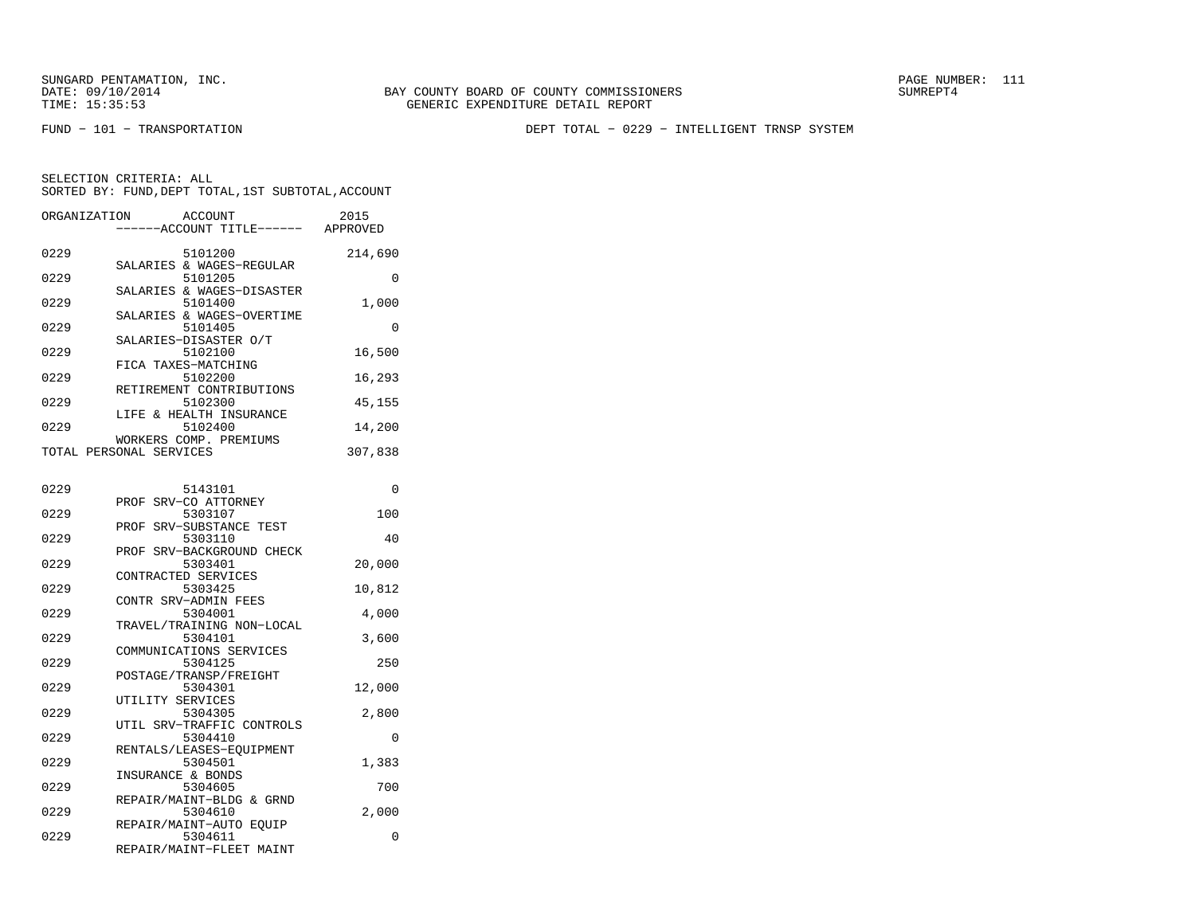FUND − 101 − TRANSPORTATION DEPT TOTAL − 0229 − INTELLIGENT TRNSP SYSTEM

| ORGANIZATION | <b>ACCOUNT</b><br>---ACCOUNT TITLE------ APPROVED             | 2015     |
|--------------|---------------------------------------------------------------|----------|
| 0229         | 5101200<br>SALARIES & WAGES-REGULAR                           | 214,690  |
| 0229         | 5101205                                                       | 0        |
| 0229         | SALARIES & WAGES-DISASTER<br>5101400                          | 1,000    |
| 0229         | SALARIES & WAGES-OVERTIME<br>5101405<br>SALARIES-DISASTER O/T | 0        |
| 0229         | 5102100                                                       | 16,500   |
| 0229         | FICA TAXES-MATCHING<br>5102200<br>RETIREMENT CONTRIBUTIONS    | 16,293   |
| 0229         | 5102300                                                       | 45,155   |
| 0229         | LIFE & HEALTH INSURANCE<br>5102400                            | 14,200   |
|              | WORKERS COMP. PREMIUMS<br>TOTAL PERSONAL SERVICES             | 307,838  |
|              |                                                               |          |
| 0229         | 5143101<br>PROF SRV-CO ATTORNEY                               | 0        |
| 0229         | 5303107<br>PROF SRV-SUBSTANCE TEST                            | 100      |
| 0229         | 5303110<br>PROF SRV-BACKGROUND CHECK                          | 40       |
| 0229         | 5303401                                                       | 20,000   |
| 0229         | CONTRACTED SERVICES<br>5303425                                | 10,812   |
| 0229         | CONTR SRV-ADMIN FEES<br>5304001                               | 4,000    |
| 0229         | TRAVEL/TRAINING NON-LOCAL<br>5304101                          | 3,600    |
|              | COMMUNICATIONS SERVICES                                       |          |
| 0229         | 5304125<br>POSTAGE/TRANSP/FREIGHT                             | 250      |
| 0229         | 5304301<br>UTILITY SERVICES                                   | 12,000   |
| 0229         | 5304305<br>UTIL SRV-TRAFFIC CONTROLS                          | 2,800    |
| 0229         | 5304410                                                       | 0        |
| 0229         | RENTALS/LEASES-EQUIPMENT<br>5304501                           | 1,383    |
| 0229         | INSURANCE & BONDS<br>5304605                                  | 700      |
| 0229         | REPAIR/MAINT-BLDG & GRND<br>5304610                           | 2,000    |
| 0229         | REPAIR/MAINT-AUTO EOUIP<br>5304611                            | $\Omega$ |
|              | REPAIR/MAINT-FLEET MAINT                                      |          |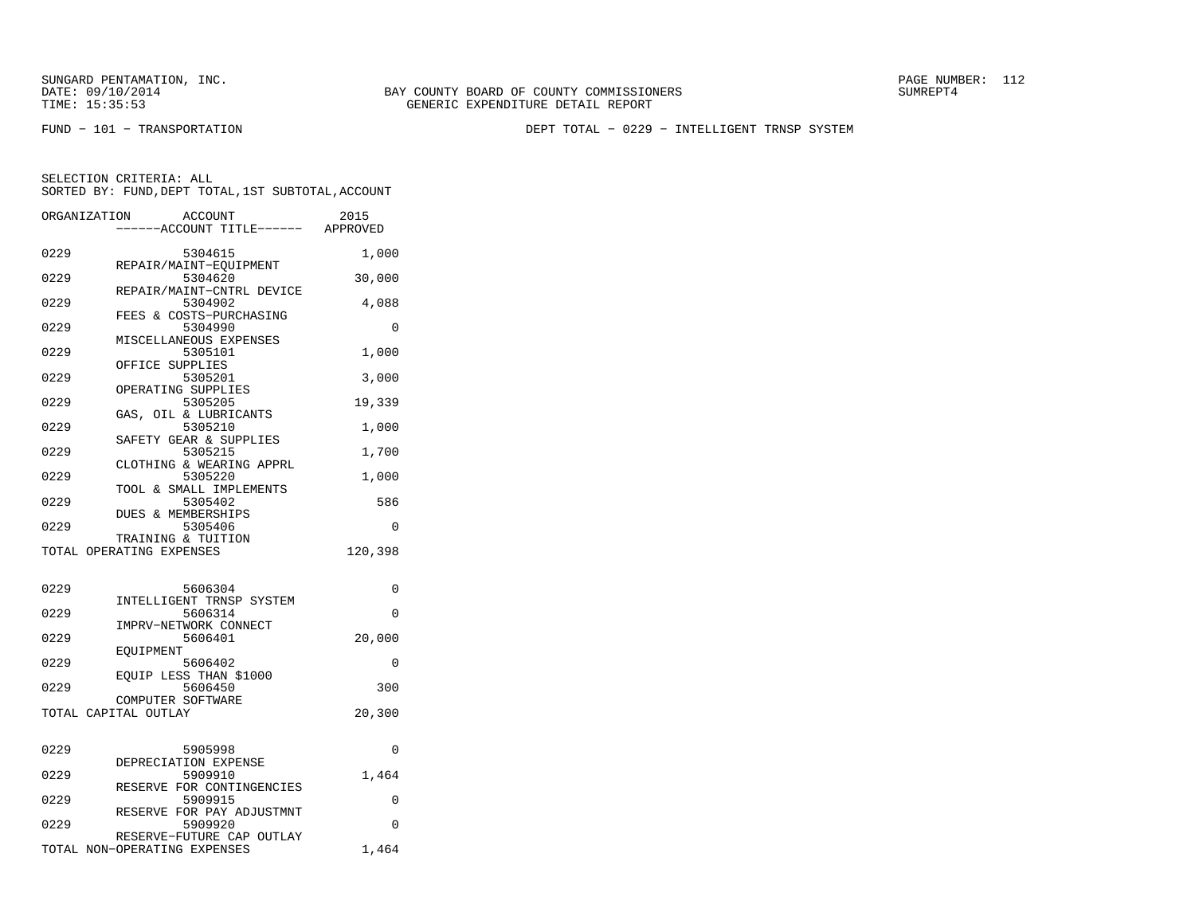FUND − 101 − TRANSPORTATION DEPT TOTAL − 0229 − INTELLIGENT TRNSP SYSTEM

|      | ORGANIZATION<br>ACCOUNT<br>-----ACCOUNT TITLE------ APPROVED | 2015     |
|------|--------------------------------------------------------------|----------|
| 0229 | 5304615                                                      | 1,000    |
| 0229 | REPAIR/MAINT-EQUIPMENT<br>5304620                            | 30,000   |
| 0229 | REPAIR/MAINT-CNTRL DEVICE<br>5304902                         | 4,088    |
| 0229 | FEES & COSTS-PURCHASING<br>5304990                           | 0        |
| 0229 | MISCELLANEOUS EXPENSES<br>5305101                            | 1,000    |
| 0229 | OFFICE SUPPLIES<br>5305201                                   | 3,000    |
| 0229 | OPERATING SUPPLIES<br>5305205                                | 19,339   |
| 0229 | GAS, OIL & LUBRICANTS<br>5305210                             | 1,000    |
| 0229 | SAFETY GEAR & SUPPLIES<br>5305215                            | 1,700    |
| 0229 | CLOTHING & WEARING APPRL<br>5305220                          | 1,000    |
| 0229 | TOOL & SMALL IMPLEMENTS<br>5305402                           | 586      |
| 0229 | DUES & MEMBERSHIPS<br>5305406                                | $\Omega$ |
|      | TRAINING & TUITION<br>TOTAL OPERATING EXPENSES               | 120,398  |
|      |                                                              |          |
| 0229 | 5606304<br>INTELLIGENT TRNSP SYSTEM                          | 0        |
| 0229 | 5606314<br>IMPRV-NETWORK CONNECT                             | $\Omega$ |
| 0229 | 5606401<br>EOUIPMENT                                         | 20,000   |
| 0229 | 5606402<br>EQUIP LESS THAN \$1000                            | 0        |
| 0229 | 5606450<br>COMPUTER SOFTWARE                                 | 300      |
|      | TOTAL CAPITAL OUTLAY                                         | 20,300   |
| 0229 | 5905998                                                      | 0        |
| 0229 | DEPRECIATION EXPENSE<br>5909910                              | 1,464    |
| 0229 | RESERVE FOR CONTINGENCIES<br>5909915                         | 0        |
| 0229 | RESERVE FOR PAY ADJUSTMNT<br>5909920                         | 0        |
|      | RESERVE-FUTURE CAP OUTLAY<br>TOTAL NON-OPERATING EXPENSES    | 1,464    |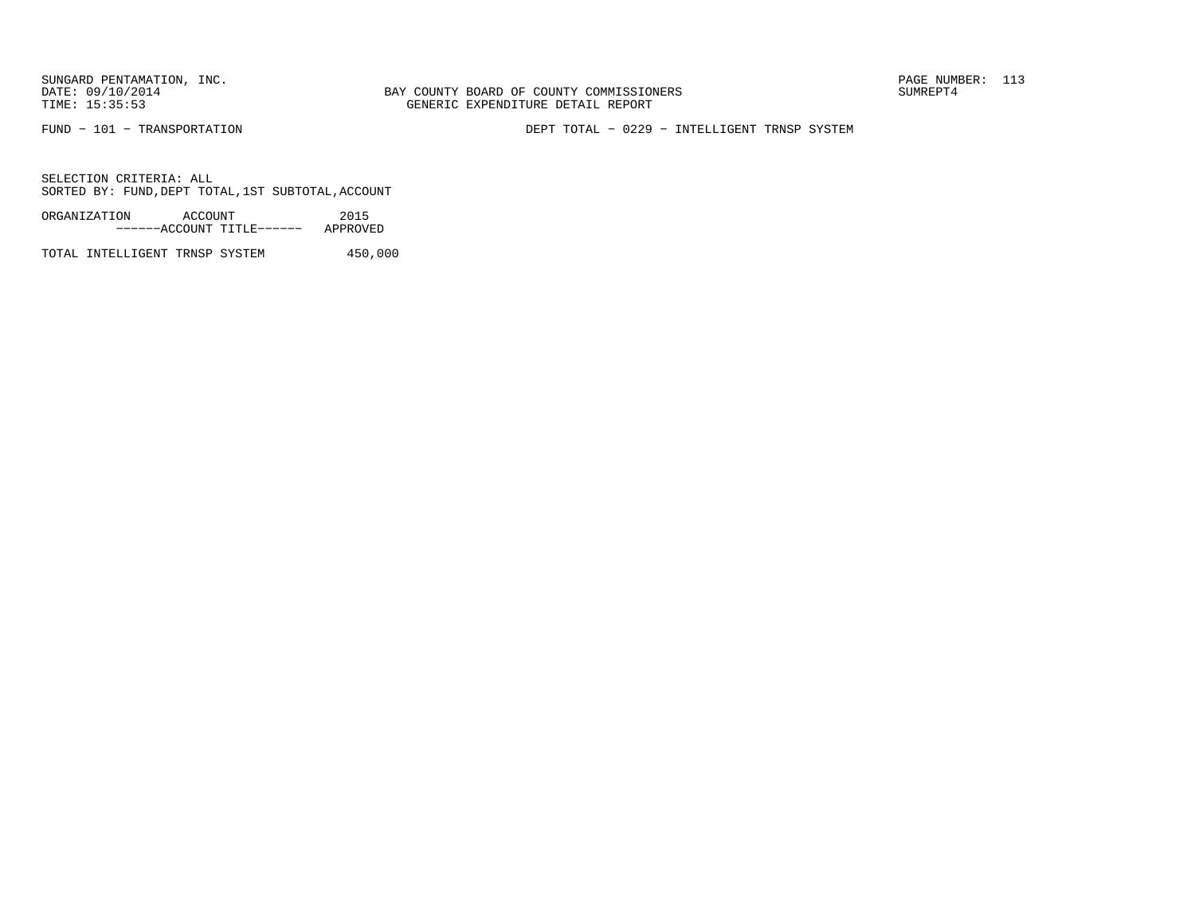BAY COUNTY BOARD OF COUNTY COMMISSIONERS TIME: 15:35:53 GENERIC EXPENDITURE DETAIL REPORT

FUND − 101 − TRANSPORTATION DEPT TOTAL − 0229 − INTELLIGENT TRNSP SYSTEM

SELECTION CRITERIA: ALLSORTED BY: FUND,DEPT TOTAL,1ST SUBTOTAL,ACCOUNT

ORGANIZATION ACCOUNT 2015−−−−−−ACCOUNT TITLE−−−−−− APPROVED

TOTAL INTELLIGENT TRNSP SYSTEM 450,000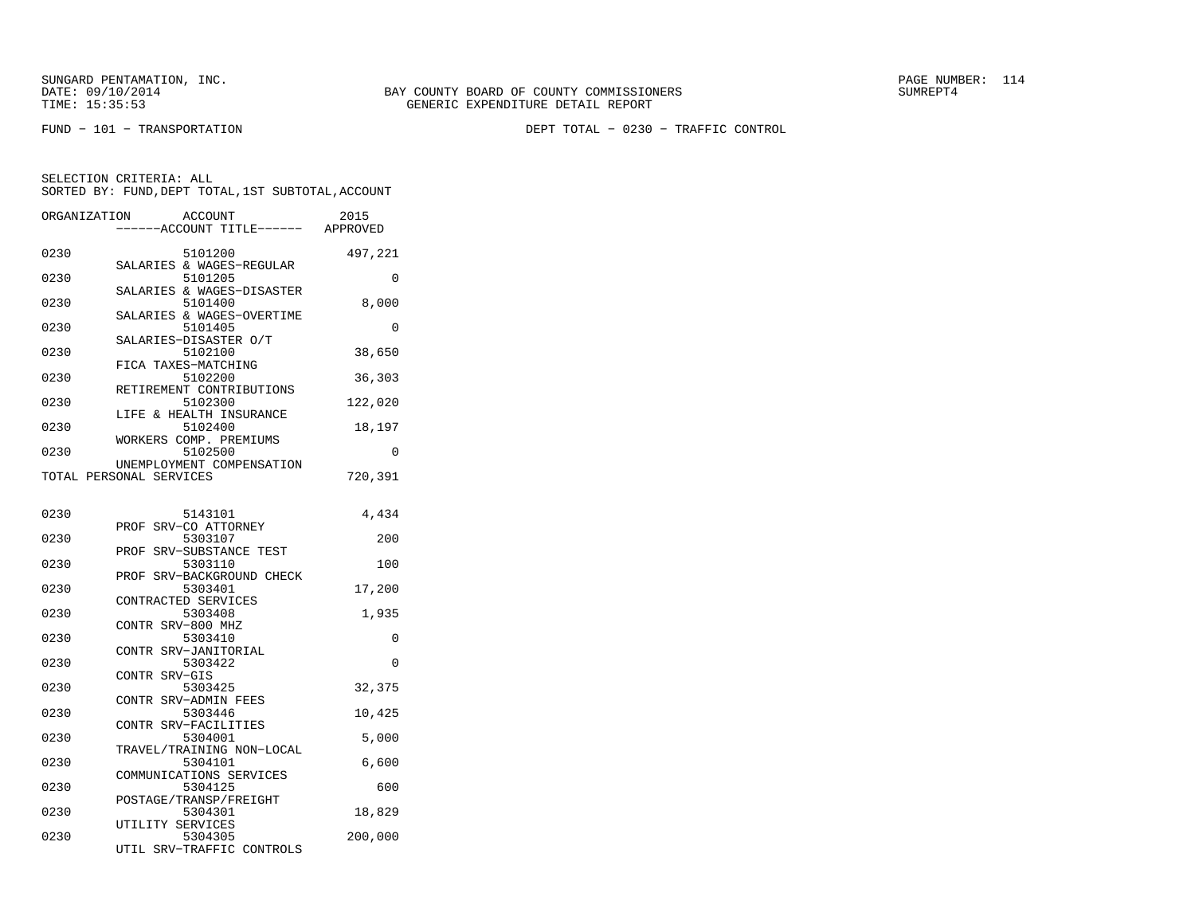FUND − 101 − TRANSPORTATION DEPT TOTAL − 0230 − TRAFFIC CONTROL

| ORGANIZATION | <b>ACCOUNT</b>                       |                        | 2015     |
|--------------|--------------------------------------|------------------------|----------|
|              |                                      | ---ACCOUNT TITLE------ | APPROVED |
| 0230         | 5101200                              |                        | 497,221  |
| 0230         | SALARIES & WAGES-REGULAR<br>5101205  |                        | 0        |
| 0230         | SALARIES & WAGES-DISASTER<br>5101400 |                        | 8,000    |
| 0230         | SALARIES & WAGES-OVERTIME<br>5101405 |                        | 0        |
| 0230         | SALARIES-DISASTER O/T<br>5102100     |                        | 38,650   |
| 0230         | FICA TAXES-MATCHING<br>5102200       |                        | 36,303   |
| 0230         | RETIREMENT CONTRIBUTIONS<br>5102300  |                        | 122,020  |
| 0230         | & HEALTH INSURANCE<br>LIFE           |                        |          |
|              | 5102400<br>WORKERS COMP. PREMIUMS    |                        | 18,197   |
| 0230         | 5102500<br>UNEMPLOYMENT COMPENSATION |                        | 0        |
|              | TOTAL PERSONAL SERVICES              |                        | 720,391  |
| 0230         | 5143101                              |                        | 4,434    |
| 0230         | PROF SRV-CO ATTORNEY<br>5303107      |                        | 200      |
|              | SRV-SUBSTANCE TEST<br>PROF           |                        |          |
| 0230         | 5303110<br>PROF SRV-BACKGROUND CHECK |                        | 100      |
| 0230         | 5303401                              |                        | 17,200   |
|              | CONTRACTED SERVICES                  |                        |          |
| 0230         | 5303408<br>CONTR SRV-800 MHZ         |                        | 1,935    |
| 0230         | 5303410                              |                        | 0        |
| 0230         | SRV-JANITORIAL<br>CONTR<br>5303422   |                        | 0        |
|              | CONTR SRV-GIS                        |                        |          |
| 0230         | 5303425<br>CONTR SRV-ADMIN FEES      |                        | 32,375   |
| 0230         | 5303446                              |                        | 10,425   |
| 0230         | CONTR SRV-FACILITIES<br>5304001      |                        | 5,000    |
| 0230         | TRAVEL/TRAINING NON-LOCAL<br>5304101 |                        | 6,600    |
| 0230         | COMMUNICATIONS SERVICES<br>5304125   |                        | 600      |
|              | POSTAGE/TRANSP/FREIGHT               |                        |          |
| 0230         | 5304301<br>UTILITY SERVICES          |                        | 18,829   |
| 0230         | 5304305<br>UTIL SRV-TRAFFIC CONTROLS |                        | 200,000  |
|              |                                      |                        |          |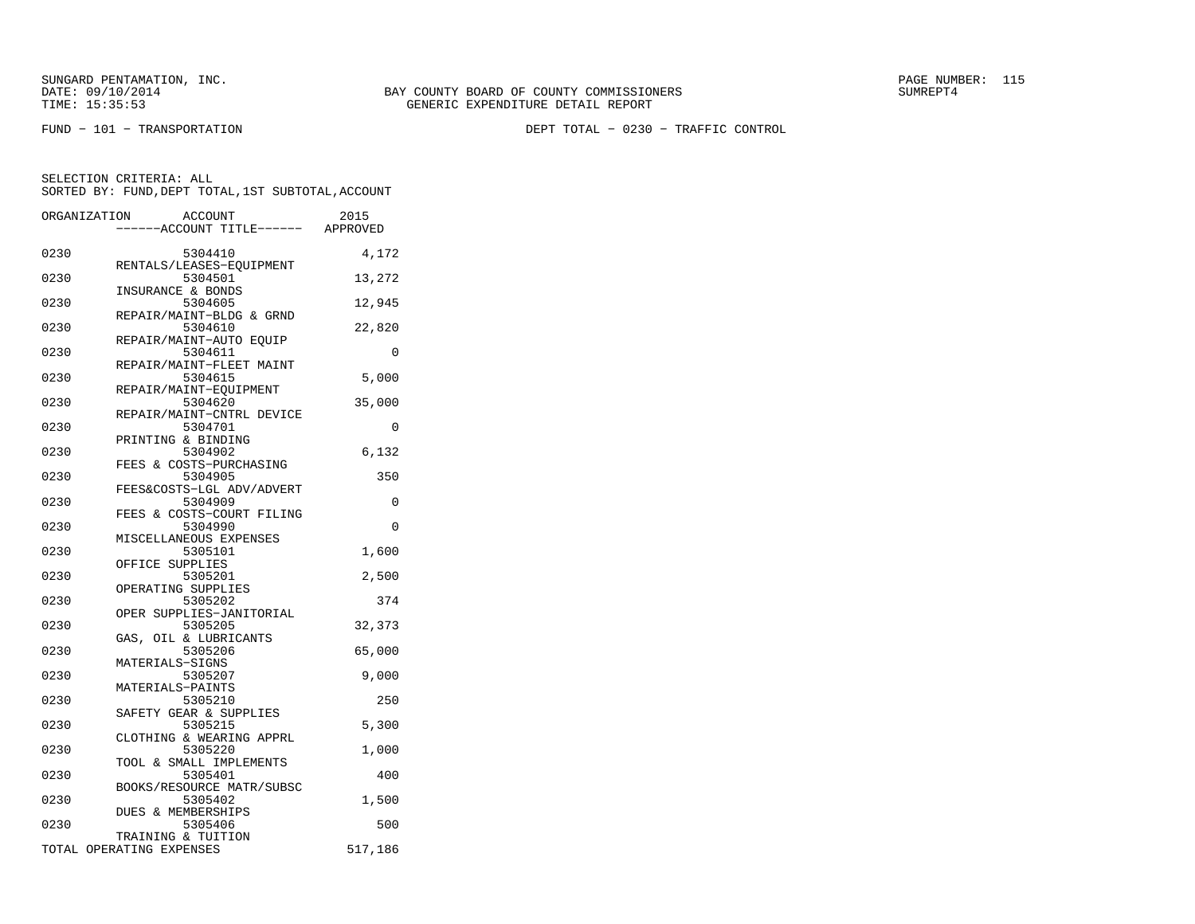SUNGARD PENTAMATION, INC.<br>
DATE: 09/10/2014 SUMREPT4

FUND − 101 − TRANSPORTATION DEPT TOTAL − 0230 − TRAFFIC CONTROL

| ORGANIZATION |                          | ACCOUNT                              | 2015     |
|--------------|--------------------------|--------------------------------------|----------|
|              |                          | ----ACCOUNT TITLE------ APPROVED     |          |
| 0230         |                          | 5304410                              | 4,172    |
|              |                          | RENTALS/LEASES-EQUIPMENT             |          |
| 0230         |                          | 5304501<br>INSURANCE & BONDS         | 13,272   |
| 0230         |                          | 5304605                              | 12,945   |
|              |                          | REPAIR/MAINT-BLDG & GRND             |          |
| 0230         |                          | 5304610                              | 22,820   |
| 0230         |                          | REPAIR/MAINT-AUTO EQUIP<br>5304611   | $\Omega$ |
|              |                          | REPAIR/MAINT-FLEET MAINT             |          |
| 0230         |                          | 5304615                              | 5,000    |
|              |                          | REPAIR/MAINT-EQUIPMENT               |          |
| 0230         |                          | 5304620<br>REPAIR/MAINT-CNTRL DEVICE | 35,000   |
| 0230         |                          | 5304701                              | 0        |
|              |                          | PRINTING & BINDING                   |          |
| 0230         |                          | 5304902                              | 6,132    |
| 0230         |                          | FEES & COSTS-PURCHASING              |          |
|              |                          | 5304905<br>FEES&COSTS-LGL ADV/ADVERT | 350      |
| 0230         |                          | 5304909                              | 0        |
|              |                          | FEES & COSTS-COURT FILING            |          |
| 0230         |                          | 5304990                              | 0        |
| 0230         |                          | MISCELLANEOUS EXPENSES<br>5305101    | 1,600    |
|              |                          | OFFICE SUPPLIES                      |          |
| 0230         |                          | 5305201                              | 2,500    |
|              |                          | OPERATING SUPPLIES                   |          |
| 0230         |                          | 5305202<br>OPER SUPPLIES-JANITORIAL  | 374      |
| 0230         |                          | 5305205                              | 32,373   |
|              |                          | GAS, OIL & LUBRICANTS                |          |
| 0230         |                          | 5305206                              | 65,000   |
| 0230         |                          | MATERIALS-SIGNS<br>5305207           | 9,000    |
|              |                          | MATERIALS-PAINTS                     |          |
| 0230         |                          | 5305210                              | 250      |
|              |                          | SAFETY GEAR & SUPPLIES               |          |
| 0230         |                          | 5305215                              | 5,300    |
| 0230         |                          | CLOTHING & WEARING APPRL<br>5305220  | 1,000    |
|              |                          | TOOL & SMALL IMPLEMENTS              |          |
| 0230         |                          | 5305401                              | 400      |
|              |                          | BOOKS/RESOURCE MATR/SUBSC            |          |
| 0230         |                          | 5305402<br>DUES & MEMBERSHIPS        | 1,500    |
| 0230         |                          | 5305406                              | 500      |
|              |                          | TRAINING & TUITION                   |          |
|              | TOTAL OPERATING EXPENSES |                                      | 517,186  |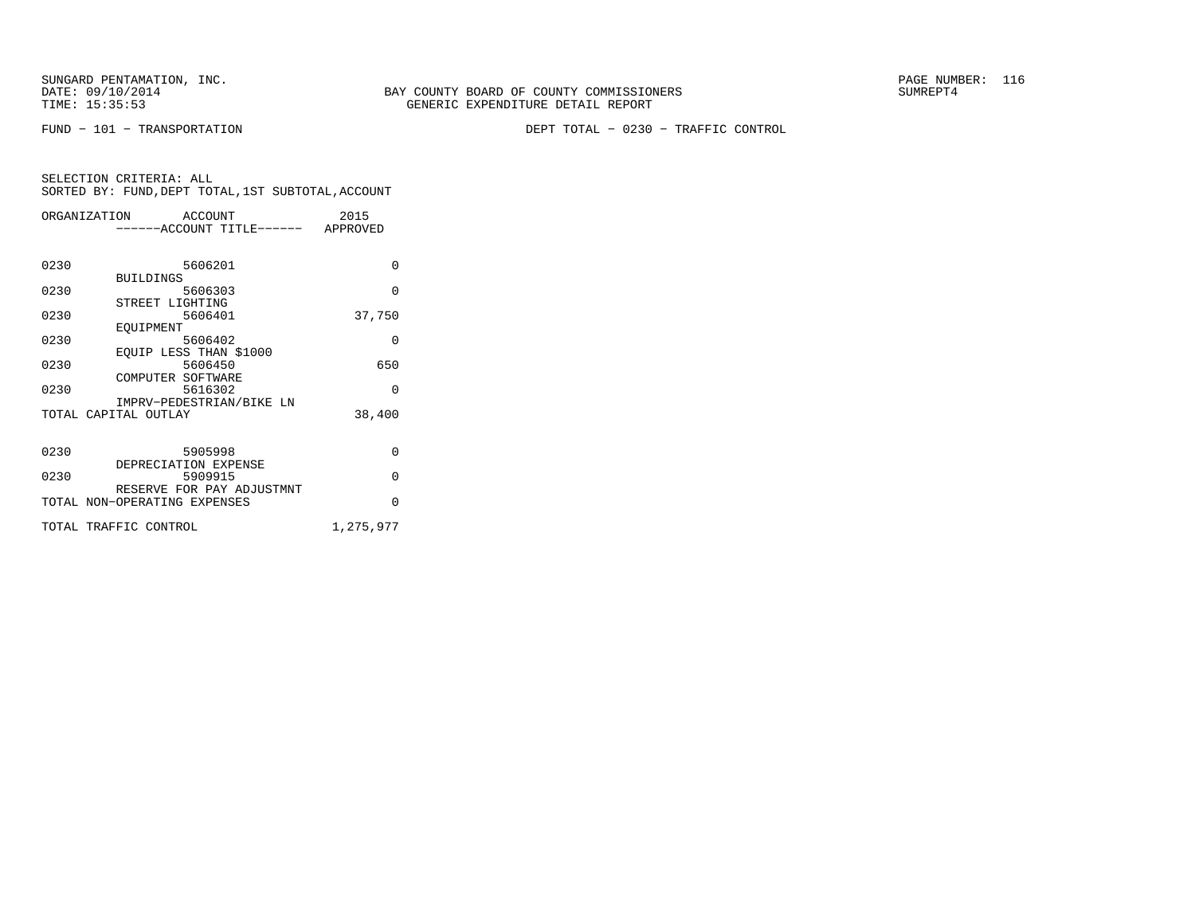SUNGARD PENTAMATION, INC.<br>DATE: 09/10/2014 SUMREPT4

FUND − 101 − TRANSPORTATION DEPT TOTAL − 0230 − TRAFFIC CONTROL

| SELECTION CRITERIA: ALL |  |  |                                                    |  |
|-------------------------|--|--|----------------------------------------------------|--|
|                         |  |  | SORTED BY: FUND, DEPT TOTAL, 1ST SUBTOTAL, ACCOUNT |  |

| ORGANIZATION ACCOUNT         | ------ACCOUNT TITLE------ APPROVED |         |  | 2015      |
|------------------------------|------------------------------------|---------|--|-----------|
|                              |                                    |         |  |           |
| 0230                         |                                    | 5606201 |  | $\Omega$  |
| 0230                         | <b>BUILDINGS</b>                   | 5606303 |  | $\Omega$  |
| 0230                         | STREET LIGHTING                    | 5606401 |  | 37,750    |
| 0230                         | EOUIPMENT                          | 5606402 |  | $\Omega$  |
| 0230                         | EQUIP LESS THAN \$1000             | 5606450 |  | 650       |
| 0230                         | COMPUTER SOFTWARE                  | 5616302 |  | $\Omega$  |
|                              | IMPRV-PEDESTRIAN/BIKE LN           |         |  |           |
| TOTAL CAPITAL OUTLAY         |                                    |         |  | 38,400    |
| 0230                         |                                    | 5905998 |  | 0         |
| 0230                         | DEPRECIATION EXPENSE               | 5909915 |  | $\Omega$  |
| TOTAL NON-OPERATING EXPENSES | RESERVE FOR PAY ADJUSTMNT          |         |  | $\Omega$  |
| TOTAL TRAFFIC CONTROL        |                                    |         |  | 1,275,977 |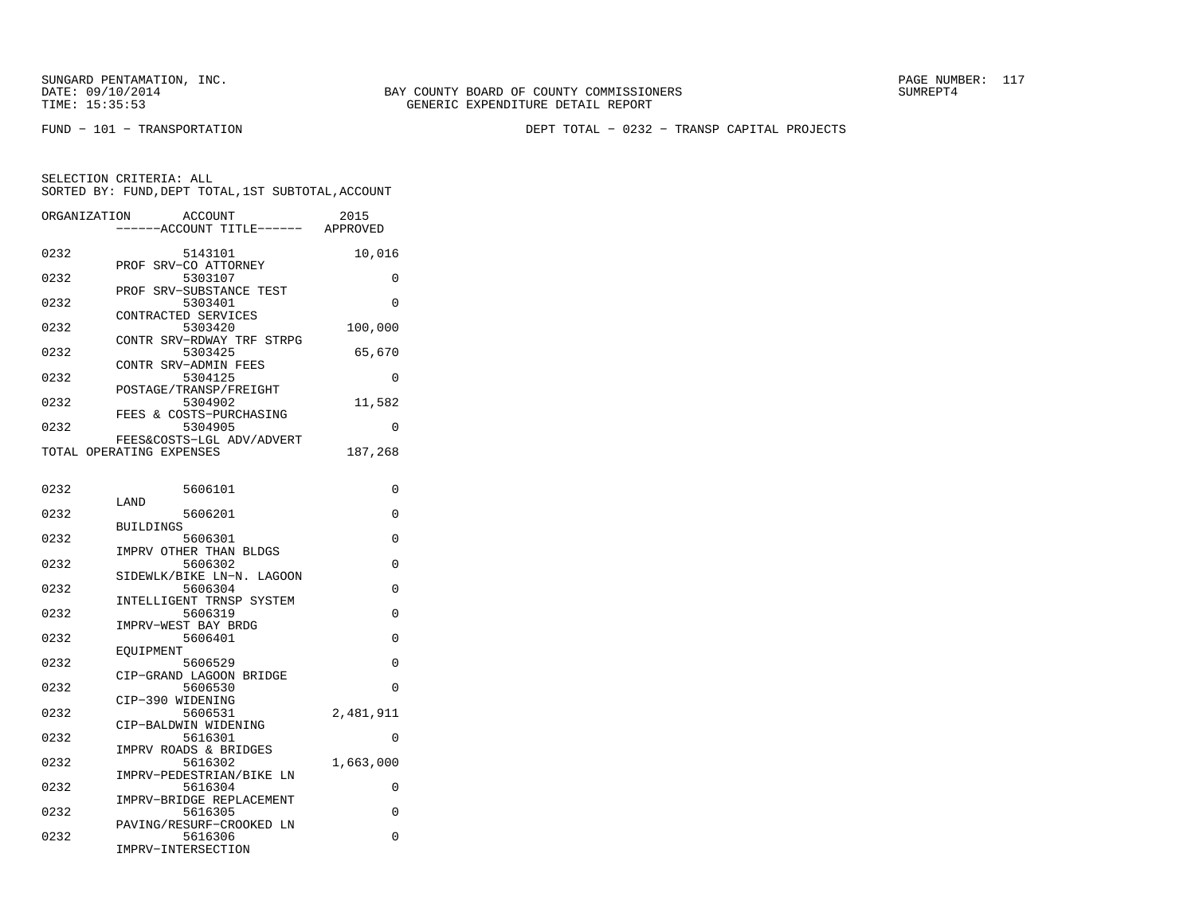FUND − 101 − TRANSPORTATION DEPT TOTAL − 0232 − TRANSP CAPITAL PROJECTS

| ORGANIZATION | ACCOUNT<br>-----ACCOUNT TITLE------ | 2015<br>APPROVED |
|--------------|-------------------------------------|------------------|
|              |                                     |                  |
| 0232         | 5143101                             | 10,016           |
|              | PROF SRV-CO ATTORNEY                |                  |
| 0232         | 5303107                             | 0                |
| 0232         | PROF SRV-SUBSTANCE TEST<br>5303401  | 0                |
|              | CONTRACTED SERVICES                 |                  |
| 0232         | 5303420                             | 100,000          |
|              | CONTR SRV-RDWAY TRF STRPG           |                  |
| 0232         | 5303425                             | 65,670           |
|              | CONTR SRV-ADMIN FEES                |                  |
| 0232         | 5304125                             | 0                |
|              | POSTAGE/TRANSP/FREIGHT              |                  |
| 0232         | 5304902<br>FEES & COSTS-PURCHASING  | 11,582           |
| 0232         | 5304905                             | 0                |
|              | FEES&COSTS-LGL ADV/ADVERT           |                  |
|              | TOTAL OPERATING EXPENSES            | 187,268          |
|              |                                     |                  |
|              |                                     |                  |
| 0232         | 5606101                             | 0                |
|              | LAND                                |                  |
| 0232         | 5606201                             | 0                |
| 0232         | <b>BUILDINGS</b><br>5606301         | 0                |
|              | IMPRV OTHER THAN BLDGS              |                  |
| 0232         | 5606302                             | 0                |
|              | SIDEWLK/BIKE LN-N. LAGOON           |                  |
| 0232         | 5606304                             | 0                |
|              | INTELLIGENT TRNSP SYSTEM            |                  |
| 0232         | 5606319                             | $\Omega$         |
|              | IMPRV-WEST BAY BRDG                 |                  |
| 0232         | 5606401                             | 0                |
| 0232         | EQUIPMENT<br>5606529                | $\Omega$         |
|              | CIP-GRAND LAGOON BRIDGE             |                  |
| 0232         | 5606530                             | 0                |
|              | CIP-390 WIDENING                    |                  |
| 0232         | 5606531                             | 2,481,911        |
|              | CIP-BALDWIN WIDENING                |                  |
| 0232         | 5616301                             | 0                |
|              | IMPRV ROADS & BRIDGES               |                  |
| 0232         | 5616302<br>IMPRV-PEDESTRIAN/BIKE LN | 1,663,000        |
| 0232         | 5616304                             | 0                |
|              | IMPRV-BRIDGE REPLACEMENT            |                  |
| 0232         | 5616305                             | 0                |
|              | PAVING/RESURF-CROOKED LN            |                  |
| 0232         | 5616306                             | 0                |
|              | IMPRV-INTERSECTION                  |                  |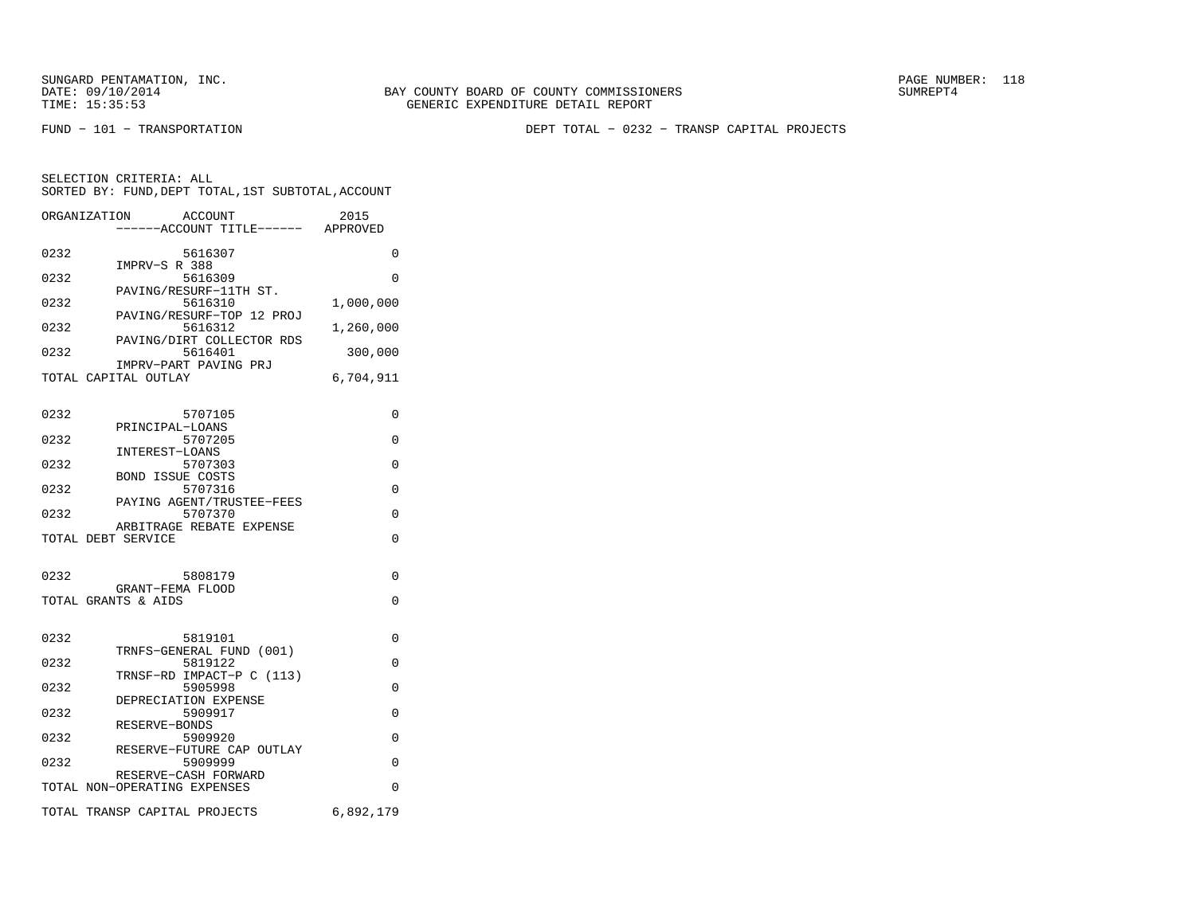SELECTION CRITERIA: ALL

FUND − 101 − TRANSPORTATION DEPT TOTAL − 0232 − TRANSP CAPITAL PROJECTS

| ORGANIZATION         | ACCOUNT                   |  | 2015      |  |
|----------------------|---------------------------|--|-----------|--|
|                      | ------ACCOUNT TITLE------ |  | APPROVED  |  |
| 0232                 | 5616307                   |  | O         |  |
|                      | IMPRV-S R 388             |  |           |  |
| 0232                 | 5616309                   |  | 0         |  |
|                      | PAVING/RESURF-11TH ST.    |  |           |  |
| 0232                 | 5616310                   |  | 1,000,000 |  |
|                      | PAVING/RESURF-TOP 12 PROJ |  |           |  |
| 0232                 | 5616312                   |  | 1,260,000 |  |
|                      | PAVING/DIRT COLLECTOR RDS |  |           |  |
| 0232                 | 5616401                   |  | 300,000   |  |
|                      | IMPRV-PART PAVING PRJ     |  |           |  |
| TOTAL CAPITAL OUTLAY |                           |  | 6,704,911 |  |
|                      |                           |  |           |  |
|                      |                           |  |           |  |

SORTED BY: FUND,DEPT TOTAL,1ST SUBTOTAL,ACCOUNT

| 0232 | 5707105                                        | $\Omega$  |
|------|------------------------------------------------|-----------|
| 0232 | PRINCIPAL-LOANS<br>5707205                     | $\Omega$  |
| 0232 | INTEREST-LOANS<br>5707303                      | $\Omega$  |
| 0232 | <b>BOND ISSUE COSTS</b><br>5707316             | $\Omega$  |
| 0232 | PAYING AGENT/TRUSTEE-FEES<br>5707370           | $\Omega$  |
|      | ARBITRAGE REBATE EXPENSE<br>TOTAL DEBT SERVICE | $\Omega$  |
|      |                                                |           |
| 0232 | 5808179                                        | $\Omega$  |
|      | GRANT-FEMA FLOOD<br>TOTAL GRANTS & AIDS        | $\Omega$  |
|      |                                                |           |
| 0232 | 5819101                                        | $\Omega$  |
| 0232 | TRNFS-GENERAL FUND (001)<br>5819122            | $\Omega$  |
| 0232 | TRNSF-RD IMPACT-P C (113)<br>5905998           | $\Omega$  |
| 0232 | DEPRECIATION EXPENSE<br>5909917                | $\Omega$  |
| 0232 | RESERVE-BONDS<br>5909920                       | $\Omega$  |
| 0232 | RESERVE-FUTURE CAP OUTLAY<br>5909999           | $\Omega$  |
|      | RESERVE-CASH FORWARD                           |           |
|      | TOTAL NON-OPERATING EXPENSES                   | $\Omega$  |
|      | TOTAL TRANSP CAPITAL PROJECTS                  | 6,892,179 |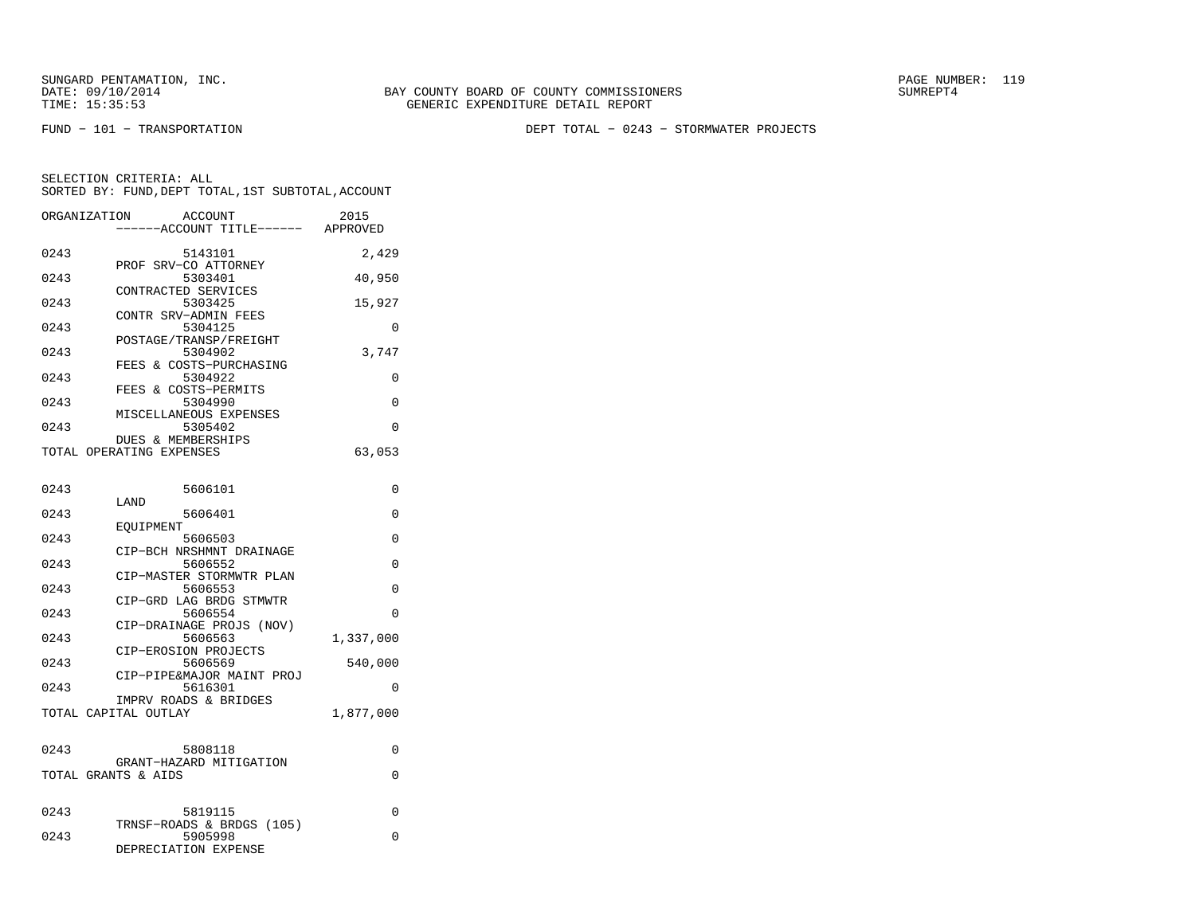FUND − 101 − TRANSPORTATION DEPT TOTAL − 0243 − STORMWATER PROJECTS

| ORGANIZATION | ACCOUNT<br>---ACCOUNT TITLE------                              | 2015<br>APPROVED |
|--------------|----------------------------------------------------------------|------------------|
| 0243         | 5143101<br>PROF SRV-CO ATTORNEY                                | 2,429            |
| 0243         | 5303401<br>CONTRACTED SERVICES                                 | 40,950           |
| 0243         | 5303425<br>CONTR SRV-ADMIN FEES                                | 15,927           |
| 0243         | 5304125<br>POSTAGE/TRANSP/FREIGHT                              | 0                |
| 0243         | 5304902<br>FEES & COSTS-PURCHASING                             | 3,747            |
| 0243         | 5304922<br>FEES & COSTS-PERMITS                                | 0                |
| 0243         | 5304990<br>MISCELLANEOUS EXPENSES                              | $\Omega$         |
| 0243         | 5305402<br>DUES & MEMBERSHIPS                                  | 0                |
|              | TOTAL OPERATING EXPENSES                                       | 63,053           |
| 0243         | 5606101                                                        | 0                |
| 0243         | LAND<br>5606401                                                | 0                |
| 0243         | EOUIPMENT<br>5606503                                           | 0                |
| 0243         | CIP-BCH NRSHMNT DRAINAGE<br>5606552                            | 0                |
| 0243         | CIP-MASTER STORMWTR PLAN<br>5606553                            | 0                |
| 0243         | CIP-GRD LAG BRDG STMWTR<br>5606554<br>CIP-DRAINAGE PROJS (NOV) | 0                |
| 0243         | 5606563<br>CIP-EROSION PROJECTS                                | 1,337,000        |
| 0243         | 5606569<br>CIP-PIPE&MAJOR MAINT PROJ                           | 540,000          |
| 0243         | 5616301<br>IMPRV ROADS & BRIDGES                               | 0                |
|              | TOTAL CAPITAL OUTLAY                                           | 1,877,000        |
| 0243         | 5808118                                                        | 0                |
|              | GRANT-HAZARD MITIGATION<br>TOTAL GRANTS & AIDS                 | 0                |
|              |                                                                |                  |
| 0243         | 5819115<br>TRNSF-ROADS & BRDGS (105)                           | 0                |
| 0243         | 5905998<br>DEPRECIATION EXPENSE                                | 0                |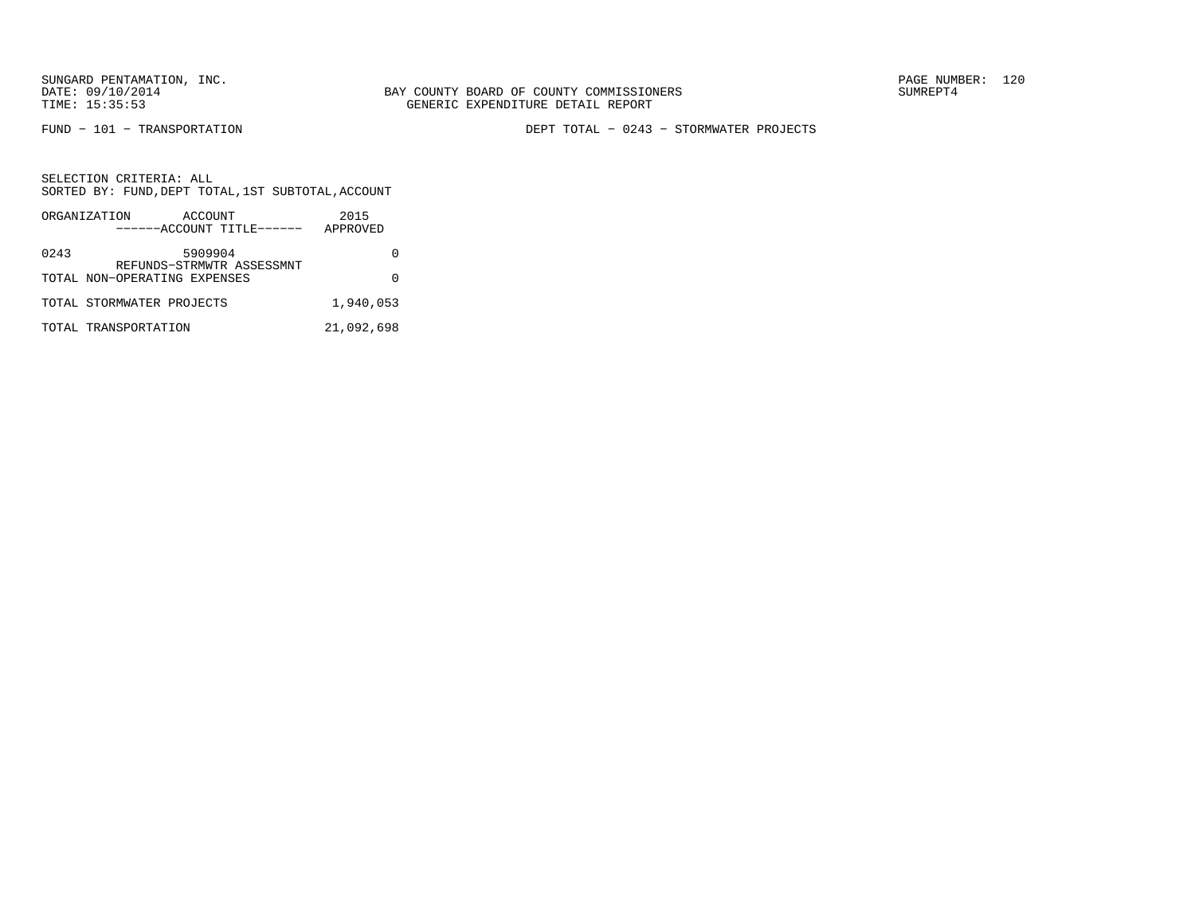FUND − 101 − TRANSPORTATION DEPT TOTAL − 0243 − STORMWATER PROJECTS

|      | ORGANIZATION<br>ACCOUNT<br>------ACCOUNT TITLE------ | 2015<br>APPROVED |
|------|------------------------------------------------------|------------------|
| 0243 | 5909904<br>REFUNDS-STRMWTR ASSESSMNT                 |                  |
|      | TOTAL NON-OPERATING EXPENSES                         |                  |
|      | TOTAL STORMWATER PROJECTS                            | 1,940,053        |
|      | TOTAL TRANSPORTATION                                 | 21,092,698       |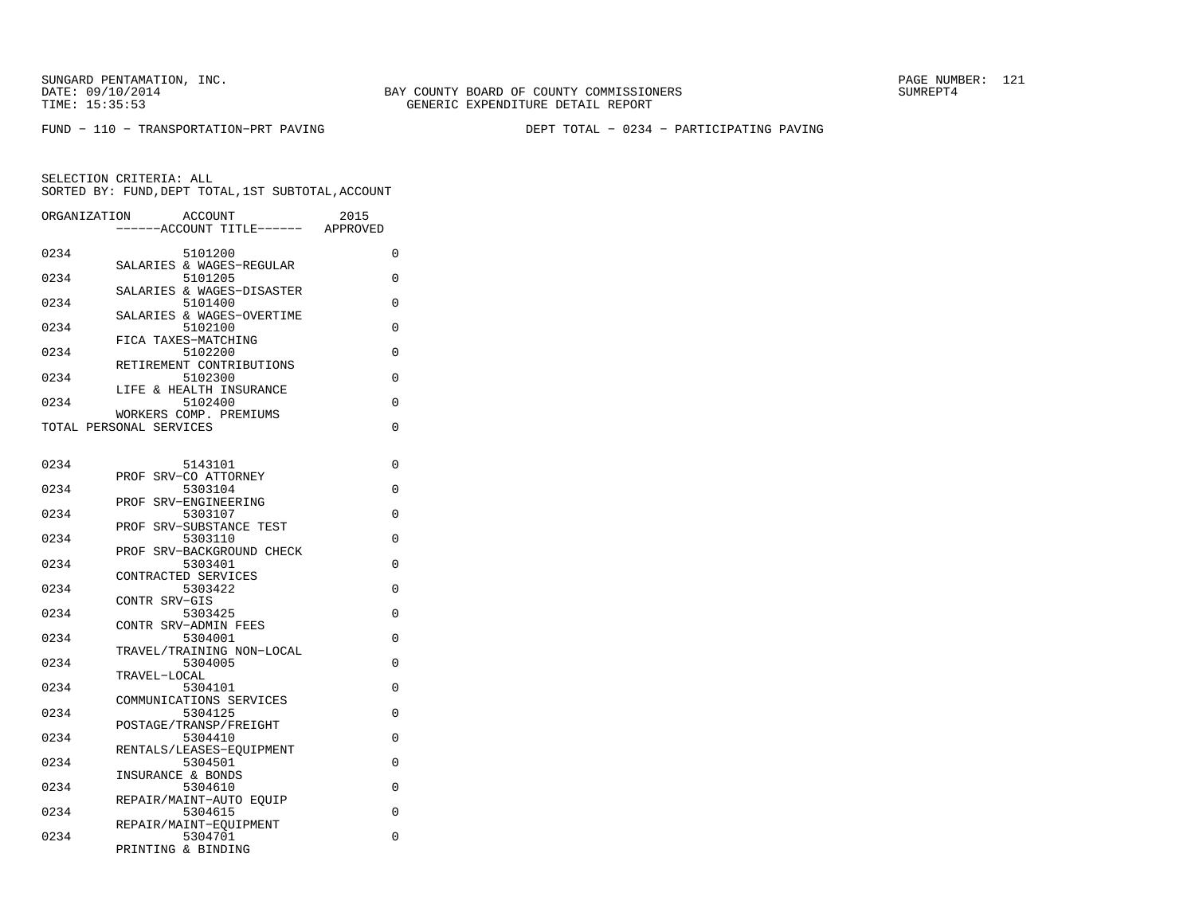FUND − 110 − TRANSPORTATION−PRT PAVING DEPT TOTAL − 0234 − PARTICIPATING PAVING

| ORGANIZATION | ACCOUNT<br>---ACCOUNT TITLE------                 | 2015<br>APPROVED |
|--------------|---------------------------------------------------|------------------|
| 0234         | 5101200                                           | 0                |
| 0234         | SALARIES & WAGES-REGULAR<br>5101205               | 0                |
| 0234         | SALARIES & WAGES-DISASTER<br>5101400              | 0                |
| 0234         | SALARIES & WAGES-OVERTIME<br>5102100              | 0                |
| 0234         | FICA TAXES-MATCHING<br>5102200                    | 0                |
| 0234         | RETIREMENT CONTRIBUTIONS<br>5102300               | 0                |
| 0234         | LIFE & HEALTH INSURANCE<br>5102400                | 0                |
|              | WORKERS COMP. PREMIUMS<br>TOTAL PERSONAL SERVICES | $\Omega$         |
|              |                                                   |                  |
| 0234         | 5143101                                           | 0                |
| 0234         | PROF SRV-CO ATTORNEY<br>5303104                   | 0                |
| 0234         | PROF SRV-ENGINEERING<br>5303107                   | 0                |
| 0234         | PROF SRV-SUBSTANCE TEST<br>5303110                | 0                |
| 0234         | PROF SRV-BACKGROUND CHECK<br>5303401              | 0                |
| 0234         | CONTRACTED SERVICES<br>5303422                    | 0                |
|              | CONTR SRV-GIS                                     |                  |
| 0234         | 5303425<br>CONTR SRV-ADMIN FEES                   | 0                |
| 0234         | 5304001<br>TRAVEL/TRAINING NON-LOCAL              | 0                |
| 0234         | 5304005<br>TRAVEL-LOCAL                           | 0                |
| 0234         | 5304101<br>COMMUNICATIONS SERVICES                | 0                |
| 0234         | 5304125<br>POSTAGE/TRANSP/FREIGHT                 | 0                |
| 0234         | 5304410                                           | 0                |
| 0234         | RENTALS/LEASES-EQUIPMENT<br>5304501               | 0                |
| 0234         | INSURANCE & BONDS<br>5304610                      | 0                |
| 0234         | REPAIR/MAINT-AUTO EOUIP<br>5304615                | 0                |
| 0234         | REPAIR/MAINT-EQUIPMENT<br>5304701                 | 0                |
|              | PRINTING & BINDING                                |                  |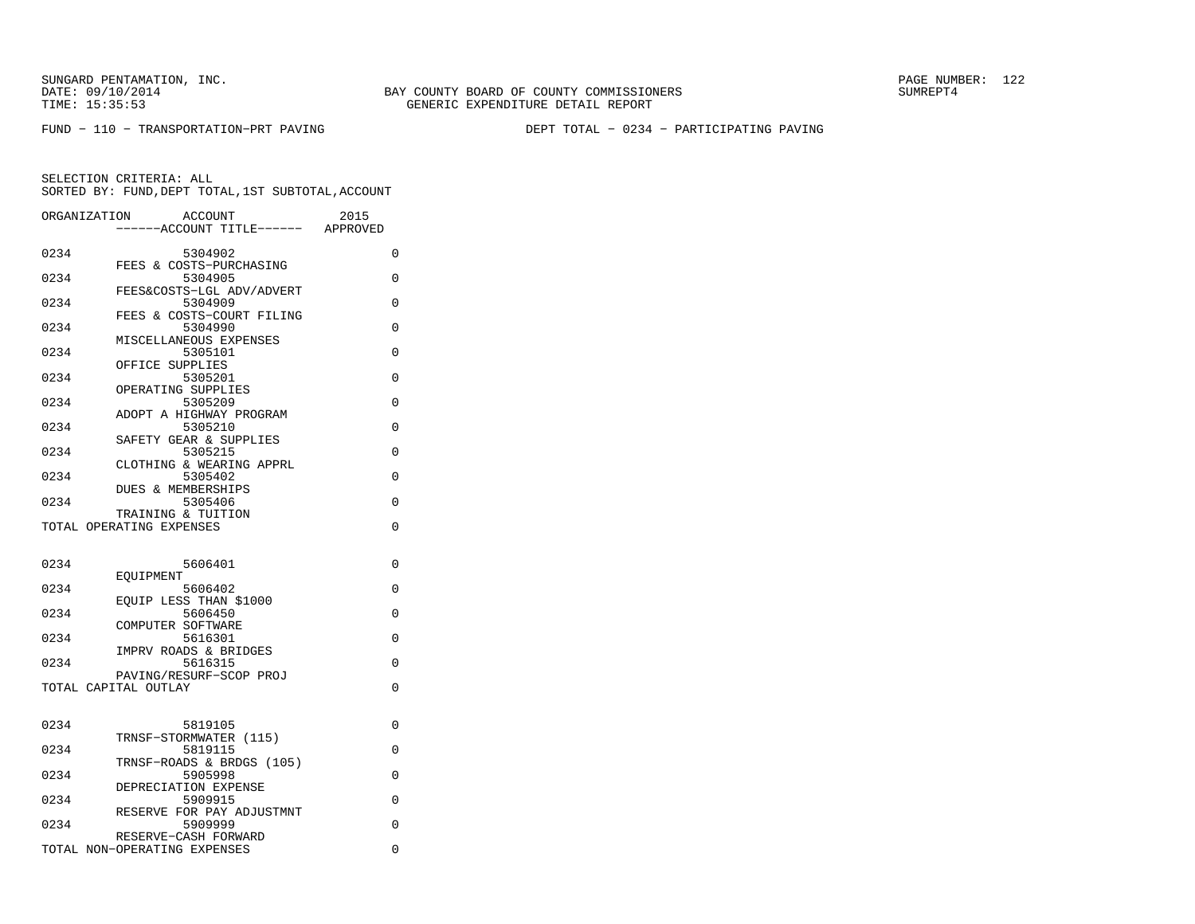FUND − 110 − TRANSPORTATION−PRT PAVING DEPT TOTAL − 0234 − PARTICIPATING PAVING

| ORGANIZATION | <b>ACCOUNT</b>                       | 2015     |
|--------------|--------------------------------------|----------|
|              | ---ACCOUNT TITLE------ APPROVED      |          |
| 0234         | 5304902                              | 0        |
| 0234         | FEES & COSTS-PURCHASING<br>5304905   | 0        |
|              | FEES&COSTS-LGL ADV/ADVERT            |          |
| 0234         | 5304909                              | 0        |
| 0234         | FEES & COSTS-COURT FILING<br>5304990 | $\Omega$ |
|              | MISCELLANEOUS EXPENSES               |          |
| 0234         | 5305101<br>OFFICE SUPPLIES           | $\Omega$ |
| 0234         | 5305201                              | 0        |
|              | OPERATING SUPPLIES                   |          |
| 0234         | 5305209<br>ADOPT A HIGHWAY PROGRAM   | $\Omega$ |
| 0234         | 5305210                              | 0        |
| 0234         | SAFETY GEAR & SUPPLIES<br>5305215    | $\Omega$ |
|              | CLOTHING & WEARING APPRL             |          |
| 0234         | 5305402                              | $\Omega$ |
| 0234         | DUES & MEMBERSHIPS<br>5305406        | 0        |
|              | TRAINING & TUITION                   |          |
|              | TOTAL OPERATING EXPENSES             | $\Omega$ |
|              |                                      |          |
| 0234         | 5606401                              | 0        |
| 0234         | EOUIPMENT<br>5606402                 | $\Omega$ |
|              | EOUIP LESS THAN \$1000               |          |
| 0234         | 5606450<br>COMPUTER SOFTWARE         | $\Omega$ |
| 0234         | 5616301                              | 0        |
| 0234         | IMPRV ROADS & BRIDGES                |          |
|              | 5616315<br>PAVING/RESURF-SCOP PROJ   | $\Omega$ |
|              | TOTAL CAPITAL OUTLAY                 | $\Omega$ |
|              |                                      |          |
| 0234         | 5819105                              | 0        |
| 0234         | TRNSF-STORMWATER (115)<br>5819115    | 0        |
|              | TRNSF-ROADS & BRDGS (105)            |          |
| 0234         | 5905998                              | 0        |
| 0234         | DEPRECIATION EXPENSE<br>5909915      | 0        |
|              | RESERVE FOR PAY ADJUSTMNT            |          |
| 0234         | 5909999<br>RESERVE-CASH FORWARD      | 0        |
|              | TOTAL NON-OPERATING EXPENSES         | 0        |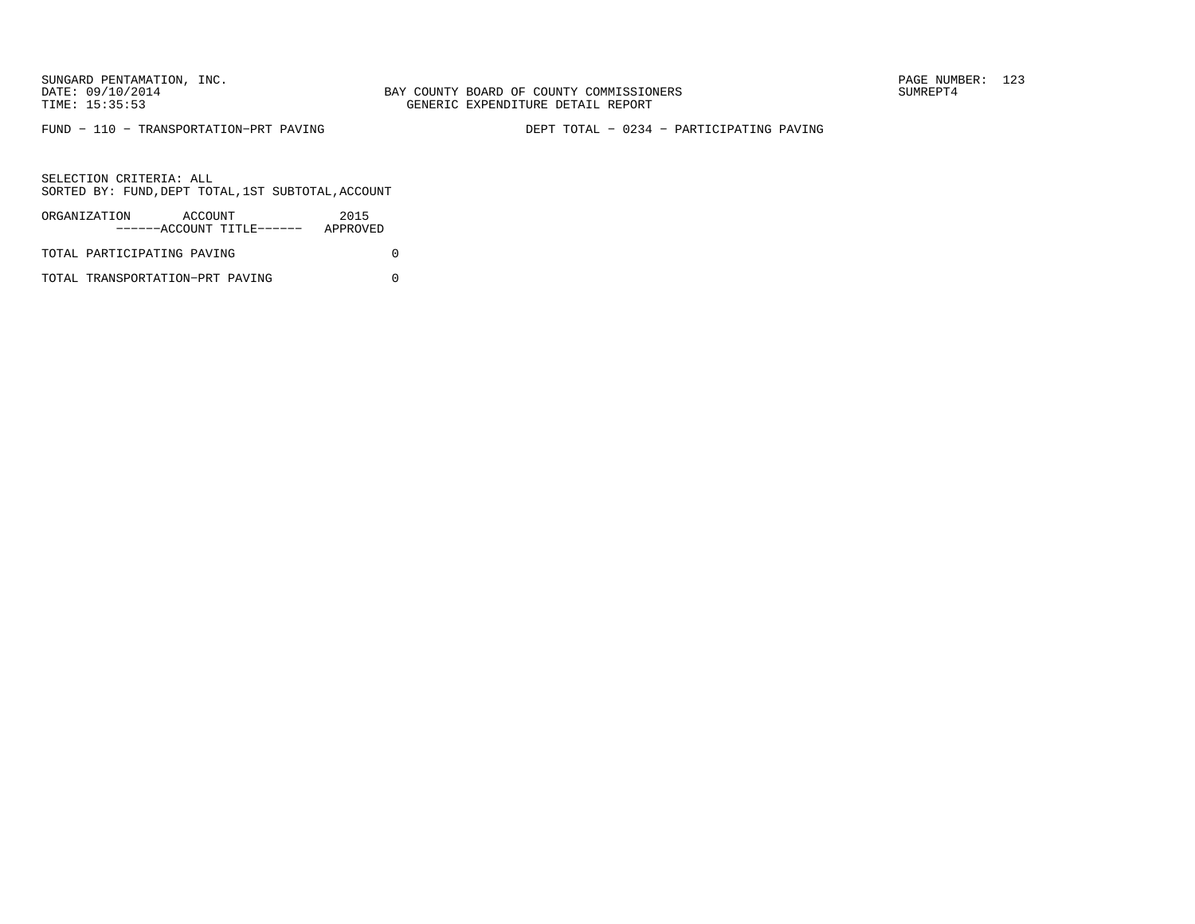BAY COUNTY BOARD OF COUNTY COMMISSIONERS TIME: 15:35:53 GENERIC EXPENDITURE DETAIL REPORT

FUND − 110 − TRANSPORTATION−PRT PAVING DEPT TOTAL − 0234 − PARTICIPATING PAVING

SELECTION CRITERIA: ALLSORTED BY: FUND,DEPT TOTAL,1ST SUBTOTAL,ACCOUNT

| ORGANIZATION               | ACCOUNT | ------ACCOUNT TITLE------ | 2015<br>APPROVED |  |
|----------------------------|---------|---------------------------|------------------|--|
| TOTAL PARTICIPATING PAVING |         |                           |                  |  |

TOTAL TRANSPORTATION−PRT PAVING 0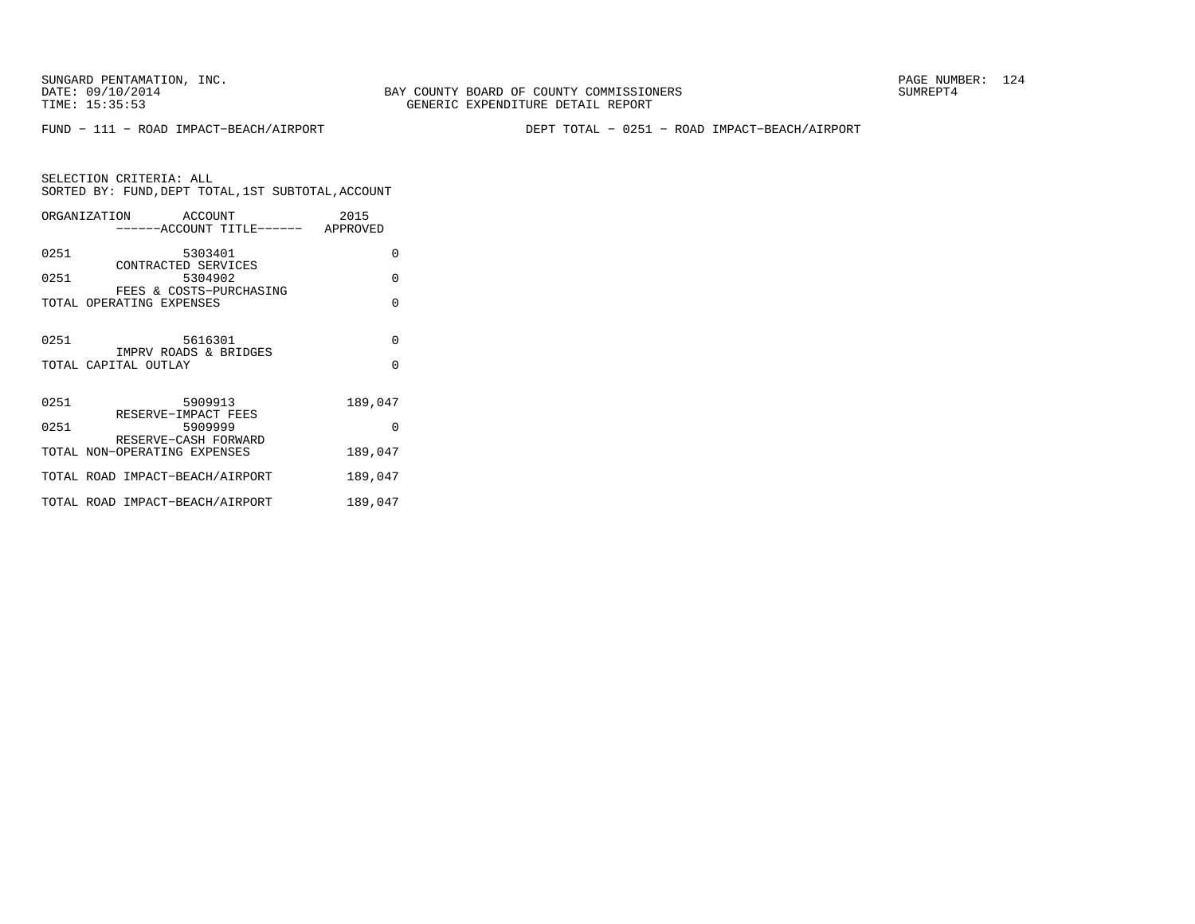FUND − 111 − ROAD IMPACT−BEACH/AIRPORT DEPT TOTAL − 0251 − ROAD IMPACT−BEACH/AIRPORT

SELECTION CRITERIA: ALL SORTED BY: FUND,DEPT TOTAL,1ST SUBTOTAL,ACCOUNTORGANIZATION ACCOUNT 2015 −−−−−−ACCOUNT TITLE−−−−−− APPROVED0251 5303401 0

| 0251         | CONTRACTED SERVICES<br>5304902                           | O             |
|--------------|----------------------------------------------------------|---------------|
|              | FEES & COSTS-PURCHASING<br>TOTAL OPERATING EXPENSES      | U             |
| 0251         | 5616301<br>IMPRV ROADS & BRIDGES<br>TOTAL CAPITAL OUTLAY | $\Omega$<br>O |
|              |                                                          |               |
| 0251<br>0251 | 5909913<br>RESERVE-IMPACT FEES<br>5909999                | 189,047<br>O  |
|              | RESERVE-CASH FORWARD<br>TOTAL NON-OPERATING EXPENSES     | 189,047       |
|              | TOTAL ROAD IMPACT-BEACH/AIRPORT                          | 189,047       |
|              | TOTAL ROAD IMPACT-BEACH/AIRPORT                          | 189,047       |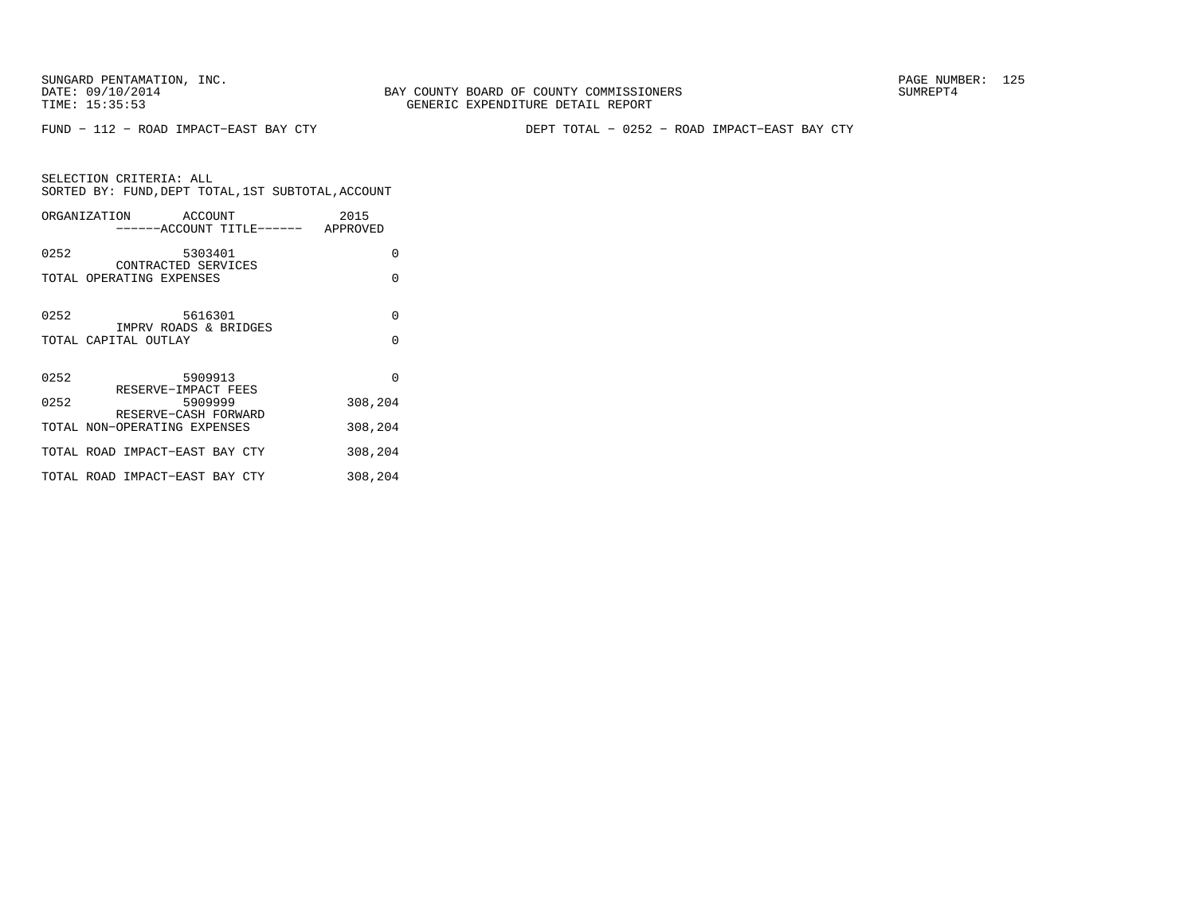SUNGARD PENTAMATION, INC.<br>DATE: 09/10/2014 SUMREPT4

FUND − 112 − ROAD IMPACT−EAST BAY CTY DEPT TOTAL − 0252 − ROAD IMPACT−EAST BAY CTY

| SELECTION CRITERIA: ALL |                                                    |
|-------------------------|----------------------------------------------------|
|                         | SORTED BY: FUND, DEPT TOTAL, 1ST SUBTOTAL, ACCOUNT |

|      | ORGANIZATION ACCOUNT<br>------ACCOUNT TITLE------ APPROVED | 2015     |
|------|------------------------------------------------------------|----------|
| 0252 | 5303401                                                    | 0        |
|      | CONTRACTED SERVICES<br>TOTAL OPERATING EXPENSES            | $\Omega$ |
| 0252 | 5616301<br>IMPRV ROADS & BRIDGES                           | $\Omega$ |
|      | TOTAL CAPITAL OUTLAY                                       | $\Omega$ |
| 0252 | 5909913<br>RESERVE-IMPACT FEES                             | $\Omega$ |
| 0252 | 5909999<br>RESERVE-CASH FORWARD                            | 308,204  |
|      | TOTAL NON-OPERATING EXPENSES                               | 308,204  |
|      | TOTAL ROAD IMPACT-EAST BAY CTY                             | 308,204  |
|      | TOTAL ROAD IMPACT-EAST BAY CTY                             | 308,204  |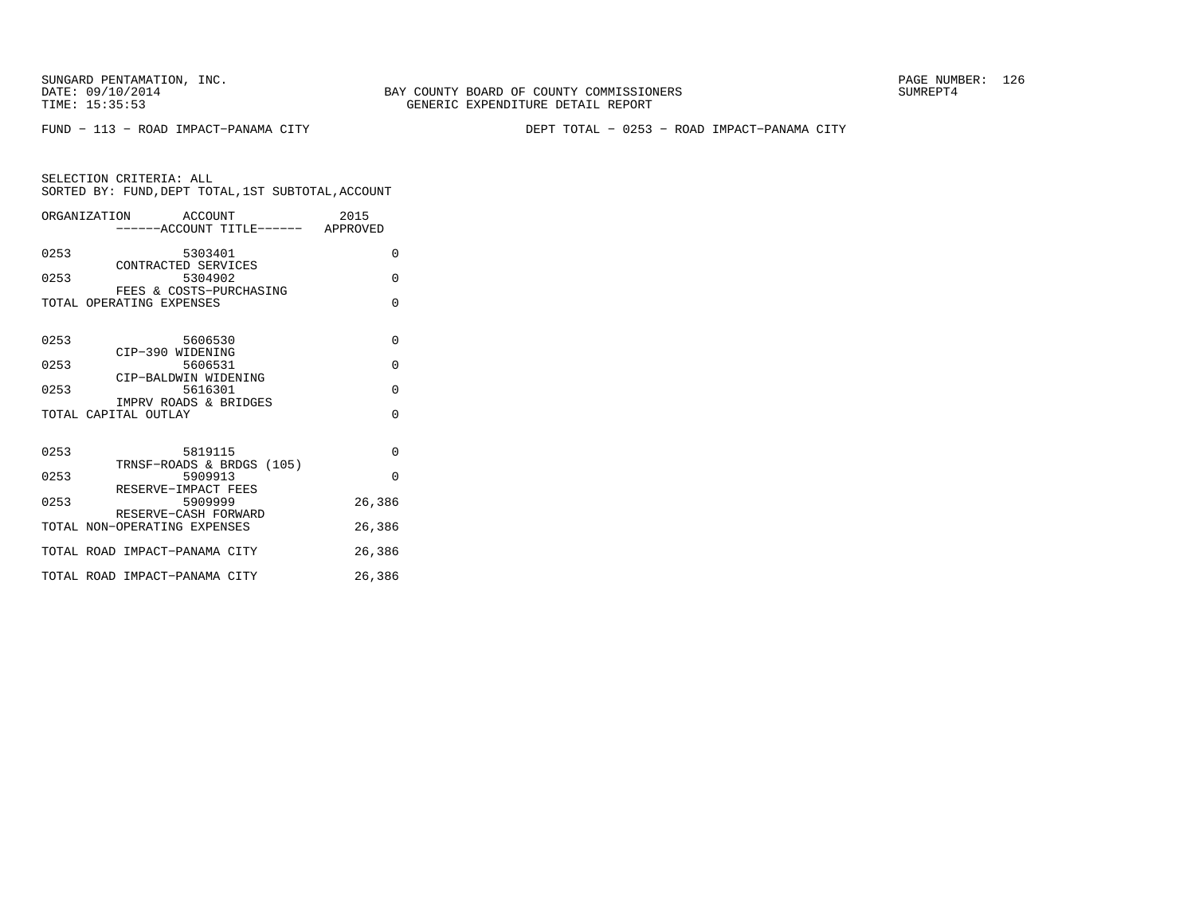FUND − 113 − ROAD IMPACT−PANAMA CITY DEPT TOTAL − 0253 − ROAD IMPACT−PANAMA CITY

| ORGANIZATION ACCOUNT<br>-----ACCOUNT TITLE------ APPROVED | 2015     |
|-----------------------------------------------------------|----------|
| 0253<br>5303401<br>CONTRACTED SERVICES                    | 0        |
| 0253<br>5304902<br>FEES & COSTS-PURCHASING                | $\Omega$ |
| TOTAL OPERATING EXPENSES                                  | $\Omega$ |
| 0253<br>5606530<br>CIP-390 WIDENING                       | $\Omega$ |
| 0253<br>5606531<br>CIP-BALDWIN WIDENING                   | $\Omega$ |
| 0253<br>5616301<br>IMPRV ROADS & BRIDGES                  | $\Omega$ |
| TOTAL CAPITAL OUTLAY                                      | $\Omega$ |
| 0253<br>5819115<br>TRNSF-ROADS & BRDGS (105)              | $\Omega$ |
| 0253<br>5909913<br>RESERVE-IMPACT FEES                    | $\Omega$ |
| 0253<br>5909999<br>RESERVE-CASH FORWARD                   | 26,386   |
| TOTAL NON-OPERATING EXPENSES                              | 26,386   |
| TOTAL ROAD IMPACT-PANAMA CITY                             | 26,386   |
| TOTAL ROAD IMPACT-PANAMA CITY                             | 26,386   |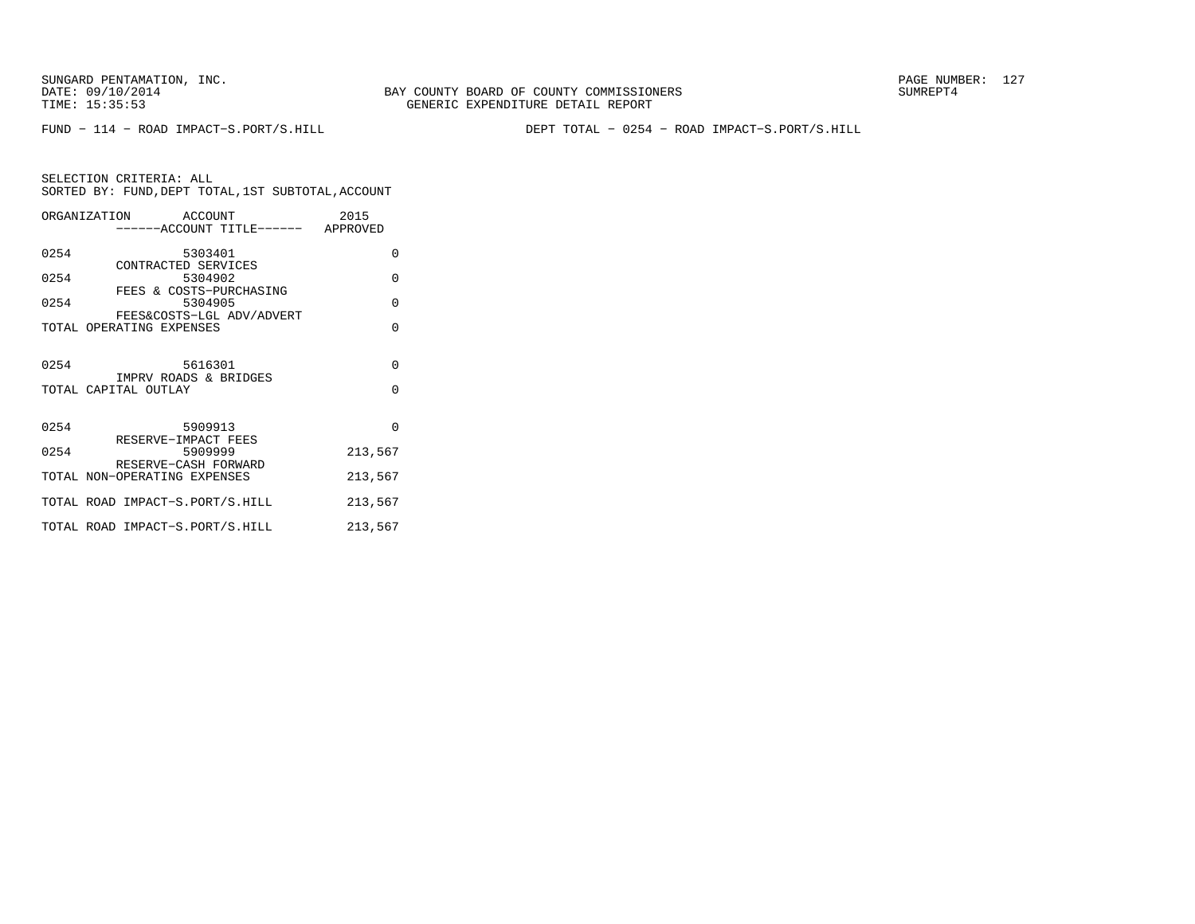BAY COUNTY BOARD OF COUNTY COMMISSIONERS TIME: 15:35:53 GENERIC EXPENDITURE DETAIL REPORT

FUND − 114 − ROAD IMPACT−S.PORT/S.HILL DEPT TOTAL − 0254 − ROAD IMPACT−S.PORT/S.HILL

|      | ORGANIZATION ACCOUNT                                 |                                    | 2015     |
|------|------------------------------------------------------|------------------------------------|----------|
|      |                                                      | ------ACCOUNT TITLE------ APPROVED |          |
| 0254 |                                                      | 5303401                            | $\Omega$ |
| 0254 | CONTRACTED SERVICES<br>FEES & COSTS-PURCHASING       | 5304902                            | $\Omega$ |
| 0254 |                                                      | 5304905                            | $\Omega$ |
|      | TOTAL OPERATING EXPENSES                             | FEES&COSTS-LGL ADV/ADVERT          | $\Omega$ |
| 0254 | IMPRV ROADS & BRIDGES                                | 5616301                            | $\Omega$ |
|      | TOTAL CAPITAL OUTLAY                                 |                                    | $\Omega$ |
| 0254 | RESERVE-IMPACT FEES                                  | 5909913                            | $\Omega$ |
| 0254 |                                                      | 5909999                            | 213,567  |
|      | RESERVE-CASH FORWARD<br>TOTAL NON-OPERATING EXPENSES |                                    | 213,567  |
|      | TOTAL ROAD IMPACT-S.PORT/S.HILL                      |                                    | 213,567  |
|      | TOTAL ROAD IMPACT-S.PORT/S.HILL                      |                                    | 213,567  |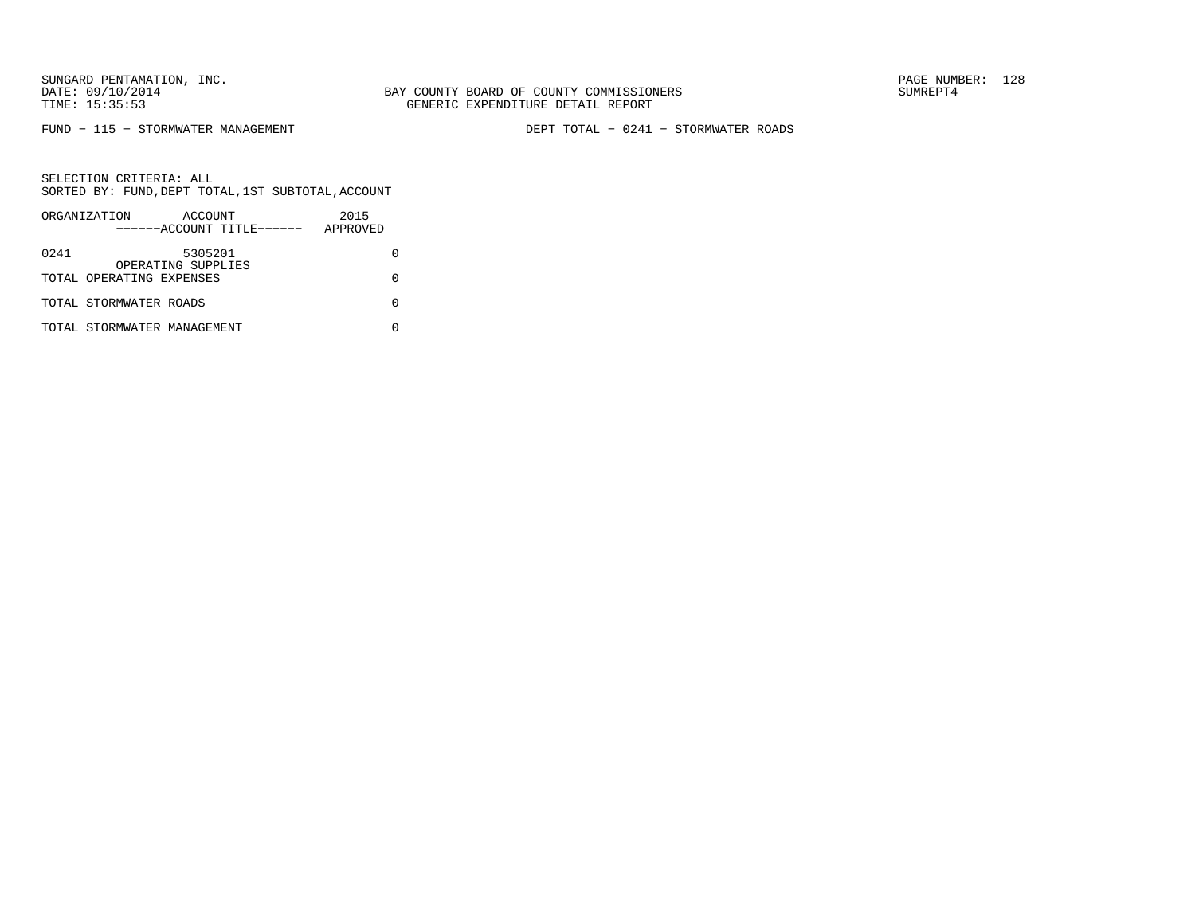FUND − 115 − STORMWATER MANAGEMENT DEPT TOTAL − 0241 − STORMWATER ROADS

|      | ORGANIZATION                | ACCOUNT                       |                           | 2015     |  |
|------|-----------------------------|-------------------------------|---------------------------|----------|--|
|      |                             |                               | ------ACCOUNT TITLE------ | APPROVED |  |
| 0241 |                             | 5305201<br>OPERATING SUPPLIES |                           |          |  |
|      | TOTAL OPERATING EXPENSES    |                               |                           |          |  |
|      | TOTAL STORMWATER ROADS      |                               |                           |          |  |
|      | TOTAL STORMWATER MANAGEMENT |                               |                           |          |  |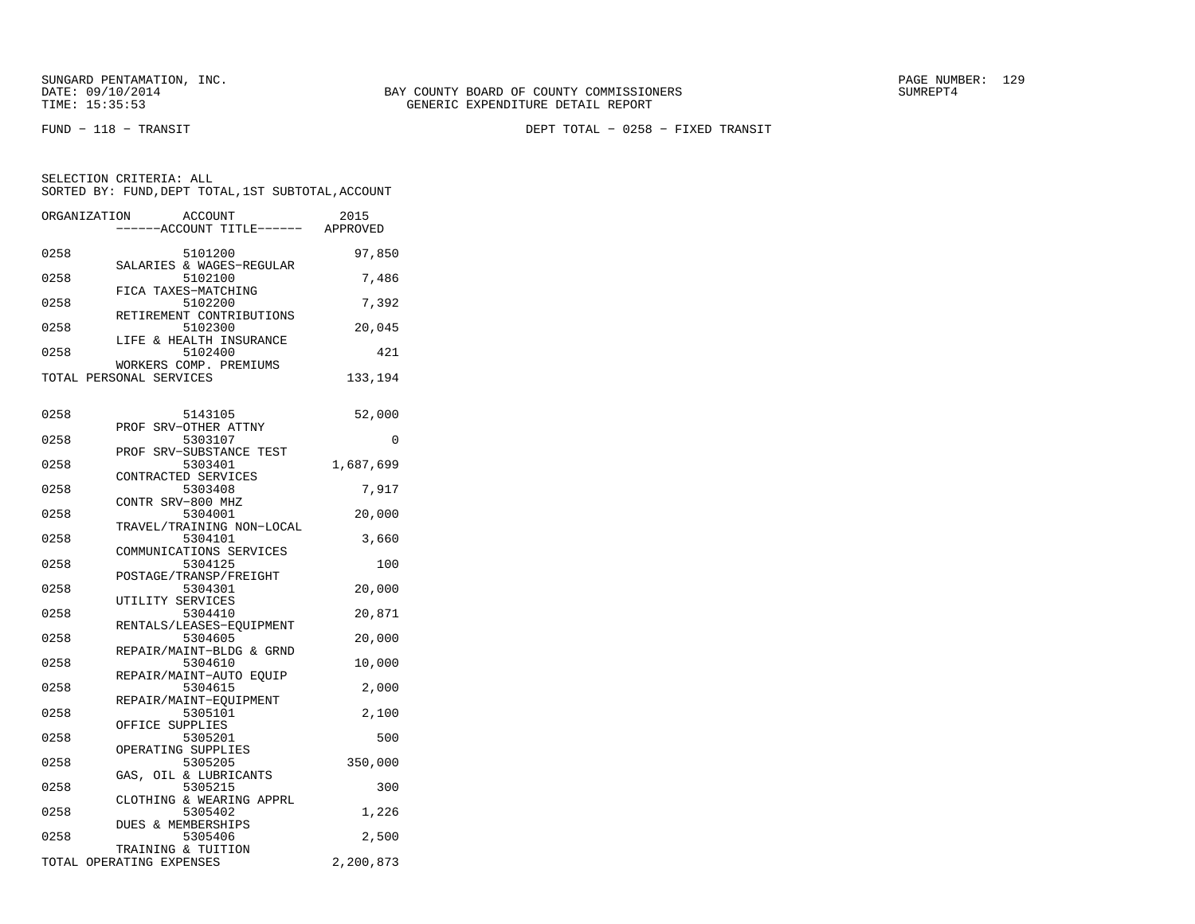SELECTION CRITERIA: ALL

FUND − 118 − TRANSIT DEPT TOTAL − 0258 − FIXED TRANSIT

ORGANIZATION ACCOUNT 2015 −−−−−−ACCOUNT TITLE−−−−−− APPROVED0258 5101200 97,850 SALARIES & WAGES−REGULAR0258 5102100 7,486 FICA TAXES−MATCHING

SORTED BY: FUND,DEPT TOTAL,1ST SUBTOTAL,ACCOUNT

|      | FICA IAALS-MAICHING      |        |
|------|--------------------------|--------|
| 0258 | 5102200                  | 7,392  |
|      | RETIREMENT CONTRIBUTIONS |        |
| 0258 | 5102300                  | 20,045 |
|      | LIFE & HEALTH INSURANCE  |        |
| 0258 | 5102400                  | 421    |

| WORKERS COMP. PREMIUMS  |         |
|-------------------------|---------|
| TOTAL PERSONAL SERVICES | 133,194 |
|                         |         |
|                         |         |

| 0258 | 5143105                   | 52,000    |
|------|---------------------------|-----------|
|      | PROF SRV-OTHER ATTNY      |           |
| 0258 | 5303107                   | $\Omega$  |
|      | PROF SRV-SUBSTANCE TEST   |           |
| 0258 | 5303401                   | 1,687,699 |
|      | CONTRACTED SERVICES       |           |
| 0258 | 5303408                   | 7,917     |
|      | CONTR SRV-800 MHZ         |           |
| 0258 | 5304001                   | 20,000    |
|      | TRAVEL/TRAINING NON-LOCAL |           |
| 0258 | 5304101                   | 3,660     |
|      | COMMUNICATIONS SERVICES   |           |
| 0258 | 5304125                   | 100       |
|      | POSTAGE/TRANSP/FREIGHT    |           |
| 0258 | 5304301                   | 20,000    |
|      | UTILITY SERVICES          |           |
| 0258 | 5304410                   | 20,871    |
|      | RENTALS/LEASES-EOUIPMENT  |           |
| 0258 | 5304605                   | 20,000    |
|      | REPAIR/MAINT-BLDG & GRND  |           |
| 0258 | 5304610                   | 10,000    |
|      | REPAIR/MAINT-AUTO EOUIP   |           |
| 0258 | 5304615                   | 2,000     |
|      | REPAIR/MAINT-EOUIPMENT    |           |
| 0258 | 5305101                   | 2,100     |
|      | OFFICE SUPPLIES           |           |
| 0258 | 5305201                   | 500       |
|      | OPERATING SUPPLIES        |           |
| 0258 | 5305205                   | 350,000   |
|      |                           |           |
|      | GAS, OIL & LUBRICANTS     |           |
| 0258 | 5305215                   | 300       |
|      | CLOTHING & WEARING APPRL  |           |
| 0258 | 5305402                   | 1,226     |
|      | DUES & MEMBERSHIPS        |           |
| 0258 | 5305406                   | 2,500     |
|      | TRAINING & TUITION        |           |
|      | TOTAL OPERATING EXPENSES  | 2,200,873 |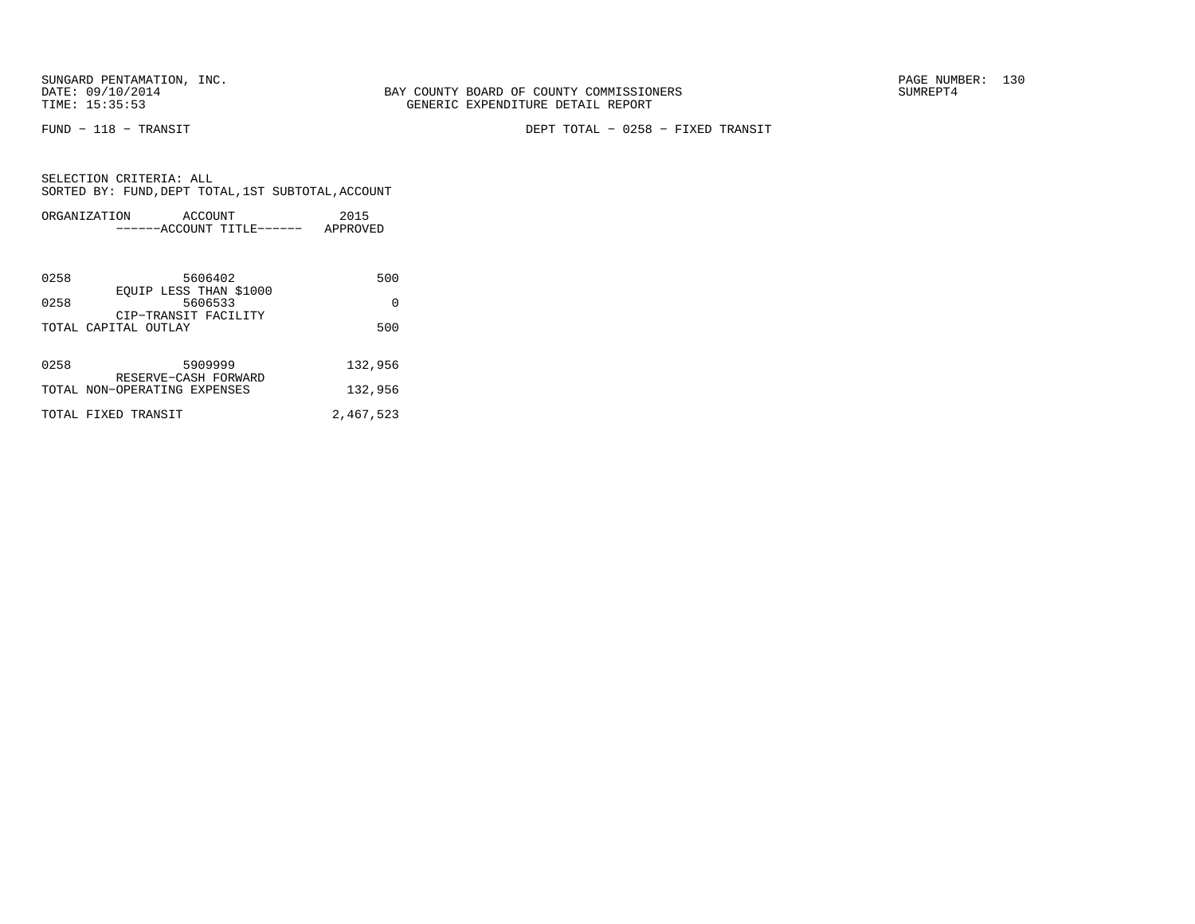FUND − 118 − TRANSIT DEPT TOTAL − 0258 − FIXED TRANSIT

| ORGANIZATION                 | ACCOUNT<br>------ACCOUNT TITLE------ | 2015<br>APPROVED |
|------------------------------|--------------------------------------|------------------|
|                              |                                      |                  |
| 0258                         | 5606402<br>EOUIP LESS THAN \$1000    | 500              |
| 0258                         | 5606533<br>CIP-TRANSIT FACILITY      | $\Omega$         |
| TOTAL CAPITAL OUTLAY         |                                      | 500              |
|                              |                                      |                  |
| 0258                         | 5909999<br>RESERVE-CASH FORWARD      | 132,956          |
| TOTAL NON-OPERATING EXPENSES |                                      | 132,956          |
| TOTAL FIXED TRANSIT          |                                      | 2,467,523        |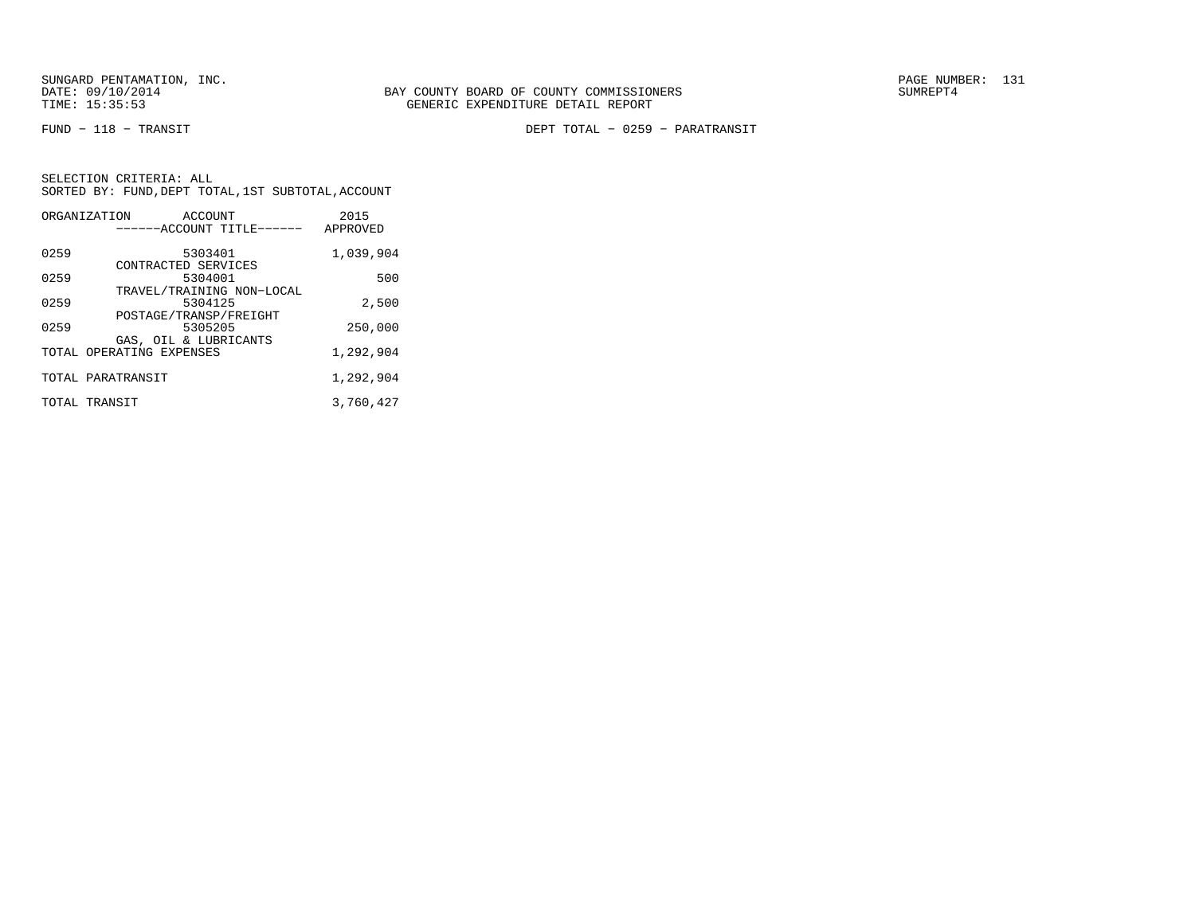SUNGARD PENTAMATION, INC.<br>
DATE: 09/10/2014 SUMRER: 131

FUND − 118 − TRANSIT DEPT TOTAL − 0259 − PARATRANSIT

|      | ORGANIZATION<br>ACCOUNT<br>------ACCOUNT TITLE------           | 2015<br>APPROVED |
|------|----------------------------------------------------------------|------------------|
| 0259 | 5303401<br>CONTRACTED SERVICES                                 | 1,039,904        |
| 0259 | 5304001                                                        | 500              |
| 0259 | TRAVEL/TRAINING NON-LOCAL<br>5304125<br>POSTAGE/TRANSP/FREIGHT | 2,500            |
| 0259 | 5305205                                                        | 250,000          |
|      | GAS, OIL & LUBRICANTS<br>TOTAL OPERATING EXPENSES              | 1,292,904        |
|      | TOTAL PARATRANSIT                                              | 1,292,904        |
|      | TOTAL TRANSIT                                                  | 3,760,427        |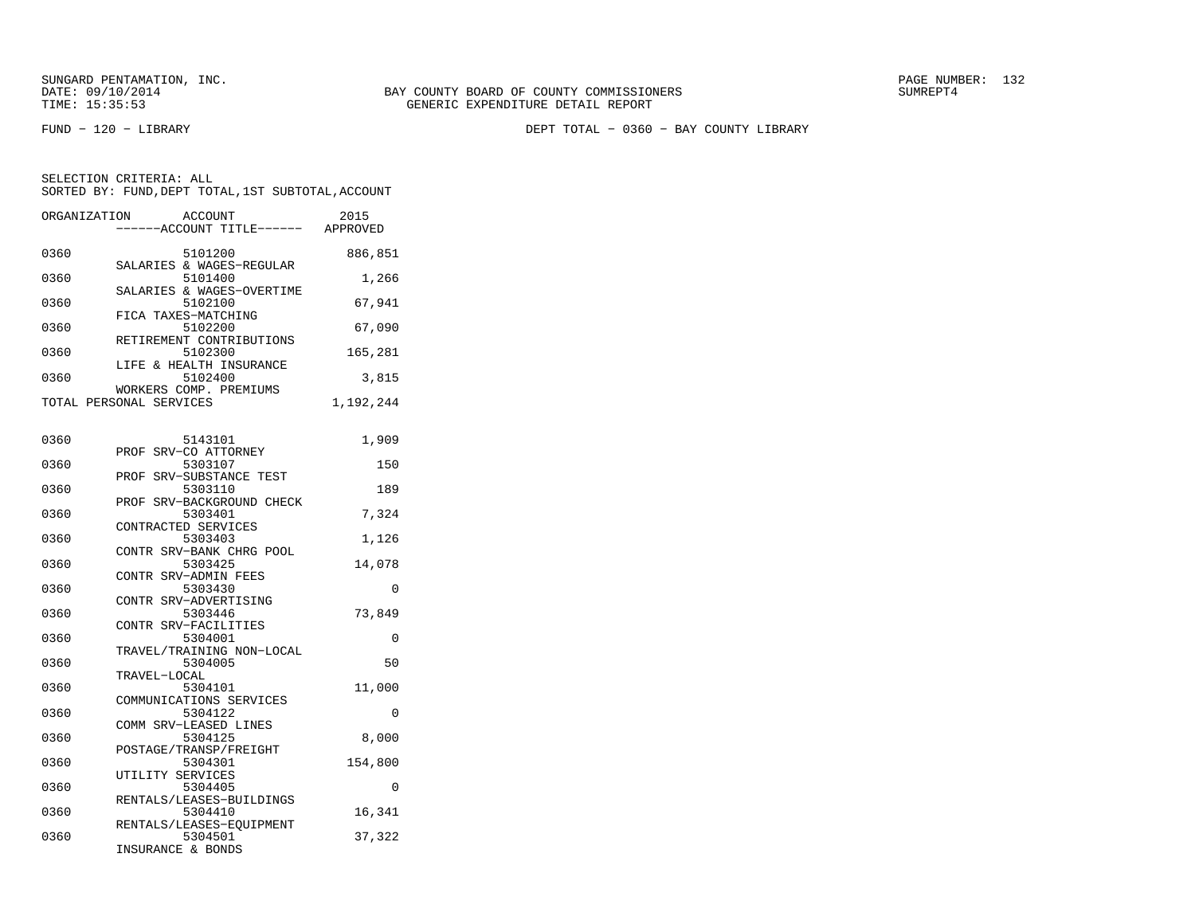FUND − 120 − LIBRARY DEPT TOTAL − 0360 − BAY COUNTY LIBRARY

| ORGANIZATION | <b>ACCOUNT</b><br>----ACCOUNT TITLE------         | 2015<br>APPROVED |
|--------------|---------------------------------------------------|------------------|
|              |                                                   |                  |
| 0360         | 5101200<br>SALARIES & WAGES-REGULAR               | 886,851          |
| 0360         | 5101400                                           | 1,266            |
|              | SALARIES & WAGES-OVERTIME                         |                  |
| 0360         | 5102100<br>FICA TAXES-MATCHING                    | 67,941           |
| 0360         | 5102200                                           | 67,090           |
| 0360         | RETIREMENT CONTRIBUTIONS<br>5102300               | 165,281          |
|              | LIFE & HEALTH INSURANCE                           |                  |
| 0360         | 5102400                                           | 3,815            |
|              | WORKERS COMP. PREMIUMS<br>TOTAL PERSONAL SERVICES | 1,192,244        |
|              |                                                   |                  |
| 0360         | 5143101                                           | 1,909            |
|              | PROF SRV-CO ATTORNEY                              |                  |
| 0360         | 5303107<br>PROF SRV-SUBSTANCE TEST                | 150              |
| 0360         | 5303110                                           | 189              |
|              | PROF SRV-BACKGROUND CHECK                         |                  |
| 0360         | 5303401<br>CONTRACTED SERVICES                    | 7,324            |
| 0360         | 5303403                                           | 1,126            |
|              | CONTR SRV-BANK CHRG POOL                          |                  |
| 0360         | 5303425<br>CONTR SRV-ADMIN FEES                   | 14,078           |
| 0360         | 5303430                                           | $\Omega$         |
|              | CONTR SRV-ADVERTISING                             |                  |
| 0360         | 5303446<br>CONTR SRV-FACILITIES                   | 73,849           |
| 0360         | 5304001                                           | 0                |
|              | TRAVEL/TRAINING NON-LOCAL                         |                  |
| 0360         | 5304005<br>TRAVEL-LOCAL                           | 50               |
| 0360         | 5304101                                           | 11,000           |
|              | COMMUNICATIONS SERVICES                           |                  |
| 0360         | 5304122<br>COMM SRV-LEASED LINES                  | 0                |
| 0360         | 5304125                                           | 8,000            |
| 0360         | POSTAGE/TRANSP/FREIGHT<br>5304301                 |                  |
|              | UTILITY SERVICES                                  | 154,800          |
| 0360         | 5304405                                           | 0                |
| 0360         | RENTALS/LEASES-BUILDINGS<br>5304410               | 16,341           |
|              | RENTALS/LEASES-EQUIPMENT                          |                  |
| 0360         | 5304501                                           | 37,322           |
|              | INSURANCE & BONDS                                 |                  |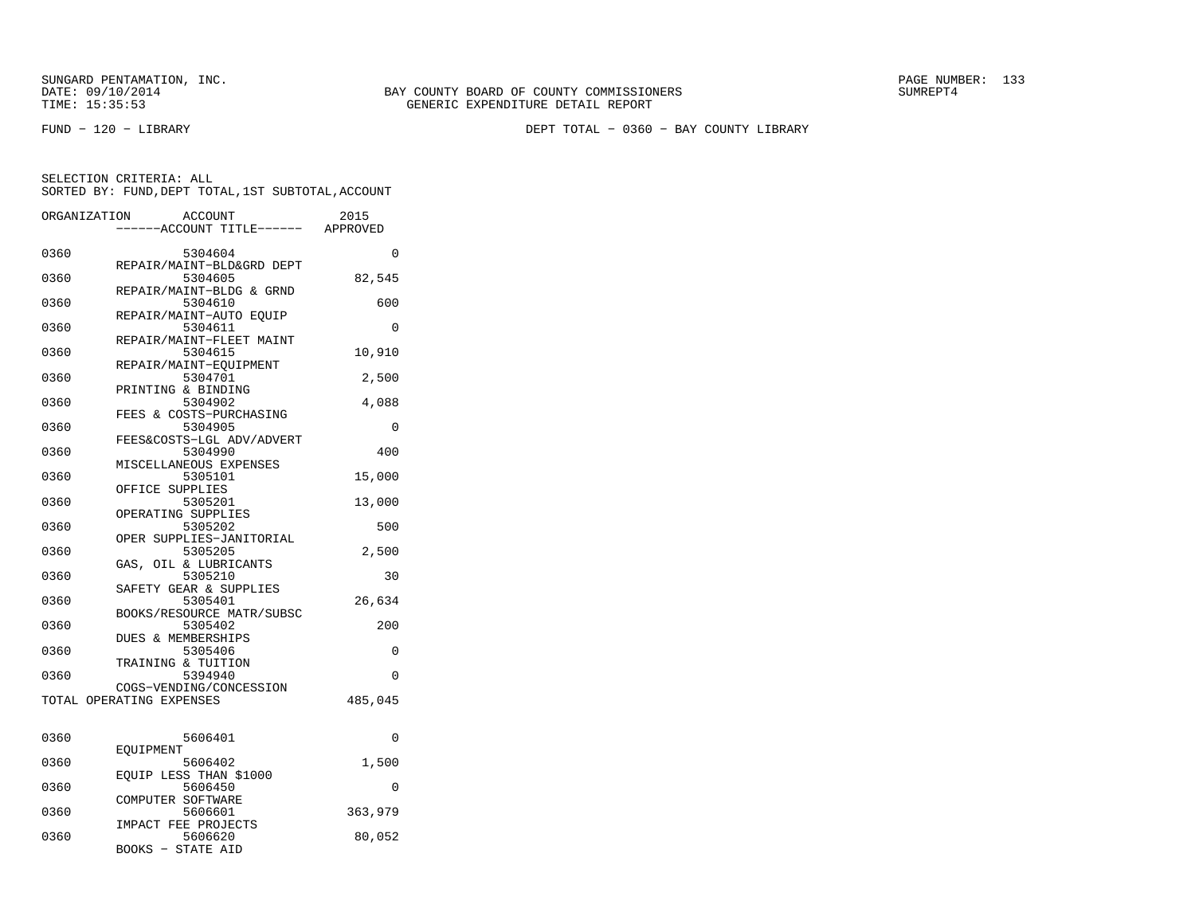FUND − 120 − LIBRARY DEPT TOTAL − 0360 − BAY COUNTY LIBRARY

| ORGANIZATION |                                                 | <b>ACCOUNT</b><br>--ACCOUNT TITLE------ | 2015<br>APPROVED |
|--------------|-------------------------------------------------|-----------------------------------------|------------------|
| 0360         |                                                 | 5304604                                 | $\Omega$         |
| 0360         |                                                 | REPAIR/MAINT-BLD&GRD DEPT<br>5304605    | 82,545           |
| 0360         |                                                 | REPAIR/MAINT-BLDG & GRND<br>5304610     | 600              |
| 0360         | REPAIR/MAINT-AUTO EQUIP                         | 5304611                                 | 0                |
| 0360         |                                                 | REPAIR/MAINT-FLEET MAINT<br>5304615     | 10,910           |
| 0360         | REPAIR/MAINT-EQUIPMENT                          | 5304701                                 | 2,500            |
| 0360         | PRINTING & BINDING<br>FEES & COSTS-PURCHASING   | 5304902                                 | 4,088            |
| 0360         |                                                 | 5304905<br>FEES&COSTS-LGL ADV/ADVERT    | $\Omega$         |
| 0360         | MISCELLANEOUS EXPENSES                          | 5304990                                 | 400              |
| 0360         | OFFICE SUPPLIES                                 | 5305101                                 | 15,000           |
| 0360         | OPERATING SUPPLIES                              | 5305201                                 | 13,000           |
| 0360         |                                                 | 5305202<br>OPER SUPPLIES-JANITORIAL     | 500              |
| 0360         | GAS, OIL & LUBRICANTS                           | 5305205                                 | 2,500            |
| 0360         | SAFETY GEAR & SUPPLIES                          | 5305210                                 | 30               |
| 0360         |                                                 | 5305401<br>BOOKS/RESOURCE MATR/SUBSC    | 26,634           |
| 0360         | <b>DUES &amp; MEMBERSHIPS</b>                   | 5305402                                 | 200              |
| 0360         | TRAINING & TUITION                              | 5305406                                 | 0                |
| 0360         | COGS-VENDING/CONCESSION                         | 5394940                                 | 0                |
|              | TOTAL OPERATING EXPENSES                        |                                         | 485,045          |
| 0360         |                                                 | 5606401                                 | 0                |
| 0360         | EOUIPMENT                                       | 5606402                                 | 1,500            |
| 0360         | EQUIP LESS THAN \$1000                          | 5606450                                 | 0                |
| 0360         | COMPUTER SOFTWARE                               | 5606601                                 | 363,979          |
| 0360         | IMPACT FEE PROJECTS<br><b>BOOKS - STATE AID</b> | 5606620                                 | 80,052           |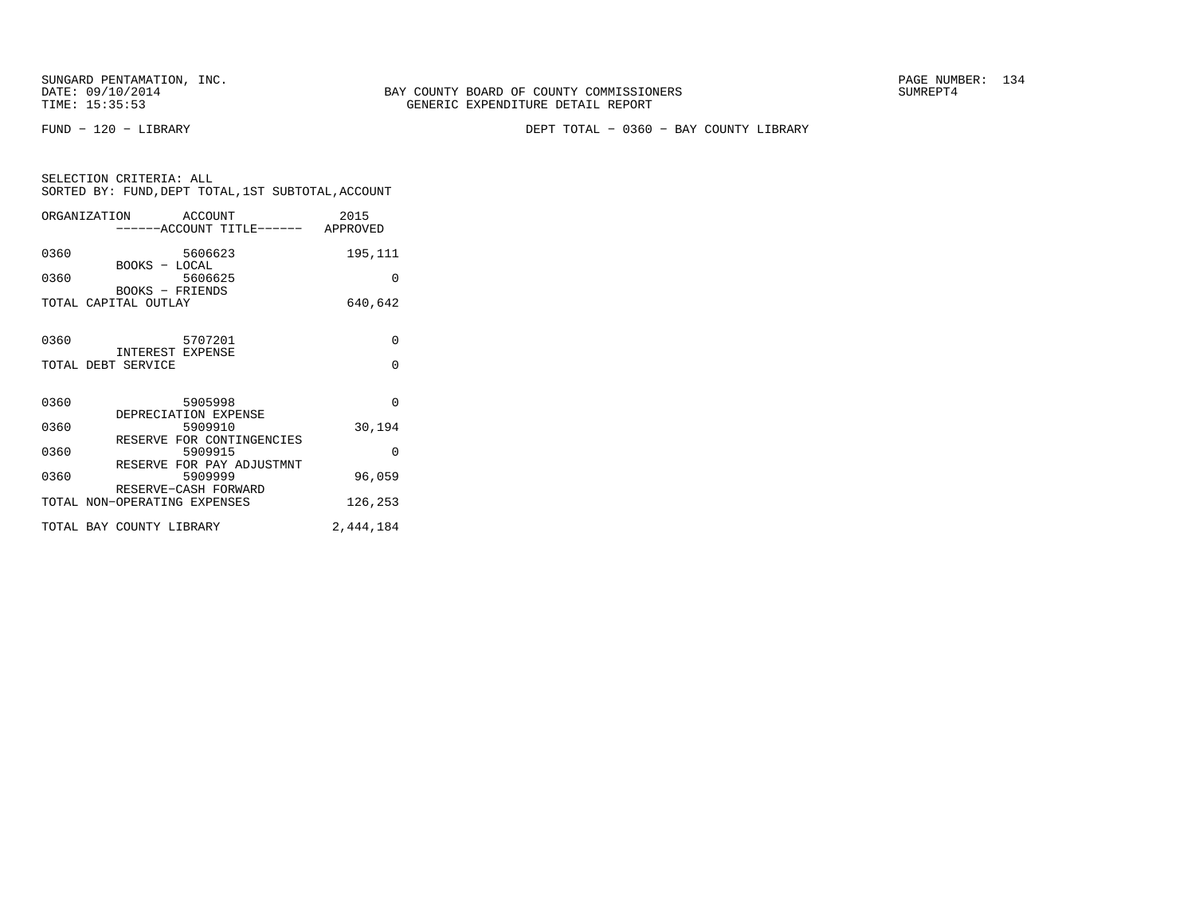SUNGARD PENTAMATION, INC.<br>DATE: 09/10/2014 SUMREPT4

FUND − 120 − LIBRARY DEPT TOTAL − 0360 − BAY COUNTY LIBRARY

| SELECTION CRITERIA: ALL |                                                    |
|-------------------------|----------------------------------------------------|
|                         | SORTED BY: FUND, DEPT TOTAL, 1ST SUBTOTAL, ACCOUNT |

| ORGANIZATION ACCOUNT         | -----ACCOUNT TITLE------ APPROVED    | 2015      |
|------------------------------|--------------------------------------|-----------|
| 0360<br>BOOKS - LOCAL        | 5606623                              | 195,111   |
| 0360                         | 5606625<br>BOOKS - FRIENDS           | 0         |
| TOTAL CAPITAL OUTLAY         |                                      | 640,642   |
| 0360                         | 5707201<br>INTEREST EXPENSE          | 0         |
| TOTAL DEBT SERVICE           |                                      | $\Omega$  |
| 0360                         | 5905998<br>DEPRECIATION EXPENSE      | $\Omega$  |
| 0360                         | 5909910<br>RESERVE FOR CONTINGENCIES | 30,194    |
| 0360                         | 5909915<br>RESERVE FOR PAY ADJUSTMNT | $\Omega$  |
| 0360                         | 5909999<br>RESERVE-CASH FORWARD      | 96,059    |
| TOTAL NON-OPERATING EXPENSES |                                      | 126,253   |
| TOTAL BAY COUNTY LIBRARY     |                                      | 2,444,184 |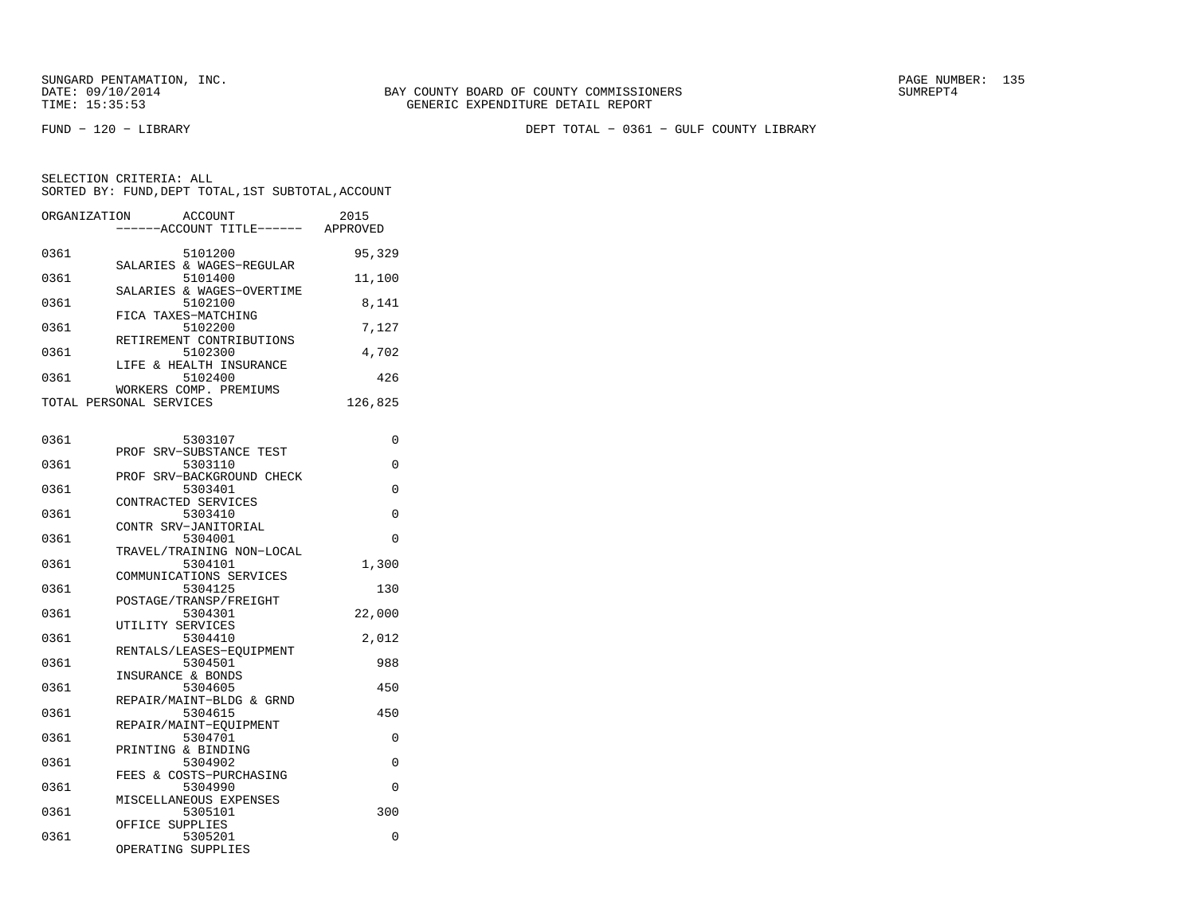SUNGARD PENTAMATION, INC.<br>DATE: 09/10/2014 SUMRER: 135

FUND − 120 − LIBRARY DEPT TOTAL − 0361 − GULF COUNTY LIBRARY

| ORGANIZATION | <b>ACCOUNT</b><br>----ACCOUNT TITLE------ APPROVED | 2015     |
|--------------|----------------------------------------------------|----------|
| 0361         | 5101200<br>SALARIES & WAGES-REGULAR                | 95,329   |
| 0361         | 5101400                                            | 11,100   |
| 0361         | SALARIES & WAGES-OVERTIME<br>5102100               | 8,141    |
| 0361         | FICA TAXES-MATCHING<br>5102200                     | 7,127    |
| 0361         | RETIREMENT CONTRIBUTIONS<br>5102300                | 4,702    |
| 0361         | LIFE & HEALTH INSURANCE<br>5102400                 | 426      |
|              | WORKERS COMP. PREMIUMS<br>TOTAL PERSONAL SERVICES  | 126,825  |
| 0361         | 5303107                                            | 0        |
| 0361         | PROF SRV-SUBSTANCE TEST<br>5303110                 | $\Omega$ |
|              | PROF SRV-BACKGROUND CHECK                          |          |
| 0361         | 5303401<br>CONTRACTED SERVICES                     | 0        |
| 0361         | 5303410<br>CONTR SRV-JANITORIAL                    | 0        |
| 0361         | 5304001<br>TRAVEL/TRAINING NON-LOCAL               | 0        |
| 0361         | 5304101<br>COMMUNICATIONS SERVICES                 | 1,300    |
| 0361         | 5304125<br>POSTAGE/TRANSP/FREIGHT                  | 130      |
| 0361         | 5304301<br>UTILITY SERVICES                        | 22,000   |
| 0361         | 5304410                                            | 2,012    |
| 0361         | RENTALS/LEASES-EQUIPMENT<br>5304501                | 988      |
| 0361         | INSURANCE & BONDS<br>5304605                       | 450      |
| 0361         | REPAIR/MAINT-BLDG & GRND<br>5304615                | 450      |
| 0361         | REPAIR/MAINT-EQUIPMENT<br>5304701                  | 0        |
| 0361         | PRINTING & BINDING<br>5304902                      | 0        |
| 0361         | FEES & COSTS-PURCHASING<br>5304990                 | 0        |
| 0361         | MISCELLANEOUS EXPENSES<br>5305101                  | 300      |
| 0361         | OFFICE SUPPLIES<br>5305201                         | 0        |
|              | OPERATING SUPPLIES                                 |          |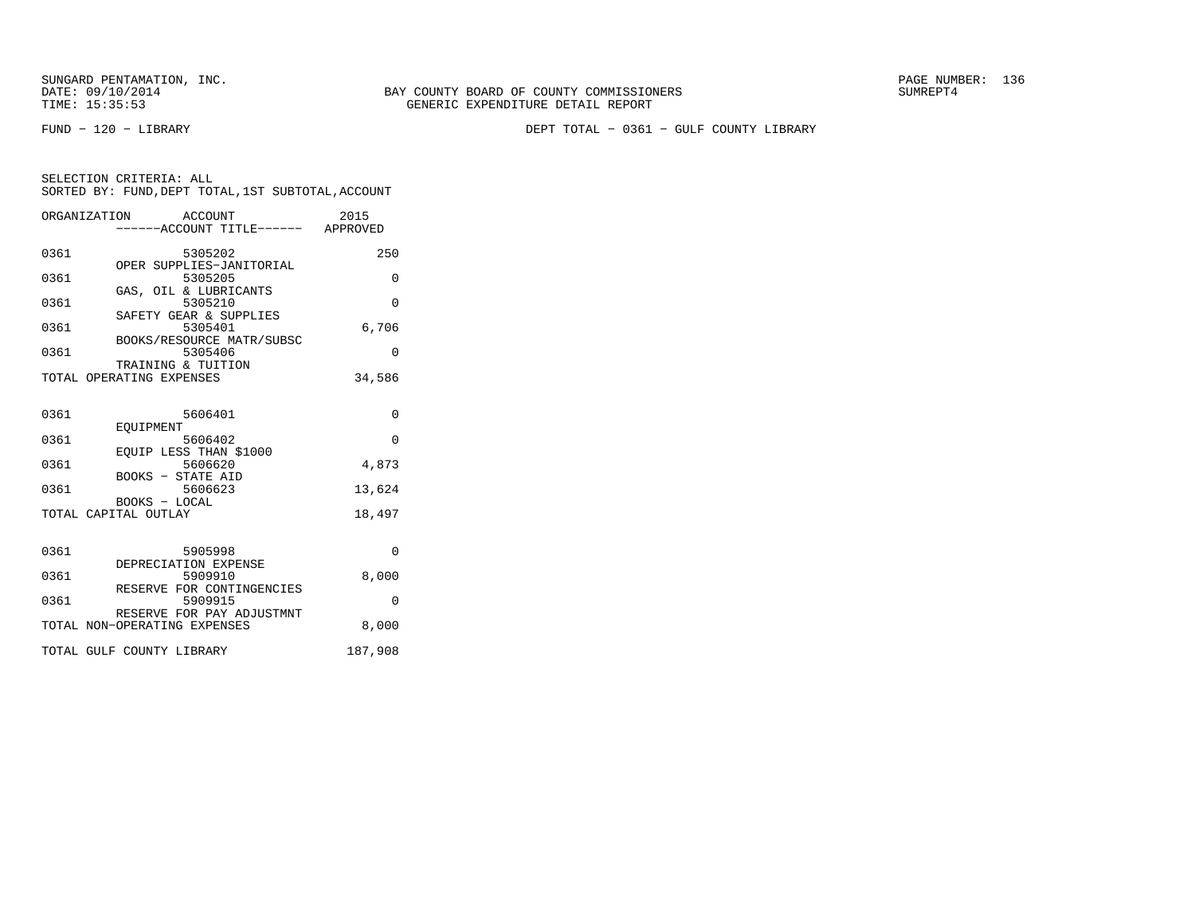FUND − 120 − LIBRARY DEPT TOTAL − 0361 − GULF COUNTY LIBRARY

|      | ORGANIZATION ACCOUNT                           | ----ACCOUNT TITLE------ APPROVED     | 2015     |
|------|------------------------------------------------|--------------------------------------|----------|
| 0361 |                                                | 5305202                              | 250      |
| 0361 |                                                | OPER SUPPLIES-JANITORIAL<br>5305205  | 0        |
| 0361 | GAS, OIL & LUBRICANTS                          | 5305210                              | $\Omega$ |
| 0361 |                                                | SAFETY GEAR & SUPPLIES<br>5305401    | 6,706    |
| 0361 |                                                | BOOKS/RESOURCE MATR/SUBSC<br>5305406 | $\Omega$ |
|      | TRAINING & TUITION<br>TOTAL OPERATING EXPENSES |                                      | 34,586   |
| 0361 |                                                |                                      | $\Omega$ |
|      | EOUIPMENT                                      | 5606401                              |          |
| 0361 | EQUIP LESS THAN \$1000                         | 5606402                              | $\Omega$ |
| 0361 |                                                | 5606620                              | 4,873    |
| 0361 | BOOKS - STATE AID                              | 5606623                              | 13,624   |
|      | BOOKS - LOCAL<br>TOTAL CAPITAL OUTLAY          |                                      | 18,497   |
|      |                                                |                                      |          |
| 0361 | DEPRECIATION EXPENSE                           | 5905998                              | $\Omega$ |
| 0361 |                                                | 5909910                              | 8,000    |
| 0361 |                                                | RESERVE FOR CONTINGENCIES<br>5909915 | $\Omega$ |
|      | TOTAL NON-OPERATING EXPENSES                   | RESERVE FOR PAY ADJUSTMNT            | 8,000    |
|      | TOTAL GULF COUNTY LIBRARY                      |                                      | 187,908  |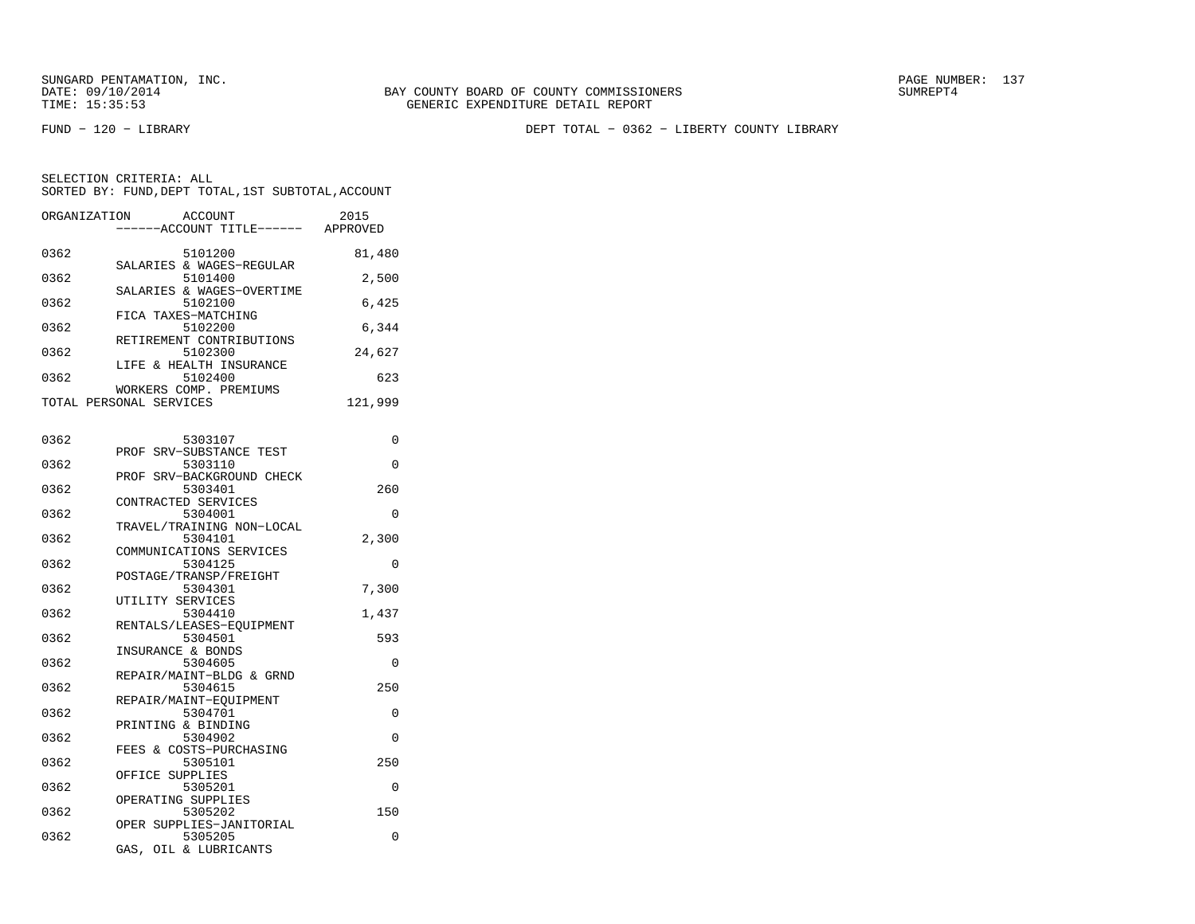FUND − 120 − LIBRARY DEPT TOTAL − 0362 − LIBERTY COUNTY LIBRARY

| ORGANIZATION | ACCOUNT<br>---ACCOUNT TITLE------ APPROVED                         | 2015     |
|--------------|--------------------------------------------------------------------|----------|
| 0362         | 5101200                                                            | 81,480   |
| 0362         | SALARIES & WAGES-REGULAR<br>5101400                                | 2,500    |
| 0362         | SALARIES & WAGES-OVERTIME<br>5102100                               | 6,425    |
| 0362         | FICA TAXES-MATCHING<br>5102200<br>RETIREMENT CONTRIBUTIONS         | 6,344    |
| 0362         | 5102300<br>LIFE & HEALTH INSURANCE                                 | 24,627   |
| 0362         | 5102400<br>WORKERS COMP. PREMIUMS                                  | 623      |
|              | TOTAL PERSONAL SERVICES                                            | 121,999  |
| 0362         | 5303107                                                            | 0        |
| 0362         | PROF<br>SRV-SUBSTANCE TEST<br>5303110<br>PROF SRV-BACKGROUND CHECK | 0        |
| 0362         | 5303401<br>CONTRACTED SERVICES                                     | 260      |
| 0362         | 5304001<br>TRAVEL/TRAINING NON-LOCAL                               | 0        |
| 0362         | 5304101<br>COMMUNICATIONS SERVICES                                 | 2,300    |
| 0362         | 5304125<br>POSTAGE/TRANSP/FREIGHT                                  | $\Omega$ |
| 0362         | 5304301<br>UTILITY SERVICES                                        | 7,300    |
| 0362         | 5304410<br>RENTALS/LEASES-EOUIPMENT                                | 1,437    |
| 0362         | 5304501<br>INSURANCE & BONDS                                       | 593      |
| 0362<br>0362 | 5304605<br>REPAIR/MAINT-BLDG & GRND<br>5304615                     | 0<br>250 |
| 0362         | REPAIR/MAINT-EQUIPMENT<br>5304701                                  | 0        |
| 0362         | PRINTING & BINDING<br>5304902                                      | 0        |
| 0362         | FEES & COSTS-PURCHASING<br>5305101                                 | 250      |
| 0362         | OFFICE SUPPLIES<br>5305201                                         | 0        |
| 0362         | OPERATING SUPPLIES<br>5305202                                      | 150      |
| 0362         | OPER SUPPLIES-JANITORIAL<br>5305205<br>GAS, OIL & LUBRICANTS       | 0        |
|              |                                                                    |          |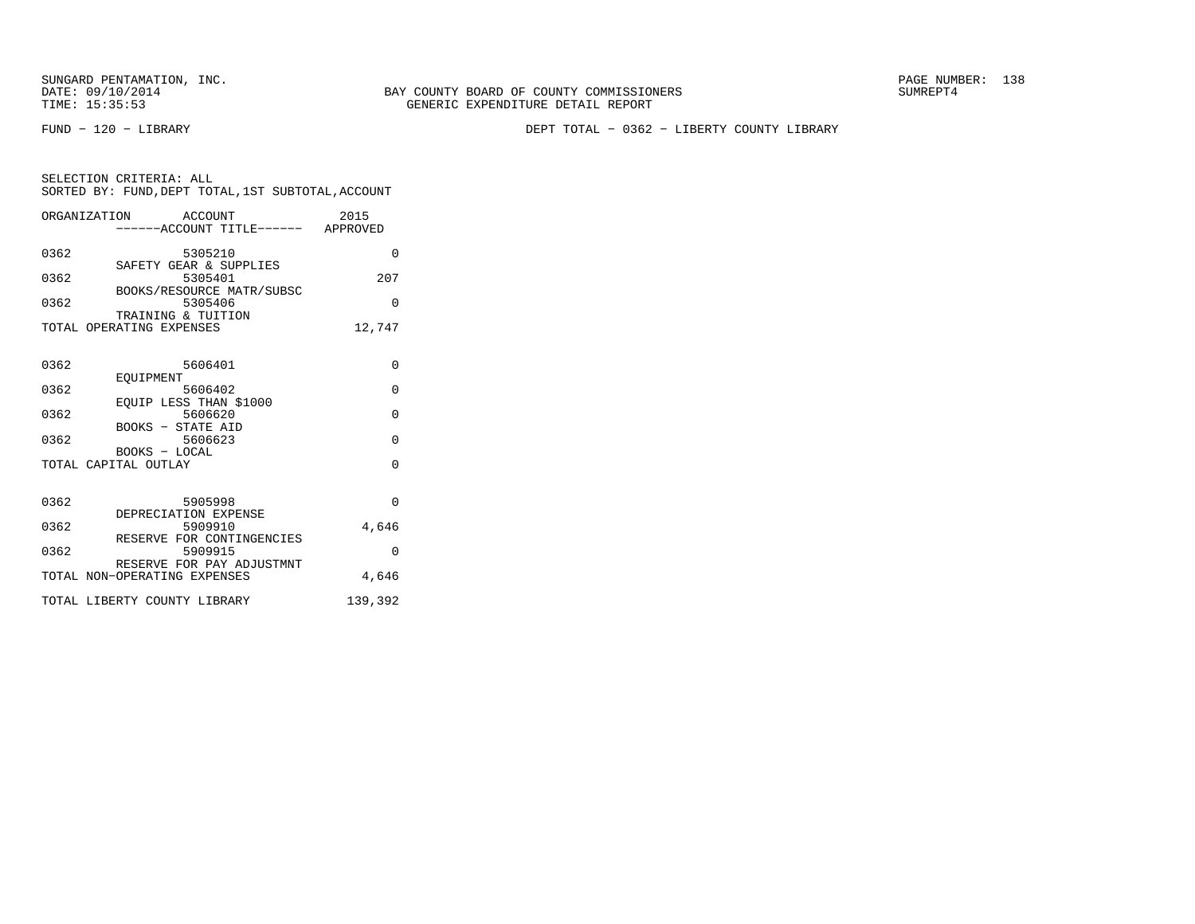SUNGARD PENTAMATION, INC.<br>
DATE: 09/10/2014 SUMREPT4

FUND − 120 − LIBRARY DEPT TOTAL − 0362 − LIBERTY COUNTY LIBRARY

| SELECTION CRITERIA: ALL |         | SORTED BY: FUND, DEPT TOTAL, 1ST SUBTOTAL, ACCOUNT |
|-------------------------|---------|----------------------------------------------------|
| ORGANIZATION            | ACCOUNT | 2015                                               |

|      | ------ACCOUNT TITLE------ APPROVED                        |          |
|------|-----------------------------------------------------------|----------|
| 0362 | 5305210<br>SAFETY GEAR & SUPPLIES                         | $\Omega$ |
| 0362 | 5305401                                                   | 207      |
| 0362 | BOOKS/RESOURCE MATR/SUBSC<br>5305406                      | $\Omega$ |
|      | TRAINING & TUITION<br>TOTAL OPERATING EXPENSES            | 12,747   |
| 0362 | 5606401                                                   | $\Omega$ |
| 0362 | EOUIPMENT<br>5606402                                      | $\Omega$ |
| 0362 | EQUIP LESS THAN \$1000<br>5606620                         | $\Omega$ |
| 0362 | BOOKS - STATE AID<br>5606623                              | $\Omega$ |
|      | BOOKS - LOCAL<br>TOTAL CAPITAL OUTLAY                     | $\Omega$ |
|      |                                                           |          |
| 0362 | 5905998<br>DEPRECIATION EXPENSE                           | $\Omega$ |
| 0362 | 5909910                                                   | 4,646    |
| 0362 | RESERVE FOR CONTINGENCIES<br>5909915                      | $\Omega$ |
|      | RESERVE FOR PAY ADJUSTMNT<br>TOTAL NON-OPERATING EXPENSES | 4,646    |
|      | TOTAL LIBERTY COUNTY LIBRARY                              | 139,392  |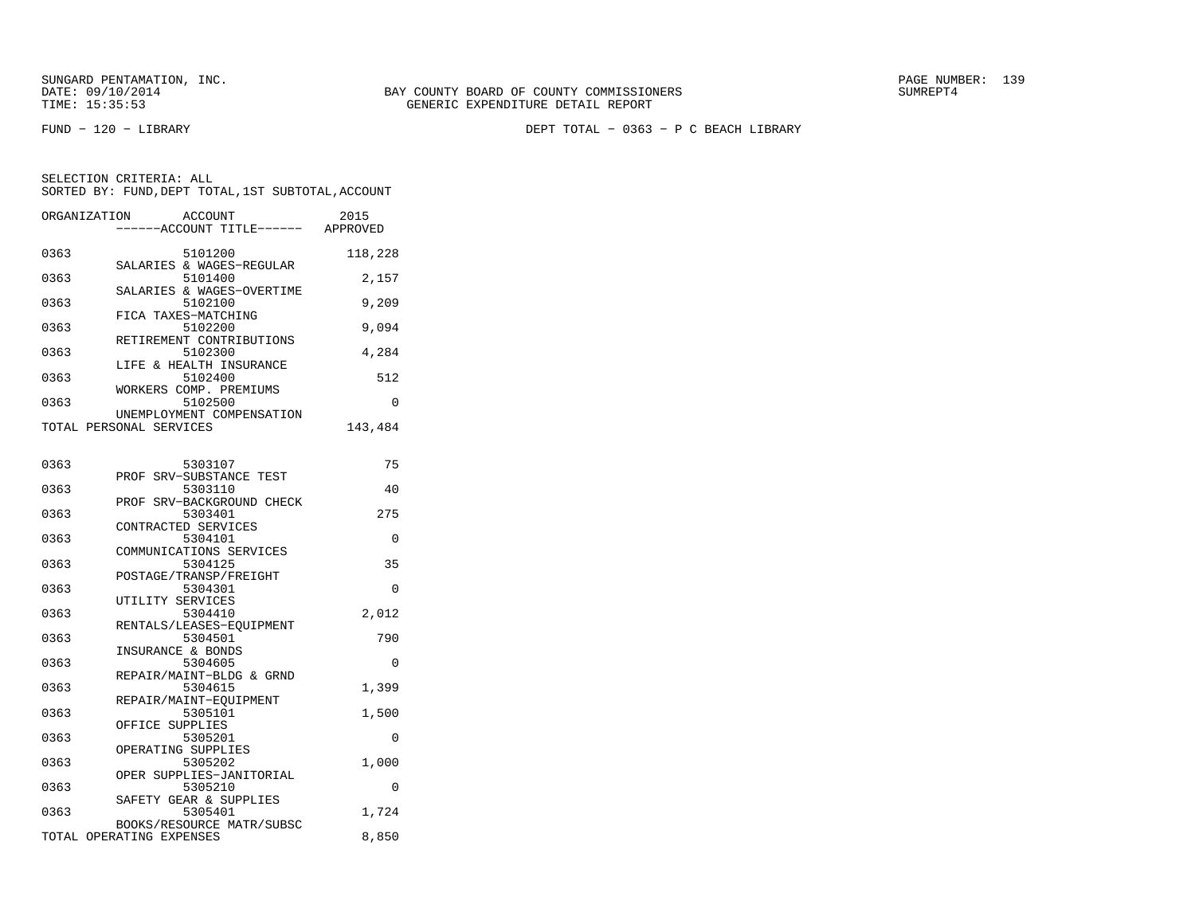SUNGARD PENTAMATION, INC.<br>DATE: 09/10/2014 SUMRER: 139

FUND − 120 − LIBRARY DEPT TOTAL − 0363 − P C BEACH LIBRARY

| ORGANIZATION | <b>ACCOUNT</b>                      | 2015     |
|--------------|-------------------------------------|----------|
|              | ----ACCOUNT TITLE------ APPROVED    |          |
| 0363         | 5101200                             | 118,228  |
|              | SALARIES & WAGES-REGULAR            |          |
| 0363         | 5101400                             | 2,157    |
|              | SALARIES & WAGES-OVERTIME           |          |
| 0363         | 5102100<br>FICA TAXES-MATCHING      | 9,209    |
| 0363         | 5102200                             | 9,094    |
|              | RETIREMENT CONTRIBUTIONS            |          |
| 0363         | 5102300                             | 4,284    |
|              | LIFE & HEALTH INSURANCE             |          |
| 0363         | 5102400<br>WORKERS COMP. PREMIUMS   | 512      |
| 0363         | 5102500                             | 0        |
|              | UNEMPLOYMENT COMPENSATION           |          |
|              | TOTAL PERSONAL SERVICES             | 143,484  |
|              |                                     |          |
| 0363         | 5303107                             | 75       |
|              | PROF SRV-SUBSTANCE TEST             |          |
| 0363         | 5303110                             | 40       |
|              | PROF SRV-BACKGROUND CHECK           |          |
| 0363         | 5303401                             | 275      |
|              | CONTRACTED SERVICES                 |          |
| 0363         | 5304101<br>COMMUNICATIONS SERVICES  | 0        |
| 0363         | 5304125                             | 35       |
|              | POSTAGE/TRANSP/FREIGHT              |          |
| 0363         | 5304301                             | $\Omega$ |
|              | UTILITY SERVICES                    |          |
| 0363         | 5304410                             | 2,012    |
| 0363         | RENTALS/LEASES-EQUIPMENT<br>5304501 | 790      |
|              | INSURANCE & BONDS                   |          |
| 0363         | 5304605                             | 0        |
|              | REPAIR/MAINT-BLDG & GRND            |          |
| 0363         | 5304615                             | 1,399    |
| 0363         | REPAIR/MAINT-EOUIPMENT<br>5305101   | 1,500    |
|              | OFFICE SUPPLIES                     |          |
| 0363         | 5305201                             | 0        |
|              | OPERATING SUPPLIES                  |          |
| 0363         | 5305202                             | 1,000    |
| 0363         | OPER SUPPLIES-JANITORIAL<br>5305210 | 0        |
|              | SAFETY GEAR & SUPPLIES              |          |
| 0363         | 5305401                             | 1,724    |
|              | BOOKS/RESOURCE MATR/SUBSC           |          |
|              | TOTAL OPERATING EXPENSES            | 8,850    |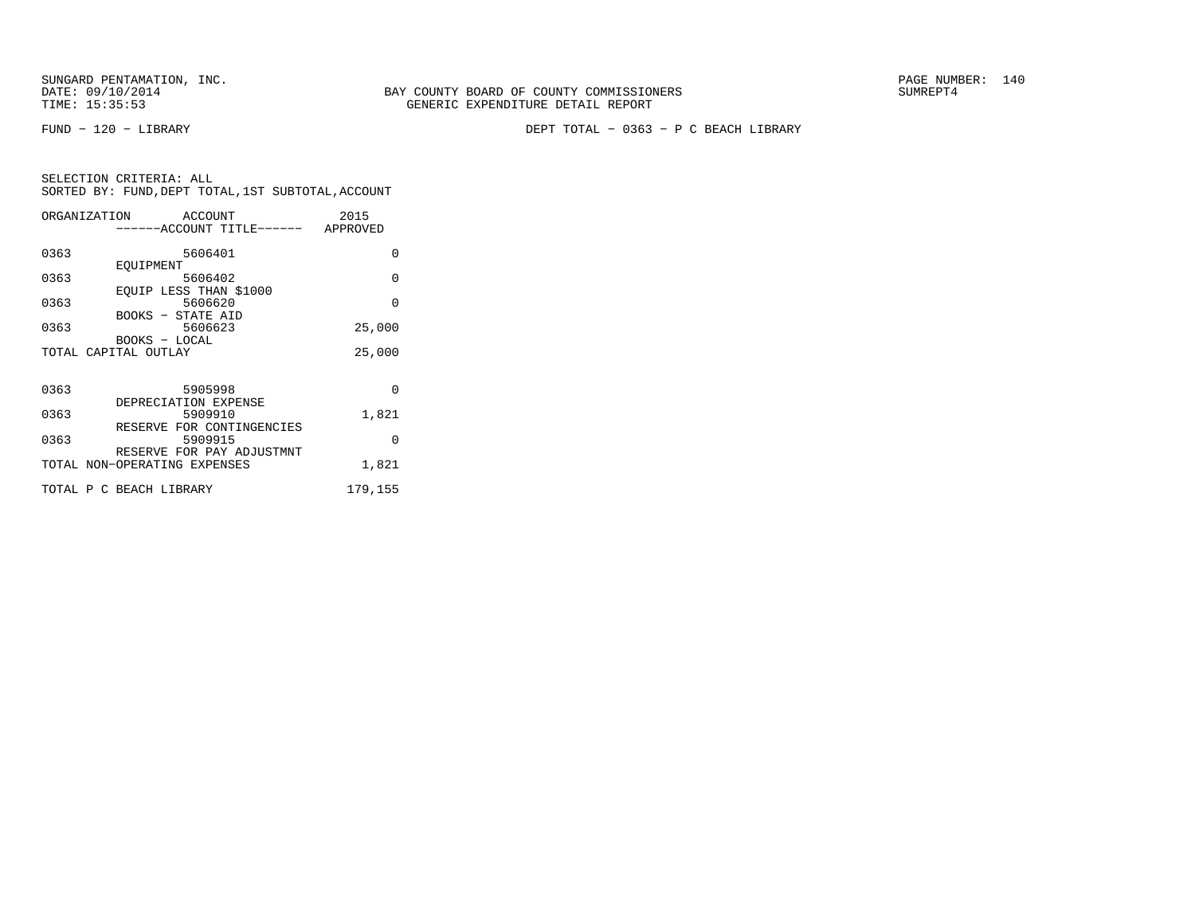FUND − 120 − LIBRARY DEPT TOTAL − 0363 − P C BEACH LIBRARY

|      | ORGANIZATION ACCOUNT<br>------ACCOUNT TITLE------ APPROVED | 2015     |
|------|------------------------------------------------------------|----------|
| 0363 | 5606401                                                    | 0        |
| 0363 | EOUIPMENT<br>5606402                                       | $\Omega$ |
| 0363 | EQUIP LESS THAN \$1000<br>5606620                          | $\Omega$ |
| 0363 | BOOKS - STATE AID<br>5606623                               | 25,000   |
|      | BOOKS - LOCAL<br>TOTAL CAPITAL OUTLAY                      | 25,000   |
|      |                                                            |          |
| 0363 | 5905998                                                    | $\Omega$ |
| 0363 | DEPRECIATION EXPENSE<br>5909910                            | 1,821    |
| 0363 | RESERVE FOR CONTINGENCIES<br>5909915                       | $\Omega$ |
|      | RESERVE FOR PAY ADJUSTMNT<br>TOTAL NON-OPERATING EXPENSES  | 1,821    |
|      | TOTAL P C BEACH LIBRARY                                    | 179,155  |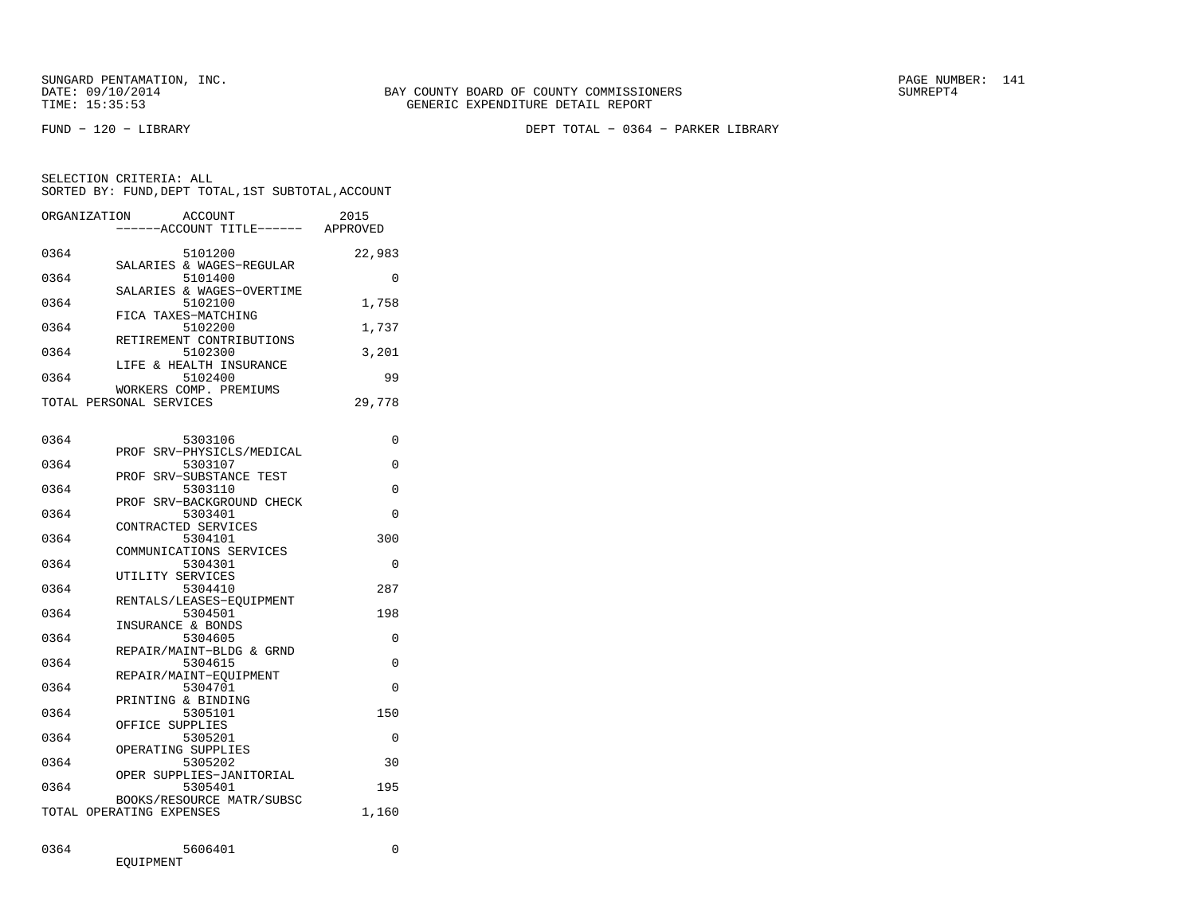FUND − 120 − LIBRARY DEPT TOTAL − 0364 − PARKER LIBRARY

| ORGANIZATION            | ACCOUNT<br>------ACCOUNT TITLE------ | 2015<br>APPROVED |
|-------------------------|--------------------------------------|------------------|
| 0364                    | 5101200                              | 22,983           |
| 0364                    | SALARIES & WAGES-REGULAR<br>5101400  | O                |
| 0364                    | SALARIES & WAGES-OVERTIME<br>5102100 | 1,758            |
| 0364                    | FICA TAXES-MATCHING<br>5102200       | 1,737            |
| 0364                    | RETIREMENT CONTRIBUTIONS<br>5102300  | 3,201            |
| 0364                    | LIFE & HEALTH INSURANCE<br>5102400   | 99               |
|                         | WORKERS COMP. PREMIUMS               |                  |
| TOTAL PERSONAL SERVICES |                                      | 29,778           |

| 0364 | 5303106                            | 0        |
|------|------------------------------------|----------|
|      | PROF SRV-PHYSICLS/MEDICAL          |          |
| 0364 | 5303107                            | $\Omega$ |
| 0364 | PROF SRV-SUBSTANCE TEST<br>5303110 | $\Omega$ |
|      | PROF SRV-BACKGROUND CHECK          |          |
| 0364 | 5303401                            | $\Omega$ |
|      | CONTRACTED SERVICES                |          |
| 0364 | 5304101                            | 300      |
|      | COMMUNICATIONS SERVICES            |          |
| 0364 | 5304301                            | $\Omega$ |
|      | UTILITY SERVICES                   |          |
| 0364 | 5304410                            | 287      |
|      | RENTALS/LEASES-EQUIPMENT           |          |
| 0364 | 5304501                            | 198      |
|      | INSURANCE & BONDS                  |          |
| 0364 | 5304605                            | $\Omega$ |
|      | REPAIR/MAINT-BLDG & GRND           |          |
| 0364 | 5304615<br>REPAIR/MAINT-EOUIPMENT  | $\Omega$ |
| 0364 | 5304701                            | $\Omega$ |
|      | PRINTING & BINDING                 |          |
| 0364 | 5305101                            | 150      |
|      | OFFICE SUPPLIES                    |          |
| 0364 | 5305201                            | $\Omega$ |
|      | OPERATING SUPPLIES                 |          |
| 0364 | 5305202                            | 30       |
|      | OPER SUPPLIES-JANITORIAL           |          |
| 0364 | 5305401                            | 195      |
|      | BOOKS/RESOURCE MATR/SUBSC          |          |
|      | TOTAL OPERATING EXPENSES           | 1,160    |
|      |                                    |          |
| 0364 | 5606401                            | $\Omega$ |
|      | EOUIPMENT                          |          |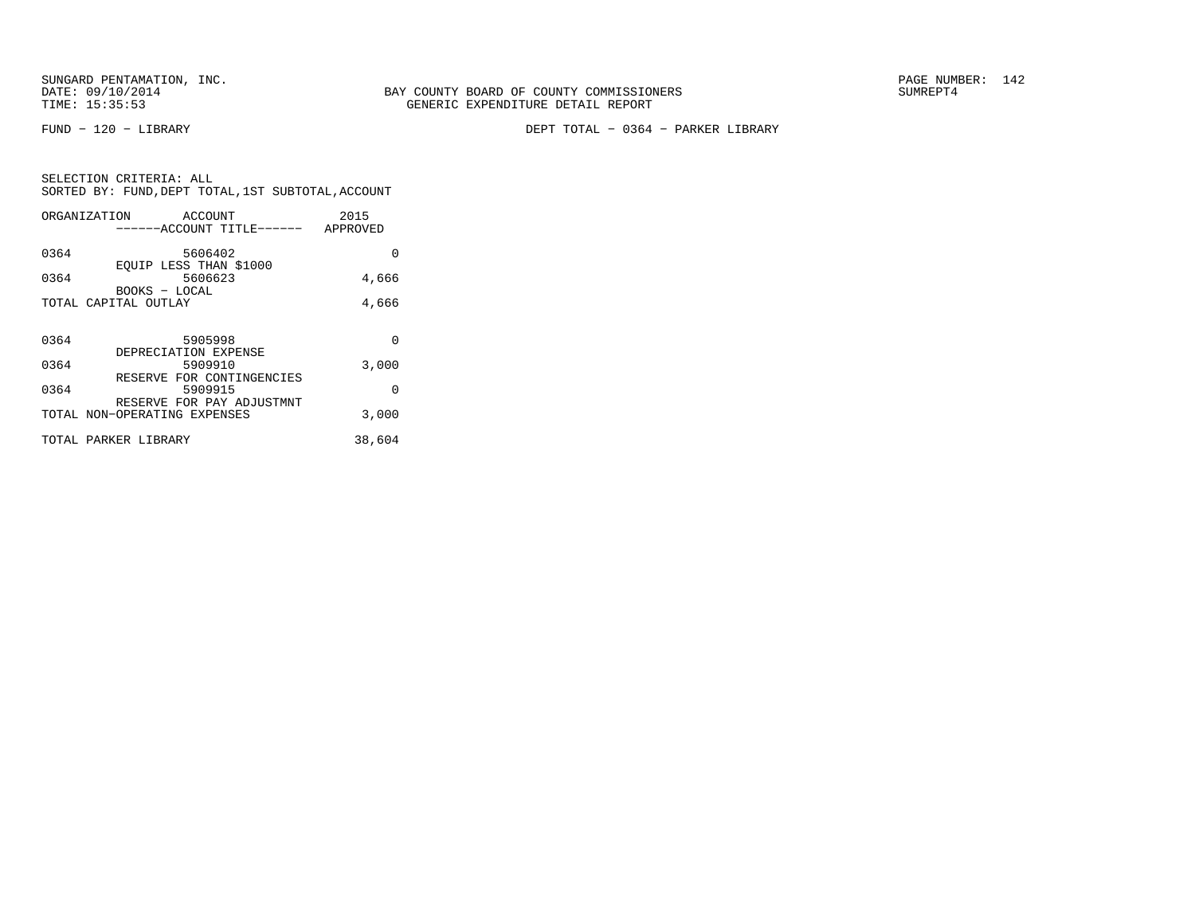FUND − 120 − LIBRARY DEPT TOTAL − 0364 − PARKER LIBRARY

| SELECTION CRITERIA: ALL |  |  |                                                    |  |
|-------------------------|--|--|----------------------------------------------------|--|
|                         |  |  | SORTED BY: FUND, DEPT TOTAL, 1ST SUBTOTAL, ACCOUNT |  |

|      | ORGANIZATION<br>ACCOUNT              | 2015     |
|------|--------------------------------------|----------|
|      | ------ACCOUNT TITLE------            | APPROVED |
| 0364 | 5606402                              | 0        |
|      | EOUIP LESS THAN \$1000               |          |
| 0364 | 5606623                              | 4,666    |
|      | BOOKS - LOCAL                        |          |
|      | TOTAL CAPITAL OUTLAY                 | 4,666    |
|      |                                      |          |
| 0364 | 5905998                              | $\Omega$ |
|      | DEPRECIATION EXPENSE                 |          |
| 0364 | 5909910                              | 3,000    |
| 0364 | RESERVE FOR CONTINGENCIES<br>5909915 | 0        |
|      | RESERVE FOR PAY ADJUSTMNT            |          |
|      | TOTAL NON-OPERATING EXPENSES         | 3,000    |
|      | TOTAL PARKER LIBRARY                 | 38,604   |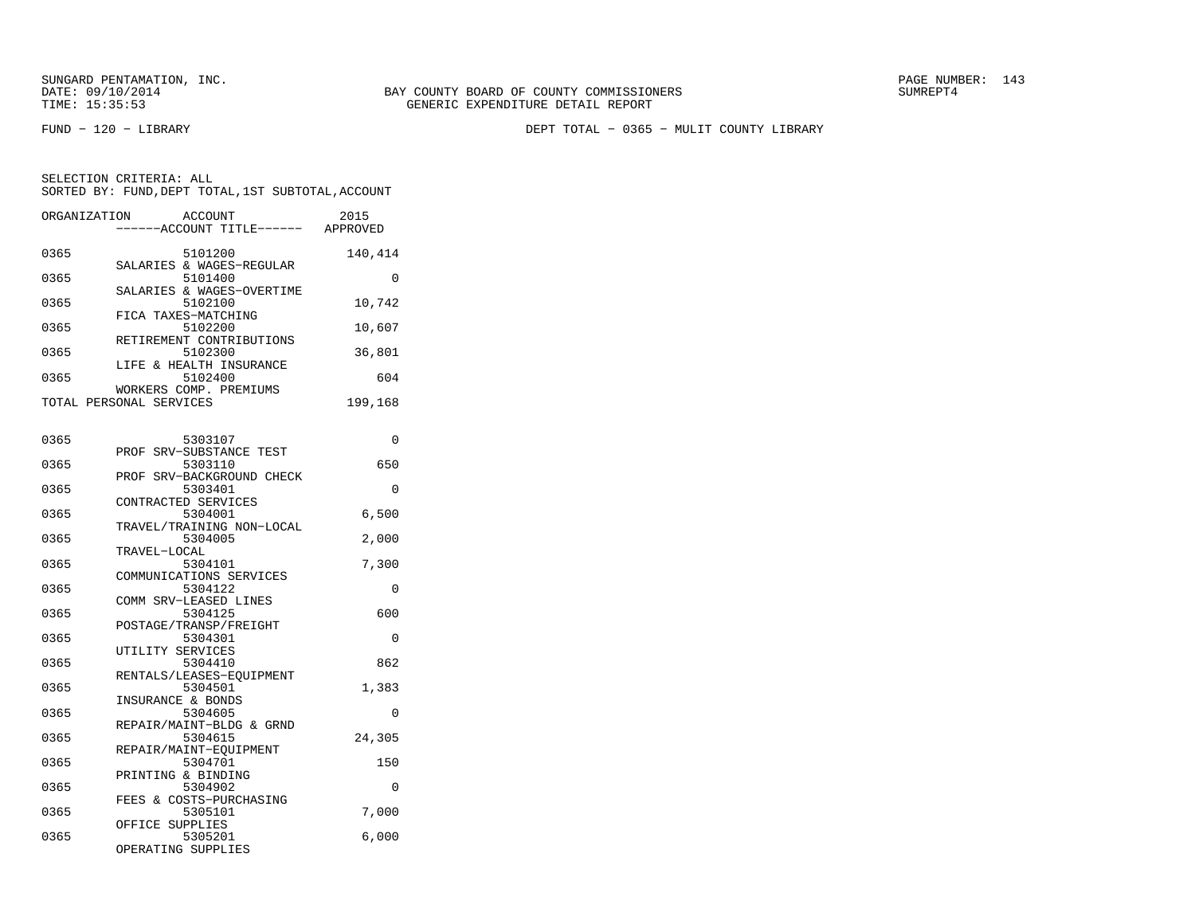FUND − 120 − LIBRARY DEPT TOTAL − 0365 − MULIT COUNTY LIBRARY

| ORGANIZATION | <b>ACCOUNT</b><br>---ACCOUNT TITLE------ APPROVED | 2015     |
|--------------|---------------------------------------------------|----------|
| 0365         | 5101200<br>SALARIES & WAGES-REGULAR               | 140,414  |
| 0365         | 5101400                                           | 0        |
| 0365         | SALARIES & WAGES-OVERTIME<br>5102100              | 10,742   |
| 0365         | FICA TAXES-MATCHING<br>5102200                    | 10,607   |
| 0365         | RETIREMENT CONTRIBUTIONS<br>5102300               | 36,801   |
| 0365         | LIFE & HEALTH INSURANCE<br>5102400                | 604      |
|              | WORKERS COMP. PREMIUMS<br>TOTAL PERSONAL SERVICES | 199,168  |
|              |                                                   |          |
| 0365         | 5303107<br>SRV-SUBSTANCE TEST<br>PROF             | 0        |
| 0365         | 5303110<br>PROF SRV-BACKGROUND CHECK              | 650      |
| 0365         | 5303401<br>CONTRACTED SERVICES                    | $\Omega$ |
| 0365         | 5304001<br>TRAVEL/TRAINING NON-LOCAL              | 6,500    |
| 0365         | 5304005                                           | 2,000    |
| 0365         | TRAVEL-LOCAL<br>5304101                           | 7,300    |
| 0365         | COMMUNICATIONS SERVICES<br>5304122                | 0        |
| 0365         | COMM SRV-LEASED LINES<br>5304125                  | 600      |
| 0365         | POSTAGE/TRANSP/FREIGHT<br>5304301                 | 0        |
| 0365         | UTILITY SERVICES<br>5304410                       | 862      |
| 0365         | RENTALS/LEASES-EQUIPMENT<br>5304501               | 1,383    |
| 0365         | INSURANCE & BONDS<br>5304605                      | 0        |
| 0365         | REPAIR/MAINT-BLDG & GRND<br>5304615               | 24,305   |
| 0365         | REPAIR/MAINT-EQUIPMENT<br>5304701                 | 150      |
|              | PRINTING & BINDING                                |          |
| 0365         | 5304902<br>FEES & COSTS-PURCHASING                | 0        |
| 0365         | 5305101<br>OFFICE SUPPLIES                        | 7,000    |
| 0365         | 5305201<br>OPERATING SUPPLIES                     | 6,000    |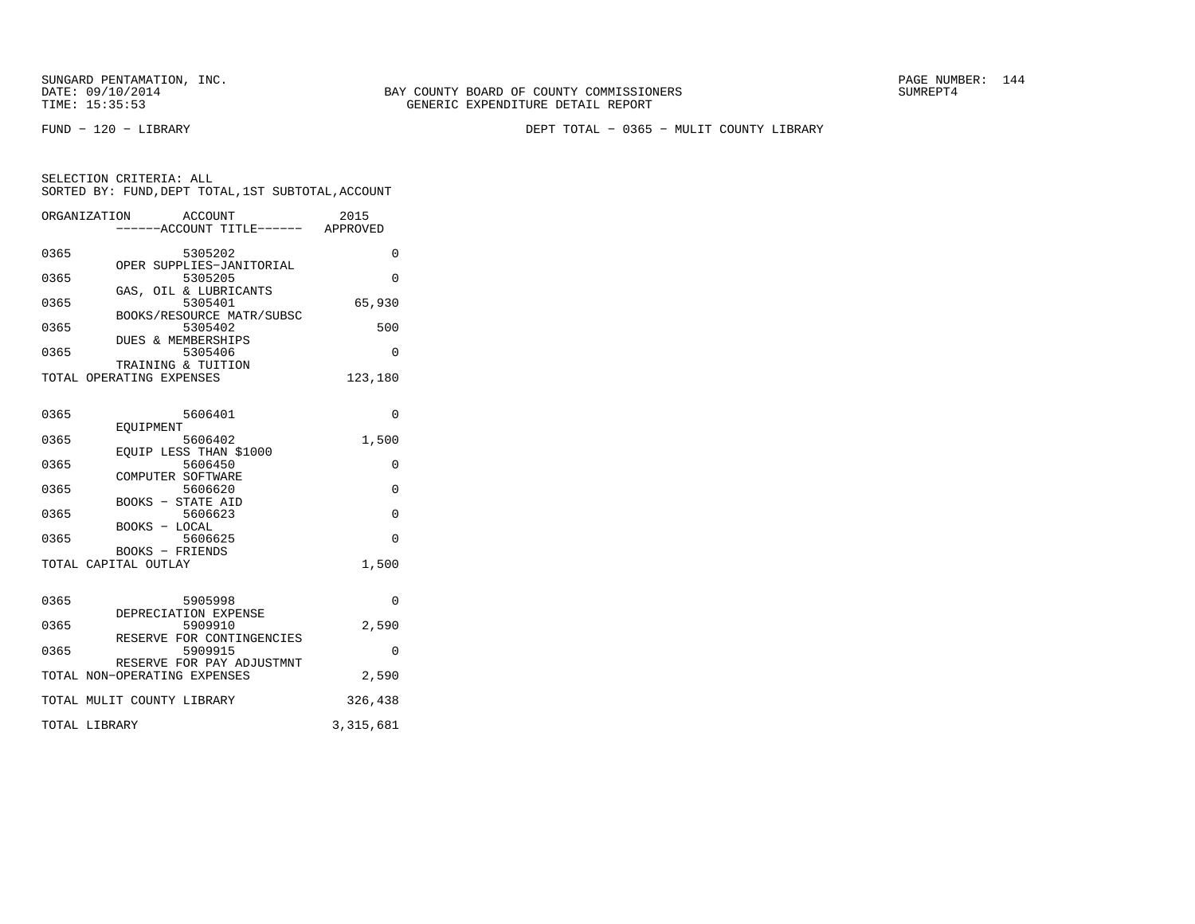SUNGARD PENTAMATION, INC.<br>DATE: 09/10/2014 SUMREPT4

FUND − 120 − LIBRARY DEPT TOTAL − 0365 − MULIT COUNTY LIBRARY

| SELECTION CRITERIA: ALL |  |  |                                                    |  |
|-------------------------|--|--|----------------------------------------------------|--|
|                         |  |  | SORTED BY: FUND, DEPT TOTAL, 1ST SUBTOTAL, ACCOUNT |  |
|                         |  |  |                                                    |  |

|      | ORGANIZATION ACCOUNT<br>----ACCOUNT TITLE------ APPROVED | 2015           |
|------|----------------------------------------------------------|----------------|
| 0365 | 5305202                                                  | 0              |
|      | OPER SUPPLIES-JANITORIAL                                 |                |
| 0365 | 5305205<br>GAS, OIL & LUBRICANTS                         | $\Omega$       |
| 0365 | 5305401                                                  | 65,930         |
|      | BOOKS/RESOURCE MATR/SUBSC                                |                |
| 0365 | 5305402<br>DUES & MEMBERSHIPS                            | 500            |
| 0365 | 5305406                                                  | 0              |
|      | TRAINING & TUITION                                       |                |
|      | TOTAL OPERATING EXPENSES                                 | 123,180        |
| 0365 | 5606401                                                  | 0              |
|      | EOUIPMENT                                                |                |
| 0365 | 5606402<br>EOUIP LESS THAN \$1000                        | 1,500          |
| 0365 | 5606450                                                  | 0              |
|      | COMPUTER SOFTWARE                                        |                |
| 0365 | 5606620                                                  | $\overline{0}$ |
| 0365 | BOOKS - STATE AID<br>5606623                             | 0              |
|      | BOOKS - LOCAL                                            |                |
| 0365 | 5606625                                                  | $\Omega$       |
|      | BOOKS - FRIENDS<br>TOTAL CAPITAL OUTLAY                  | 1,500          |
|      |                                                          |                |
| 0365 | 5905998                                                  | 0              |
|      | DEPRECIATION EXPENSE                                     |                |
| 0365 | 5909910<br>RESERVE FOR CONTINGENCIES                     | 2,590          |
| 0365 | 5909915                                                  | 0              |
|      | RESERVE FOR PAY ADJUSTMNT                                |                |
|      | TOTAL NON-OPERATING EXPENSES                             | 2,590          |
|      | TOTAL MULIT COUNTY LIBRARY                               | 326,438        |
|      | TOTAL LIBRARY                                            | 3, 315, 681    |
|      |                                                          |                |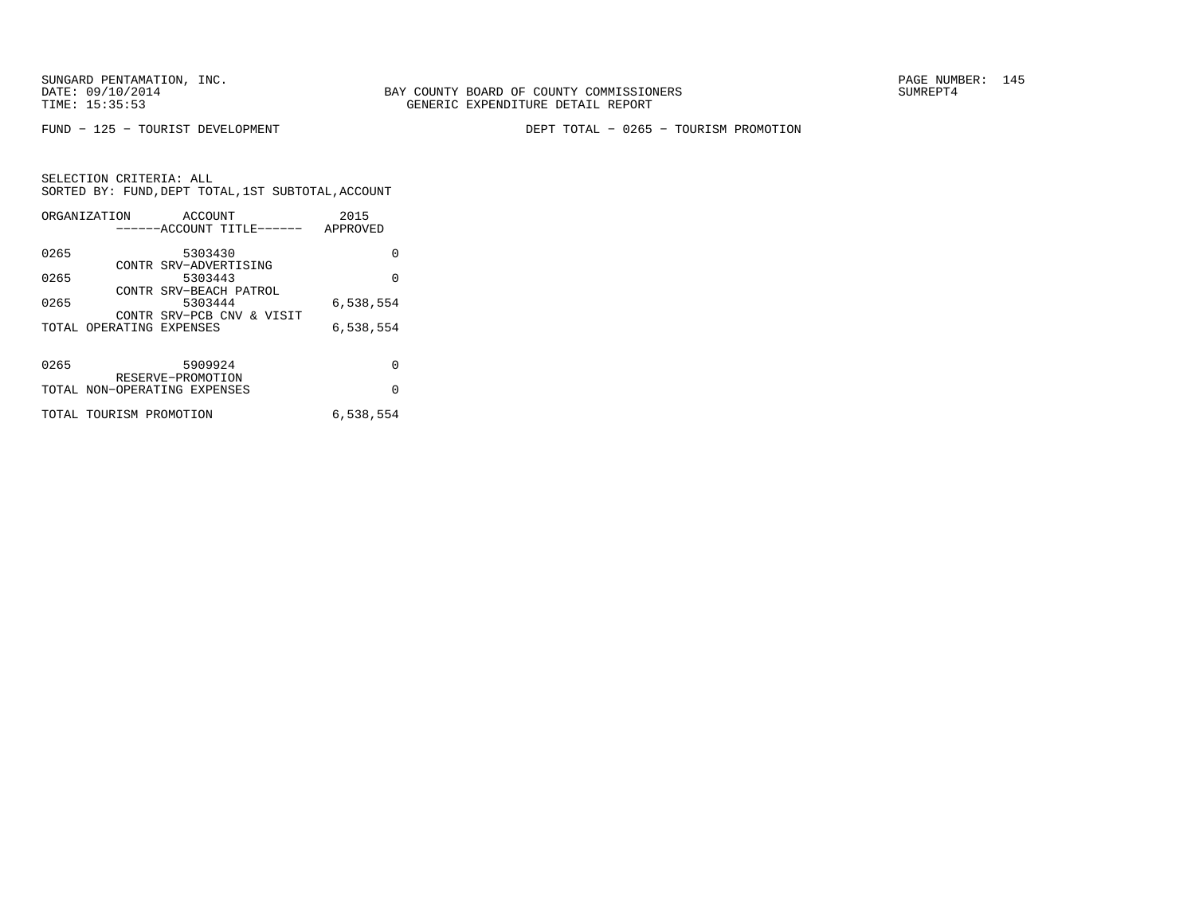FUND − 125 − TOURIST DEVELOPMENT DEPT TOTAL − 0265 − TOURISM PROMOTION

|      | ORGANIZATION                 | ACCOUNT               |                           | 2015      |
|------|------------------------------|-----------------------|---------------------------|-----------|
|      |                              |                       | ------ACCOUNT TITLE------ | APPROVED  |
|      |                              |                       |                           |           |
| 0265 |                              | 5303430               |                           | 0         |
|      |                              | CONTR SRV-ADVERTISING |                           |           |
| 0265 |                              | 5303443               |                           | $\Omega$  |
|      |                              |                       | CONTR SRV-BEACH PATROL    |           |
| 0265 |                              | 5303444               |                           | 6,538,554 |
|      |                              |                       | CONTR SRV-PCB CNV & VISIT |           |
|      | TOTAL OPERATING EXPENSES     |                       |                           | 6,538,554 |
|      |                              |                       |                           |           |
|      |                              |                       |                           |           |
| 0265 |                              | 5909924               |                           | O         |
|      |                              | RESERVE-PROMOTION     |                           |           |
|      | TOTAL NON-OPERATING EXPENSES |                       |                           | $\Omega$  |
|      |                              |                       |                           |           |
|      | TOTAL TOURISM PROMOTION      |                       |                           | 6,538,554 |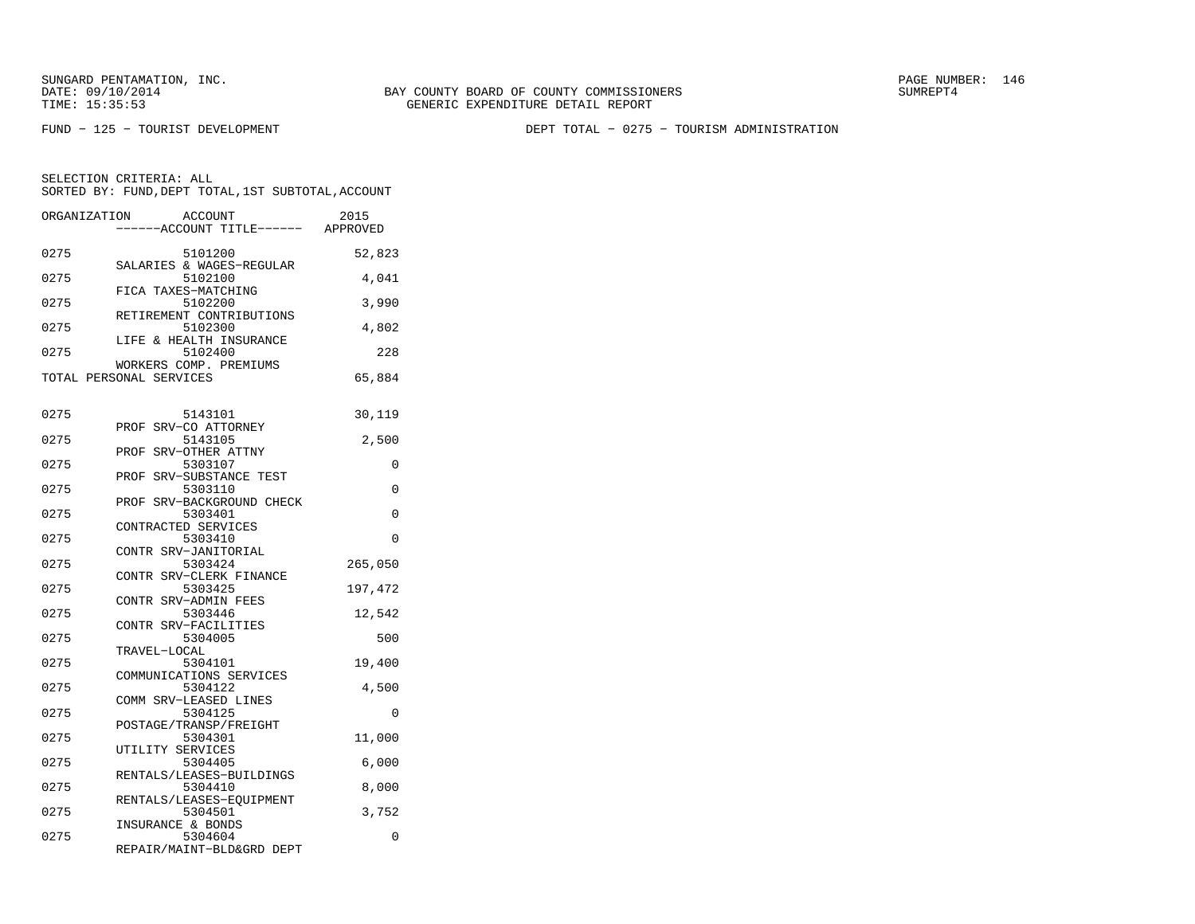BAY COUNTY BOARD OF COUNTY COMMISSIONERS TIME: 15:35:53 GENERIC EXPENDITURE DETAIL REPORT

FUND − 125 − TOURIST DEVELOPMENT DEPT TOTAL − 0275 − TOURISM ADMINISTRATION

| ORGANIZATION |                         | <b>ACCOUNT</b><br>----ACCOUNT TITLE------ | 2015<br>APPROVED |
|--------------|-------------------------|-------------------------------------------|------------------|
| 0275         |                         | 5101200                                   | 52,823           |
| 0275         |                         | SALARIES & WAGES-REGULAR<br>5102100       | 4,041            |
| 0275         |                         | FICA TAXES-MATCHING<br>5102200            | 3,990            |
| 0275         |                         | RETIREMENT CONTRIBUTIONS<br>5102300       | 4,802            |
| 0275         |                         | LIFE & HEALTH INSURANCE<br>5102400        | 228              |
|              | TOTAL PERSONAL SERVICES | WORKERS COMP. PREMIUMS                    | 65,884           |
|              |                         |                                           |                  |
| 0275         |                         | 5143101<br>PROF SRV-CO ATTORNEY           | 30,119           |
| 0275         |                         | 5143105                                   | 2,500            |
|              | PROF                    | SRV-OTHER ATTNY                           |                  |
| 0275         |                         | 5303107                                   | 0                |
|              |                         | PROF SRV-SUBSTANCE TEST                   |                  |
| 0275         |                         | 5303110                                   | 0                |
|              |                         | PROF SRV-BACKGROUND CHECK                 |                  |
| 0275         |                         | 5303401                                   | 0                |
|              | CONTRACTED SERVICES     |                                           |                  |
| 0275         |                         | 5303410                                   | 0                |
|              |                         | CONTR SRV-JANITORIAL                      |                  |
| 0275         |                         | 5303424                                   | 265,050          |
|              |                         | CONTR SRV-CLERK FINANCE                   |                  |
| 0275         |                         | 5303425                                   | 197,472          |
|              |                         | CONTR SRV-ADMIN FEES                      |                  |
| 0275         |                         | 5303446                                   | 12,542           |
|              |                         | CONTR SRV-FACILITIES                      |                  |
| 0275         |                         | 5304005                                   | 500              |
| 0275         | TRAVEL-LOCAL            |                                           |                  |
|              |                         | 5304101<br>COMMUNICATIONS SERVICES        | 19,400           |
| 0275         |                         | 5304122                                   | 4,500            |
|              |                         | COMM SRV-LEASED LINES                     |                  |
| 0275         |                         | 5304125                                   | $\Omega$         |
|              |                         | POSTAGE/TRANSP/FREIGHT                    |                  |
| 0275         |                         | 5304301                                   | 11,000           |
|              | UTILITY SERVICES        |                                           |                  |
| 0275         |                         | 5304405                                   | 6,000            |
|              |                         | RENTALS/LEASES-BUILDINGS                  |                  |
| 0275         |                         | 5304410                                   | 8,000            |
|              |                         | RENTALS/LEASES-EQUIPMENT                  |                  |
| 0275         |                         | 5304501                                   | 3,752            |
|              | INSURANCE & BONDS       |                                           |                  |
| 0275         |                         | 5304604                                   | 0                |
|              |                         | REPAIR/MAINT-BLD&GRD DEPT                 |                  |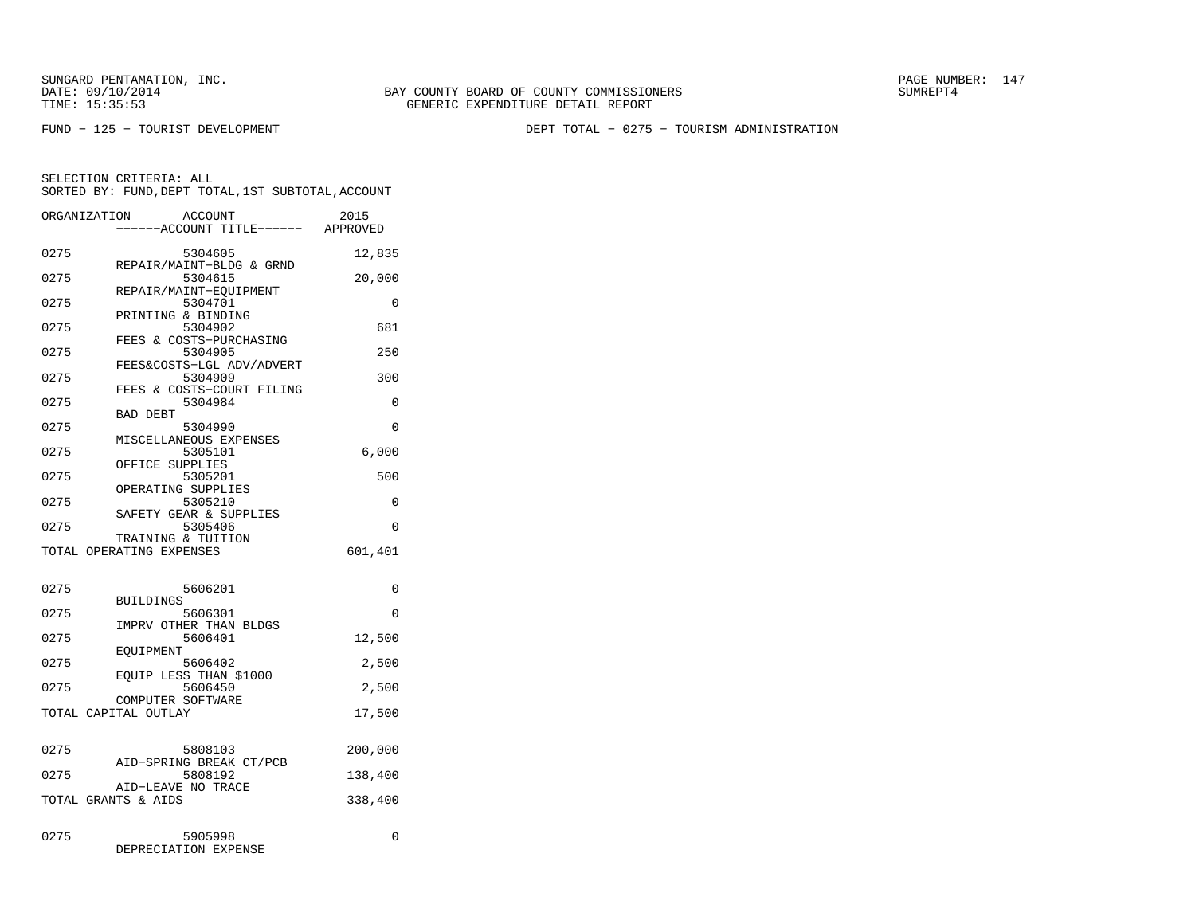FUND − 125 − TOURIST DEVELOPMENT DEPT TOTAL − 0275 − TOURISM ADMINISTRATION

|      | ORGANIZATION<br>ACCOUNT<br>---ACCOUNT TITLE------ APPROVED | 2015     |
|------|------------------------------------------------------------|----------|
| 0275 | 5304605                                                    | 12,835   |
| 0275 | REPAIR/MAINT-BLDG & GRND<br>5304615                        | 20,000   |
| 0275 | REPAIR/MAINT-EQUIPMENT<br>5304701                          | 0        |
| 0275 | PRINTING & BINDING<br>5304902                              | 681      |
| 0275 | FEES & COSTS-PURCHASING<br>5304905                         | 250      |
| 0275 | FEES&COSTS-LGL ADV/ADVERT<br>5304909                       | 300      |
| 0275 | FEES & COSTS-COURT FILING<br>5304984                       | 0        |
| 0275 | <b>BAD DEBT</b><br>5304990                                 | 0        |
| 0275 | MISCELLANEOUS EXPENSES<br>5305101                          | 6,000    |
| 0275 | OFFICE SUPPLIES<br>5305201                                 | 500      |
| 0275 | OPERATING SUPPLIES<br>5305210                              | 0        |
| 0275 | SAFETY GEAR & SUPPLIES<br>5305406                          | $\Omega$ |
|      | TRAINING & TUITION<br>TOTAL OPERATING EXPENSES             | 601,401  |
| 0275 | 5606201                                                    | 0        |
| 0275 | <b>BUILDINGS</b><br>5606301                                | 0        |
| 0275 | IMPRV OTHER THAN BLDGS<br>5606401                          | 12,500   |
| 0275 | EQUIPMENT<br>5606402                                       | 2,500    |
| 0275 | EQUIP LESS THAN \$1000<br>5606450                          | 2,500    |
|      | COMPUTER SOFTWARE<br>TOTAL CAPITAL OUTLAY                  | 17,500   |
|      |                                                            |          |
| 0275 | 5808103<br>AID-SPRING BREAK CT/PCB                         | 200,000  |
| 0275 | 5808192<br>AID-LEAVE NO TRACE                              | 138,400  |
|      | TOTAL GRANTS & AIDS                                        | 338,400  |
| 0275 | 5905998<br>DEPRECIATION EXPENSE                            | 0        |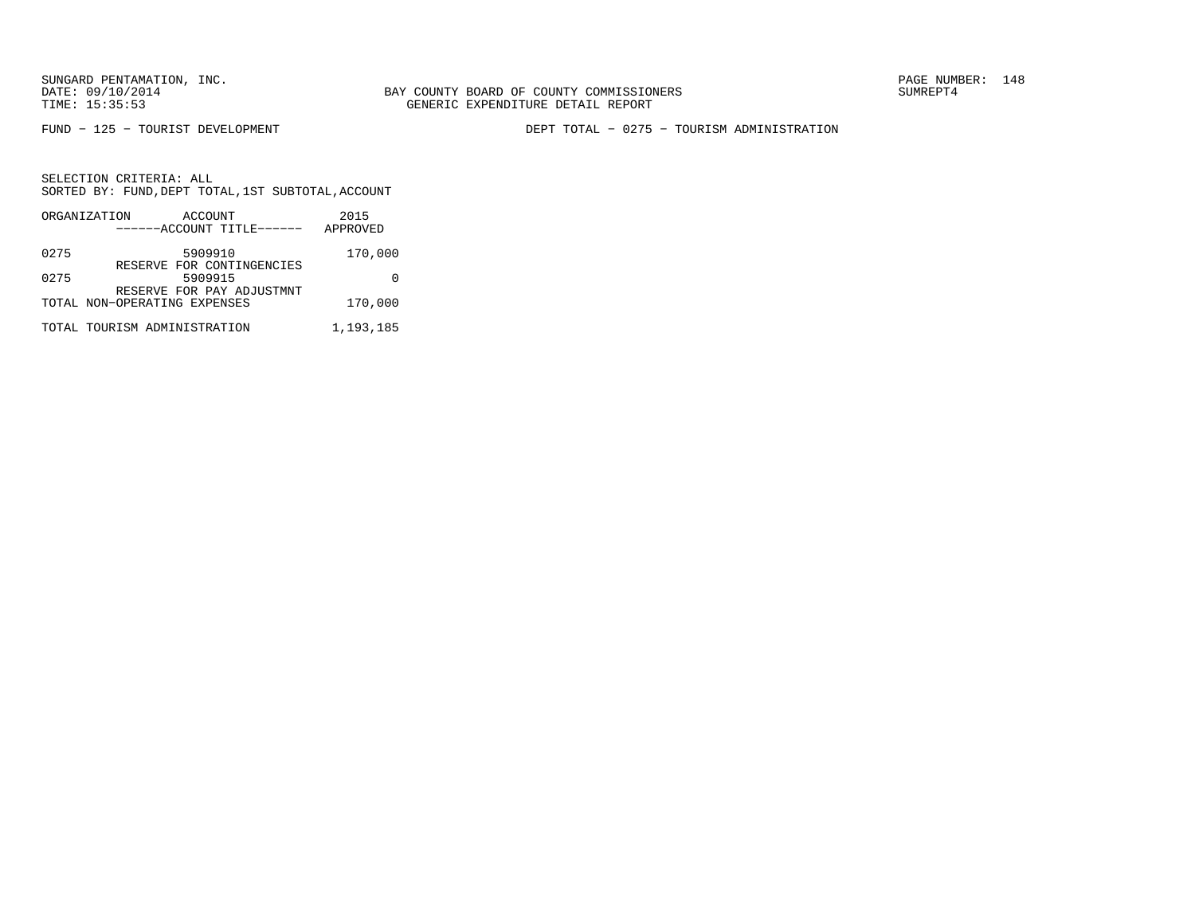FUND − 125 − TOURIST DEVELOPMENT DEPT TOTAL − 0275 − TOURISM ADMINISTRATION

|      | ORGANIZATION<br>ACCOUNT              | 2015      |
|------|--------------------------------------|-----------|
|      | ------ACCOUNT TITLE------            | APPROVED  |
| 0275 | 5909910                              | 170,000   |
| 0275 | RESERVE FOR CONTINGENCIES<br>5909915 |           |
|      | RESERVE FOR PAY ADJUSTMNT            |           |
|      | TOTAL NON-OPERATING EXPENSES         | 170,000   |
|      | TOTAL TOURISM ADMINISTRATION         | 1,193,185 |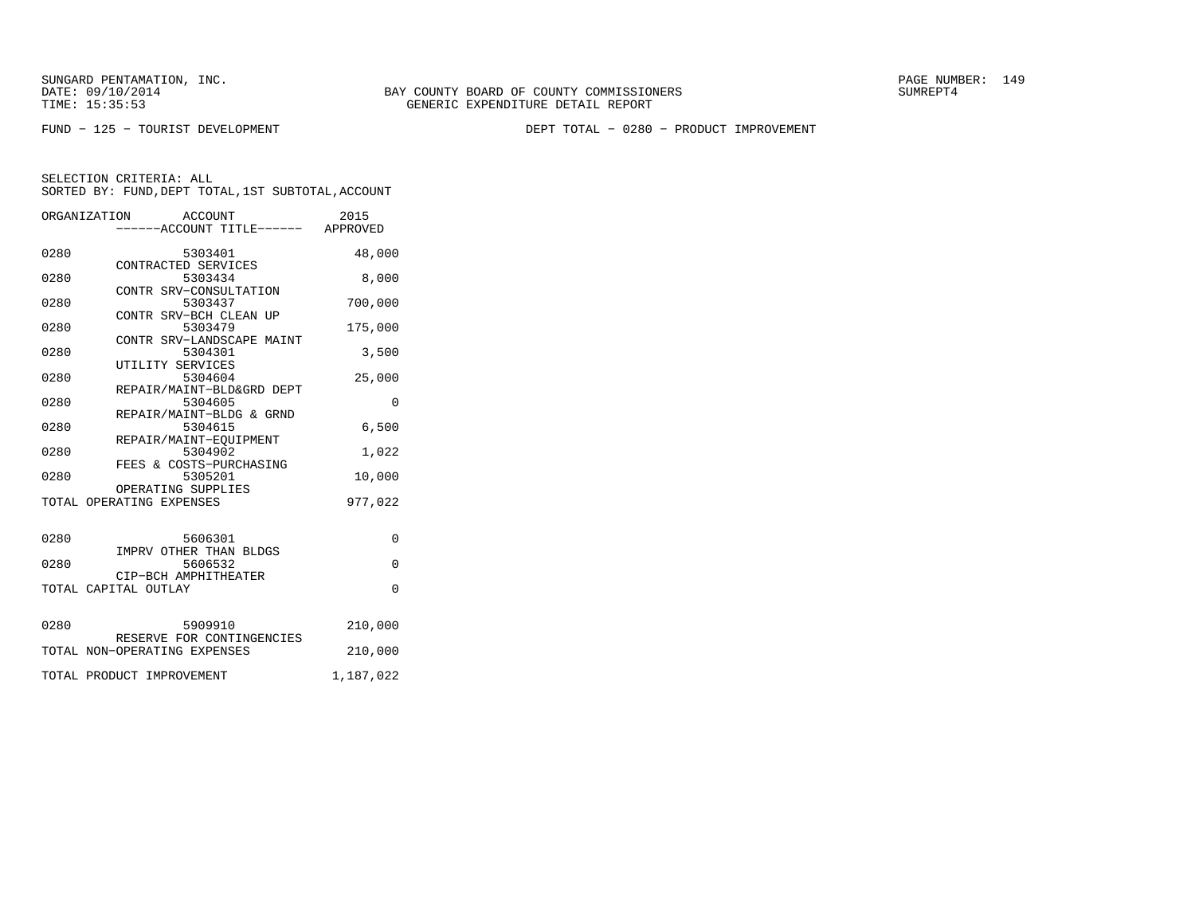FUND − 125 − TOURIST DEVELOPMENT DEPT TOTAL − 0280 − PRODUCT IMPROVEMENT

|      | ORGANIZATION<br>ACCOUNT<br>-----ACCOUNT TITLE------ APPROVED | 2015      |
|------|--------------------------------------------------------------|-----------|
| 0280 | 5303401<br>DOUSAUL<br>CONTRACTED SERVICES                    | 48,000    |
| 0280 | 5303434                                                      | 8,000     |
| 0280 | CONTR SRV-CONSULTATION<br>5303437                            | 700,000   |
| 0280 | CONTR SRV-BCH CLEAN UP<br>5303479                            | 175,000   |
| 0280 | CONTR SRV-LANDSCAPE MAINT<br>5304301                         | 3,500     |
| 0280 | UTILITY SERVICES<br>5304604                                  | 25,000    |
| 0280 | REPAIR/MAINT-BLD&GRD DEPT<br>5304605                         | $\Omega$  |
| 0280 | REPAIR/MAINT-BLDG & GRND<br>5304615                          | 6,500     |
| 0280 | REPAIR/MAINT-EQUIPMENT<br>5304902                            | 1,022     |
| 0280 | FEES & COSTS-PURCHASING<br>5305201                           | 10,000    |
|      | OPERATING SUPPLIES<br>TOTAL OPERATING EXPENSES               | 977,022   |
|      |                                                              |           |
| 0280 | 5606301<br>IMPRV OTHER THAN BLDGS                            | $\Omega$  |
| 0280 | 5606532<br>CIP-BCH AMPHITHEATER                              | $\Omega$  |
|      | TOTAL CAPITAL OUTLAY                                         | $\Omega$  |
| 0280 | 5909910                                                      | 210,000   |
|      | RESERVE FOR CONTINGENCIES<br>TOTAL NON-OPERATING EXPENSES    | 210,000   |
|      | TOTAL PRODUCT IMPROVEMENT                                    | 1,187,022 |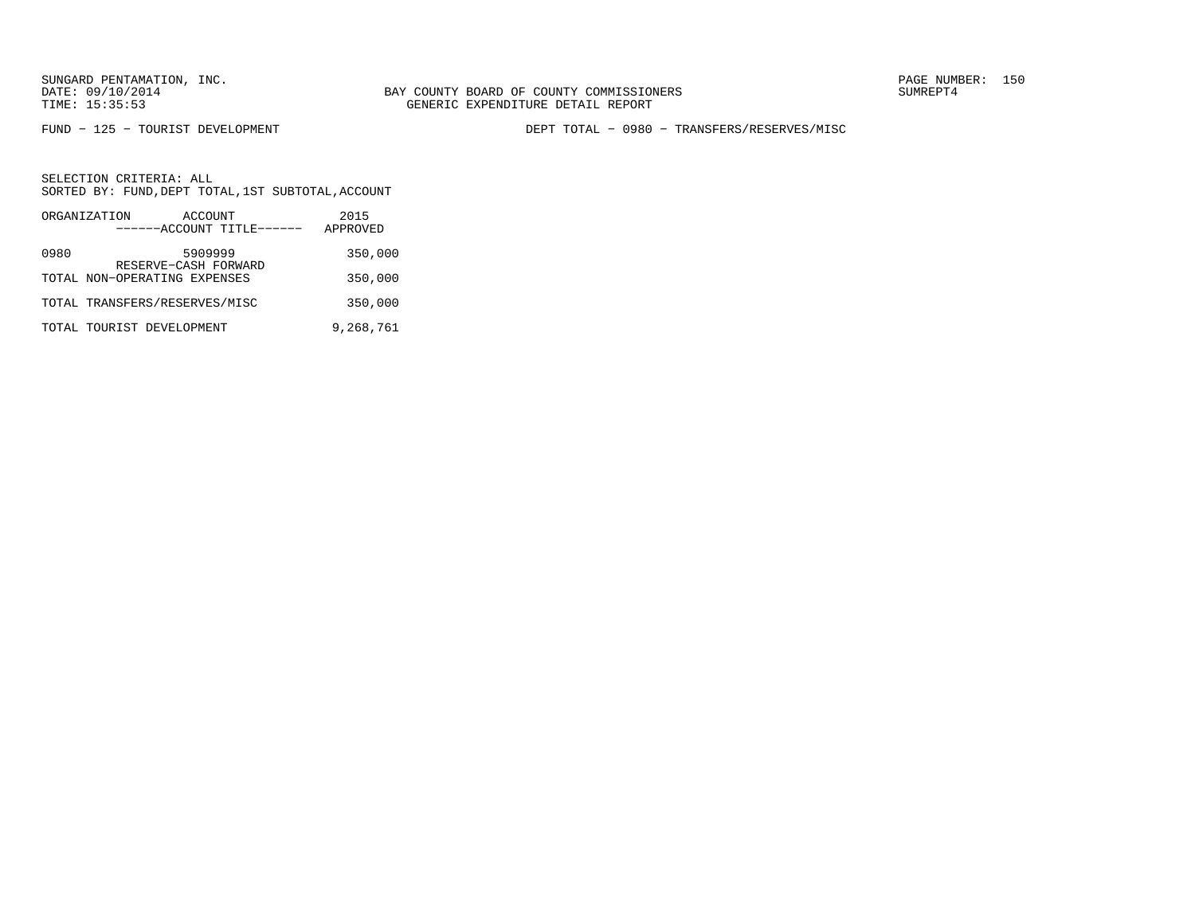FUND − 125 − TOURIST DEVELOPMENT DEPT TOTAL − 0980 − TRANSFERS/RESERVES/MISC

|      | ORGANIZATION                                         | ACCOUNT | ------ACCOUNT TITLE------ | 2015<br>APPROVED |
|------|------------------------------------------------------|---------|---------------------------|------------------|
| 0980 |                                                      | 5909999 |                           | 350,000          |
|      | RESERVE-CASH FORWARD<br>TOTAL NON-OPERATING EXPENSES |         |                           | 350,000          |
|      | TOTAL TRANSFERS/RESERVES/MISC                        |         |                           | 350,000          |
|      | TOTAL TOURIST DEVELOPMENT                            |         |                           | 9,268,761        |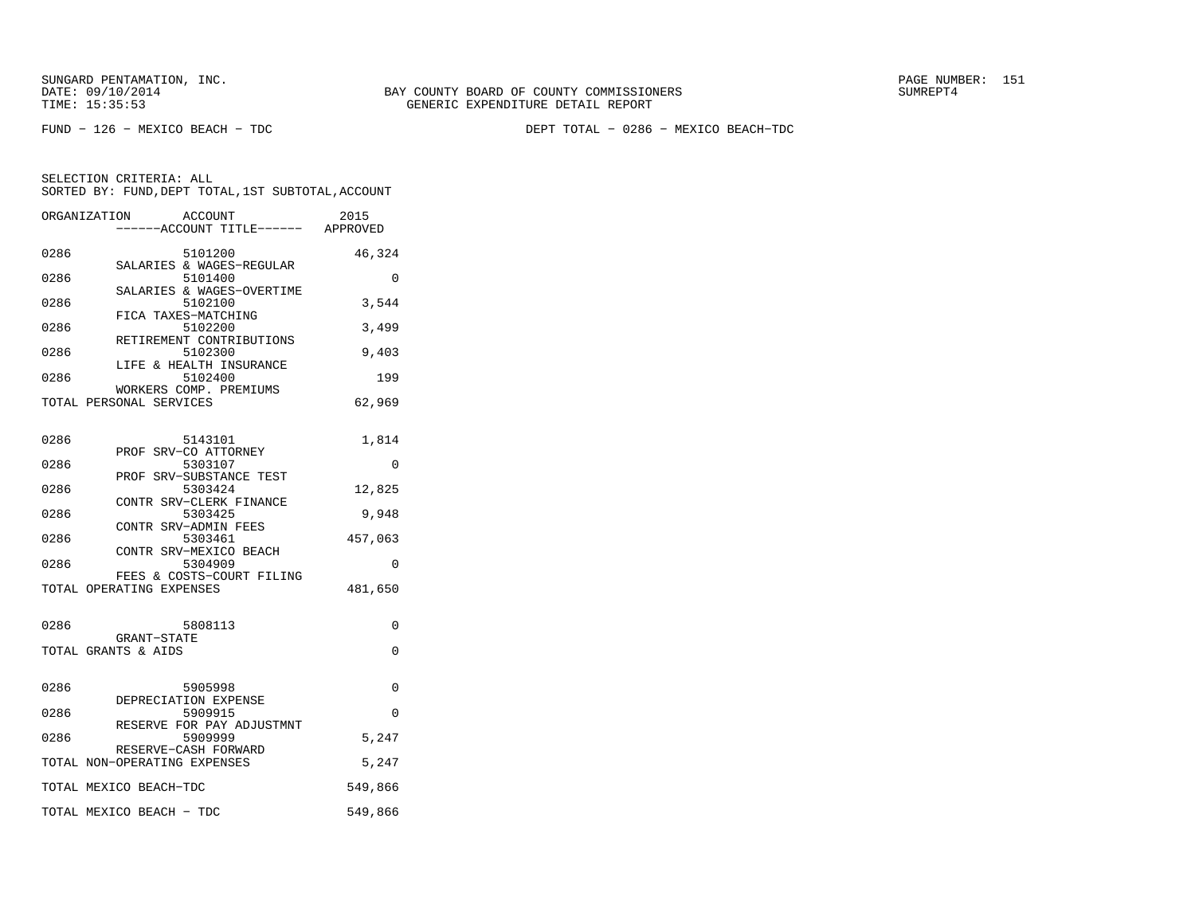FUND − 126 − MEXICO BEACH − TDC DEPT TOTAL − 0286 − MEXICO BEACH−TDC

|      | ORGANIZATION<br>ACCOUNT              | 2015     |
|------|--------------------------------------|----------|
|      | ----ACCOUNT TITLE------ APPROVED     |          |
| 0286 | 5101200                              | 46,324   |
|      | SALARIES & WAGES-REGULAR             |          |
| 0286 | 5101400                              | 0        |
| 0286 | SALARIES & WAGES-OVERTIME<br>5102100 | 3,544    |
|      | FICA TAXES-MATCHING                  |          |
| 0286 | 5102200                              | 3,499    |
|      | RETIREMENT CONTRIBUTIONS             |          |
| 0286 | 5102300<br>LIFE & HEALTH INSURANCE   | 9,403    |
| 0286 | 5102400                              | 199      |
|      | WORKERS COMP. PREMIUMS               |          |
|      | TOTAL PERSONAL SERVICES              | 62,969   |
|      |                                      |          |
| 0286 | 5143101                              | 1,814    |
|      | PROF SRV-CO ATTORNEY                 |          |
| 0286 | 5303107                              | 0        |
| 0286 | PROF SRV-SUBSTANCE TEST<br>5303424   | 12,825   |
|      | CONTR SRV-CLERK FINANCE              |          |
| 0286 | 5303425                              | 9,948    |
|      | CONTR SRV-ADMIN FEES                 |          |
| 0286 | 5303461<br>CONTR SRV-MEXICO BEACH    | 457,063  |
| 0286 | 5304909                              | 0        |
|      | FEES & COSTS-COURT FILING            |          |
|      | TOTAL OPERATING EXPENSES             | 481,650  |
|      |                                      |          |
| 0286 | 5808113                              | $\Omega$ |
|      | GRANT-STATE                          |          |
|      | TOTAL GRANTS & AIDS                  | $\Omega$ |
|      |                                      |          |
| 0286 | 5905998                              | 0        |
|      | DEPRECIATION EXPENSE                 |          |
| 0286 | 5909915                              | $\Omega$ |
| 0286 | RESERVE FOR PAY ADJUSTMNT<br>5909999 | 5,247    |
|      | RESERVE-CASH FORWARD                 |          |
|      | TOTAL NON-OPERATING EXPENSES         | 5,247    |
|      |                                      |          |
|      | TOTAL MEXICO BEACH-TDC               | 549,866  |
|      | TOTAL MEXICO BEACH - TDC             | 549,866  |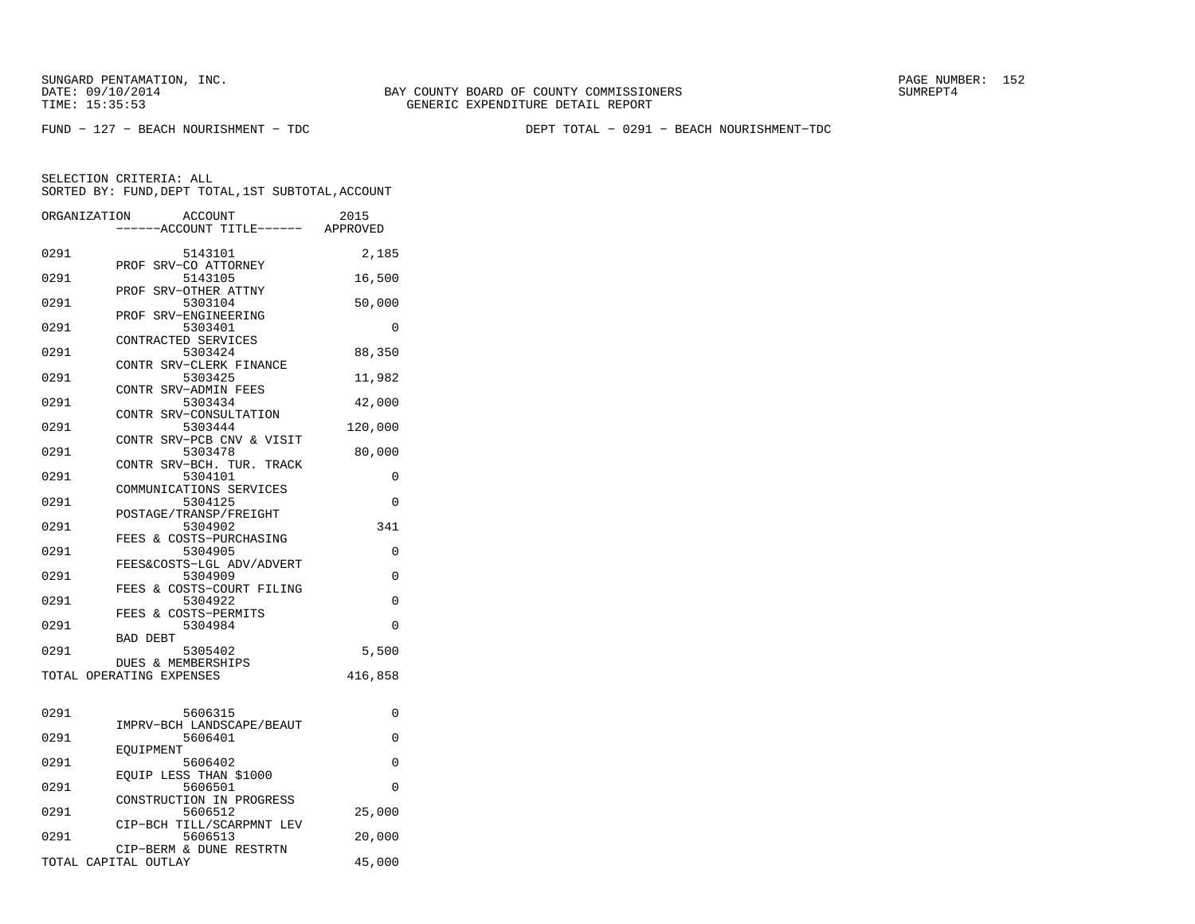FUND − 127 − BEACH NOURISHMENT − TDC DEPT TOTAL − 0291 − BEACH NOURISHMENT−TDC

| ORGANIZATION | <b>ACCOUNT</b><br>---ACCOUNT TITLE------ APPROVED | 2015     |
|--------------|---------------------------------------------------|----------|
|              |                                                   |          |
| 0291         | 5143101<br>PROF SRV-CO ATTORNEY                   | 2,185    |
| 0291         | 5143105<br>SRV-OTHER ATTNY<br>PROF                | 16,500   |
| 0291         | 5303104                                           | 50,000   |
| 0291         | SRV-ENGINEERING<br>PROF<br>5303401                | 0        |
| 0291         | CONTRACTED SERVICES<br>5303424                    | 88,350   |
| 0291         | CONTR SRV-CLERK FINANCE<br>5303425                | 11,982   |
| 0291         | CONTR SRV-ADMIN FEES<br>5303434                   | 42,000   |
| 0291         | CONTR SRV-CONSULTATION<br>5303444                 | 120,000  |
| 0291         | CONTR SRV-PCB CNV & VISIT<br>5303478              | 80,000   |
| 0291         | CONTR SRV-BCH. TUR. TRACK<br>5304101              | 0        |
| 0291         | COMMUNICATIONS SERVICES<br>5304125                | $\Omega$ |
| 0291         | POSTAGE/TRANSP/FREIGHT<br>5304902                 | 341      |
| 0291         | FEES & COSTS-PURCHASING<br>5304905                | 0        |
| 0291         | FEES&COSTS-LGL ADV/ADVERT<br>5304909              | 0        |
|              | FEES & COSTS-COURT FILING                         |          |
| 0291         | 5304922<br>FEES & COSTS-PERMITS                   | 0        |
| 0291         | 5304984<br><b>BAD DEBT</b>                        | $\Omega$ |
| 0291         | 5305402<br>DUES & MEMBERSHIPS                     | 5,500    |
|              | TOTAL OPERATING EXPENSES                          | 416,858  |
| 0291         | 5606315                                           | 0        |
| 0291         | IMPRV-BCH LANDSCAPE/BEAUT<br>5606401              | 0        |
| 0291         | EOUIPMENT<br>5606402                              | 0        |
| 0291         | EQUIP LESS THAN \$1000<br>5606501                 | $\Omega$ |
| 0291         | CONSTRUCTION IN PROGRESS<br>5606512               | 25,000   |
| 0291         | CIP-BCH TILL/SCARPMNT LEV<br>5606513              | 20,000   |
|              | CIP-BERM & DUNE RESTRTN<br>TOTAL CAPITAL OUTLAY   | 45,000   |
|              |                                                   |          |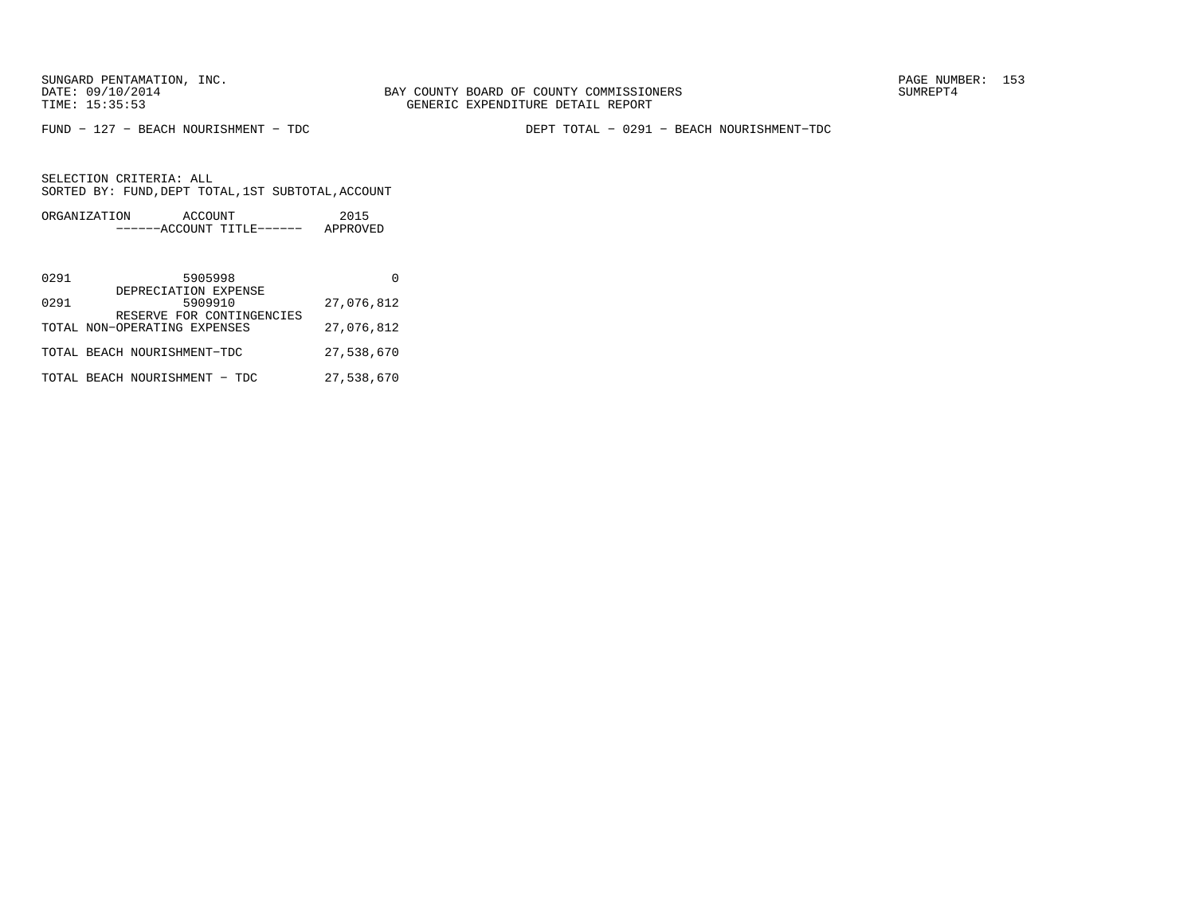FUND − 127 − BEACH NOURISHMENT − TDC DEPT TOTAL − 0291 − BEACH NOURISHMENT−TDC

| ORGANIZATION | ACCOUNT               | 2015     |
|--------------|-----------------------|----------|
|              | $---ACCOINT TITLE---$ | APPROVED |

| 0291 | 5905998                                                   |            |
|------|-----------------------------------------------------------|------------|
| 0291 | DEPRECIATION EXPENSE<br>5909910                           | 27,076,812 |
|      | RESERVE FOR CONTINGENCIES<br>TOTAL NON-OPERATING EXPENSES | 27,076,812 |
|      | TOTAL BEACH NOURISHMENT-TDC                               | 27,538,670 |
|      | TOTAL BEACH NOURISHMENT - TDC                             | 27,538,670 |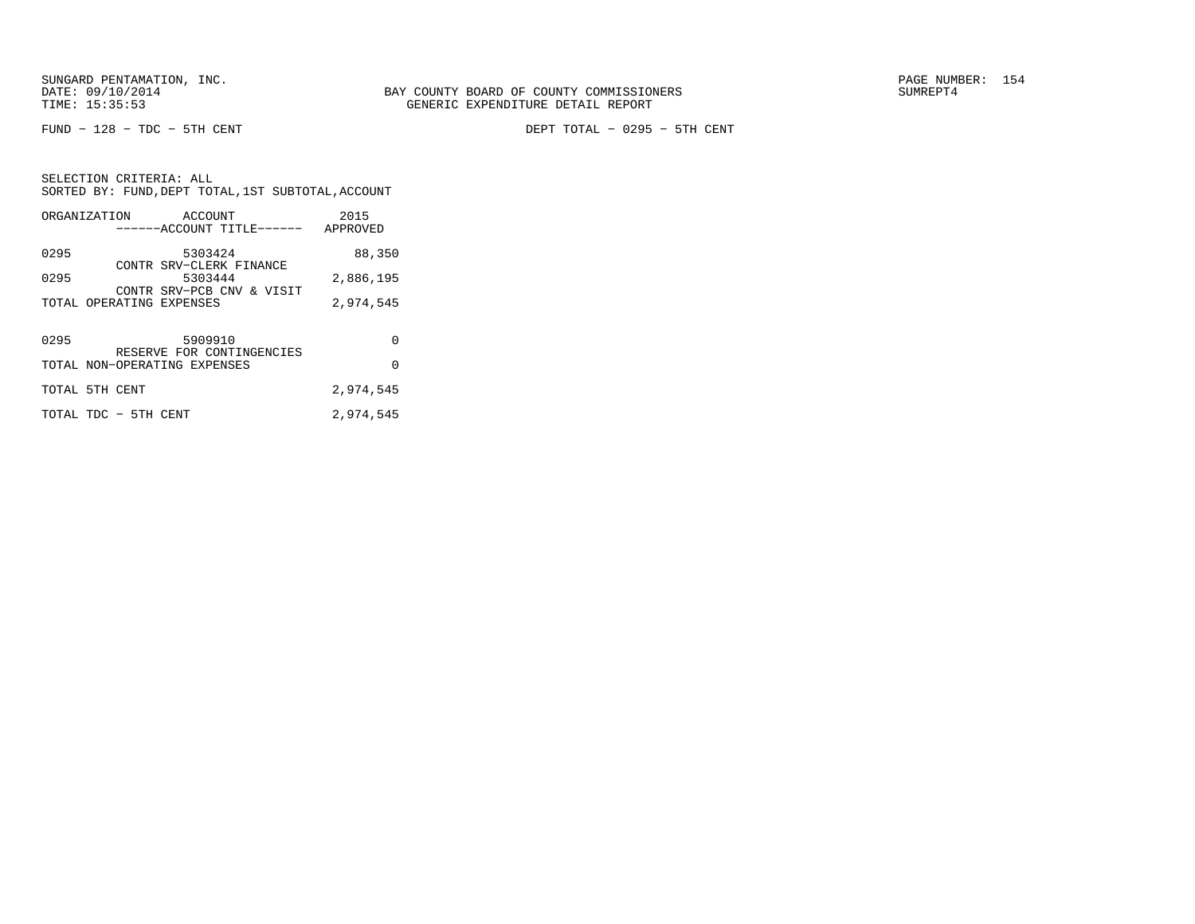FUND − 128 − TDC − 5TH CENT DEPT TOTAL − 0295 − 5TH CENT

SELECTION CRITERIA: ALL SORTED BY: FUND,DEPT TOTAL,1ST SUBTOTAL,ACCOUNTORGANIZATION ACCOUNT 2015

| ------------------ |                          | ------ACCOUNT TITLE------            | APPROVED  |
|--------------------|--------------------------|--------------------------------------|-----------|
| 0295               |                          | 5303424                              | 88,350    |
| 0295               |                          | CONTR SRV-CLERK FINANCE<br>5303444   | 2,886,195 |
|                    | TOTAL OPERATING EXPENSES | CONTR SRV-PCB CNV & VISIT            | 2,974,545 |
|                    |                          |                                      |           |
| 0295               |                          | 5909910<br>RESERVE FOR CONTINGENCIES | 0         |
|                    |                          | TOTAL NON-OPERATING EXPENSES         | $\Omega$  |
|                    | TOTAL 5TH CENT           |                                      | 2,974,545 |
|                    | TOTAL TDC - 5TH CENT     |                                      | 2,974,545 |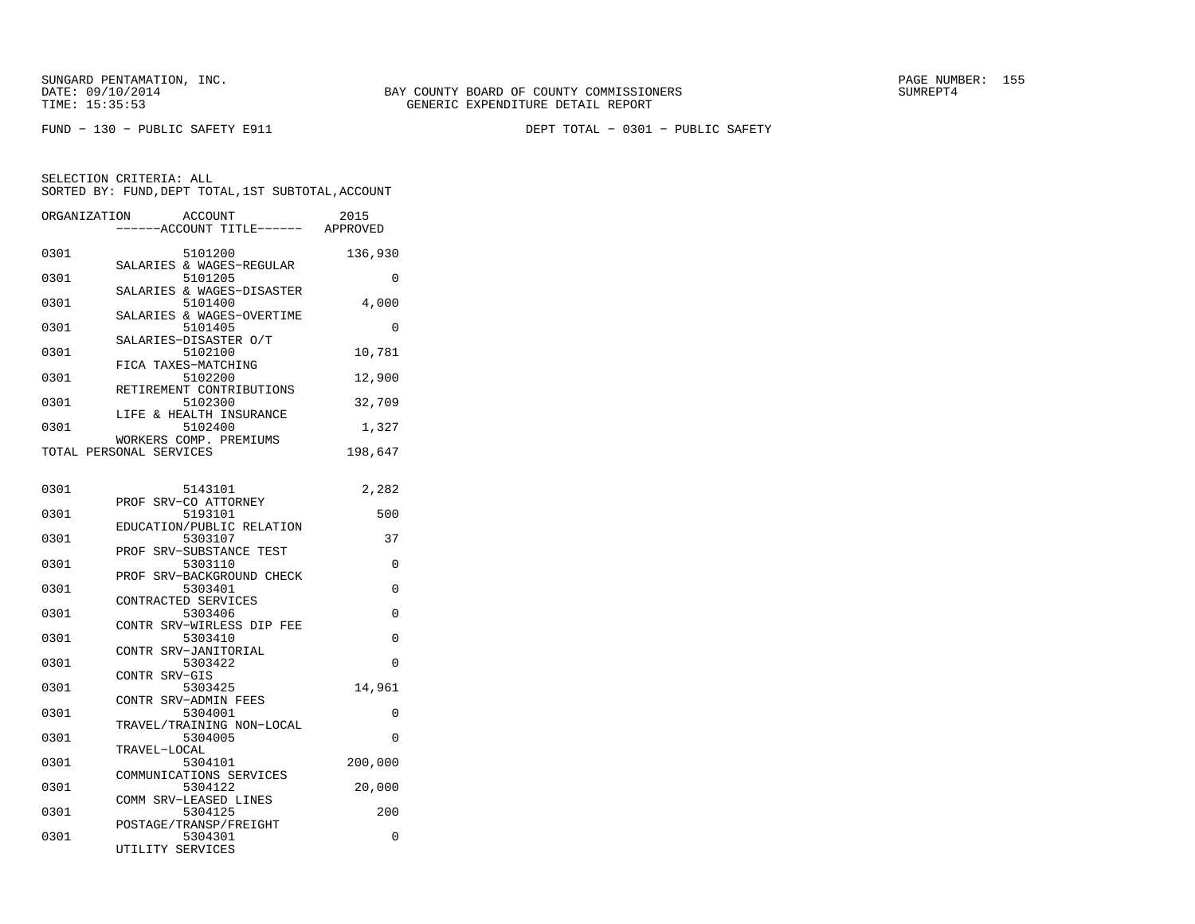| ORGANIZATION | ACCOUNT<br>---ACCOUNT TITLE------                 | 2015<br>APPROVED |
|--------------|---------------------------------------------------|------------------|
| 0301         | 5101200<br>SALARIES & WAGES-REGULAR               | 136,930          |
| 0301         | 5101205                                           | 0                |
| 0301         | SALARIES & WAGES-DISASTER<br>5101400              | 4,000            |
| 0301         | SALARIES & WAGES-OVERTIME<br>5101405              | 0                |
| 0301         | SALARIES-DISASTER O/T<br>5102100                  | 10,781           |
| 0301         | FICA TAXES-MATCHING<br>5102200                    | 12,900           |
| 0301         | RETIREMENT CONTRIBUTIONS<br>5102300               | 32,709           |
| 0301         | LIFE & HEALTH INSURANCE<br>5102400                | 1,327            |
|              | WORKERS COMP. PREMIUMS<br>TOTAL PERSONAL SERVICES | 198,647          |
|              |                                                   |                  |
| 0301         | 5143101<br>PROF SRV-CO ATTORNEY                   | 2,282            |
| 0301         | 5193101<br>EDUCATION/PUBLIC RELATION              | 500              |
| 0301         | 5303107                                           | 37               |
| 0301         | SRV-SUBSTANCE TEST<br>PROF<br>5303110             | 0                |
| 0301         | PROF SRV-BACKGROUND CHECK<br>5303401              | 0                |
| 0301         | CONTRACTED SERVICES<br>5303406                    | 0                |
| 0301         | CONTR SRV-WIRLESS DIP FEE<br>5303410              | 0                |
| 0301         | CONTR SRV-JANITORIAL<br>5303422                   | 0                |
| 0301         | CONTR SRV-GIS<br>5303425                          | 14,961           |
| 0301         | CONTR SRV-ADMIN FEES<br>5304001                   | 0                |
| 0301         | TRAVEL/TRAINING NON-LOCAL<br>5304005              | $\Omega$         |
|              | TRAVEL-LOCAL                                      |                  |
| 0301         | 5304101<br>COMMUNICATIONS SERVICES                | 200,000          |
| 0301         | 5304122<br>COMM SRV-LEASED LINES                  | 20,000           |
| 0301         | 5304125<br>POSTAGE/TRANSP/FREIGHT                 | 200              |
| 0301         | 5304301<br>UTILITY SERVICES                       | 0                |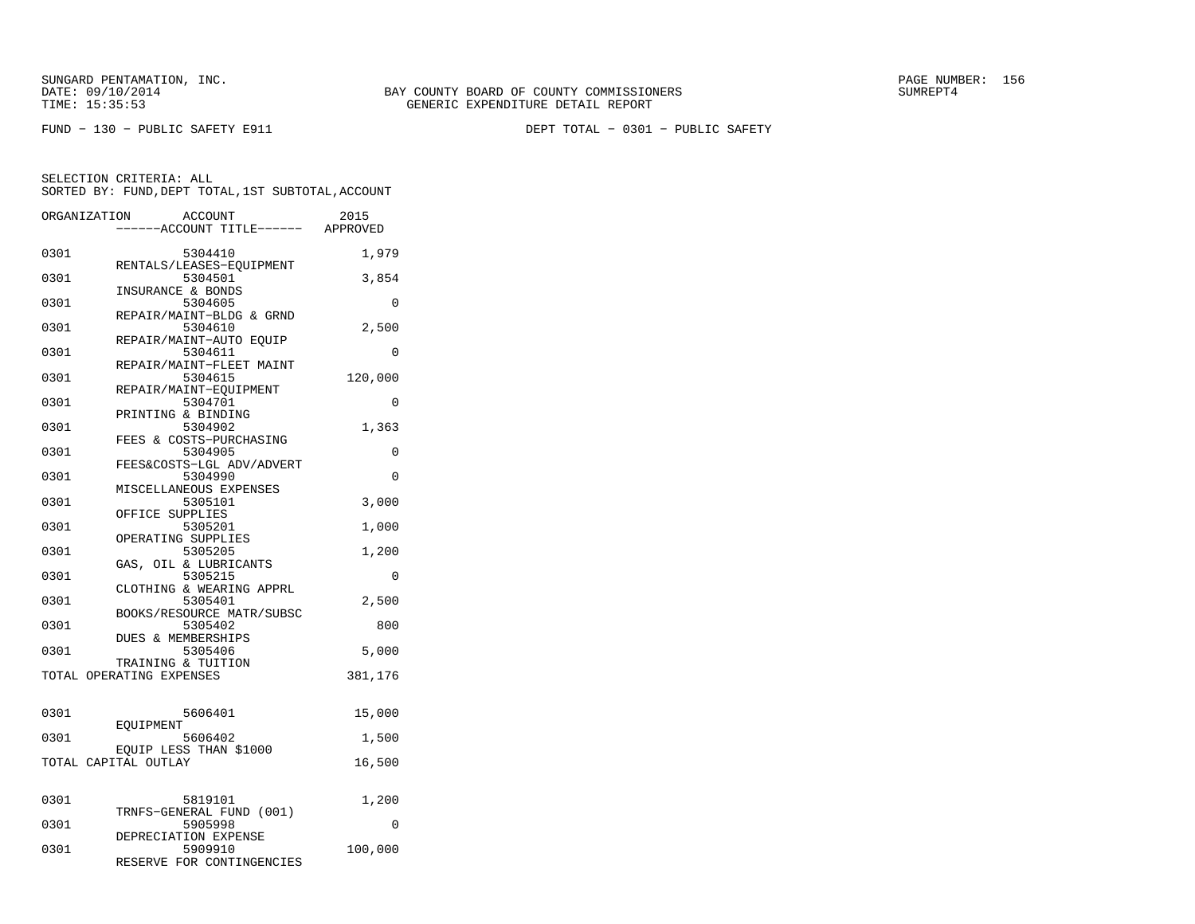FUND − 130 − PUBLIC SAFETY E911 DEPT TOTAL − 0301 − PUBLIC SAFETY

| ORGANIZATION         | <b>ACCOUNT</b>                      | 2015     |
|----------------------|-------------------------------------|----------|
|                      | ---ACCOUNT TITLE------ APPROVED     |          |
|                      |                                     |          |
| 0301                 | 5304410                             | 1,979    |
| 0301                 | RENTALS/LEASES-EQUIPMENT<br>5304501 |          |
|                      | INSURANCE & BONDS                   | 3,854    |
| 0301                 | 5304605                             | 0        |
|                      | REPAIR/MAINT-BLDG & GRND            |          |
| 0301                 | 5304610                             | 2,500    |
|                      | REPAIR/MAINT-AUTO EOUIP             |          |
| 0301                 | 5304611                             | 0        |
|                      | REPAIR/MAINT-FLEET MAINT            |          |
| 0301                 | 5304615                             | 120,000  |
| 0301                 | REPAIR/MAINT-EQUIPMENT<br>5304701   | 0        |
|                      | PRINTING & BINDING                  |          |
| 0301                 | 5304902                             | 1,363    |
|                      | FEES & COSTS-PURCHASING             |          |
| 0301                 | 5304905                             | 0        |
|                      | FEES&COSTS-LGL ADV/ADVERT           |          |
| 0301                 | 5304990                             | $\Omega$ |
|                      | MISCELLANEOUS EXPENSES              |          |
| 0301                 | 5305101                             | 3,000    |
| 0301                 | OFFICE SUPPLIES<br>5305201          | 1,000    |
|                      | OPERATING SUPPLIES                  |          |
| 0301                 | 5305205                             | 1,200    |
|                      | GAS, OIL & LUBRICANTS               |          |
| 0301                 | 5305215                             | 0        |
|                      | CLOTHING & WEARING APPRL            |          |
| 0301                 | 5305401                             | 2,500    |
|                      | BOOKS/RESOURCE MATR/SUBSC           |          |
| 0301                 | 5305402<br>DUES & MEMBERSHIPS       | 800      |
| 0301                 | 5305406                             | 5,000    |
|                      | TRAINING & TUITION                  |          |
|                      | TOTAL OPERATING EXPENSES            | 381,176  |
|                      |                                     |          |
|                      |                                     |          |
| 0301                 | 5606401                             | 15,000   |
| 0301                 | EOUIPMENT<br>5606402                | 1,500    |
|                      | EQUIP LESS THAN \$1000              |          |
| TOTAL CAPITAL OUTLAY |                                     | 16,500   |
|                      |                                     |          |
|                      |                                     |          |
| 0301                 | 5819101                             | 1,200    |
|                      | TRNFS-GENERAL FUND (001)            |          |
| 0301                 | 5905998<br>DEPRECIATION EXPENSE     | $\Omega$ |
| 0301                 | 5909910                             | 100,000  |
|                      | RESERVE FOR CONTINGENCIES           |          |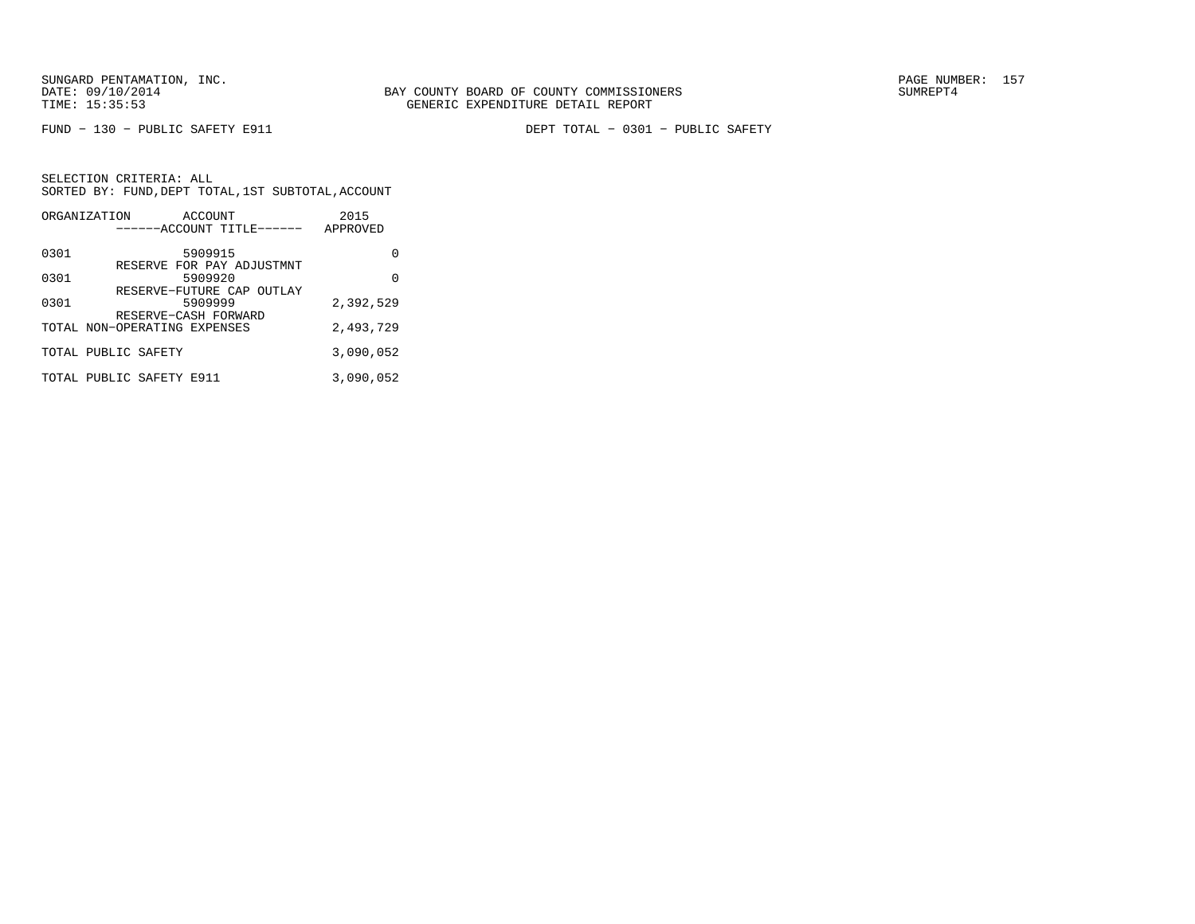FUND − 130 − PUBLIC SAFETY E911 DEPT TOTAL − 0301 − PUBLIC SAFETY

| ORGANIZATION | ACCOUNT<br>------ACCOUNT TITLE------                         | 2015<br>APPROVED |
|--------------|--------------------------------------------------------------|------------------|
| 0301         | 5909915                                                      | O                |
| 0301         | RESERVE FOR PAY ADJUSTMNT<br>5909920                         | O                |
| 0301         | RESERVE-FUTURE CAP OUTLAY<br>5909999<br>RESERVE-CASH FORWARD | 2,392,529        |
|              | TOTAL NON-OPERATING EXPENSES                                 | 2,493,729        |
|              | TOTAL PUBLIC SAFETY                                          | 3,090,052        |
|              | TOTAL PUBLIC SAFETY E911                                     | 3,090,052        |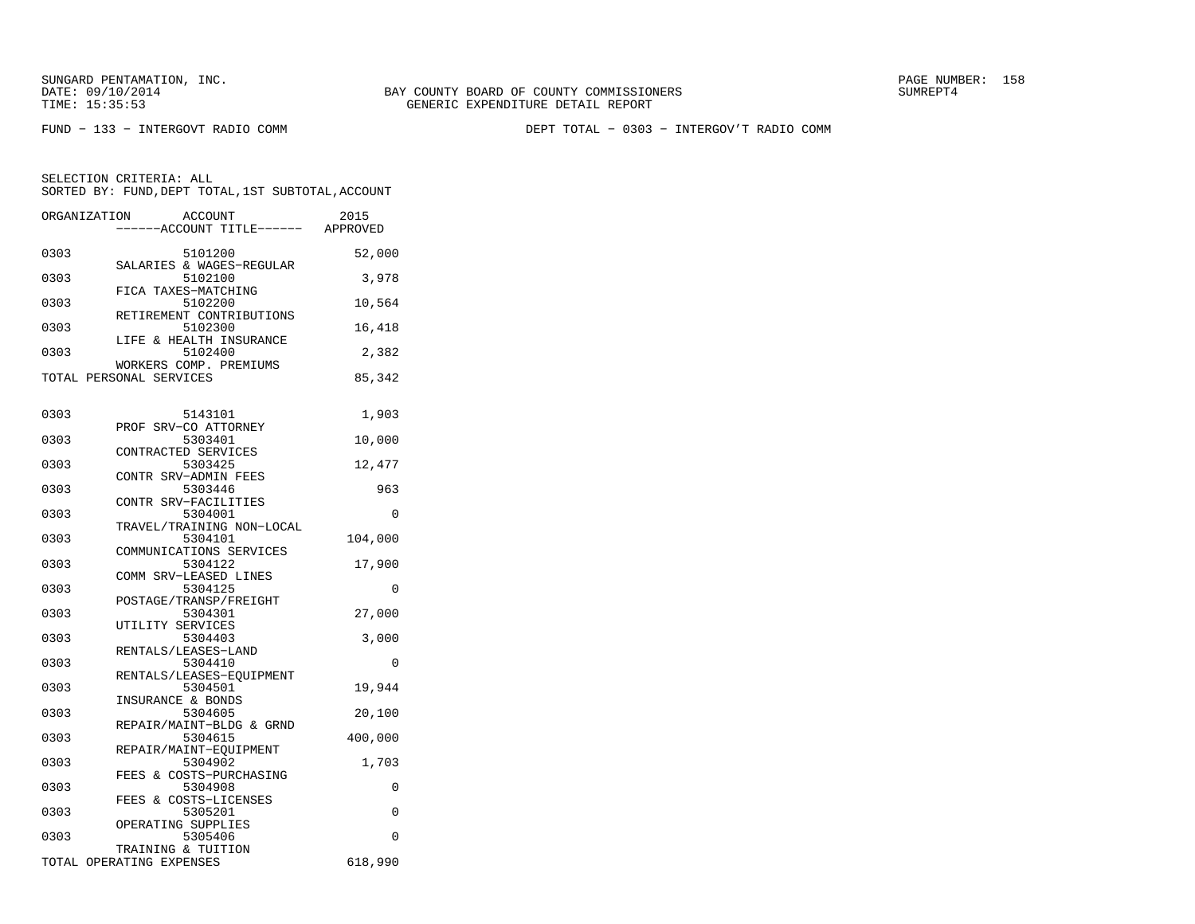FUND − 133 − INTERGOVT RADIO COMM DEPT TOTAL − 0303 − INTERGOV'T RADIO COMM

|      | <b>ACCOUNT</b><br>ORGANIZATION<br>---ACCOUNT TITLE------ APPROVED | 2015    |
|------|-------------------------------------------------------------------|---------|
|      |                                                                   |         |
| 0303 | 5101200<br>SALARIES & WAGES-REGULAR                               | 52,000  |
| 0303 | 5102100<br>FICA TAXES-MATCHING                                    | 3,978   |
| 0303 | 5102200<br>RETIREMENT CONTRIBUTIONS                               | 10,564  |
| 0303 | 5102300<br>LIFE & HEALTH INSURANCE                                | 16,418  |
| 0303 | 5102400                                                           | 2,382   |
|      | WORKERS COMP. PREMIUMS<br>TOTAL PERSONAL SERVICES                 | 85,342  |
|      |                                                                   |         |
| 0303 | 5143101<br>PROF SRV-CO ATTORNEY                                   | 1,903   |
| 0303 | 5303401                                                           | 10,000  |
| 0303 | CONTRACTED SERVICES<br>5303425                                    | 12,477  |
|      | CONTR SRV-ADMIN FEES                                              |         |
| 0303 | 5303446                                                           | 963     |
| 0303 | CONTR SRV-FACILITIES<br>5304001                                   | 0       |
|      | TRAVEL/TRAINING NON-LOCAL                                         |         |
| 0303 | 5304101                                                           | 104,000 |
| 0303 | COMMUNICATIONS SERVICES<br>5304122                                | 17,900  |
|      | COMM SRV-LEASED LINES                                             |         |
| 0303 | 5304125                                                           | 0       |
|      | POSTAGE/TRANSP/FREIGHT                                            |         |
| 0303 | 5304301                                                           | 27,000  |
| 0303 | UTILITY SERVICES<br>5304403                                       |         |
|      | RENTALS/LEASES-LAND                                               | 3,000   |
| 0303 | 5304410                                                           | 0       |
|      | RENTALS/LEASES-EQUIPMENT                                          |         |
| 0303 | 5304501                                                           | 19,944  |
| 0303 | INSURANCE & BONDS<br>5304605                                      | 20,100  |
|      | REPAIR/MAINT-BLDG & GRND                                          |         |
| 0303 | 5304615                                                           | 400,000 |
| 0303 | REPAIR/MAINT-EQUIPMENT<br>5304902                                 | 1,703   |
|      | FEES & COSTS-PURCHASING                                           |         |
| 0303 | 5304908                                                           | 0       |
|      | FEES & COSTS-LICENSES                                             |         |
| 0303 | 5305201                                                           | 0       |
|      | OPERATING SUPPLIES                                                | 0       |
| 0303 | 5305406<br>TRAINING & TUITION                                     |         |
|      | TOTAL OPERATING EXPENSES                                          | 618,990 |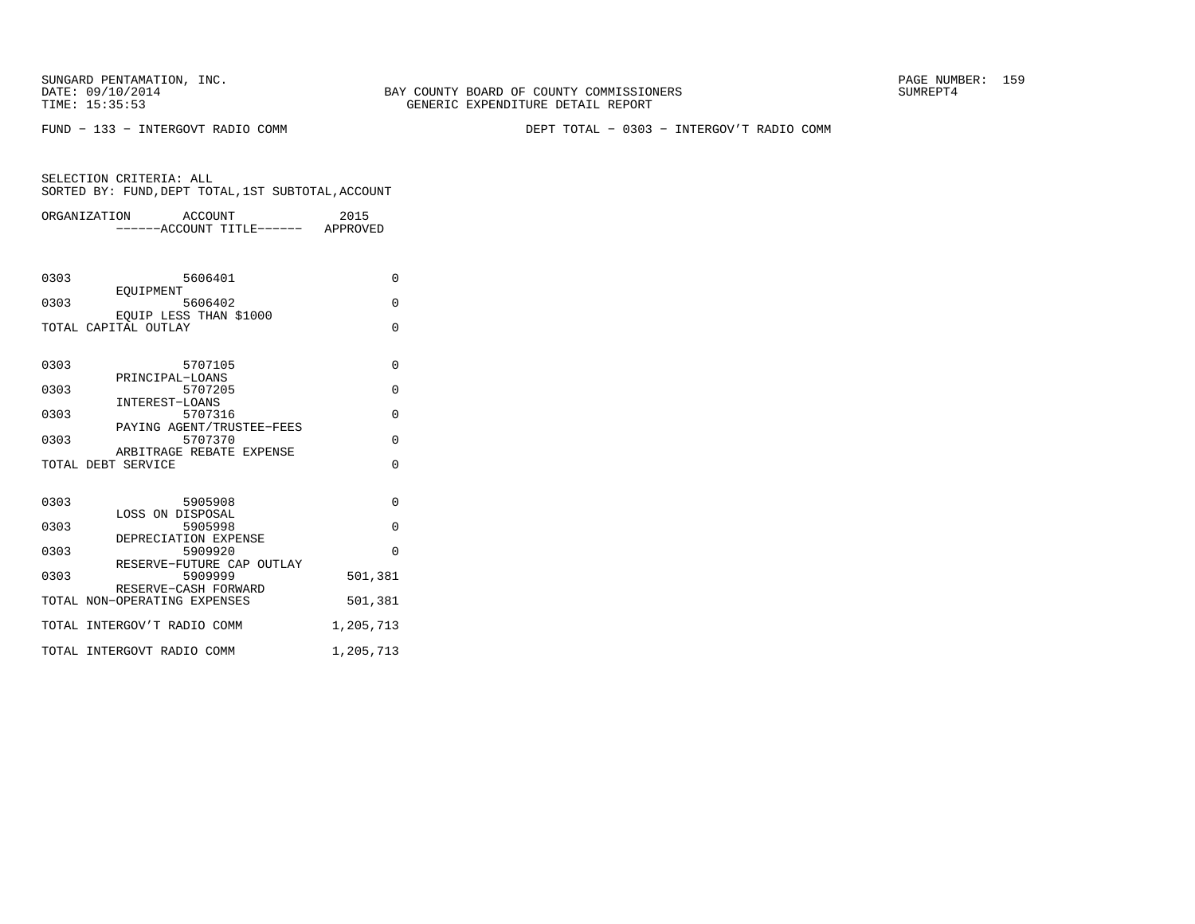BAY COUNTY BOARD OF COUNTY COMMISSIONERS TIME: 15:35:53 GENERIC EXPENDITURE DETAIL REPORT

FUND − 133 − INTERGOVT RADIO COMM DEPT TOTAL − 0303 − INTERGOV'T RADIO COMM

|      | ORGANIZATION                 | ACCOUNT                             | 2015           |
|------|------------------------------|-------------------------------------|----------------|
|      |                              | ----ACCOUNT TITLE------ APPROVED    |                |
|      |                              |                                     |                |
|      |                              |                                     |                |
| 0303 |                              | 5606401                             | $\Omega$       |
|      | EOUIPMENT                    |                                     |                |
| 0303 |                              | 5606402                             | $\Omega$       |
|      | EOUIP LESS THAN \$1000       |                                     |                |
|      | TOTAL CAPITAL OUTLAY         |                                     | $\Omega$       |
|      |                              |                                     |                |
| 0303 |                              | 5707105                             | 0              |
|      | PRINCIPAL-LOANS              |                                     |                |
| 0303 |                              | 5707205                             | 0              |
|      | INTEREST-LOANS               |                                     |                |
| 0303 |                              | 5707316                             | $\overline{0}$ |
|      |                              | PAYING AGENT/TRUSTEE-FEES           |                |
| 0303 |                              | 5707370<br>ARBITRAGE REBATE EXPENSE | $\Omega$       |
|      | TOTAL DEBT SERVICE           |                                     | $\Omega$       |
|      |                              |                                     |                |
|      |                              |                                     |                |
| 0303 |                              | 5905908                             | $\Omega$       |
|      | LOSS ON DISPOSAL             |                                     |                |
| 0303 |                              | 5905998                             | 0              |
| 0303 | DEPRECIATION EXPENSE         | 5909920                             | $\Omega$       |
|      |                              | RESERVE-FUTURE CAP OUTLAY           |                |
| 0303 |                              | 5909999                             | 501,381        |
|      | RESERVE-CASH FORWARD         |                                     |                |
|      | TOTAL NON-OPERATING EXPENSES |                                     | 501,381        |
|      | TOTAL INTERGOV'T RADIO COMM  |                                     | 1,205,713      |
|      |                              |                                     |                |
|      | TOTAL INTERGOVT RADIO COMM   |                                     | 1,205,713      |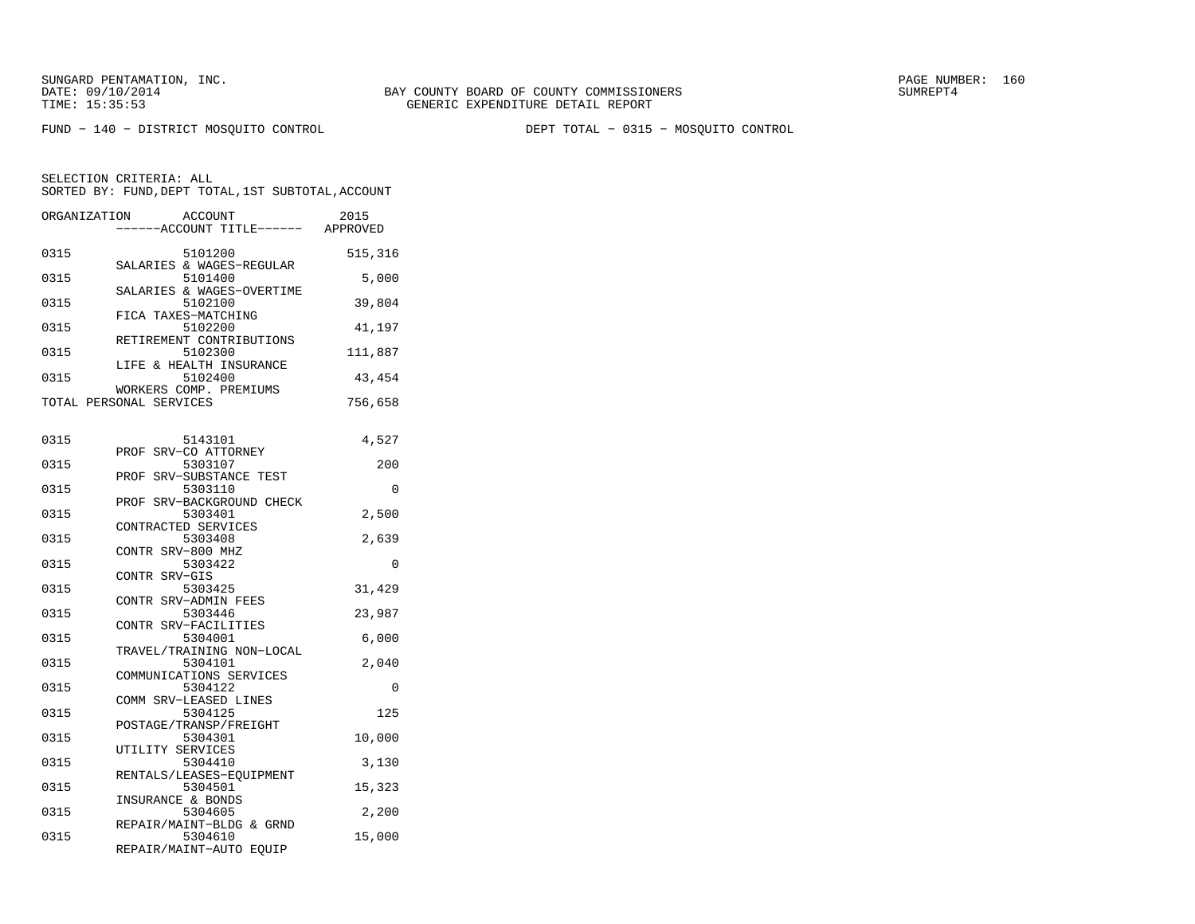FUND − 140 − DISTRICT MOSQUITO CONTROL DEPT TOTAL − 0315 − MOSQUITO CONTROL

| ORGANIZATION | ACCOUNT<br>---ACCOUNT TITLE------ APPROVED        | 2015     |
|--------------|---------------------------------------------------|----------|
| 0315         | 5101200<br>SALARIES & WAGES-REGULAR               | 515,316  |
| 0315         | 5101400                                           | 5,000    |
| 0315         | SALARIES & WAGES-OVERTIME<br>5102100              | 39,804   |
| 0315         | FICA TAXES-MATCHING<br>5102200                    | 41,197   |
| 0315         | RETIREMENT CONTRIBUTIONS<br>5102300               | 111,887  |
| 0315         | LIFE & HEALTH INSURANCE<br>5102400                | 43,454   |
|              | WORKERS COMP. PREMIUMS<br>TOTAL PERSONAL SERVICES | 756,658  |
|              |                                                   |          |
| 0315         | 5143101<br>PROF SRV-CO ATTORNEY                   | 4,527    |
| 0315         | 5303107                                           | 200      |
| 0315         | SRV-SUBSTANCE TEST<br>PROF<br>5303110             | $\Omega$ |
| 0315         | SRV-BACKGROUND CHECK<br>PROF<br>5303401           | 2,500    |
| 0315         | CONTRACTED SERVICES<br>5303408                    | 2,639    |
|              | CONTR SRV-800 MHZ<br>5303422                      | $\Omega$ |
| 0315         | CONTR SRV-GIS                                     |          |
| 0315         | 5303425                                           | 31,429   |
| 0315         | CONTR SRV-ADMIN FEES<br>5303446                   | 23,987   |
| 0315         | CONTR SRV-FACILITIES<br>5304001                   | 6,000    |
|              | TRAVEL/TRAINING NON-LOCAL                         |          |
| 0315         | 5304101<br>COMMUNICATIONS SERVICES                | 2,040    |
| 0315         | 5304122                                           | $\Omega$ |
| 0315         | COMM SRV-LEASED LINES<br>5304125                  | 125      |
| 0315         | POSTAGE/TRANSP/FREIGHT<br>5304301                 | 10,000   |
| 0315         | UTILITY SERVICES<br>5304410                       | 3,130    |
| 0315         | RENTALS/LEASES-EQUIPMENT<br>5304501               | 15,323   |
| 0315         | INSURANCE & BONDS<br>5304605                      | 2,200    |
|              | REPAIR/MAINT-BLDG & GRND                          |          |
| 0315         | 5304610<br>REPAIR/MAINT-AUTO EQUIP                | 15,000   |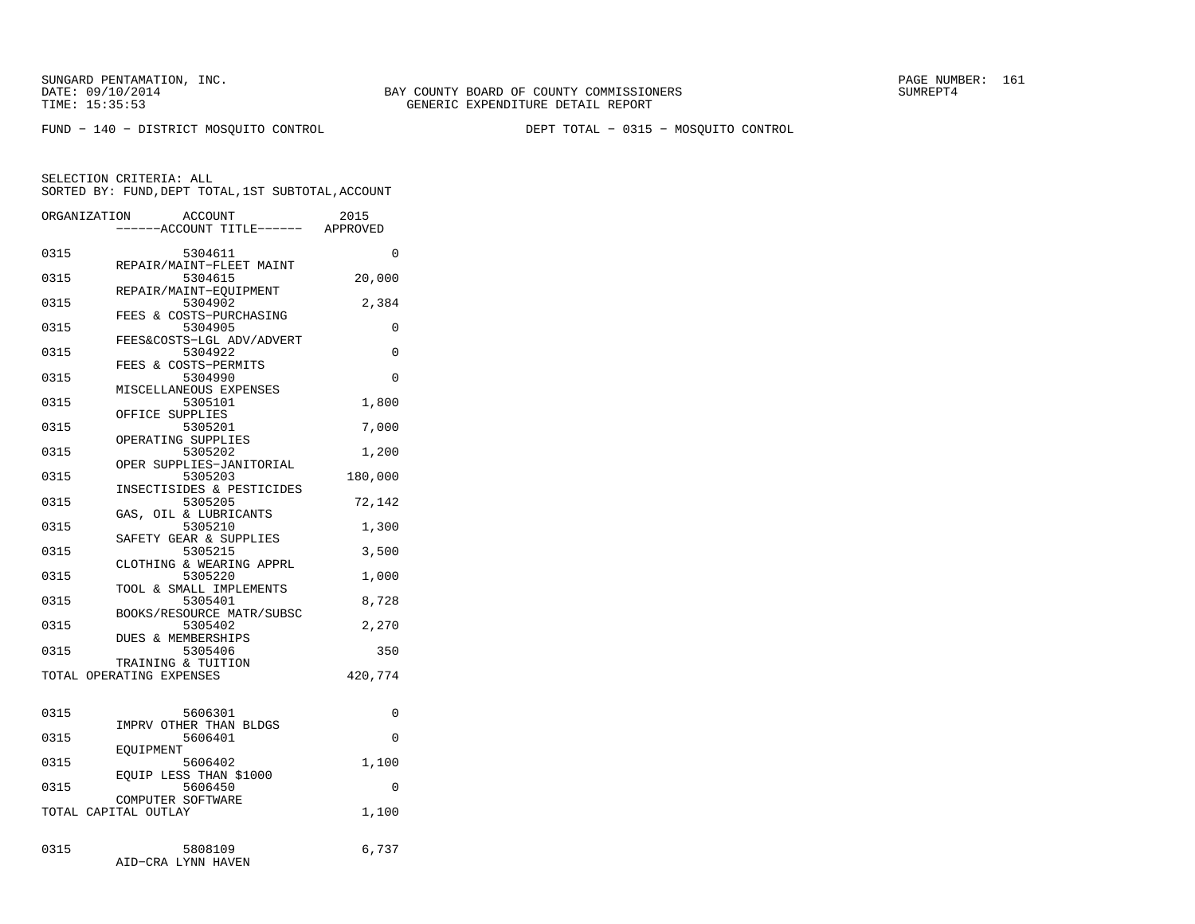SUNGARD PENTAMATION, INC.<br>DATE: 09/10/2014 SUMRER: 161 SUMRER: 161

FUND − 140 − DISTRICT MOSQUITO CONTROL DEPT TOTAL − 0315 − MOSQUITO CONTROL

| ORGANIZATION | <b>ACCOUNT</b><br>----ACCOUNT TITLE------ APPROVED | 2015     |
|--------------|----------------------------------------------------|----------|
| 0315         | 5304611                                            | 0        |
| 0315         | REPAIR/MAINT-FLEET MAINT<br>5304615                | 20,000   |
| 0315         | REPAIR/MAINT-EQUIPMENT<br>5304902                  | 2,384    |
| 0315         | FEES & COSTS-PURCHASING<br>5304905                 | 0        |
| 0315         | FEES&COSTS-LGL ADV/ADVERT<br>5304922               | $\Omega$ |
| 0315         | FEES & COSTS-PERMITS<br>5304990                    | 0        |
| 0315         | MISCELLANEOUS EXPENSES<br>5305101                  | 1,800    |
| 0315         | OFFICE SUPPLIES<br>5305201                         | 7,000    |
|              | OPERATING SUPPLIES                                 |          |
| 0315         | 5305202<br>OPER SUPPLIES-JANITORIAL                | 1,200    |
| 0315         | 5305203<br>INSECTISIDES & PESTICIDES               | 180,000  |
| 0315         | 5305205<br>GAS, OIL & LUBRICANTS                   | 72,142   |
| 0315         | 5305210<br>SAFETY GEAR & SUPPLIES                  | 1,300    |
| 0315         | 5305215                                            | 3,500    |
| 0315         | CLOTHING & WEARING APPRL<br>5305220                | 1,000    |
| 0315         | TOOL & SMALL IMPLEMENTS<br>5305401                 | 8,728    |
| 0315         | BOOKS/RESOURCE MATR/SUBSC<br>5305402               | 2,270    |
| 0315         | DUES & MEMBERSHIPS<br>5305406                      | 350      |
|              | TRAINING & TUITION<br>TOTAL OPERATING EXPENSES     | 420,774  |
|              |                                                    |          |
| 0315         | 5606301                                            | 0        |
| 0315         | IMPRV OTHER THAN BLDGS<br>5606401                  | $\Omega$ |
| 0315         | EOUIPMENT<br>5606402                               | 1,100    |
| 0315         | EOUIP LESS THAN \$1000<br>5606450                  | $\Omega$ |
|              | COMPUTER SOFTWARE<br>TOTAL CAPITAL OUTLAY          | 1,100    |
|              |                                                    |          |
| 0315         | 5808109<br>AID-CRA LYNN HAVEN                      | 6,737    |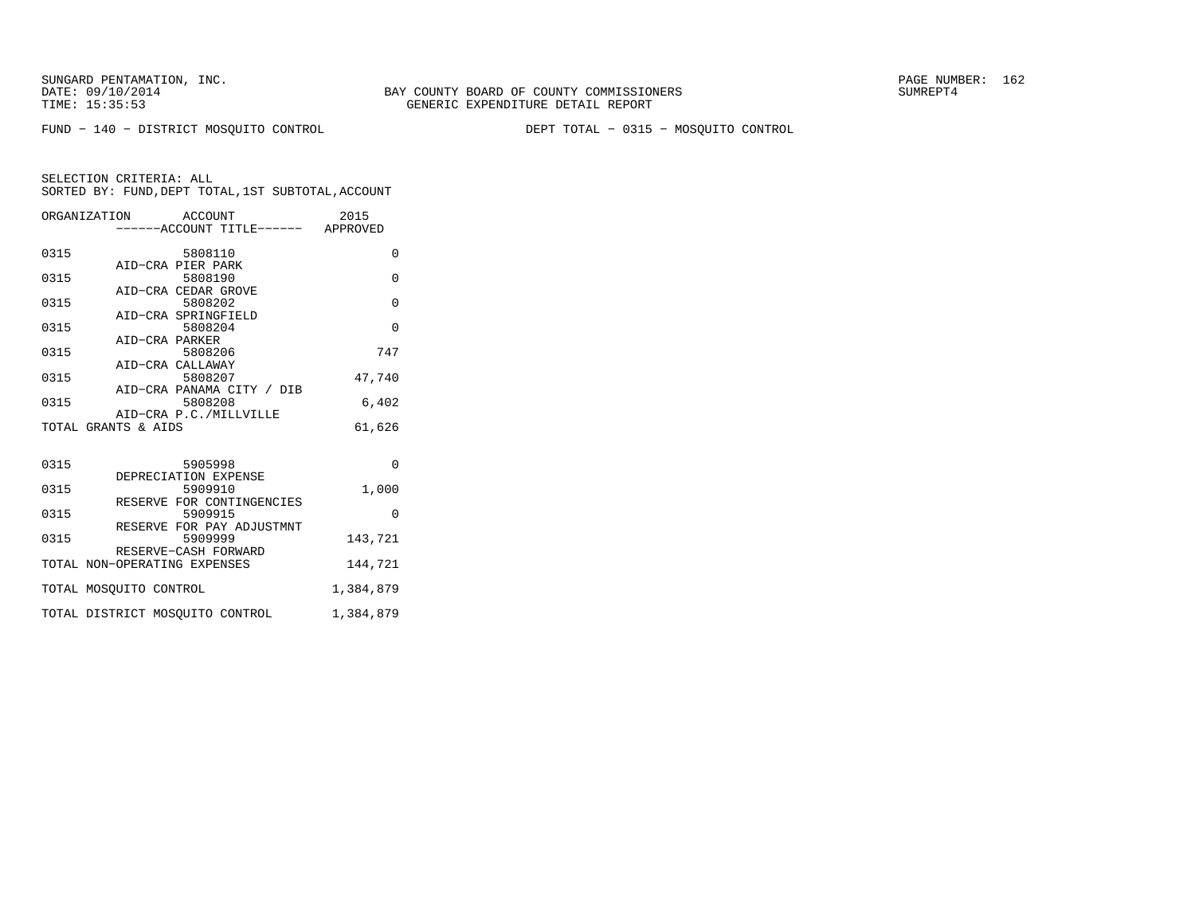FUND − 140 − DISTRICT MOSQUITO CONTROL DEPT TOTAL − 0315 − MOSQUITO CONTROL

| ORGANIZATION ACCOUNT            | ------ACCOUNT TITLE------ APPROVED   | 2015      |
|---------------------------------|--------------------------------------|-----------|
| 0315                            | 5808110                              | $\Omega$  |
| 0315                            | AID-CRA PIER PARK<br>5808190         | $\Omega$  |
| 0315                            | AID-CRA CEDAR GROVE<br>5808202       | $\Omega$  |
| 0315                            | AID-CRA SPRINGFIELD<br>5808204       | $\Omega$  |
| AID-CRA PARKER<br>0315          | 5808206                              | 747       |
|                                 | AID-CRA CALLAWAY                     |           |
| 0315                            | 5808207<br>AID-CRA PANAMA CITY / DIB | 47,740    |
| 0315                            | 5808208<br>AID-CRA P.C./MILLVILLE    | 6,402     |
| TOTAL GRANTS & AIDS             |                                      | 61,626    |
|                                 |                                      |           |
| 0315                            | 5905998<br>DEPRECIATION EXPENSE      | $\Omega$  |
| 0315                            | 5909910<br>RESERVE FOR CONTINGENCIES | 1,000     |
| 0315                            | 5909915<br>RESERVE FOR PAY ADJUSTMNT | $\Omega$  |
| 0315                            | 5909999                              | 143,721   |
| TOTAL NON-OPERATING EXPENSES    | RESERVE-CASH FORWARD                 | 144,721   |
| TOTAL MOSOUITO CONTROL          |                                      | 1,384,879 |
| TOTAL DISTRICT MOSOUITO CONTROL |                                      | 1,384,879 |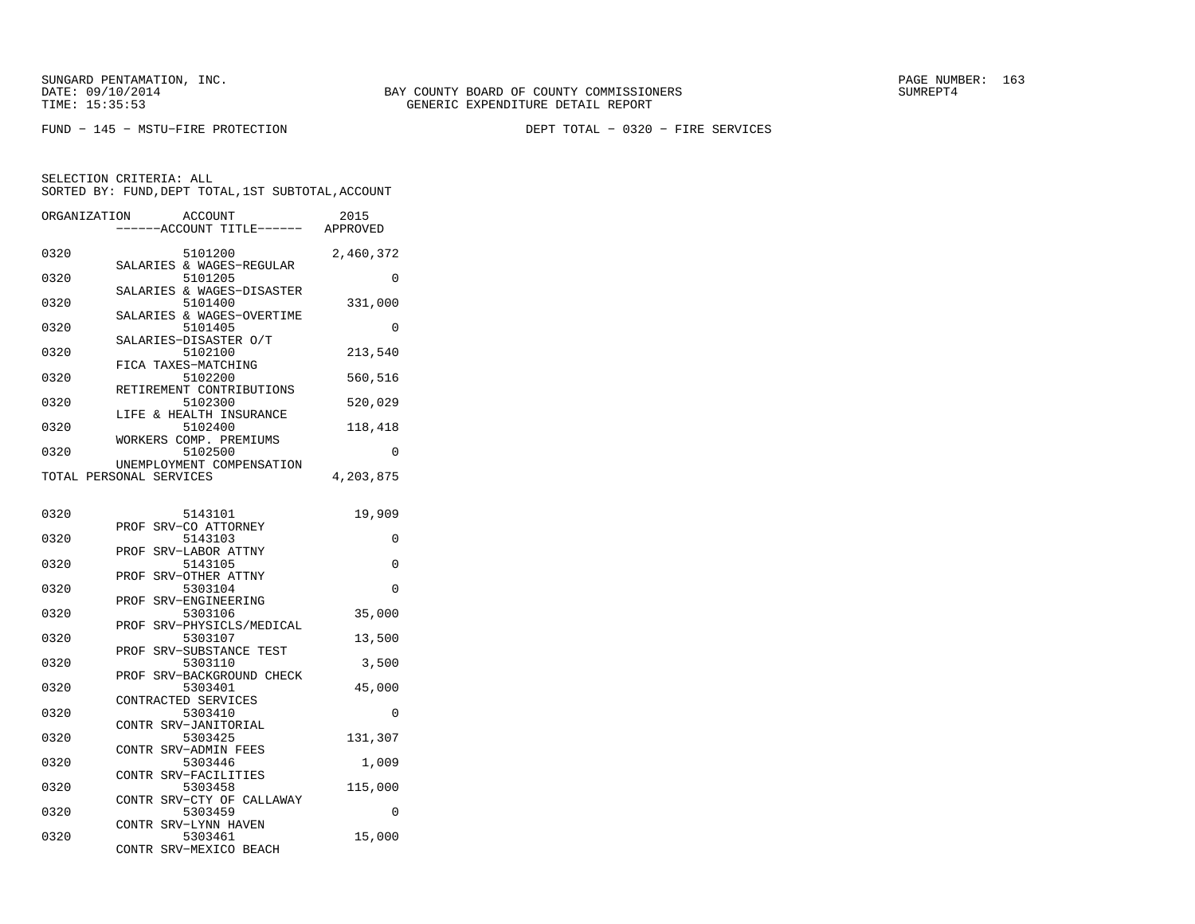FUND − 145 − MSTU−FIRE PROTECTION DEPT TOTAL − 0320 − FIRE SERVICES

| ORGANIZATION |                         | ACCOUNT<br>--ACCOUNT TITLE------     | 2015<br>APPROVED |
|--------------|-------------------------|--------------------------------------|------------------|
| 0320         |                         | 5101200<br>SALARIES & WAGES-REGULAR  | 2,460,372        |
| 0320         |                         | 5101205                              | 0                |
| 0320         |                         | SALARIES & WAGES-DISASTER<br>5101400 | 331,000          |
| 0320         |                         | SALARIES & WAGES-OVERTIME<br>5101405 | 0                |
| 0320         |                         | SALARIES-DISASTER O/T<br>5102100     | 213,540          |
| 0320         | FICA TAXES-MATCHING     | 5102200                              | 560,516          |
| 0320         |                         | RETIREMENT CONTRIBUTIONS<br>5102300  | 520,029          |
| 0320         |                         | LIFE & HEALTH INSURANCE<br>5102400   | 118,418          |
| 0320         |                         | WORKERS COMP. PREMIUMS<br>5102500    | 0                |
|              | TOTAL PERSONAL SERVICES | UNEMPLOYMENT COMPENSATION            | 4,203,875        |
| 0320         |                         | 5143101                              | 19,909           |
| 0320         | PROF                    | SRV-CO ATTORNEY<br>5143103           | 0                |
| 0320         | PROF                    | SRV-LABOR ATTNY<br>5143105           | 0                |
| 0320         | PROF                    | SRV-OTHER ATTNY<br>5303104           | $\Omega$         |
| 0320         | PROF                    | SRV-ENGINEERING<br>5303106           | 35,000           |
| 0320         | PROF                    | SRV-PHYSICLS/MEDICAL<br>5303107      | 13,500           |
| 0320         | PROF                    | SRV-SUBSTANCE TEST<br>5303110        | 3,500            |
| 0320         | PROF                    | SRV-BACKGROUND CHECK<br>5303401      | 45,000           |
| 0320         | CONTRACTED SERVICES     | 5303410                              | 0                |
| 0320         |                         | CONTR SRV-JANITORIAL<br>5303425      | 131,307          |
|              |                         | CONTR SRV-ADMIN FEES                 |                  |
| 0320         | CONTR                   | 5303446<br>SRV-FACILITIES            | 1,009            |
| 0320         | CONTR                   | 5303458<br>SRV-CTY OF CALLAWAY       | 115,000          |
| 0320         |                         | 5303459<br>CONTR SRV-LYNN HAVEN      | 0                |
| 0320         | CONTR                   | 5303461<br>SRV-MEXICO BEACH          | 15,000           |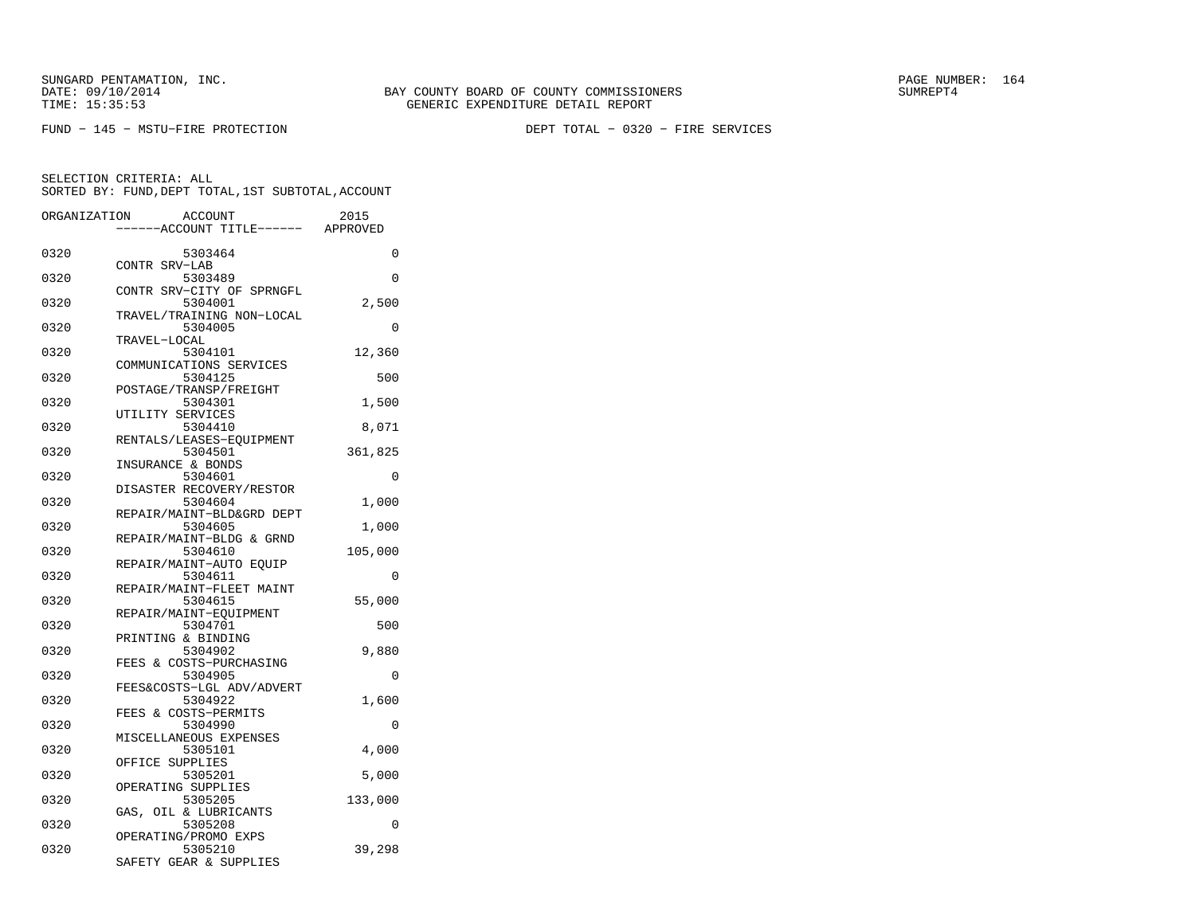FUND − 145 − MSTU−FIRE PROTECTION DEPT TOTAL − 0320 − FIRE SERVICES

| ORGANIZATION | ACCOUNT                       | 2015     |
|--------------|-------------------------------|----------|
|              | ---ACCOUNT TITLE------        | APPROVED |
| 0320         | 5303464                       | 0        |
|              | CONTR SRV-LAB                 |          |
| 0320         | 5303489                       | $\Omega$ |
|              | CONTR SRV-CITY OF SPRNGFL     |          |
| 0320         | 5304001                       | 2,500    |
|              | TRAVEL/TRAINING NON-LOCAL     |          |
| 0320         | 5304005                       | 0        |
|              | TRAVEL-LOCAL                  |          |
| 0320         | 5304101                       | 12,360   |
|              | COMMUNICATIONS SERVICES       |          |
| 0320         | 5304125                       | 500      |
|              | POSTAGE/TRANSP/FREIGHT        |          |
| 0320         | 5304301                       | 1,500    |
|              | UTILITY SERVICES              |          |
| 0320         | 5304410                       | 8,071    |
|              | RENTALS/LEASES-EQUIPMENT      |          |
| 0320         | 5304501                       | 361,825  |
|              | INSURANCE & BONDS             |          |
| 0320         | 5304601                       | 0        |
|              | DISASTER RECOVERY/RESTOR      |          |
| 0320         | 5304604                       | 1,000    |
|              | REPAIR/MAINT-BLD&GRD DEPT     |          |
| 0320         | 5304605                       | 1,000    |
|              | REPAIR/MAINT-BLDG & GRND      |          |
| 0320         | 5304610                       | 105,000  |
|              | REPAIR/MAINT-AUTO EQUIP       |          |
| 0320         | 5304611                       | 0        |
| 0320         | REPAIR/MAINT-FLEET MAINT      |          |
|              | 5304615                       | 55,000   |
|              | REPAIR/MAINT-EOUIPMENT        |          |
| 0320         | 5304701<br>PRINTING & BINDING | 500      |
| 0320         | 5304902                       | 9,880    |
|              | FEES & COSTS-PURCHASING       |          |
| 0320         | 5304905                       | 0        |
|              | FEES&COSTS-LGL ADV/ADVERT     |          |
| 0320         | 5304922                       | 1,600    |
|              | FEES & COSTS-PERMITS          |          |
| 0320         | 5304990                       | 0        |
|              | MISCELLANEOUS EXPENSES        |          |
| 0320         | 5305101                       | 4,000    |
|              | OFFICE SUPPLIES               |          |
| 0320         | 5305201                       | 5,000    |
|              | OPERATING SUPPLIES            |          |
| 0320         | 5305205                       | 133,000  |
|              | OIL & LUBRICANTS<br>GAS,      |          |
| 0320         | 5305208                       | 0        |
|              | OPERATING/PROMO EXPS          |          |
| 0320         | 5305210                       | 39,298   |
|              | SAFETY GEAR & SUPPLIES        |          |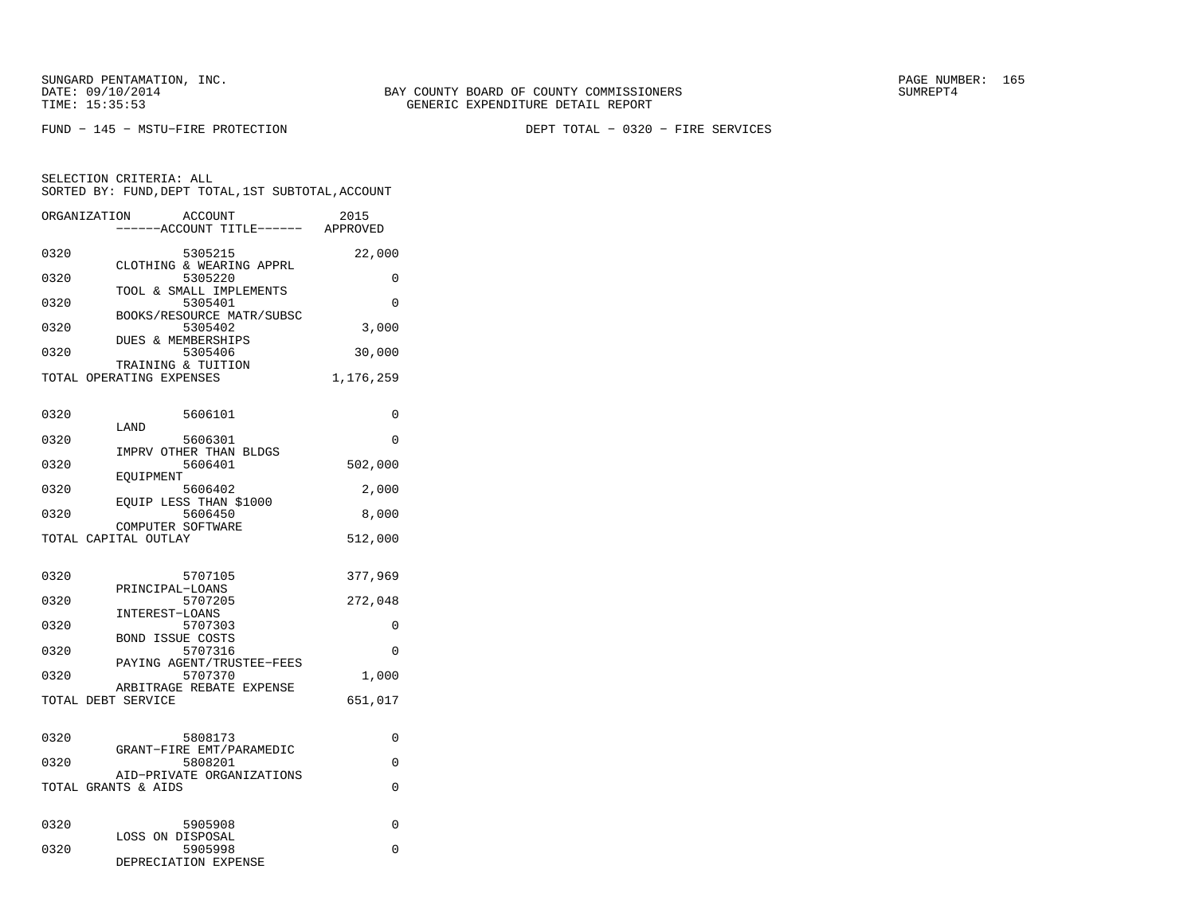SELECTION CRITERIA: ALL

FUND − 145 − MSTU−FIRE PROTECTION DEPT TOTAL − 0320 − FIRE SERVICES

 SORTED BY: FUND,DEPT TOTAL,1ST SUBTOTAL,ACCOUNTORGANIZATION ACCOUNT 2015−−−−−−ACCOUNT TITLE−−−−−− APPROVED

| 0320                                 | 5305215                                                                                                                                                               | 22,000                                |
|--------------------------------------|-----------------------------------------------------------------------------------------------------------------------------------------------------------------------|---------------------------------------|
| 0320                                 | CLOTHING & WEARING APPRL<br>5305220                                                                                                                                   | 0                                     |
| 0320                                 | TOOL & SMALL IMPLEMENTS<br>5305401                                                                                                                                    | $\Omega$                              |
| 0320                                 | BOOKS/RESOURCE MATR/SUBSC<br>5305402                                                                                                                                  | 3,000                                 |
| 0320                                 | <b>DUES &amp; MEMBERSHIPS</b><br>5305406                                                                                                                              | 30,000                                |
|                                      | TRAINING & TUITION<br>TOTAL OPERATING EXPENSES                                                                                                                        | 1,176,259                             |
| 0320<br>0320                         | 5606101<br>LAND<br>5606301                                                                                                                                            | 0<br>$\Omega$                         |
| 0320                                 | IMPRV OTHER THAN BLDGS<br>5606401                                                                                                                                     | 502,000                               |
| 0320                                 | EOUIPMENT<br>5606402                                                                                                                                                  | 2,000                                 |
| 0320                                 | EOUIP LESS THAN \$1000<br>5606450                                                                                                                                     | 8,000                                 |
|                                      | COMPUTER SOFTWARE<br>TOTAL CAPITAL OUTLAY                                                                                                                             | 512,000                               |
| 0320<br>0320<br>0320<br>0320<br>0320 | 5707105<br>PRINCIPAL-LOANS<br>5707205<br>INTEREST-LOANS<br>5707303<br>BOND ISSUE COSTS<br>5707316<br>PAYING AGENT/TRUSTEE-FEES<br>5707370<br>ARBITRAGE REBATE EXPENSE | 377,969<br>272,048<br>0<br>0<br>1,000 |
|                                      | TOTAL DEBT SERVICE                                                                                                                                                    | 651,017                               |
| 0320<br>0320                         | 5808173<br>GRANT-FIRE EMT/PARAMEDIC<br>5808201<br>AID-PRIVATE ORGANIZATIONS<br>TOTAL GRANTS & AIDS                                                                    | 0<br>0<br>0                           |
| 0320                                 | 5905908                                                                                                                                                               | 0                                     |
| 0320                                 | LOSS ON DISPOSAL<br>5905998<br>DEPRECIATION EXPENSE                                                                                                                   | 0                                     |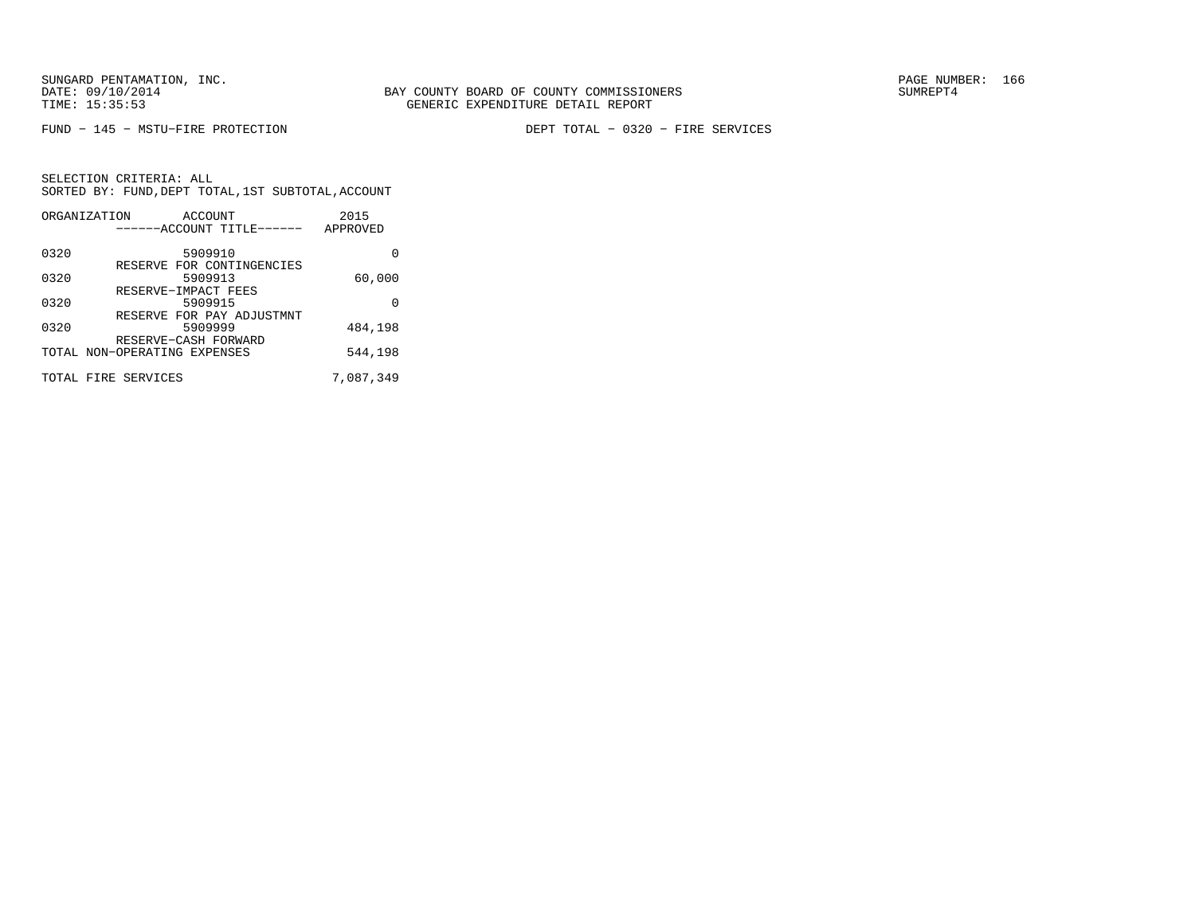FUND − 145 − MSTU−FIRE PROTECTION DEPT TOTAL − 0320 − FIRE SERVICES

| ORGANIZATION | ACCOUNT                        | 2015      |
|--------------|--------------------------------|-----------|
|              | ------ACCOUNT TITLE------      | APPROVED  |
| 0320         | 5909910                        | O         |
|              | RESERVE FOR CONTINGENCIES      |           |
| 0320         | 5909913<br>RESERVE-IMPACT FEES | 60,000    |
| 0320         | 5909915                        | U         |
|              | RESERVE FOR PAY ADJUSTMNT      |           |
| 0320         | 5909999                        | 484,198   |
|              | RESERVE-CASH FORWARD           |           |
|              | TOTAL NON-OPERATING EXPENSES   | 544,198   |
|              | TOTAL FIRE SERVICES            | 7,087,349 |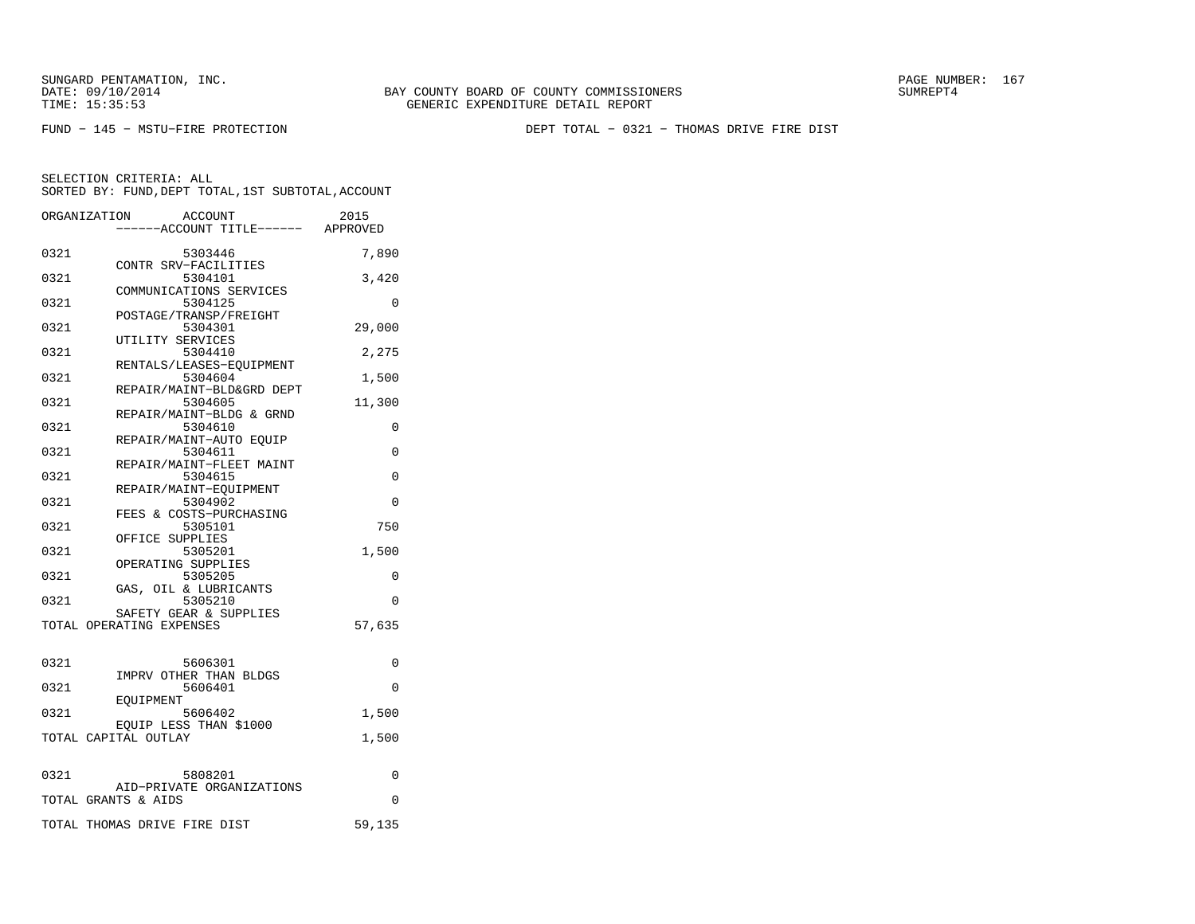BAY COUNTY BOARD OF COUNTY COMMISSIONERS TIME: 15:35:53 GENERIC EXPENDITURE DETAIL REPORT

FUND − 145 − MSTU−FIRE PROTECTION DEPT TOTAL − 0321 − THOMAS DRIVE FIRE DIST

|      | ORGANIZATION<br><b>ACCOUNT</b><br>----ACCOUNT TITLE------ APPROVED | 2015     |
|------|--------------------------------------------------------------------|----------|
| 0321 | 5303446                                                            | 7,890    |
| 0321 | CONTR SRV-FACILITIES<br>5304101                                    | 3,420    |
| 0321 | COMMUNICATIONS SERVICES<br>5304125                                 | $\Omega$ |
| 0321 | POSTAGE/TRANSP/FREIGHT<br>5304301                                  | 29,000   |
| 0321 | UTILITY SERVICES<br>5304410                                        | 2,275    |
| 0321 | RENTALS/LEASES-EOUIPMENT<br>5304604                                | 1,500    |
| 0321 | REPAIR/MAINT-BLD&GRD DEPT<br>5304605                               | 11,300   |
| 0321 | REPAIR/MAINT-BLDG & GRND<br>5304610                                | 0        |
| 0321 | REPAIR/MAINT-AUTO EOUIP<br>5304611                                 | 0        |
| 0321 | REPAIR/MAINT-FLEET MAINT<br>5304615                                | $\Omega$ |
| 0321 | REPAIR/MAINT-EQUIPMENT<br>5304902                                  | $\Omega$ |
| 0321 | FEES & COSTS-PURCHASING<br>5305101                                 | 750      |
| 0321 | OFFICE SUPPLIES<br>5305201                                         | 1,500    |
| 0321 | OPERATING SUPPLIES<br>5305205                                      | 0        |
| 0321 | GAS, OIL & LUBRICANTS<br>5305210                                   | 0        |
|      | SAFETY GEAR & SUPPLIES<br>TOTAL OPERATING EXPENSES                 | 57,635   |
| 0321 | 5606301                                                            | 0        |
| 0321 | IMPRV OTHER THAN BLDGS<br>5606401                                  | $\Omega$ |
| 0321 | EOUIPMENT<br>5606402                                               | 1,500    |
|      | EQUIP LESS THAN \$1000<br>TOTAL CAPITAL OUTLAY                     | 1,500    |
|      |                                                                    |          |
| 0321 | 5808201<br>AID-PRIVATE ORGANIZATIONS                               | 0        |
|      | TOTAL GRANTS & AIDS                                                | $\Omega$ |
|      | TOTAL THOMAS DRIVE FIRE DIST                                       | 59,135   |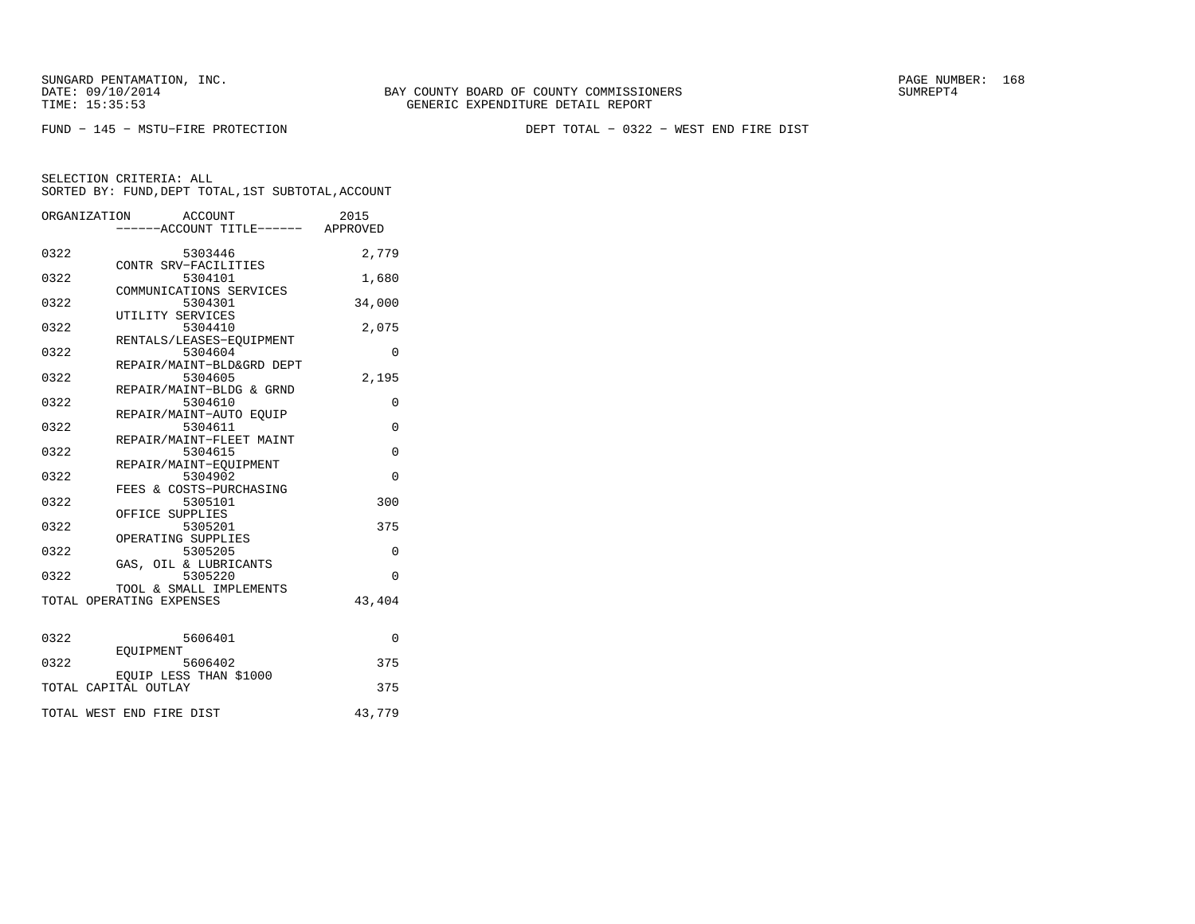SUNGARD PENTAMATION, INC.<br>DATE: 09/10/2014 SUMRER: 168 SUNG BAY COUNTY BOARD OF COUNTY COMMISSIONERS

FUND − 145 − MSTU−FIRE PROTECTION DEPT TOTAL − 0322 − WEST END FIRE DIST

|      | ORGANIZATION<br>ACCOUNT<br>-----ACCOUNT TITLE------ APPROVED | 2015        |
|------|--------------------------------------------------------------|-------------|
|      |                                                              |             |
| 0322 | 5303446<br>CONTR SRV-FACILITIES                              | 2,779       |
| 0322 | 5304101<br>COMMUNICATIONS SERVICES                           | 1,680       |
| 0322 | 5304301                                                      | 34,000      |
| 0322 | UTILITY SERVICES<br>5304410                                  | 2,075       |
| 0322 | RENTALS/LEASES-EOUIPMENT<br>5304604                          | 0           |
| 0322 | REPAIR/MAINT-BLD&GRD DEPT<br>5304605                         | 2,195       |
| 0322 | REPAIR/MAINT-BLDG & GRND<br>5304610                          | 0           |
| 0322 | REPAIR/MAINT-AUTO EQUIP<br>5304611                           | $\Omega$    |
| 0322 | REPAIR/MAINT-FLEET MAINT<br>5304615                          | $\mathbf 0$ |
| 0322 | REPAIR/MAINT-EOUIPMENT<br>5304902                            | $\Omega$    |
| 0322 | FEES & COSTS-PURCHASING<br>5305101                           | 300         |
| 0322 | OFFICE SUPPLIES<br>5305201                                   | 375         |
| 0322 | OPERATING SUPPLIES                                           |             |
|      | 5305205<br>GAS, OIL & LUBRICANTS                             | $\Omega$    |
| 0322 | 5305220<br>TOOL & SMALL IMPLEMENTS                           | $\Omega$    |
|      | TOTAL OPERATING EXPENSES                                     | 43,404      |
| 0322 | 5606401                                                      | $\Omega$    |
| 0322 | EOUIPMENT<br>5606402                                         | 375         |
|      | EQUIP LESS THAN \$1000<br>TOTAL CAPITAL OUTLAY               | 375         |
|      |                                                              |             |
|      | TOTAL WEST END FIRE DIST                                     | 43,779      |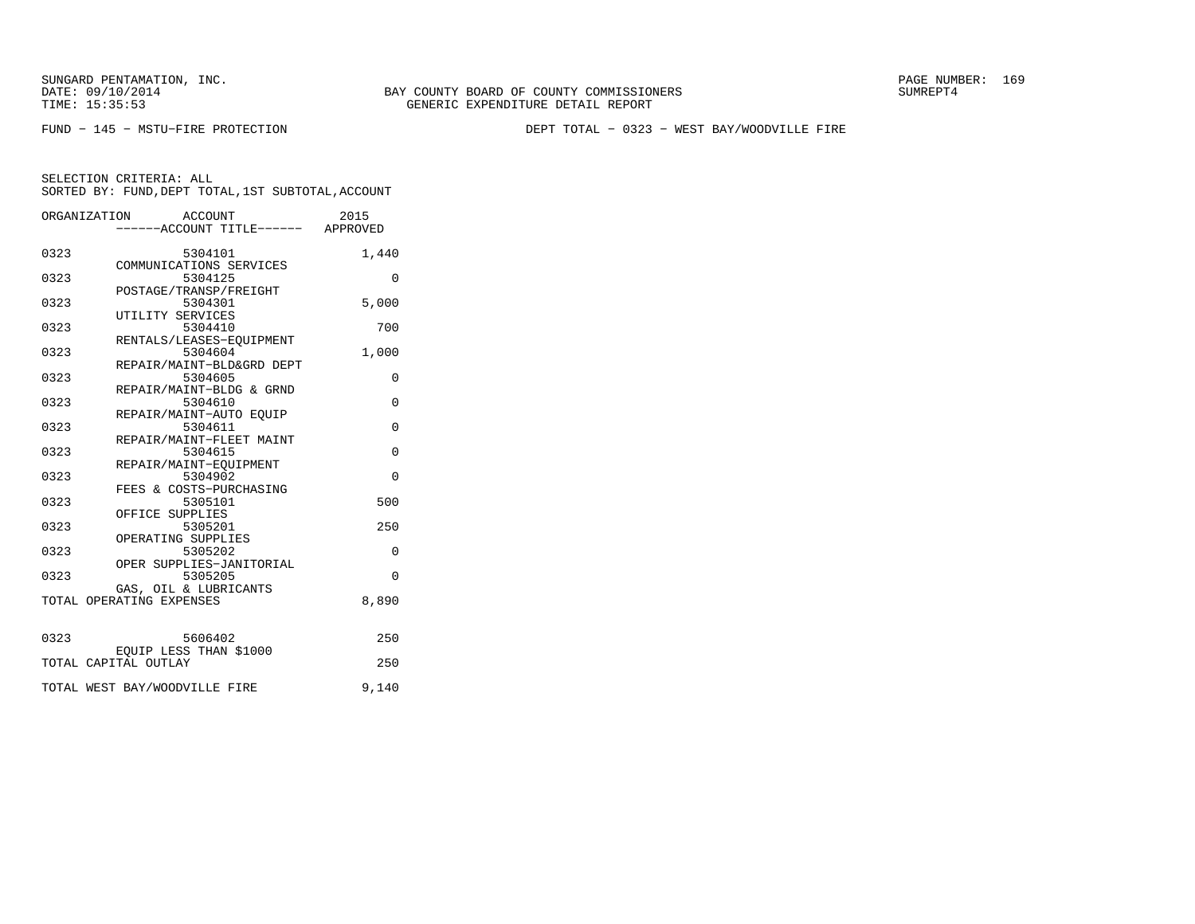FUND − 145 − MSTU−FIRE PROTECTION DEPT TOTAL − 0323 − WEST BAY/WOODVILLE FIRE

|      | ORGANIZATION<br>ACCOUNT<br>----ACCOUNT TITLE------ APPROVED | 2015        |
|------|-------------------------------------------------------------|-------------|
|      |                                                             |             |
| 0323 | 5304101                                                     | 1,440       |
|      | COMMUNICATIONS SERVICES                                     |             |
| 0323 | 5304125                                                     | $\Omega$    |
|      | POSTAGE/TRANSP/FREIGHT                                      |             |
| 0323 | 5304301                                                     | 5,000       |
|      | UTILITY SERVICES                                            |             |
| 0323 | 5304410                                                     | 700         |
|      | RENTALS/LEASES-EOUIPMENT                                    |             |
| 0323 | 5304604                                                     | 1,000       |
|      | REPAIR/MAINT-BLD&GRD DEPT                                   |             |
| 0323 | 5304605                                                     | $\Omega$    |
| 0323 | REPAIR/MAINT-BLDG & GRND<br>5304610                         | $\mathbf 0$ |
|      | REPAIR/MAINT-AUTO EOUIP                                     |             |
| 0323 | 5304611                                                     | $\Omega$    |
|      | REPAIR/MAINT-FLEET MAINT                                    |             |
| 0323 | 5304615                                                     | $\Omega$    |
|      | REPAIR/MAINT-EQUIPMENT                                      |             |
| 0323 | 5304902                                                     | $\Omega$    |
|      | FEES & COSTS-PURCHASING                                     |             |
| 0323 | 5305101                                                     | 500         |
|      | OFFICE SUPPLIES                                             |             |
| 0323 | 5305201                                                     | 250         |
|      | OPERATING SUPPLIES                                          |             |
| 0323 | 5305202                                                     | 0           |
|      | OPER SUPPLIES-JANITORIAL                                    |             |
| 0323 | 5305205                                                     | $\Omega$    |
|      | GAS, OIL & LUBRICANTS                                       |             |
|      | TOTAL OPERATING EXPENSES                                    | 8,890       |
|      |                                                             |             |
|      |                                                             |             |
| 0323 | 5606402                                                     | 250         |
|      | EQUIP LESS THAN \$1000                                      |             |
|      | TOTAL CAPITAL OUTLAY                                        | 250         |
|      |                                                             |             |
|      | TOTAL WEST BAY/WOODVILLE FIRE                               | 9,140       |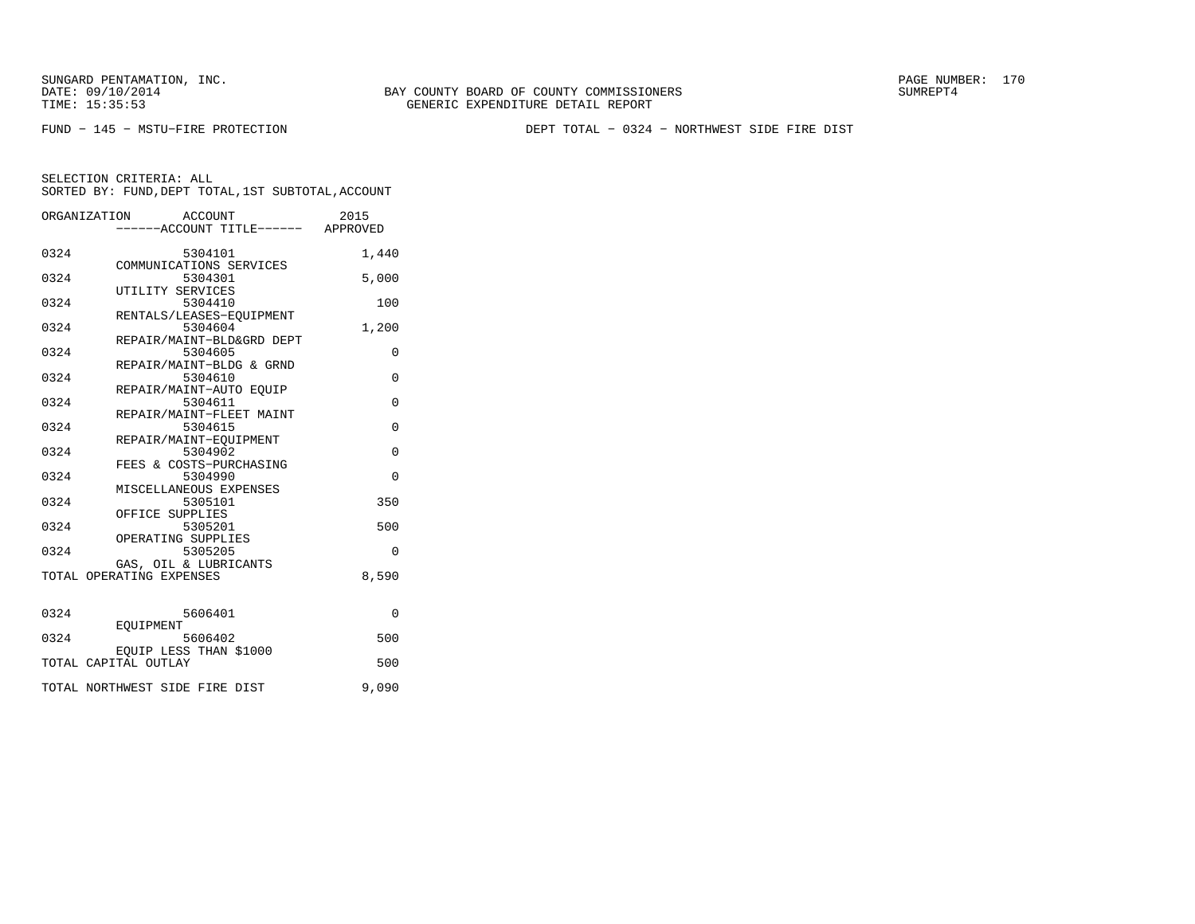TIME: 15:35:53 GENERIC EXPENDITURE DETAIL REPORT

BAY COUNTY BOARD OF COUNTY COMMISSIONERS

FUND − 145 − MSTU−FIRE PROTECTION DEPT TOTAL − 0324 − NORTHWEST SIDE FIRE DIST

|  |  | SORIED BY: FUND,DEPI IOIAL,ISI SUBIOIAL,ACCOUNI |
|--|--|-------------------------------------------------|
|  |  |                                                 |

|      | ORGANIZATION<br>ACCOUNT            | 2015        |
|------|------------------------------------|-------------|
|      | ------ACCOUNT TITLE------ APPROVED |             |
|      |                                    |             |
| 0324 | 5304101                            | 1,440       |
|      | COMMUNICATIONS SERVICES            |             |
| 0324 | 5304301                            | 5,000       |
|      | UTILITY SERVICES                   |             |
| 0324 | 5304410                            | 100         |
|      | RENTALS/LEASES-EOUIPMENT           |             |
| 0324 | 5304604                            | 1,200       |
|      | REPAIR/MAINT-BLD&GRD DEPT          |             |
| 0324 | 5304605                            | 0           |
|      | REPAIR/MAINT-BLDG & GRND           |             |
| 0324 | 5304610                            | $\Omega$    |
|      | REPAIR/MAINT-AUTO EOUIP            |             |
| 0324 | 5304611                            | 0           |
|      | REPAIR/MAINT-FLEET MAINT           |             |
| 0324 | 5304615                            | $\mathbf 0$ |
|      | REPAIR/MAINT-EQUIPMENT             |             |
| 0324 | 5304902                            | $\Omega$    |
|      | FEES & COSTS-PURCHASING            |             |
| 0324 | 5304990                            | $\Omega$    |
|      | MISCELLANEOUS EXPENSES             |             |
| 0324 | 5305101                            | 350         |
|      | OFFICE SUPPLIES                    |             |
| 0324 | 5305201                            | 500         |
|      | OPERATING SUPPLIES                 |             |
| 0324 | 5305205                            | 0           |
|      | GAS, OIL & LUBRICANTS              |             |
|      | TOTAL OPERATING EXPENSES           | 8,590       |
|      |                                    |             |
|      |                                    |             |
| 0324 | 5606401                            | $\Omega$    |
|      | EOUIPMENT                          |             |
| 0324 | 5606402                            | 500         |
|      | EOUIP LESS THAN \$1000             |             |
|      | TOTAL CAPITAL OUTLAY               | 500         |
|      |                                    |             |
|      | TOTAL NORTHWEST SIDE FIRE DIST     | 9,090       |
|      |                                    |             |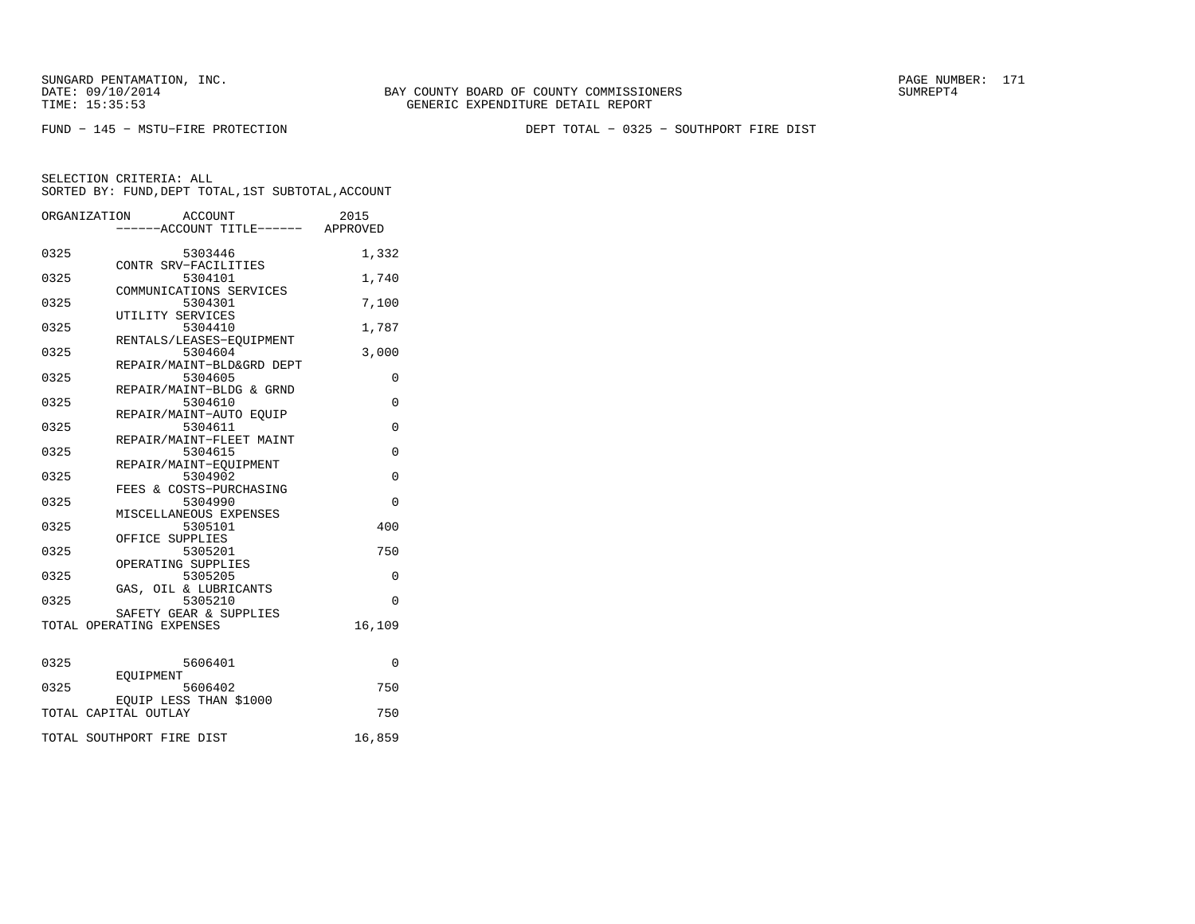FUND − 145 − MSTU−FIRE PROTECTION DEPT TOTAL − 0325 − SOUTHPORT FIRE DIST

|      | ORGANIZATION<br>ACCOUNT<br>-----ACCOUNT TITLE------ APPROVED | 2015        |
|------|--------------------------------------------------------------|-------------|
| 0325 | 5303446                                                      | 1,332       |
| 0325 | CONTR SRV-FACILITIES<br>5304101                              | 1,740       |
| 0325 | COMMUNICATIONS SERVICES<br>5304301                           | 7,100       |
| 0325 | UTILITY SERVICES<br>5304410                                  | 1,787       |
| 0325 | RENTALS/LEASES-EQUIPMENT<br>5304604                          | 3,000       |
| 0325 | REPAIR/MAINT-BLD&GRD DEPT<br>5304605                         | 0           |
| 0325 | REPAIR/MAINT-BLDG & GRND<br>5304610                          | $\Omega$    |
| 0325 | REPAIR/MAINT-AUTO EQUIP<br>5304611                           | $\mathbf 0$ |
| 0325 | REPAIR/MAINT-FLEET MAINT<br>5304615                          | $\Omega$    |
| 0325 | REPAIR/MAINT-EOUIPMENT<br>5304902                            | $\Omega$    |
| 0325 | FEES & COSTS-PURCHASING<br>5304990                           | $\Omega$    |
| 0325 | MISCELLANEOUS EXPENSES<br>5305101                            | 400         |
| 0325 | OFFICE SUPPLIES<br>5305201                                   | 750         |
| 0325 | OPERATING SUPPLIES<br>5305205                                | 0           |
| 0325 | GAS, OIL & LUBRICANTS<br>5305210                             | $\Omega$    |
|      | SAFETY GEAR & SUPPLIES<br>TOTAL OPERATING EXPENSES           | 16,109      |
|      |                                                              |             |
| 0325 | 5606401<br>EOUIPMENT                                         | $\Omega$    |
| 0325 | 5606402<br>EQUIP LESS THAN \$1000                            | 750         |
|      | TOTAL CAPITAL OUTLAY                                         | 750         |
|      | TOTAL SOUTHPORT FIRE DIST                                    | 16,859      |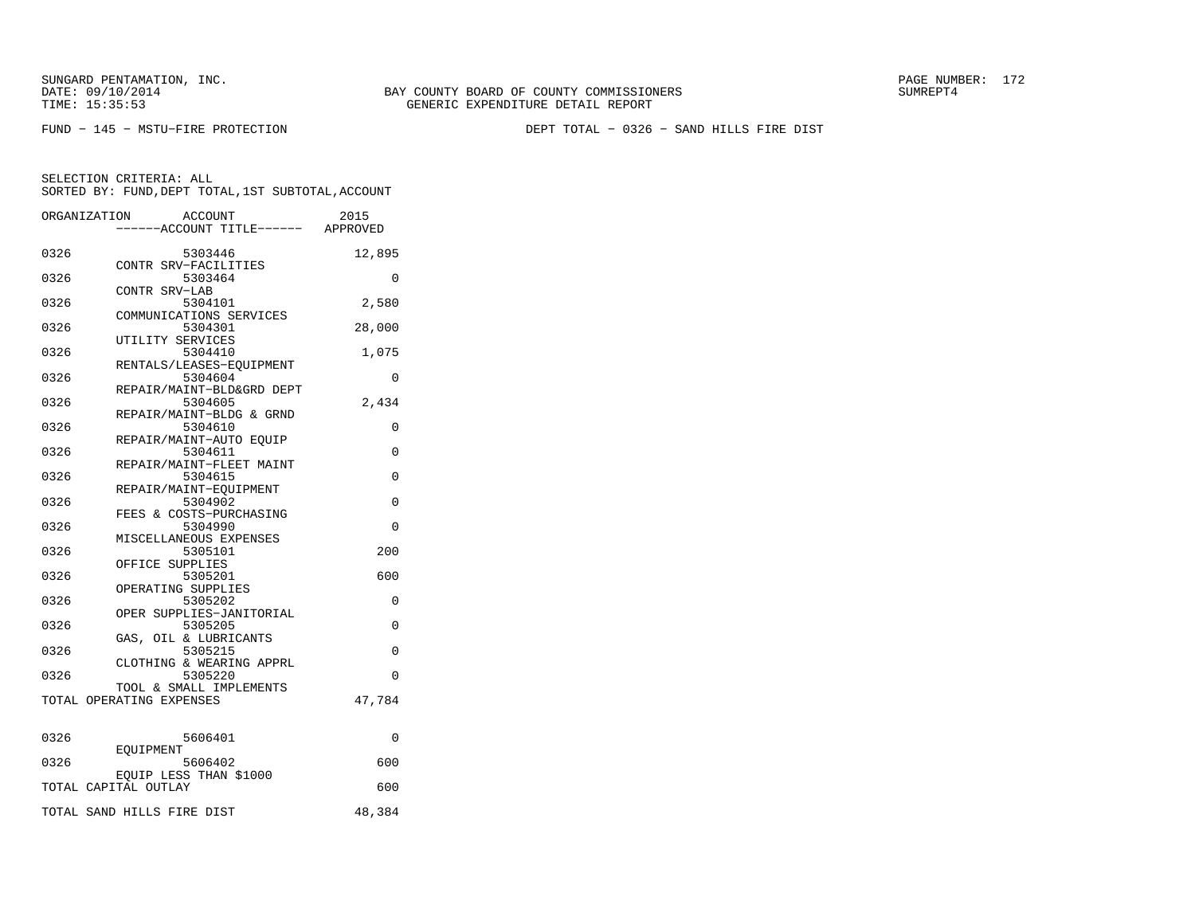FUND − 145 − MSTU−FIRE PROTECTION DEPT TOTAL − 0326 − SAND HILLS FIRE DIST

| ORGANIZATION         |           | ACCOUNT                                             |                           | 2015                            |
|----------------------|-----------|-----------------------------------------------------|---------------------------|---------------------------------|
|                      |           |                                                     |                           | ---ACCOUNT TITLE------ APPROVED |
| 0326                 |           | 5303446<br>CONTR SRV-FACILITIES                     |                           | 12,895                          |
| 0326                 |           | 5303464                                             |                           | 0                               |
| 0326                 |           | CONTR SRV-LAB<br>5304101                            |                           | 2,580                           |
| 0326                 |           | 5304301                                             | COMMUNICATIONS SERVICES   | 28,000                          |
| 0326                 |           | UTILITY SERVICES<br>5304410                         |                           | 1,075                           |
| 0326                 |           | 5304604                                             | RENTALS/LEASES-EOUIPMENT  | 0                               |
| 0326                 |           | 5304605                                             | REPAIR/MAINT-BLD&GRD DEPT | 2,434                           |
| 0326                 |           | 5304610                                             | REPAIR/MAINT-BLDG & GRND  | 0                               |
|                      |           | REPAIR/MAINT-AUTO EQUIP                             |                           |                                 |
| 0326                 |           | 5304611                                             | REPAIR/MAINT-FLEET MAINT  | $\Omega$                        |
| 0326                 |           | 5304615<br>REPAIR/MAINT-EOUIPMENT                   |                           | 0                               |
| 0326                 |           | 5304902<br>FEES & COSTS-PURCHASING                  |                           | 0                               |
| 0326                 |           | 5304990<br>MISCELLANEOUS EXPENSES                   |                           | 0                               |
| 0326                 |           | 5305101<br>OFFICE SUPPLIES                          |                           | 200                             |
| 0326                 |           | 5305201                                             |                           | 600                             |
| 0326                 |           | OPERATING SUPPLIES<br>5305202                       |                           | 0                               |
| 0326                 |           | 5305205                                             | OPER SUPPLIES-JANITORIAL  | 0                               |
| 0326                 |           | GAS, OIL & LUBRICANTS<br>5305215                    |                           | $\Omega$                        |
| 0326                 |           | 5305220                                             | CLOTHING & WEARING APPRL  | $\Omega$                        |
|                      |           | TOOL & SMALL IMPLEMENTS<br>TOTAL OPERATING EXPENSES |                           | 47,784                          |
|                      |           |                                                     |                           |                                 |
| 0326                 | EOUIPMENT | 5606401                                             |                           | 0                               |
| 0326                 |           | 5606402                                             |                           | 600                             |
| TOTAL CAPITAL OUTLAY |           | EQUIP LESS THAN \$1000                              |                           | 600                             |
|                      |           | TOTAL SAND HILLS FIRE DIST                          |                           | 48,384                          |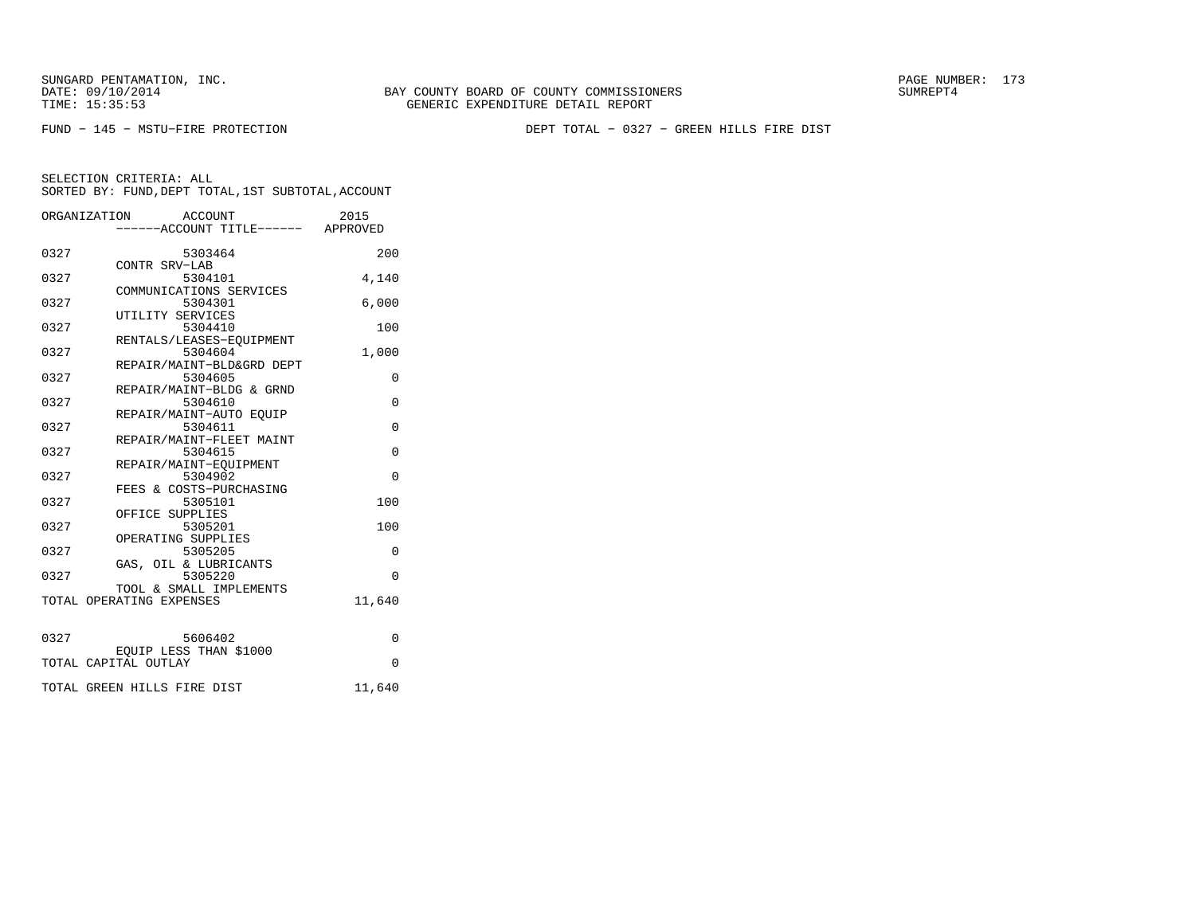FUND − 145 − MSTU−FIRE PROTECTION DEPT TOTAL − 0327 − GREEN HILLS FIRE DIST

|      | ACCOUNT<br>ORGANIZATION<br>----ACCOUNT TITLE------ APPROVED  | 2015        |
|------|--------------------------------------------------------------|-------------|
| 0327 | 5303464<br>CONTR SRV-LAB                                     | 200         |
| 0327 | 5304101<br>COMMUNICATIONS SERVICES                           | 4,140       |
| 0327 | 5304301<br>UTILITY SERVICES                                  | 6,000       |
| 0327 | 5304410<br>RENTALS/LEASES-EOUIPMENT                          | 100         |
| 0327 | 5304604<br>REPAIR/MAINT-BLD&GRD DEPT                         | 1,000       |
| 0327 | 5304605<br>REPAIR/MAINT-BLDG & GRND                          | 0           |
| 0327 | 5304610<br>REPAIR/MAINT-AUTO EOUIP                           | $\mathbf 0$ |
| 0327 | 5304611<br>REPAIR/MAINT-FLEET MAINT                          | $\Omega$    |
| 0327 | 5304615                                                      | 0           |
| 0327 | REPAIR/MAINT-EQUIPMENT<br>5304902<br>FEES & COSTS-PURCHASING | $\Omega$    |
| 0327 | 5305101<br>OFFICE SUPPLIES                                   | 100         |
| 0327 | 5305201<br>OPERATING SUPPLIES                                | 100         |
| 0327 | 5305205<br>GAS, OIL & LUBRICANTS                             | $\Omega$    |
| 0327 | 5305220<br>TOOL & SMALL IMPLEMENTS                           | $\Omega$    |
|      | TOTAL OPERATING EXPENSES                                     | 11,640      |
| 0327 | 5606402                                                      | $\Omega$    |
|      | EQUIP LESS THAN \$1000<br>TOTAL CAPITAL OUTLAY               | $\Omega$    |
|      | TOTAL GREEN HILLS FIRE DIST                                  | 11,640      |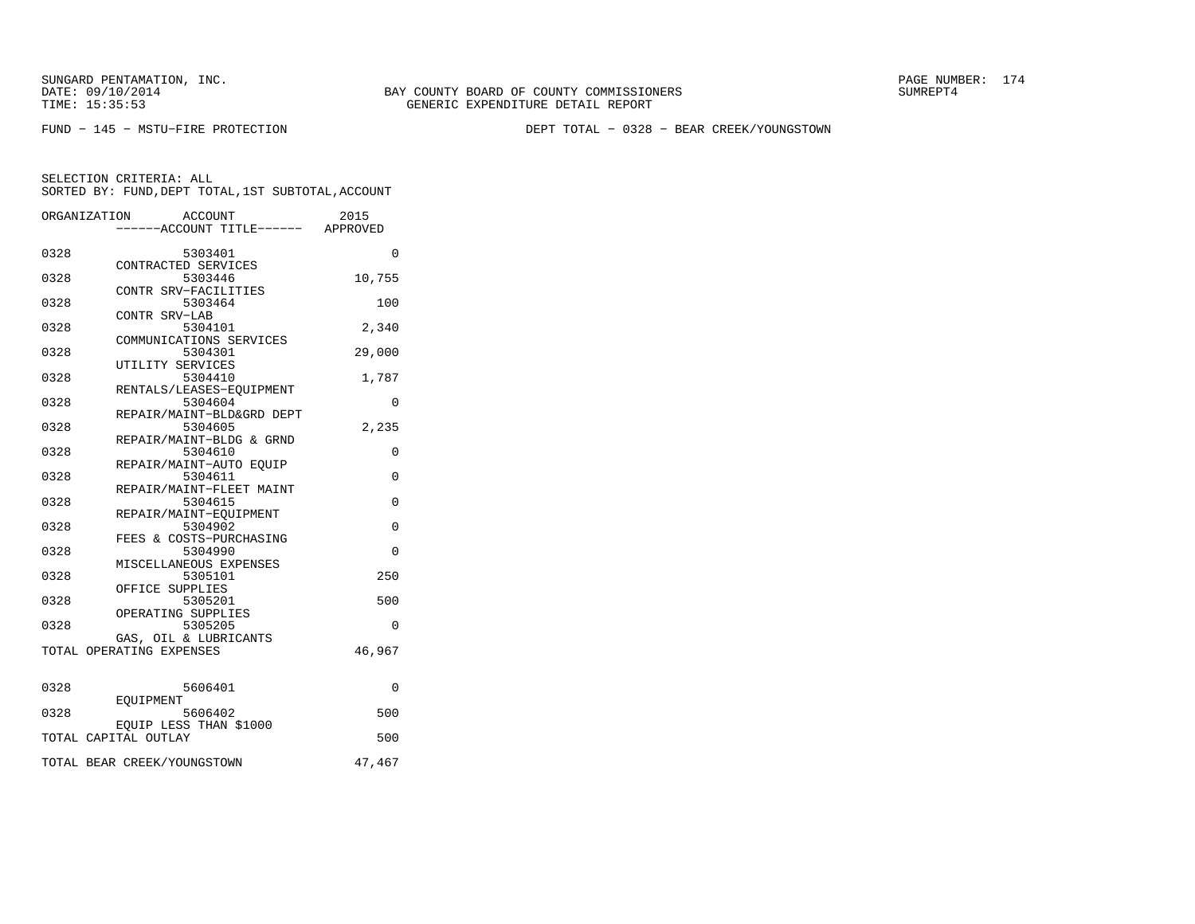BAY COUNTY BOARD OF COUNTY COMMISSIONERS TIME: 15:35:53 GENERIC EXPENDITURE DETAIL REPORT

FUND − 145 − MSTU−FIRE PROTECTION DEPT TOTAL − 0328 − BEAR CREEK/YOUNGSTOWN

| ----ACCOUNT TITLE------ APPROVED<br>0328<br>5303401<br>$\Omega$<br>CONTRACTED SERVICES<br>10,755<br>0328<br>5303446<br>CONTR SRV-FACILITIES<br>0328<br>5303464<br>100<br>CONTR SRV-LAB<br>0328<br>5304101<br>2,340<br>COMMUNICATIONS SERVICES<br>0328<br>5304301<br>29,000<br>UTILITY SERVICES<br>0328<br>5304410<br>1,787<br>RENTALS/LEASES-EOUIPMENT<br>0328<br>5304604<br>0<br>REPAIR/MAINT-BLD&GRD DEPT<br>0328<br>5304605<br>2,235<br>REPAIR/MAINT-BLDG & GRND<br>0328<br>5304610<br>0<br>REPAIR/MAINT-AUTO EOUIP<br>0328<br>5304611<br>0<br>REPAIR/MAINT-FLEET MAINT<br>0328<br>5304615<br>0<br>REPAIR/MAINT-EOUIPMENT<br>0328<br>$\Omega$<br>5304902<br>FEES & COSTS-PURCHASING<br>0328<br>5304990<br>$\Omega$<br>MISCELLANEOUS EXPENSES<br>0328<br>5305101<br>250<br>OFFICE SUPPLIES<br>0328<br>5305201<br>500 | ORGANIZATION<br>ACCOUNT | 2015 |
|------------------------------------------------------------------------------------------------------------------------------------------------------------------------------------------------------------------------------------------------------------------------------------------------------------------------------------------------------------------------------------------------------------------------------------------------------------------------------------------------------------------------------------------------------------------------------------------------------------------------------------------------------------------------------------------------------------------------------------------------------------------------------------------------------------------------|-------------------------|------|
|                                                                                                                                                                                                                                                                                                                                                                                                                                                                                                                                                                                                                                                                                                                                                                                                                        |                         |      |
|                                                                                                                                                                                                                                                                                                                                                                                                                                                                                                                                                                                                                                                                                                                                                                                                                        |                         |      |
|                                                                                                                                                                                                                                                                                                                                                                                                                                                                                                                                                                                                                                                                                                                                                                                                                        |                         |      |
|                                                                                                                                                                                                                                                                                                                                                                                                                                                                                                                                                                                                                                                                                                                                                                                                                        |                         |      |
|                                                                                                                                                                                                                                                                                                                                                                                                                                                                                                                                                                                                                                                                                                                                                                                                                        |                         |      |
|                                                                                                                                                                                                                                                                                                                                                                                                                                                                                                                                                                                                                                                                                                                                                                                                                        |                         |      |
|                                                                                                                                                                                                                                                                                                                                                                                                                                                                                                                                                                                                                                                                                                                                                                                                                        |                         |      |
|                                                                                                                                                                                                                                                                                                                                                                                                                                                                                                                                                                                                                                                                                                                                                                                                                        |                         |      |
|                                                                                                                                                                                                                                                                                                                                                                                                                                                                                                                                                                                                                                                                                                                                                                                                                        |                         |      |
|                                                                                                                                                                                                                                                                                                                                                                                                                                                                                                                                                                                                                                                                                                                                                                                                                        |                         |      |
|                                                                                                                                                                                                                                                                                                                                                                                                                                                                                                                                                                                                                                                                                                                                                                                                                        |                         |      |
|                                                                                                                                                                                                                                                                                                                                                                                                                                                                                                                                                                                                                                                                                                                                                                                                                        |                         |      |
|                                                                                                                                                                                                                                                                                                                                                                                                                                                                                                                                                                                                                                                                                                                                                                                                                        |                         |      |
|                                                                                                                                                                                                                                                                                                                                                                                                                                                                                                                                                                                                                                                                                                                                                                                                                        |                         |      |
|                                                                                                                                                                                                                                                                                                                                                                                                                                                                                                                                                                                                                                                                                                                                                                                                                        |                         |      |
|                                                                                                                                                                                                                                                                                                                                                                                                                                                                                                                                                                                                                                                                                                                                                                                                                        |                         |      |
|                                                                                                                                                                                                                                                                                                                                                                                                                                                                                                                                                                                                                                                                                                                                                                                                                        |                         |      |
|                                                                                                                                                                                                                                                                                                                                                                                                                                                                                                                                                                                                                                                                                                                                                                                                                        |                         |      |
|                                                                                                                                                                                                                                                                                                                                                                                                                                                                                                                                                                                                                                                                                                                                                                                                                        |                         |      |
|                                                                                                                                                                                                                                                                                                                                                                                                                                                                                                                                                                                                                                                                                                                                                                                                                        |                         |      |
|                                                                                                                                                                                                                                                                                                                                                                                                                                                                                                                                                                                                                                                                                                                                                                                                                        |                         |      |
|                                                                                                                                                                                                                                                                                                                                                                                                                                                                                                                                                                                                                                                                                                                                                                                                                        |                         |      |
|                                                                                                                                                                                                                                                                                                                                                                                                                                                                                                                                                                                                                                                                                                                                                                                                                        |                         |      |
|                                                                                                                                                                                                                                                                                                                                                                                                                                                                                                                                                                                                                                                                                                                                                                                                                        |                         |      |
|                                                                                                                                                                                                                                                                                                                                                                                                                                                                                                                                                                                                                                                                                                                                                                                                                        |                         |      |
|                                                                                                                                                                                                                                                                                                                                                                                                                                                                                                                                                                                                                                                                                                                                                                                                                        |                         |      |
|                                                                                                                                                                                                                                                                                                                                                                                                                                                                                                                                                                                                                                                                                                                                                                                                                        |                         |      |
|                                                                                                                                                                                                                                                                                                                                                                                                                                                                                                                                                                                                                                                                                                                                                                                                                        |                         |      |
|                                                                                                                                                                                                                                                                                                                                                                                                                                                                                                                                                                                                                                                                                                                                                                                                                        |                         |      |
|                                                                                                                                                                                                                                                                                                                                                                                                                                                                                                                                                                                                                                                                                                                                                                                                                        | OPERATING SUPPLIES      |      |
| 0328<br>5305205<br>0                                                                                                                                                                                                                                                                                                                                                                                                                                                                                                                                                                                                                                                                                                                                                                                                   |                         |      |
| GAS, OIL & LUBRICANTS                                                                                                                                                                                                                                                                                                                                                                                                                                                                                                                                                                                                                                                                                                                                                                                                  |                         |      |
| TOTAL OPERATING EXPENSES<br>46,967                                                                                                                                                                                                                                                                                                                                                                                                                                                                                                                                                                                                                                                                                                                                                                                     |                         |      |
|                                                                                                                                                                                                                                                                                                                                                                                                                                                                                                                                                                                                                                                                                                                                                                                                                        |                         |      |
|                                                                                                                                                                                                                                                                                                                                                                                                                                                                                                                                                                                                                                                                                                                                                                                                                        |                         |      |
| 0328<br>5606401<br>0                                                                                                                                                                                                                                                                                                                                                                                                                                                                                                                                                                                                                                                                                                                                                                                                   |                         |      |
| <b>EOUIPMENT</b>                                                                                                                                                                                                                                                                                                                                                                                                                                                                                                                                                                                                                                                                                                                                                                                                       |                         |      |
| 500<br>0328<br>5606402                                                                                                                                                                                                                                                                                                                                                                                                                                                                                                                                                                                                                                                                                                                                                                                                 |                         |      |
| EOUIP LESS THAN \$1000                                                                                                                                                                                                                                                                                                                                                                                                                                                                                                                                                                                                                                                                                                                                                                                                 |                         |      |
| TOTAL CAPITAL OUTLAY<br>500                                                                                                                                                                                                                                                                                                                                                                                                                                                                                                                                                                                                                                                                                                                                                                                            |                         |      |
| TOTAL BEAR CREEK/YOUNGSTOWN<br>47,467                                                                                                                                                                                                                                                                                                                                                                                                                                                                                                                                                                                                                                                                                                                                                                                  |                         |      |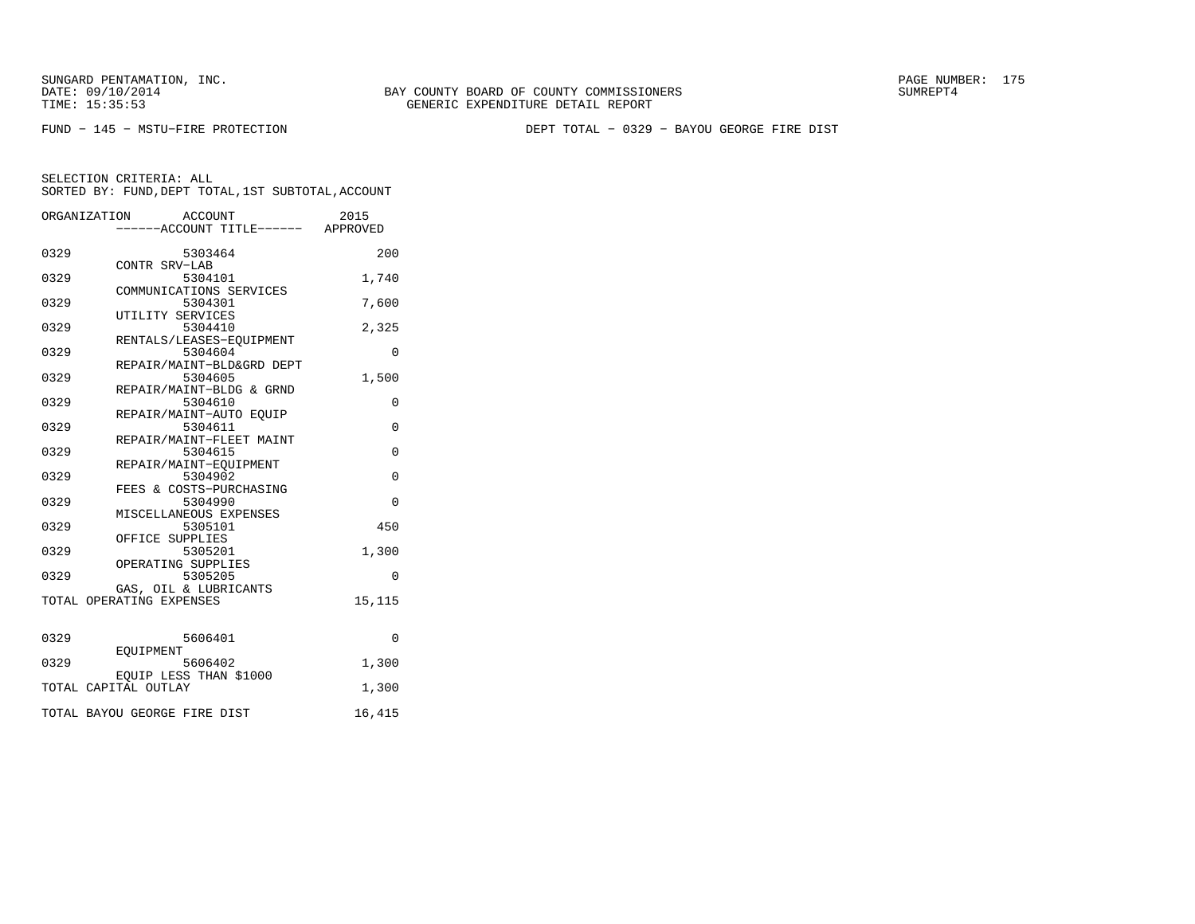BAY COUNTY BOARD OF COUNTY COMMISSIONERS TIME: 15:35:53 GENERIC EXPENDITURE DETAIL REPORT

FUND − 145 − MSTU−FIRE PROTECTION DEPT TOTAL − 0329 − BAYOU GEORGE FIRE DIST

|      | ACCOUNT<br>ORGANIZATION<br>----ACCOUNT TITLE------ APPROVED | 2015        |
|------|-------------------------------------------------------------|-------------|
|      |                                                             |             |
| 0329 | 5303464<br>CONTR SRV-LAB                                    | 200         |
| 0329 | 5304101<br>COMMUNICATIONS SERVICES                          | 1,740       |
| 0329 | 5304301<br>UTILITY SERVICES                                 | 7,600       |
| 0329 | 5304410                                                     | 2,325       |
| 0329 | RENTALS/LEASES-EOUIPMENT<br>5304604                         | 0           |
| 0329 | REPAIR/MAINT-BLD&GRD DEPT<br>5304605                        | 1,500       |
| 0329 | REPAIR/MAINT-BLDG & GRND<br>5304610                         | 0           |
| 0329 | REPAIR/MAINT-AUTO EQUIP<br>5304611                          | $\mathbf 0$ |
| 0329 | REPAIR/MAINT-FLEET MAINT<br>5304615                         | $\mathbf 0$ |
| 0329 | REPAIR/MAINT-EOUIPMENT<br>5304902                           | $\Omega$    |
| 0329 | FEES & COSTS-PURCHASING<br>5304990                          | $\Omega$    |
| 0329 | MISCELLANEOUS EXPENSES<br>5305101                           | 450         |
| 0329 | OFFICE SUPPLIES<br>5305201                                  | 1,300       |
| 0329 | OPERATING SUPPLIES<br>5305205                               | 0           |
|      | GAS, OIL & LUBRICANTS<br>TOTAL OPERATING EXPENSES           | 15,115      |
| 0329 | 5606401                                                     | $\Omega$    |
| 0329 | EOUIPMENT<br>5606402                                        | 1,300       |
|      | EQUIP LESS THAN \$1000<br>TOTAL CAPITAL OUTLAY              | 1,300       |
|      |                                                             |             |
|      | TOTAL BAYOU GEORGE FIRE DIST                                | 16,415      |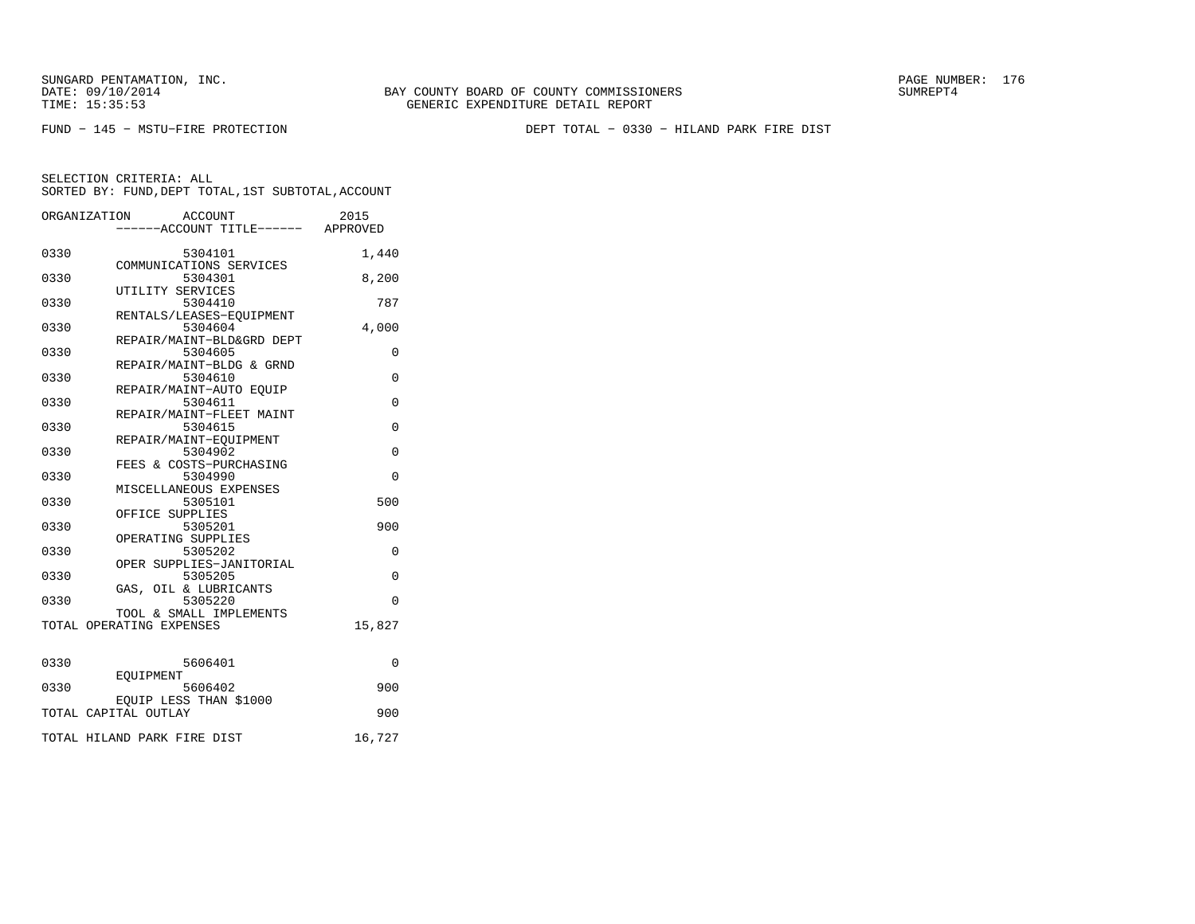FUND − 145 − MSTU−FIRE PROTECTION DEPT TOTAL − 0330 − HILAND PARK FIRE DIST

|      | ORGANIZATION<br>ACCOUNT<br>-----ACCOUNT TITLE------ APPROVED | 2015        |
|------|--------------------------------------------------------------|-------------|
| 0330 | 5304101                                                      | 1,440       |
| 0330 | COMMUNICATIONS SERVICES<br>5304301                           | 8,200       |
| 0330 | UTILITY SERVICES<br>5304410                                  | 787         |
| 0330 | RENTALS/LEASES-EOUIPMENT<br>5304604                          | 4,000       |
| 0330 | REPAIR/MAINT-BLD&GRD DEPT<br>5304605                         | 0           |
| 0330 | REPAIR/MAINT-BLDG & GRND<br>5304610                          | $\Omega$    |
| 0330 | REPAIR/MAINT-AUTO EOUIP<br>5304611                           | $\Omega$    |
| 0330 | REPAIR/MAINT-FLEET MAINT<br>5304615                          | 0           |
| 0330 | REPAIR/MAINT-EOUIPMENT<br>5304902                            | $\mathbf 0$ |
| 0330 | FEES & COSTS-PURCHASING<br>5304990                           | $\Omega$    |
| 0330 | MISCELLANEOUS EXPENSES<br>5305101                            | 500         |
| 0330 | OFFICE SUPPLIES<br>5305201                                   | 900         |
| 0330 | OPERATING SUPPLIES<br>5305202                                | 0           |
| 0330 | OPER SUPPLIES-JANITORIAL<br>5305205                          | $\mathbf 0$ |
| 0330 | GAS, OIL & LUBRICANTS<br>5305220                             | $\Omega$    |
|      | TOOL & SMALL IMPLEMENTS<br>TOTAL OPERATING EXPENSES          | 15,827      |
| 0330 | 5606401                                                      | $\Omega$    |
| 0330 | <b>EOUIPMENT</b><br>5606402                                  | 900         |
|      | EOUIP LESS THAN \$1000<br>TOTAL CAPITAL OUTLAY               | 900         |
|      | TOTAL HILAND PARK FIRE DIST                                  | 16,727      |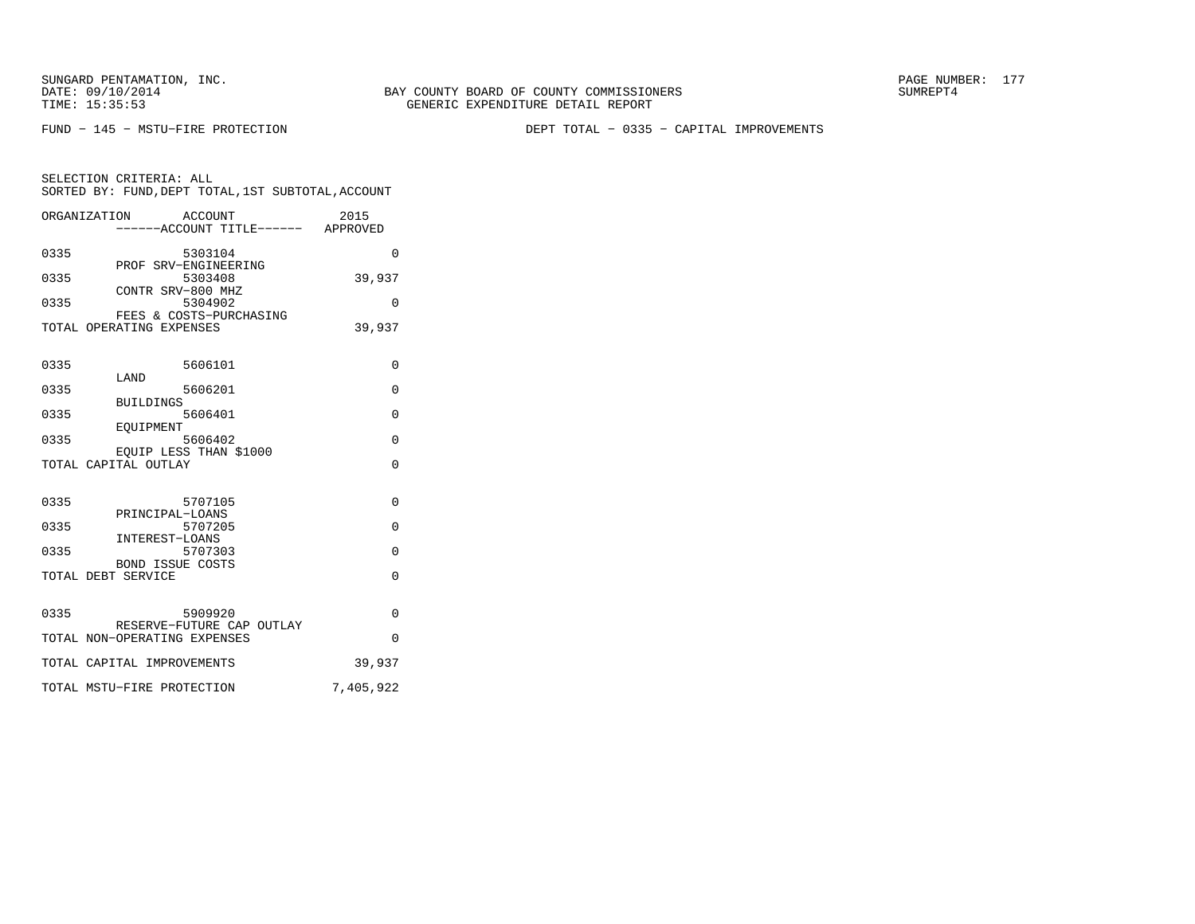FUND − 145 − MSTU−FIRE PROTECTION DEPT TOTAL − 0335 − CAPITAL IMPROVEMENTS

SELECTION CRITERIA: ALL SORTED BY: FUND,DEPT TOTAL,1ST SUBTOTAL,ACCOUNTORGANIZATION ACCOUNT 2015

|      | OLGHNI TUHI TOIM<br><b>ACCOONI</b><br>------ACCOUNT TITLE------ APPROVED | ⊿∪⊥⊃      |
|------|--------------------------------------------------------------------------|-----------|
| 0335 | 5303104                                                                  | $\Omega$  |
| 0335 | PROF SRV-ENGINEERING<br>5303408                                          | 39,937    |
| 0335 | CONTR SRV-800 MHZ<br>5304902                                             | $\Omega$  |
|      | FEES & COSTS-PURCHASING<br>TOTAL OPERATING EXPENSES                      | 39,937    |
| 0335 | 5606101                                                                  | $\Omega$  |
|      | LAND                                                                     |           |
| 0335 | 5606201<br><b>BUILDINGS</b>                                              | $\Omega$  |
| 0335 | 5606401<br>EOUIPMENT                                                     | $\Omega$  |
| 0335 | 5606402                                                                  | 0         |
|      | EOUIP LESS THAN \$1000<br>TOTAL CAPITAL OUTLAY                           | $\Omega$  |
| 0335 | 5707105                                                                  | $\Omega$  |
|      | PRINCIPAL-LOANS                                                          |           |
| 0335 | 5707205<br>INTEREST-LOANS                                                | $\Omega$  |
| 0335 | 5707303                                                                  | $\Omega$  |
|      | <b>BOND ISSUE COSTS</b><br>TOTAL DEBT SERVICE                            | $\Omega$  |
| 0335 | 5909920                                                                  | $\Omega$  |
|      | RESERVE-FUTURE CAP OUTLAY<br>TOTAL NON-OPERATING EXPENSES                | $\Omega$  |
|      | TOTAL CAPITAL IMPROVEMENTS                                               | 39,937    |
|      | TOTAL MSTU-FIRE PROTECTION                                               | 7,405,922 |
|      |                                                                          |           |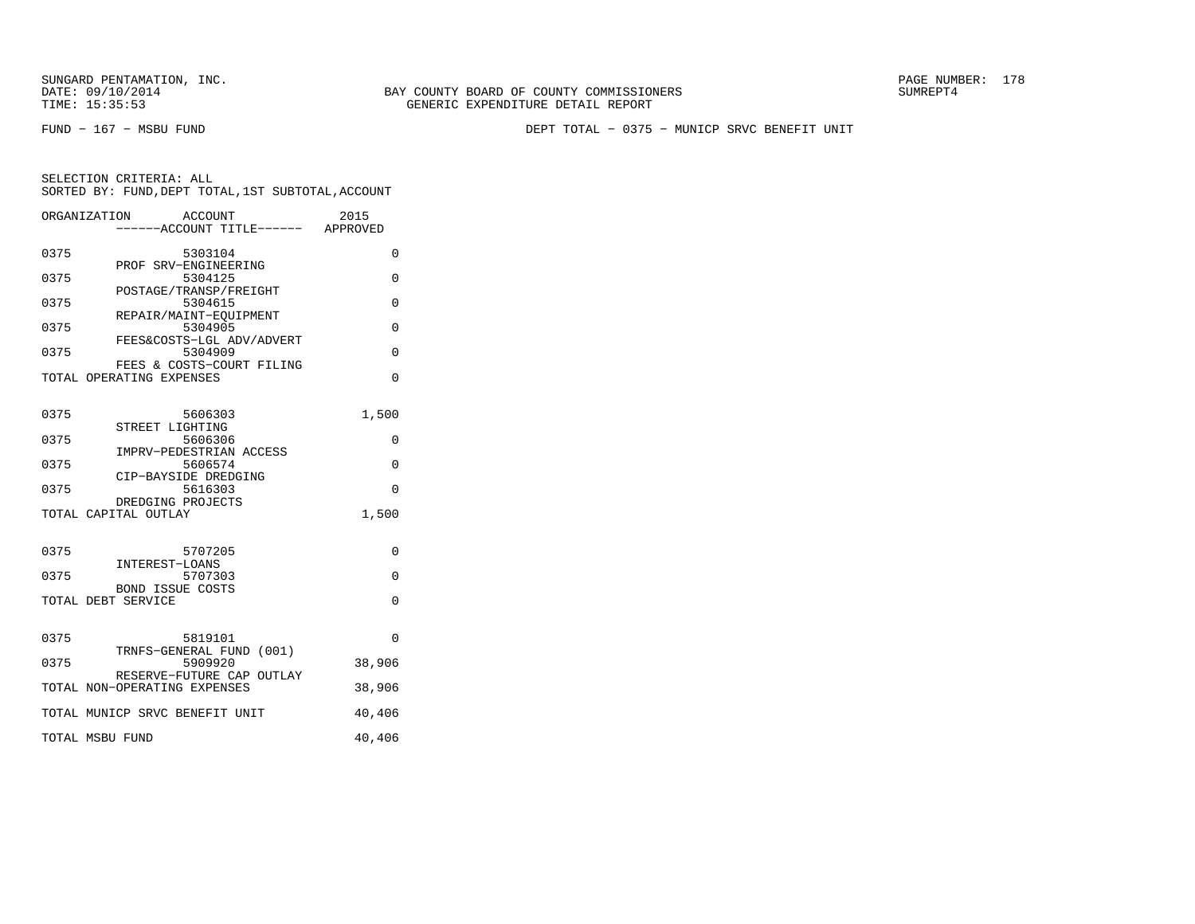BAY COUNTY BOARD OF COUNTY COMMISSIONERS TIME: 15:35:53 GENERIC EXPENDITURE DETAIL REPORT

FUND − 167 − MSBU FUND DEPT TOTAL − 0375 − MUNICP SRVC BENEFIT UNIT

|      | ORGANIZATION<br>ACCOUNT             | 2015     |
|------|-------------------------------------|----------|
|      | ----ACCOUNT TITLE------ APPROVED    |          |
|      |                                     |          |
| 0375 | 5303104<br>PROF SRV-ENGINEERING     | 0        |
| 0375 | 5304125                             | 0        |
|      | POSTAGE/TRANSP/FREIGHT              |          |
| 0375 | 5304615                             | $\Omega$ |
|      | REPAIR/MAINT-EOUIPMENT              |          |
| 0375 | 5304905                             | 0        |
|      | FEES&COSTS-LGL ADV/ADVERT           |          |
| 0375 | 5304909                             | $\Omega$ |
|      | FEES & COSTS-COURT FILING           |          |
|      | TOTAL OPERATING EXPENSES            | $\Omega$ |
|      |                                     |          |
| 0375 | 5606303                             | 1,500    |
|      | STREET LIGHTING                     |          |
| 0375 | 5606306                             | $\Omega$ |
|      | IMPRV-PEDESTRIAN ACCESS             |          |
| 0375 | 5606574                             | $\Omega$ |
|      | CIP-BAYSIDE DREDGING                |          |
| 0375 | 5616303                             | $\Omega$ |
|      | DREDGING PROJECTS                   |          |
|      | TOTAL CAPITAL OUTLAY                | 1,500    |
|      |                                     |          |
| 0375 | 5707205                             | $\Omega$ |
|      | INTEREST-LOANS                      |          |
| 0375 | 5707303                             | 0        |
|      | <b>BOND ISSUE COSTS</b>             |          |
|      | TOTAL DEBT SERVICE                  | $\Omega$ |
|      |                                     |          |
|      |                                     |          |
| 0375 | 5819101<br>TRNFS-GENERAL FUND (001) | $\Omega$ |
| 0375 | 5909920                             | 38,906   |
|      | RESERVE-FUTURE CAP OUTLAY           |          |
|      | TOTAL NON-OPERATING EXPENSES        | 38,906   |
|      |                                     |          |
|      | TOTAL MUNICP SRVC BENEFIT UNIT      | 40,406   |
|      |                                     |          |
|      | TOTAL MSBU FUND                     | 40,406   |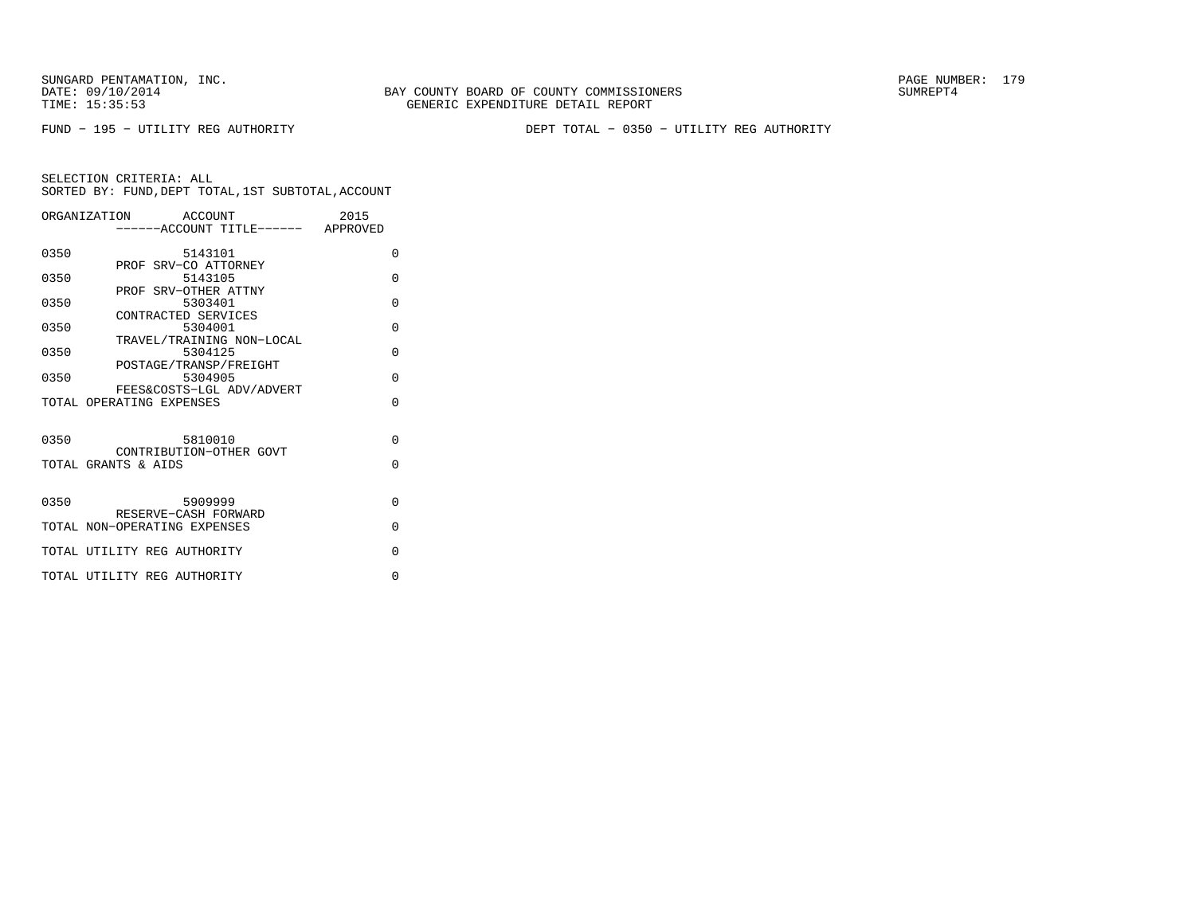FUND − 195 − UTILITY REG AUTHORITY DEPT TOTAL − 0350 − UTILITY REG AUTHORITY

|      | ORGANIZATION ACCOUNT                                 | 2015                              |
|------|------------------------------------------------------|-----------------------------------|
|      |                                                      | -----ACCOUNT TITLE------ APPROVED |
| 0350 | 5143101                                              | $\Omega$                          |
| 0350 | PROF SRV-CO ATTORNEY<br>5143105                      | $\Omega$                          |
|      | PROF SRV-OTHER ATTNY                                 |                                   |
| 0350 | 5303401                                              | $\Omega$                          |
| 0350 | CONTRACTED SERVICES<br>5304001                       | $\Omega$                          |
|      | TRAVEL/TRAINING NON-LOCAL                            |                                   |
| 0350 | 5304125                                              | $\Omega$                          |
| 0350 | POSTAGE/TRANSP/FREIGHT<br>5304905                    | $\Omega$                          |
|      | FEES&COSTS-LGL ADV/ADVERT                            |                                   |
|      | TOTAL OPERATING EXPENSES                             | $\Omega$                          |
|      |                                                      |                                   |
| 0350 | 5810010                                              | $\Omega$                          |
|      | CONTRIBUTION-OTHER GOVT                              |                                   |
|      | TOTAL GRANTS & AIDS                                  | $\Omega$                          |
|      |                                                      |                                   |
| 0350 | 5909999                                              | $\Omega$                          |
|      | RESERVE-CASH FORWARD<br>TOTAL NON-OPERATING EXPENSES | $\Omega$                          |
|      |                                                      |                                   |
|      | TOTAL UTILITY REG AUTHORITY                          | $\Omega$                          |
|      | TOTAL UTILITY REG AUTHORITY                          | $\Omega$                          |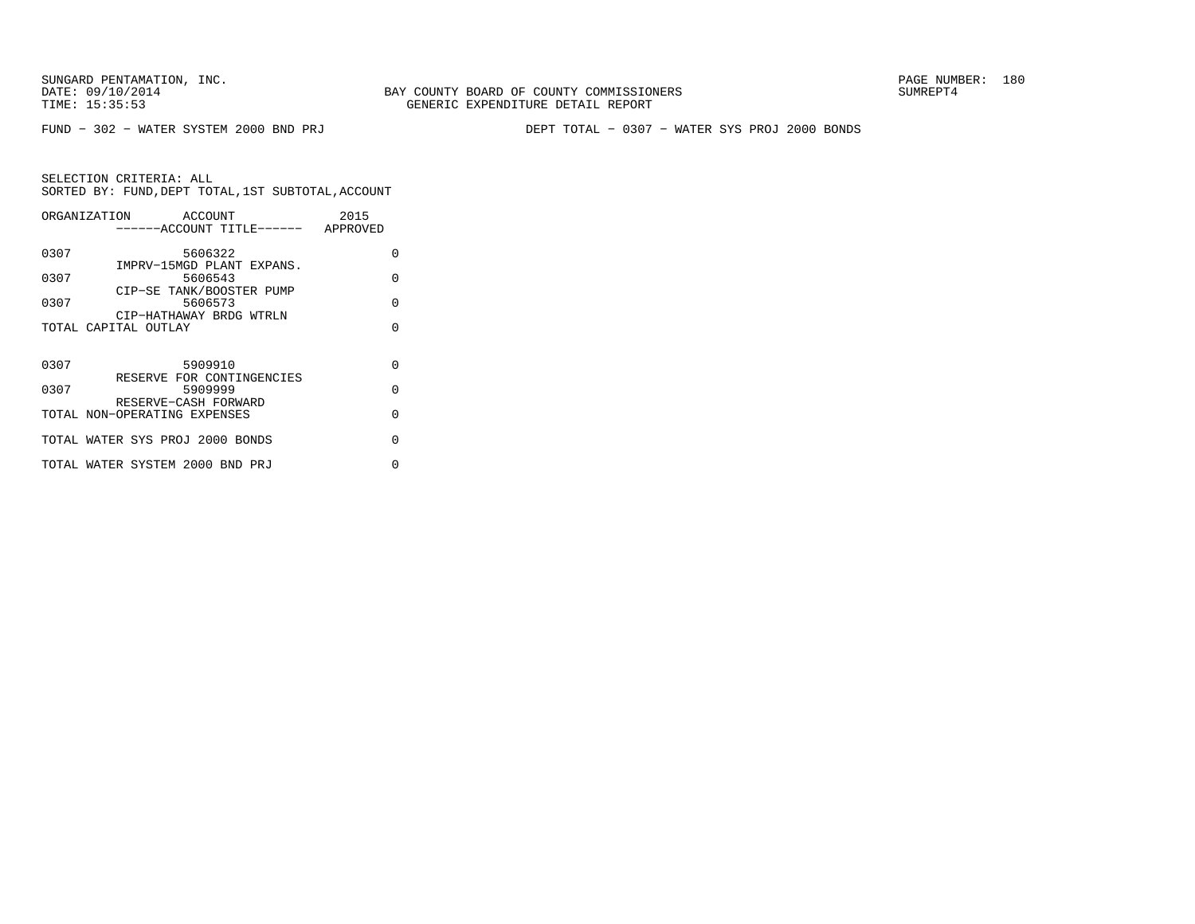FUND − 302 − WATER SYSTEM 2000 BND PRJ DEPT TOTAL − 0307 − WATER SYS PROJ 2000 BONDS

|      | ORGANIZATION ACCOUNT<br>------ACCOUNT TITLE------ APPROVED | 2015     |
|------|------------------------------------------------------------|----------|
| 0307 | 5606322                                                    | O        |
| 0307 | IMPRV-15MGD PLANT EXPANS.<br>5606543                       | O        |
| 0307 | CIP-SE TANK/BOOSTER PUMP<br>5606573                        | $\cap$   |
|      | CIP-HATHAWAY BRDG WTRLN<br>TOTAL CAPITAL OUTLAY            | U        |
|      |                                                            |          |
| 0307 | 5909910                                                    | $\Omega$ |
| 0307 | RESERVE FOR CONTINGENCIES<br>5909999                       | $\Omega$ |
|      | RESERVE-CASH FORWARD<br>TOTAL NON-OPERATING EXPENSES       | $\cap$   |
|      | TOTAL WATER SYS PROJ 2000 BONDS                            | U        |
|      | TOTAL WATER SYSTEM 2000 BND PRJ                            | U        |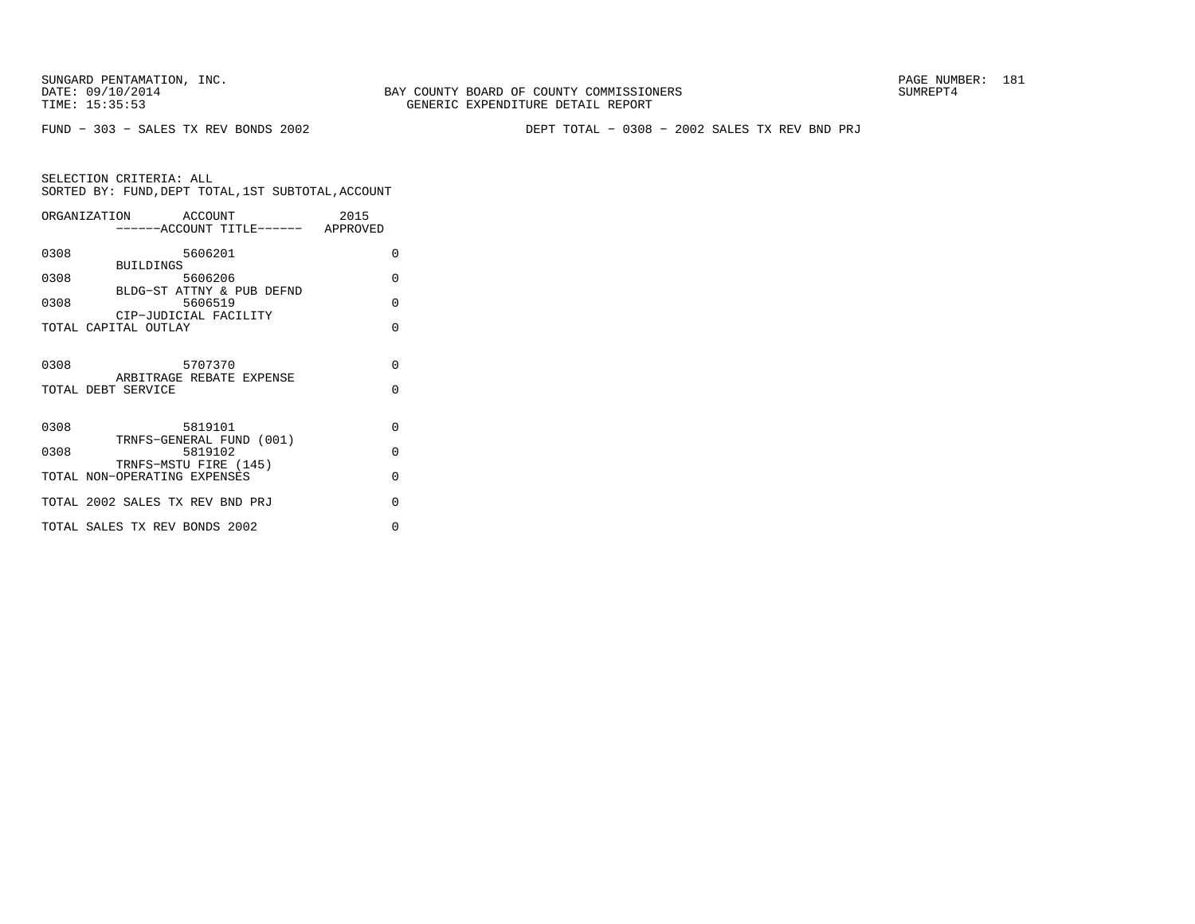SUNGARD PENTAMATION, INC.<br>DATE: 09/10/2014 SUMREPT4 TIME: 15:35:53 GENERIC EXPENDITURE DETAIL REPORT

BAY COUNTY BOARD OF COUNTY COMMISSIONERS

FUND − 303 − SALES TX REV BONDS 2002 DEPT TOTAL − 0308 − 2002 SALES TX REV BND PRJ

|      | ORGANIZATION ACCOUNT<br>------ACCOUNT TITLE------ APPROVED | 2015               |
|------|------------------------------------------------------------|--------------------|
| 0308 | 5606201<br><b>BUILDINGS</b>                                | 0                  |
| 0308 | 5606206<br>BLDG-ST ATTNY & PUB DEFND                       | $\Omega$           |
| 0308 | 5606519<br>CIP-JUDICIAL FACILITY                           | $\Omega$           |
|      | TOTAL CAPITAL OUTLAY                                       | $\Omega$           |
| 0308 | 5707370<br>ARBITRAGE REBATE EXPENSE<br>TOTAL DEBT SERVICE  | $\Omega$<br>$\cap$ |
| 0308 | 5819101<br>TRNFS-GENERAL FUND (001)                        | $\Omega$           |
| 0308 | 5819102<br>TRNFS-MSTU FIRE (145)                           | $\Omega$           |
|      | TOTAL NON-OPERATING EXPENSES                               | $\Omega$           |
|      | TOTAL 2002 SALES TX REV BND PRJ                            | $\Omega$           |
|      | TOTAL SALES TX REV BONDS 2002                              | O                  |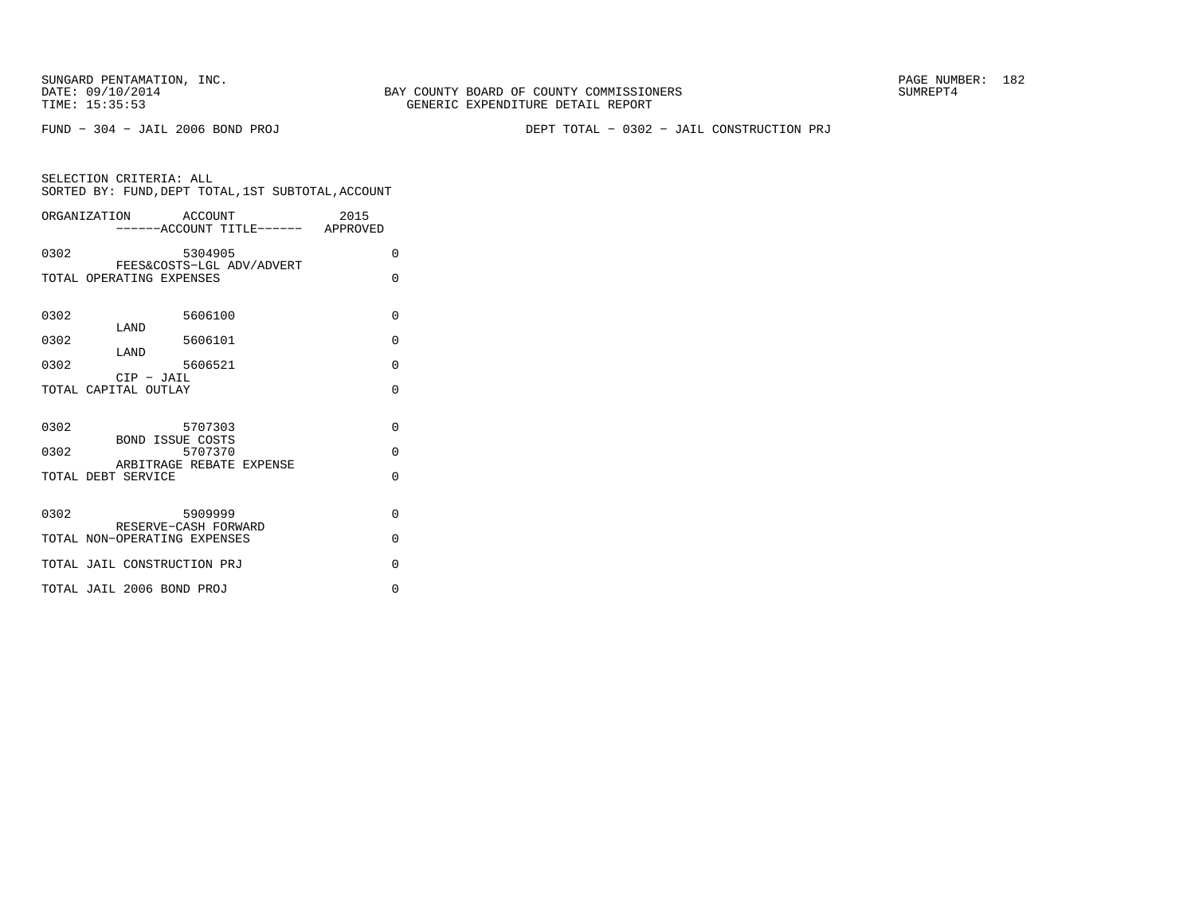SUNGARD PENTAMATION, INC.<br>DATE: 09/10/2014 SUMREPT4

FUND − 304 − JAIL 2006 BOND PROJ DEPT TOTAL − 0302 − JAIL CONSTRUCTION PRJ

| SELECTION CRITERIA: ALL                            |  |  |
|----------------------------------------------------|--|--|
| SORTED BY: FUND, DEPT TOTAL, 1ST SUBTOTAL, ACCOUNT |  |  |

|                      | 2015<br>ORGANIZATION ACCOUNT<br>------ACCOUNT TITLE------ APPROVED |          |
|----------------------|--------------------------------------------------------------------|----------|
| 0302                 | 5304905                                                            | $\Omega$ |
|                      | FEES&COSTS-LGL ADV/ADVERT<br>TOTAL OPERATING EXPENSES              | $\Omega$ |
| 0302                 | 5606100<br>LAND                                                    | $\Omega$ |
| 0302                 | 5606101<br>LAND                                                    | $\Omega$ |
| 0302                 | 5606521<br>$CIP$ - $JAIL$                                          | $\Omega$ |
| TOTAL CAPITAL OUTLAY |                                                                    | $\Omega$ |
| 0302                 | 5707303<br><b>BOND ISSUE COSTS</b>                                 | $\Omega$ |
| 0302                 | 5707370<br>ARBITRAGE REBATE EXPENSE                                | $\Omega$ |
| TOTAL DEBT SERVICE   |                                                                    | $\Omega$ |
| 0302                 | 5909999<br>RESERVE-CASH FORWARD                                    | $\Omega$ |
|                      | TOTAL NON-OPERATING EXPENSES                                       | $\Omega$ |
|                      | TOTAL JAIL CONSTRUCTION PRJ                                        | $\Omega$ |
|                      | TOTAL JAIL 2006 BOND PROJ                                          | $\Omega$ |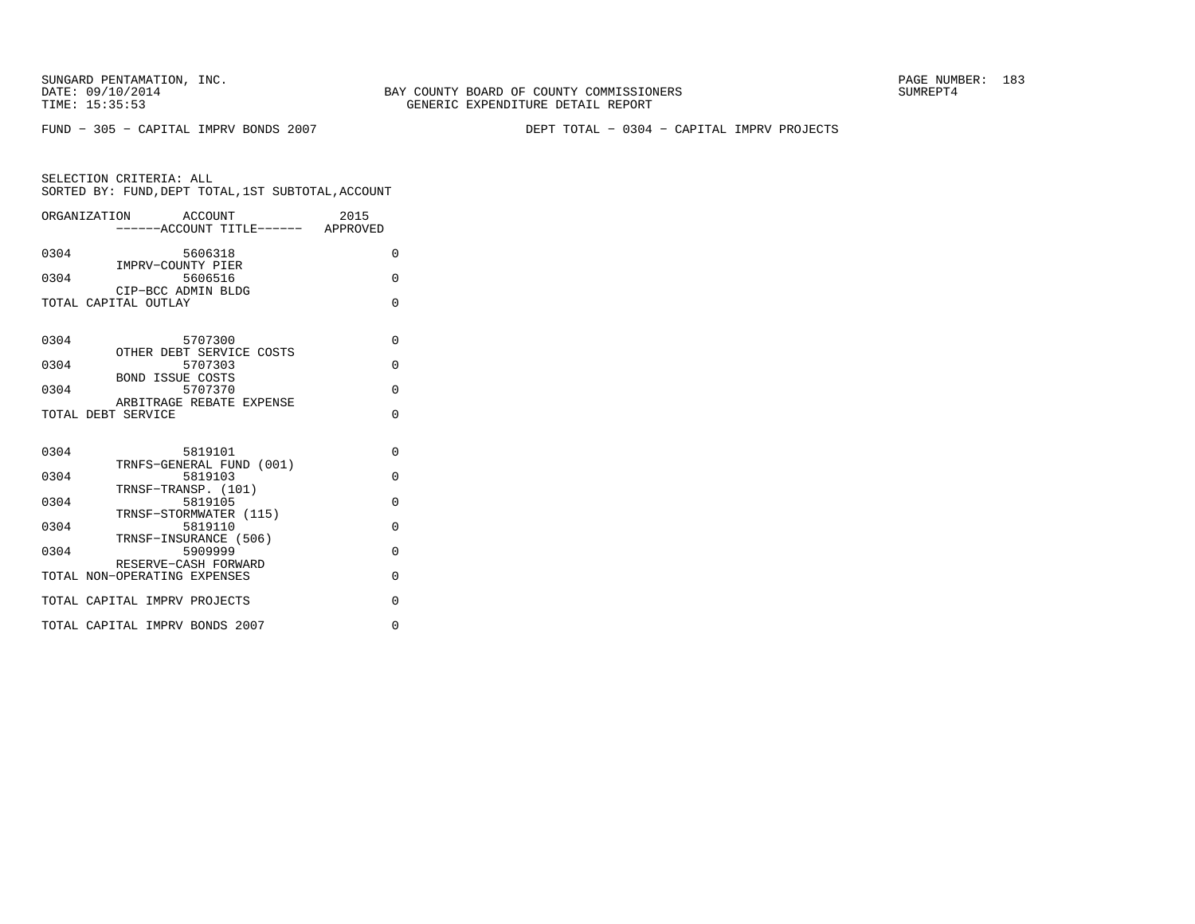BAY COUNTY BOARD OF COUNTY COMMISSIONERS TIME: 15:35:53 GENERIC EXPENDITURE DETAIL REPORT

FUND − 305 − CAPITAL IMPRV BONDS 2007 DEPT TOTAL − 0304 − CAPITAL IMPRV PROJECTS

| ORGANIZATION ACCOUNT<br>-----ACCOUNT TITLE------ APPROVED              | 2015     |
|------------------------------------------------------------------------|----------|
| 0304<br>5606318                                                        | $\Omega$ |
| IMPRV-COUNTY PIER<br>0304<br>5606516<br>CIP-BCC ADMIN BLDG             | $\Omega$ |
| TOTAL CAPITAL OUTLAY                                                   | $\Omega$ |
| 0304<br>5707300                                                        | $\Omega$ |
| OTHER DEBT SERVICE COSTS<br>5707303<br>0304                            | $\Omega$ |
| <b>BOND ISSUE COSTS</b><br>5707370<br>0304<br>ARBITRAGE REBATE EXPENSE | $\Omega$ |
| TOTAL DEBT SERVICE                                                     | $\Omega$ |
| 0304<br>5819101                                                        | $\Omega$ |
| TRNFS-GENERAL FUND (001)<br>5819103<br>0304                            | $\Omega$ |
| TRNSF-TRANSP. (101)<br>0304<br>5819105<br>TRNSF-STORMWATER (115)       | $\Omega$ |
| 0304<br>5819110<br>TRNSF-INSURANCE (506)                               | $\Omega$ |
| 5909999<br>0304<br>RESERVE-CASH FORWARD                                | $\Omega$ |
| TOTAL NON-OPERATING EXPENSES                                           | $\Omega$ |
| TOTAL CAPITAL IMPRV PROJECTS                                           | $\Omega$ |
| TOTAL CAPITAL IMPRV BONDS 2007                                         | $\Omega$ |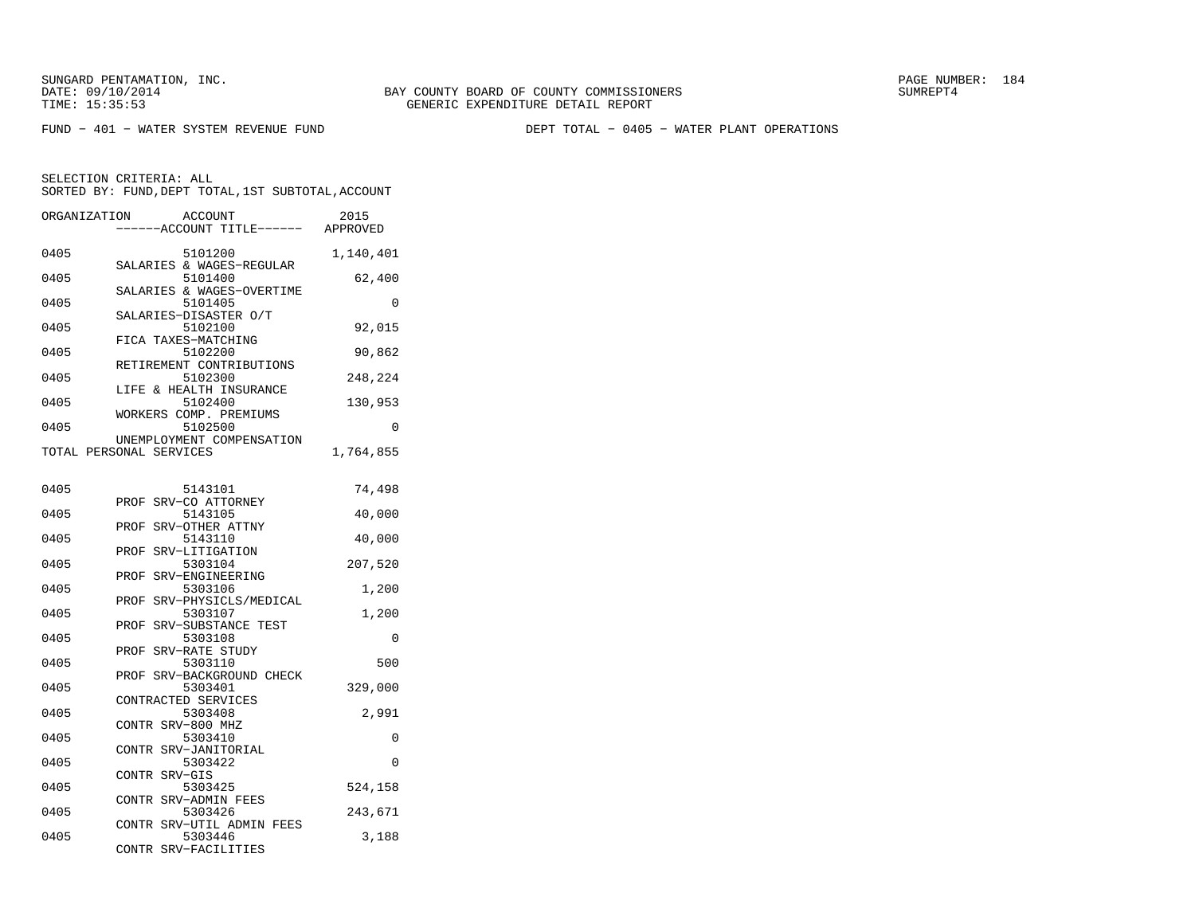FUND − 401 − WATER SYSTEM REVENUE FUND DEPT TOTAL − 0405 − WATER PLANT OPERATIONS

SELECTION CRITERIA: ALL

|              | SORTED BY: FUND, DEPT TOTAL, 1ST SUBTOTAL, ACCOUNT   |           |
|--------------|------------------------------------------------------|-----------|
| ORGANIZATION | ACCOUNT<br>----ACCOUNT TITLE------ APPROVED          | 2015      |
| 0405         | 5101200                                              | 1,140,401 |
| 0405         | SALARIES & WAGES-REGULAR<br>5101400                  | 62,400    |
| 0405         | SALARIES & WAGES-OVERTIME<br>5101405                 | 0         |
| 0405         | SALARIES-DISASTER O/T<br>5102100                     | 92,015    |
| 0405         | FICA TAXES-MATCHING<br>5102200                       | 90,862    |
| 0405         | RETIREMENT CONTRIBUTIONS<br>5102300                  | 248,224   |
| 0405         | LIFE & HEALTH INSURANCE<br>5102400                   | 130,953   |
| 0405         | WORKERS COMP. PREMIUMS<br>5102500                    | 0         |
|              | UNEMPLOYMENT COMPENSATION<br>TOTAL PERSONAL SERVICES | 1,764,855 |
|              |                                                      |           |
| 0405         | 5143101                                              | 74,498    |
| 0405         | SRV-CO ATTORNEY<br>PROF<br>5143105                   | 40,000    |
| 0405         | SRV-OTHER ATTNY<br>PROF<br>5143110                   | 40,000    |
| 0405         | PROF SRV-LITIGATION<br>5303104                       | 207,520   |
| 0405         | SRV-ENGINEERING<br>PROF<br>5303106                   | 1,200     |
| 0405         | SRV-PHYSICLS/MEDICAL<br>PROF<br>5303107              | 1,200     |
| 0405         | PROF<br>SRV-SUBSTANCE TEST<br>5303108                | 0         |
| 0405         | SRV-RATE STUDY<br>PROF<br>5303110                    | 500       |
| 0405         | PROF SRV-BACKGROUND CHECK<br>5303401                 | 329,000   |
| 0405         | CONTRACTED SERVICES<br>5303408                       | 2,991     |
| 0405         | CONTR SRV-800 MHZ<br>5303410                         | 0         |
| 0405         | CONTR SRV-JANITORIAL<br>5303422                      | 0         |
|              | CONTR SRV-GIS                                        |           |
| 0405         | 5303425<br>CONTR SRV-ADMIN FEES                      | 524,158   |
| 0405         | 5303426<br>CONTR SRV-UTIL ADMIN FEES                 | 243,671   |
| 0405         | 5303446<br>CONTR<br>SRV-FACILITIES                   | 3,188     |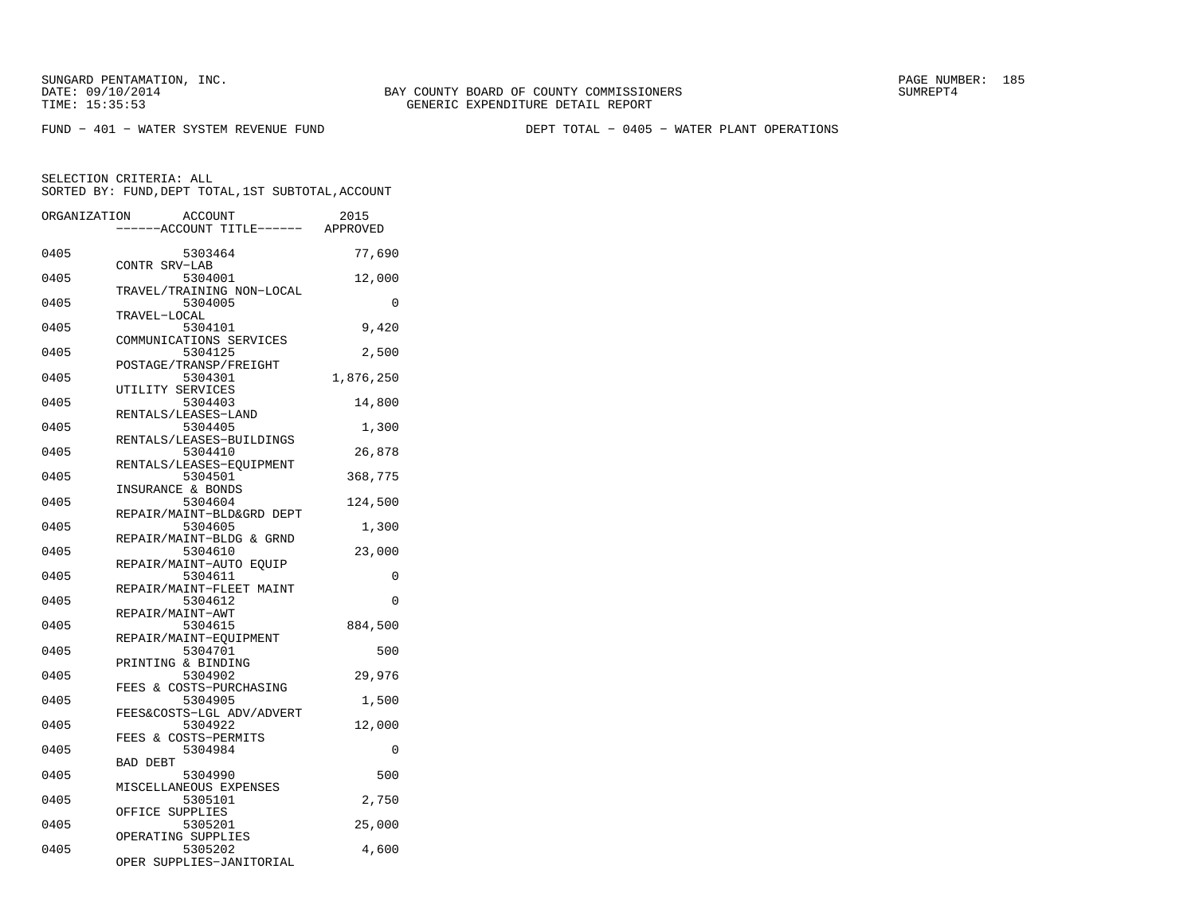SUNGARD PENTAMATION, INC.<br>DATE: 09/10/2014 SUMRER: 185

FUND − 401 − WATER SYSTEM REVENUE FUND DEPT TOTAL − 0405 − WATER PLANT OPERATIONS

SELECTION CRITERIA: ALL

|              | SORTED BY: FUND, DEPT TOTAL, 1ST SUBTOTAL, ACCOUNT    |                 |
|--------------|-------------------------------------------------------|-----------------|
| ORGANIZATION | ACCOUNT<br>-----ACCOUNT TITLE------ APPROVED          | 2015            |
| 0405         | 5303464                                               | 77,690          |
| 0405         | CONTR SRV-LAB<br>5304001<br>TRAVEL/TRAINING NON-LOCAL | 12,000          |
| 0405         | 5304005<br>TRAVEL-LOCAL                               | $\Omega$        |
| 0405         | 5304101<br>COMMUNICATIONS SERVICES                    | 9,420           |
| 0405         | 5304125<br>POSTAGE/TRANSP/FREIGHT                     | 2,500           |
| 0405         | 5304301<br>UTILITY SERVICES                           | 1,876,250       |
| 0405         | 5304403<br>RENTALS/LEASES-LAND                        | 14,800          |
| 0405         | 5304405<br>RENTALS/LEASES-BUILDINGS                   | 1,300           |
| 0405         | 5304410<br>RENTALS/LEASES-EQUIPMENT                   | 26,878          |
| 0405         | 5304501<br>INSURANCE & BONDS                          | 368,775         |
| 0405         | 5304604<br>REPAIR/MAINT-BLD&GRD DEPT                  | 124,500         |
| 0405         | 5304605<br>REPAIR/MAINT-BLDG & GRND                   | 1,300           |
| 0405         | 5304610<br>REPAIR/MAINT-AUTO EQUIP                    | 23,000          |
| 0405         | 5304611<br>REPAIR/MAINT-FLEET MAINT                   | $\Omega$        |
| 0405         | 5304612<br>REPAIR/MAINT-AWT                           | 0               |
| 0405         | 5304615<br>REPAIR/MAINT-EOUIPMENT                     | 884,500         |
| 0405         | 5304701<br>PRINTING & BINDING                         | 500             |
| 0405         | 5304902<br>FEES & COSTS-PURCHASING                    | 29,976          |
| 0405         | 5304905<br>FEES&COSTS-LGL ADV/ADVERT                  | 1,500           |
| 0405         | 5304922<br>FEES & COSTS-PERMITS                       | 12,000          |
| 0405         | 5304984<br><b>BAD DEBT</b>                            | 0               |
| 0405<br>0405 | 5304990<br>MISCELLANEOUS EXPENSES<br>5305101          | 500             |
| 0405         | OFFICE SUPPLIES<br>5305201                            | 2,750<br>25,000 |
| 0405         | OPERATING SUPPLIES<br>5305202                         | 4,600           |
|              | OPER SUPPLIES-JANITORIAL                              |                 |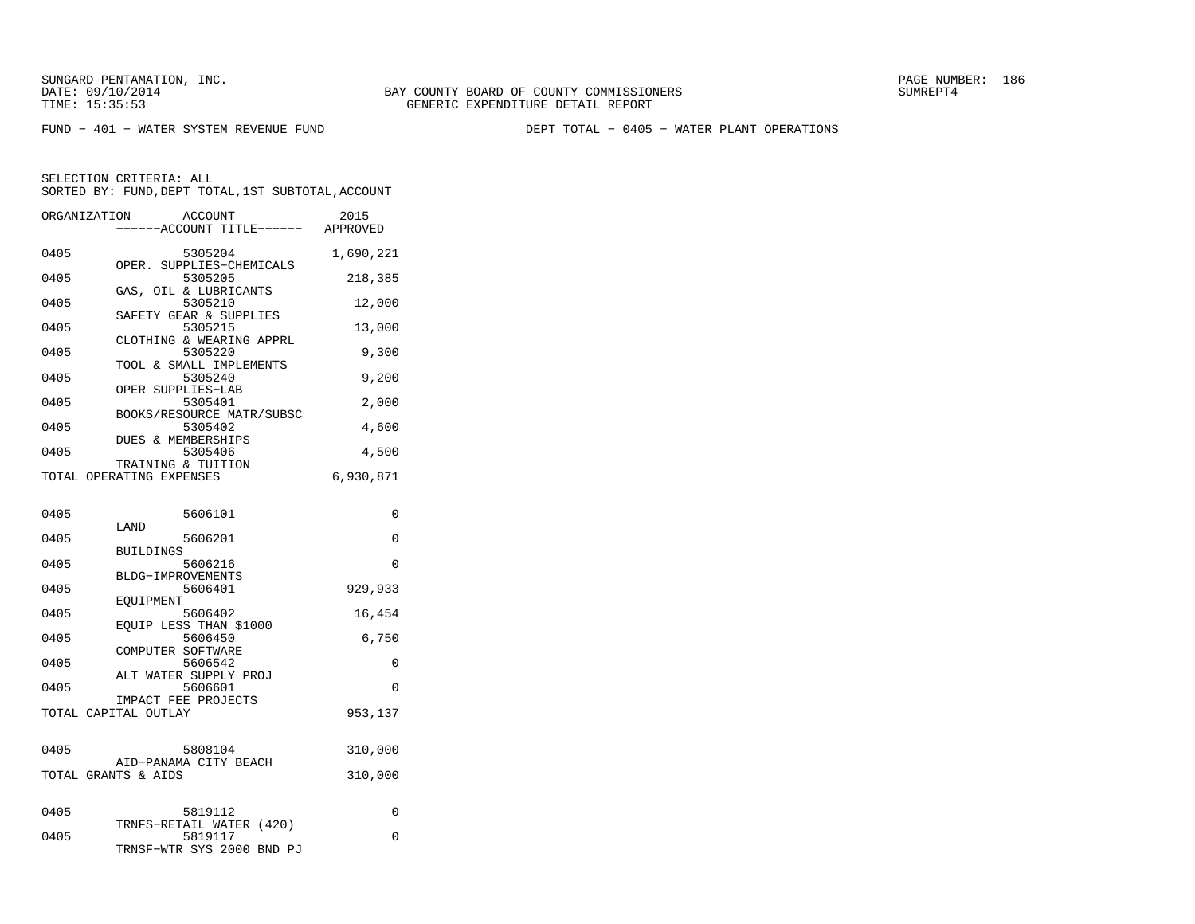SUNGARD PENTAMATION, INC.<br>DATE: 09/10/2014 SUMRER: 186

FUND − 401 − WATER SYSTEM REVENUE FUND DEPT TOTAL − 0405 − WATER PLANT OPERATIONS

| ORGANIZATION | ACCOUNT<br>----ACCOUNT TITLE------ APPROVED                      | 2015      |
|--------------|------------------------------------------------------------------|-----------|
| 0405         | 5305204                                                          | 1,690,221 |
| 0405         | OPER. SUPPLIES-CHEMICALS<br>5305205                              | 218,385   |
| 0405         | GAS, OIL & LUBRICANTS<br>5305210                                 | 12,000    |
| 0405         | SAFETY GEAR & SUPPLIES<br>5305215                                | 13,000    |
| 0405         | CLOTHING & WEARING APPRL<br>5305220                              | 9,300     |
| 0405         | TOOL & SMALL IMPLEMENTS<br>5305240                               | 9,200     |
| 0405         | OPER SUPPLIES-LAB<br>5305401                                     | 2,000     |
| 0405         | BOOKS/RESOURCE MATR/SUBSC<br>5305402                             | 4,600     |
| 0405         | DUES & MEMBERSHIPS<br>5305406                                    | 4,500     |
|              | TRAINING & TUITION<br>TOTAL OPERATING EXPENSES                   | 6,930,871 |
|              |                                                                  |           |
| 0405         | 5606101<br>LAND                                                  | 0         |
| 0405         | 5606201<br><b>BUILDINGS</b>                                      | 0         |
| 0405         | 5606216<br>BLDG-IMPROVEMENTS                                     | 0         |
| 0405         | 5606401<br>EOUIPMENT                                             | 929,933   |
| 0405         | 5606402                                                          | 16,454    |
| 0405         | EOUIP LESS THAN \$1000<br>5606450                                | 6,750     |
| 0405         | COMPUTER SOFTWARE<br>5606542                                     | 0         |
| 0405         | ALT WATER SUPPLY PROJ<br>5606601                                 | $\Omega$  |
|              | IMPACT FEE PROJECTS<br>TOTAL CAPITAL OUTLAY                      | 953,137   |
|              |                                                                  |           |
| 0405         | 5808104<br>AID-PANAMA CITY BEACH                                 | 310,000   |
|              | TOTAL GRANTS & AIDS                                              | 310,000   |
| 0405         | 5819112                                                          | 0         |
| 0405         | TRNFS-RETAIL WATER (420)<br>5819117<br>TRNSF-WTR SYS 2000 BND PJ | 0         |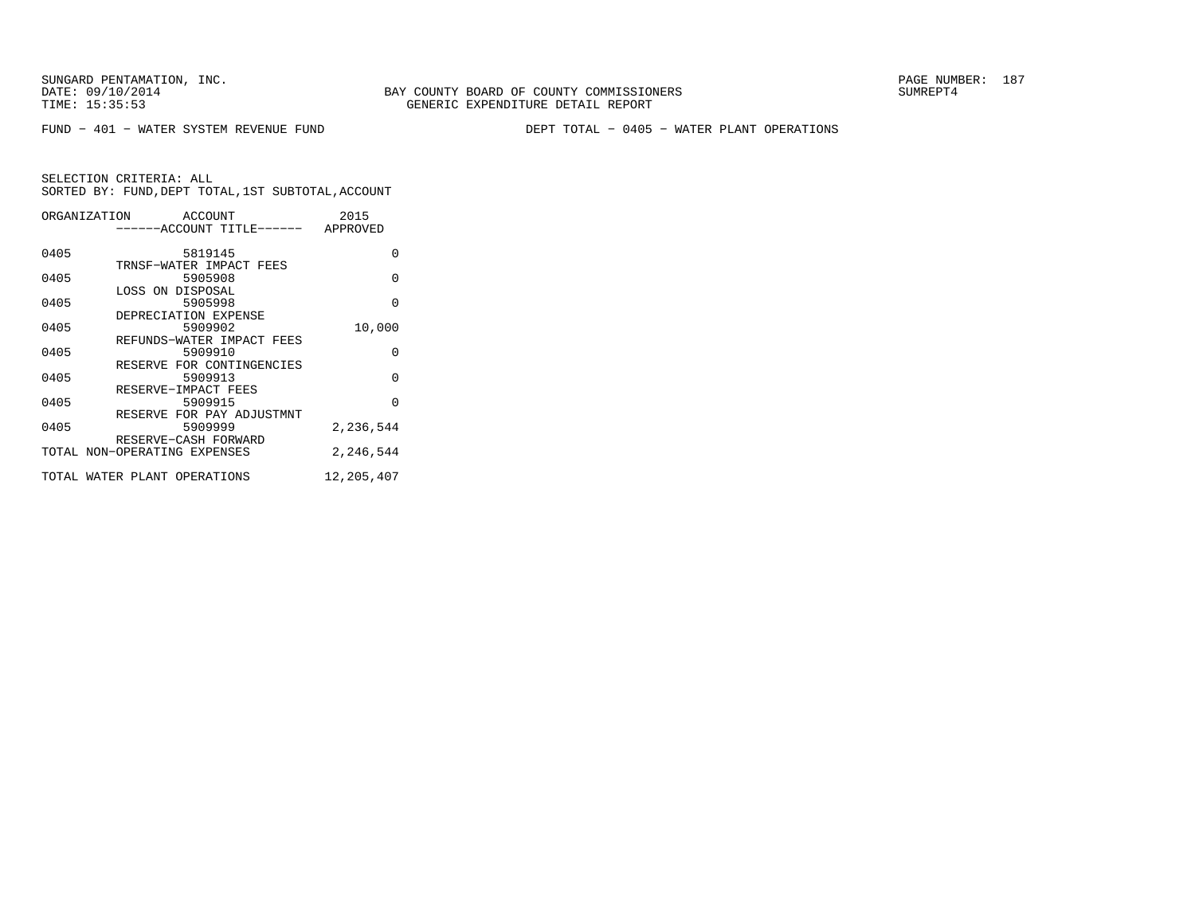BAY COUNTY BOARD OF COUNTY COMMISSIONERS TIME: 15:35:53 GENERIC EXPENDITURE DETAIL REPORT

FUND − 401 − WATER SYSTEM REVENUE FUND DEPT TOTAL − 0405 − WATER PLANT OPERATIONS

|      | ORGANIZATION ACCOUNT<br>------ACCOUNT TITLE------ APPROVED | 2015       |
|------|------------------------------------------------------------|------------|
| 0405 | 5819145<br>TRNSF-WATER IMPACT FEES                         | O          |
| 0405 | 5905908                                                    | $\Omega$   |
| 0405 | LOSS ON DISPOSAL<br>5905998                                | $\Omega$   |
| 0405 | DEPRECIATION EXPENSE<br>5909902                            | 10,000     |
| 0405 | REFUNDS-WATER IMPACT FEES<br>5909910                       | $\Omega$   |
| 0405 | RESERVE FOR CONTINGENCIES<br>5909913                       | $\Omega$   |
| 0405 | RESERVE-IMPACT FEES<br>5909915                             | $\Omega$   |
| 0405 | RESERVE FOR PAY ADJUSTMNT<br>5909999                       | 2,236,544  |
|      | RESERVE-CASH FORWARD<br>TOTAL NON-OPERATING EXPENSES       | 2,246,544  |
|      | TOTAL WATER PLANT OPERATIONS                               | 12,205,407 |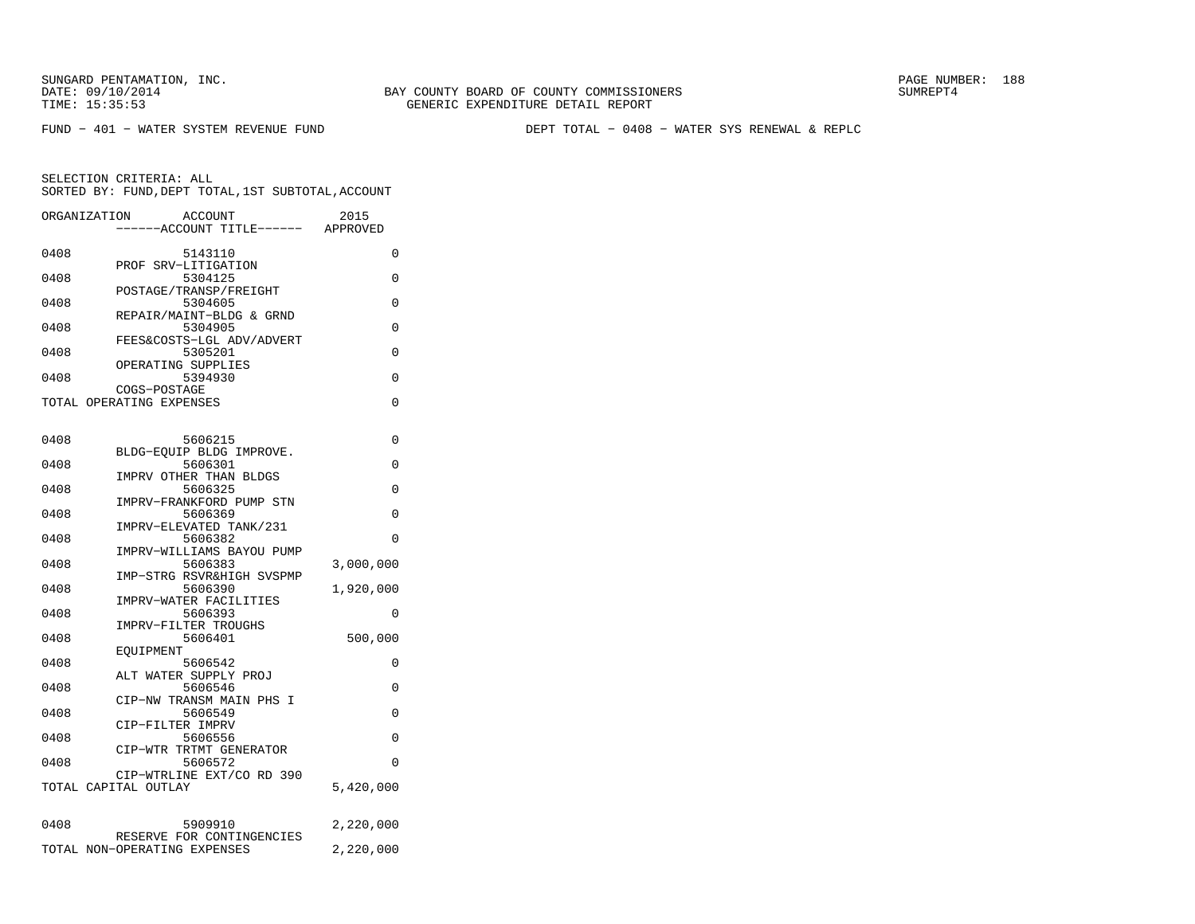FUND − 401 − WATER SYSTEM REVENUE FUND DEPT TOTAL − 0408 − WATER SYS RENEWAL & REPLC

| ORGANIZATION |                                          | ACCOUNT<br>----ACCOUNT TITLE------ APPROVED | 2015      |
|--------------|------------------------------------------|---------------------------------------------|-----------|
| 0408         |                                          | 5143110                                     | 0         |
| 0408         | PROF SRV-LITIGATION                      | 5304125                                     | 0         |
| 0408         | POSTAGE/TRANSP/FREIGHT                   | 5304605                                     | 0         |
| 0408         | REPAIR/MAINT-BLDG & GRND                 | 5304905                                     | 0         |
| 0408         |                                          | FEES&COSTS-LGL ADV/ADVERT<br>5305201        | 0         |
| 0408         | OPERATING SUPPLIES                       | 5394930                                     | 0         |
|              | COGS-POSTAGE<br>TOTAL OPERATING EXPENSES |                                             | 0         |
|              |                                          |                                             |           |
| 0408         | BLDG-EQUIP BLDG IMPROVE.                 | 5606215                                     | 0         |
| 0408         |                                          | 5606301                                     | 0         |
| 0408         | IMPRV OTHER THAN BLDGS                   | 5606325                                     | 0         |
| 0408         |                                          | IMPRV-FRANKFORD PUMP STN<br>5606369         | 0         |
| 0408         | IMPRV-ELEVATED TANK/231                  | 5606382                                     | 0         |
| 0408         |                                          | IMPRV-WILLIAMS BAYOU PUMP<br>5606383        | 3,000,000 |
| 0408         |                                          | IMP-STRG RSVR&HIGH SVSPMP<br>5606390        | 1,920,000 |
| 0408         | IMPRV-WATER FACILITIES                   | 5606393                                     | 0         |
| 0408         | IMPRV-FILTER TROUGHS                     | 5606401                                     | 500,000   |
|              | EOUIPMENT                                |                                             |           |
| 0408         | ALT WATER SUPPLY PROJ                    | 5606542                                     | 0         |
| 0408         | CIP-NW TRANSM MAIN PHS I                 | 5606546                                     | 0         |
| 0408         | CIP-FILTER IMPRV                         | 5606549                                     | 0         |
| 0408         | CIP-WTR TRTMT GENERATOR                  | 5606556                                     | $\Omega$  |
| 0408         |                                          | 5606572<br>CIP-WTRLINE EXT/CO RD 390        | $\Omega$  |
|              | TOTAL CAPITAL OUTLAY                     |                                             | 5,420,000 |
| 0408         |                                          | 5909910                                     | 2,220,000 |
|              | TOTAL NON-OPERATING EXPENSES             | RESERVE FOR CONTINGENCIES                   | 2,220,000 |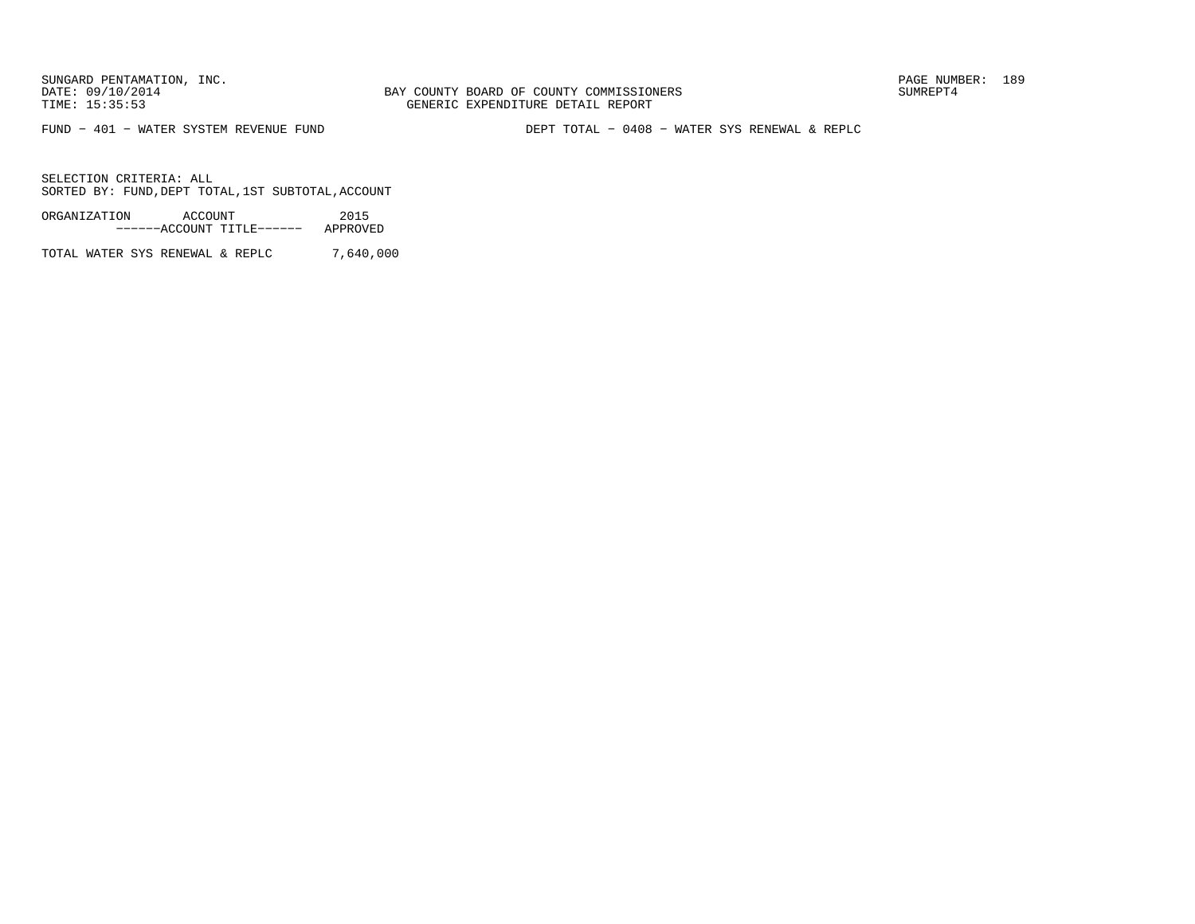BAY COUNTY BOARD OF COUNTY COMMISSIONERS TIME: 15:35:53 GENERIC EXPENDITURE DETAIL REPORT

FUND − 401 − WATER SYSTEM REVENUE FUND DEPT TOTAL − 0408 − WATER SYS RENEWAL & REPLC

SELECTION CRITERIA: ALLSORTED BY: FUND,DEPT TOTAL,1ST SUBTOTAL,ACCOUNT

ORGANIZATION ACCOUNT 2015−−−−−−ACCOUNT TITLE−−−−−− APPROVED

TOTAL WATER SYS RENEWAL & REPLC 7,640,000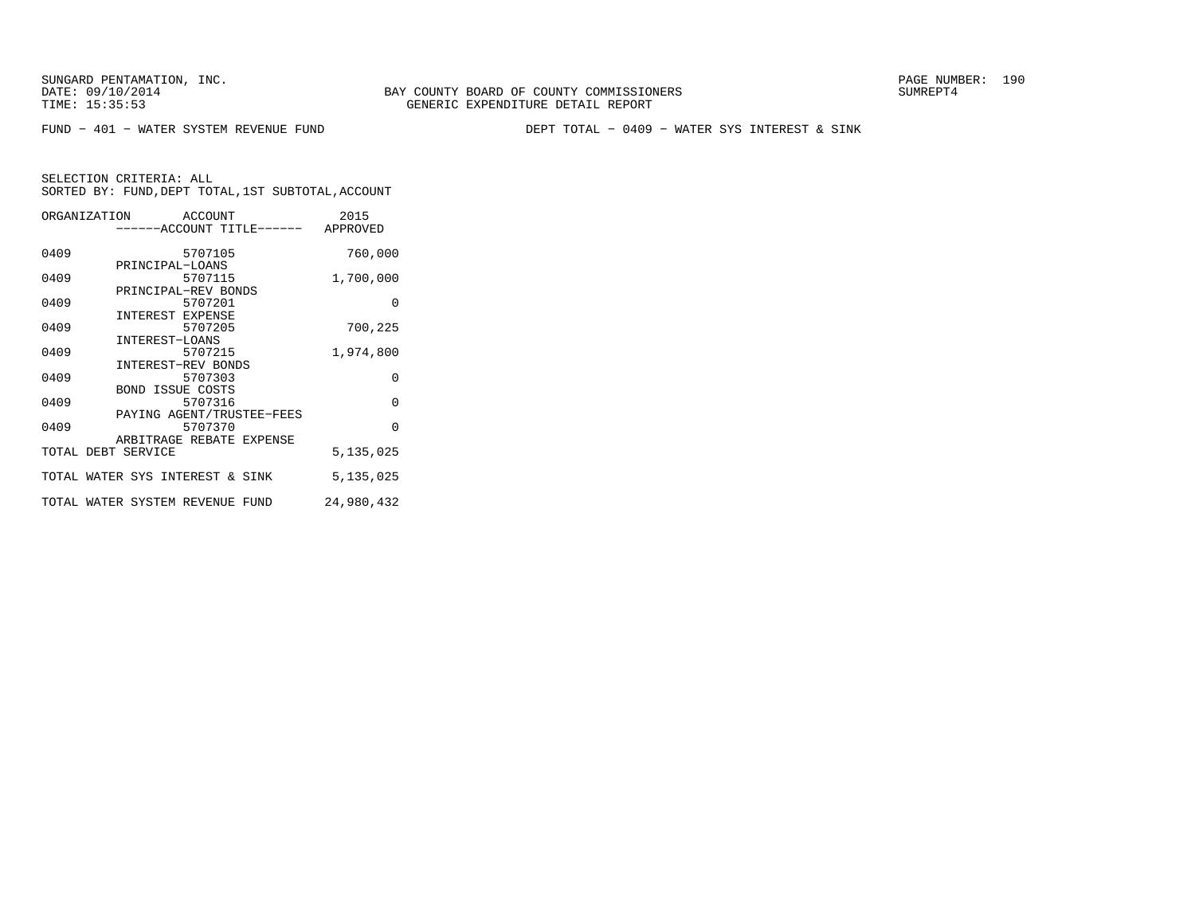FUND − 401 − WATER SYSTEM REVENUE FUND DEPT TOTAL − 0409 − WATER SYS INTEREST & SINK

| ORGANIZATION ACCOUNT            |                           |         |  | 2015<br>------ACCOUNT TITLE------ APPROVED |
|---------------------------------|---------------------------|---------|--|--------------------------------------------|
|                                 |                           |         |  |                                            |
| 0409                            |                           | 5707105 |  | 760,000                                    |
| 0409                            | PRINCIPAL-LOANS           | 5707115 |  | 1,700,000                                  |
|                                 | PRINCIPAL-REV BONDS       |         |  |                                            |
| 0409                            |                           | 5707201 |  | $\Omega$                                   |
| 0409                            | INTEREST EXPENSE          | 5707205 |  | 700,225                                    |
|                                 | INTEREST-LOANS            |         |  |                                            |
| 0409                            | INTEREST-REV BONDS        | 5707215 |  | 1,974,800                                  |
| 0409                            |                           | 5707303 |  | $\Omega$                                   |
| 0409                            | <b>BOND ISSUE COSTS</b>   | 5707316 |  | $\Omega$                                   |
|                                 | PAYING AGENT/TRUSTEE-FEES |         |  |                                            |
| 0409                            |                           | 5707370 |  | $\Omega$                                   |
| TOTAL DEBT SERVICE              | ARBITRAGE REBATE EXPENSE  |         |  | 5,135,025                                  |
| TOTAL WATER SYS INTEREST & SINK |                           |         |  | 5,135,025                                  |
| TOTAL WATER SYSTEM REVENUE FUND |                           |         |  | 24,980,432                                 |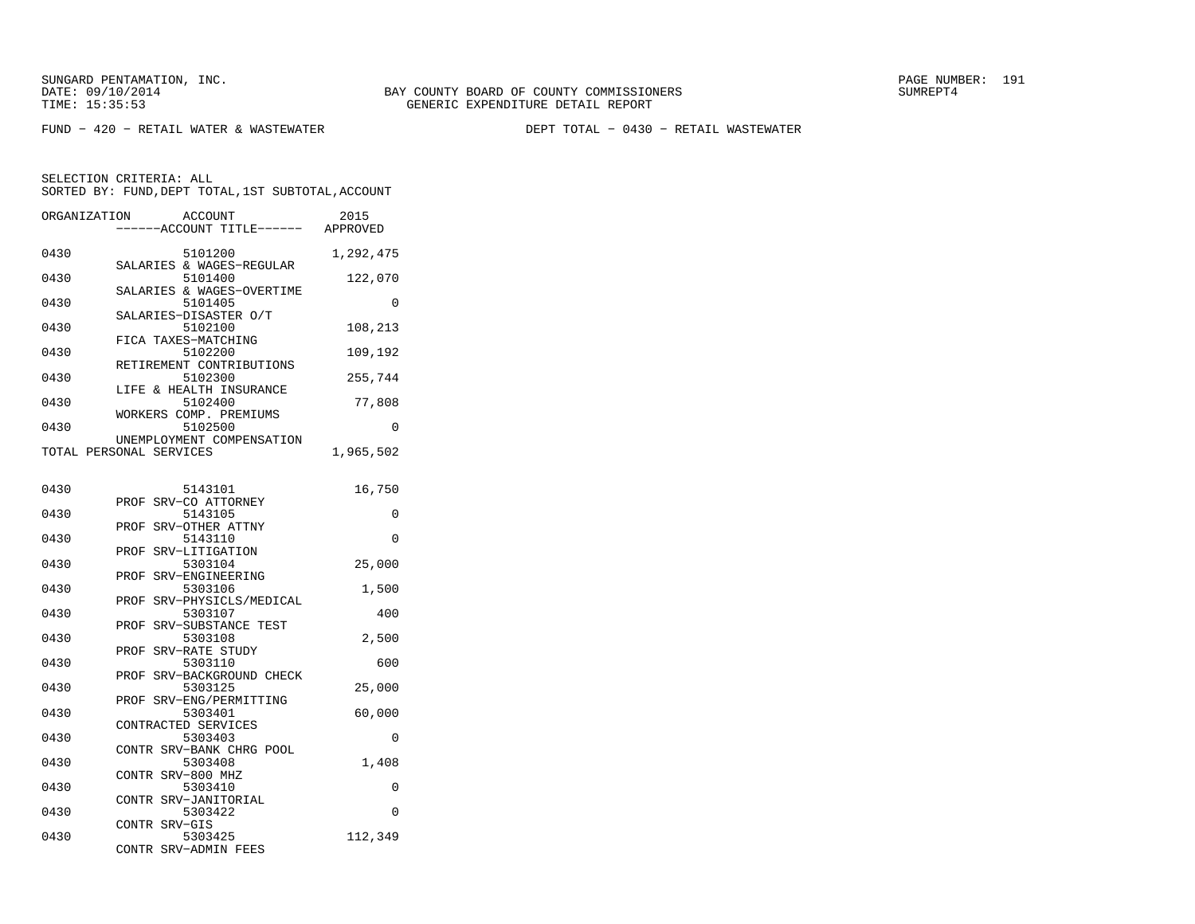SUNGARD PENTAMATION, INC.<br>DATE: 09/10/2014 SUMRER: 191

BAY COUNTY BOARD OF COUNTY COMMISSIONERS TIME: 15:35:53 GENERIC EXPENDITURE DETAIL REPORT

FUND − 420 − RETAIL WATER & WASTEWATER DEPT TOTAL − 0430 − RETAIL WASTEWATER

| ORGANIZATION | ACCOUNT<br>---ACCOUNT TITLE------ APPROVED                       | 2015      |
|--------------|------------------------------------------------------------------|-----------|
| 0430         | 5101200                                                          | 1,292,475 |
| 0430         | SALARIES & WAGES-REGULAR<br>5101400<br>SALARIES & WAGES-OVERTIME | 122,070   |
| 0430         | 5101405<br>SALARIES-DISASTER O/T                                 | 0         |
| 0430         | 5102100<br>FICA TAXES-MATCHING                                   | 108,213   |
| 0430         | 5102200<br>RETIREMENT CONTRIBUTIONS                              | 109,192   |
| 0430         | 5102300<br>LIFE & HEALTH INSURANCE                               | 255,744   |
| 0430         | 5102400<br>WORKERS COMP. PREMIUMS                                | 77,808    |
| 0430         | 5102500<br>UNEMPLOYMENT COMPENSATION                             | 0         |
|              | TOTAL PERSONAL SERVICES                                          | 1,965,502 |
| 0430         | 5143101                                                          | 16,750    |
| 0430         | SRV-CO ATTORNEY<br>PROF<br>5143105                               | 0         |
| 0430         | SRV-OTHER ATTNY<br>PROF<br>5143110                               | 0         |
| 0430         | SRV-LITIGATION<br>PROF<br>5303104                                | 25,000    |
| 0430         | SRV-ENGINEERING<br>PROF<br>5303106                               | 1,500     |
| 0430         | SRV-PHYSICLS/MEDICAL<br>PROF<br>5303107                          | 400       |
| 0430         | PROF<br>SRV-SUBSTANCE TEST<br>5303108                            | 2,500     |
| 0430         | SRV-RATE STUDY<br>PROF<br>5303110                                | 600       |
| 0430         | SRV-BACKGROUND CHECK<br>PROF<br>5303125                          | 25,000    |
| 0430         | SRV-ENG/PERMITTING<br>PROF<br>5303401                            | 60,000    |
| 0430         | CONTRACTED SERVICES<br>5303403                                   | 0         |
| 0430         | CONTR SRV-BANK CHRG POOL<br>5303408                              | 1,408     |
| 0430         | CONTR SRV-800 MHZ<br>5303410                                     | 0         |
| 0430         | CONTR SRV-JANITORIAL<br>5303422                                  | 0         |
| 0430         | CONTR SRV-GIS<br>5303425<br>CONTR<br>SRV-ADMIN FEES              | 112,349   |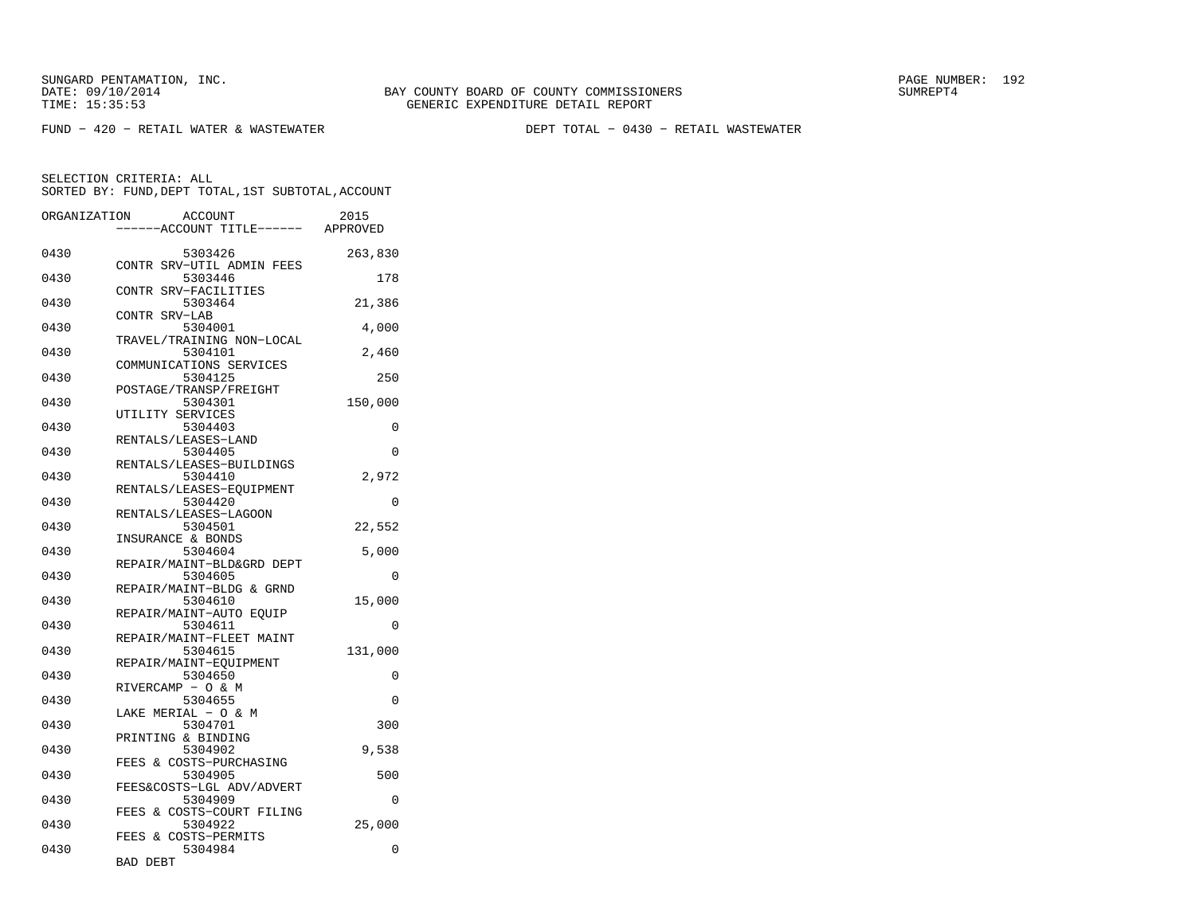FUND − 420 − RETAIL WATER & WASTEWATER DEPT TOTAL − 0430 − RETAIL WASTEWATER

| ORGANIZATION | ACCOUNT<br>----ACCOUNT TITLE------ APPROVED                     | 2015     |
|--------------|-----------------------------------------------------------------|----------|
| 0430         | 5303426                                                         | 263,830  |
| 0430         | CONTR SRV-UTIL ADMIN FEES<br>5303446                            | 178      |
| 0430         | CONTR SRV-FACILITIES<br>5303464                                 | 21,386   |
| 0430         | CONTR SRV-LAB<br>5304001                                        | 4,000    |
| 0430         | TRAVEL/TRAINING NON-LOCAL<br>5304101                            | 2,460    |
| 0430         | COMMUNICATIONS SERVICES<br>5304125                              | 250      |
| 0430         | POSTAGE/TRANSP/FREIGHT<br>5304301                               | 150,000  |
| 0430         | UTILITY SERVICES<br>5304403<br>RENTALS/LEASES-LAND              | 0        |
| 0430         | 5304405                                                         | $\Omega$ |
| 0430         | RENTALS/LEASES-BUILDINGS<br>5304410<br>RENTALS/LEASES-EOUIPMENT | 2,972    |
| 0430         | 5304420<br>RENTALS/LEASES-LAGOON                                | 0        |
| 0430         | 5304501                                                         | 22,552   |
| 0430         | INSURANCE & BONDS<br>5304604                                    | 5,000    |
| 0430         | REPAIR/MAINT-BLD&GRD DEPT<br>5304605                            | $\Omega$ |
| 0430         | REPAIR/MAINT-BLDG & GRND<br>5304610                             | 15,000   |
| 0430         | REPAIR/MAINT-AUTO EQUIP<br>5304611                              | 0        |
| 0430         | REPAIR/MAINT-FLEET MAINT<br>5304615<br>REPAIR/MAINT-EOUIPMENT   | 131,000  |
| 0430         | 5304650<br>RIVERCAMP - O & M                                    | 0        |
| 0430         | 5304655<br>LAKE MERIAL - O & M                                  | 0        |
| 0430         | 5304701<br>PRINTING & BINDING                                   | 300      |
| 0430         | 5304902<br>FEES & COSTS-PURCHASING                              | 9,538    |
| 0430         | 5304905<br>FEES&COSTS-LGL ADV/ADVERT                            | 500      |
| 0430         | 5304909<br>FEES & COSTS-COURT FILING                            | $\Omega$ |
| 0430         | 5304922<br>FEES & COSTS-PERMITS                                 | 25,000   |
| 0430         | 5304984<br>BAD DEBT                                             | 0        |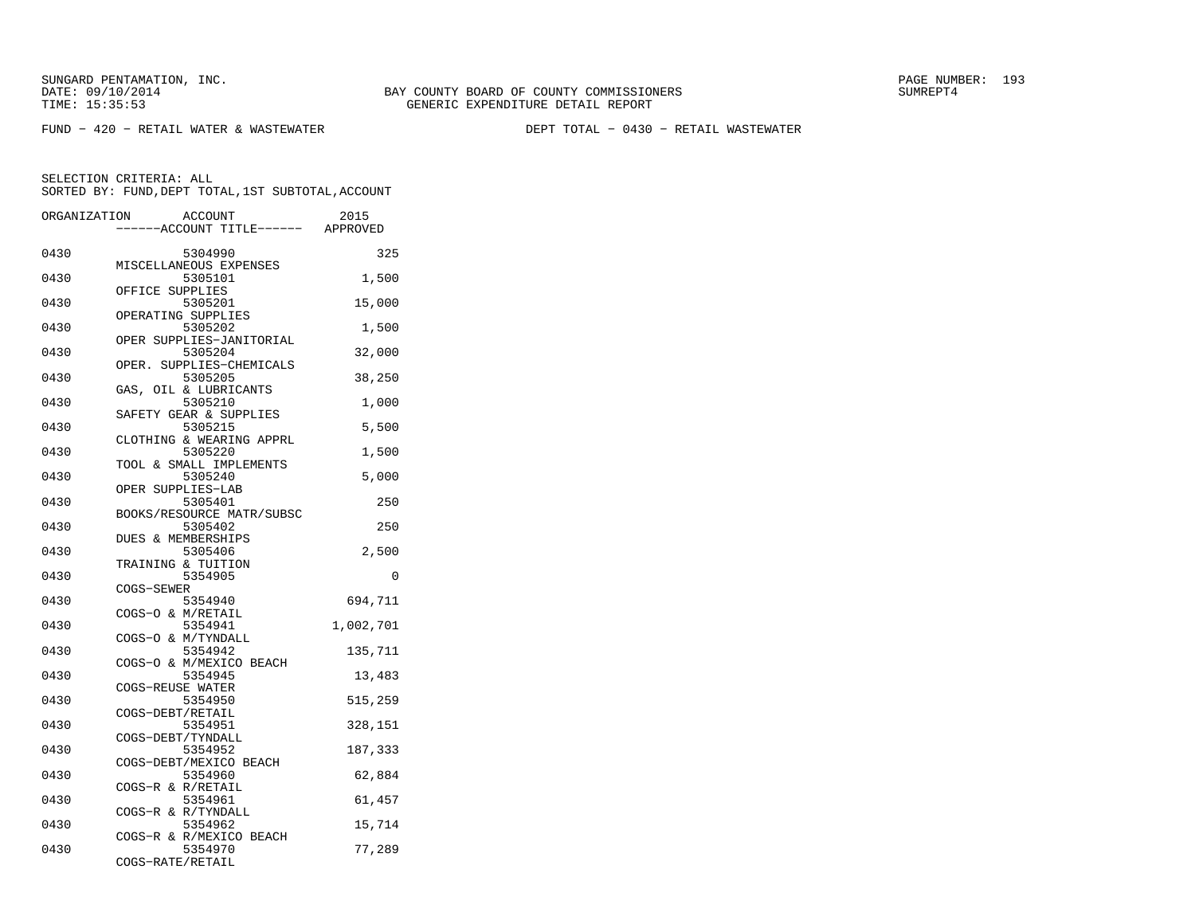FUND − 420 − RETAIL WATER & WASTEWATER DEPT TOTAL − 0430 − RETAIL WASTEWATER

| ORGANIZATION |                   | <b>ACCOUNT</b><br>---ACCOUNT TITLE------ APPROVED | 2015      |
|--------------|-------------------|---------------------------------------------------|-----------|
| 0430         |                   | 5304990                                           | 325       |
| 0430         |                   | MISCELLANEOUS EXPENSES<br>5305101                 | 1,500     |
| 0430         | OFFICE SUPPLIES   | 5305201<br>OPERATING SUPPLIES                     | 15,000    |
| 0430         |                   | 5305202<br>OPER SUPPLIES-JANITORIAL               | 1,500     |
| 0430         | OPER.             | 5305204<br>SUPPLIES-CHEMICALS                     | 32,000    |
| 0430         |                   | 5305205<br>GAS, OIL & LUBRICANTS                  | 38,250    |
| 0430         |                   | 5305210<br>SAFETY GEAR & SUPPLIES                 | 1,000     |
| 0430         |                   | 5305215<br>CLOTHING & WEARING APPRL               | 5,500     |
| 0430         |                   | 5305220<br>TOOL & SMALL IMPLEMENTS                | 1,500     |
| 0430         | OPER SUPPLIES-LAB | 5305240                                           | 5,000     |
| 0430         |                   | 5305401<br>BOOKS/RESOURCE MATR/SUBSC              | 250       |
| 0430         |                   | 5305402<br>DUES & MEMBERSHIPS                     | 250       |
| 0430         |                   | 5305406<br>TRAINING & TUITION                     | 2,500     |
| 0430         | COGS-SEWER        | 5354905                                           | 0         |
| 0430         | COGS-O & M/RETAIL | 5354940                                           | 694,711   |
| 0430         |                   | 5354941<br>COGS-O & M/TYNDALL                     | 1,002,701 |
| 0430         |                   | 5354942<br>COGS-O & M/MEXICO BEACH                | 135,711   |
| 0430         | COGS-REUSE WATER  | 5354945                                           | 13,483    |
| 0430         | COGS-DEBT/RETAIL  | 5354950                                           | 515,259   |
| 0430         | COGS-DEBT/TYNDALL | 5354951                                           | 328,151   |
| 0430         |                   | 5354952<br>COGS-DEBT/MEXICO BEACH                 | 187,333   |
| 0430         | COGS-R & R/RETAIL | 5354960                                           | 62,884    |
| 0430         |                   | 5354961<br>COGS-R & R/TYNDALL                     | 61,457    |
| 0430         |                   | 5354962<br>COGS-R & R/MEXICO BEACH                | 15,714    |
| 0430         | COGS-RATE/RETAIL  | 5354970                                           | 77,289    |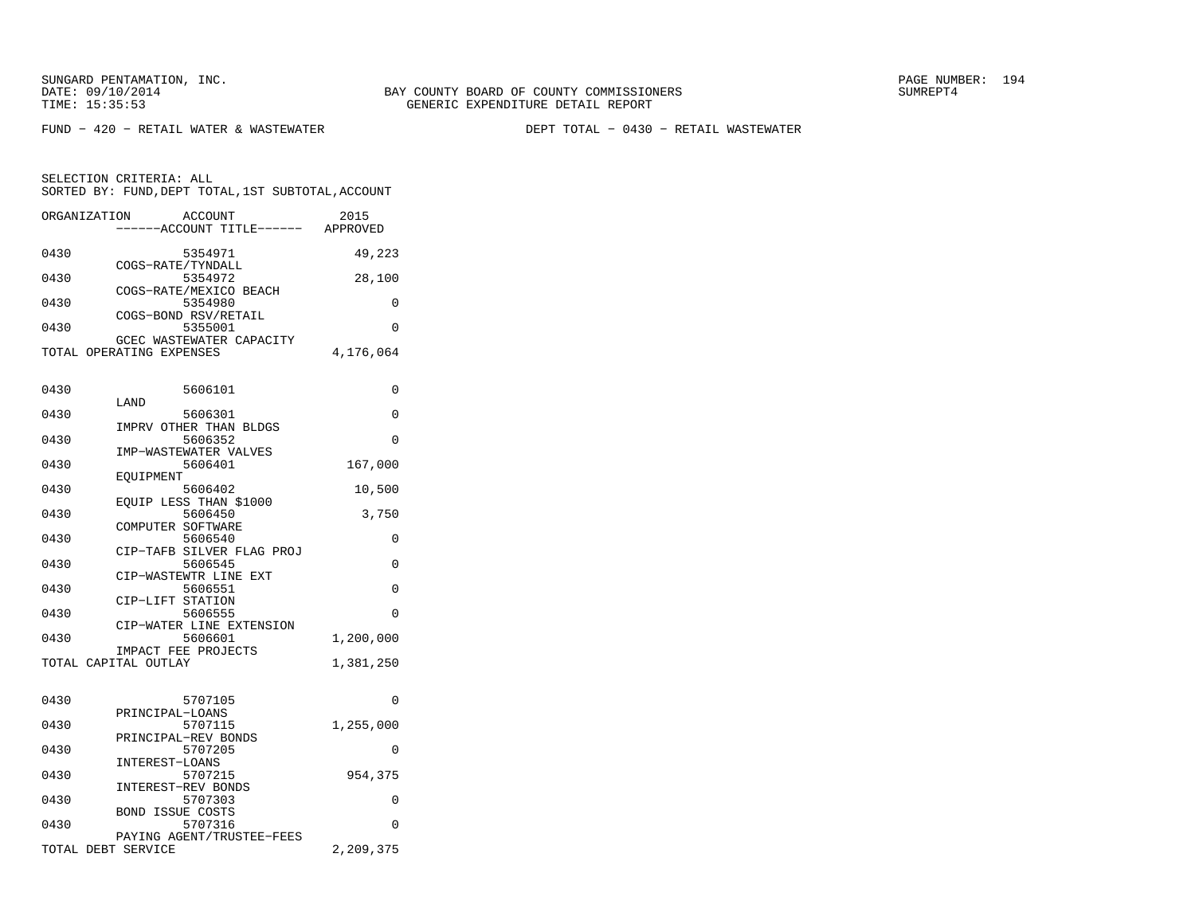FUND − 420 − RETAIL WATER & WASTEWATER DEPT TOTAL − 0430 − RETAIL WASTEWATER

| ORGANIZATION       |                          | <b>ACCOUNT</b><br>----ACCOUNT TITLE------ APPROVED | 2015      |
|--------------------|--------------------------|----------------------------------------------------|-----------|
| 0430               |                          | 5354971                                            | 49,223    |
| 0430               | COGS-RATE/TYNDALL        | 5354972                                            | 28,100    |
| 0430               |                          | COGS-RATE/MEXICO BEACH<br>5354980                  | 0         |
| 0430               |                          | COGS-BOND RSV/RETAIL<br>5355001                    | 0         |
|                    | TOTAL OPERATING EXPENSES | GCEC WASTEWATER CAPACITY                           | 4,176,064 |
|                    |                          |                                                    |           |
| 0430               | LAND                     | 5606101                                            | $\Omega$  |
| 0430               |                          | 5606301                                            | 0         |
| 0430               |                          | IMPRV OTHER THAN BLDGS<br>5606352                  | $\Omega$  |
|                    |                          | IMP-WASTEWATER VALVES                              |           |
| 0430               | EOUIPMENT                | 5606401                                            | 167,000   |
| 0430               |                          | 5606402                                            | 10,500    |
| 0430               |                          | EOUIP LESS THAN \$1000<br>5606450                  | 3,750     |
|                    | COMPUTER SOFTWARE        |                                                    |           |
| 0430               |                          | 5606540<br>CIP-TAFB SILVER FLAG PROJ               | 0         |
| 0430               |                          | 5606545                                            | $\Omega$  |
| 0430               |                          | CIP-WASTEWTR LINE EXT<br>5606551                   | 0         |
|                    | CIP-LIFT STATION         |                                                    |           |
| 0430               |                          | 5606555<br>CIP-WATER LINE EXTENSION                | 0         |
| 0430               |                          | 5606601                                            | 1,200,000 |
|                    | TOTAL CAPITAL OUTLAY     | IMPACT FEE PROJECTS                                | 1,381,250 |
|                    |                          |                                                    |           |
| 0430               |                          | 5707105                                            | $\Omega$  |
| 0430               | PRINCIPAL-LOANS          | 5707115                                            | 1,255,000 |
| 0430               |                          | PRINCIPAL-REV BONDS<br>5707205                     | $\Omega$  |
|                    | INTEREST-LOANS           |                                                    |           |
| 0430               | INTEREST-REV BONDS       | 5707215                                            | 954,375   |
| 0430               |                          | 5707303                                            | 0         |
| 0430               | <b>BOND ISSUE COSTS</b>  | 5707316                                            | $\Omega$  |
| TOTAL DEBT SERVICE |                          | PAYING AGENT/TRUSTEE-FEES                          | 2,209,375 |
|                    |                          |                                                    |           |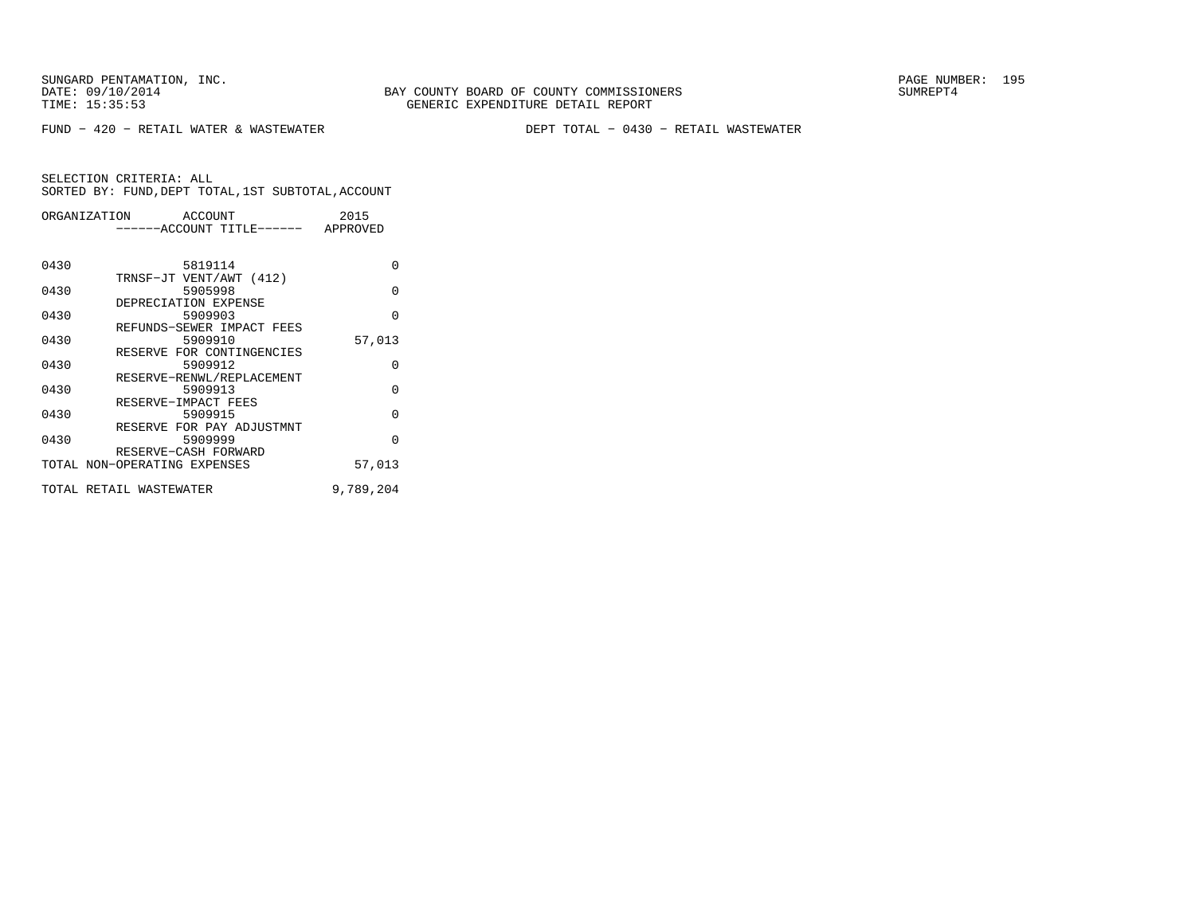FUND − 420 − RETAIL WATER & WASTEWATER DEPT TOTAL − 0430 − RETAIL WASTEWATER

| ORGANIZATION ACCOUNT |                                    | 2015      |
|----------------------|------------------------------------|-----------|
|                      | ------ACCOUNT TITLE------ APPROVED |           |
|                      |                                    |           |
|                      |                                    |           |
| 0430                 | 5819114                            | $\Omega$  |
|                      | TRNSF-JT VENT/AWT (412)            |           |
| 0430                 | 5905998                            | $\Omega$  |
|                      | DEPRECIATION EXPENSE               |           |
| 0430                 | 5909903                            | $\Omega$  |
|                      | REFUNDS-SEWER IMPACT FEES          |           |
| 0430                 | 5909910                            | 57,013    |
|                      | RESERVE FOR CONTINGENCIES          |           |
| 0430                 | 5909912                            | $\Omega$  |
|                      | RESERVE-RENWL/REPLACEMENT          |           |
| 0430                 | 5909913                            | $\Omega$  |
|                      | RESERVE-IMPACT FEES                |           |
| 0430                 | 5909915                            | $\Omega$  |
|                      | RESERVE FOR PAY ADJUSTMNT          |           |
| 0430                 | 5909999                            | $\Omega$  |
|                      | RESERVE-CASH FORWARD               |           |
|                      | TOTAL NON-OPERATING EXPENSES       | 57,013    |
|                      |                                    |           |
|                      | TOTAL RETAIL WASTEWATER            | 9,789,204 |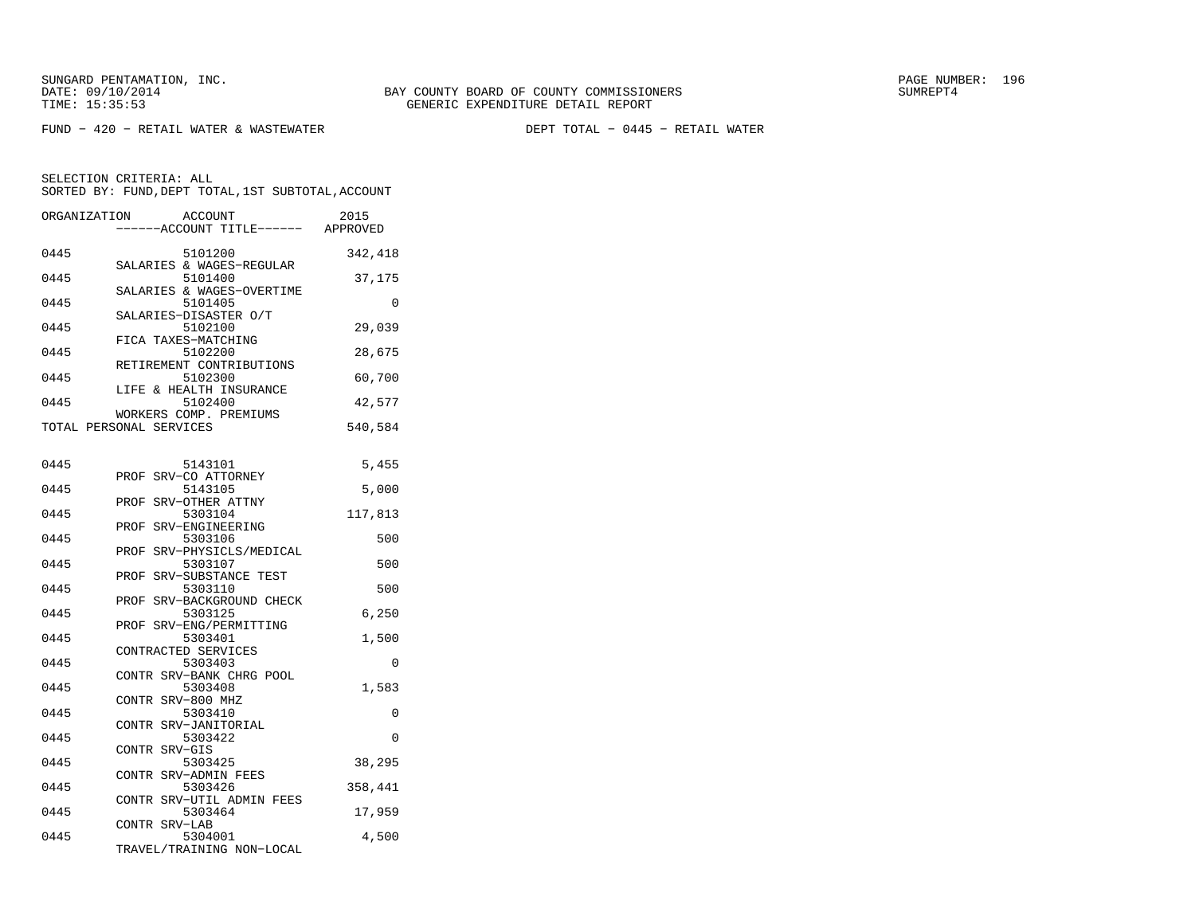FUND − 420 − RETAIL WATER & WASTEWATER DEPT TOTAL − 0445 − RETAIL WATER

| ORGANIZATION | ACCOUNT<br>---ACCOUNT TITLE------ APPROVED        | 2015    |
|--------------|---------------------------------------------------|---------|
| 0445         | 5101200<br>SALARIES & WAGES-REGULAR               | 342,418 |
| 0445         | 5101400                                           | 37,175  |
| 0445         | SALARIES & WAGES-OVERTIME<br>5101405              | 0       |
| 0445         | SALARIES-DISASTER O/T<br>5102100                  | 29,039  |
| 0445         | FICA TAXES-MATCHING<br>5102200                    | 28,675  |
| 0445         | RETIREMENT CONTRIBUTIONS<br>5102300               | 60,700  |
| 0445         | LIFE & HEALTH INSURANCE<br>5102400                | 42,577  |
|              | WORKERS COMP. PREMIUMS<br>TOTAL PERSONAL SERVICES | 540,584 |
| 0445         | 5143101                                           | 5,455   |
| 0445         | SRV-CO ATTORNEY<br>PROF<br>5143105                | 5,000   |
| 0445         | SRV-OTHER ATTNY<br>PROF<br>5303104                |         |
|              | SRV-ENGINEERING<br>PROF                           | 117,813 |
| 0445         | 5303106<br>SRV-PHYSICLS/MEDICAL<br>PROF           | 500     |
| 0445         | 5303107<br>PROF SRV-SUBSTANCE TEST                | 500     |
| 0445         | 5303110<br>PROF SRV-BACKGROUND CHECK              | 500     |
| 0445         | 5303125<br>PROF SRV-ENG/PERMITTING                | 6,250   |
| 0445         | 5303401<br>CONTRACTED SERVICES                    | 1,500   |
| 0445         | 5303403<br>CONTR SRV-BANK CHRG POOL               | 0       |
| 0445         | 5303408<br>CONTR SRV-800 MHZ                      | 1,583   |
| 0445         | 5303410<br>CONTR SRV-JANITORIAL                   | 0       |
| 0445         | 5303422<br>CONTR SRV-GIS                          | 0       |
| 0445         | 5303425<br>CONTR SRV-ADMIN FEES                   | 38,295  |
| 0445         | 5303426<br>CONTR SRV-UTIL ADMIN FEES              | 358,441 |
| 0445         | 5303464<br>CONTR SRV-LAB                          | 17,959  |
| 0445         | 5304001<br>TRAVEL/TRAINING NON-LOCAL              | 4,500   |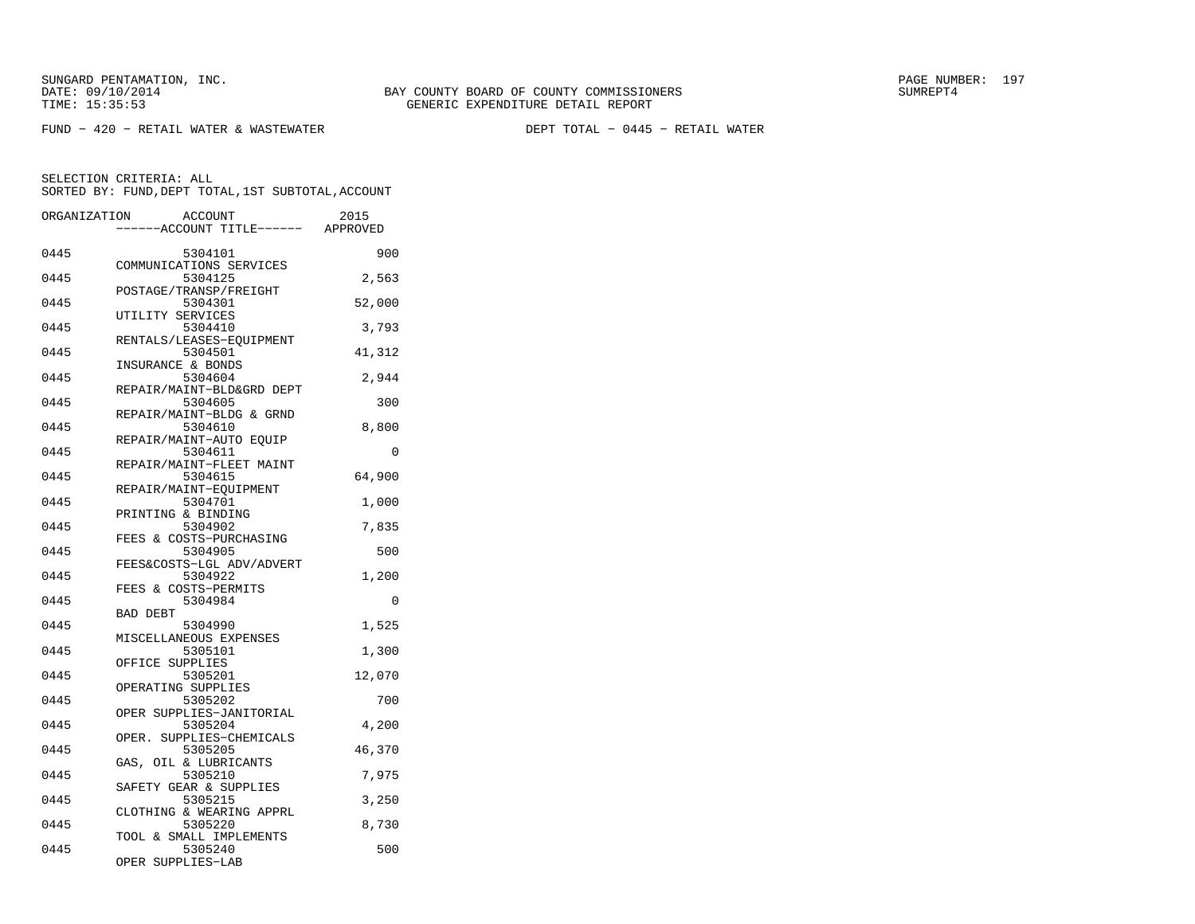FUND − 420 − RETAIL WATER & WASTEWATER DEPT TOTAL − 0445 − RETAIL WATER

| ORGANIZATION | <b>ACCOUNT</b>                      | 2015<br>---ACCOUNT TITLE------ APPROVED |
|--------------|-------------------------------------|-----------------------------------------|
|              |                                     |                                         |
| 0445         | 5304101<br>COMMUNICATIONS SERVICES  | 900                                     |
| 0445         | 5304125                             | 2,563                                   |
|              | POSTAGE/TRANSP/FREIGHT              |                                         |
| 0445         | 5304301                             | 52,000                                  |
|              | UTILITY SERVICES                    |                                         |
| 0445         | 5304410                             | 3,793                                   |
| 0445         | RENTALS/LEASES-EOUIPMENT<br>5304501 | 41,312                                  |
|              | INSURANCE & BONDS                   |                                         |
| 0445         | 5304604                             | 2,944                                   |
|              | REPAIR/MAINT-BLD&GRD DEPT           |                                         |
| 0445         | 5304605                             | 300                                     |
|              | REPAIR/MAINT-BLDG & GRND            |                                         |
| 0445         | 5304610<br>REPAIR/MAINT-AUTO EOUIP  | 8,800                                   |
| 0445         | 5304611                             | $\Omega$                                |
|              | REPAIR/MAINT-FLEET MAINT            |                                         |
| 0445         | 5304615                             | 64,900                                  |
|              | REPAIR/MAINT-EQUIPMENT              |                                         |
| 0445         | 5304701                             | 1,000                                   |
|              | PRINTING & BINDING                  |                                         |
| 0445         | 5304902<br>FEES & COSTS-PURCHASING  | 7,835                                   |
| 0445         | 5304905                             | 500                                     |
|              | FEES&COSTS-LGL ADV/ADVERT           |                                         |
| 0445         | 5304922                             | 1,200                                   |
|              | FEES & COSTS-PERMITS                |                                         |
| 0445         | 5304984                             | 0                                       |
| 0445         | <b>BAD DEBT</b><br>5304990          | 1,525                                   |
|              | MISCELLANEOUS EXPENSES              |                                         |
| 0445         | 5305101                             | 1,300                                   |
|              | OFFICE SUPPLIES                     |                                         |
| 0445         | 5305201                             | 12,070                                  |
|              | OPERATING SUPPLIES                  |                                         |
| 0445         | 5305202<br>OPER SUPPLIES-JANITORIAL | 700                                     |
| 0445         | 5305204                             | 4,200                                   |
|              | SUPPLIES-CHEMICALS<br>OPER.         |                                         |
| 0445         | 5305205                             | 46,370                                  |
|              | GAS, OIL & LUBRICANTS               |                                         |
| 0445         | 5305210                             | 7,975                                   |
| 0445         | SAFETY GEAR & SUPPLIES<br>5305215   |                                         |
|              | CLOTHING & WEARING APPRL            | 3,250                                   |
| 0445         | 5305220                             | 8,730                                   |
|              | TOOL & SMALL IMPLEMENTS             |                                         |
| 0445         | 5305240                             | 500                                     |
|              | OPER SUPPLIES-LAB                   |                                         |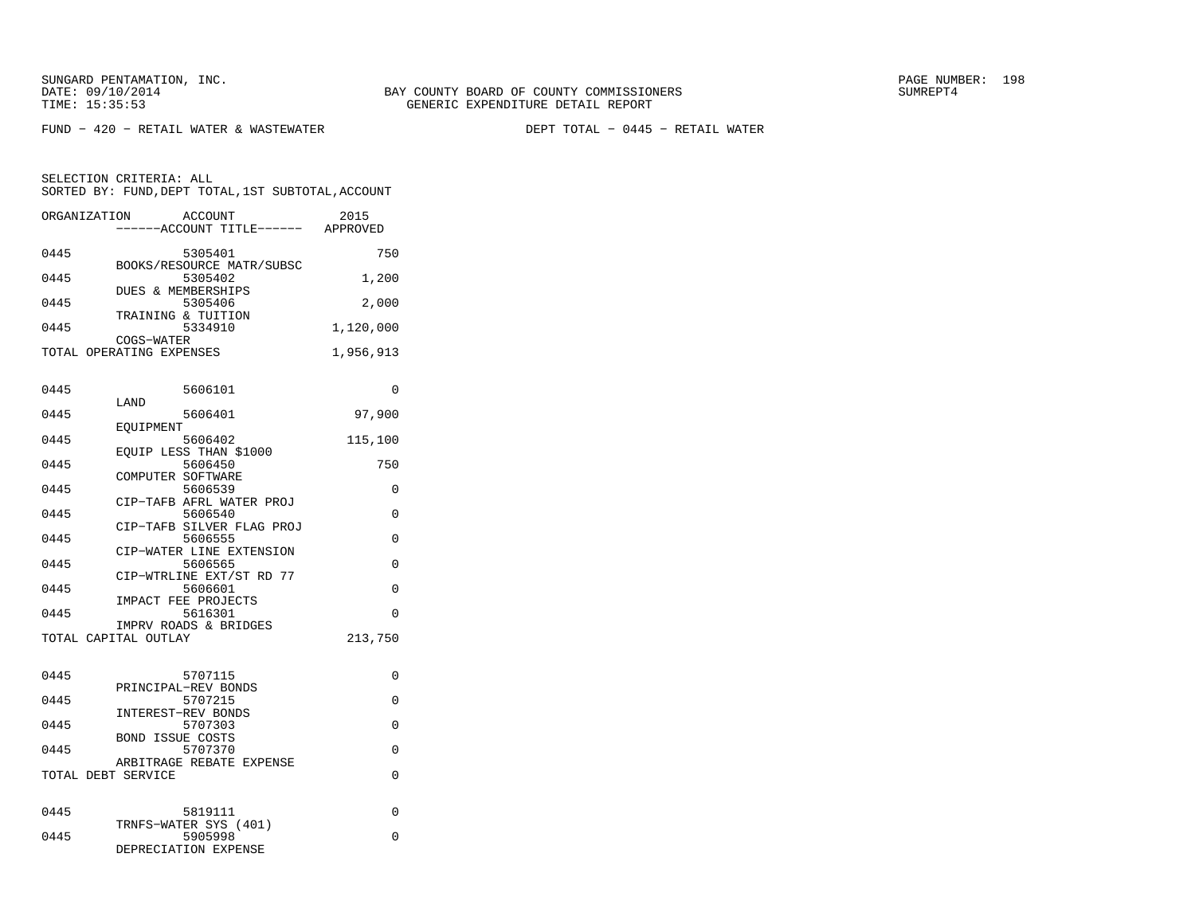FUND − 420 − RETAIL WATER & WASTEWATER DEPT TOTAL − 0445 − RETAIL WATER

| ORGANIZATION       | <b>ACCOUNT</b>                           | 2015      |
|--------------------|------------------------------------------|-----------|
|                    | ----ACCOUNT TITLE------                  | APPROVED  |
| 0445               | 5305401                                  | 750       |
|                    | BOOKS/RESOURCE MATR/SUBSC                |           |
| 0445               | 5305402                                  | 1,200     |
| 0445               | <b>DUES &amp; MEMBERSHIPS</b><br>5305406 | 2,000     |
|                    | TRAINING & TUITION                       |           |
| 0445               | 5334910                                  | 1,120,000 |
|                    | COGS-WATER                               |           |
|                    | TOTAL OPERATING EXPENSES                 | 1,956,913 |
|                    |                                          |           |
| 0445               | 5606101                                  | 0         |
|                    | LAND                                     |           |
| 0445               | 5606401<br>EOUIPMENT                     | 97,900    |
| 0445               | 5606402                                  | 115,100   |
|                    | EOUIP LESS THAN \$1000                   |           |
| 0445               | 5606450                                  | 750       |
| 0445               | COMPUTER SOFTWARE<br>5606539             | 0         |
|                    | CIP-TAFB AFRL WATER PROJ                 |           |
| 0445               | 5606540                                  | 0         |
|                    | CIP-TAFB SILVER FLAG PROJ                |           |
| 0445               | 5606555<br>CIP-WATER LINE EXTENSION      | $\Omega$  |
| 0445               | 5606565                                  | 0         |
|                    | CIP-WTRLINE EXT/ST RD 77                 |           |
| 0445               | 5606601                                  | $\Omega$  |
| 0445               | IMPACT FEE PROJECTS<br>5616301           | 0         |
|                    | IMPRV ROADS & BRIDGES                    |           |
|                    | TOTAL CAPITAL OUTLAY                     | 213,750   |
|                    |                                          |           |
| 0445               | 5707115                                  | 0         |
|                    | PRINCIPAL-REV BONDS                      |           |
| 0445               | 5707215                                  | $\Omega$  |
| 0445               | INTEREST-REV BONDS<br>5707303            | 0         |
|                    | <b>BOND ISSUE COSTS</b>                  |           |
| 0445               | 5707370                                  | $\Omega$  |
|                    | ARBITRAGE REBATE EXPENSE                 |           |
| TOTAL DEBT SERVICE |                                          | 0         |
|                    |                                          |           |
| 0445               | 5819111                                  | 0         |
|                    | TRNFS-WATER SYS (401)                    |           |
| 0445               | 5905998<br>DEPRECIATION EXPENSE          | 0         |
|                    |                                          |           |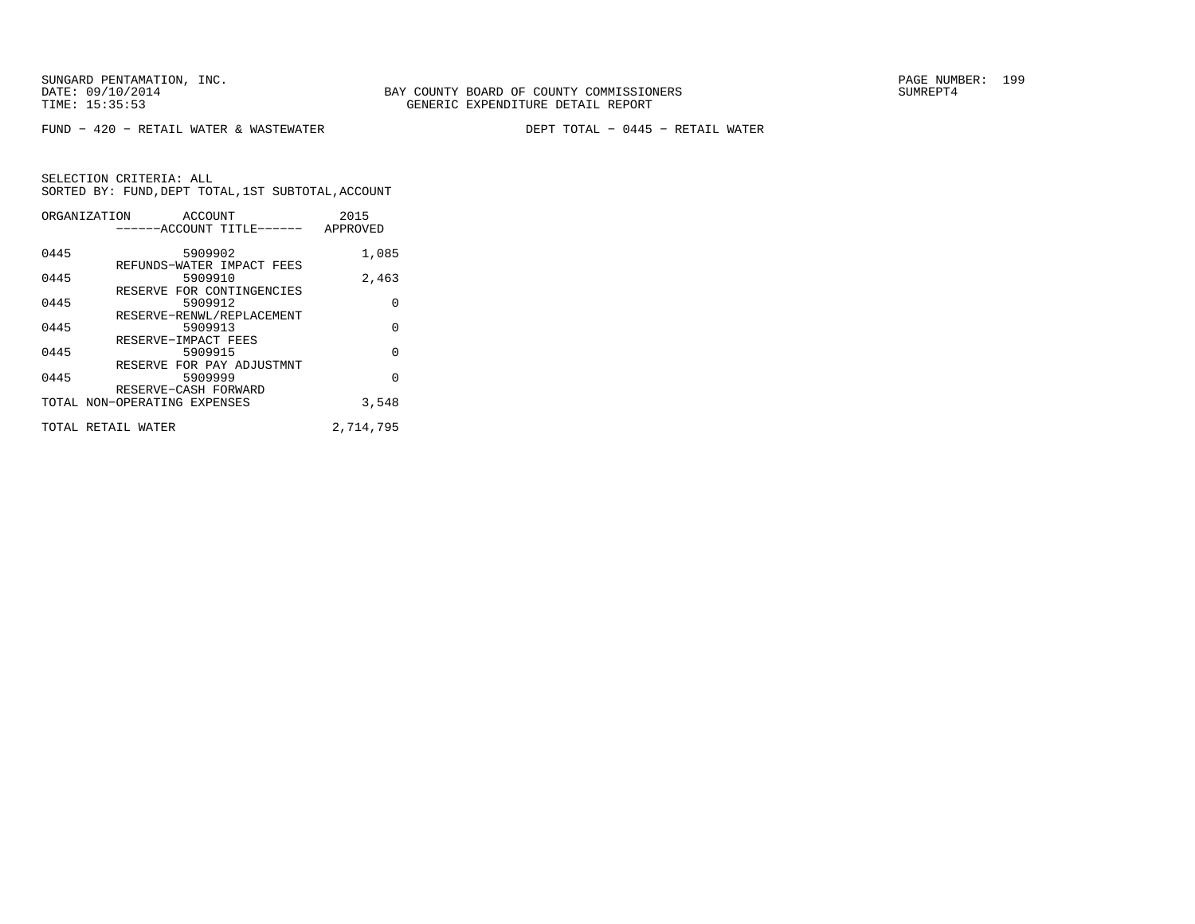FUND − 420 − RETAIL WATER & WASTEWATER DEPT TOTAL − 0445 − RETAIL WATER

|      | ORGANIZATION<br>ACCOUNT      | 2015      |
|------|------------------------------|-----------|
|      | ------ACCOUNT TITLE------    | APPROVED  |
|      |                              |           |
| 0445 | 5909902                      | 1,085     |
|      | REFUNDS-WATER IMPACT FEES    |           |
| 0445 | 5909910                      | 2,463     |
|      | RESERVE FOR CONTINGENCIES    |           |
| 0445 | 5909912                      | 0         |
|      | RESERVE-RENWL/REPLACEMENT    |           |
| 0445 | 5909913                      | 0         |
|      | RESERVE-IMPACT FEES          |           |
| 0445 | 5909915                      | 0         |
|      | RESERVE FOR PAY ADJUSTMNT    |           |
| 0445 | 5909999                      | O         |
|      | RESERVE-CASH FORWARD         |           |
|      | TOTAL NON-OPERATING EXPENSES | 3,548     |
|      | TOTAL RETAIL WATER           | 2,714,795 |
|      |                              |           |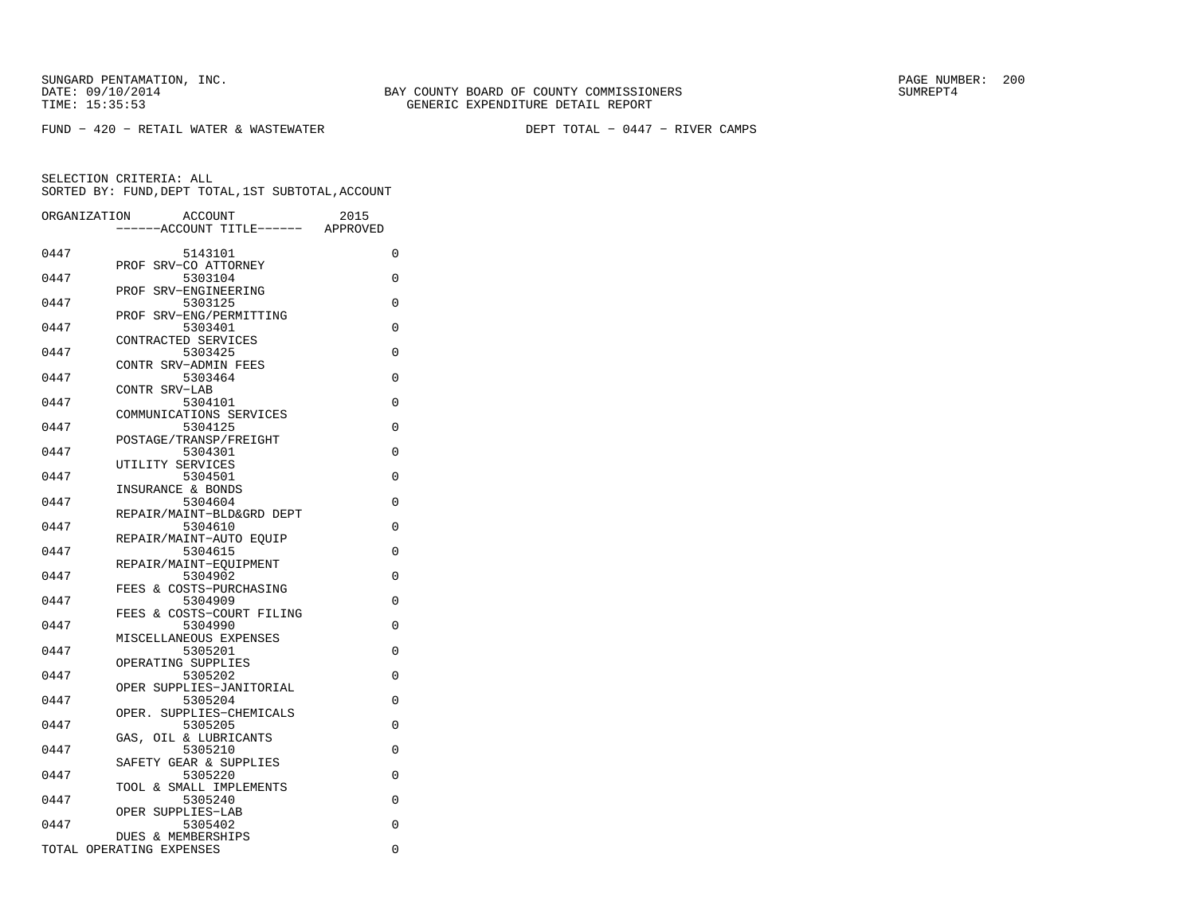FUND − 420 − RETAIL WATER & WASTEWATER DEPT TOTAL − 0447 − RIVER CAMPS

| ORGANIZATION | ACCOUNT<br>---ACCOUNT TITLE------                         | 2015<br>APPROVED |
|--------------|-----------------------------------------------------------|------------------|
| 0447         | 5143101                                                   | 0                |
| 0447         | SRV-CO ATTORNEY<br>PROF<br>5303104                        | 0                |
| 0447         | PROF<br>SRV-ENGINEERING<br>5303125                        | $\Omega$         |
| 0447         | SRV-ENG/PERMITTING<br>PROF<br>5303401                     | $\Omega$         |
| 0447         | CONTRACTED SERVICES<br>5303425                            | 0                |
| 0447         | CONTR SRV-ADMIN FEES<br>5303464                           | 0                |
| 0447         | CONTR SRV-LAB<br>5304101                                  | 0                |
| 0447         | COMMUNICATIONS SERVICES<br>5304125                        | 0                |
| 0447         | POSTAGE/TRANSP/FREIGHT<br>5304301                         | 0                |
| 0447         | UTILITY SERVICES<br>5304501                               | 0                |
| 0447         | INSURANCE & BONDS<br>5304604                              | $\Omega$         |
| 0447         | REPAIR/MAINT-BLD&GRD DEPT<br>5304610                      | $\Omega$         |
| 0447         | REPAIR/MAINT-AUTO EQUIP<br>5304615                        | $\Omega$         |
| 0447         | REPAIR/MAINT-EOUIPMENT<br>5304902                         | $\Omega$         |
| 0447         | & COSTS-PURCHASING<br>FEES<br>5304909                     | 0                |
| 0447         | FEES & COSTS-COURT FILING<br>5304990                      | $\Omega$         |
| 0447         | MISCELLANEOUS EXPENSES<br>5305201                         | 0                |
| 0447         | OPERATING SUPPLIES<br>5305202<br>OPER SUPPLIES-JANITORIAL | 0                |
| 0447         | 5305204<br>SUPPLIES-CHEMICALS<br>OPER.                    | 0                |
| 0447         | 5305205<br>OIL & LUBRICANTS<br>GAS,                       | 0                |
| 0447         | 5305210<br>SAFETY GEAR & SUPPLIES                         | 0                |
| 0447         | 5305220                                                   | 0                |
| 0447         | TOOL & SMALL IMPLEMENTS<br>5305240                        | 0                |
| 0447         | SUPPLIES-LAB<br>OPER<br>5305402<br>DUES & MEMBERSHIPS     | 0                |
|              | TOTAL OPERATING EXPENSES                                  | $\Omega$         |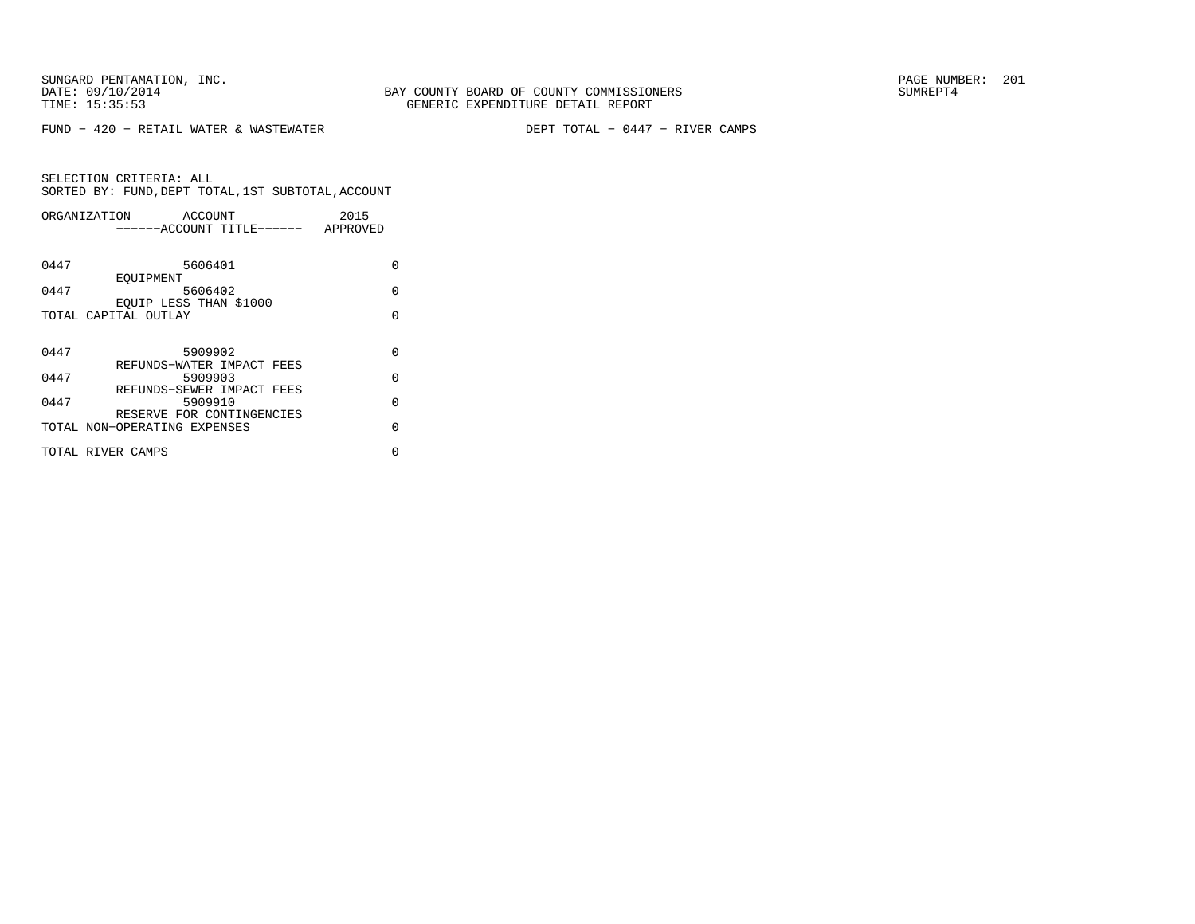SUNGARD PENTAMATION, INC.<br>DATE: 09/10/2014 SUMREPT4

FUND − 420 − RETAIL WATER & WASTEWATER DEPT TOTAL − 0447 − RIVER CAMPS

| ORGANIZATION<br>ACCOUNT      | 2015     |
|------------------------------|----------|
| ------ACCOUNT TITLE------    | APPROVED |
|                              |          |
| 5606401<br>0447              | U        |
| EOUIPMENT                    |          |
| 0447<br>5606402              | $\Omega$ |
| EOUIP LESS THAN \$1000       |          |
| TOTAL CAPITAL OUTLAY         | U        |
|                              |          |
| 0447<br>5909902              | $\Omega$ |
| REFUNDS-WATER IMPACT FEES    |          |
| 0447<br>5909903              | $\Omega$ |
| REFUNDS-SEWER IMPACT FEES    |          |
| 0447<br>5909910              | $\Omega$ |
| RESERVE FOR CONTINGENCIES    | $\cap$   |
| TOTAL NON-OPERATING EXPENSES |          |
| TOTAL RIVER CAMPS            | U        |
|                              |          |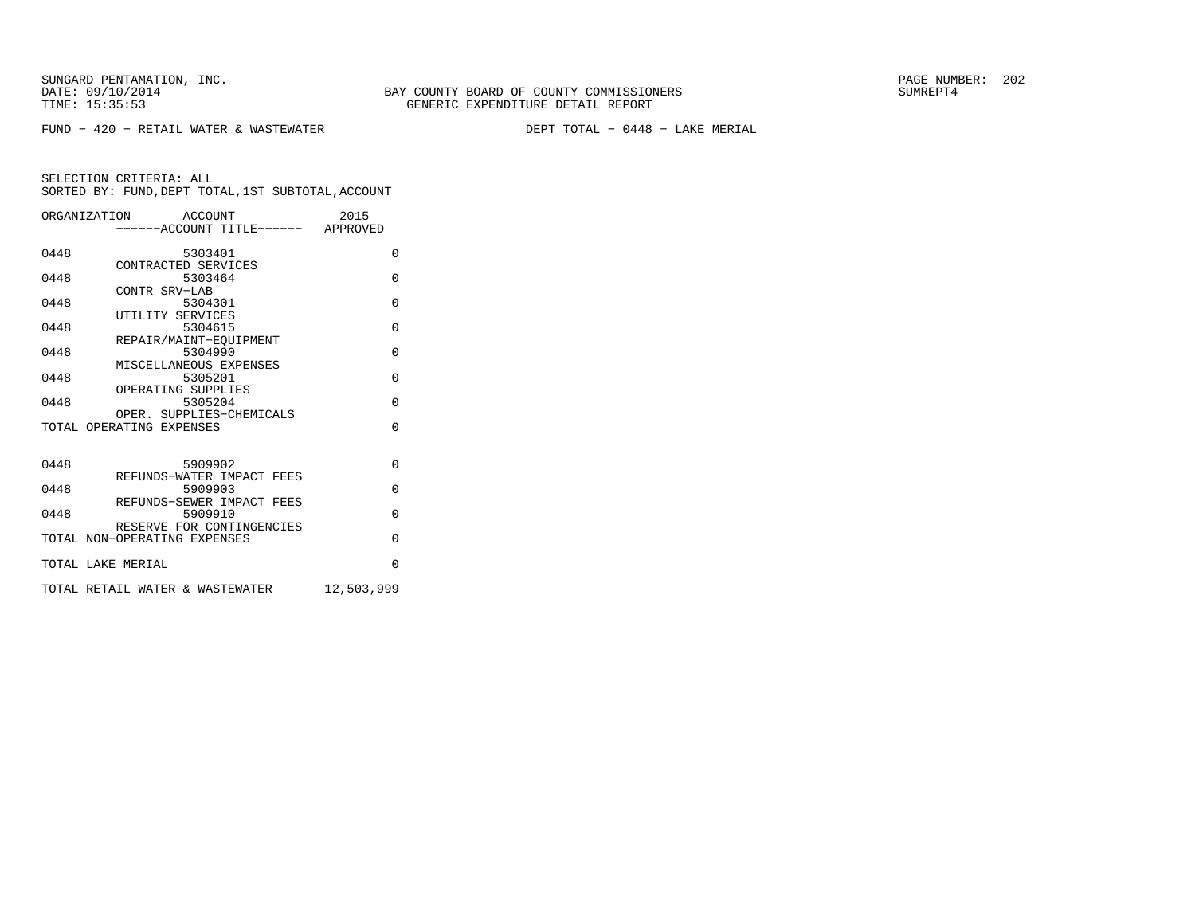FUND − 420 − RETAIL WATER & WASTEWATER DEPT TOTAL − 0448 − LAKE MERIAL

|      | ORGANIZATION ACCOUNT<br>-----ACCOUNT TITLE------ APPROVED | 2015       |
|------|-----------------------------------------------------------|------------|
| 0448 | 5303401                                                   | $\Omega$   |
| 0448 | CONTRACTED SERVICES<br>5303464                            | $\Omega$   |
| 0448 | CONTR SRV-LAB<br>5304301                                  | $\Omega$   |
| 0448 | UTILITY SERVICES<br>5304615                               | $\Omega$   |
| 0448 | REPAIR/MAINT-EOUIPMENT<br>5304990                         | $\Omega$   |
| 0448 | MISCELLANEOUS EXPENSES<br>5305201                         | $\Omega$   |
| 0448 | OPERATING SUPPLIES<br>5305204                             | $\Omega$   |
|      | OPER. SUPPLIES-CHEMICALS<br>TOTAL OPERATING EXPENSES      | $\Omega$   |
|      |                                                           |            |
| 0448 | 5909902<br>REFUNDS-WATER IMPACT FEES                      | $\Omega$   |
| 0448 | 5909903                                                   | $\Omega$   |
| 0448 | REFUNDS-SEWER IMPACT FEES<br>5909910                      | $\Omega$   |
|      | RESERVE FOR CONTINGENCIES<br>TOTAL NON-OPERATING EXPENSES | $\Omega$   |
|      | TOTAL LAKE MERIAL                                         | $\Omega$   |
|      | TOTAL RETAIL WATER & WASTEWATER                           | 12,503,999 |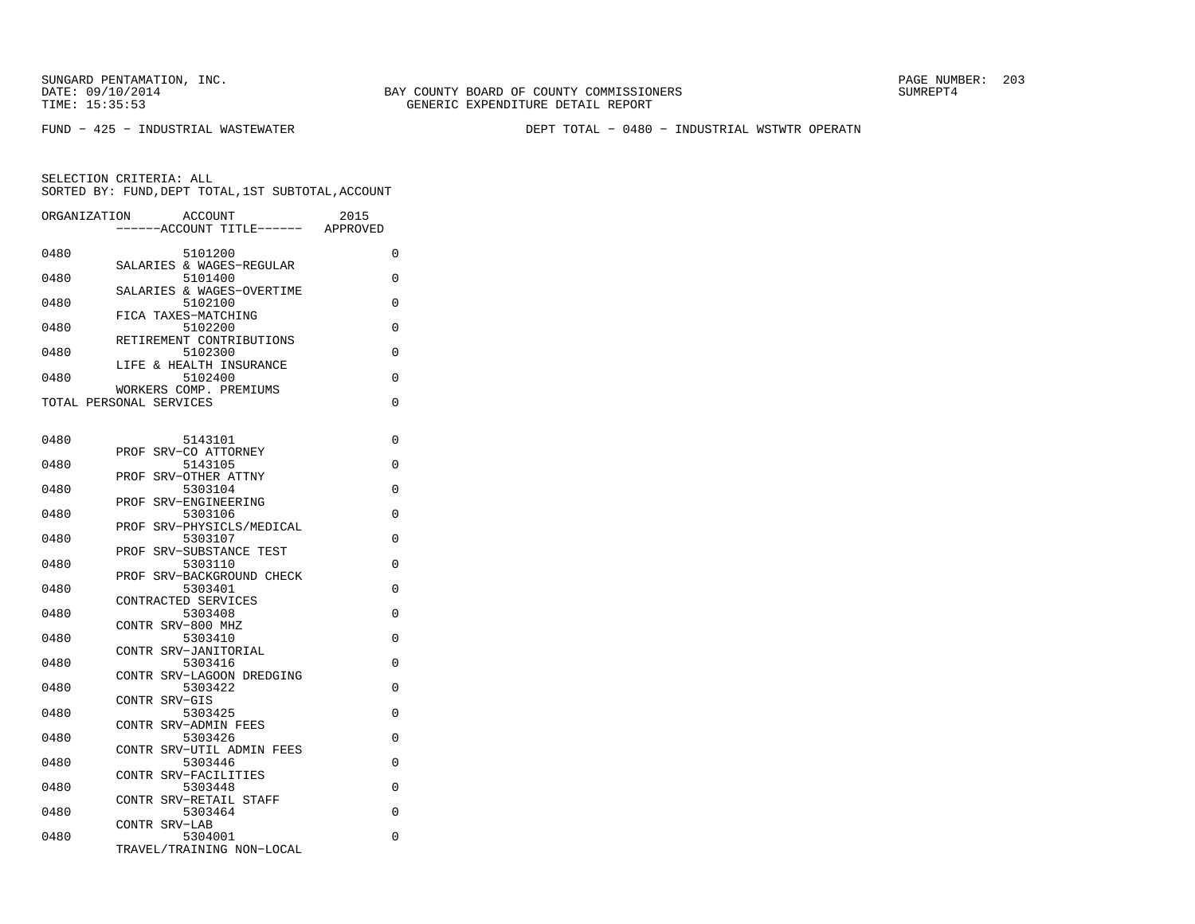FUND − 425 − INDUSTRIAL WASTEWATER DEPT TOTAL − 0480 − INDUSTRIAL WSTWTR OPERATN

| ORGANIZATION |                         | <b>ACCOUNT</b>                       | 2015     |
|--------------|-------------------------|--------------------------------------|----------|
|              |                         | ---ACCOUNT TITLE------               | APPROVED |
| 0480         |                         | 5101200                              | 0        |
| 0480         |                         | SALARIES & WAGES-REGULAR<br>5101400  | 0        |
|              |                         | SALARIES & WAGES-OVERTIME            |          |
| 0480         |                         | 5102100                              | 0        |
| 0480         | FICA TAXES-MATCHING     | 5102200                              | 0        |
|              |                         | RETIREMENT CONTRIBUTIONS             |          |
| 0480         |                         | 5102300<br>LIFE & HEALTH INSURANCE   | 0        |
| 0480         |                         | 5102400                              | 0        |
|              |                         | WORKERS COMP. PREMIUMS               | 0        |
|              | TOTAL PERSONAL SERVICES |                                      |          |
|              |                         |                                      |          |
| 0480         | PROF                    | 5143101<br>SRV-CO ATTORNEY           | 0        |
| 0480         |                         | 5143105                              | 0        |
|              | PROF                    | SRV-OTHER ATTNY                      |          |
| 0480         | PROF                    | 5303104<br>SRV-ENGINEERING           | 0        |
| 0480         |                         | 5303106                              | 0        |
| 0480         |                         | PROF SRV-PHYSICLS/MEDICAL<br>5303107 | 0        |
|              | PROF                    | SRV-SUBSTANCE TEST                   |          |
| 0480         |                         | 5303110                              | 0        |
| 0480         |                         | PROF SRV-BACKGROUND CHECK<br>5303401 | $\Omega$ |
|              | CONTRACTED SERVICES     |                                      |          |
| 0480         |                         | 5303408                              | 0        |
| 0480         | CONTR SRV-800 MHZ       | 5303410                              | 0        |
|              | CONTR SRV-JANITORIAL    |                                      |          |
| 0480         |                         | 5303416                              | 0        |
| 0480         |                         | CONTR SRV-LAGOON DREDGING<br>5303422 | 0        |
|              | CONTR SRV-GIS           |                                      |          |
| 0480         | CONTR SRV-ADMIN FEES    | 5303425                              | $\Omega$ |
| 0480         |                         | 5303426                              | 0        |
|              |                         | CONTR SRV-UTIL ADMIN FEES            |          |
| 0480         | CONTR SRV-FACILITIES    | 5303446                              | 0        |
| 0480         |                         | 5303448                              | 0        |
|              |                         | CONTR SRV-RETAIL STAFF               |          |
| 0480         | CONTR SRV-LAB           | 5303464                              | 0        |
| 0480         |                         | 5304001                              | 0        |
|              |                         | TRAVEL/TRAINING NON-LOCAL            |          |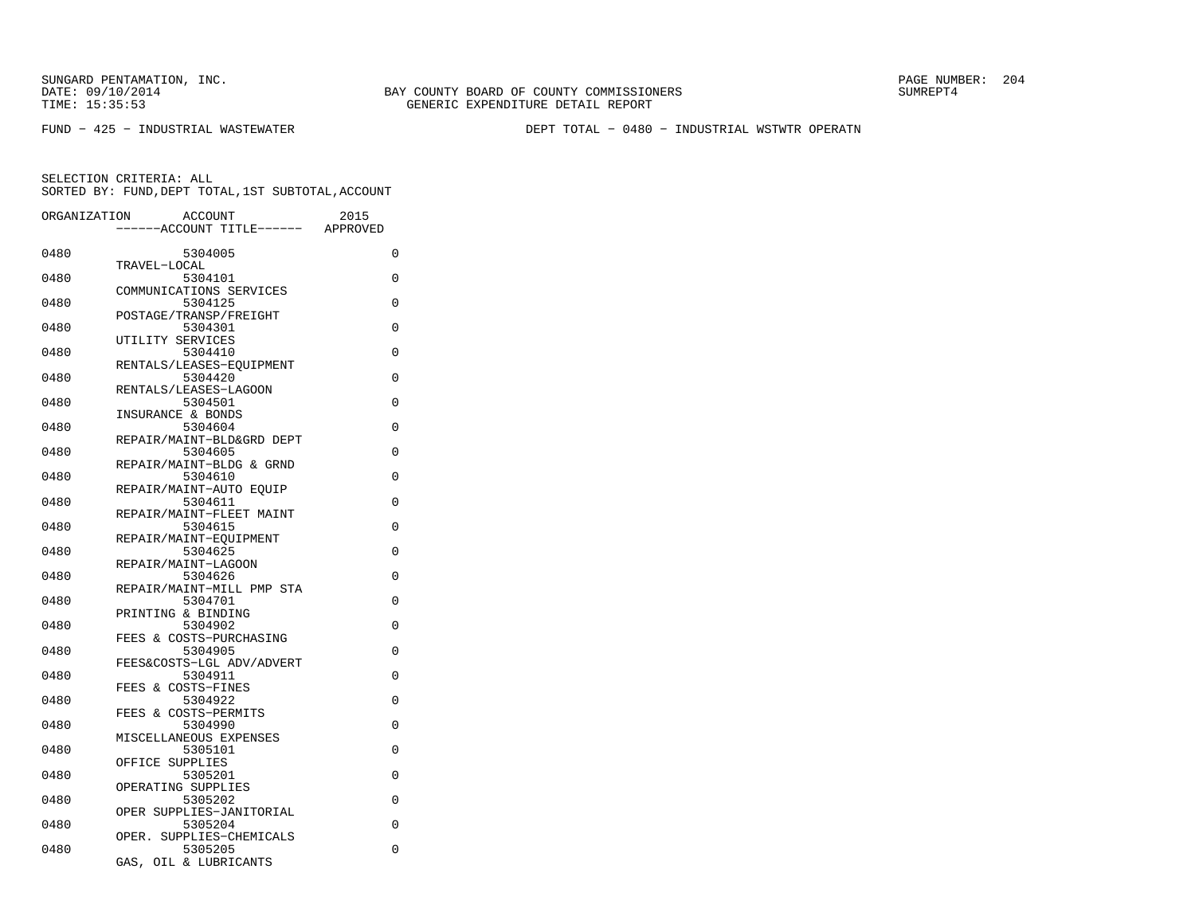SUNGARD PENTAMATION, INC.<br>
DATE: 09/10/2014 SUMRER: 204

FUND − 425 − INDUSTRIAL WASTEWATER DEPT TOTAL − 0480 − INDUSTRIAL WSTWTR OPERATN

| ORGANIZATION | ACCOUNT<br>--ACCOUNT TITLE------     | 2015<br>APPROVED |
|--------------|--------------------------------------|------------------|
|              |                                      |                  |
| 0480         | 5304005                              | 0                |
| 0480         | TRAVEL-LOCAL<br>5304101              | 0                |
|              | COMMUNICATIONS SERVICES              |                  |
| 0480         | 5304125                              | 0                |
|              | POSTAGE/TRANSP/FREIGHT               |                  |
| 0480         | 5304301                              | 0                |
|              | UTILITY SERVICES                     |                  |
| 0480         | 5304410                              | 0                |
|              | RENTALS/LEASES-EOUIPMENT             |                  |
| 0480         | 5304420                              | $\Omega$         |
|              | RENTALS/LEASES-LAGOON                |                  |
| 0480         | 5304501                              | 0                |
|              | INSURANCE & BONDS                    |                  |
| 0480         | 5304604                              | $\Omega$         |
|              | REPAIR/MAINT-BLD&GRD DEPT            |                  |
| 0480         | 5304605                              | 0                |
|              | REPAIR/MAINT-BLDG & GRND             |                  |
| 0480         | 5304610                              | $\Omega$         |
|              | REPAIR/MAINT-AUTO EOUIP              |                  |
| 0480         | 5304611                              | 0                |
|              | REPAIR/MAINT-FLEET MAINT             |                  |
| 0480         | 5304615                              | $\Omega$         |
|              | REPAIR/MAINT-EQUIPMENT               |                  |
| 0480         | 5304625                              | 0                |
|              | REPAIR/MAINT-LAGOON                  |                  |
| 0480         | 5304626<br>REPAIR/MAINT-MILL PMP STA | $\Omega$         |
| 0480         | 5304701                              | 0                |
|              | PRINTING & BINDING                   |                  |
| 0480         | 5304902                              | 0                |
|              | FEES & COSTS-PURCHASING              |                  |
| 0480         | 5304905                              | 0                |
|              | FEES&COSTS-LGL ADV/ADVERT            |                  |
| 0480         | 5304911                              | $\Omega$         |
|              | FEES & COSTS-FINES                   |                  |
| 0480         | 5304922                              | 0                |
|              | FEES & COSTS-PERMITS                 |                  |
| 0480         | 5304990                              | $\Omega$         |
|              | MISCELLANEOUS EXPENSES               |                  |
| 0480         | 5305101                              | $\Omega$         |
|              | OFFICE SUPPLIES                      |                  |
| 0480         | 5305201                              | 0                |
|              | OPERATING SUPPLIES                   |                  |
| 0480         | 5305202                              | 0                |
|              | OPER SUPPLIES-JANITORIAL             |                  |
| 0480         | 5305204                              | 0                |
|              | OPER. SUPPLIES-CHEMICALS             |                  |
| 0480         | 5305205                              | $\Omega$         |
|              | OIL & LUBRICANTS<br>GAS,             |                  |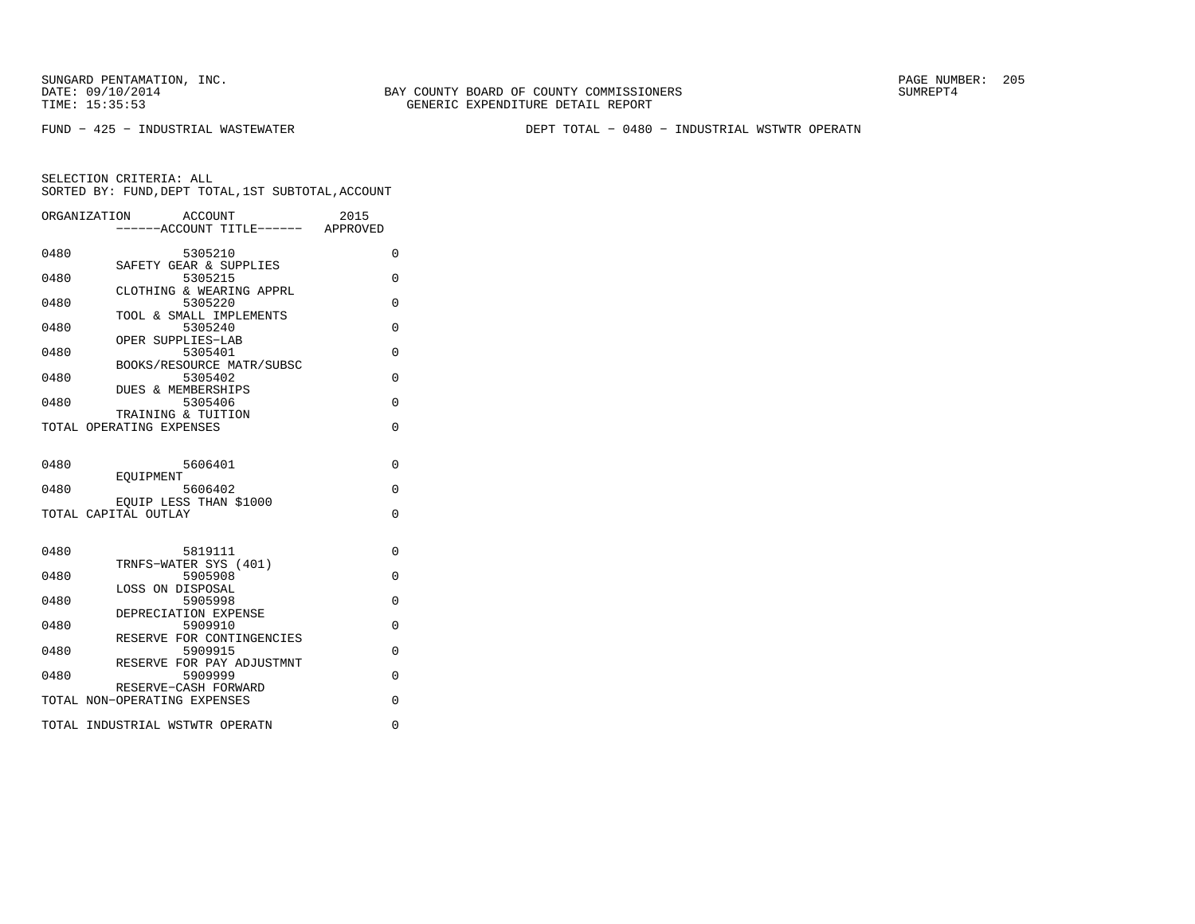SUNGARD PENTAMATION, INC. PAGE NUMBER: 205TIME: 15:35:53 GENERIC EXPENDITURE DETAIL REPORT

FUND − 425 − INDUSTRIAL WASTEWATER DEPT TOTAL − 0480 − INDUSTRIAL WSTWTR OPERATN

BAY COUNTY BOARD OF COUNTY COMMISSIONERS

SELECTION CRITERIA: ALL

|      | SORTED BY: FUND, DEPT TOTAL, 1ST SUBTOTAL, ACCOUNT           |          |
|------|--------------------------------------------------------------|----------|
|      | ACCOUNT<br>ORGANIZATION<br>-----ACCOUNT TITLE------ APPROVED | 2015     |
| 0480 | 5305210                                                      | 0        |
| 0480 | SAFETY GEAR & SUPPLIES<br>5305215                            | $\Omega$ |
| 0480 | CLOTHING & WEARING APPRL<br>5305220                          | $\Omega$ |
| 0480 | TOOL & SMALL IMPLEMENTS<br>5305240                           | $\Omega$ |
| 0480 | OPER SUPPLIES-LAB<br>5305401                                 | 0        |
| 0480 | BOOKS/RESOURCE MATR/SUBSC<br>5305402                         | $\Omega$ |
| 0480 | DUES & MEMBERSHIPS<br>5305406                                | $\Omega$ |
|      | TRAINING & TUITION                                           |          |
|      | TOTAL OPERATING EXPENSES                                     | 0        |
| 0480 | 5606401                                                      | $\Omega$ |
| 0480 | EQUIPMENT<br>5606402                                         | $\Omega$ |
|      | EOUIP LESS THAN \$1000<br>TOTAL CAPITAL OUTLAY               | 0        |
|      |                                                              |          |
| 0480 | 5819111<br>TRNFS-WATER SYS (401)                             | $\Omega$ |
| 0480 | 5905908<br>LOSS ON DISPOSAL                                  | $\Omega$ |
| 0480 | 5905998<br>DEPRECIATION EXPENSE                              | 0        |
| 0480 | 5909910<br>RESERVE FOR CONTINGENCIES                         | $\Omega$ |
| 0480 | 5909915                                                      | $\Omega$ |
| 0480 | RESERVE FOR PAY ADJUSTMNT<br>5909999                         | $\Omega$ |
|      | RESERVE-CASH FORWARD<br>TOTAL NON-OPERATING EXPENSES         | $\Omega$ |
|      | TOTAL INDUSTRIAL WSTWTR OPERATN                              | 0        |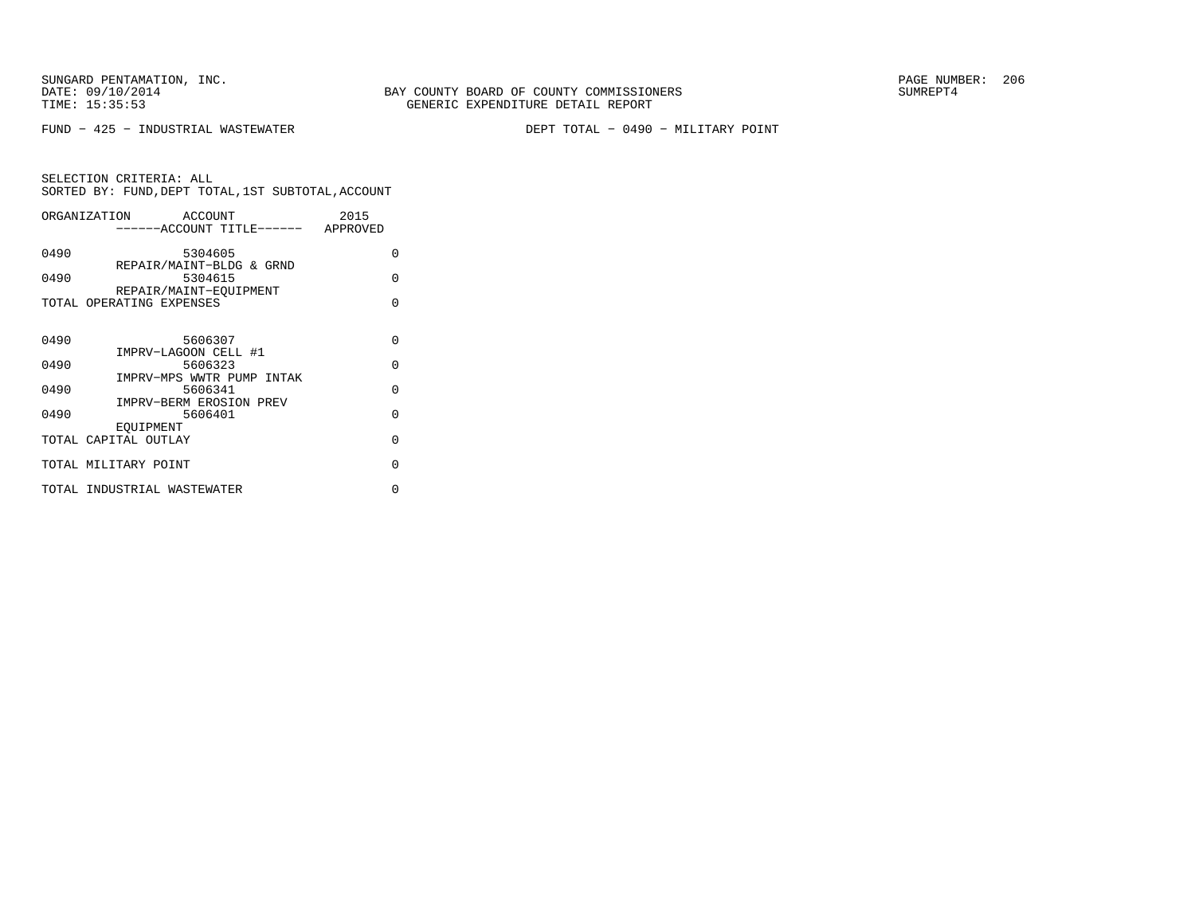SUNGARD PENTAMATION, INC.<br>
DATE: 09/10/2014 SUMREPT4

FUND − 425 − INDUSTRIAL WASTEWATER DEPT TOTAL − 0490 − MILITARY POINT

| ORGANIZATION<br>ACCOUNT<br>-----ACCOUNT TITLE------ APPROVED |                             |                                      | 2015     |
|--------------------------------------------------------------|-----------------------------|--------------------------------------|----------|
|                                                              |                             |                                      |          |
| 0490                                                         |                             | 5304605                              | $\Omega$ |
| 0490                                                         |                             | REPAIR/MAINT-BLDG & GRND<br>5304615  | O        |
|                                                              | REPAIR/MAINT-EOUIPMENT      |                                      |          |
|                                                              | TOTAL OPERATING EXPENSES    |                                      | $\Omega$ |
|                                                              |                             |                                      |          |
| 0490                                                         |                             | 5606307                              | $\Omega$ |
|                                                              | IMPRV-LAGOON CELL #1        |                                      |          |
| 0490                                                         |                             | 5606323<br>IMPRV-MPS WWTR PUMP INTAK | $\Omega$ |
| 0490                                                         |                             | 5606341                              | $\Omega$ |
|                                                              |                             | IMPRV-BERM EROSION PREV              |          |
| 0490                                                         | EOUIPMENT                   | 5606401                              | $\Omega$ |
|                                                              | TOTAL CAPITAL OUTLAY        |                                      | $\Omega$ |
|                                                              | TOTAL MILITARY POINT        |                                      | O        |
|                                                              |                             |                                      |          |
|                                                              | TOTAL INDUSTRIAL WASTEWATER |                                      | U        |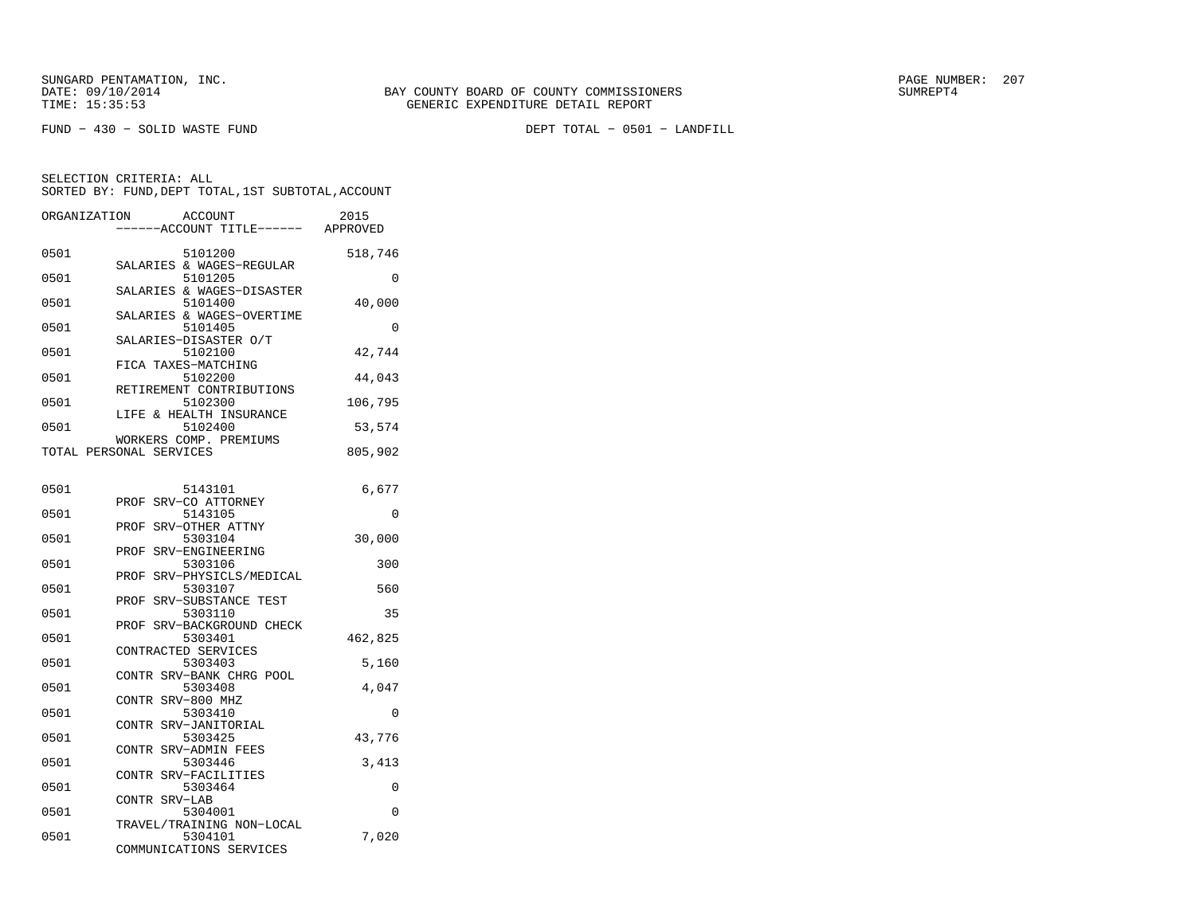FUND − 430 − SOLID WASTE FUND DEPT TOTAL − 0501 − LANDFILL

| ORGANIZATION            | <b>ACCOUNT</b><br>--ACCOUNT TITLE------                         | 2015<br>APPROVED |
|-------------------------|-----------------------------------------------------------------|------------------|
| 0501                    | 5101200<br>SALARIES & WAGES-REGULAR                             | 518,746          |
| 0501                    | 5101205                                                         | 0                |
| 0501                    | SALARIES & WAGES-DISASTER<br>5101400                            | 40,000           |
| 0501                    | SALARIES & WAGES-OVERTIME<br>5101405                            | 0                |
| 0501                    | SALARIES-DISASTER O/T<br>5102100                                | 42,744           |
| 0501                    | FICA TAXES-MATCHING<br>5102200                                  | 44,043           |
| 0501                    | RETIREMENT CONTRIBUTIONS<br>5102300                             | 106,795          |
| 0501                    | LIFE & HEALTH INSURANCE<br>5102400                              | 53,574           |
| TOTAL PERSONAL SERVICES | WORKERS COMP. PREMIUMS                                          | 805,902          |
|                         |                                                                 |                  |
| 0501<br>PROF            | 5143101<br>SRV-CO ATTORNEY                                      | 6,677            |
| 0501<br>PROF            | 5143105<br>SRV-OTHER ATTNY                                      | 0                |
| 0501<br>PROF            | 5303104<br>SRV-ENGINEERING                                      | 30,000           |
| 0501<br>PROF            | 5303106<br>SRV-PHYSICLS/MEDICAL                                 | 300              |
| 0501<br>PROF            | 5303107<br>SRV-SUBSTANCE TEST                                   | 560              |
| 0501<br>PROF            | 5303110<br>SRV-BACKGROUND CHECK                                 | 35               |
| 0501                    | 5303401<br>CONTRACTED SERVICES                                  | 462,825          |
| 0501                    | 5303403<br>CONTR SRV-BANK CHRG POOL                             | 5,160            |
| 0501<br>CONTR           | 5303408<br>SRV-800 MHZ                                          | 4,047            |
| 0501                    | 5303410                                                         | 0                |
| CONTR<br>0501           | SRV-JANITORIAL<br>5303425                                       | 43,776           |
| 0501                    | CONTR SRV-ADMIN FEES<br>5303446                                 | 3,413            |
| CONTR<br>0501           | SRV-FACILITIES<br>5303464                                       | 0                |
| 0501                    | CONTR SRV-LAB<br>5304001                                        | $\Omega$         |
| 0501                    | TRAVEL/TRAINING NON-LOCAL<br>5304101<br>COMMUNICATIONS SERVICES | 7,020            |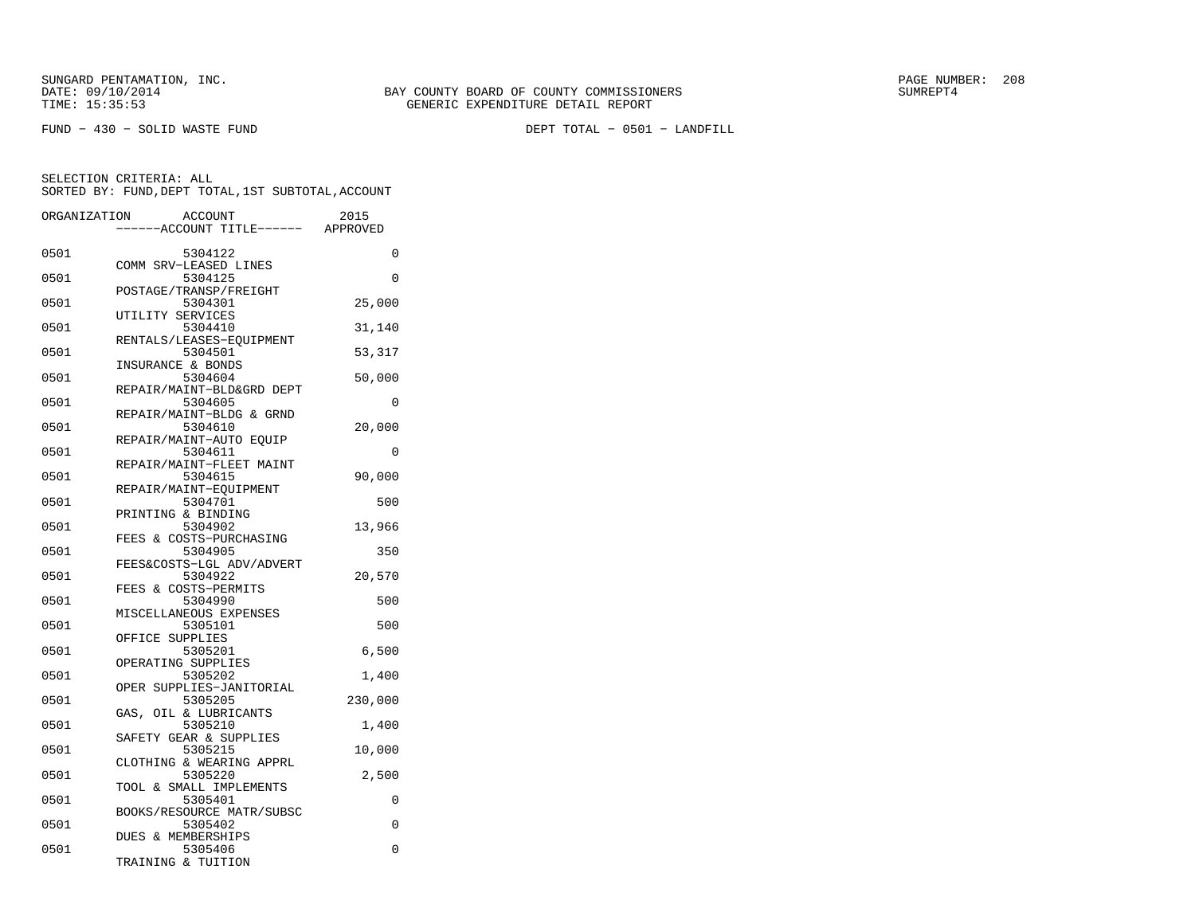SUNGARD PENTAMATION, INC.<br>DATE: 09/10/2014 SUMRER: 208 SAY COUNTY BOARD OF COUNTY COMMISSIONERS

FUND − 430 − SOLID WASTE FUND DEPT TOTAL − 0501 − LANDFILL

| ORGANIZATION |                    | <b>ACCOUNT</b>                       | 2015     |
|--------------|--------------------|--------------------------------------|----------|
|              |                    | ---ACCOUNT TITLE------ APPROVED      |          |
| 0501         |                    | 5304122                              | 0        |
|              |                    | COMM SRV-LEASED LINES                |          |
| 0501         |                    | 5304125<br>POSTAGE/TRANSP/FREIGHT    | 0        |
| 0501         |                    | 5304301                              | 25,000   |
|              | UTILITY SERVICES   |                                      |          |
| 0501         |                    | 5304410                              | 31,140   |
| 0501         |                    | RENTALS/LEASES-EQUIPMENT<br>5304501  | 53,317   |
|              | INSURANCE & BONDS  |                                      |          |
| 0501         |                    | 5304604                              | 50,000   |
| 0501         |                    | REPAIR/MAINT-BLD&GRD DEPT<br>5304605 | $\Omega$ |
|              |                    | REPAIR/MAINT-BLDG & GRND             |          |
| 0501         |                    | 5304610                              | 20,000   |
|              |                    | REPAIR/MAINT-AUTO EQUIP              |          |
| 0501         |                    | 5304611<br>REPAIR/MAINT-FLEET MAINT  | 0        |
| 0501         |                    | 5304615                              | 90,000   |
|              |                    | REPAIR/MAINT-EQUIPMENT               |          |
| 0501         |                    | 5304701                              | 500      |
| 0501         | PRINTING & BINDING | 5304902                              | 13,966   |
|              |                    | FEES & COSTS-PURCHASING              |          |
| 0501         |                    | 5304905                              | 350      |
|              |                    | FEES&COSTS-LGL ADV/ADVERT            |          |
| 0501         |                    | 5304922<br>FEES & COSTS-PERMITS      | 20,570   |
| 0501         |                    | 5304990                              | 500      |
|              |                    | MISCELLANEOUS EXPENSES               |          |
| 0501         |                    | 5305101                              | 500      |
| 0501         | OFFICE SUPPLIES    | 5305201                              | 6,500    |
|              | OPERATING SUPPLIES |                                      |          |
| 0501         |                    | 5305202                              | 1,400    |
| 0501         |                    | OPER SUPPLIES-JANITORIAL<br>5305205  | 230,000  |
|              | GAS,               | OIL & LUBRICANTS                     |          |
| 0501         |                    | 5305210                              | 1,400    |
|              |                    | SAFETY GEAR & SUPPLIES               |          |
| 0501         |                    | 5305215<br>CLOTHING & WEARING APPRL  | 10,000   |
| 0501         |                    | 5305220                              | 2,500    |
|              |                    | TOOL & SMALL IMPLEMENTS              |          |
| 0501         |                    | 5305401                              | 0        |
| 0501         |                    | BOOKS/RESOURCE MATR/SUBSC<br>5305402 | $\Omega$ |
|              | DUES & MEMBERSHIPS |                                      |          |
| 0501         |                    | 5305406                              | 0        |
|              | TRAINING & TUITION |                                      |          |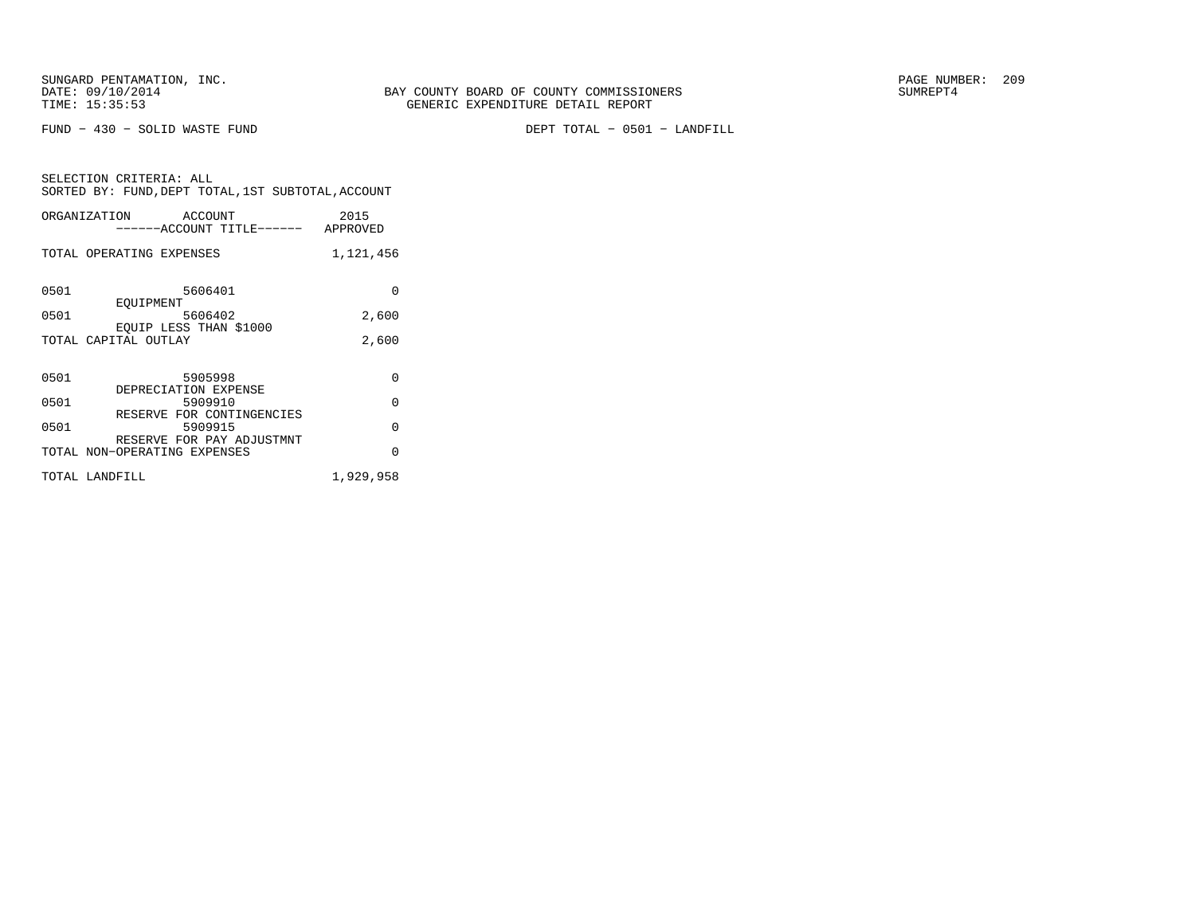FUND − 430 − SOLID WASTE FUND DEPT TOTAL − 0501 − LANDFILL

| SELECTION CRITERIA: ALL<br>SORTED BY: FUND, DEPT TOTAL, 1ST SUBTOTAL, ACCOUNT |           |  |
|-------------------------------------------------------------------------------|-----------|--|
| ORGANIZATION ACCOUNT<br>------ACCOUNT TITLE------ APPROVED                    | 2015      |  |
| TOTAL OPERATING EXPENSES                                                      | 1,121,456 |  |
| 0501<br>5606401<br>EOUIPMENT                                                  | 0         |  |
| 0501<br>5606402<br>EOUIP LESS THAN \$1000                                     | 2,600     |  |
| TOTAL CAPITAL OUTLAY                                                          | 2,600     |  |
| 0501<br>5905998<br>DEPRECIATION EXPENSE                                       | O         |  |
| 0501<br>5909910                                                               | O         |  |
| RESERVE FOR CONTINGENCIES<br>0501<br>5909915                                  | O         |  |
| RESERVE FOR PAY ADJUSTMNT<br>TOTAL NON-OPERATING EXPENSES                     | O         |  |
| TOTAL LANDFILL                                                                | 1,929,958 |  |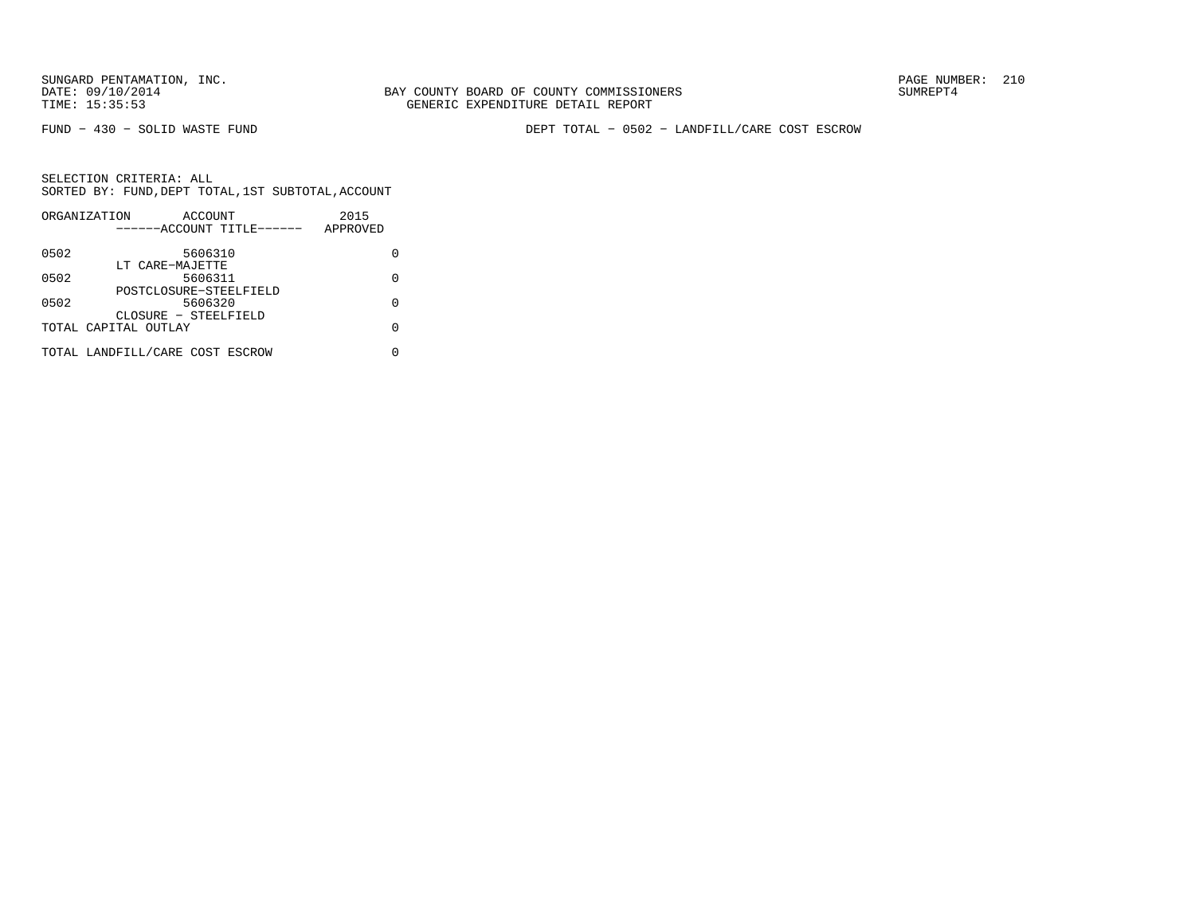BAY COUNTY BOARD OF COUNTY COMMISSIONERS TIME: 15:35:53 GENERIC EXPENDITURE DETAIL REPORT

FUND − 430 − SOLID WASTE FUND DEPT TOTAL − 0502 − LANDFILL/CARE COST ESCROW

|      | ORGANIZATION<br>ACCOUNT         | 2015     |
|------|---------------------------------|----------|
|      | ------ACCOUNT TITLE------       | APPROVED |
| 0502 | 5606310                         |          |
|      | LT CARE-MAJETTE                 |          |
| 0502 | 5606311                         | U        |
|      | POSTCLOSURE-STEELFIELD          |          |
| 0502 | 5606320                         |          |
|      | CLOSURE - STEELFIELD            |          |
|      | TOTAL CAPITAL OUTLAY            | U        |
|      | TOTAL LANDFILL/CARE COST ESCROW |          |
|      |                                 |          |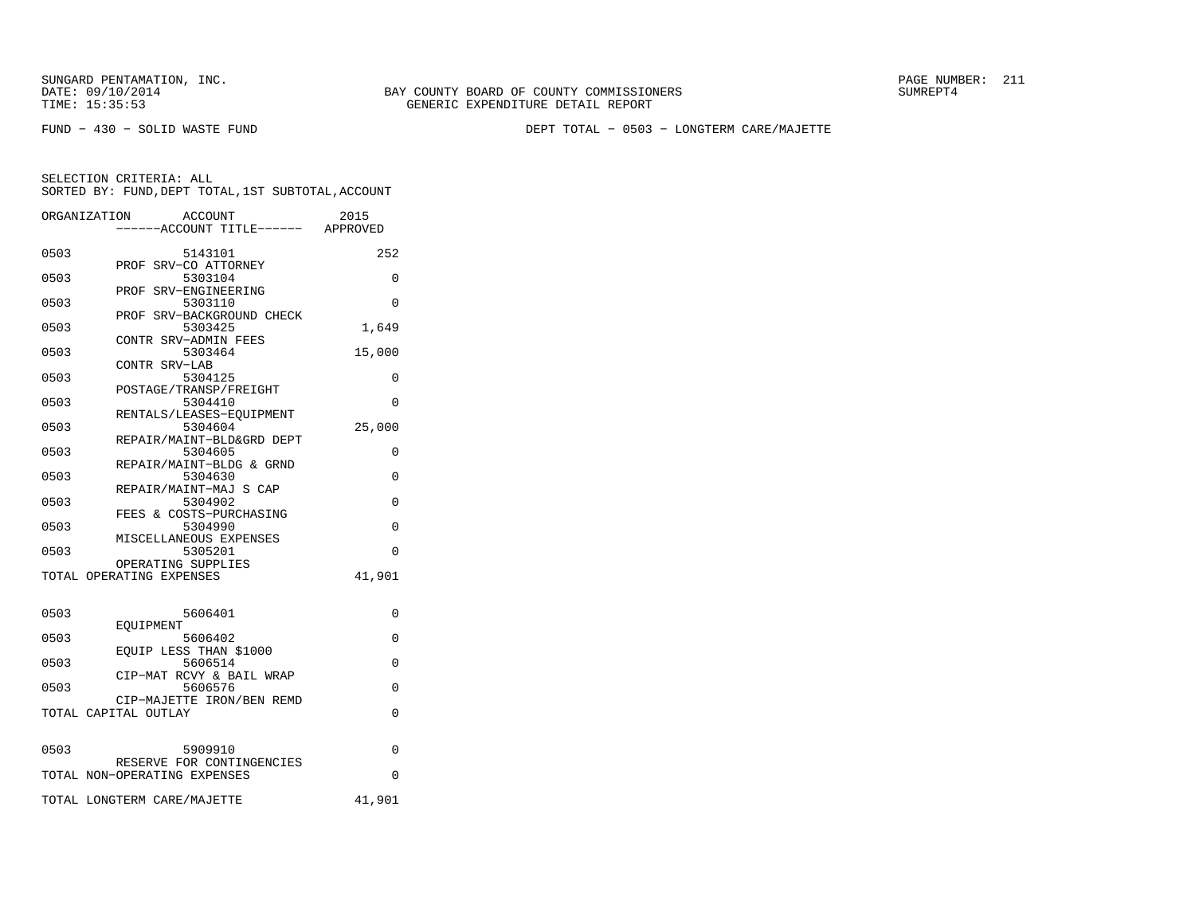SUNGARD PENTAMATION, INC.<br>
DATE: 09/10/2014 SUMRER: 211

BAY COUNTY BOARD OF COUNTY COMMISSIONERS TIME: 15:35:53 GENERIC EXPENDITURE DETAIL REPORT

FUND − 430 − SOLID WASTE FUND DEPT TOTAL − 0503 − LONGTERM CARE/MAJETTE

|      | ACCOUNT<br>ORGANIZATION              | 2015                             |
|------|--------------------------------------|----------------------------------|
|      |                                      | ----ACCOUNT TITLE------ APPROVED |
| 0503 | 5143101                              | 252                              |
| 0503 | PROF SRV-CO ATTORNEY<br>5303104      | 0                                |
|      | PROF SRV-ENGINEERING                 |                                  |
| 0503 | 5303110                              | 0                                |
| 0503 | PROF SRV-BACKGROUND CHECK<br>5303425 | 1,649                            |
|      | CONTR SRV-ADMIN FEES                 |                                  |
| 0503 | 5303464                              | 15,000                           |
| 0503 | CONTR SRV-LAB<br>5304125             | 0                                |
|      | POSTAGE/TRANSP/FREIGHT               |                                  |
| 0503 | 5304410                              | 0                                |
|      | RENTALS/LEASES-EQUIPMENT             |                                  |
| 0503 | 5304604<br>REPAIR/MAINT-BLD&GRD DEPT | 25,000                           |
| 0503 | 5304605                              | 0                                |
|      | REPAIR/MAINT-BLDG & GRND             |                                  |
| 0503 | 5304630<br>REPAIR/MAINT-MAJ S CAP    | $\Omega$                         |
| 0503 | 5304902                              | 0                                |
|      | FEES & COSTS-PURCHASING              |                                  |
| 0503 | 5304990<br>MISCELLANEOUS EXPENSES    | $\Omega$                         |
| 0503 | 5305201                              | $\Omega$                         |
|      | OPERATING SUPPLIES                   |                                  |
|      | TOTAL OPERATING EXPENSES             | 41,901                           |
|      |                                      |                                  |
| 0503 | 5606401                              | 0                                |
| 0503 | EOUIPMENT<br>5606402                 | $\Omega$                         |
|      | EQUIP LESS THAN \$1000               |                                  |
| 0503 | 5606514                              | $\Omega$                         |
| 0503 | CIP-MAT RCVY & BAIL WRAP<br>5606576  | 0                                |
|      | CIP-MAJETTE IRON/BEN REMD            |                                  |
|      | TOTAL CAPITAL OUTLAY                 | 0                                |
|      |                                      |                                  |
| 0503 | 5909910                              | 0                                |
|      | RESERVE FOR CONTINGENCIES            |                                  |
|      | TOTAL NON-OPERATING EXPENSES         | $\Omega$                         |
|      | TOTAL LONGTERM CARE/MAJETTE          | 41,901                           |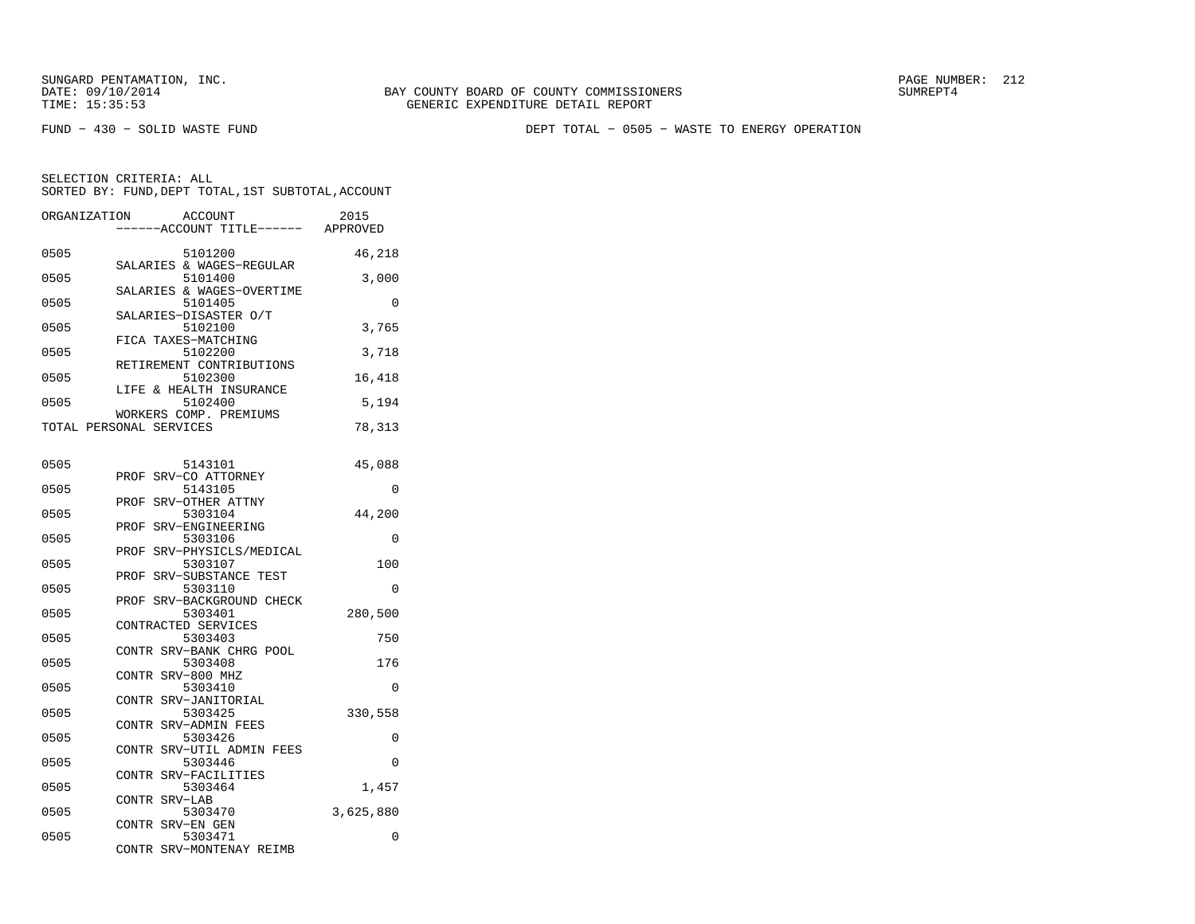FUND − 430 − SOLID WASTE FUND DEPT TOTAL − 0505 − WASTE TO ENERGY OPERATION

| ORGANIZATION | <b>ACCOUNT</b><br>---ACCOUNT TITLE------          | 2015<br>APPROVED |
|--------------|---------------------------------------------------|------------------|
| 0505         | 5101200<br>SALARIES & WAGES-REGULAR               | 46,218           |
| 0505         | 5101400<br>SALARIES & WAGES-OVERTIME              | 3,000            |
| 0505         | 5101405<br>SALARIES-DISASTER O/T                  | 0                |
| 0505         | 5102100<br>FICA TAXES-MATCHING                    | 3,765            |
| 0505         | 5102200<br>RETIREMENT CONTRIBUTIONS               | 3,718            |
| 0505         | 5102300<br>LIFE & HEALTH INSURANCE                | 16,418           |
| 0505         | 5102400                                           | 5,194            |
|              | WORKERS COMP. PREMIUMS<br>TOTAL PERSONAL SERVICES | 78,313           |
| 0505         | 5143101                                           | 45,088           |
| 0505         | SRV-CO ATTORNEY<br>PROF<br>5143105                | 0                |
| 0505         | SRV-OTHER ATTNY<br>PROF<br>5303104                | 44,200           |
| 0505         | SRV-ENGINEERING<br>PROF<br>5303106                | 0                |
| 0505         | SRV-PHYSICLS/MEDICAL<br>PROF<br>5303107           | 100              |
| 0505         | PROF<br>SRV-SUBSTANCE TEST<br>5303110             | $\Omega$         |
| 0505         | PROF<br>SRV-BACKGROUND CHECK<br>5303401           | 280,500          |
| 0505         | CONTRACTED SERVICES<br>5303403                    | 750              |
| 0505         | CONTR SRV-BANK CHRG POOL<br>5303408               | 176              |
| 0505         | SRV-800 MHZ<br>CONTR<br>5303410                   | 0                |
| 0505         | CONTR SRV-JANITORIAL<br>5303425                   | 330,558          |
| 0505         | CONTR SRV-ADMIN FEES<br>5303426                   | 0                |
| 0505         | CONTR SRV-UTIL ADMIN FEES<br>5303446              | 0                |
| 0505         | SRV-FACILITIES<br>CONTR<br>5303464                | 1,457            |
| 0505         | CONTR<br>SRV-LAB<br>5303470                       | 3,625,880        |
| 0505         | CONTR SRV-EN GEN<br>5303471                       | 0                |
|              | CONTR SRV-MONTENAY REIMB                          |                  |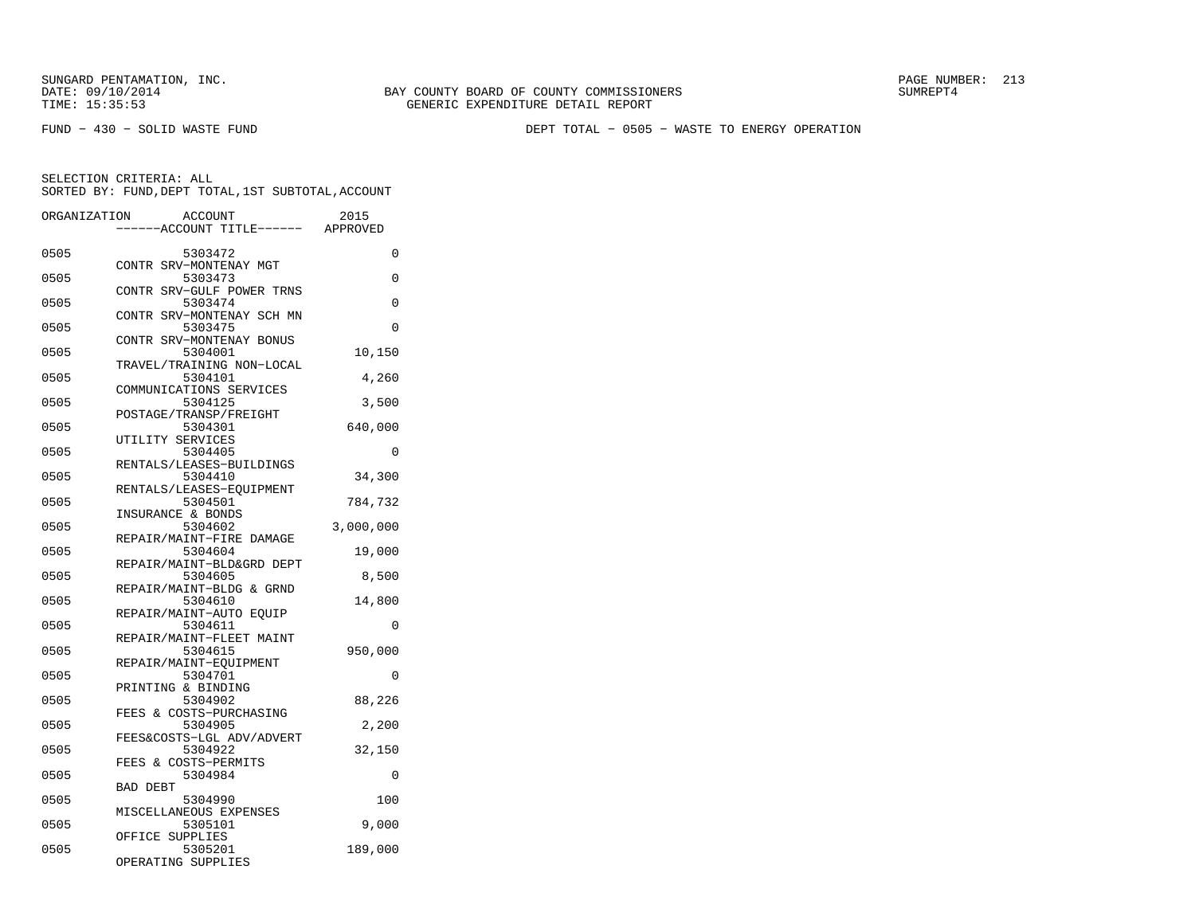FUND − 430 − SOLID WASTE FUND DEPT TOTAL − 0505 − WASTE TO ENERGY OPERATION

| ORGANIZATION |                 | ACCOUNT<br>-ACCOUNT TITLE------ APPROVED | 2015      |
|--------------|-----------------|------------------------------------------|-----------|
| 0505         |                 | 5303472                                  | 0         |
|              |                 | CONTR SRV-MONTENAY MGT                   |           |
| 0505         |                 | 5303473                                  | 0         |
| 0505         |                 | CONTR SRV-GULF POWER TRNS<br>5303474     | 0         |
| 0505         |                 | CONTR SRV-MONTENAY SCH MN<br>5303475     | $\Omega$  |
| 0505         |                 | CONTR SRV-MONTENAY BONUS<br>5304001      | 10,150    |
| 0505         |                 | TRAVEL/TRAINING NON-LOCAL<br>5304101     | 4,260     |
|              |                 | COMMUNICATIONS SERVICES                  |           |
| 0505         |                 | 5304125                                  | 3,500     |
|              |                 | POSTAGE/TRANSP/FREIGHT                   |           |
| 0505         |                 | 5304301                                  | 640,000   |
| 0505         |                 | UTILITY SERVICES<br>5304405              | $\Omega$  |
|              |                 | RENTALS/LEASES-BUILDINGS                 |           |
| 0505         |                 | 5304410                                  | 34,300    |
|              |                 | RENTALS/LEASES-EQUIPMENT                 |           |
| 0505         |                 | 5304501                                  | 784,732   |
|              |                 | INSURANCE & BONDS                        |           |
| 0505         |                 | 5304602                                  | 3,000,000 |
| 0505         |                 | REPAIR/MAINT-FIRE DAMAGE<br>5304604      | 19,000    |
|              |                 | REPAIR/MAINT-BLD&GRD DEPT                |           |
| 0505         |                 | 5304605                                  | 8,500     |
|              |                 | REPAIR/MAINT-BLDG & GRND                 |           |
| 0505         |                 | 5304610                                  | 14,800    |
| 0505         |                 | REPAIR/MAINT-AUTO EOUIP<br>5304611       | $\Omega$  |
|              |                 | REPAIR/MAINT-FLEET MAINT                 |           |
| 0505         |                 | 5304615                                  | 950,000   |
| 0505         |                 | REPAIR/MAINT-EOUIPMENT<br>5304701        | 0         |
|              |                 | PRINTING & BINDING                       |           |
| 0505         |                 | 5304902                                  | 88,226    |
|              |                 | FEES & COSTS-PURCHASING                  |           |
| 0505         |                 | 5304905                                  | 2,200     |
|              |                 | FEES&COSTS-LGL ADV/ADVERT                |           |
| 0505         |                 | 5304922                                  | 32,150    |
|              |                 | FEES & COSTS-PERMITS                     |           |
| 0505         | <b>BAD DEBT</b> | 5304984                                  | 0         |
| 0505         |                 | 5304990                                  | 100       |
|              |                 | MISCELLANEOUS EXPENSES                   |           |
| 0505         |                 | 5305101                                  | 9,000     |
|              |                 | OFFICE SUPPLIES                          |           |
| 0505         |                 | 5305201                                  | 189,000   |
|              |                 | OPERATING SUPPLIES                       |           |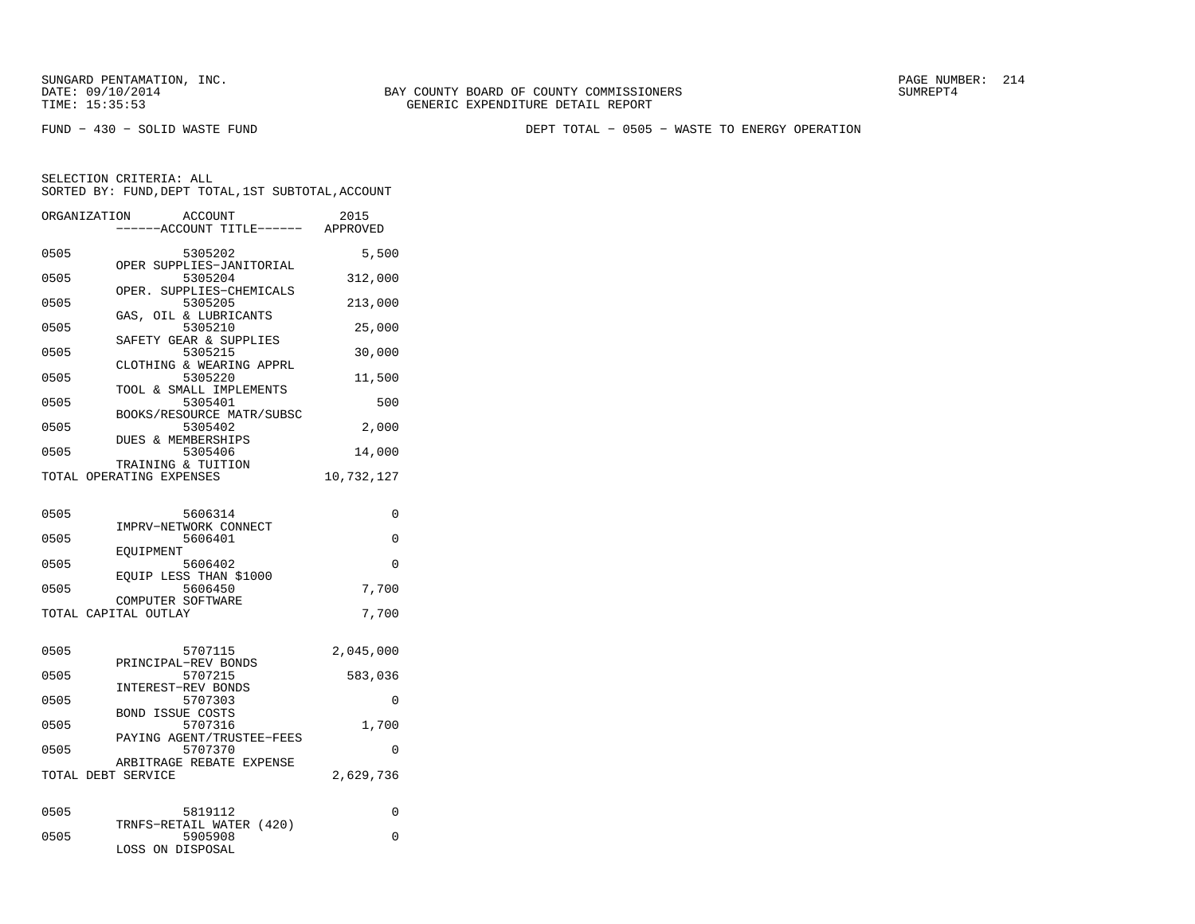FUND − 430 − SOLID WASTE FUND DEPT TOTAL − 0505 − WASTE TO ENERGY OPERATION

| ORGANIZATION       | <b>ACCOUNT</b><br>---ACCOUNT TITLE------       | 2015<br>APPROVED |
|--------------------|------------------------------------------------|------------------|
| 0505               | 5305202                                        | 5,500            |
| 0505               | OPER SUPPLIES-JANITORIAL<br>5305204            | 312,000          |
| 0505               | OPER. SUPPLIES-CHEMICALS<br>5305205            | 213,000          |
| 0505               | GAS, OIL & LUBRICANTS<br>5305210               | 25,000           |
| 0505               | SAFETY GEAR & SUPPLIES<br>5305215              | 30,000           |
| 0505               | CLOTHING & WEARING APPRL<br>5305220            | 11,500           |
| 0505               | TOOL & SMALL IMPLEMENTS<br>5305401             | 500              |
| 0505               | BOOKS/RESOURCE MATR/SUBSC<br>5305402           | 2,000            |
|                    | DUES & MEMBERSHIPS                             |                  |
| 0505               | 5305406                                        | 14,000           |
|                    | TRAINING & TUITION<br>TOTAL OPERATING EXPENSES | 10,732,127       |
|                    |                                                |                  |
| 0505               | 5606314                                        | 0                |
| 0505               | IMPRV-NETWORK CONNECT<br>5606401               | 0                |
| 0505               | EOUIPMENT<br>5606402                           | $\Omega$         |
| 0505               | EOUIP LESS THAN \$1000<br>5606450              | 7,700            |
|                    | COMPUTER SOFTWARE                              |                  |
|                    | TOTAL CAPITAL OUTLAY                           | 7,700            |
| 0505               | 5707115                                        | 2,045,000        |
| 0505               | PRINCIPAL-REV BONDS<br>5707215                 | 583,036          |
| 0505               | INTEREST-REV BONDS<br>5707303                  | 0                |
| 0505               | <b>BOND ISSUE COSTS</b><br>5707316             | 1,700            |
| 0505               | PAYING AGENT/TRUSTEE-FEES<br>5707370           | 0                |
|                    | ARBITRAGE REBATE EXPENSE                       |                  |
| TOTAL DEBT SERVICE |                                                | 2,629,736        |
| 0505               | 5819112                                        | 0                |
|                    | TRNFS-RETAIL WATER (420)                       |                  |
| 0505               | 5905908<br>LOSS ON DISPOSAL                    | 0                |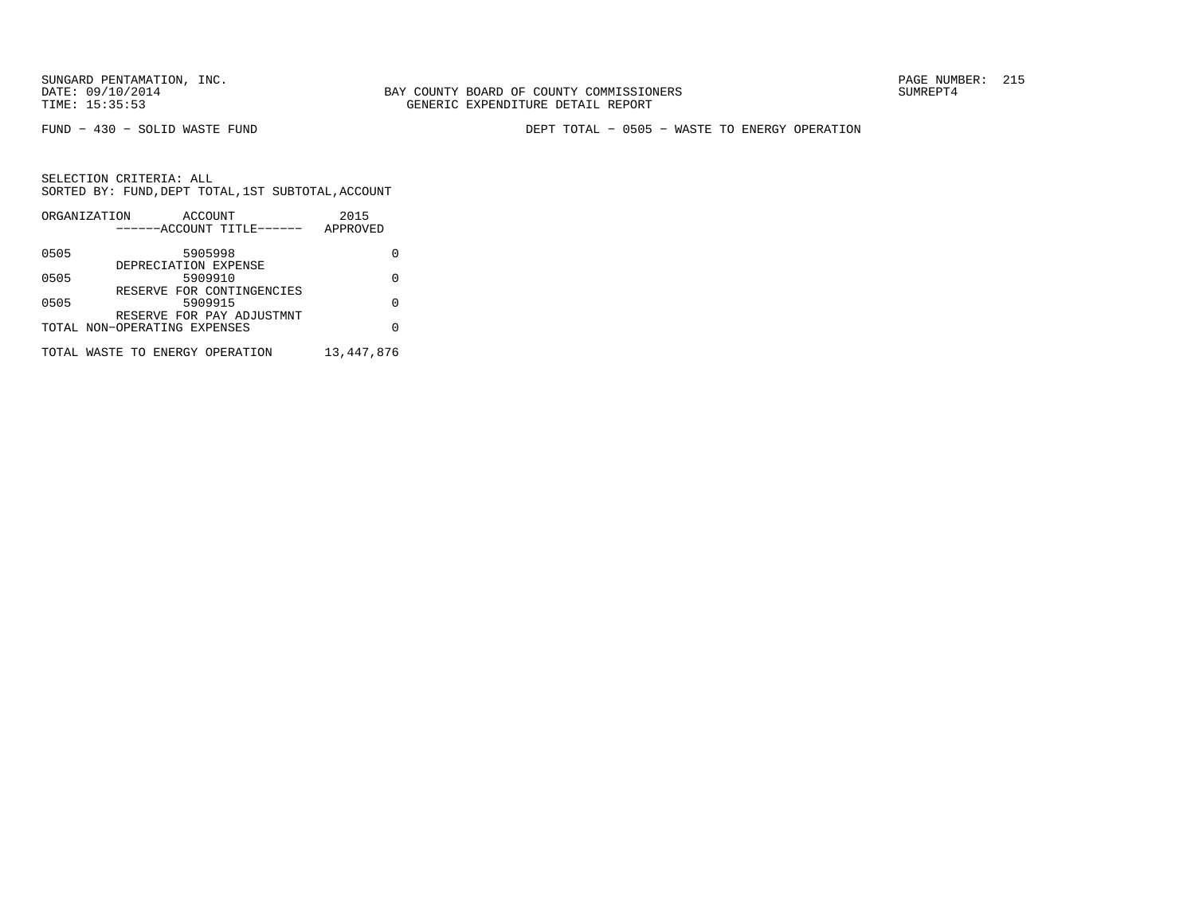BAY COUNTY BOARD OF COUNTY COMMISSIONERS TIME: 15:35:53 GENERIC EXPENDITURE DETAIL REPORT

FUND − 430 − SOLID WASTE FUND DEPT TOTAL − 0505 − WASTE TO ENERGY OPERATION

|      | ORGANIZATION<br>ACCOUNT         | 2015       |
|------|---------------------------------|------------|
|      | ------ACCOUNT TITLE------       | APPROVED   |
| 0505 | 5905998                         |            |
|      | DEPRECIATION EXPENSE            |            |
| 0505 | 5909910                         | U          |
|      | RESERVE FOR CONTINGENCIES       |            |
| 0505 | 5909915                         | U          |
|      | RESERVE FOR PAY ADJUSTMNT       |            |
|      | TOTAL NON-OPERATING EXPENSES    | U          |
|      |                                 |            |
|      |                                 |            |
|      | TOTAL WASTE TO ENERGY OPERATION | 13,447,876 |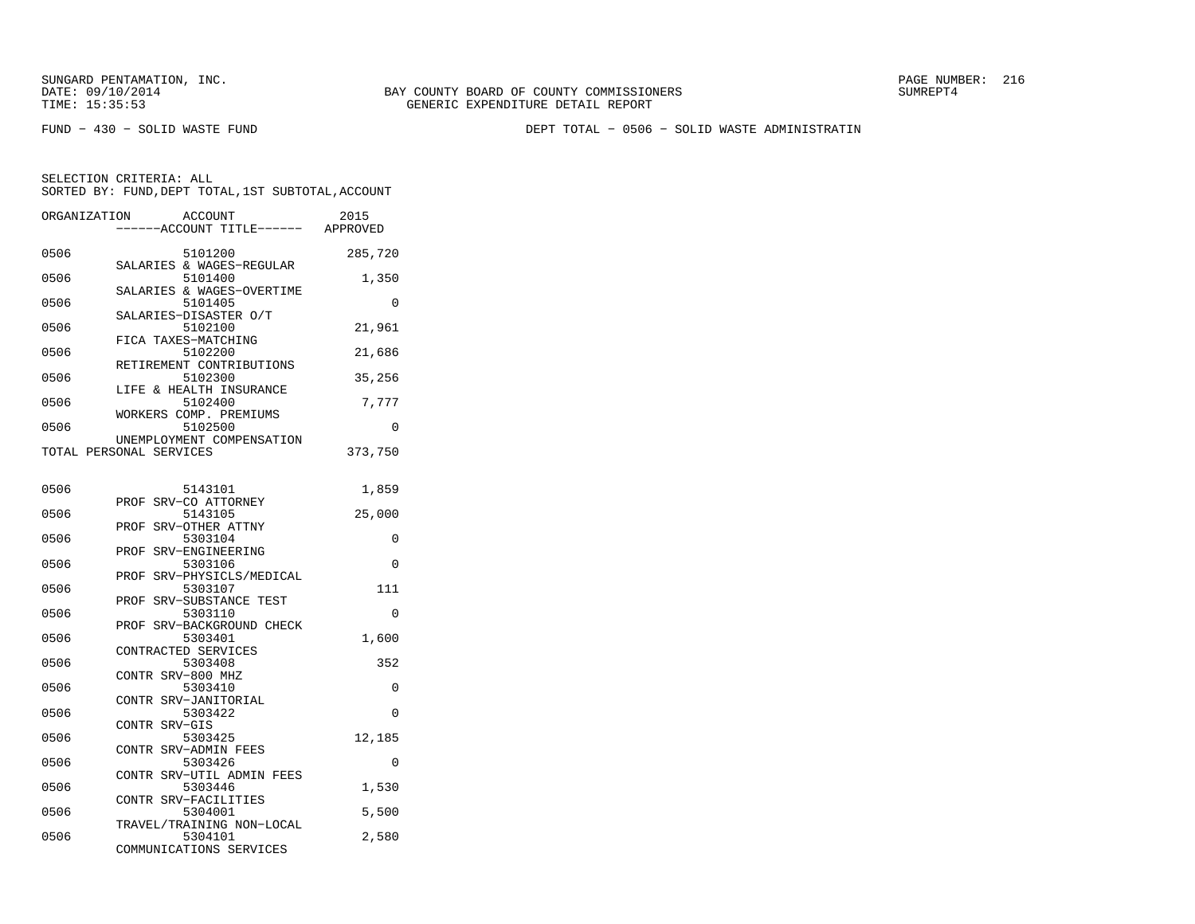FUND − 430 − SOLID WASTE FUND DEPT TOTAL − 0506 − SOLID WASTE ADMINISTRATIN

| ORGANIZATION            |       | <b>ACCOUNT</b>                       | 2015     |
|-------------------------|-------|--------------------------------------|----------|
|                         |       | ---ACCOUNT TITLE------               | APPROVED |
| 0506                    |       | 5101200<br>SALARIES & WAGES-REGULAR  | 285,720  |
| 0506                    |       | 5101400                              | 1,350    |
| 0506                    |       | SALARIES & WAGES-OVERTIME<br>5101405 | 0        |
| 0506                    |       | SALARIES-DISASTER O/T<br>5102100     | 21,961   |
| 0506                    |       | FICA TAXES-MATCHING<br>5102200       | 21,686   |
| 0506                    |       | RETIREMENT CONTRIBUTIONS<br>5102300  | 35,256   |
| 0506                    |       | LIFE & HEALTH INSURANCE<br>5102400   | 7,777    |
| 0506                    |       | WORKERS COMP. PREMIUMS<br>5102500    | 0        |
|                         |       | UNEMPLOYMENT COMPENSATION            |          |
| TOTAL PERSONAL SERVICES |       |                                      | 373,750  |
|                         |       |                                      |          |
| 0506                    | PROF  | 5143101<br>SRV-CO ATTORNEY           | 1,859    |
| 0506                    | PROF  | 5143105<br>SRV-OTHER ATTNY           | 25,000   |
| 0506                    |       | 5303104                              | 0        |
| 0506                    | PROF  | SRV-ENGINEERING<br>5303106           | 0        |
| 0506                    |       | PROF SRV-PHYSICLS/MEDICAL<br>5303107 | 111      |
|                         | PROF  | SRV-SUBSTANCE TEST                   |          |
| 0506                    | PROF  | 5303110<br>SRV-BACKGROUND CHECK      | $\Omega$ |
| 0506                    |       | 5303401                              | 1,600    |
| 0506                    |       | CONTRACTED SERVICES<br>5303408       | 352      |
|                         | CONTR | SRV-800 MHZ                          |          |
| 0506                    | CONTR | 5303410<br>SRV-JANITORIAL            | 0        |
| 0506                    |       | 5303422                              | $\Omega$ |
| 0506                    | CONTR | SRV-GIS<br>5303425                   | 12,185   |
| 0506                    |       | CONTR SRV-ADMIN FEES<br>5303426      | 0        |
|                         | CONTR | SRV-UTIL ADMIN FEES                  |          |
| 0506                    |       | 5303446<br>CONTR SRV-FACILITIES      | 1,530    |
| 0506                    |       | 5304001                              | 5,500    |
| 0506                    |       | TRAVEL/TRAINING NON-LOCAL<br>5304101 | 2,580    |
|                         |       | COMMUNICATIONS SERVICES              |          |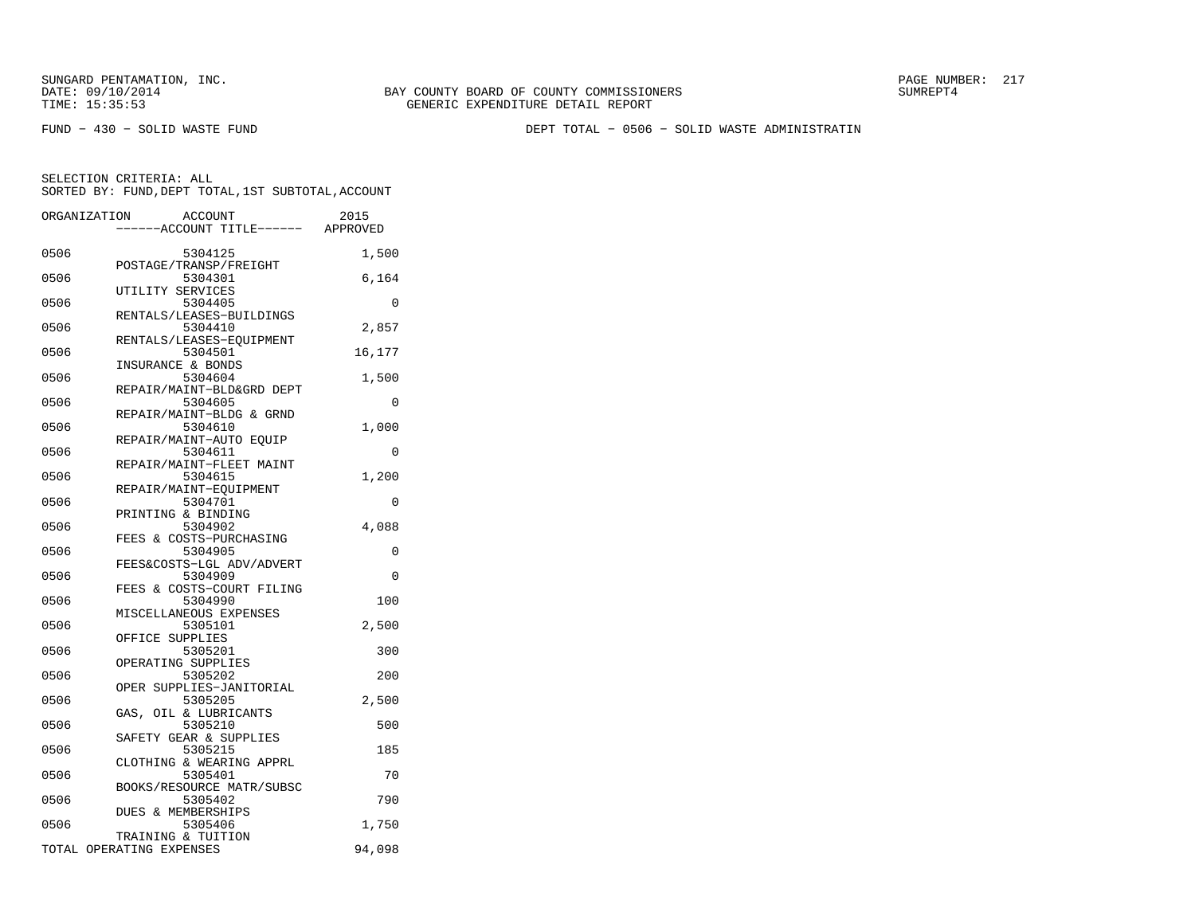FUND − 430 − SOLID WASTE FUND DEPT TOTAL − 0506 − SOLID WASTE ADMINISTRATIN

| ORGANIZATION             |                   | <b>ACCOUNT</b>                       | 2015     |
|--------------------------|-------------------|--------------------------------------|----------|
|                          |                   | ---ACCOUNT TITLE------ APPROVED      |          |
| 0506                     |                   | 5304125<br>POSTAGE/TRANSP/FREIGHT    | 1,500    |
| 0506                     |                   | 5304301                              | 6,164    |
| 0506                     | UTILITY SERVICES  | 5304405                              | 0        |
| 0506                     |                   | RENTALS/LEASES-BUILDINGS<br>5304410  | 2,857    |
| 0506                     |                   | RENTALS/LEASES-EQUIPMENT<br>5304501  | 16,177   |
| 0506                     | INSURANCE & BONDS | 5304604                              | 1,500    |
| 0506                     |                   | REPAIR/MAINT-BLD&GRD DEPT<br>5304605 | 0        |
| 0506                     |                   | REPAIR/MAINT-BLDG & GRND<br>5304610  | 1,000    |
| 0506                     |                   | REPAIR/MAINT-AUTO EQUIP<br>5304611   | 0        |
| 0506                     |                   | REPAIR/MAINT-FLEET MAINT<br>5304615  | 1,200    |
| 0506                     |                   | REPAIR/MAINT-EQUIPMENT<br>5304701    | 0        |
| 0506                     |                   | PRINTING & BINDING<br>5304902        | 4,088    |
| 0506                     |                   | FEES & COSTS-PURCHASING<br>5304905   | 0        |
| 0506                     |                   | FEES&COSTS-LGL ADV/ADVERT            | $\Omega$ |
|                          |                   | 5304909<br>FEES & COSTS-COURT FILING |          |
| 0506                     |                   | 5304990<br>MISCELLANEOUS EXPENSES    | 100      |
| 0506                     | OFFICE SUPPLIES   | 5305101                              | 2,500    |
| 0506                     |                   | 5305201<br>OPERATING SUPPLIES        | 300      |
| 0506                     |                   | 5305202<br>OPER SUPPLIES-JANITORIAL  | 200      |
| 0506                     |                   | 5305205<br>GAS, OIL & LUBRICANTS     | 2,500    |
| 0506                     |                   | 5305210<br>SAFETY GEAR & SUPPLIES    | 500      |
| 0506                     |                   | 5305215<br>CLOTHING & WEARING APPRL  | 185      |
| 0506                     |                   | 5305401<br>BOOKS/RESOURCE MATR/SUBSC | 70       |
| 0506                     |                   | 5305402<br>DUES & MEMBERSHIPS        | 790      |
| 0506                     |                   | 5305406<br>TRAINING & TUITION        | 1,750    |
| TOTAL OPERATING EXPENSES |                   |                                      | 94,098   |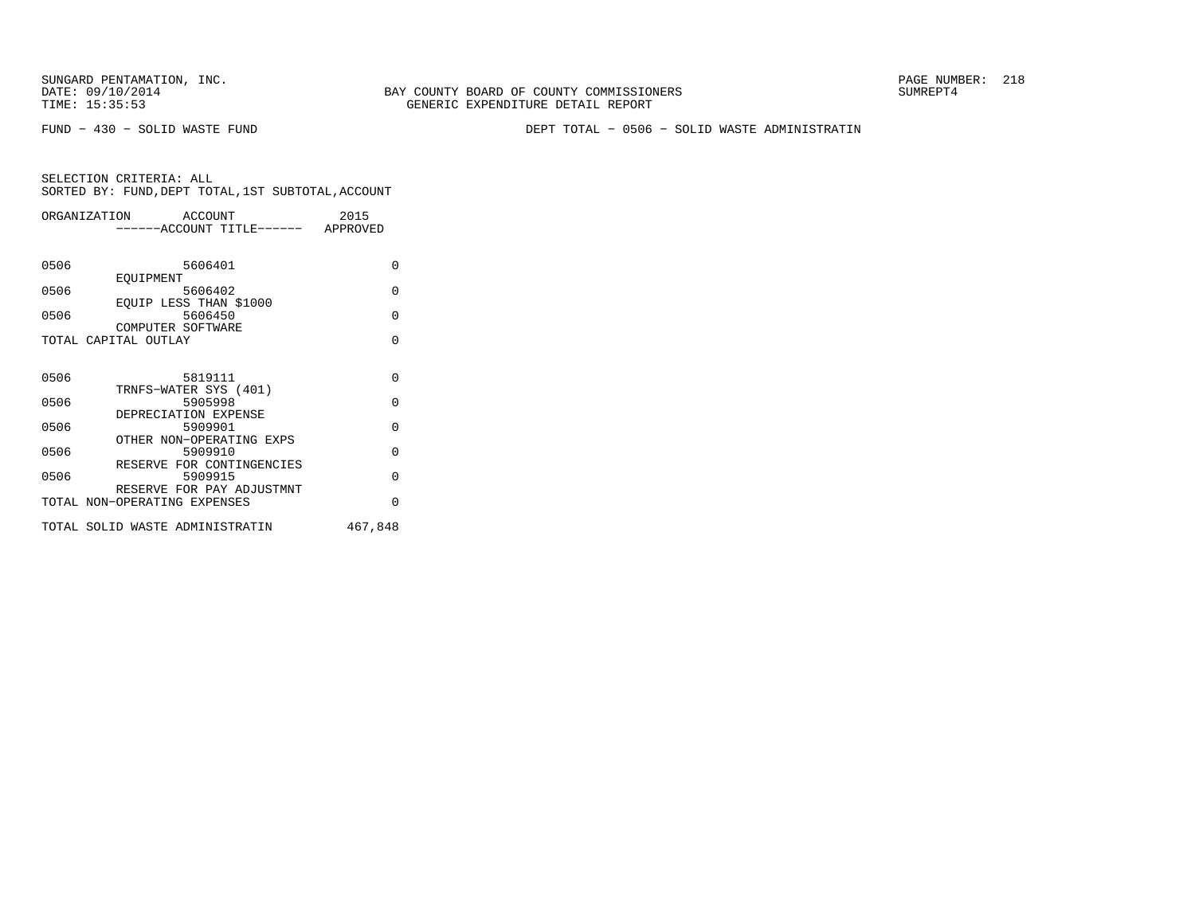SUNGARD PENTAMATION, INC.<br>
DATE: 09/10/2014 SUMREPT4

BAY COUNTY BOARD OF COUNTY COMMISSIONERS TIME: 15:35:53 GENERIC EXPENDITURE DETAIL REPORT

FUND − 430 − SOLID WASTE FUND DEPT TOTAL − 0506 − SOLID WASTE ADMINISTRATIN

|      | ORGANIZATION<br>ACCOUNT              | 2015     |
|------|--------------------------------------|----------|
|      | -----ACCOUNT TITLE------ APPROVED    |          |
|      |                                      |          |
| 0506 | 5606401                              | $\Omega$ |
|      | EOUIPMENT                            |          |
| 0506 | 5606402                              | $\Omega$ |
|      | EOUIP LESS THAN \$1000               |          |
| 0506 | 5606450<br>COMPUTER SOFTWARE         | $\Omega$ |
|      | TOTAL CAPITAL OUTLAY                 | $\Omega$ |
|      |                                      |          |
|      |                                      |          |
| 0506 | 5819111                              | $\Omega$ |
|      | TRNFS-WATER SYS (401)                |          |
| 0506 | 5905998                              | $\Omega$ |
|      | DEPRECIATION EXPENSE                 |          |
| 0506 | 5909901                              | $\Omega$ |
|      | OTHER NON-OPERATING EXPS             |          |
| 0506 | 5909910                              | $\Omega$ |
|      | RESERVE FOR CONTINGENCIES            | $\Omega$ |
| 0506 | 5909915<br>RESERVE FOR PAY ADJUSTMNT |          |
|      | TOTAL NON-OPERATING EXPENSES         | $\Omega$ |
|      |                                      |          |
|      | TOTAL SOLID WASTE ADMINISTRATIN      | 467,848  |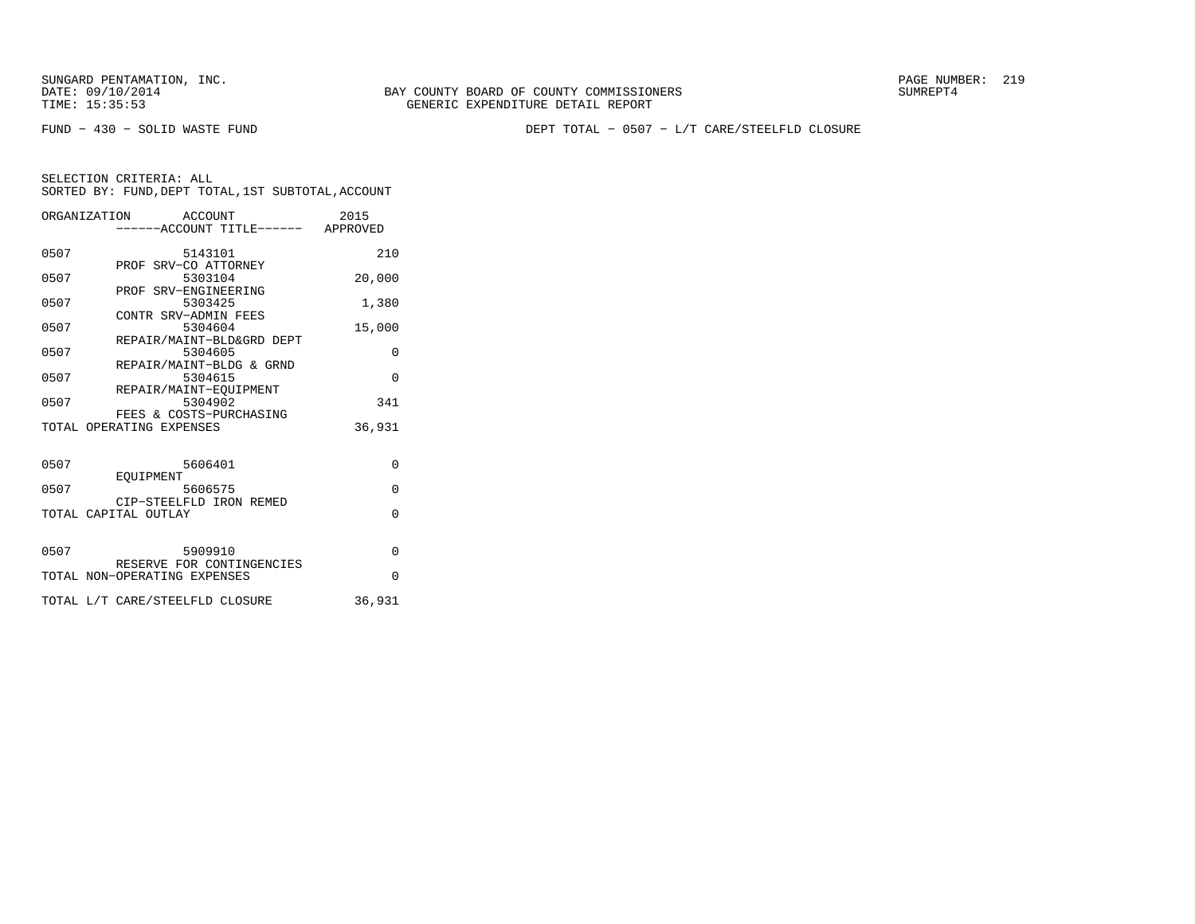BAY COUNTY BOARD OF COUNTY COMMISSIONERS TIME: 15:35:53 GENERIC EXPENDITURE DETAIL REPORT

FUND − 430 − SOLID WASTE FUND DEPT TOTAL − 0507 − L/T CARE/STEELFLD CLOSURE

|      | ORGANIZATION ACCOUNT<br>-----ACCOUNT TITLE------ APPROVED | 2015     |
|------|-----------------------------------------------------------|----------|
| 0507 | 5143101                                                   | 210      |
| 0507 | PROF SRV-CO ATTORNEY<br>5303104                           | 20,000   |
| 0507 | PROF SRV-ENGINEERING<br>5303425                           | 1,380    |
| 0507 | CONTR SRV-ADMIN FEES<br>5304604                           | 15,000   |
| 0507 | REPAIR/MAINT-BLD&GRD DEPT<br>5304605                      | 0        |
| 0507 | REPAIR/MAINT-BLDG & GRND<br>5304615                       | $\Omega$ |
| 0507 | REPAIR/MAINT-EOUIPMENT<br>5304902                         | 341      |
|      | FEES & COSTS-PURCHASING<br>TOTAL OPERATING EXPENSES       | 36,931   |
|      |                                                           |          |
| 0507 | 5606401<br>EOUIPMENT                                      | $\Omega$ |
| 0507 | 5606575<br>CIP-STEELFLD IRON REMED                        | $\Omega$ |
|      | TOTAL CAPITAL OUTLAY                                      | $\Omega$ |
| 0507 | 5909910                                                   | $\Omega$ |
|      | RESERVE FOR CONTINGENCIES                                 |          |
|      | TOTAL NON-OPERATING EXPENSES                              | $\Omega$ |
|      | TOTAL L/T CARE/STEELFLD CLOSURE                           | 36,931   |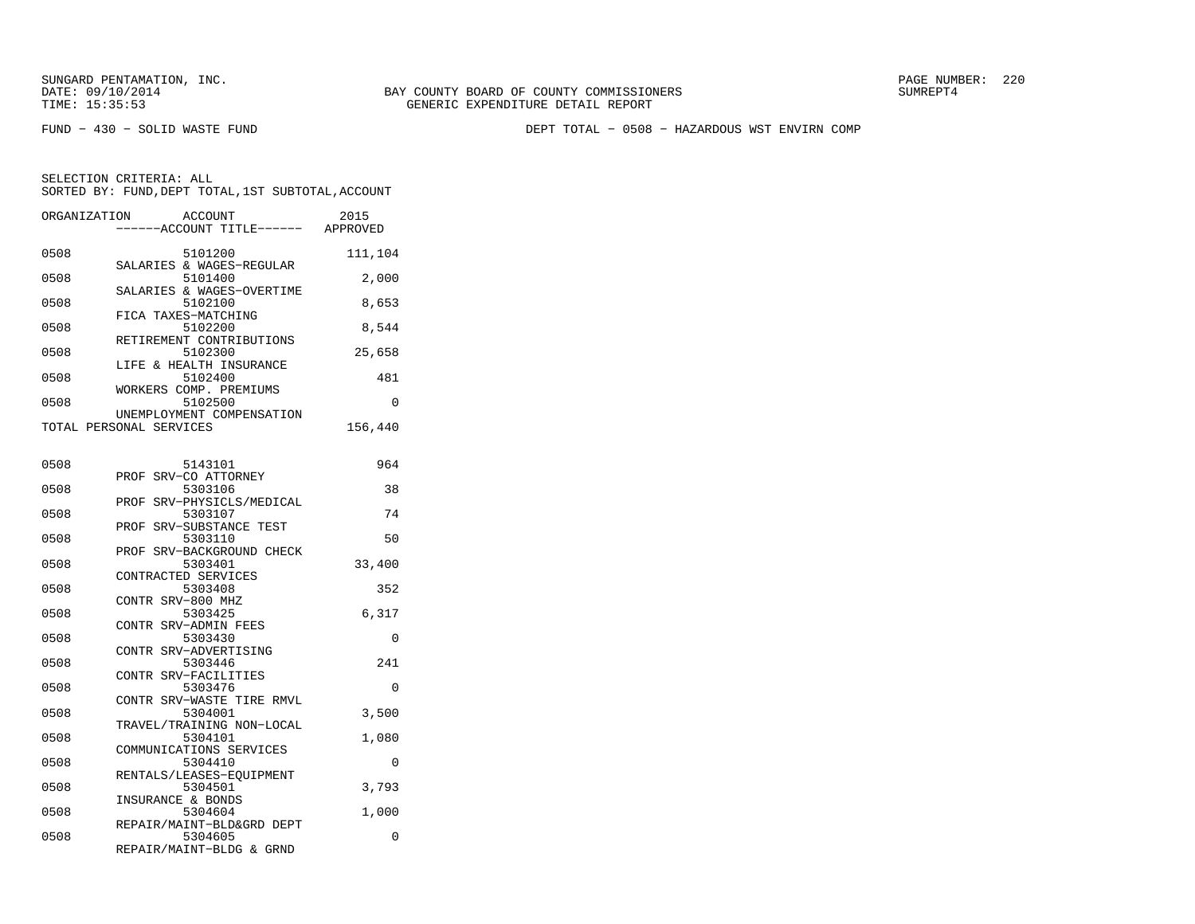FUND − 430 − SOLID WASTE FUND DEPT TOTAL − 0508 − HAZARDOUS WST ENVIRN COMP

| ORGANIZATION | <b>ACCOUNT</b>                      | 2015     |
|--------------|-------------------------------------|----------|
|              | ----ACCOUNT TITLE------             | APPROVED |
|              |                                     |          |
| 0508         | 5101200<br>SALARIES & WAGES-REGULAR | 111,104  |
| 0508         | 5101400                             | 2,000    |
|              | SALARIES & WAGES-OVERTIME           |          |
| 0508         | 5102100                             | 8,653    |
|              | FICA TAXES-MATCHING                 |          |
| 0508         | 5102200                             | 8,544    |
|              | RETIREMENT CONTRIBUTIONS            |          |
| 0508         | 5102300                             | 25,658   |
|              | LIFE & HEALTH INSURANCE             |          |
| 0508         | 5102400                             | 481      |
| 0508         | WORKERS COMP. PREMIUMS<br>5102500   | 0        |
|              | UNEMPLOYMENT COMPENSATION           |          |
|              | TOTAL PERSONAL SERVICES             | 156,440  |
|              |                                     |          |
|              |                                     |          |
| 0508         | 5143101                             | 964      |
|              | PROF SRV-CO ATTORNEY                |          |
| 0508         | 5303106                             | 38       |
|              | SRV-PHYSICLS/MEDICAL<br>PROF        |          |
| 0508         | 5303107                             | 74       |
| 0508         | PROF SRV-SUBSTANCE TEST<br>5303110  | 50       |
|              | PROF<br>SRV-BACKGROUND CHECK        |          |
| 0508         | 5303401                             | 33,400   |
|              | CONTRACTED SERVICES                 |          |
| 0508         | 5303408                             | 352      |
|              | CONTR SRV-800 MHZ                   |          |
| 0508         | 5303425                             | 6,317    |
|              | CONTR SRV-ADMIN FEES                |          |
| 0508         | 5303430                             | 0        |
|              | CONTR SRV-ADVERTISING               |          |
| 0508         | 5303446<br>CONTR SRV-FACILITIES     | 241      |
| 0508         | 5303476                             | 0        |
|              | CONTR SRV-WASTE TIRE RMVL           |          |
| 0508         | 5304001                             | 3,500    |
|              | TRAVEL/TRAINING NON-LOCAL           |          |
| 0508         | 5304101                             | 1,080    |
|              | COMMUNICATIONS SERVICES             |          |
| 0508         | 5304410                             | $\Omega$ |
|              | RENTALS/LEASES-EQUIPMENT            |          |
| 0508         | 5304501                             | 3,793    |
| 0508         | INSURANCE & BONDS<br>5304604        | 1,000    |
|              | REPAIR/MAINT-BLD&GRD DEPT           |          |
| 0508         | 5304605                             | 0        |
|              | REPAIR/MAINT-BLDG & GRND            |          |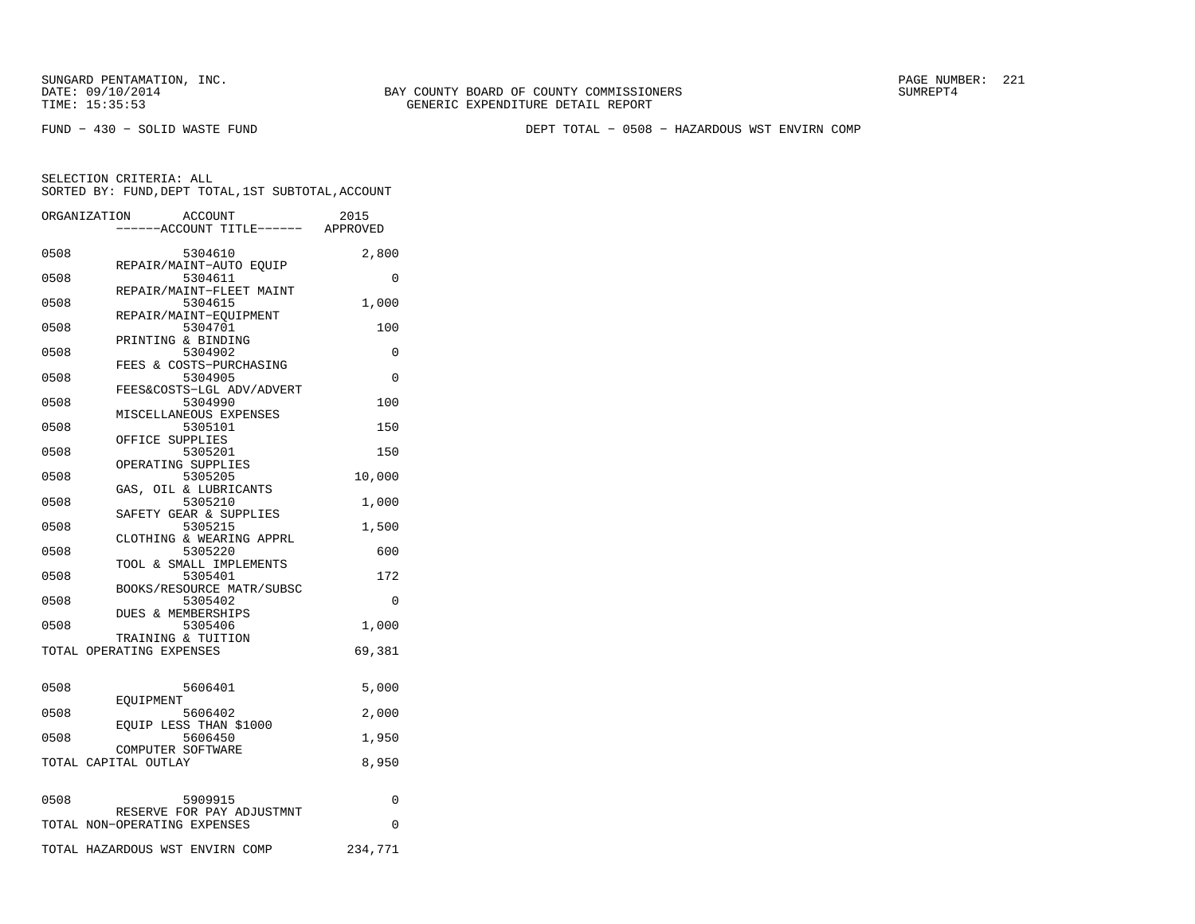SUNGARD PENTAMATION, INC.<br>
DATE: 09/10/2014 SUMRER: 221

FUND − 430 − SOLID WASTE FUND DEPT TOTAL − 0508 − HAZARDOUS WST ENVIRN COMP

|      | ORGANIZATION<br>ACCOUNT<br>----ACCOUNT TITLE------ APPROVED | 2015     |
|------|-------------------------------------------------------------|----------|
| 0508 | 5304610                                                     | 2,800    |
| 0508 | REPAIR/MAINT-AUTO EOUIP<br>5304611                          | 0        |
| 0508 | REPAIR/MAINT-FLEET MAINT<br>5304615                         | 1,000    |
| 0508 | REPAIR/MAINT-EQUIPMENT<br>5304701<br>PRINTING & BINDING     | 100      |
| 0508 | 5304902<br>FEES & COSTS-PURCHASING                          | $\Omega$ |
| 0508 | 5304905<br>FEES&COSTS-LGL ADV/ADVERT                        | $\Omega$ |
| 0508 | 5304990<br>MISCELLANEOUS EXPENSES                           | 100      |
| 0508 | 5305101<br>OFFICE SUPPLIES                                  | 150      |
| 0508 | 5305201<br>OPERATING SUPPLIES                               | 150      |
| 0508 | 5305205<br>GAS, OIL & LUBRICANTS                            | 10,000   |
| 0508 | 5305210<br>SAFETY GEAR & SUPPLIES                           | 1,000    |
| 0508 | 5305215<br>CLOTHING & WEARING APPRL                         | 1,500    |
| 0508 | 5305220<br>TOOL & SMALL IMPLEMENTS                          | 600      |
| 0508 | 5305401<br>BOOKS/RESOURCE MATR/SUBSC                        | 172      |
| 0508 | 5305402<br><b>DUES &amp; MEMBERSHIPS</b>                    | 0        |
| 0508 | 5305406<br>TRAINING & TUITION                               | 1,000    |
|      | TOTAL OPERATING EXPENSES                                    | 69,381   |
| 0508 | 5606401                                                     | 5,000    |
| 0508 | EOUIPMENT<br>5606402                                        | 2,000    |
| 0508 | EOUIP LESS THAN \$1000<br>5606450<br>COMPUTER SOFTWARE      | 1,950    |
|      | TOTAL CAPITAL OUTLAY                                        | 8,950    |
| 0508 | 5909915                                                     | 0        |
|      | RESERVE FOR PAY ADJUSTMNT<br>TOTAL NON-OPERATING EXPENSES   | $\Omega$ |
|      | TOTAL HAZARDOUS WST ENVIRN COMP                             | 234,771  |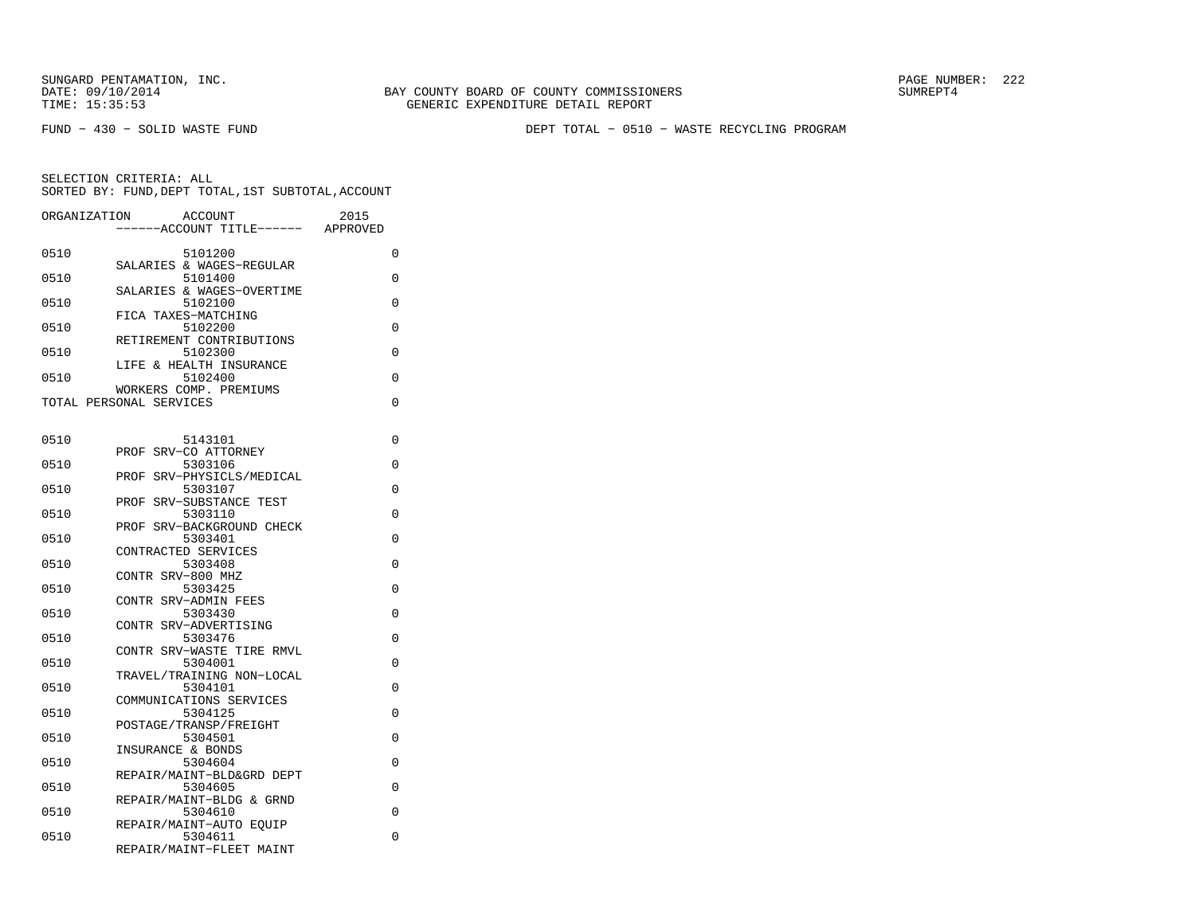FUND − 430 − SOLID WASTE FUND DEPT TOTAL − 0510 − WASTE RECYCLING PROGRAM

| ORGANIZATION | ACCOUNT<br>--ACCOUNT TITLE------                  | 2015<br>APPROVED |
|--------------|---------------------------------------------------|------------------|
| 0510         | 5101200                                           | 0                |
| 0510         | SALARIES & WAGES-REGULAR<br>5101400               | 0                |
| 0510         | SALARIES & WAGES-OVERTIME<br>5102100              | $\Omega$         |
| 0510         | FICA TAXES-MATCHING<br>5102200                    | 0                |
| 0510         | RETIREMENT CONTRIBUTIONS<br>5102300               | 0                |
| 0510         | LIFE & HEALTH INSURANCE<br>5102400                | 0                |
|              | WORKERS COMP. PREMIUMS<br>TOTAL PERSONAL SERVICES | 0                |
|              |                                                   |                  |
| 0510         | 5143101                                           | 0                |
| 0510         | SRV-CO ATTORNEY<br>PROF<br>5303106                | 0                |
| 0510         | PROF SRV-PHYSICLS/MEDICAL<br>5303107              | 0                |
| 0510         | SRV-SUBSTANCE TEST<br>PROF<br>5303110             | 0                |
| 0510         | PROF SRV-BACKGROUND CHECK<br>5303401              | 0                |
| 0510         | CONTRACTED SERVICES<br>5303408                    | 0                |
| 0510         | CONTR SRV-800 MHZ<br>5303425                      | 0                |
|              | CONTR SRV-ADMIN FEES                              |                  |
| 0510         | 5303430<br>CONTR SRV-ADVERTISING                  | 0                |
| 0510         | 5303476<br>CONTR SRV-WASTE TIRE RMVL              | 0                |
| 0510         | 5304001<br>TRAVEL/TRAINING NON-LOCAL              | 0                |
| 0510         | 5304101<br>COMMUNICATIONS SERVICES                | 0                |
| 0510         | 5304125<br>POSTAGE/TRANSP/FREIGHT                 | $\Omega$         |
| 0510         | 5304501<br>INSURANCE & BONDS                      | 0                |
| 0510         | 5304604                                           | 0                |
| 0510         | REPAIR/MAINT-BLD&GRD DEPT<br>5304605              | 0                |
| 0510         | REPAIR/MAINT-BLDG & GRND<br>5304610               | 0                |
| 0510         | REPAIR/MAINT-AUTO EQUIP<br>5304611                | 0                |
|              | REPAIR/MAINT-FLEET MAINT                          |                  |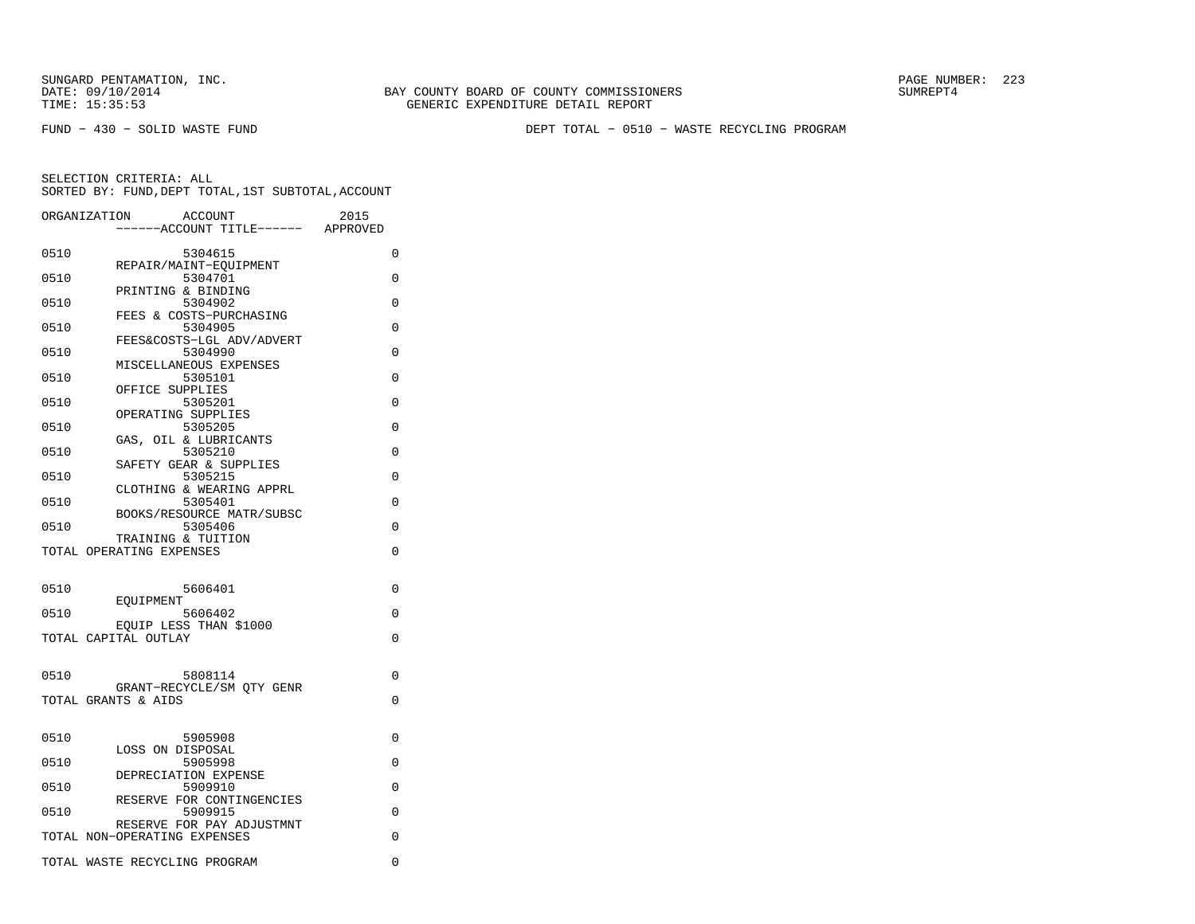SUNGARD PENTAMATION, INC.<br>
DATE: 09/10/2014 SUMREPT4

FUND − 430 − SOLID WASTE FUND DEPT TOTAL − 0510 − WASTE RECYCLING PROGRAM

|      | <b>ACCOUNT</b><br>ORGANIZATION       | 2015        |
|------|--------------------------------------|-------------|
|      | ----ACCOUNT TITLE------              | APPROVED    |
| 0510 | 5304615                              | 0           |
|      | REPAIR/MAINT-EOUIPMENT               |             |
| 0510 | 5304701<br>PRINTING & BINDING        | 0           |
| 0510 | 5304902                              | $\Omega$    |
|      | FEES & COSTS-PURCHASING              |             |
| 0510 | 5304905<br>FEES&COSTS-LGL ADV/ADVERT | $\Omega$    |
| 0510 | 5304990                              | 0           |
|      | MISCELLANEOUS EXPENSES               |             |
| 0510 | 5305101<br>OFFICE SUPPLIES           | 0           |
| 0510 | 5305201                              | 0           |
|      | OPERATING SUPPLIES                   |             |
| 0510 | 5305205                              | $\Omega$    |
| 0510 | GAS, OIL & LUBRICANTS<br>5305210     | 0           |
|      | SAFETY GEAR & SUPPLIES               |             |
| 0510 | 5305215                              | 0           |
|      | CLOTHING & WEARING APPRL             |             |
| 0510 | 5305401<br>BOOKS/RESOURCE MATR/SUBSC | 0           |
| 0510 | 5305406                              | $\Omega$    |
|      | TRAINING & TUITION                   |             |
|      | TOTAL OPERATING EXPENSES             | $\Omega$    |
|      |                                      |             |
| 0510 | 5606401                              | 0           |
|      | EOUIPMENT                            |             |
| 0510 | 5606402<br>EOUIP LESS THAN \$1000    | $\Omega$    |
|      | TOTAL CAPITAL OUTLAY                 | 0           |
|      |                                      |             |
| 0510 | 5808114                              | $\Omega$    |
|      | GRANT-RECYCLE/SM OTY GENR            |             |
|      | TOTAL GRANTS & AIDS                  | 0           |
|      |                                      |             |
| 0510 | 5905908                              | 0           |
|      | LOSS ON DISPOSAL                     |             |
| 0510 | 5905998                              | 0           |
|      | DEPRECIATION EXPENSE                 |             |
| 0510 | 5909910<br>RESERVE FOR CONTINGENCIES | $\Omega$    |
| 0510 | 5909915                              | 0           |
|      | RESERVE FOR PAY ADJUSTMNT            |             |
|      | TOTAL NON-OPERATING EXPENSES         | 0           |
|      | TOTAL WASTE RECYCLING PROGRAM        | $\mathbf 0$ |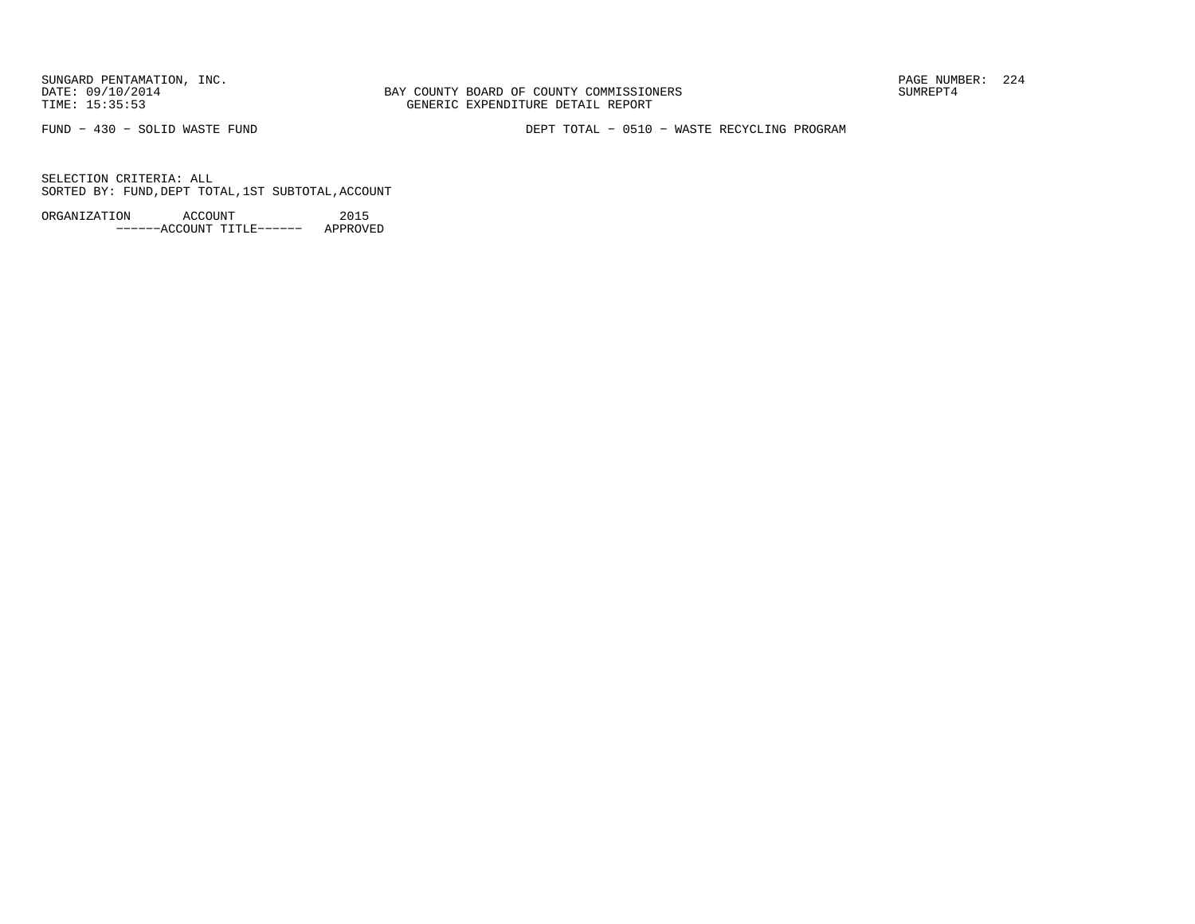BAY COUNTY BOARD OF COUNTY COMMISSIONERS TIME: 15:35:53 GENERIC EXPENDITURE DETAIL REPORT

FUND − 430 − SOLID WASTE FUND DEPT TOTAL − 0510 − WASTE RECYCLING PROGRAM

SELECTION CRITERIA: ALLSORTED BY: FUND,DEPT TOTAL,1ST SUBTOTAL,ACCOUNT

ORGANIZATION ACCOUNT 2015−−−−−−ACCOUNT TITLE−−−−−− APPROVED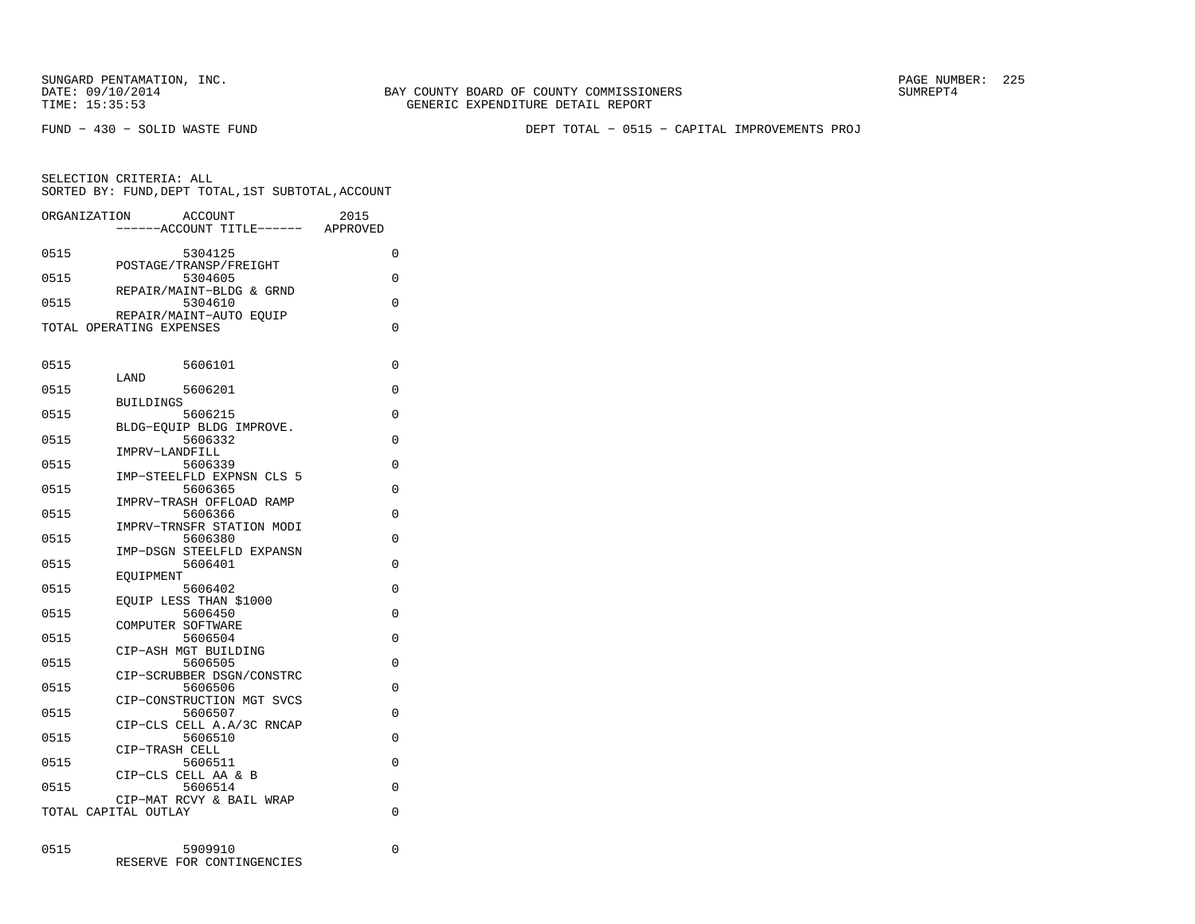SUNGARD PENTAMATION, INC.<br>
DATE: 09/10/2014 SUMRER: 225

BAY COUNTY BOARD OF COUNTY COMMISSIONERS TIME: 15:35:53 GENERIC EXPENDITURE DETAIL REPORT

FUND − 430 − SOLID WASTE FUND DEPT TOTAL − 0515 − CAPITAL IMPROVEMENTS PROJ

| ORGANIZATION |                          | ACCOUNT                              | 2015     |
|--------------|--------------------------|--------------------------------------|----------|
|              |                          | -----ACCOUNT TITLE------             | APPROVED |
| 0515         |                          | 5304125                              | 0        |
|              |                          | POSTAGE/TRANSP/FREIGHT               |          |
| 0515         |                          | 5304605                              | 0        |
| 0515         |                          | REPAIR/MAINT-BLDG & GRND<br>5304610  | 0        |
|              |                          | REPAIR/MAINT-AUTO EOUIP              |          |
|              | TOTAL OPERATING EXPENSES |                                      | $\Omega$ |
|              |                          |                                      |          |
| 0515         |                          | 5606101                              | 0        |
|              | LAND                     |                                      |          |
| 0515         |                          | 5606201                              | 0        |
|              | <b>BUILDINGS</b>         |                                      |          |
| 0515         |                          | 5606215                              | 0        |
| 0515         |                          | BLDG-EOUIP BLDG IMPROVE.<br>5606332  | $\Omega$ |
|              | IMPRV-LANDFILL           |                                      |          |
| 0515         |                          | 5606339                              | 0        |
|              |                          | IMP-STEELFLD EXPNSN CLS 5            |          |
| 0515         |                          | 5606365                              | 0        |
|              |                          | IMPRV-TRASH OFFLOAD RAMP             |          |
| 0515         |                          | 5606366                              | $\Omega$ |
|              |                          | IMPRV-TRNSFR STATION MODI            |          |
| 0515         |                          | 5606380<br>IMP-DSGN STEELFLD EXPANSN | 0        |
| 0515         |                          | 5606401                              | 0        |
|              | EOUIPMENT                |                                      |          |
| 0515         |                          | 5606402                              | 0        |
|              |                          | EOUIP LESS THAN \$1000               |          |
| 0515         |                          | 5606450                              | 0        |
| 0515         |                          | COMPUTER SOFTWARE<br>5606504         | $\Omega$ |
|              |                          | CIP-ASH MGT BUILDING                 |          |
| 0515         |                          | 5606505                              | 0        |
|              |                          | CIP-SCRUBBER DSGN/CONSTRC            |          |
| 0515         |                          | 5606506                              | 0        |
|              |                          | CIP-CONSTRUCTION MGT SVCS            |          |
| 0515         |                          | 5606507<br>CIP-CLS CELL A.A/3C RNCAP | 0        |
| 0515         |                          | 5606510                              | $\Omega$ |
|              | CIP-TRASH CELL           |                                      |          |
| 0515         |                          | 5606511                              | 0        |
|              |                          | CIP-CLS CELL AA & B                  |          |
| 0515         |                          | 5606514                              | $\Omega$ |
|              |                          | CIP-MAT RCVY & BAIL WRAP             |          |
|              | TOTAL CAPITAL OUTLAY     |                                      | 0        |
|              |                          |                                      |          |
| 0515         |                          | 5909910                              | 0        |
|              |                          | RESERVE FOR CONTINGENCIES            |          |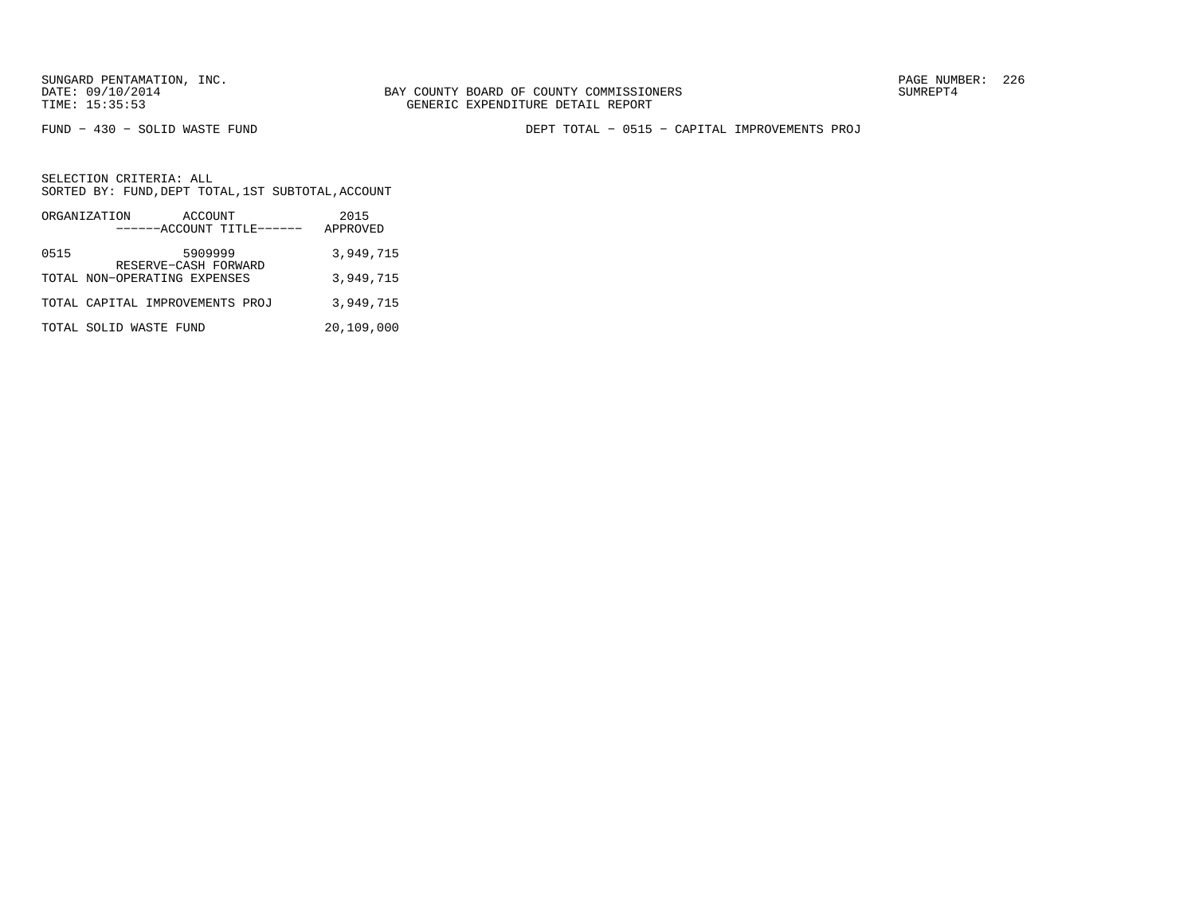FUND − 430 − SOLID WASTE FUND DEPT TOTAL − 0515 − CAPITAL IMPROVEMENTS PROJ

| ORGANIZATION                 | ACCOUNT<br>------ACCOUNT TITLE------ | 2015<br>APPROVED |
|------------------------------|--------------------------------------|------------------|
| 0515                         | 5909999<br>RESERVE-CASH FORWARD      | 3,949,715        |
| TOTAL NON-OPERATING EXPENSES |                                      | 3,949,715        |
|                              | TOTAL CAPITAL IMPROVEMENTS PROJ      | 3,949,715        |
| TOTAL SOLID WASTE FUND       |                                      | 20,109,000       |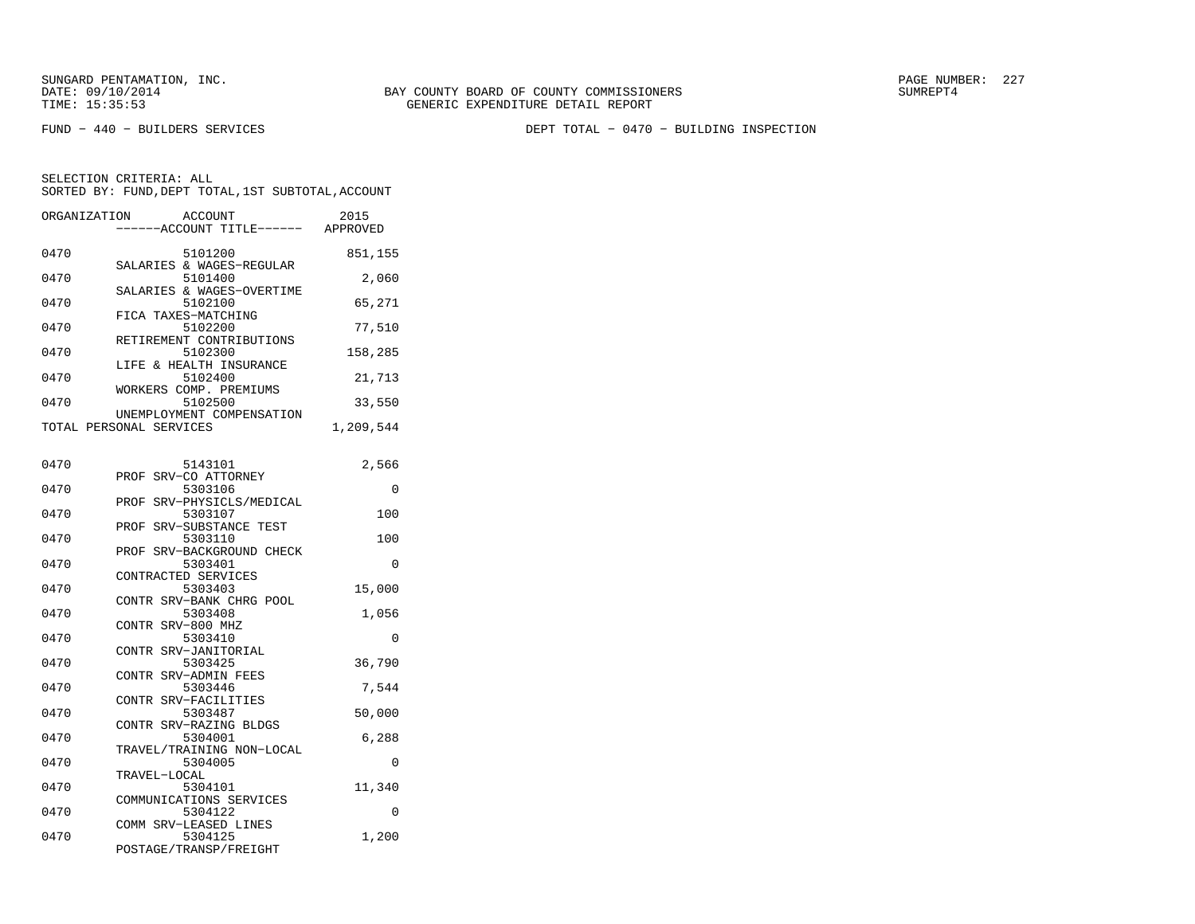FUND − 440 − BUILDERS SERVICES DEPT TOTAL − 0470 − BUILDING INSPECTION

| ORGANIZATION | <b>ACCOUNT</b><br>---ACCOUNT TITLE------ APPROVED    | 2015      |
|--------------|------------------------------------------------------|-----------|
| 0470         | 5101200<br>SALARIES & WAGES-REGULAR                  | 851,155   |
| 0470         | 5101400                                              | 2,060     |
| 0470         | SALARIES & WAGES-OVERTIME<br>5102100                 | 65,271    |
| 0470         | FICA TAXES-MATCHING<br>5102200                       | 77,510    |
| 0470         | RETIREMENT CONTRIBUTIONS<br>5102300                  | 158,285   |
| 0470         | LIFE & HEALTH INSURANCE<br>5102400                   | 21,713    |
| 0470         | WORKERS COMP. PREMIUMS<br>5102500                    | 33,550    |
|              | UNEMPLOYMENT COMPENSATION<br>TOTAL PERSONAL SERVICES | 1,209,544 |
|              |                                                      |           |
| 0470         | 5143101<br>SRV-CO ATTORNEY<br>PROF                   | 2,566     |
| 0470         | 5303106<br>SRV-PHYSICLS/MEDICAL<br>PROF              | 0         |
| 0470         | 5303107                                              | 100       |
| 0470         | PROF<br>SRV-SUBSTANCE TEST<br>5303110                | 100       |
| 0470         | SRV-BACKGROUND CHECK<br>PROF<br>5303401              | 0         |
| 0470         | CONTRACTED SERVICES<br>5303403                       | 15,000    |
| 0470         | CONTR SRV-BANK CHRG POOL<br>5303408                  | 1,056     |
| 0470         | CONTR SRV-800 MHZ<br>5303410                         | 0         |
| 0470         | CONTR SRV-JANITORIAL<br>5303425                      | 36,790    |
| 0470         | CONTR SRV-ADMIN FEES<br>5303446                      | 7,544     |
| 0470         | CONTR SRV-FACILITIES<br>5303487                      |           |
|              | CONTR SRV-RAZING BLDGS                               | 50,000    |
| 0470         | 5304001<br>TRAVEL/TRAINING NON-LOCAL                 | 6,288     |
| 0470         | 5304005<br>TRAVEL-LOCAL                              | 0         |
| 0470         | 5304101<br>COMMUNICATIONS SERVICES                   | 11,340    |
| 0470         | 5304122<br>COMM SRV-LEASED LINES                     | 0         |
| 0470         | 5304125<br>POSTAGE/TRANSP/FREIGHT                    | 1,200     |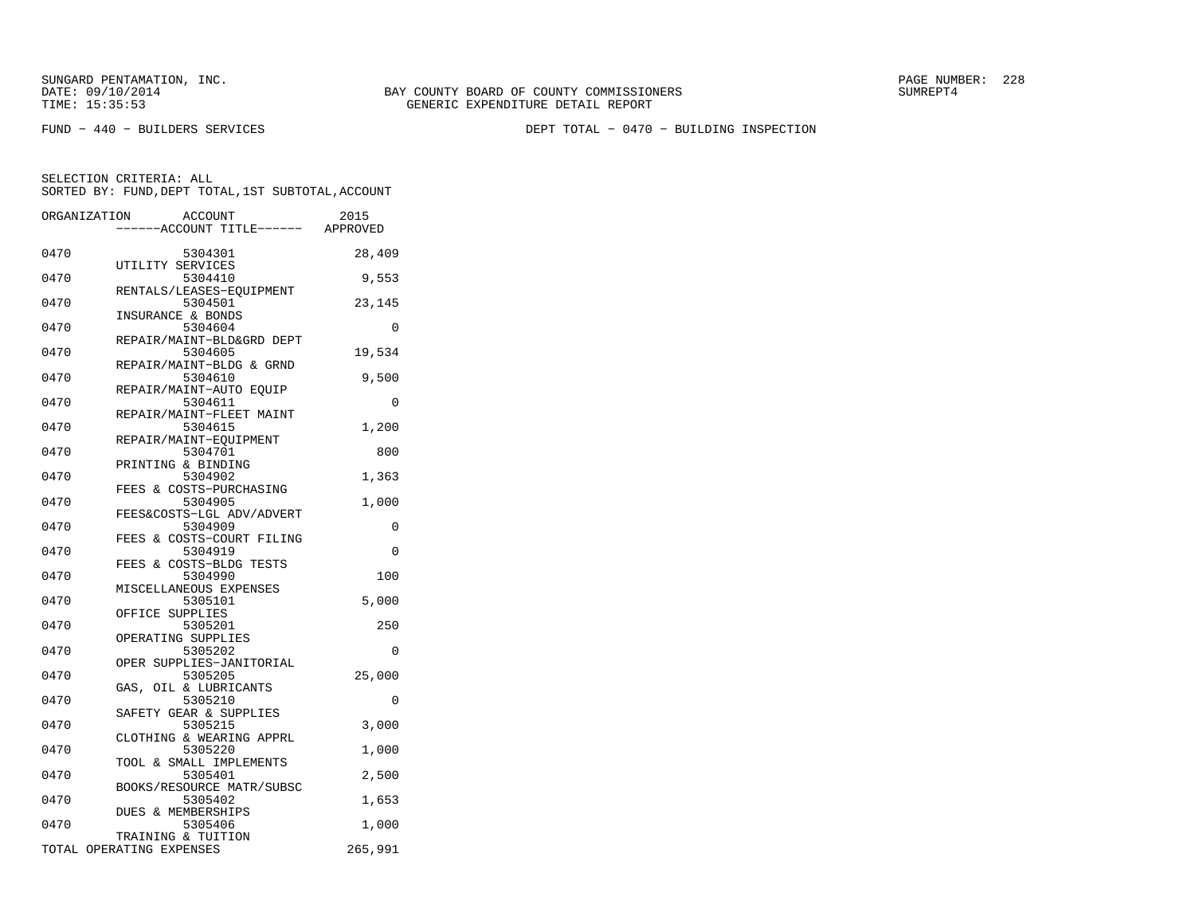SUNGARD PENTAMATION, INC.<br>DATE: 09/10/2014 SUMRER: 228

FUND − 440 − BUILDERS SERVICES DEPT TOTAL − 0470 − BUILDING INSPECTION

|      | ORGANIZATION<br><b>ACCOUNT</b><br>----ACCOUNT TITLE------ APPROVED | 2015     |
|------|--------------------------------------------------------------------|----------|
| 0470 | 5304301                                                            | 28,409   |
| 0470 | UTILITY SERVICES<br>5304410                                        | 9,553    |
| 0470 | RENTALS/LEASES-EOUIPMENT<br>5304501<br>INSURANCE & BONDS           | 23,145   |
| 0470 | 5304604<br>REPAIR/MAINT-BLD&GRD DEPT                               | $\Omega$ |
| 0470 | 5304605<br>REPAIR/MAINT-BLDG & GRND                                | 19,534   |
| 0470 | 5304610<br>REPAIR/MAINT-AUTO EQUIP                                 | 9,500    |
| 0470 | 5304611<br>REPAIR/MAINT-FLEET MAINT                                | 0        |
| 0470 | 5304615<br>REPAIR/MAINT-EQUIPMENT                                  | 1,200    |
| 0470 | 5304701<br>PRINTING & BINDING                                      | 800      |
| 0470 | 5304902<br>FEES & COSTS-PURCHASING                                 | 1,363    |
| 0470 | 5304905<br>FEES&COSTS-LGL ADV/ADVERT                               | 1,000    |
| 0470 | 5304909<br>FEES & COSTS-COURT FILING                               | 0        |
| 0470 | 5304919<br>FEES & COSTS-BLDG TESTS                                 | 0        |
| 0470 | 5304990<br>MISCELLANEOUS EXPENSES                                  | 100      |
| 0470 | 5305101<br>OFFICE SUPPLIES                                         | 5,000    |
| 0470 | 5305201<br>OPERATING SUPPLIES                                      | 250      |
| 0470 | 5305202<br>OPER SUPPLIES-JANITORIAL                                | $\Omega$ |
| 0470 | 5305205<br>GAS, OIL & LUBRICANTS                                   | 25,000   |
| 0470 | 5305210<br>SAFETY GEAR & SUPPLIES                                  | 0        |
| 0470 | 5305215<br>CLOTHING & WEARING APPRL                                | 3,000    |
| 0470 | 5305220<br>TOOL & SMALL IMPLEMENTS                                 | 1,000    |
| 0470 | 5305401<br>BOOKS/RESOURCE MATR/SUBSC                               | 2,500    |
| 0470 | 5305402<br>DUES & MEMBERSHIPS                                      | 1,653    |
| 0470 | 5305406<br>TRAINING & TUITION                                      | 1,000    |
|      | TOTAL OPERATING EXPENSES                                           | 265,991  |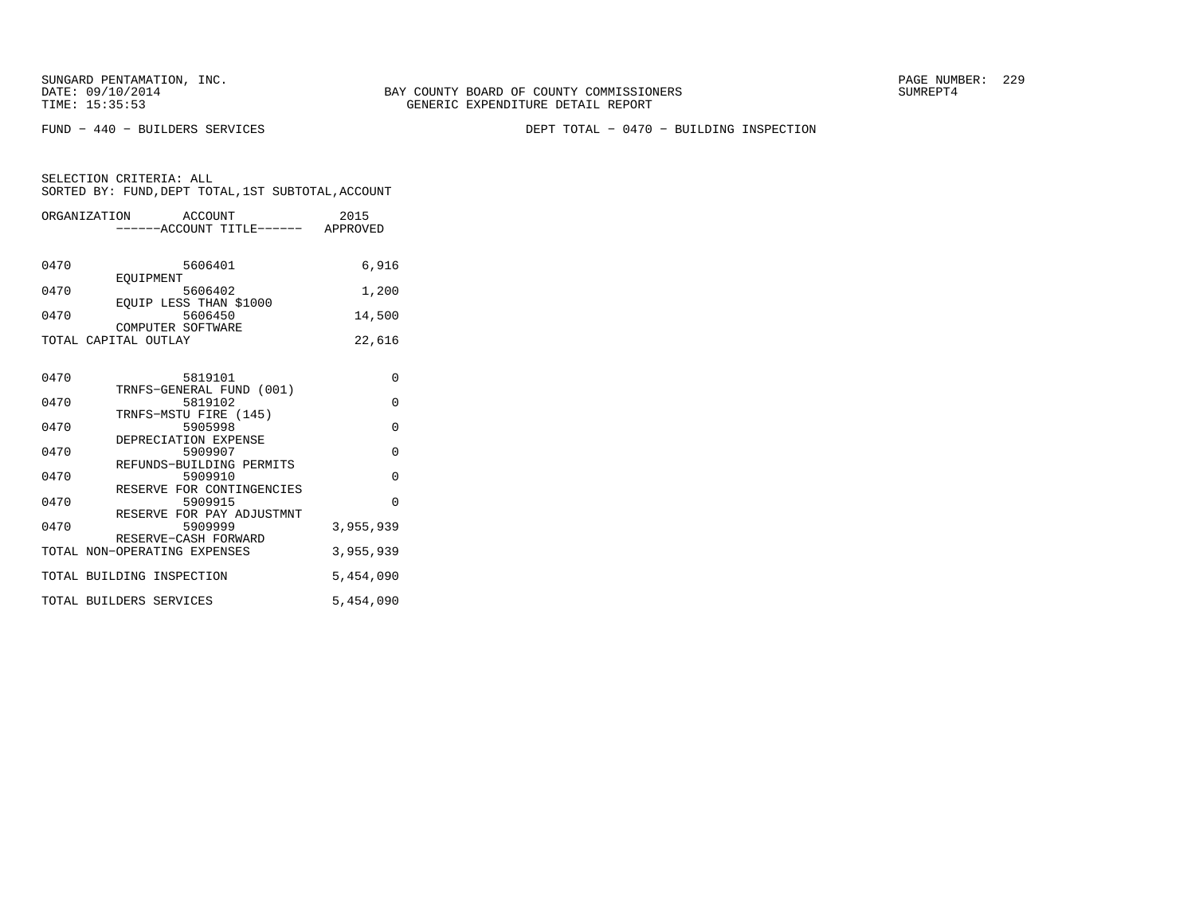SUNGARD PENTAMATION, INC.<br>DATE: 09/10/2014 SUMRER: 229 BAY COUNTY BOARD OF COUNTY COMMISSIONERS

FUND − 440 − BUILDERS SERVICES DEPT TOTAL − 0470 − BUILDING INSPECTION

|      | ORGANIZATION ACCOUNT         |                                   | 2015      |
|------|------------------------------|-----------------------------------|-----------|
|      |                              | -----ACCOUNT TITLE------ APPROVED |           |
|      |                              |                                   |           |
| 0470 |                              | 5606401                           | 6,916     |
|      | EOUIPMENT                    |                                   |           |
| 0470 |                              | 5606402                           | 1,200     |
|      |                              | EQUIP LESS THAN \$1000            |           |
| 0470 |                              | 5606450                           | 14,500    |
|      | COMPUTER SOFTWARE            |                                   |           |
|      | TOTAL CAPITAL OUTLAY         |                                   | 22,616    |
|      |                              |                                   |           |
|      |                              |                                   |           |
| 0470 |                              | 5819101                           | $\Omega$  |
|      |                              | TRNFS-GENERAL FUND (001)          |           |
| 0470 |                              | 5819102                           | $\Omega$  |
| 0470 |                              | TRNFS-MSTU FIRE (145)             | $\Omega$  |
|      | DEPRECIATION EXPENSE         | 5905998                           |           |
| 0470 |                              | 5909907                           | $\Omega$  |
|      |                              | REFUNDS-BUILDING PERMITS          |           |
| 0470 |                              | 5909910                           | $\Omega$  |
|      |                              | RESERVE FOR CONTINGENCIES         |           |
| 0470 |                              | 5909915                           | $\Omega$  |
|      |                              | RESERVE FOR PAY ADJUSTMNT         |           |
| 0470 |                              | 5909999                           | 3,955,939 |
|      | RESERVE-CASH FORWARD         |                                   |           |
|      | TOTAL NON-OPERATING EXPENSES |                                   | 3,955,939 |
|      |                              |                                   |           |
|      | TOTAL BUILDING INSPECTION    |                                   | 5,454,090 |
|      |                              |                                   |           |
|      | TOTAL BUILDERS SERVICES      |                                   | 5,454,090 |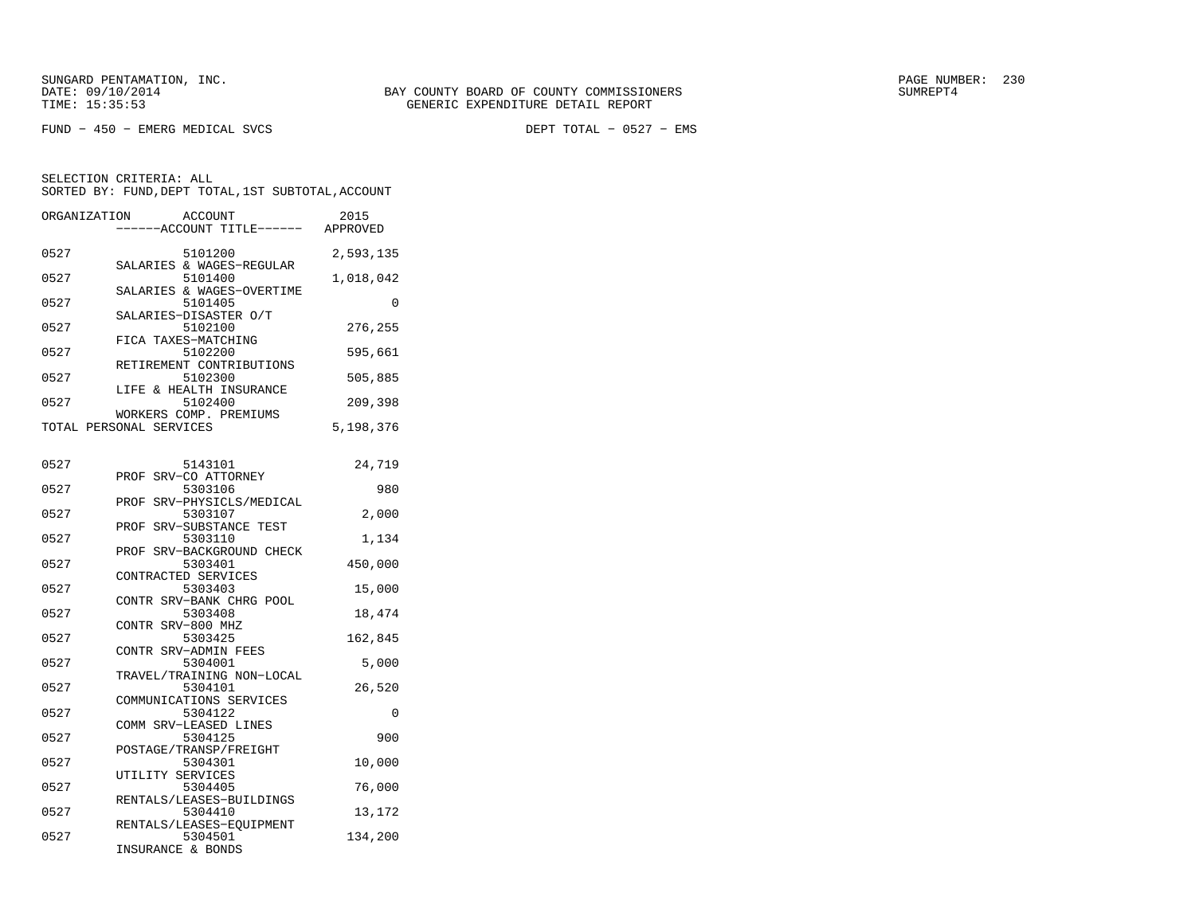FUND − 450 − EMERG MEDICAL SVCS DEPT TOTAL − 0527 − EMS

| ORGANIZATION | ACCOUNT<br>---ACCOUNT TITLE------ APPROVED        | 2015      |
|--------------|---------------------------------------------------|-----------|
| 0527         | 5101200<br>SALARIES & WAGES-REGULAR               | 2,593,135 |
| 0527         | 5101400                                           | 1,018,042 |
| 0527         | SALARIES & WAGES-OVERTIME<br>5101405              | $\Omega$  |
| 0527         | SALARIES-DISASTER O/T<br>5102100                  | 276,255   |
| 0527         | FICA TAXES-MATCHING<br>5102200                    | 595,661   |
| 0527         | RETIREMENT CONTRIBUTIONS<br>5102300               | 505,885   |
| 0527         | LIFE & HEALTH INSURANCE<br>5102400                | 209,398   |
|              | WORKERS COMP. PREMIUMS<br>TOTAL PERSONAL SERVICES | 5,198,376 |
| 0527         | 5143101                                           | 24,719    |
| 0527         | SRV-CO ATTORNEY<br>PROF<br>5303106                | 980       |
| 0527         | SRV-PHYSICLS/MEDICAL<br>PROF<br>5303107           | 2,000     |
| 0527         | SRV-SUBSTANCE TEST<br>PROF<br>5303110             | 1,134     |
|              | PROF SRV-BACKGROUND CHECK                         |           |
| 0527         | 5303401<br>CONTRACTED SERVICES                    | 450,000   |
| 0527         | 5303403<br>CONTR SRV-BANK CHRG POOL               | 15,000    |
| 0527         | 5303408<br>CONTR SRV-800 MHZ                      | 18,474    |
| 0527         | 5303425<br>CONTR SRV-ADMIN FEES                   | 162,845   |
| 0527         | 5304001<br>TRAVEL/TRAINING NON-LOCAL              | 5,000     |
| 0527         | 5304101<br>COMMUNICATIONS SERVICES                | 26,520    |
| 0527         | 5304122<br>COMM SRV-LEASED LINES                  | 0         |
| 0527         | 5304125<br>POSTAGE/TRANSP/FREIGHT                 | 900       |
| 0527         | 5304301<br>UTILITY SERVICES                       | 10,000    |
| 0527         | 5304405<br>RENTALS/LEASES-BUILDINGS               | 76,000    |
| 0527         | 5304410<br>RENTALS/LEASES-EOUIPMENT               | 13,172    |
| 0527         | 5304501<br>INSURANCE & BONDS                      | 134,200   |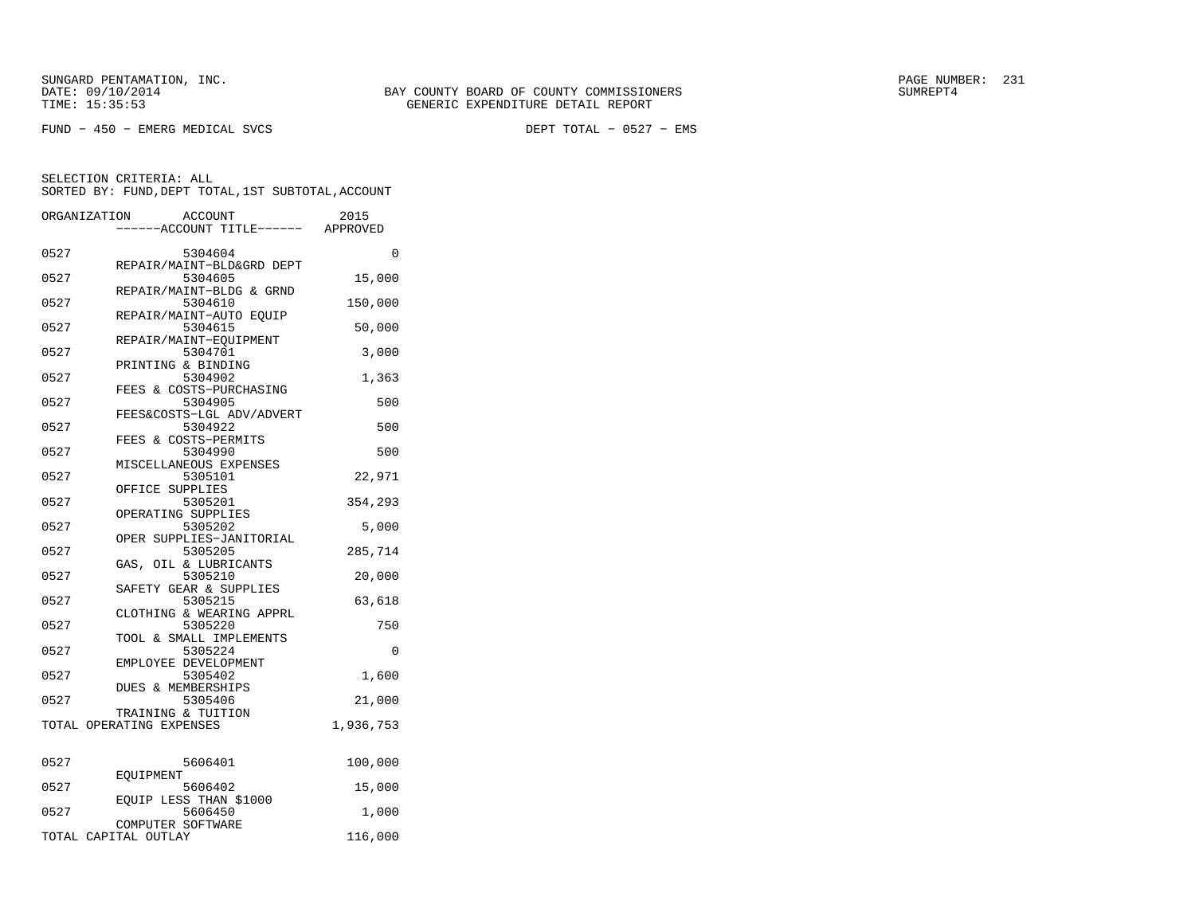FUND − 450 − EMERG MEDICAL SVCS DEPT TOTAL − 0527 − EMS

| ORGANIZATION | ACCOUNT<br>----ACCOUNT TITLE------ APPROVED              | 2015      |
|--------------|----------------------------------------------------------|-----------|
| 0527         | 5304604                                                  | 0         |
| 0527         | REPAIR/MAINT-BLD&GRD DEPT<br>5304605                     | 15,000    |
| 0527         | REPAIR/MAINT-BLDG & GRND<br>5304610                      | 150,000   |
| 0527         | REPAIR/MAINT-AUTO EQUIP<br>5304615                       | 50,000    |
| 0527         | REPAIR/MAINT-EOUIPMENT<br>5304701                        | 3,000     |
| 0527         | PRINTING & BINDING<br>5304902<br>FEES & COSTS-PURCHASING | 1,363     |
| 0527         | 5304905<br>FEES&COSTS-LGL ADV/ADVERT                     | 500       |
| 0527         | 5304922<br>FEES & COSTS-PERMITS                          | 500       |
| 0527         | 5304990<br>MISCELLANEOUS EXPENSES                        | 500       |
| 0527         | 5305101<br>OFFICE SUPPLIES                               | 22,971    |
| 0527         | 5305201<br>OPERATING SUPPLIES                            | 354,293   |
| 0527         | 5305202<br>OPER SUPPLIES-JANITORIAL                      | 5,000     |
| 0527         | 5305205<br>GAS, OIL & LUBRICANTS                         | 285,714   |
| 0527         | 5305210                                                  | 20,000    |
| 0527         | SAFETY GEAR & SUPPLIES<br>5305215                        | 63,618    |
| 0527         | CLOTHING & WEARING APPRL<br>5305220                      | 750       |
| 0527         | TOOL & SMALL IMPLEMENTS<br>5305224                       | 0         |
| 0527         | EMPLOYEE DEVELOPMENT<br>5305402                          | 1,600     |
| 0527         | <b>DUES &amp; MEMBERSHIPS</b><br>5305406                 | 21,000    |
|              | TRAINING & TUITION<br>TOTAL OPERATING EXPENSES           | 1,936,753 |
| 0527         | 5606401                                                  | 100,000   |
| 0527         | EOUIPMENT<br>5606402                                     | 15,000    |
| 0527         | EQUIP LESS THAN \$1000<br>5606450                        | 1,000     |
|              | COMPUTER SOFTWARE<br>TOTAL CAPITAL OUTLAY                | 116,000   |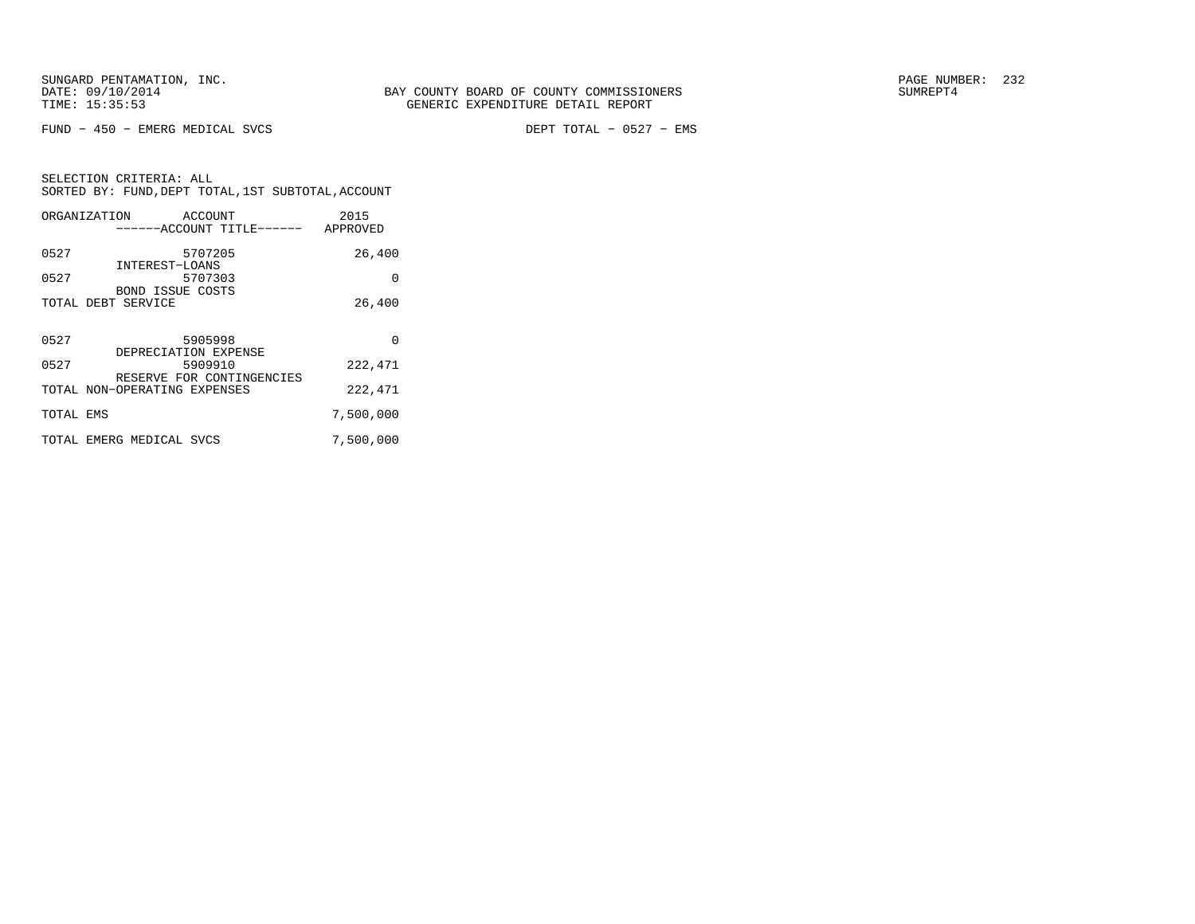FUND − 450 − EMERG MEDICAL SVCS DEPT TOTAL − 0527 − EMS

|           | ORGANIZATION<br>ACCOUNT      | 2015      |
|-----------|------------------------------|-----------|
|           | ------ACCOUNT TITLE------    | APPROVED  |
| 0527      | 5707205                      | 26,400    |
|           | INTEREST-LOANS               |           |
| 0527      | 5707303                      | 0         |
|           | <b>BOND ISSUE COSTS</b>      |           |
|           | TOTAL DEBT SERVICE           | 26,400    |
|           |                              |           |
| 0527      | 5905998                      | $\Omega$  |
|           | DEPRECIATION EXPENSE         |           |
| 0527      | 5909910                      | 222,471   |
|           | RESERVE FOR CONTINGENCIES    |           |
|           | TOTAL NON-OPERATING EXPENSES | 222,471   |
| TOTAL EMS |                              | 7,500,000 |
|           |                              |           |
|           | TOTAL EMERG MEDICAL SVCS     | 7,500,000 |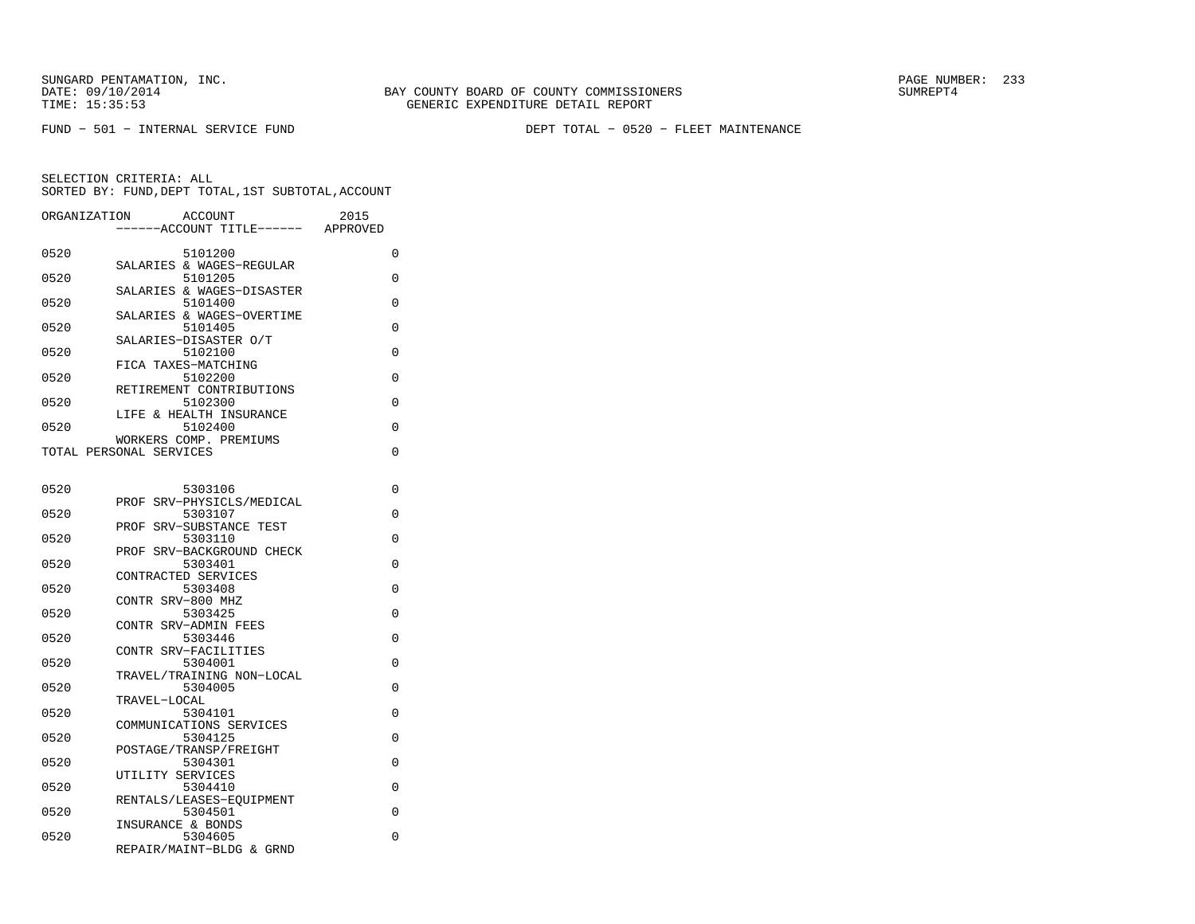FUND − 501 − INTERNAL SERVICE FUND DEPT TOTAL − 0520 − FLEET MAINTENANCE

| ORGANIZATION | ACCOUNT<br>----ACCOUNT TITLE------                      | 2015<br>APPROVED |
|--------------|---------------------------------------------------------|------------------|
| 0520         | 5101200                                                 | 0                |
| 0520         | SALARIES & WAGES-REGULAR<br>5101205                     | 0                |
| 0520         | SALARIES & WAGES-DISASTER<br>5101400                    | 0                |
| 0520         | SALARIES & WAGES-OVERTIME<br>5101405                    | 0                |
| 0520         | SALARIES-DISASTER O/T<br>5102100<br>FICA TAXES-MATCHING | 0                |
| 0520         | 5102200<br>RETIREMENT CONTRIBUTIONS                     | 0                |
| 0520         | 5102300<br>LIFE & HEALTH INSURANCE                      | $\Omega$         |
| 0520         | 5102400<br>WORKERS COMP. PREMIUMS                       | 0                |
|              | TOTAL PERSONAL SERVICES                                 | 0                |
| 0520         | 5303106                                                 | 0                |
| 0520         | PROF SRV-PHYSICLS/MEDICAL<br>5303107                    | 0                |
| 0520         | PROF SRV-SUBSTANCE TEST<br>5303110                      | $\Omega$         |
| 0520         | PROF SRV-BACKGROUND CHECK<br>5303401                    | 0                |
| 0520         | CONTRACTED SERVICES<br>5303408                          | 0                |
| 0520         | CONTR SRV-800 MHZ<br>5303425                            | 0                |
| 0520         | CONTR SRV-ADMIN FEES<br>5303446                         | 0                |
| 0520         | CONTR SRV-FACILITIES<br>5304001                         | 0                |
| 0520         | TRAVEL/TRAINING NON-LOCAL<br>5304005                    | 0                |
| 0520         | TRAVEL-LOCAL<br>5304101<br>COMMUNICATIONS SERVICES      | 0                |
| 0520         | 5304125<br>POSTAGE/TRANSP/FREIGHT                       | 0                |
| 0520         | 5304301<br>UTILITY SERVICES                             | $\Omega$         |
| 0520         | 5304410<br>RENTALS/LEASES-EOUIPMENT                     | $\Omega$         |
| 0520         | 5304501<br>INSURANCE & BONDS                            | 0                |
| 0520         | 5304605<br>REPAIR/MAINT-BLDG & GRND                     | 0                |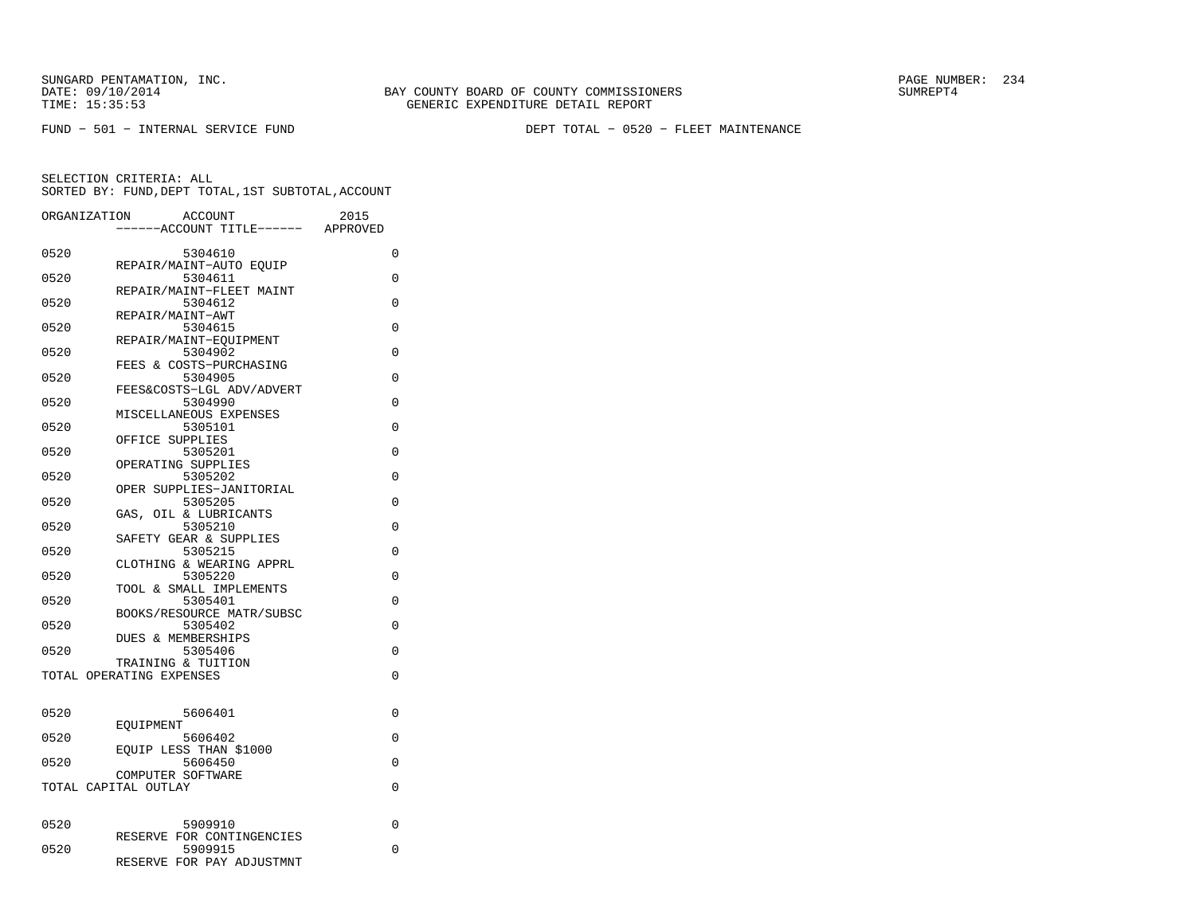FUND − 501 − INTERNAL SERVICE FUND DEPT TOTAL − 0520 − FLEET MAINTENANCE

| ORGANIZATION | <b>ACCOUNT</b>                                 | 2015     |   |
|--------------|------------------------------------------------|----------|---|
|              | ---ACCOUNT TITLE------                         | APPROVED |   |
| 0520         | 5304610                                        | 0        |   |
| 0520         | REPAIR/MAINT-AUTO EQUIP                        | $\Omega$ |   |
|              | 5304611<br>REPAIR/MAINT-FLEET MAINT            |          |   |
| 0520         | 5304612                                        | $\Omega$ |   |
|              | REPAIR/MAINT-AWT                               |          |   |
| 0520         | 5304615<br>REPAIR/MAINT-EOUIPMENT              | 0        |   |
| 0520         | 5304902                                        | 0        |   |
|              | FEES & COSTS-PURCHASING                        |          |   |
| 0520         | 5304905<br>FEES&COSTS-LGL ADV/ADVERT           | 0        |   |
| 0520         | 5304990                                        | 0        |   |
|              | MISCELLANEOUS EXPENSES                         |          |   |
| 0520         | 5305101<br>OFFICE SUPPLIES                     | 0        |   |
| 0520         | 5305201                                        | $\Omega$ |   |
|              | OPERATING SUPPLIES                             |          |   |
| 0520         | 5305202                                        | $\Omega$ |   |
| 0520         | OPER SUPPLIES-JANITORIAL<br>5305205            | $\Omega$ |   |
|              | OIL & LUBRICANTS<br>GAS,                       |          |   |
| 0520         | 5305210                                        | 0        |   |
|              | SAFETY GEAR & SUPPLIES                         |          |   |
| 0520         | 5305215<br>CLOTHING & WEARING APPRL            | 0        |   |
| 0520         | 5305220                                        | $\Omega$ |   |
|              | TOOL & SMALL IMPLEMENTS                        |          |   |
| 0520         | 5305401<br>BOOKS/RESOURCE MATR/SUBSC           | 0        |   |
| 0520         | 5305402                                        | 0        |   |
|              | <b>DUES &amp; MEMBERSHIPS</b>                  |          |   |
| 0520         | 5305406                                        | 0        |   |
|              | TRAINING & TUITION<br>TOTAL OPERATING EXPENSES | 0        |   |
|              |                                                |          |   |
|              |                                                |          |   |
| 0520         | 5606401<br>EOUIPMENT                           | 0        |   |
| 0520         | 5606402                                        | $\Omega$ |   |
|              | EOUIP LESS THAN \$1000                         |          |   |
| 0520         | 5606450                                        | 0        |   |
|              | COMPUTER SOFTWARE<br>TOTAL CAPITAL OUTLAY      | 0        |   |
|              |                                                |          |   |
|              |                                                |          |   |
| 0520         | 5909910<br>RESERVE FOR CONTINGENCIES           |          | 0 |
| 0520         | 5909915                                        | 0        |   |
|              | RESERVE FOR PAY ADJUSTMNT                      |          |   |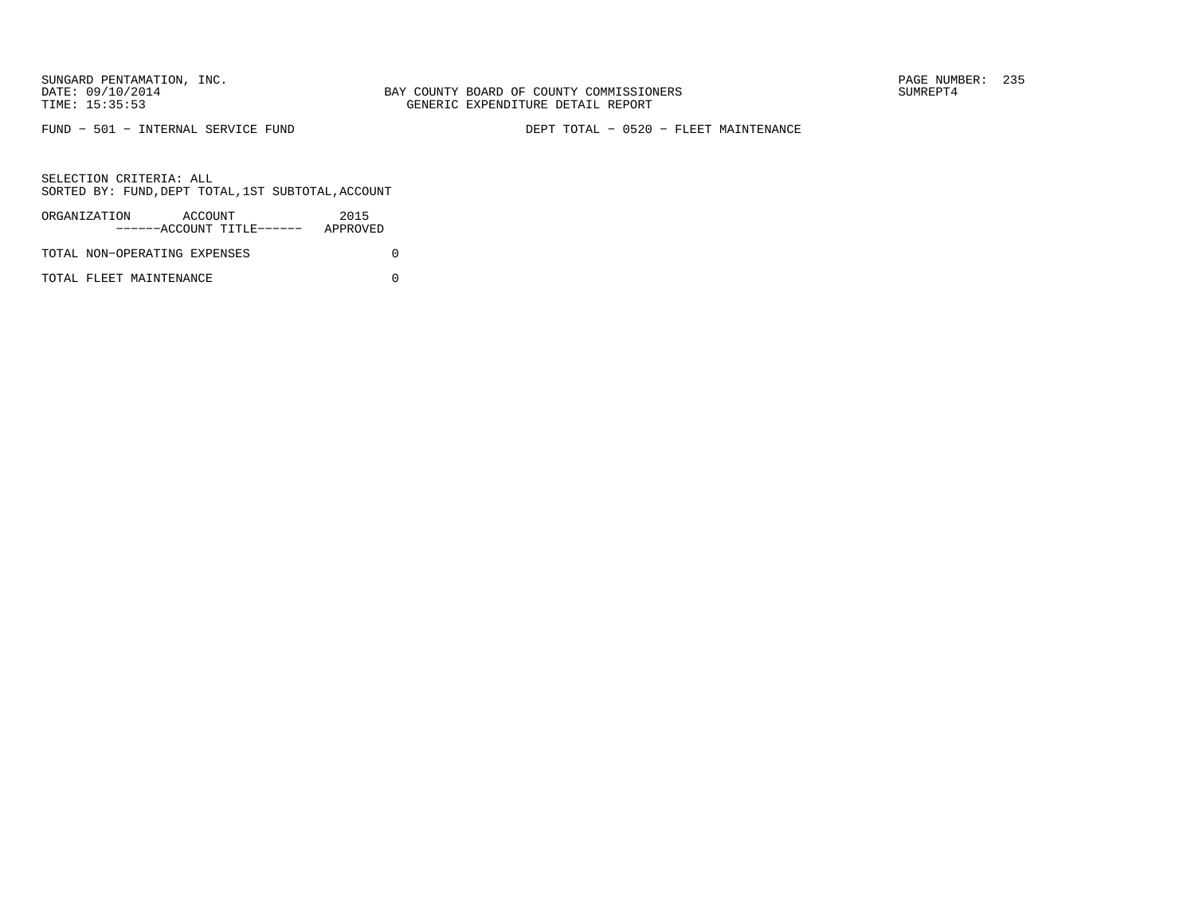FUND − 501 − INTERNAL SERVICE FUND DEPT TOTAL − 0520 − FLEET MAINTENANCE

SELECTION CRITERIA: ALLSORTED BY: FUND,DEPT TOTAL,1ST SUBTOTAL,ACCOUNT

| ORGANIZATION                 | ACCOUNT |                           | 2015     |  |
|------------------------------|---------|---------------------------|----------|--|
|                              |         | ------ACCOUNT TITLE------ | APPROVED |  |
| TOTAL NON-OPERATING EXPENSES |         |                           |          |  |

TOTAL FLEET MAINTENANCE 0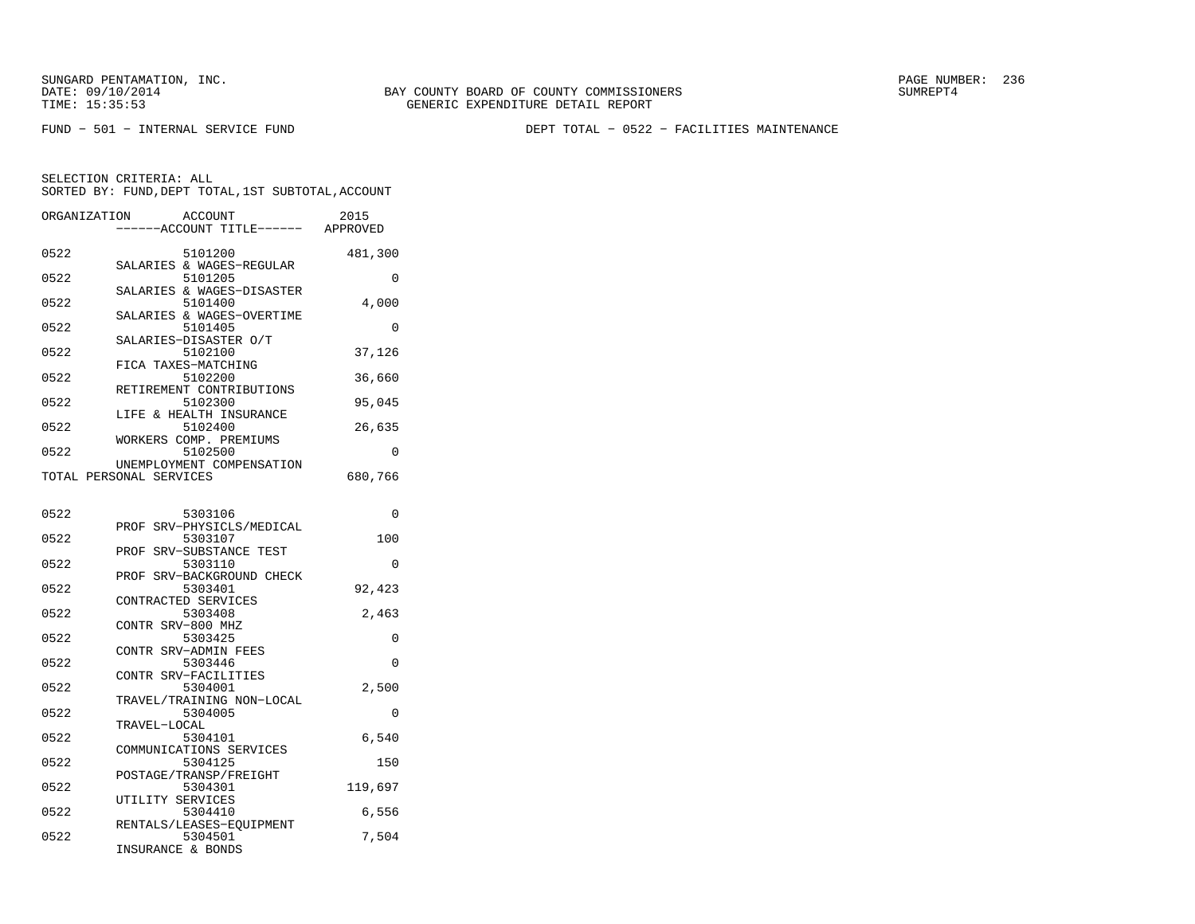FUND − 501 − INTERNAL SERVICE FUND DEPT TOTAL − 0522 − FACILITIES MAINTENANCE

| ORGANIZATION | <b>ACCOUNT</b><br>----ACCOUNT TITLE------ APPROVED   | 2015     |
|--------------|------------------------------------------------------|----------|
| 0522         | 5101200<br>SALARIES & WAGES-REGULAR                  | 481,300  |
| 0522         | 5101205                                              | 0        |
| 0522         | SALARIES & WAGES-DISASTER<br>5101400                 | 4,000    |
| 0522         | SALARIES & WAGES-OVERTIME<br>5101405                 | 0        |
| 0522         | SALARIES-DISASTER O/T<br>5102100                     | 37,126   |
| 0522         | FICA TAXES-MATCHING<br>5102200                       | 36,660   |
| 0522         | RETIREMENT CONTRIBUTIONS<br>5102300                  | 95,045   |
| 0522         | LIFE & HEALTH INSURANCE<br>5102400                   | 26,635   |
| 0522         | WORKERS COMP. PREMIUMS<br>5102500                    | 0        |
|              | UNEMPLOYMENT COMPENSATION<br>TOTAL PERSONAL SERVICES | 680,766  |
| 0522         | 5303106                                              | 0        |
| 0522         | PROF SRV-PHYSICLS/MEDICAL<br>5303107                 | 100      |
| 0522         | SRV-SUBSTANCE TEST<br>PROF<br>5303110                | 0        |
| 0522         | PROF SRV-BACKGROUND CHECK<br>5303401                 | 92,423   |
| 0522         | CONTRACTED SERVICES<br>5303408                       | 2,463    |
| 0522         | CONTR SRV-800 MHZ<br>5303425                         | $\Omega$ |
| 0522         | CONTR SRV-ADMIN FEES<br>5303446                      | 0        |
| 0522         | CONTR SRV-FACILITIES<br>5304001                      | 2,500    |
| 0522         | TRAVEL/TRAINING NON-LOCAL<br>5304005                 | 0        |
| 0522         | TRAVEL-LOCAL<br>5304101                              | 6,540    |
| 0522         | COMMUNICATIONS SERVICES<br>5304125                   | 150      |
| 0522         | POSTAGE/TRANSP/FREIGHT<br>5304301                    |          |
|              | UTILITY SERVICES                                     | 119,697  |
| 0522         | 5304410<br>RENTALS/LEASES-EOUIPMENT                  | 6,556    |
| 0522         | 5304501<br>INSURANCE & BONDS                         | 7,504    |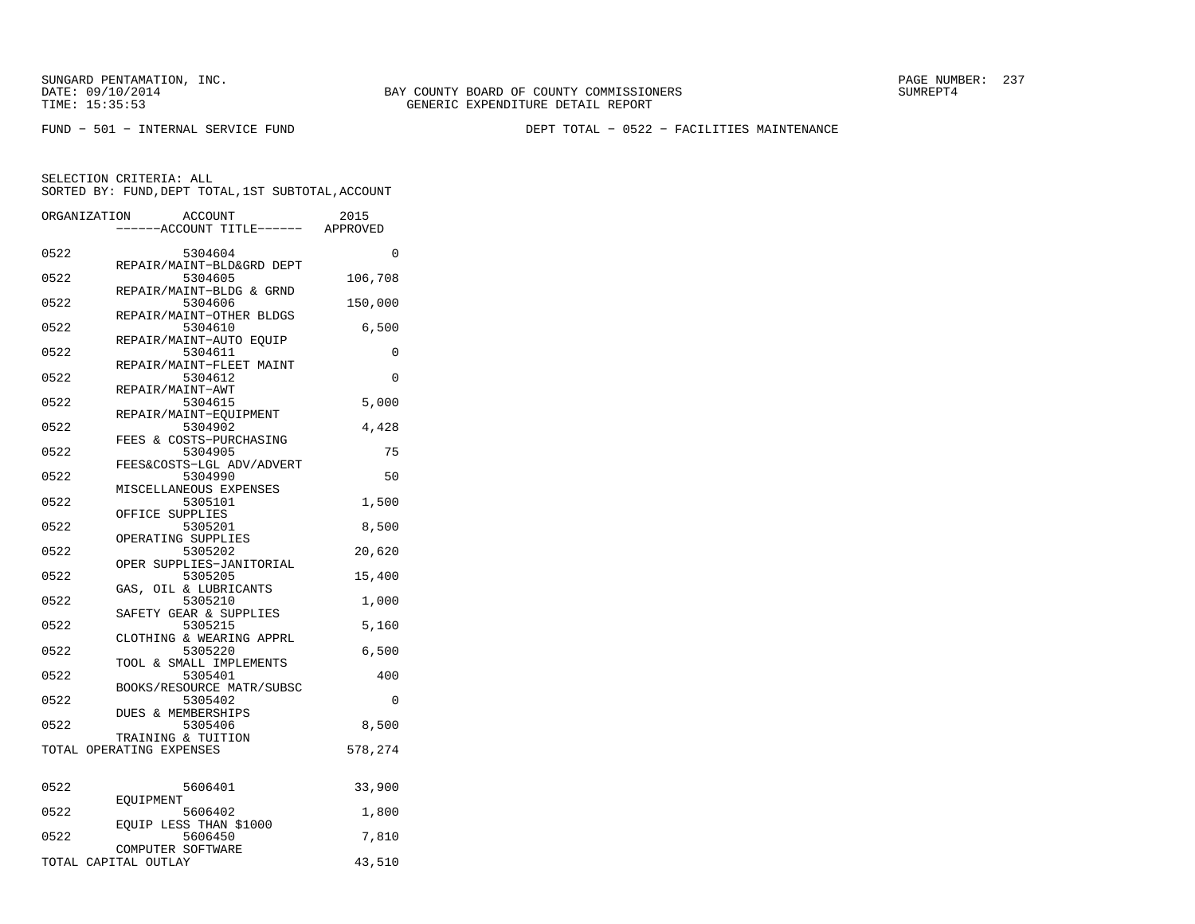FUND − 501 − INTERNAL SERVICE FUND DEPT TOTAL − 0522 − FACILITIES MAINTENANCE

| ORGANIZATION | ACCOUNT<br>----ACCOUNT TITLE------ APPROVED    | 2015     |
|--------------|------------------------------------------------|----------|
| 0522         | 5304604                                        | $\Omega$ |
| 0522         | REPAIR/MAINT-BLD&GRD DEPT<br>5304605           | 106,708  |
| 0522         | REPAIR/MAINT-BLDG & GRND<br>5304606            | 150,000  |
| 0522         | REPAIR/MAINT-OTHER BLDGS<br>5304610            | 6,500    |
| 0522         | REPAIR/MAINT-AUTO EQUIP<br>5304611             | 0        |
| 0522         | REPAIR/MAINT-FLEET MAINT<br>5304612            | $\Omega$ |
| 0522         | REPAIR/MAINT-AWT<br>5304615                    | 5,000    |
| 0522         | REPAIR/MAINT-EQUIPMENT<br>5304902              | 4,428    |
| 0522         | FEES & COSTS-PURCHASING<br>5304905             | 75       |
| 0522         | FEES&COSTS-LGL ADV/ADVERT<br>5304990           | 50       |
| 0522         | MISCELLANEOUS EXPENSES<br>5305101              | 1,500    |
| 0522         | OFFICE SUPPLIES<br>5305201                     | 8,500    |
| 0522         | OPERATING SUPPLIES<br>5305202                  | 20,620   |
| 0522         | OPER SUPPLIES-JANITORIAL<br>5305205            | 15,400   |
| 0522         | GAS, OIL & LUBRICANTS<br>5305210               | 1,000    |
| 0522         | SAFETY GEAR & SUPPLIES<br>5305215              | 5,160    |
| 0522         | CLOTHING & WEARING APPRL<br>5305220            | 6,500    |
| 0522         | TOOL & SMALL IMPLEMENTS<br>5305401             | 400      |
| 0522         | BOOKS/RESOURCE MATR/SUBSC<br>5305402           | $\Omega$ |
| 0522         | <b>DUES &amp; MEMBERSHIPS</b><br>5305406       | 8,500    |
|              | TRAINING & TUITION<br>TOTAL OPERATING EXPENSES | 578,274  |
| 0522         | 5606401                                        | 33,900   |
| 0522         | EQUIPMENT<br>5606402                           | 1,800    |
| 0522         | EQUIP LESS THAN \$1000<br>5606450              | 7,810    |
|              | COMPUTER SOFTWARE<br>TOTAL CAPITAL OUTLAY      | 43,510   |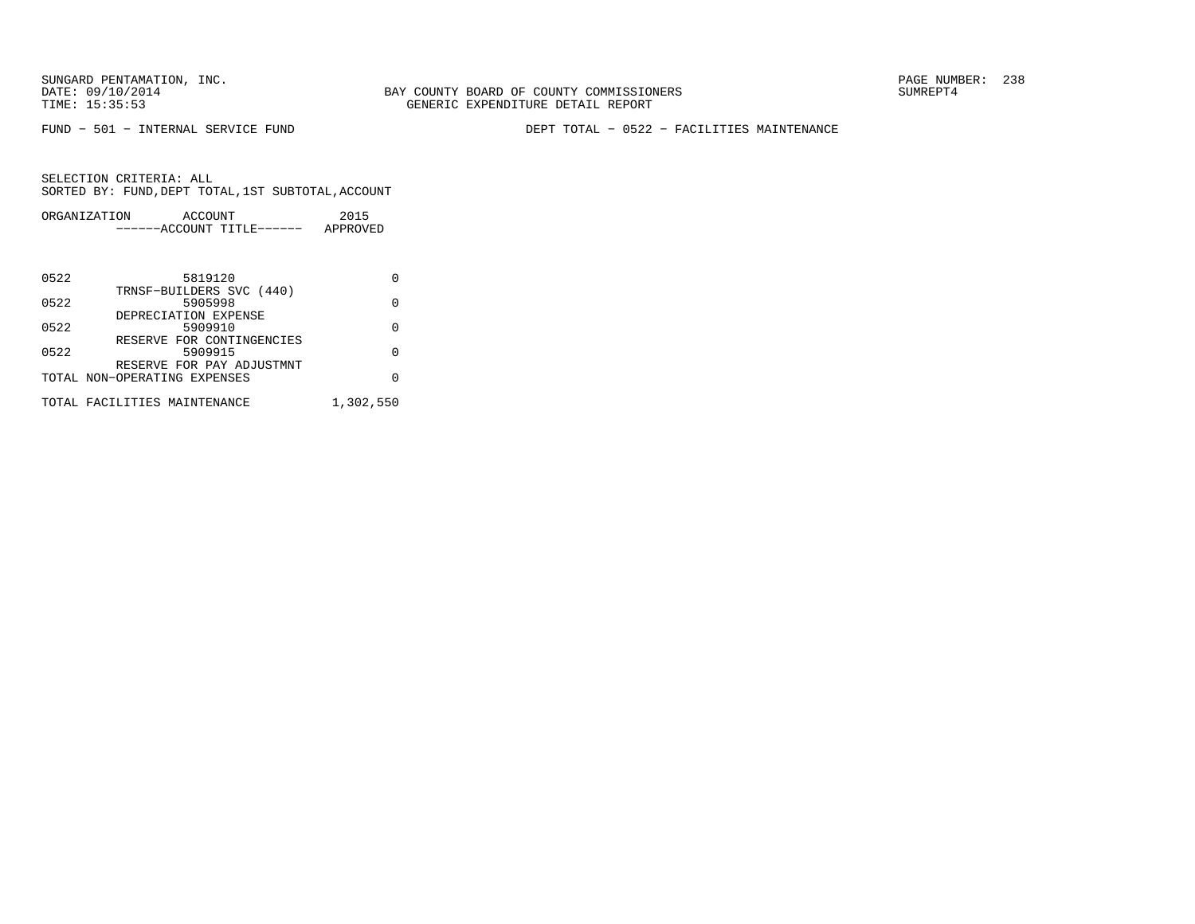SUNGARD PENTAMATION, INC.<br>
DATE: 09/10/2014 SUMRER: 238

FUND − 501 − INTERNAL SERVICE FUND DEPT TOTAL − 0522 − FACILITIES MAINTENANCE

| ORGANIZATION | ACCOUNT |                       | 2015     |
|--------------|---------|-----------------------|----------|
|              |         | $---ACCOUNT TITLE---$ | APPROVED |
|              |         |                       |          |
|              |         |                       |          |

| 5819120                      |           |
|------------------------------|-----------|
| TRNSF-BUILDERS SVC (440)     |           |
| 5905998                      |           |
| DEPRECIATION EXPENSE         |           |
| 5909910                      |           |
| RESERVE FOR CONTINGENCIES    |           |
| 5909915                      |           |
| RESERVE FOR PAY ADJUSTMNT    |           |
| TOTAL NON-OPERATING EXPENSES |           |
|                              |           |
| TOTAL FACILITIES MAINTENANCE | 1,302,550 |
|                              |           |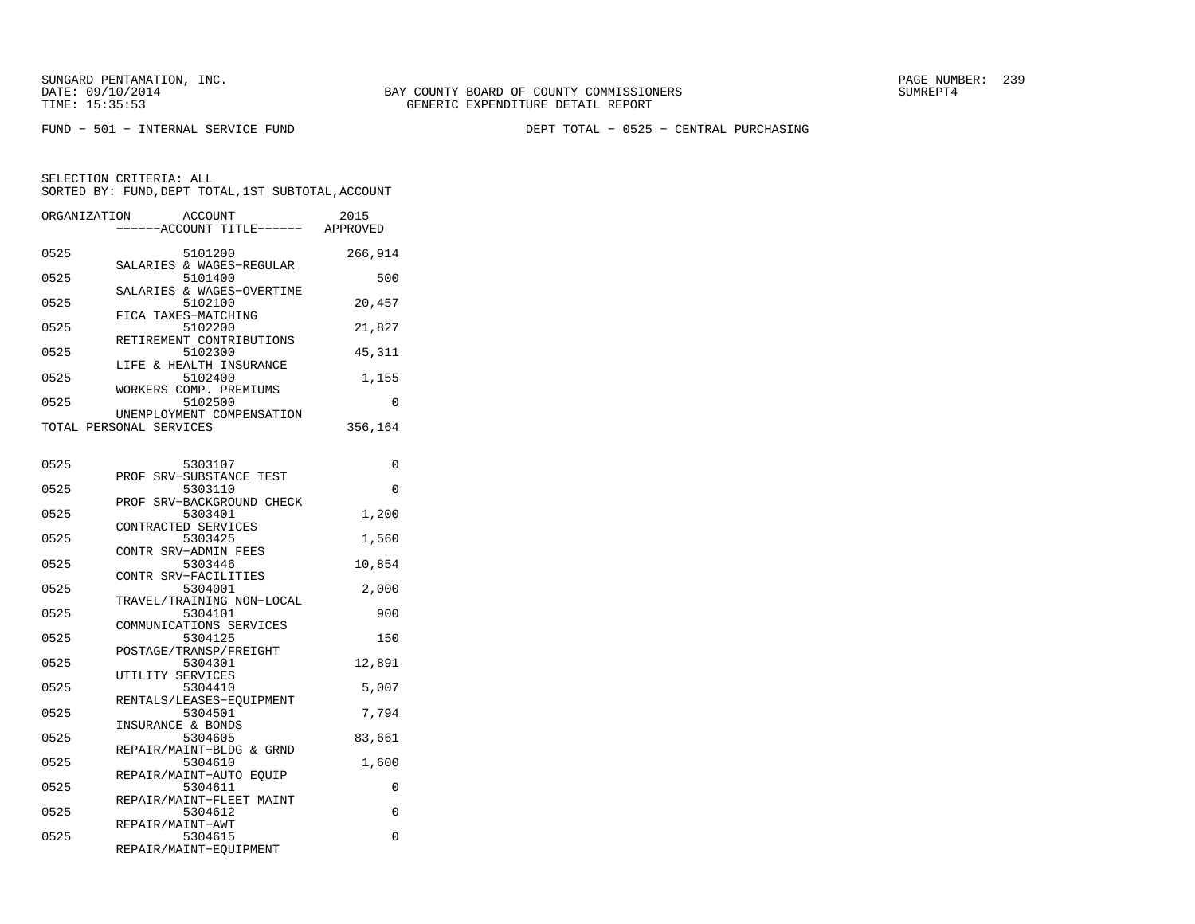SUNGARD PENTAMATION, INC.<br>DATE: 09/10/2014 SUMRER: 239 BAY COUNTY BOARD OF COUNTY COMMISSIONERS

FUND − 501 − INTERNAL SERVICE FUND DEPT TOTAL − 0525 − CENTRAL PURCHASING

| ORGANIZATION | ACCOUNT<br>----ACCOUNT TITLE------ APPROVED                  | 2015     |
|--------------|--------------------------------------------------------------|----------|
| 0525         | 5101200<br>SALARIES & WAGES-REGULAR                          | 266,914  |
| 0525         | 5101400<br>SALARIES & WAGES-OVERTIME                         | 500      |
| 0525         | 5102100<br>FICA TAXES-MATCHING                               | 20,457   |
| 0525         | 5102200<br>RETIREMENT CONTRIBUTIONS                          | 21,827   |
| 0525         | 5102300                                                      | 45,311   |
| 0525         | LIFE & HEALTH INSURANCE<br>5102400<br>WORKERS COMP. PREMIUMS | 1,155    |
| 0525         | 5102500<br>UNEMPLOYMENT COMPENSATION                         | 0        |
|              | TOTAL PERSONAL SERVICES                                      | 356,164  |
| 0525         | 5303107                                                      | 0        |
| 0525         | PROF SRV-SUBSTANCE TEST<br>5303110                           | $\Omega$ |
| 0525         | PROF SRV-BACKGROUND CHECK<br>5303401                         | 1,200    |
| 0525         | CONTRACTED SERVICES<br>5303425                               | 1,560    |
| 0525         | CONTR SRV-ADMIN FEES<br>5303446                              | 10,854   |
| 0525         | CONTR SRV-FACILITIES<br>5304001                              | 2,000    |
| 0525         | TRAVEL/TRAINING NON-LOCAL<br>5304101                         | 900      |
| 0525         | COMMUNICATIONS SERVICES<br>5304125                           | 150      |
| 0525         | POSTAGE/TRANSP/FREIGHT<br>5304301                            | 12,891   |
| 0525         | UTILITY SERVICES<br>5304410                                  | 5,007    |
| 0525         | RENTALS/LEASES-EQUIPMENT<br>5304501<br>INSURANCE & BONDS     | 7,794    |
| 0525         | 5304605<br>REPAIR/MAINT-BLDG & GRND                          | 83,661   |
| 0525         | 5304610<br>REPAIR/MAINT-AUTO EQUIP                           | 1,600    |
| 0525         | 5304611<br>REPAIR/MAINT-FLEET MAINT                          | 0        |
| 0525         | 5304612                                                      | 0        |
| 0525         | REPAIR/MAINT-AWT<br>5304615<br>REPAIR/MAINT-EQUIPMENT        | 0        |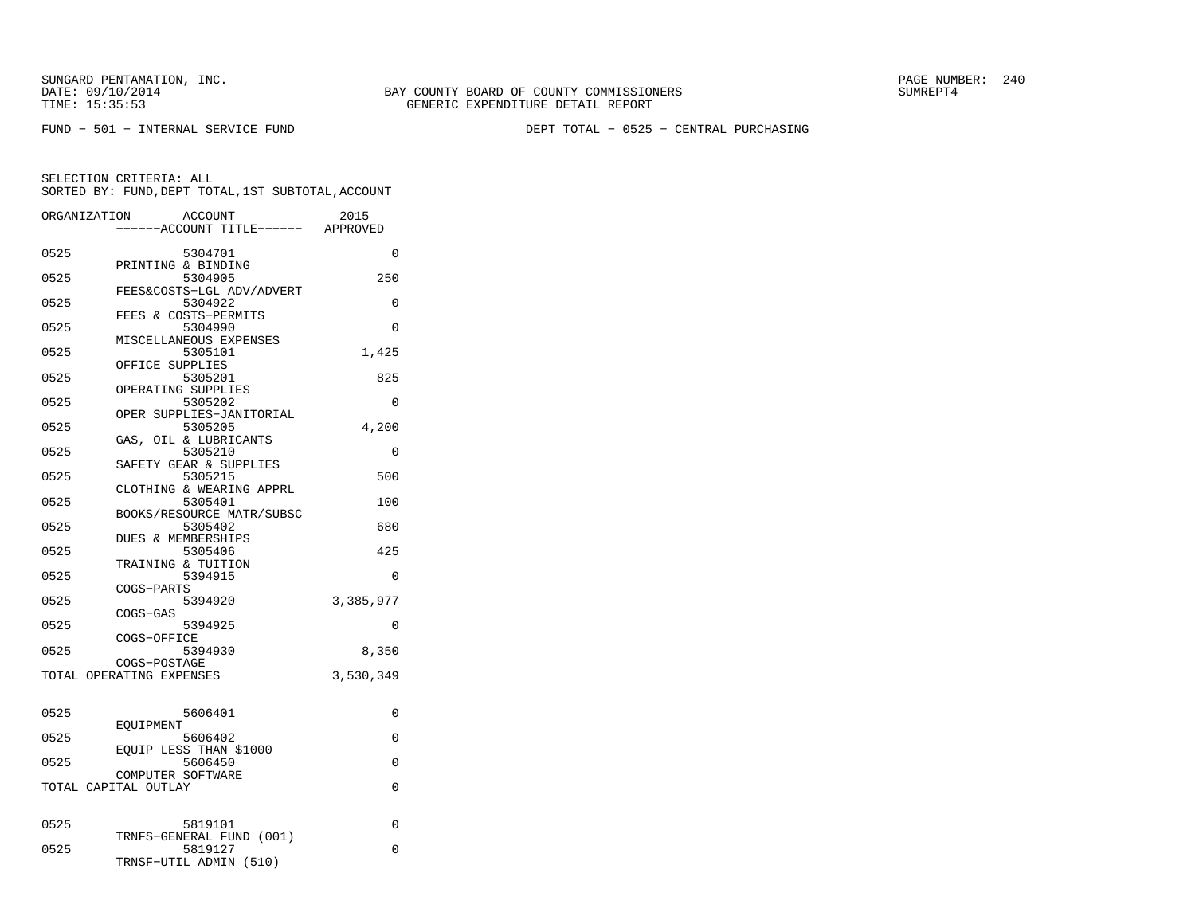FUND − 501 − INTERNAL SERVICE FUND DEPT TOTAL − 0525 − CENTRAL PURCHASING

| ORGANIZATION |                      | <b>ACCOUNT</b><br>----ACCOUNT TITLE------ APPROVED            | 2015      |
|--------------|----------------------|---------------------------------------------------------------|-----------|
| 0525         |                      | 5304701<br>PRINTING & BINDING                                 | 0         |
| 0525         |                      | 5304905<br>FEES&COSTS-LGL ADV/ADVERT                          | 250       |
| 0525         |                      | 5304922                                                       | 0         |
| 0525         |                      | FEES & COSTS-PERMITS<br>5304990                               | 0         |
| 0525         |                      | MISCELLANEOUS EXPENSES<br>5305101                             | 1,425     |
| 0525         |                      | OFFICE SUPPLIES<br>5305201                                    | 825       |
| 0525         |                      | OPERATING SUPPLIES<br>5305202                                 | $\Omega$  |
| 0525         |                      | OPER SUPPLIES-JANITORIAL<br>5305205                           | 4,200     |
| 0525         | GAS,                 | OIL & LUBRICANTS<br>5305210                                   | $\Omega$  |
| 0525         |                      | SAFETY GEAR & SUPPLIES<br>5305215                             | 500       |
| 0525         |                      | CLOTHING & WEARING APPRL<br>5305401                           | 100       |
| 0525         |                      | BOOKS/RESOURCE MATR/SUBSC<br>5305402                          | 680       |
| 0525         |                      | <b>DUES &amp; MEMBERSHIPS</b><br>5305406                      | 425       |
| 0525         |                      | TRAINING & TUITION<br>5394915                                 | 0         |
| 0525         | COGS-PARTS           | 5394920                                                       | 3,385,977 |
| 0525         | COGS-GAS             | 5394925                                                       | 0         |
| 0525         | COGS-OFFICE          | 5394930                                                       | 8,350     |
|              |                      | COGS-POSTAGE<br>TOTAL OPERATING EXPENSES                      | 3,530,349 |
| 0525         |                      | 5606401                                                       | 0         |
| 0525         | EOUIPMENT            | 5606402                                                       | 0         |
| 0525         |                      | EQUIP LESS THAN \$1000<br>5606450                             | 0         |
|              | TOTAL CAPITAL OUTLAY | COMPUTER SOFTWARE                                             | $\Omega$  |
| 0525         |                      | 5819101                                                       | 0         |
| 0525         |                      | TRNFS-GENERAL FUND (001)<br>5819127<br>TRNSF-UTIL ADMIN (510) | $\Omega$  |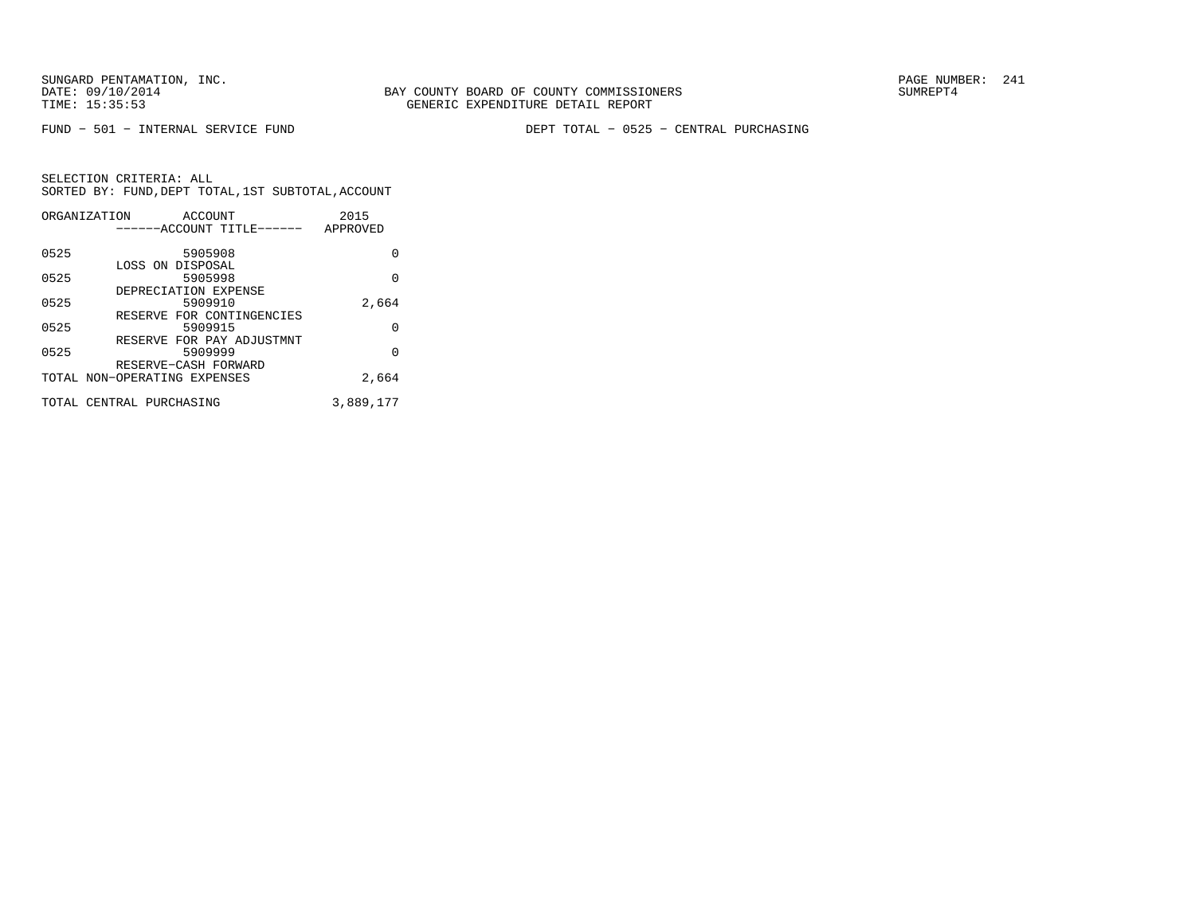SUNGARD PENTAMATION, INC.<br>
DATE: 09/10/2014 SUMRER: 241

FUND − 501 − INTERNAL SERVICE FUND DEPT TOTAL − 0525 − CENTRAL PURCHASING

|      | ORGANIZATION<br>ACCOUNT                              | 2015      |
|------|------------------------------------------------------|-----------|
|      | ------ACCOUNT TITLE------                            | APPROVED  |
| 0525 | 5905908                                              | 0         |
| 0525 | LOSS ON DISPOSAL<br>5905998                          | 0         |
| 0525 | DEPRECIATION EXPENSE<br>5909910                      | 2,664     |
| 0525 | RESERVE FOR CONTINGENCIES<br>5909915                 | 0         |
| 0525 | RESERVE FOR PAY ADJUSTMNT<br>5909999                 | 0         |
|      | RESERVE-CASH FORWARD<br>TOTAL NON-OPERATING EXPENSES | 2,664     |
|      |                                                      |           |
|      | TOTAL CENTRAL PURCHASING                             | 3,889,177 |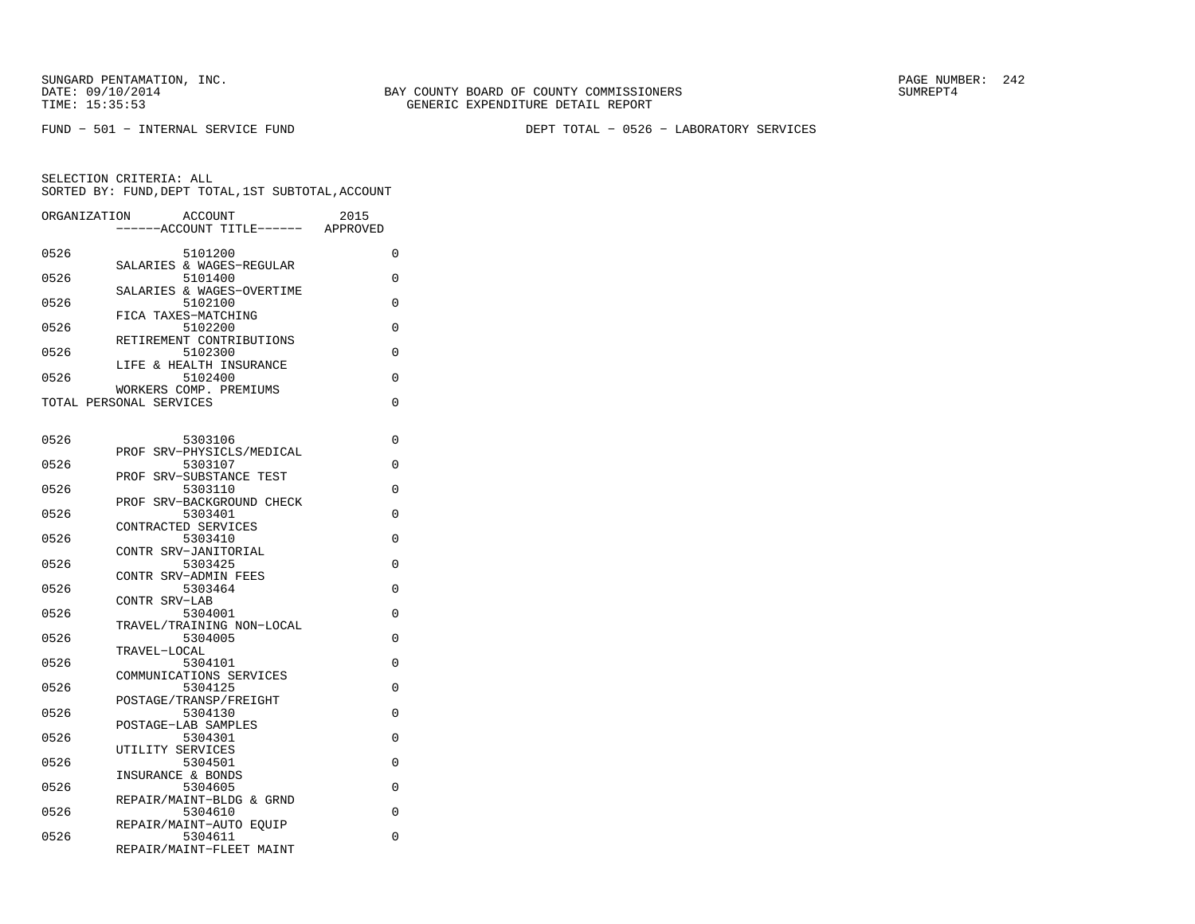FUND − 501 − INTERNAL SERVICE FUND DEPT TOTAL − 0526 − LABORATORY SERVICES

| ORGANIZATION | <b>ACCOUNT</b><br>--ACCOUNT TITLE------           | 2015<br>APPROVED |
|--------------|---------------------------------------------------|------------------|
| 0526         | 5101200                                           | 0                |
| 0526         | SALARIES & WAGES-REGULAR<br>5101400               | 0                |
| 0526         | SALARIES & WAGES-OVERTIME<br>5102100              | 0                |
| 0526         | FICA TAXES-MATCHING<br>5102200                    | 0                |
| 0526         | RETIREMENT CONTRIBUTIONS<br>5102300               | 0                |
| 0526         | LIFE & HEALTH INSURANCE<br>5102400                | 0                |
|              | WORKERS COMP. PREMIUMS<br>TOTAL PERSONAL SERVICES | 0                |
|              |                                                   |                  |
| 0526         | 5303106                                           | 0                |
| 0526         | SRV-PHYSICLS/MEDICAL<br>PROF<br>5303107           | 0                |
| 0526         | PROF<br>SRV-SUBSTANCE TEST<br>5303110             | 0                |
| 0526         | PROF SRV-BACKGROUND CHECK<br>5303401              | 0                |
| 0526         | CONTRACTED SERVICES<br>5303410                    | 0                |
| 0526         | CONTR SRV-JANITORIAL<br>5303425                   | 0                |
| 0526         | CONTR SRV-ADMIN FEES<br>5303464                   | 0                |
|              | CONTR SRV-LAB                                     |                  |
| 0526         | 5304001<br>TRAVEL/TRAINING NON-LOCAL              | 0                |
| 0526         | 5304005<br>TRAVEL-LOCAL                           | 0                |
| 0526         | 5304101<br>COMMUNICATIONS SERVICES                | 0                |
| 0526         | 5304125<br>POSTAGE/TRANSP/FREIGHT                 | 0                |
| 0526         | 5304130<br>POSTAGE-LAB SAMPLES                    | 0                |
| 0526         | 5304301<br>UTILITY SERVICES                       | 0                |
| 0526         | 5304501                                           | 0                |
| 0526         | INSURANCE & BONDS<br>5304605                      | 0                |
| 0526         | REPAIR/MAINT-BLDG & GRND<br>5304610               | 0                |
| 0526         | REPAIR/MAINT-AUTO EQUIP<br>5304611                | 0                |
|              | REPAIR/MAINT-FLEET MAINT                          |                  |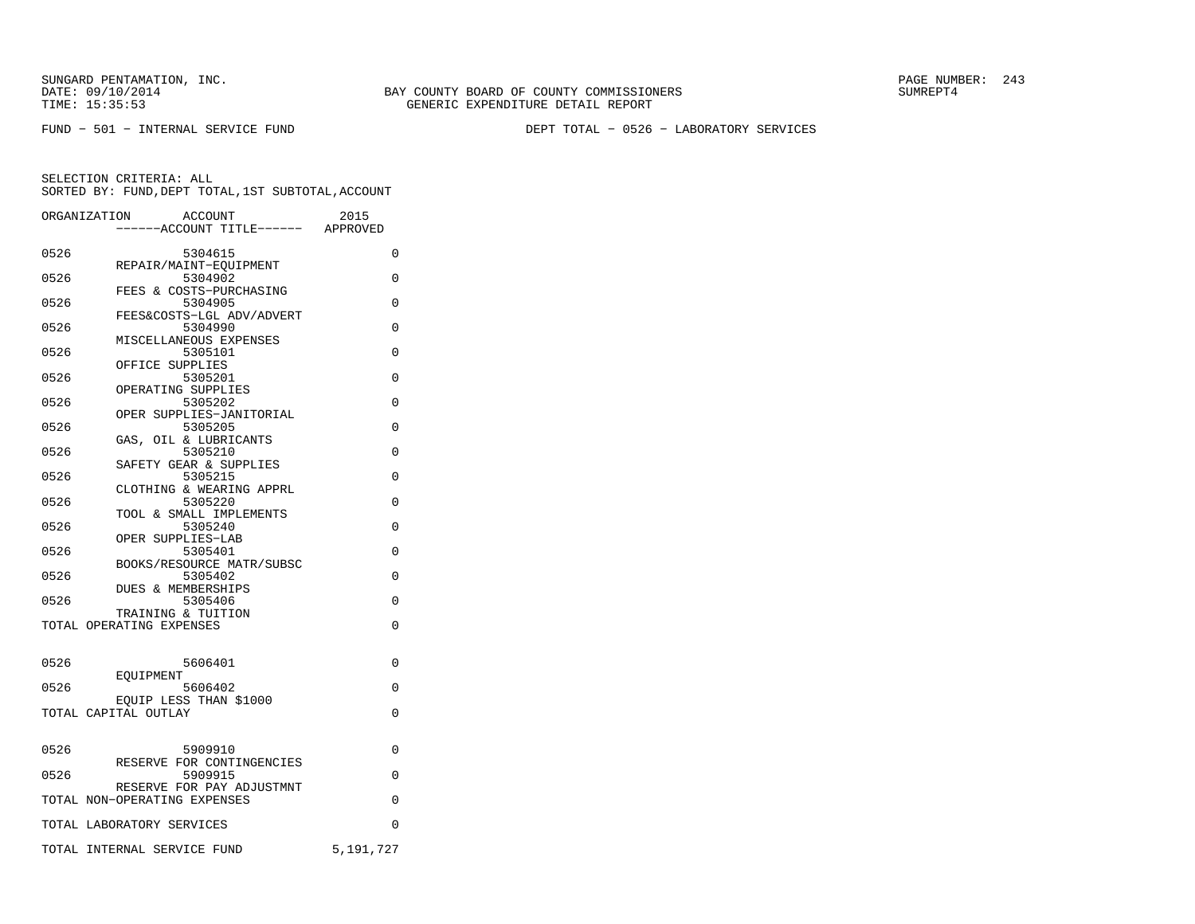FUND − 501 − INTERNAL SERVICE FUND DEPT TOTAL − 0526 − LABORATORY SERVICES

|      | ORGANIZATION<br>ACCOUNT                        | 2015      |
|------|------------------------------------------------|-----------|
|      | ----ACCOUNT TITLE------ APPROVED               |           |
| 0526 | 5304615                                        | 0         |
|      | REPAIR/MAINT-EQUIPMENT                         |           |
| 0526 | 5304902                                        | $\Omega$  |
| 0526 | FEES & COSTS-PURCHASING<br>5304905             | $\Omega$  |
|      | FEES&COSTS-LGL ADV/ADVERT                      |           |
| 0526 | 5304990                                        | $\Omega$  |
|      | MISCELLANEOUS EXPENSES                         |           |
| 0526 | 5305101                                        | $\Omega$  |
| 0526 | OFFICE SUPPLIES<br>5305201                     | 0         |
|      | OPERATING SUPPLIES                             |           |
| 0526 | 5305202                                        | $\Omega$  |
|      | OPER SUPPLIES-JANITORIAL                       |           |
| 0526 | 5305205                                        | 0         |
| 0526 | GAS, OIL & LUBRICANTS<br>5305210               | $\Omega$  |
|      | SAFETY GEAR & SUPPLIES                         |           |
| 0526 | 5305215                                        | $\Omega$  |
|      | CLOTHING & WEARING APPRL                       |           |
| 0526 | 5305220                                        | $\Omega$  |
|      | TOOL & SMALL IMPLEMENTS                        |           |
| 0526 | 5305240<br>OPER SUPPLIES-LAB                   | $\Omega$  |
| 0526 | 5305401                                        | $\Omega$  |
|      | BOOKS/RESOURCE MATR/SUBSC                      |           |
| 0526 | 5305402                                        | 0         |
|      | DUES & MEMBERSHIPS                             |           |
| 0526 | 5305406                                        | 0         |
|      | TRAINING & TUITION<br>TOTAL OPERATING EXPENSES | 0         |
|      |                                                |           |
|      |                                                |           |
| 0526 | 5606401                                        | 0         |
| 0526 | <b>EOUIPMENT</b>                               |           |
|      | 5606402<br>EOUIP LESS THAN \$1000              | 0         |
|      | TOTAL CAPITAL OUTLAY                           | 0         |
|      |                                                |           |
|      |                                                |           |
| 0526 | 5909910                                        | 0         |
| 0526 | RESERVE FOR CONTINGENCIES<br>5909915           | 0         |
|      | RESERVE FOR PAY ADJUSTMNT                      |           |
|      | TOTAL NON-OPERATING EXPENSES                   | 0         |
|      |                                                |           |
|      | TOTAL LABORATORY SERVICES                      | 0         |
|      | TOTAL INTERNAL SERVICE FUND                    | 5,191,727 |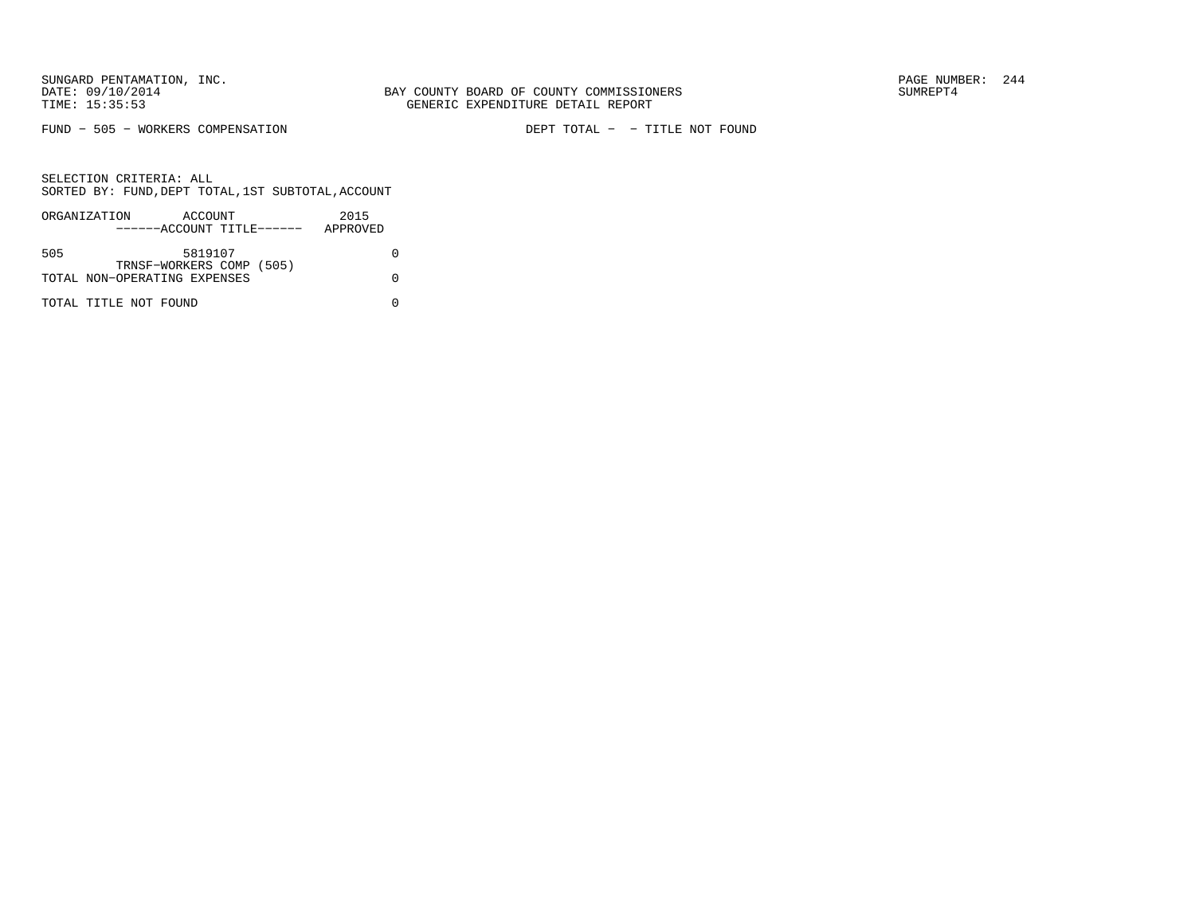FUND − 505 − WORKERS COMPENSATION DEPT TOTAL − − TITLE NOT FOUND

|     | ORGANIZATION                 | ACCOUNT                   |  | 2015     |  |
|-----|------------------------------|---------------------------|--|----------|--|
|     |                              | ------ACCOUNT TITLE------ |  | APPROVED |  |
|     |                              |                           |  |          |  |
| 505 |                              | 5819107                   |  |          |  |
|     |                              | TRNSF-WORKERS COMP (505)  |  |          |  |
|     | TOTAL NON-OPERATING EXPENSES |                           |  |          |  |
|     |                              |                           |  |          |  |
|     | TOTAL TITLE NOT FOUND        |                           |  |          |  |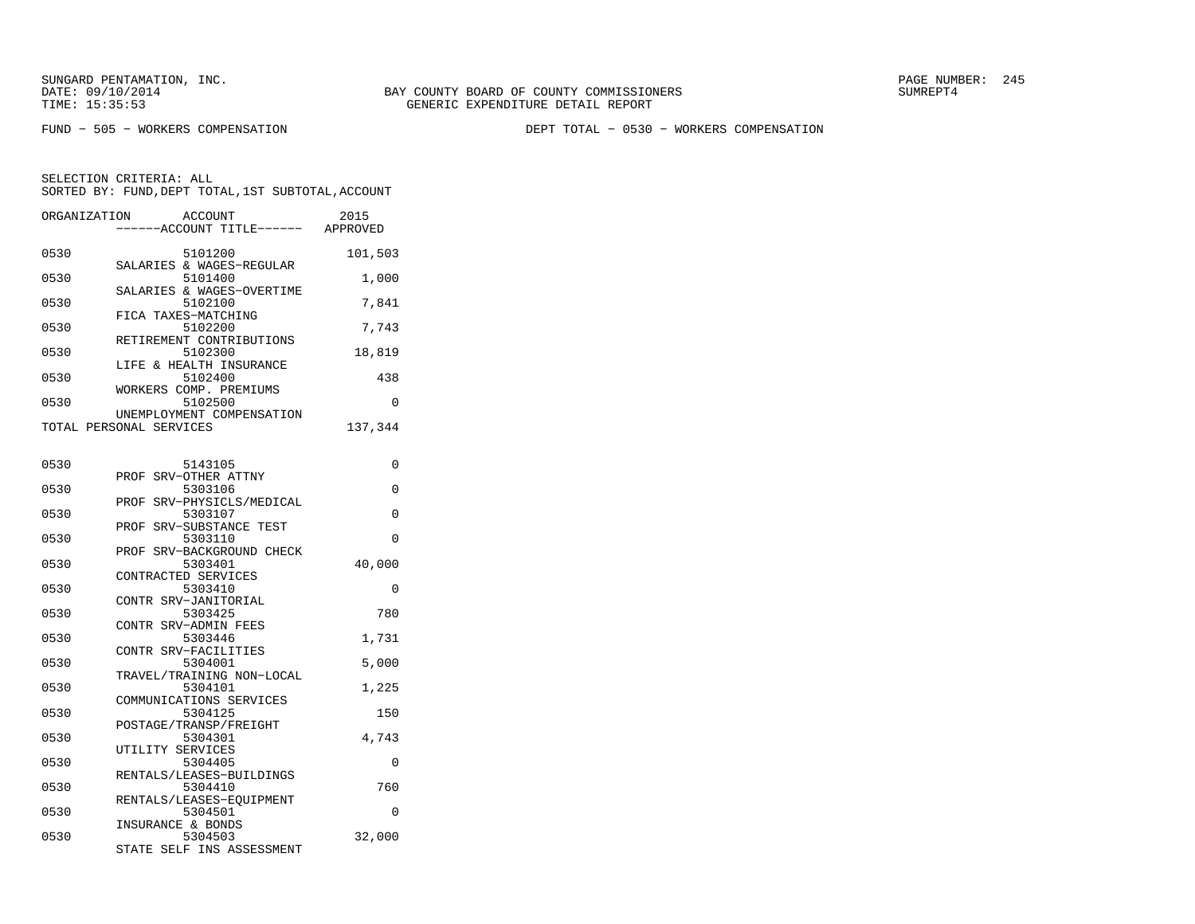FUND − 505 − WORKERS COMPENSATION DEPT TOTAL − 0530 − WORKERS COMPENSATION

| ORGANIZATION | <b>ACCOUNT</b><br>---ACCOUNT TITLE------ APPROVED            | 2015    |
|--------------|--------------------------------------------------------------|---------|
| 0530         | 5101200                                                      | 101,503 |
| 0530         | SALARIES & WAGES-REGULAR<br>5101400                          | 1,000   |
| 0530         | SALARIES & WAGES-OVERTIME<br>5102100                         | 7,841   |
| 0530         | FICA TAXES-MATCHING<br>5102200                               | 7,743   |
| 0530         | RETIREMENT CONTRIBUTIONS<br>5102300                          | 18,819  |
| 0530         | LIFE & HEALTH INSURANCE<br>5102400                           | 438     |
| 0530         | WORKERS COMP. PREMIUMS<br>5102500                            | 0       |
|              | UNEMPLOYMENT COMPENSATION<br>TOTAL PERSONAL SERVICES         | 137,344 |
| 0530         | 5143105                                                      | 0       |
| 0530         | SRV-OTHER ATTNY<br>PROF<br>5303106                           | 0       |
| 0530         | SRV-PHYSICLS/MEDICAL<br>PROF<br>5303107                      | 0       |
| 0530         | PROF SRV-SUBSTANCE TEST<br>5303110                           | 0       |
| 0530         | PROF SRV-BACKGROUND CHECK<br>5303401                         | 40,000  |
| 0530         | CONTRACTED SERVICES<br>5303410                               | 0       |
| 0530         | CONTR SRV-JANITORIAL<br>5303425                              | 780     |
| 0530         | CONTR SRV-ADMIN FEES<br>5303446                              | 1,731   |
| 0530         | CONTR SRV-FACILITIES<br>5304001                              | 5,000   |
| 0530         | TRAVEL/TRAINING NON-LOCAL<br>5304101                         | 1,225   |
| 0530         | COMMUNICATIONS SERVICES<br>5304125                           | 150     |
| 0530         | POSTAGE/TRANSP/FREIGHT<br>5304301                            | 4,743   |
| 0530         | UTILITY SERVICES<br>5304405                                  | 0       |
| 0530         | RENTALS/LEASES-BUILDINGS<br>5304410                          | 760     |
| 0530         | RENTALS/LEASES-EOUIPMENT<br>5304501                          | 0       |
| 0530         | INSURANCE & BONDS<br>5304503<br>SELF INS ASSESSMENT<br>STATE | 32,000  |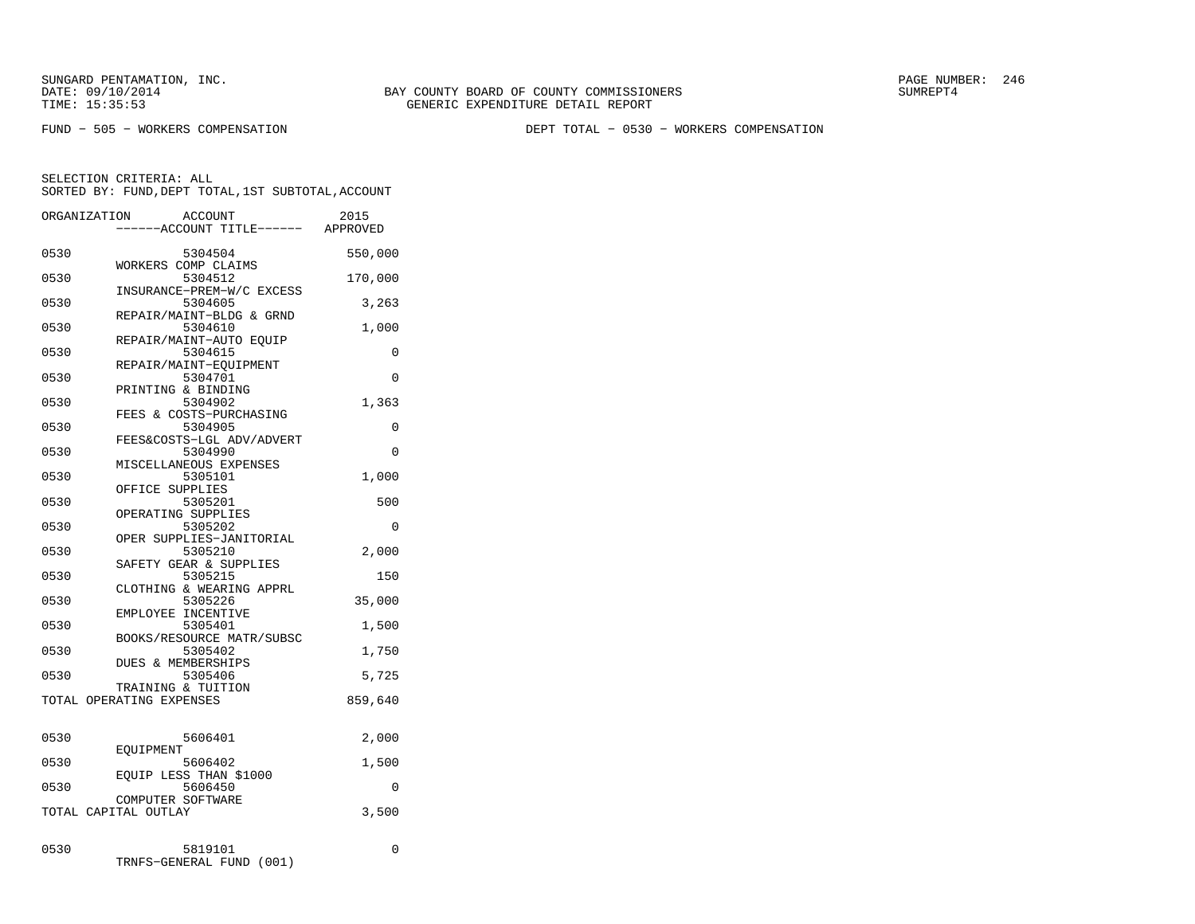SUNGARD PENTAMATION, INC.<br>
DATE: 09/10/2014 SUMREPT4

BAY COUNTY BOARD OF COUNTY COMMISSIONERS TIME: 15:35:53 GENERIC EXPENDITURE DETAIL REPORT

FUND − 505 − WORKERS COMPENSATION DEPT TOTAL − 0530 − WORKERS COMPENSATION

SELECTION CRITERIA: ALL

SORTED BY: FUND,DEPT TOTAL,1ST SUBTOTAL,ACCOUNT

| ORGANIZATION |                          | <b>ACCOUNT</b><br>---ACCOUNT TITLE------ | 2015<br>APPROVED |
|--------------|--------------------------|------------------------------------------|------------------|
| 0530         |                          | 5304504<br>WORKERS COMP CLAIMS           | 550,000          |
| 0530         |                          | 5304512<br>INSURANCE-PREM-W/C EXCESS     | 170,000          |
| 0530         |                          | 5304605<br>REPAIR/MAINT-BLDG & GRND      | 3,263            |
| 0530         |                          | 5304610                                  | 1,000            |
| 0530         |                          | REPAIR/MAINT-AUTO EOUIP<br>5304615       | 0                |
| 0530         |                          | REPAIR/MAINT-EOUIPMENT<br>5304701        | 0                |
| 0530         |                          | PRINTING & BINDING<br>5304902            | 1,363            |
| 0530         |                          | FEES & COSTS-PURCHASING<br>5304905       | 0                |
| 0530         |                          | FEES&COSTS-LGL ADV/ADVERT<br>5304990     | 0                |
| 0530         |                          | MISCELLANEOUS EXPENSES<br>5305101        | 1,000            |
| 0530         | OFFICE SUPPLIES          | 5305201                                  | 500              |
| 0530         |                          | OPERATING SUPPLIES<br>5305202            | 0                |
| 0530         |                          | OPER SUPPLIES-JANITORIAL<br>5305210      | 2,000            |
| 0530         |                          | SAFETY GEAR & SUPPLIES<br>5305215        | 150              |
| 0530         |                          | CLOTHING & WEARING APPRL<br>5305226      | 35,000           |
| 0530         |                          | EMPLOYEE INCENTIVE<br>5305401            | 1,500            |
| 0530         |                          | BOOKS/RESOURCE MATR/SUBSC<br>5305402     | 1,750            |
| 0530         |                          | DUES & MEMBERSHIPS<br>5305406            | 5,725            |
|              | TOTAL OPERATING EXPENSES | TRAINING & TUITION                       | 859,640          |
|              |                          |                                          |                  |
| 0530         | EOUIPMENT                | 5606401                                  | 2,000            |
| 0530         |                          | 5606402<br>EOUIP LESS THAN \$1000        | 1,500            |
| 0530         |                          | 5606450<br>COMPUTER SOFTWARE             | 0                |
|              | TOTAL CAPITAL OUTLAY     |                                          | 3,500            |
| 0530         |                          | 5819101<br>TRNFS-GENERAL FUND (001)      | 0                |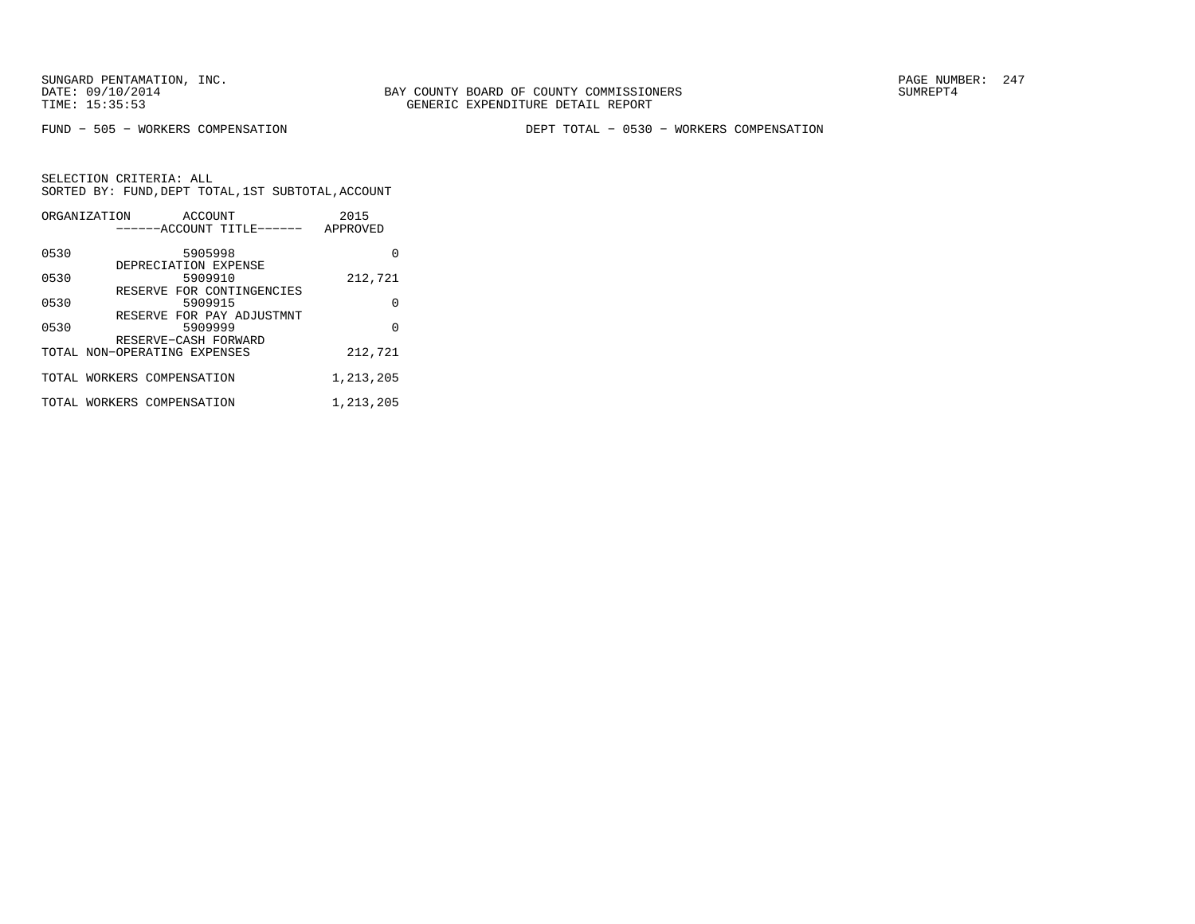FUND − 505 − WORKERS COMPENSATION DEPT TOTAL − 0530 − WORKERS COMPENSATION

|      | ORGANIZATION<br>ACCOUNT      | 2015      |
|------|------------------------------|-----------|
|      | ------ACCOUNT TITLE------    | APPROVED  |
| 0530 | 5905998                      | O         |
|      | DEPRECIATION EXPENSE         |           |
| 0530 | 5909910                      | 212,721   |
|      | RESERVE FOR CONTINGENCIES    |           |
| 0530 | 5909915                      | 0         |
|      | RESERVE FOR PAY ADJUSTMNT    |           |
| 0530 | 5909999                      | O         |
|      | RESERVE-CASH FORWARD         |           |
|      | TOTAL NON-OPERATING EXPENSES | 212,721   |
|      | TOTAL WORKERS COMPENSATION   | 1,213,205 |
|      |                              |           |
|      | TOTAL WORKERS COMPENSATION   | 1,213,205 |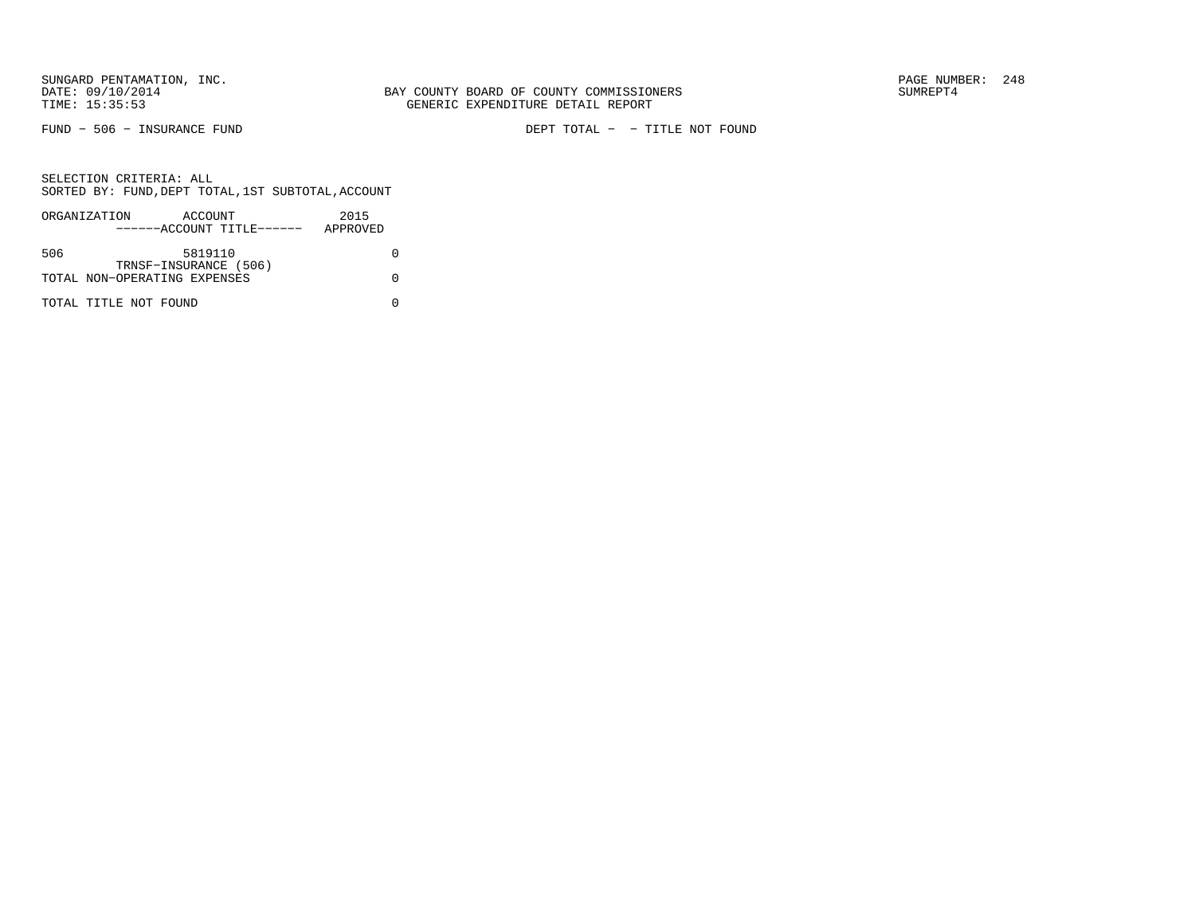FUND − 506 − INSURANCE FUND DEPT TOTAL − − TITLE NOT FOUND

|     | ORGANIZATION                 | ACCOUNT               |                           | 2015     |  |
|-----|------------------------------|-----------------------|---------------------------|----------|--|
|     |                              |                       | ------ACCOUNT TITLE------ | APPROVED |  |
|     |                              |                       |                           |          |  |
| 506 |                              | 5819110               |                           |          |  |
|     |                              | TRNSF-INSURANCE (506) |                           |          |  |
|     | TOTAL NON-OPERATING EXPENSES |                       |                           |          |  |
|     |                              |                       |                           |          |  |
|     | TOTAL TITLE NOT FOUND        |                       |                           |          |  |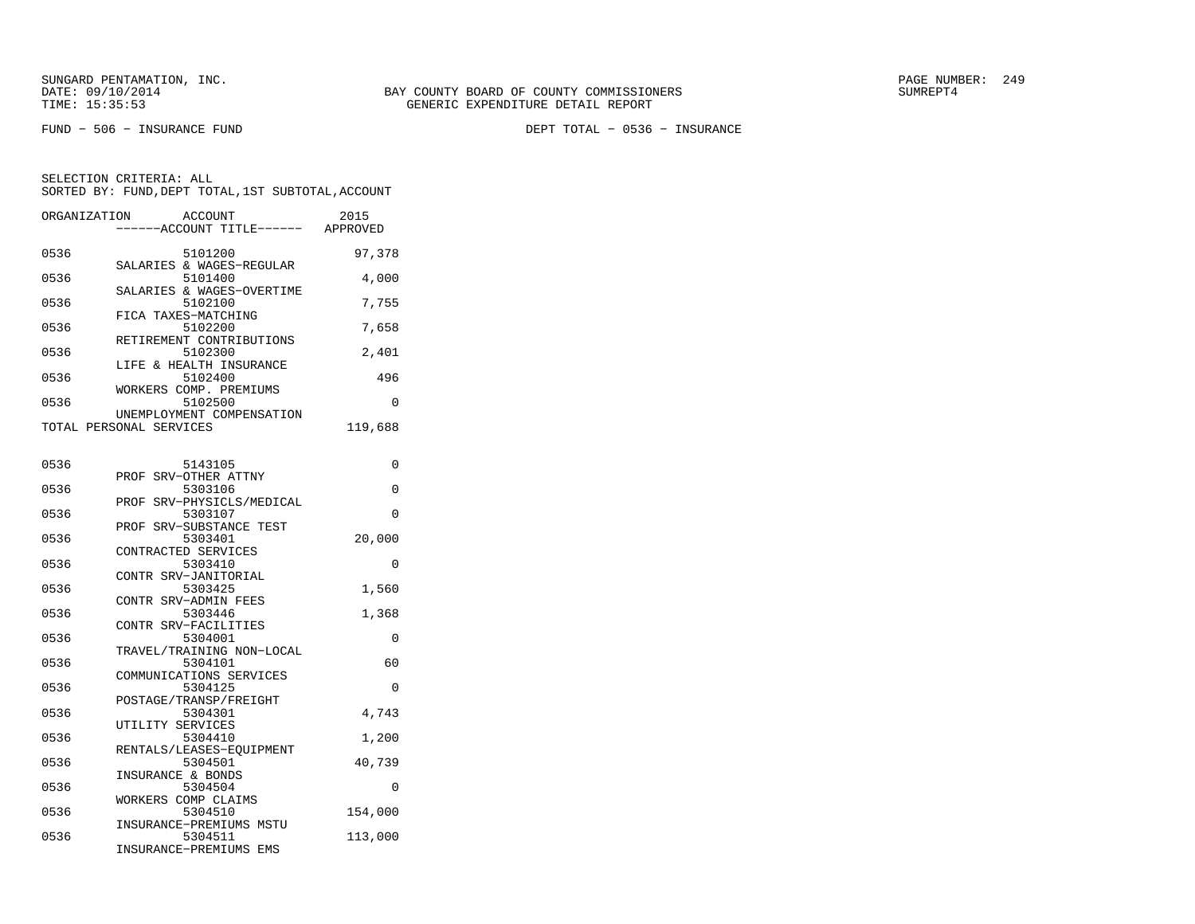SUNGARD PENTAMATION, INC.<br>DATE: 09/10/2014 SUMRER: 249 BAY COUNTY BOARD OF COUNTY COMMISSIONERS

FUND − 506 − INSURANCE FUND DEPT TOTAL − 0536 − INSURANCE

| ORGANIZATION | ACCOUNT                             | 2015    |
|--------------|-------------------------------------|---------|
|              | ---ACCOUNT TITLE------ APPROVED     |         |
|              |                                     |         |
| 0536         | 5101200                             | 97,378  |
| 0536         | SALARIES & WAGES-REGULAR<br>5101400 | 4,000   |
|              | SALARIES & WAGES-OVERTIME           |         |
| 0536         | 5102100                             | 7,755   |
|              | FICA TAXES-MATCHING                 |         |
| 0536         | 5102200                             | 7,658   |
|              | RETIREMENT CONTRIBUTIONS            |         |
| 0536         | 5102300<br>LIFE & HEALTH INSURANCE  | 2,401   |
| 0536         | 5102400                             | 496     |
|              | WORKERS COMP. PREMIUMS              |         |
| 0536         | 5102500                             | 0       |
|              | UNEMPLOYMENT COMPENSATION           |         |
|              | TOTAL PERSONAL SERVICES             | 119,688 |
|              |                                     |         |
| 0536         |                                     | 0       |
|              | 5143105<br>PROF SRV-OTHER ATTNY     |         |
| 0536         | 5303106                             | 0       |
|              | SRV-PHYSICLS/MEDICAL<br>PROF        |         |
| 0536         | 5303107                             | 0       |
|              | PROF SRV-SUBSTANCE TEST             |         |
| 0536         | 5303401                             | 20,000  |
|              | CONTRACTED SERVICES                 |         |
| 0536         | 5303410<br>CONTR SRV-JANITORIAL     | 0       |
| 0536         | 5303425                             | 1,560   |
|              | CONTR SRV-ADMIN FEES                |         |
| 0536         | 5303446                             | 1,368   |
|              | CONTR SRV-FACILITIES                |         |
| 0536         | 5304001                             | 0       |
|              | TRAVEL/TRAINING NON-LOCAL           |         |
| 0536         | 5304101<br>COMMUNICATIONS SERVICES  | 60      |
| 0536         | 5304125                             | 0       |
|              | POSTAGE/TRANSP/FREIGHT              |         |
| 0536         | 5304301                             | 4,743   |
|              | UTILITY SERVICES                    |         |
| 0536         | 5304410                             | 1,200   |
|              | RENTALS/LEASES-EQUIPMENT            |         |
| 0536         | 5304501                             | 40,739  |
| 0536         | INSURANCE & BONDS<br>5304504        | 0       |
|              | WORKERS COMP CLAIMS                 |         |
| 0536         | 5304510                             | 154,000 |
|              | INSURANCE-PREMIUMS MSTU             |         |
| 0536         | 5304511                             | 113,000 |
|              | INSURANCE-PREMIUMS EMS              |         |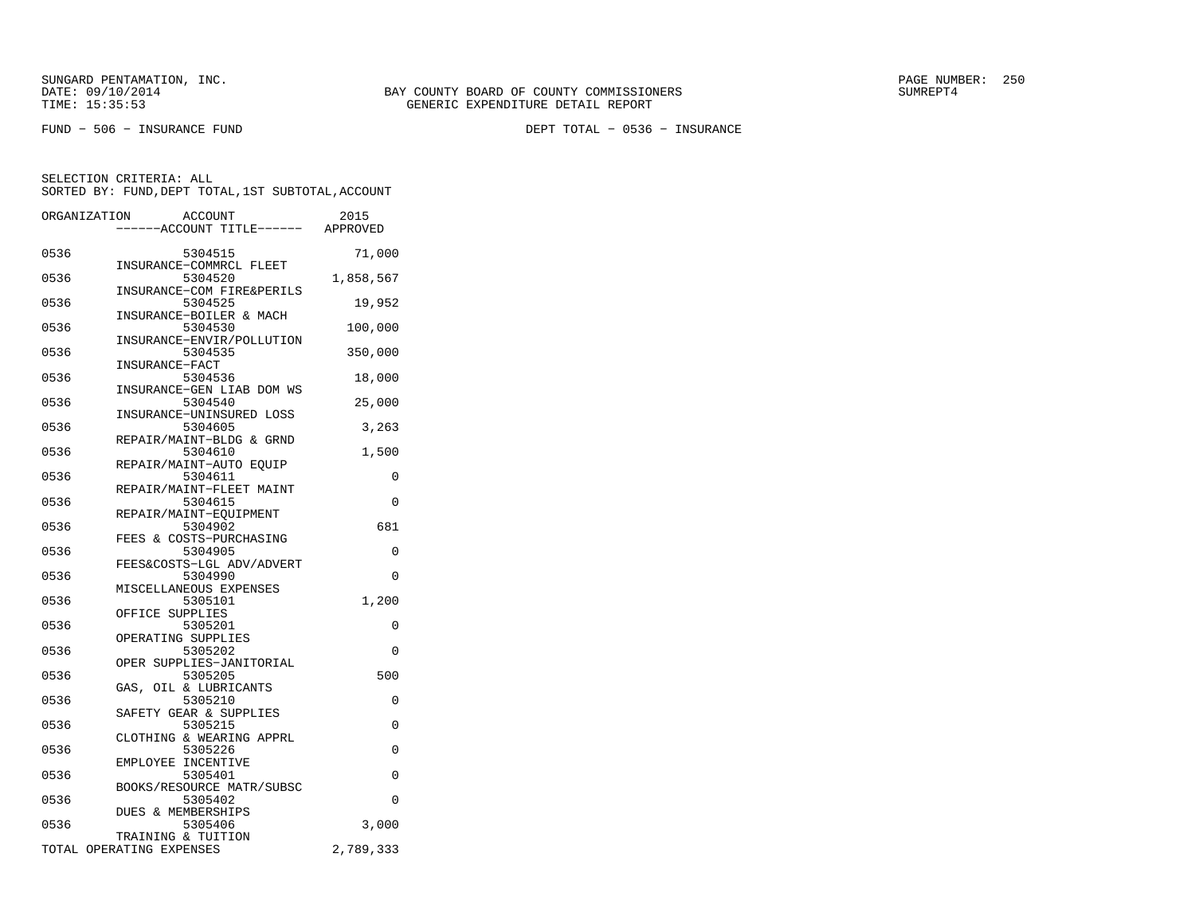SUNGARD PENTAMATION, INC.<br>DATE: 09/10/2014 SUMRER: 250 SAY COUNTY BOARD OF COUNTY COMMISSIONERS

FUND − 506 − INSURANCE FUND DEPT TOTAL − 0536 − INSURANCE

|      | ORGANIZATION<br>ACCOUNT<br>---ACCOUNT TITLE------ | 2015<br>APPROVED |
|------|---------------------------------------------------|------------------|
| 0536 | 5304515<br>INSURANCE-COMMRCL FLEET                | 71,000           |
| 0536 | 5304520                                           | 1,858,567        |
| 0536 | INSURANCE-COM FIRE&PERILS<br>5304525              | 19,952           |
| 0536 | INSURANCE-BOILER & MACH<br>5304530                | 100,000          |
| 0536 | INSURANCE-ENVIR/POLLUTION<br>5304535              | 350,000          |
| 0536 | INSURANCE-FACT<br>5304536                         | 18,000           |
| 0536 | INSURANCE-GEN LIAB DOM WS<br>5304540              | 25,000           |
| 0536 | INSURANCE-UNINSURED LOSS<br>5304605               | 3,263            |
| 0536 | REPAIR/MAINT-BLDG & GRND<br>5304610               | 1,500            |
| 0536 | REPAIR/MAINT-AUTO EOUIP<br>5304611                | 0                |
| 0536 | REPAIR/MAINT-FLEET MAINT<br>5304615               | 0                |
| 0536 | REPAIR/MAINT-EQUIPMENT<br>5304902                 | 681              |
| 0536 | FEES & COSTS-PURCHASING<br>5304905                | 0                |
| 0536 | FEES&COSTS-LGL ADV/ADVERT<br>5304990              | 0                |
| 0536 | MISCELLANEOUS EXPENSES<br>5305101                 | 1,200            |
| 0536 | OFFICE SUPPLIES<br>5305201                        | 0                |
| 0536 | OPERATING SUPPLIES<br>5305202                     | 0                |
| 0536 | OPER SUPPLIES-JANITORIAL<br>5305205               | 500              |
| 0536 | GAS, OIL & LUBRICANTS<br>5305210                  | $\Omega$         |
| 0536 | SAFETY GEAR & SUPPLIES<br>5305215                 | 0                |
| 0536 | CLOTHING & WEARING APPRL<br>5305226               | 0                |
| 0536 | EMPLOYEE INCENTIVE<br>5305401                     | 0                |
| 0536 | BOOKS/RESOURCE MATR/SUBSC<br>5305402              | $\Omega$         |
| 0536 | <b>DUES &amp; MEMBERSHIPS</b><br>5305406          | 3,000            |
|      | TRAINING & TUITION<br>TOTAL OPERATING EXPENSES    | 2,789,333        |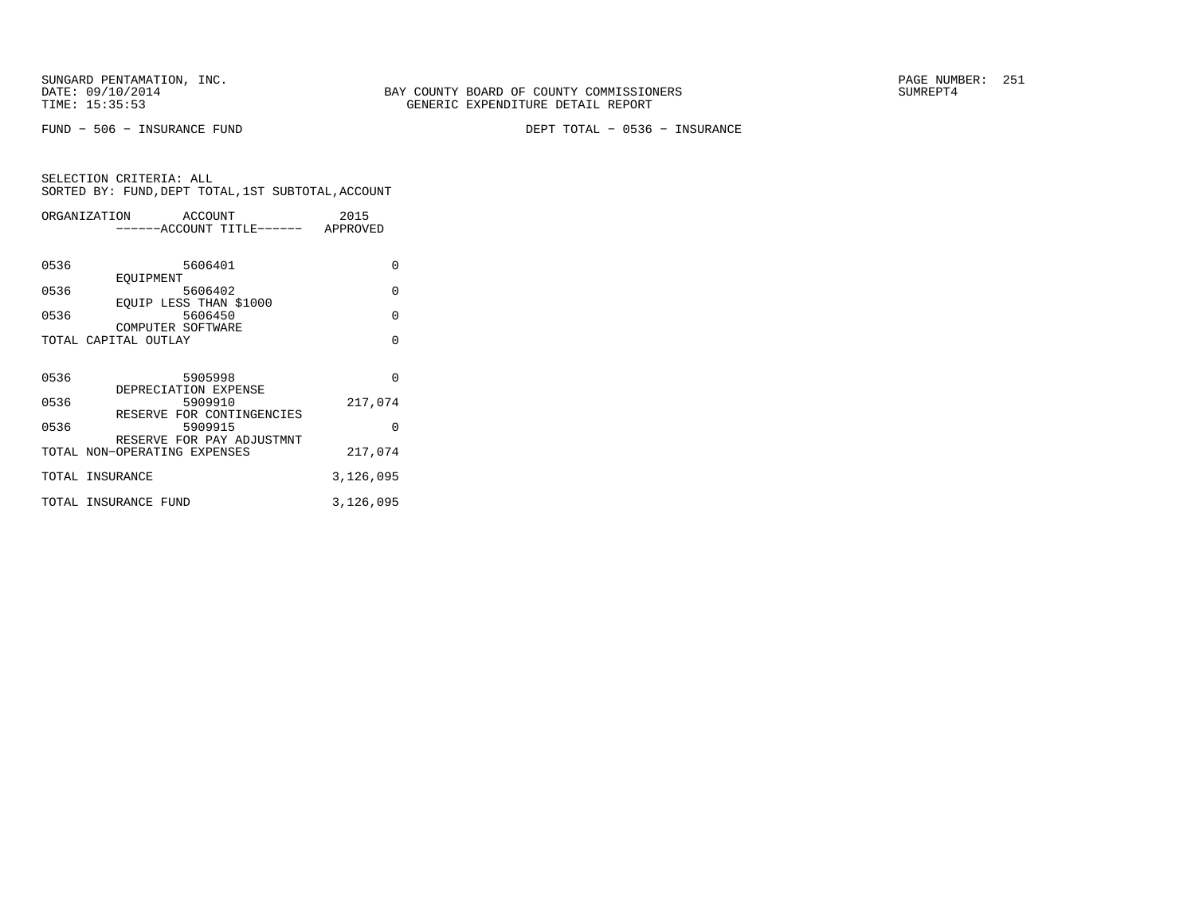SUNGARD PENTAMATION, INC.<br>
DATE: 09/10/2014 SUMRER: 251

FUND − 506 − INSURANCE FUND DEPT TOTAL − 0536 − INSURANCE

| ORGANIZATION |                              | ACCOUNT |                           | 2015      |
|--------------|------------------------------|---------|---------------------------|-----------|
|              |                              |         | -----ACCOUNT TITLE------  | APPROVED  |
|              |                              |         |                           |           |
| 0536         |                              |         | 5606401                   | $\Omega$  |
|              | EOUIPMENT                    |         |                           |           |
| 0536         |                              |         | 5606402                   | $\Omega$  |
|              | EQUIP LESS THAN \$1000       |         |                           | $\Omega$  |
| 0536         | COMPUTER SOFTWARE            |         | 5606450                   |           |
|              | TOTAL CAPITAL OUTLAY         |         |                           | $\Omega$  |
|              |                              |         |                           |           |
|              |                              |         |                           |           |
| 0536         |                              |         | 5905998                   | $\Omega$  |
|              | DEPRECIATION EXPENSE         |         |                           |           |
| 0536         |                              |         | 5909910                   | 217,074   |
|              |                              |         | RESERVE FOR CONTINGENCIES |           |
| 0536         |                              |         | 5909915                   | $\Omega$  |
|              |                              |         | RESERVE FOR PAY ADJUSTMNT |           |
|              | TOTAL NON-OPERATING EXPENSES |         |                           | 217,074   |
|              | TOTAL INSURANCE              |         |                           | 3,126,095 |
|              | TOTAL INSURANCE FUND         |         |                           | 3,126,095 |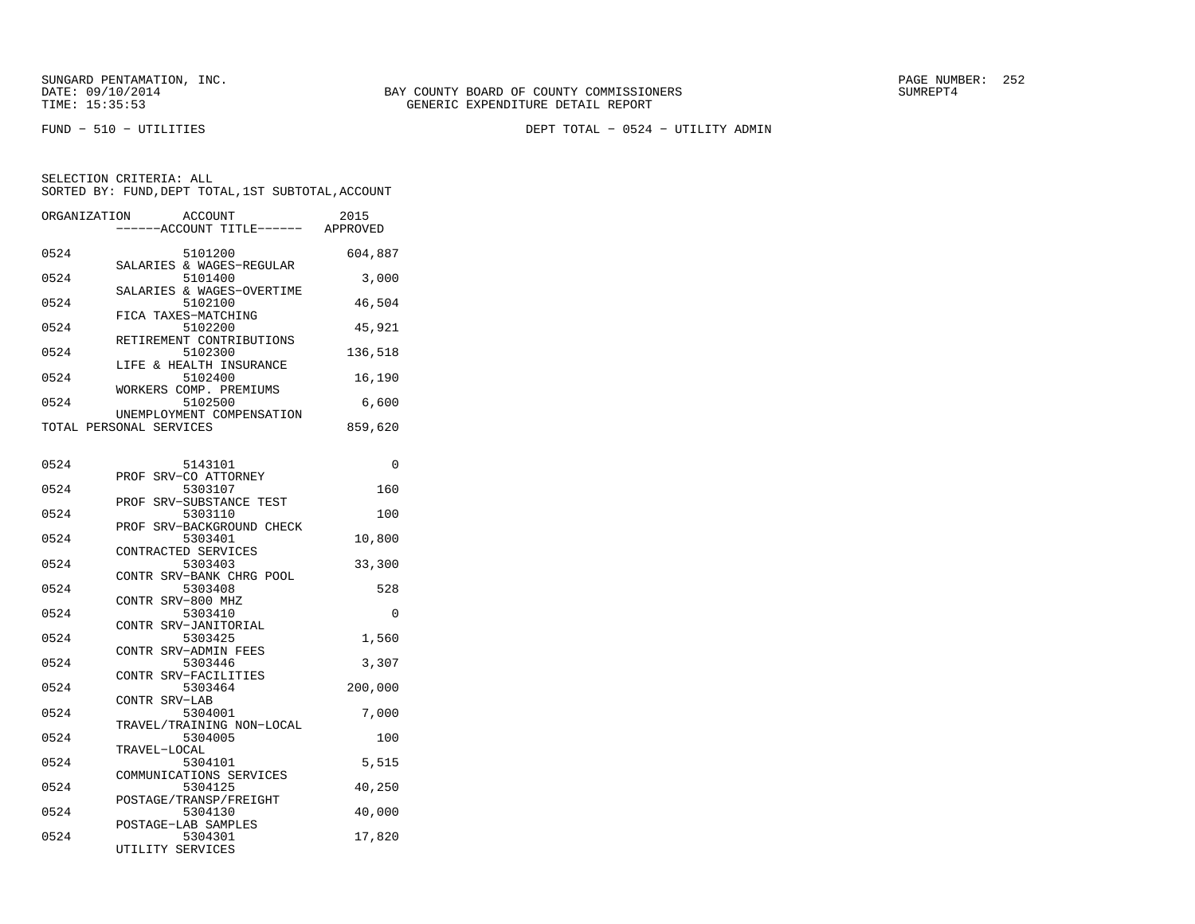SUNGARD PENTAMATION, INC.<br>
DATE: 09/10/2014 SUMRER: 252

FUND − 510 − UTILITIES DEPT TOTAL − 0524 − UTILITY ADMIN

SELECTION CRITERIA: ALLSORTED BY: FUND,DEPT TOTAL,1ST SUBTOTAL,ACCOUNT

|      | ORGANIZATION ACCOUNT<br>-----ACCOUNT TITLE------ APPROVED | 2015     |
|------|-----------------------------------------------------------|----------|
| 0524 | 5101200<br>SALARIES & WAGES-REGULAR                       | 604,887  |
| 0524 | 5101400                                                   | 3,000    |
| 0524 | SALARIES & WAGES-OVERTIME<br>5102100                      | 46,504   |
| 0524 | FICA TAXES-MATCHING<br>5102200                            | 45,921   |
| 0524 | RETIREMENT CONTRIBUTIONS<br>5102300                       | 136,518  |
| 0524 | LIFE & HEALTH INSURANCE<br>5102400                        | 16,190   |
| 0524 | WORKERS COMP. PREMIUMS<br>5102500                         | 6,600    |
|      | UNEMPLOYMENT COMPENSATION<br>TOTAL PERSONAL SERVICES      | 859,620  |
|      |                                                           |          |
| 0524 | 5143101                                                   | $\Omega$ |
| 0524 | PROF SRV-CO ATTORNEY<br>5303107                           | 160      |
| 0524 | PROF SRV-SUBSTANCE TEST<br>5303110                        | 100      |
| 0524 | PROF SRV-BACKGROUND CHECK<br>5303401                      | 10,800   |
| 0524 | CONTRACTED SERVICES<br>5303403                            | 33,300   |
|      | CONTR SRV-BANK CHRG POOL                                  |          |

|      | CONTR SRV-BANK CHRG POOL  |          |
|------|---------------------------|----------|
| 0524 | 5303408                   | 528      |
|      | CONTR SRV-800 MHZ         |          |
| 0524 | 5303410                   | $\Omega$ |
|      | CONTR SRV-JANITORIAL      |          |
| 0524 | 5303425                   | 1,560    |
|      | CONTR SRV-ADMIN FEES      |          |
| 0524 | 5303446                   | 3,307    |
|      | CONTR SRV-FACILITIES      |          |
| 0524 | 5303464                   | 200,000  |
|      | CONTR SRV-LAB             |          |
| 0524 | 5304001                   | 7,000    |
|      | TRAVEL/TRAINING NON-LOCAL |          |
| 0524 | 5304005                   | 100      |
|      | TRAVEL-LOCAL              |          |
| 0524 | 5304101                   | 5,515    |
|      | COMMUNICATIONS SERVICES   |          |
| 0524 | 5304125                   | 40,250   |
|      | POSTAGE/TRANSP/FREIGHT    |          |
| 0524 | 5304130                   | 40,000   |
|      | POSTAGE-LAB SAMPLES       |          |
| 0524 | 5304301                   | 17,820   |

UTILITY SERVICES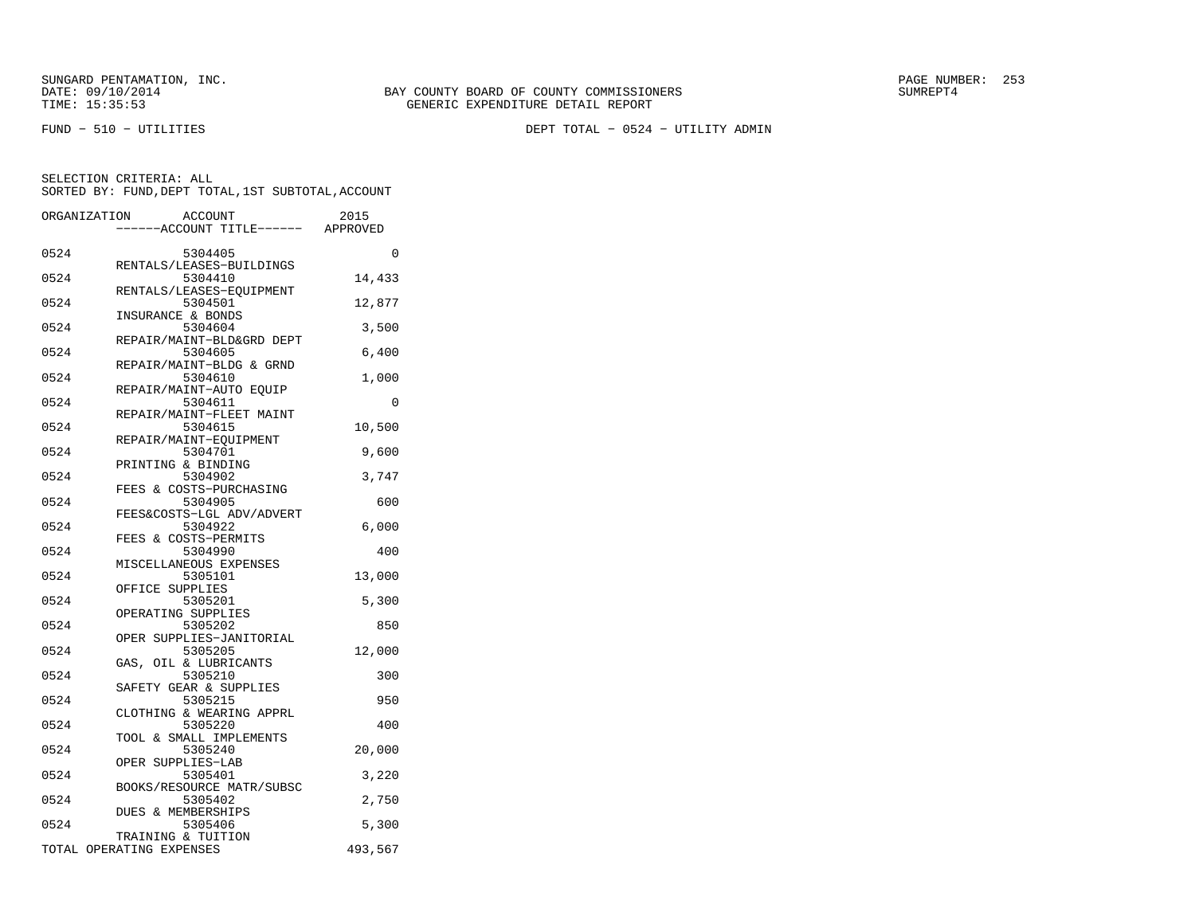SUNGARD PENTAMATION, INC.<br>DATE: 09/10/2014 SUMRER: 253

FUND − 510 − UTILITIES DEPT TOTAL − 0524 − UTILITY ADMIN

| ORGANIZATION |                          | <b>ACCOUNT</b>                       | 2015     |
|--------------|--------------------------|--------------------------------------|----------|
|              |                          | ---ACCOUNT TITLE------ APPROVED      |          |
| 0524         |                          | 5304405                              | $\Omega$ |
| 0524         |                          | RENTALS/LEASES-BUILDINGS<br>5304410  | 14,433   |
| 0524         |                          | RENTALS/LEASES-EOUIPMENT<br>5304501  | 12,877   |
|              |                          | INSURANCE & BONDS                    |          |
| 0524         |                          | 5304604<br>REPAIR/MAINT-BLD&GRD DEPT | 3,500    |
| 0524         |                          | 5304605<br>REPAIR/MAINT-BLDG & GRND  | 6,400    |
| 0524         |                          | 5304610                              | 1,000    |
| 0524         |                          | REPAIR/MAINT-AUTO EQUIP<br>5304611   | 0        |
| 0524         |                          | REPAIR/MAINT-FLEET MAINT<br>5304615  | 10,500   |
| 0524         |                          | REPAIR/MAINT-EQUIPMENT<br>5304701    | 9,600    |
|              |                          | PRINTING & BINDING                   |          |
| 0524         |                          | 5304902<br>FEES & COSTS-PURCHASING   | 3,747    |
| 0524         |                          | 5304905<br>FEES&COSTS-LGL ADV/ADVERT | 600      |
| 0524         |                          | 5304922                              | 6,000    |
| 0524         |                          | FEES & COSTS-PERMITS<br>5304990      | 400      |
| 0524         |                          | MISCELLANEOUS EXPENSES<br>5305101    | 13,000   |
|              |                          | OFFICE SUPPLIES                      |          |
| 0524         |                          | 5305201<br>OPERATING SUPPLIES        | 5,300    |
| 0524         |                          | 5305202<br>OPER SUPPLIES-JANITORIAL  | 850      |
| 0524         |                          | 5305205                              | 12,000   |
| 0524         |                          | GAS, OIL & LUBRICANTS<br>5305210     | 300      |
| 0524         |                          | SAFETY GEAR & SUPPLIES<br>5305215    | 950      |
| 0524         |                          | CLOTHING & WEARING APPRL<br>5305220  |          |
|              |                          | TOOL & SMALL IMPLEMENTS              | 400      |
| 0524         |                          | 5305240<br>OPER SUPPLIES-LAB         | 20,000   |
| 0524         |                          | 5305401<br>BOOKS/RESOURCE MATR/SUBSC | 3,220    |
| 0524         |                          | 5305402                              | 2,750    |
| 0524         |                          | DUES & MEMBERSHIPS<br>5305406        | 5,300    |
|              | TOTAL OPERATING EXPENSES | TRAINING & TUITION                   | 493,567  |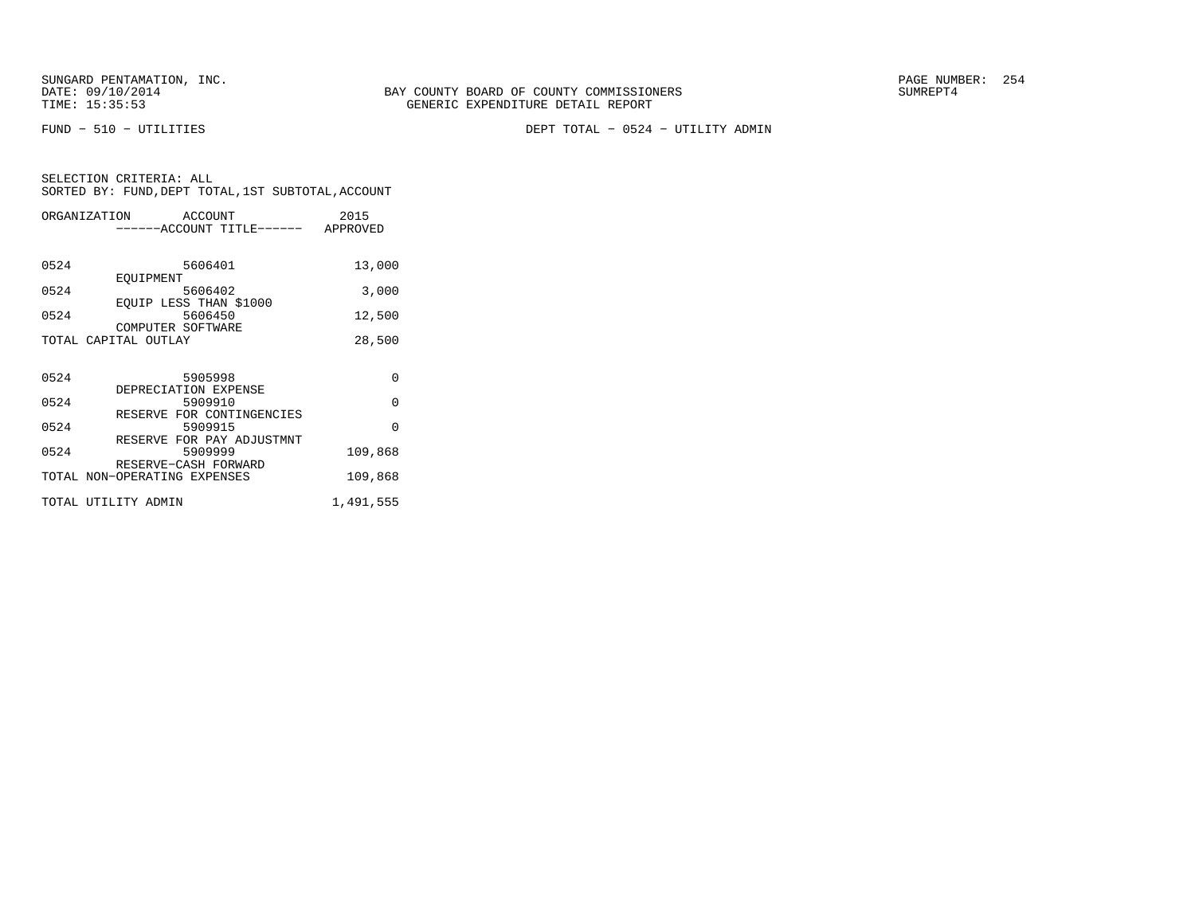SUNGARD PENTAMATION, INC.<br>DATE: 09/10/2014 SUMREPT4

FUND − 510 − UTILITIES DEPT TOTAL − 0524 − UTILITY ADMIN

| SELECTION CRITERIA: ALL |  |  |                                                    |  |
|-------------------------|--|--|----------------------------------------------------|--|
|                         |  |  | SORTED BY: FUND, DEPT TOTAL, 1ST SUBTOTAL, ACCOUNT |  |

|      | ORGANIZATION ACCOUNT               | 2015      |  |
|------|------------------------------------|-----------|--|
|      | ------ACCOUNT TITLE------ APPROVED |           |  |
|      |                                    |           |  |
| 0524 | 5606401                            | 13,000    |  |
|      | EOUIPMENT                          |           |  |
| 0524 | 5606402                            | 3,000     |  |
|      | EQUIP LESS THAN \$1000             |           |  |
| 0524 | 5606450                            | 12,500    |  |
|      | COMPUTER SOFTWARE                  |           |  |
|      | TOTAL CAPITAL OUTLAY               | 28,500    |  |
|      |                                    |           |  |
| 0524 | 5905998                            | 0         |  |
|      | DEPRECIATION EXPENSE               |           |  |
| 0524 | 5909910                            | $\Omega$  |  |
|      | RESERVE FOR CONTINGENCIES          |           |  |
| 0524 | 5909915                            | $\Omega$  |  |
|      | RESERVE FOR PAY ADJUSTMNT          |           |  |
| 0524 | 5909999                            | 109,868   |  |
|      | RESERVE-CASH FORWARD               |           |  |
|      | TOTAL NON-OPERATING EXPENSES       | 109,868   |  |
|      |                                    |           |  |
|      | TOTAL UTILITY ADMIN                | 1,491,555 |  |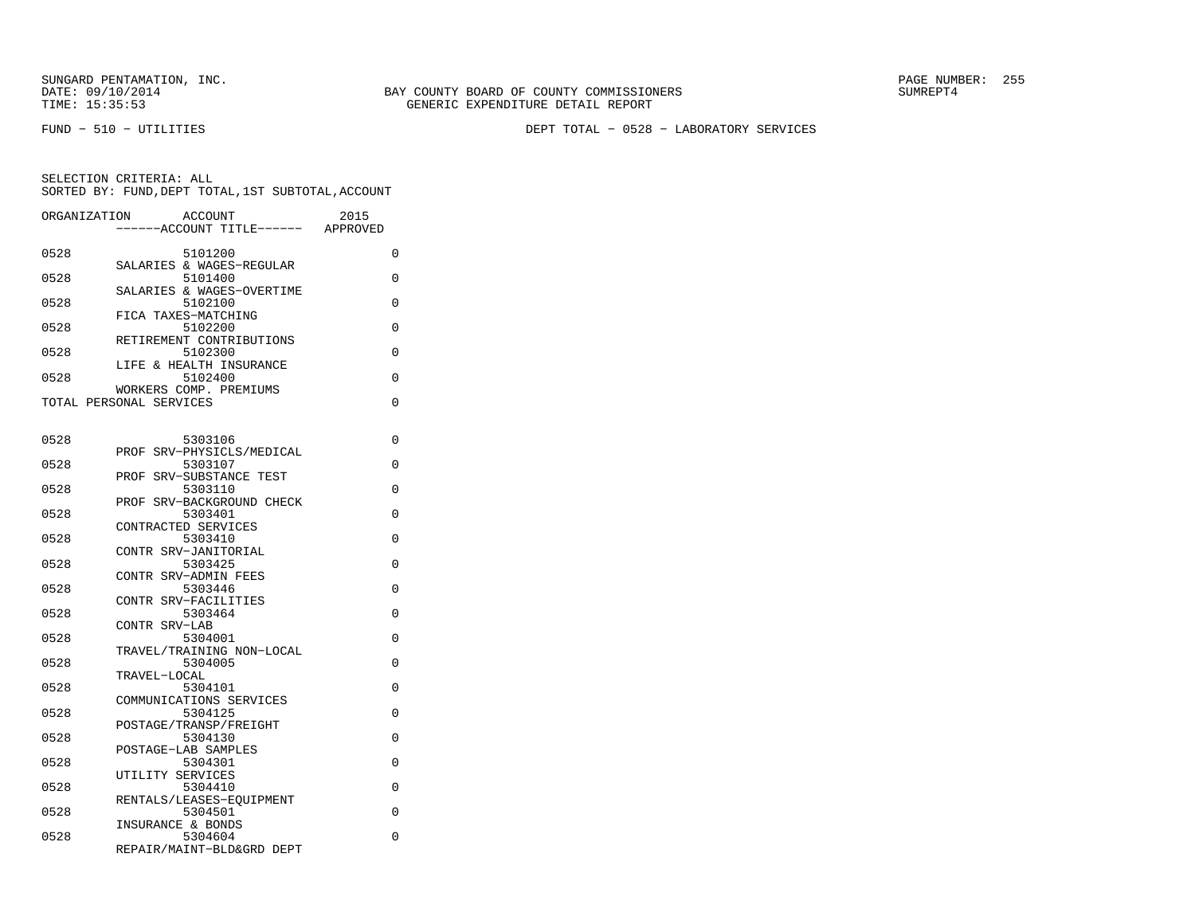SUNGARD PENTAMATION, INC.<br>DATE: 09/10/2014 SUMRER: 255 SUNTAMATION BAY COUNTY BOARD OF COUNTY COMMISSIONERS

FUND − 510 − UTILITIES DEPT TOTAL − 0528 − LABORATORY SERVICES

| ORGANIZATION | ACCOUNT                              | 2015     |
|--------------|--------------------------------------|----------|
|              | -----ACCOUNT TITLE------             | APPROVED |
| 0528         | 5101200                              | 0        |
|              | SALARIES & WAGES-REGULAR             |          |
| 0528         | 5101400<br>SALARIES & WAGES-OVERTIME | 0        |
| 0528         | 5102100                              | 0        |
|              | FICA TAXES-MATCHING                  |          |
| 0528         | 5102200                              | 0        |
| 0528         | RETIREMENT CONTRIBUTIONS<br>5102300  | 0        |
|              | LIFE & HEALTH INSURANCE              |          |
| 0528         | 5102400                              | 0        |
|              | WORKERS COMP. PREMIUMS               |          |
|              | TOTAL PERSONAL SERVICES              | 0        |
|              |                                      |          |
| 0528         | 5303106                              | 0        |
|              | PROF SRV-PHYSICLS/MEDICAL            |          |
| 0528         | 5303107<br>PROF SRV-SUBSTANCE TEST   | 0        |
| 0528         | 5303110                              | 0        |
|              | PROF SRV-BACKGROUND CHECK            |          |
| 0528         | 5303401                              | 0        |
| 0528         | CONTRACTED SERVICES<br>5303410       | 0        |
|              | CONTR SRV-JANITORIAL                 |          |
| 0528         | 5303425                              | 0        |
|              | CONTR SRV-ADMIN FEES                 |          |
| 0528         | 5303446                              | 0        |
| 0528         | CONTR SRV-FACILITIES<br>5303464      | 0        |
|              | CONTR SRV-LAB                        |          |
| 0528         | 5304001                              | 0        |
|              | TRAVEL/TRAINING NON-LOCAL            |          |
| 0528         | 5304005<br>TRAVEL-LOCAL              | 0        |
| 0528         | 5304101                              | 0        |
|              | COMMUNICATIONS SERVICES              |          |
| 0528         | 5304125                              | 0        |
| 0528         | POSTAGE/TRANSP/FREIGHT<br>5304130    | 0        |
|              | POSTAGE-LAB SAMPLES                  |          |
| 0528         | 5304301                              | 0        |
|              | UTILITY SERVICES                     |          |
| 0528         | 5304410<br>RENTALS/LEASES-EOUIPMENT  | 0        |
| 0528         | 5304501                              | 0        |
|              | INSURANCE & BONDS                    |          |
| 0528         | 5304604                              | 0        |
|              | REPAIR/MAINT-BLD&GRD DEPT            |          |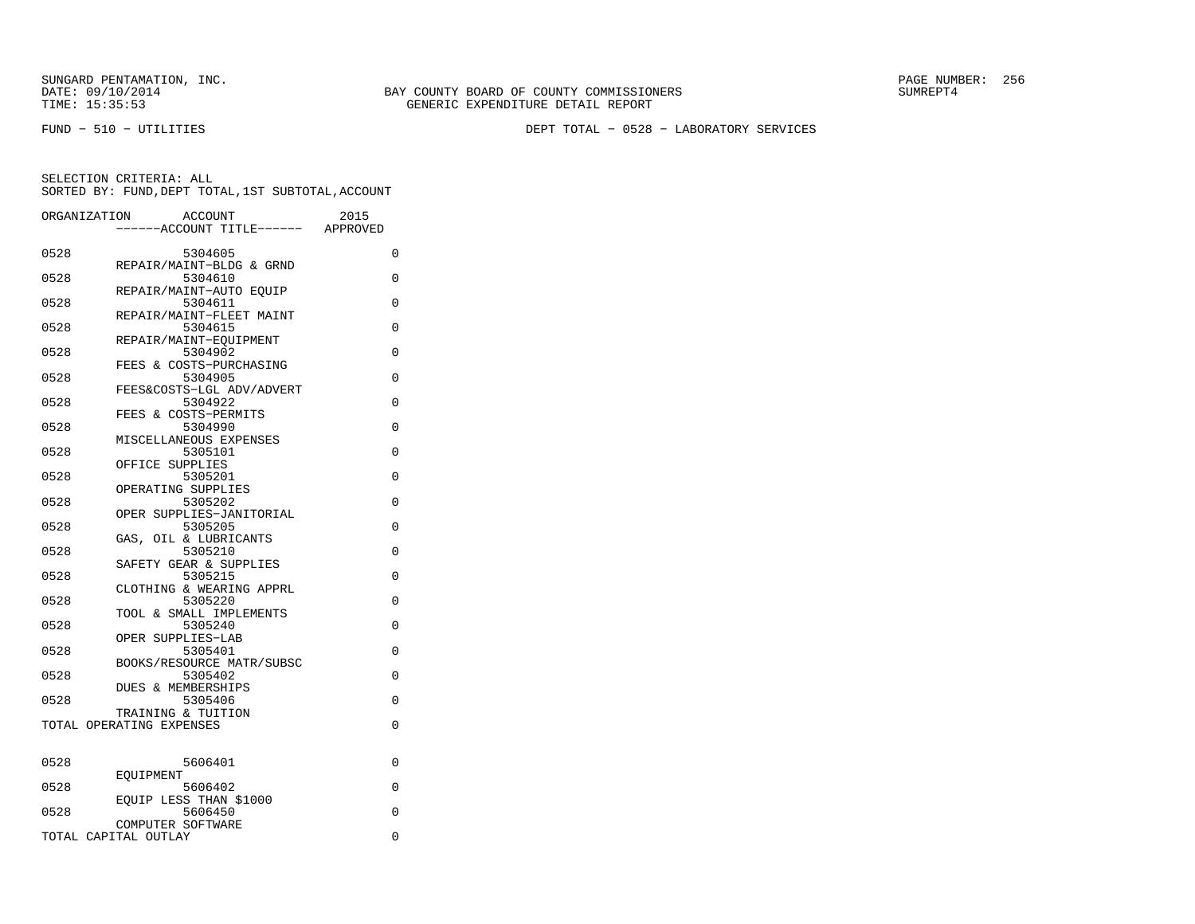SUNGARD PENTAMATION, INC.<br>DATE: 09/10/2014 SUMRER: 256 SUNTY BOARD OF COUNTY COMMISSIONERS

FUND − 510 − UTILITIES DEPT TOTAL − 0528 − LABORATORY SERVICES

| ORGANIZATION |                               | <b>ACCOUNT</b><br>----ACCOUNT TITLE------ APPROVED           | 2015 |          |
|--------------|-------------------------------|--------------------------------------------------------------|------|----------|
| 0528         |                               | 5304605                                                      |      | 0        |
| 0528         |                               | REPAIR/MAINT-BLDG & GRND<br>5304610                          |      | 0        |
| 0528         |                               | REPAIR/MAINT-AUTO EOUIP<br>5304611                           |      | 0        |
| 0528         |                               | REPAIR/MAINT-FLEET MAINT<br>5304615                          |      | 0        |
| 0528         |                               | REPAIR/MAINT-EQUIPMENT<br>5304902<br>FEES & COSTS-PURCHASING |      | 0        |
| 0528         |                               | 5304905<br>FEES&COSTS-LGL ADV/ADVERT                         |      | $\Omega$ |
| 0528         |                               | 5304922<br>FEES & COSTS-PERMITS                              |      | $\Omega$ |
| 0528         |                               | 5304990<br>MISCELLANEOUS EXPENSES                            |      | $\Omega$ |
| 0528         | OFFICE SUPPLIES               | 5305101                                                      |      | $\Omega$ |
| 0528         | OPERATING SUPPLIES            | 5305201                                                      |      | 0        |
| 0528         |                               | 5305202<br>OPER SUPPLIES-JANITORIAL                          |      | 0        |
| 0528         | GAS,                          | 5305205<br>OIL & LUBRICANTS                                  |      | 0        |
| 0528         |                               | 5305210<br>SAFETY GEAR & SUPPLIES                            |      | $\Omega$ |
| 0528         |                               | 5305215<br>CLOTHING & WEARING APPRL                          |      | 0        |
| 0528         |                               | 5305220<br>TOOL & SMALL IMPLEMENTS                           |      | 0        |
| 0528         | OPER SUPPLIES-LAB             | 5305240                                                      |      | 0        |
| 0528         |                               | 5305401<br>BOOKS/RESOURCE MATR/SUBSC                         |      | $\Omega$ |
| 0528         | <b>DUES &amp; MEMBERSHIPS</b> | 5305402                                                      |      | $\Omega$ |
| 0528         | TRAINING & TUITION            | 5305406                                                      |      | $\Omega$ |
|              | TOTAL OPERATING EXPENSES      |                                                              |      | 0        |
| 0528         |                               | 5606401                                                      |      | 0        |
| 0528         | EOUIPMENT                     | 5606402                                                      |      | $\Omega$ |
| 0528         | COMPUTER SOFTWARE             | EOUIP LESS THAN \$1000<br>5606450                            |      | 0        |
|              | TOTAL CAPITAL OUTLAY          |                                                              |      | 0        |